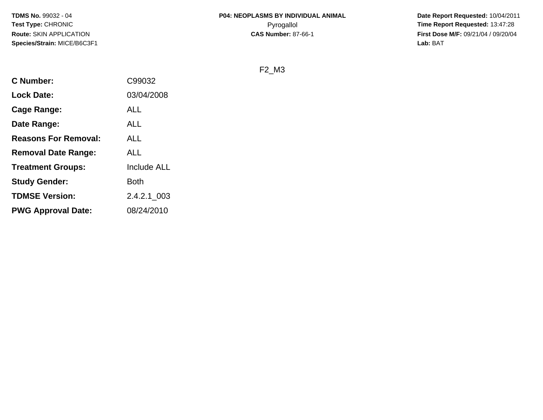**Date Report Requested:** 10/04/2011 **First Dose M/F:** 09/21/04 / 09/20/04<br>Lab: BAT **Lab:** BAT

F2\_M3

| <b>C</b> Number:            | C99032      |
|-----------------------------|-------------|
| <b>Lock Date:</b>           | 03/04/2008  |
| Cage Range:                 | ALL         |
| Date Range:                 | ALL         |
| <b>Reasons For Removal:</b> | ALL         |
| <b>Removal Date Range:</b>  | ALL         |
| <b>Treatment Groups:</b>    | Include ALL |
| <b>Study Gender:</b>        | Both        |
| <b>TDMSE Version:</b>       | 2.4.2.1 003 |
| <b>PWG Approval Date:</b>   | 08/24/2010  |
|                             |             |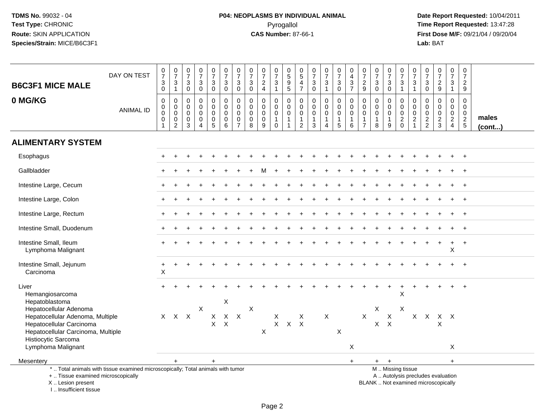# **P04: NEOPLASMS BY INDIVIDUAL ANIMAL**Pyrogallol **Time Report Requested:** 13:47:28

 **Date Report Requested:** 10/04/2011 **First Dose M/F:** 09/21/04 / 09/20/04<br>Lab: BAT **Lab:** BAT

| <b>B6C3F1 MICE MALE</b>                                                                                                                                               | DAY ON TEST      | $\frac{0}{7}$<br>$\sqrt{3}$<br>$\mathbf 0$                           | $\frac{0}{7}$<br>$\frac{3}{1}$           | $\begin{array}{c} 0 \\ 7 \end{array}$<br>$\sqrt{3}$<br>$\mathbf 0$ | $\begin{smallmatrix}0\\7\end{smallmatrix}$<br>$\mathbf{3}$<br>$\mathbf 0$ | $\frac{0}{7}$<br>$\frac{3}{0}$                                | $\begin{smallmatrix}0\\7\end{smallmatrix}$<br>3<br>$\mathbf 0$ | $\begin{array}{c} 0 \\ 7 \end{array}$<br>$\mathbf{3}$<br>$\mathbf 0$ | $\frac{0}{7}$<br>$\ensuremath{\mathsf{3}}$<br>$\mathbf 0$ | $\begin{array}{c} 0 \\ 7 \end{array}$<br>$\frac{2}{4}$    | $\begin{array}{c} 0 \\ 7 \end{array}$<br>$\frac{3}{1}$                    | $\begin{array}{c} 0 \\ 5 \end{array}$<br>$\overline{9}$<br>$\overline{5}$ | $\begin{array}{c} 0 \\ 5 \end{array}$<br>$\frac{4}{7}$                      | $\begin{smallmatrix}0\\7\end{smallmatrix}$<br>$\ensuremath{\mathsf{3}}$<br>$\mathbf 0$ | $\frac{0}{7}$<br>$\frac{3}{1}$                                          | $\frac{0}{7}$<br>$\ensuremath{\mathsf{3}}$<br>$\mathbf 0$              | 0<br>$\begin{array}{c} 4 \\ 3 \end{array}$<br>$\overline{7}$ | $\begin{array}{c} 0 \\ 7 \end{array}$<br>$\frac{2}{9}$                    | $\frac{0}{7}$<br>$_{0}^{3}$                          | $\begin{array}{c} 0 \\ 7 \end{array}$<br>$\ensuremath{\mathsf{3}}$<br>$\mathbf 0$ | $\frac{0}{7}$<br>$\ensuremath{\mathsf{3}}$<br>$\mathbf{1}$      | $\frac{0}{7}$<br>$\ensuremath{\mathsf{3}}$<br>$\mathbf{1}$    | $\frac{0}{7}$<br>$\mathbf{3}$<br>$\mathbf 0$ | $\begin{array}{c} 0 \\ 7 \end{array}$<br>$\frac{2}{9}$                   | $\frac{0}{7}$<br>$\ensuremath{\mathsf{3}}$<br>$\mathbf{1}$                | $\frac{0}{7}$<br>$\overline{a}$<br>9                    |                       |
|-----------------------------------------------------------------------------------------------------------------------------------------------------------------------|------------------|----------------------------------------------------------------------|------------------------------------------|--------------------------------------------------------------------|---------------------------------------------------------------------------|---------------------------------------------------------------|----------------------------------------------------------------|----------------------------------------------------------------------|-----------------------------------------------------------|-----------------------------------------------------------|---------------------------------------------------------------------------|---------------------------------------------------------------------------|-----------------------------------------------------------------------------|----------------------------------------------------------------------------------------|-------------------------------------------------------------------------|------------------------------------------------------------------------|--------------------------------------------------------------|---------------------------------------------------------------------------|------------------------------------------------------|-----------------------------------------------------------------------------------|-----------------------------------------------------------------|---------------------------------------------------------------|----------------------------------------------|--------------------------------------------------------------------------|---------------------------------------------------------------------------|---------------------------------------------------------|-----------------------|
| 0 MG/KG                                                                                                                                                               | <b>ANIMAL ID</b> | $\pmb{0}$<br>$\mathbf 0$<br>$\mathbf 0$<br>$\pmb{0}$<br>$\mathbf{1}$ | 0<br>$\mathbf 0$<br>0<br>0<br>$\sqrt{2}$ | $\pmb{0}$<br>$\mathbf 0$<br>$\mathbf 0$<br>$\pmb{0}$<br>3          | 0<br>$\mathbf 0$<br>$\mathbf 0$<br>$\pmb{0}$<br>$\overline{4}$            | $\pmb{0}$<br>$\boldsymbol{0}$<br>$\mathbf 0$<br>$\frac{0}{5}$ | $\mathbf 0$<br>$\mathbf 0$<br>$\mathbf 0$<br>0<br>6            | $\mathbf 0$<br>$\mathbf 0$<br>0<br>$\mathbf 0$<br>$\overline{7}$     | $\mathbf 0$<br>$\mathbf 0$<br>0<br>$\pmb{0}$<br>8         | 0<br>$\mathsf{O}\xspace$<br>$\mathbf 0$<br>$\pmb{0}$<br>9 | $\mathbf 0$<br>$\mathbf 0$<br>$\mathbf 0$<br>$\mathbf{1}$<br>$\mathbf{0}$ | $\mathbf 0$<br>$\mathbf 0$<br>$\mathbf 0$<br>$\mathbf{1}$<br>$\mathbf{1}$ | $\mathbf 0$<br>$\mathbf 0$<br>$\mathbf 0$<br>$\mathbf{1}$<br>$\overline{2}$ | 0<br>$\mathbf 0$<br>$\mathbf 0$<br>$\mathbf{1}$<br>3                                   | $\pmb{0}$<br>$\ddot{\mathbf{0}}$<br>$\overline{0}$<br>$\mathbf{1}$<br>4 | $\mathsf 0$<br>$\mathsf{O}\xspace$<br>$\mathbf 0$<br>$\mathbf{1}$<br>5 | $\mathbf 0$<br>0<br>$\mathbf 0$<br>$\mathbf{1}$<br>6         | $\mathbf 0$<br>$\mathbf 0$<br>$\pmb{0}$<br>$\mathbf{1}$<br>$\overline{7}$ | 0<br>$\mathbf 0$<br>$\mathbf 0$<br>$\mathbf{1}$<br>8 | $\mathbf 0$<br>$\mathbf 0$<br>$\mathbf 0$<br>$\mathbf{1}$<br>9                    | $\mathbf 0$<br>$\boldsymbol{0}$<br>$\mathbf 0$<br>$\frac{2}{0}$ | 0<br>$\mathbf 0$<br>$\mathbf 0$<br>$\sqrt{2}$<br>$\mathbf{1}$ | 0<br>$\mathbf 0$<br>0<br>$\frac{2}{2}$       | $\mathbf 0$<br>$\mathbf 0$<br>$\mathbf 0$<br>$\sqrt{2}$<br>3             | $\mathbf 0$<br>$\pmb{0}$<br>$\pmb{0}$<br>$\overline{2}$<br>$\overline{4}$ | $\Omega$<br>$\mathbf 0$<br>$\mathbf 0$<br>$\frac{2}{5}$ | males<br>$($ cont $)$ |
| <b>ALIMENTARY SYSTEM</b>                                                                                                                                              |                  |                                                                      |                                          |                                                                    |                                                                           |                                                               |                                                                |                                                                      |                                                           |                                                           |                                                                           |                                                                           |                                                                             |                                                                                        |                                                                         |                                                                        |                                                              |                                                                           |                                                      |                                                                                   |                                                                 |                                                               |                                              |                                                                          |                                                                           |                                                         |                       |
| Esophagus                                                                                                                                                             |                  |                                                                      |                                          |                                                                    |                                                                           |                                                               |                                                                |                                                                      |                                                           |                                                           |                                                                           |                                                                           |                                                                             |                                                                                        |                                                                         |                                                                        |                                                              |                                                                           |                                                      |                                                                                   |                                                                 |                                                               |                                              |                                                                          |                                                                           |                                                         |                       |
| Gallbladder                                                                                                                                                           |                  |                                                                      |                                          |                                                                    |                                                                           |                                                               |                                                                |                                                                      |                                                           |                                                           |                                                                           |                                                                           |                                                                             |                                                                                        |                                                                         |                                                                        |                                                              |                                                                           |                                                      |                                                                                   |                                                                 |                                                               |                                              |                                                                          |                                                                           |                                                         |                       |
| Intestine Large, Cecum                                                                                                                                                |                  |                                                                      |                                          |                                                                    |                                                                           |                                                               |                                                                |                                                                      |                                                           |                                                           |                                                                           |                                                                           |                                                                             |                                                                                        |                                                                         |                                                                        |                                                              |                                                                           |                                                      |                                                                                   |                                                                 |                                                               |                                              |                                                                          |                                                                           | $\ddot{}$                                               |                       |
| Intestine Large, Colon                                                                                                                                                |                  |                                                                      |                                          |                                                                    |                                                                           |                                                               |                                                                |                                                                      |                                                           |                                                           |                                                                           |                                                                           |                                                                             |                                                                                        |                                                                         |                                                                        |                                                              |                                                                           |                                                      |                                                                                   |                                                                 |                                                               |                                              |                                                                          |                                                                           |                                                         |                       |
| Intestine Large, Rectum                                                                                                                                               |                  |                                                                      |                                          |                                                                    |                                                                           |                                                               |                                                                |                                                                      |                                                           |                                                           |                                                                           |                                                                           |                                                                             |                                                                                        |                                                                         |                                                                        |                                                              |                                                                           |                                                      |                                                                                   |                                                                 |                                                               |                                              |                                                                          |                                                                           |                                                         |                       |
| Intestine Small, Duodenum                                                                                                                                             |                  |                                                                      |                                          |                                                                    |                                                                           |                                                               |                                                                |                                                                      |                                                           |                                                           |                                                                           |                                                                           |                                                                             |                                                                                        |                                                                         |                                                                        |                                                              |                                                                           |                                                      |                                                                                   |                                                                 |                                                               |                                              |                                                                          |                                                                           |                                                         |                       |
| Intestine Small, Ileum<br>Lymphoma Malignant                                                                                                                          |                  |                                                                      |                                          |                                                                    |                                                                           |                                                               |                                                                |                                                                      |                                                           |                                                           |                                                                           |                                                                           |                                                                             |                                                                                        |                                                                         |                                                                        |                                                              |                                                                           |                                                      |                                                                                   |                                                                 |                                                               |                                              |                                                                          | X                                                                         | $\overline{1}$                                          |                       |
| Intestine Small, Jejunum<br>Carcinoma                                                                                                                                 |                  | $\ddot{}$<br>X                                                       |                                          |                                                                    |                                                                           |                                                               |                                                                |                                                                      |                                                           |                                                           |                                                                           |                                                                           |                                                                             |                                                                                        |                                                                         |                                                                        |                                                              |                                                                           |                                                      |                                                                                   |                                                                 |                                                               |                                              |                                                                          |                                                                           |                                                         |                       |
| Liver<br>Hemangiosarcoma<br>Hepatoblastoma                                                                                                                            |                  |                                                                      |                                          |                                                                    |                                                                           |                                                               | X                                                              |                                                                      |                                                           |                                                           |                                                                           |                                                                           |                                                                             |                                                                                        |                                                                         |                                                                        |                                                              |                                                                           |                                                      |                                                                                   | X                                                               |                                                               |                                              |                                                                          |                                                                           | $\ddot{}$                                               |                       |
| Hepatocellular Adenoma<br>Hepatocellular Adenoma, Multiple<br>Hepatocellular Carcinoma<br>Hepatocellular Carcinoma, Multiple<br>Histiocytic Sarcoma                   |                  |                                                                      | X X X                                    |                                                                    | $\pmb{\times}$                                                            | $\mathsf{X}$<br>$\mathsf{X}$                                  | X X<br>$\mathsf{X}$                                            |                                                                      | X                                                         | X                                                         | X<br>$\mathsf{X}$                                                         | $\mathsf{X}$                                                              | X<br>$\mathsf{X}$                                                           |                                                                                        | $\mathsf{X}$                                                            | X                                                                      |                                                              | $\mathsf{X}$                                                              | X<br>$\mathsf{X}$                                    | $\mathsf{X}$<br>$\mathsf{X}$                                                      | X                                                               |                                                               |                                              | X X X X<br>X                                                             |                                                                           |                                                         |                       |
| Lymphoma Malignant                                                                                                                                                    |                  |                                                                      |                                          |                                                                    |                                                                           |                                                               |                                                                |                                                                      |                                                           |                                                           |                                                                           |                                                                           |                                                                             |                                                                                        |                                                                         |                                                                        | X                                                            |                                                                           |                                                      |                                                                                   |                                                                 |                                                               |                                              |                                                                          | X                                                                         |                                                         |                       |
| Mesentery                                                                                                                                                             |                  |                                                                      | $\ddot{}$                                |                                                                    |                                                                           | $+$                                                           |                                                                |                                                                      |                                                           |                                                           |                                                                           |                                                                           |                                                                             |                                                                                        |                                                                         |                                                                        | $+$                                                          |                                                                           |                                                      | $+$ $+$                                                                           |                                                                 |                                                               |                                              |                                                                          | $+$                                                                       |                                                         |                       |
| *  Total animals with tissue examined microscopically; Total animals with tumor<br>+  Tissue examined microscopically<br>X  Lesion present<br>I., Insufficient tissue |                  |                                                                      |                                          |                                                                    |                                                                           |                                                               |                                                                |                                                                      |                                                           |                                                           |                                                                           |                                                                           |                                                                             |                                                                                        |                                                                         |                                                                        |                                                              |                                                                           |                                                      |                                                                                   | M  Missing tissue                                               |                                                               |                                              | A  Autolysis precludes evaluation<br>BLANK  Not examined microscopically |                                                                           |                                                         |                       |

Page 2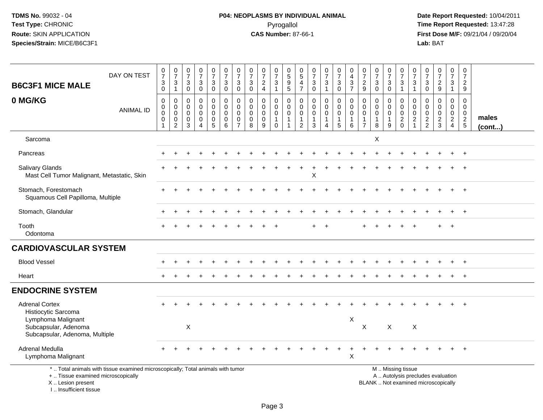I .. Insufficient tissue

# **P04: NEOPLASMS BY INDIVIDUAL ANIMAL**Pyrogallol **Time Report Requested:** 13:47:28

| <b>B6C3F1 MICE MALE</b>                                                      | DAY ON TEST                                                                     | $\begin{array}{c} 0 \\ 7 \end{array}$<br>$\ensuremath{\mathsf{3}}$<br>$\mathbf 0$ | $\begin{array}{c} 0 \\ 7 \end{array}$<br>3<br>$\mathbf{1}$ | $\frac{0}{7}$<br>$\ensuremath{\mathsf{3}}$<br>$\mathbf 0$        | $\frac{0}{7}$<br>$\mathbf{3}$<br>$\mathbf 0$ | $\frac{0}{7}$<br>$\sqrt{3}$<br>$\mathbf 0$                       | $\frac{0}{7}$<br>$\sqrt{3}$<br>$\mathbf 0$                          | $\frac{0}{7}$<br>$\mathbf{3}$<br>$\mathbf 0$                  | $\frac{0}{7}$<br>$\sqrt{3}$<br>$\mathbf 0$                    | $\frac{0}{7}$<br>$\overline{\mathbf{c}}$<br>$\overline{4}$ | $\frac{0}{7}$<br>3<br>$\overline{1}$                                | 0<br>5<br>5<br>5                                                | 0<br>$\overline{5}$<br>$\overline{4}$<br>$\overline{7}$                     | $\begin{array}{c} 0 \\ 7 \end{array}$<br>$\ensuremath{\mathsf{3}}$<br>$\mathbf 0$ | $\begin{smallmatrix}0\\7\end{smallmatrix}$<br>$\ensuremath{\mathsf{3}}$<br>$\mathbf{1}$ | $\frac{0}{7}$<br>3<br>$\mathbf 0$                              | $\begin{smallmatrix}0\\4\end{smallmatrix}$<br>$\ensuremath{\mathsf{3}}$<br>$\overline{7}$ | $\begin{array}{c} 0 \\ 7 \end{array}$<br>$\sqrt{2}$<br>9                 | $\begin{array}{c} 0 \\ 7 \end{array}$<br>$\mathbf{3}$<br>$\mathbf 0$ | $\begin{array}{c} 0 \\ 7 \end{array}$<br>$_{\rm 0}^3$ | 0<br>$\overline{7}$<br>$\ensuremath{\mathsf{3}}$<br>$\overline{1}$                            | $\mathbf 0$<br>$\overline{7}$<br>$\ensuremath{\mathsf{3}}$<br>$\mathbf{1}$     | $\frac{0}{7}$<br>$\ensuremath{\mathsf{3}}$<br>$\mathbf 0$ | $\frac{0}{7}$<br>$\frac{2}{9}$                      | $\begin{smallmatrix} 0\\7 \end{smallmatrix}$<br>$\mathbf{3}$<br>$\mathbf{1}$ | $\begin{array}{c} 0 \\ 7 \end{array}$<br>$\overline{c}$<br>9 |                       |
|------------------------------------------------------------------------------|---------------------------------------------------------------------------------|-----------------------------------------------------------------------------------|------------------------------------------------------------|------------------------------------------------------------------|----------------------------------------------|------------------------------------------------------------------|---------------------------------------------------------------------|---------------------------------------------------------------|---------------------------------------------------------------|------------------------------------------------------------|---------------------------------------------------------------------|-----------------------------------------------------------------|-----------------------------------------------------------------------------|-----------------------------------------------------------------------------------|-----------------------------------------------------------------------------------------|----------------------------------------------------------------|-------------------------------------------------------------------------------------------|--------------------------------------------------------------------------|----------------------------------------------------------------------|-------------------------------------------------------|-----------------------------------------------------------------------------------------------|--------------------------------------------------------------------------------|-----------------------------------------------------------|-----------------------------------------------------|------------------------------------------------------------------------------|--------------------------------------------------------------|-----------------------|
| 0 MG/KG                                                                      | <b>ANIMAL ID</b>                                                                | $\mathbf 0$<br>$\boldsymbol{0}$<br>$\mathbf 0$<br>$\mathbf 0$<br>$\mathbf{1}$     | 0<br>$\mathbf 0$<br>$\mathbf 0$<br>0<br>$\overline{2}$     | 0<br>$\mathbf 0$<br>$\mathbf 0$<br>$\mathbf 0$<br>$\overline{3}$ | 0<br>$\overline{0}$<br>$\mathbf 0$<br>0<br>4 | 0<br>$\mathbf 0$<br>$\mathbf 0$<br>$\mathbf 0$<br>$\overline{5}$ | $\pmb{0}$<br>$\mathsf{O}\xspace$<br>$\mathbf 0$<br>$\mathbf 0$<br>6 | 0<br>$\Omega$<br>$\mathbf 0$<br>$\mathbf 0$<br>$\overline{7}$ | $\mathbf 0$<br>$\mathbf 0$<br>$\mathbf 0$<br>$\mathbf 0$<br>8 | 0<br>$\mathbf 0$<br>$\mathbf 0$<br>$\pmb{0}$<br>9          | 0<br>$\mathsf{O}\xspace$<br>$\mathsf 0$<br>$\mathbf{1}$<br>$\Omega$ | 0<br>$\mathbf 0$<br>$\pmb{0}$<br>$\mathbf{1}$<br>$\overline{1}$ | $\mathbf 0$<br>$\mathbf 0$<br>$\mathbf 0$<br>$\mathbf{1}$<br>$\overline{2}$ | $\mathbf 0$<br>$\pmb{0}$<br>$\mathbf 0$<br>$\mathbf{1}$<br>$\mathbf{3}$           | 0<br>$\mathbf 0$<br>$\mathbf 0$<br>$\mathbf{1}$<br>4                                    | $\mathbf 0$<br>$\mathbf 0$<br>$\mathbf 0$<br>$\mathbf{1}$<br>5 | 0<br>$\mathbf 0$<br>$\mathbf 0$<br>$\mathbf{1}$<br>6                                      | $\mathbf 0$<br>$\Omega$<br>$\mathbf 0$<br>$\mathbf{1}$<br>$\overline{7}$ | $\mathbf 0$<br>$\mathbf 0$<br>$\mathbf 0$<br>1<br>8                  | 0<br>$\mathbf 0$<br>$\mathbf 0$<br>$\mathbf{1}$<br>9  | $\mathbf 0$<br>$\Omega$<br>$\mathsf{O}\xspace$<br>$\frac{2}{0}$                               | $\mathbf 0$<br>$\overline{0}$<br>$\mathbf 0$<br>$\overline{2}$<br>$\mathbf{1}$ | $\mathbf 0$<br>$\mathbf 0$<br>0<br>$\frac{2}{2}$          | 0<br>$\overline{0}$<br>$\mathbf 0$<br>$\frac{2}{3}$ | $\pmb{0}$<br>$\mathbf 0$<br>$\mathbf 0$<br>$\overline{2}$<br>$\overline{4}$  | $\mathbf 0$<br>$\mathbf 0$<br>$\mathbf 0$<br>$\frac{2}{5}$   | males<br>$($ cont $)$ |
| Sarcoma                                                                      |                                                                                 |                                                                                   |                                                            |                                                                  |                                              |                                                                  |                                                                     |                                                               |                                                               |                                                            |                                                                     |                                                                 |                                                                             |                                                                                   |                                                                                         |                                                                |                                                                                           |                                                                          | Χ                                                                    |                                                       |                                                                                               |                                                                                |                                                           |                                                     |                                                                              |                                                              |                       |
| Pancreas                                                                     |                                                                                 |                                                                                   |                                                            |                                                                  |                                              |                                                                  |                                                                     |                                                               |                                                               |                                                            |                                                                     |                                                                 |                                                                             |                                                                                   |                                                                                         |                                                                |                                                                                           |                                                                          |                                                                      |                                                       |                                                                                               |                                                                                |                                                           |                                                     |                                                                              |                                                              |                       |
| <b>Salivary Glands</b><br>Mast Cell Tumor Malignant, Metastatic, Skin        |                                                                                 |                                                                                   |                                                            |                                                                  |                                              |                                                                  |                                                                     |                                                               |                                                               |                                                            |                                                                     |                                                                 |                                                                             | $\sf X$                                                                           |                                                                                         |                                                                |                                                                                           |                                                                          |                                                                      |                                                       |                                                                                               |                                                                                |                                                           |                                                     |                                                                              |                                                              |                       |
| Stomach, Forestomach<br>Squamous Cell Papilloma, Multiple                    |                                                                                 |                                                                                   |                                                            |                                                                  |                                              |                                                                  |                                                                     |                                                               |                                                               |                                                            |                                                                     |                                                                 |                                                                             |                                                                                   |                                                                                         |                                                                |                                                                                           |                                                                          |                                                                      |                                                       |                                                                                               |                                                                                |                                                           |                                                     |                                                                              |                                                              |                       |
| Stomach, Glandular                                                           |                                                                                 |                                                                                   |                                                            |                                                                  |                                              |                                                                  |                                                                     |                                                               |                                                               |                                                            |                                                                     |                                                                 |                                                                             |                                                                                   |                                                                                         |                                                                |                                                                                           |                                                                          |                                                                      |                                                       |                                                                                               |                                                                                |                                                           |                                                     |                                                                              | $+$                                                          |                       |
| Tooth<br>Odontoma                                                            |                                                                                 |                                                                                   |                                                            |                                                                  |                                              |                                                                  |                                                                     |                                                               |                                                               |                                                            |                                                                     |                                                                 |                                                                             |                                                                                   |                                                                                         |                                                                |                                                                                           |                                                                          |                                                                      |                                                       |                                                                                               |                                                                                |                                                           | $\pm$                                               | $\ddot{}$                                                                    |                                                              |                       |
| <b>CARDIOVASCULAR SYSTEM</b>                                                 |                                                                                 |                                                                                   |                                                            |                                                                  |                                              |                                                                  |                                                                     |                                                               |                                                               |                                                            |                                                                     |                                                                 |                                                                             |                                                                                   |                                                                                         |                                                                |                                                                                           |                                                                          |                                                                      |                                                       |                                                                                               |                                                                                |                                                           |                                                     |                                                                              |                                                              |                       |
| <b>Blood Vessel</b>                                                          |                                                                                 |                                                                                   |                                                            |                                                                  |                                              |                                                                  |                                                                     |                                                               |                                                               |                                                            |                                                                     |                                                                 |                                                                             |                                                                                   |                                                                                         |                                                                |                                                                                           |                                                                          |                                                                      |                                                       |                                                                                               |                                                                                |                                                           |                                                     |                                                                              |                                                              |                       |
| Heart                                                                        |                                                                                 |                                                                                   |                                                            |                                                                  |                                              |                                                                  |                                                                     |                                                               |                                                               |                                                            |                                                                     |                                                                 |                                                                             |                                                                                   |                                                                                         |                                                                |                                                                                           |                                                                          |                                                                      |                                                       |                                                                                               |                                                                                |                                                           |                                                     | $+$                                                                          | $^{+}$                                                       |                       |
| <b>ENDOCRINE SYSTEM</b>                                                      |                                                                                 |                                                                                   |                                                            |                                                                  |                                              |                                                                  |                                                                     |                                                               |                                                               |                                                            |                                                                     |                                                                 |                                                                             |                                                                                   |                                                                                         |                                                                |                                                                                           |                                                                          |                                                                      |                                                       |                                                                                               |                                                                                |                                                           |                                                     |                                                                              |                                                              |                       |
| <b>Adrenal Cortex</b><br>Histiocytic Sarcoma                                 |                                                                                 |                                                                                   |                                                            |                                                                  |                                              |                                                                  |                                                                     |                                                               |                                                               |                                                            |                                                                     |                                                                 |                                                                             |                                                                                   |                                                                                         |                                                                |                                                                                           |                                                                          |                                                                      |                                                       |                                                                                               |                                                                                |                                                           |                                                     |                                                                              |                                                              |                       |
| Lymphoma Malignant<br>Subcapsular, Adenoma<br>Subcapsular, Adenoma, Multiple |                                                                                 |                                                                                   |                                                            | $\sf X$                                                          |                                              |                                                                  |                                                                     |                                                               |                                                               |                                                            |                                                                     |                                                                 |                                                                             |                                                                                   |                                                                                         |                                                                | $\boldsymbol{\mathsf{X}}$                                                                 | X                                                                        |                                                                      | X                                                     |                                                                                               | $\boldsymbol{\mathsf{X}}$                                                      |                                                           |                                                     |                                                                              |                                                              |                       |
| Adrenal Medulla<br>Lymphoma Malignant                                        |                                                                                 |                                                                                   |                                                            |                                                                  |                                              |                                                                  |                                                                     |                                                               |                                                               |                                                            |                                                                     |                                                                 |                                                                             |                                                                                   |                                                                                         |                                                                | $\sf X$                                                                                   |                                                                          |                                                                      |                                                       |                                                                                               |                                                                                |                                                           |                                                     |                                                                              |                                                              |                       |
| +  Tissue examined microscopically<br>X Lesion present                       | *  Total animals with tissue examined microscopically; Total animals with tumor |                                                                                   |                                                            |                                                                  |                                              |                                                                  |                                                                     |                                                               |                                                               |                                                            |                                                                     |                                                                 |                                                                             |                                                                                   |                                                                                         |                                                                |                                                                                           |                                                                          |                                                                      |                                                       | M  Missing tissue<br>A  Autolysis precludes evaluation<br>BLANK  Not examined microscopically |                                                                                |                                                           |                                                     |                                                                              |                                                              |                       |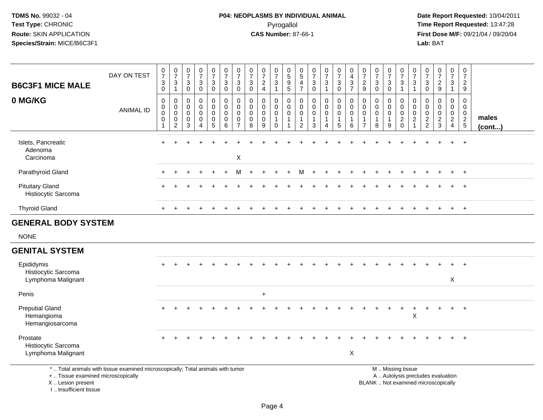# **P04: NEOPLASMS BY INDIVIDUAL ANIMAL**Pyrogallol **Time Report Requested:** 13:47:28

 **Date Report Requested:** 10/04/2011 **First Dose M/F:** 09/21/04 / 09/20/04<br>Lab: BAT **Lab:** BAT

| <b>B6C3F1 MICE MALE</b>                                 | DAY ON TEST                                                                     | $\frac{0}{7}$<br>$\mathbf{3}$<br>$\mathbf 0$ | $\frac{0}{7}$<br>$\ensuremath{\mathsf{3}}$<br>$\mathbf{1}$                     | $\frac{0}{7}$<br>3<br>$\mathbf 0$                             | $\frac{0}{7}$<br>$\sqrt{3}$<br>$\mathbf 0$                              | $\begin{smallmatrix}0\\7\end{smallmatrix}$<br>$\ensuremath{\mathsf{3}}$<br>$\mathbf 0$ | $\frac{0}{7}$<br>3<br>$\mathbf 0$         | $\frac{0}{7}$<br>3<br>0                                          | $\frac{0}{7}$<br>3<br>$\mathbf 0$ | $\frac{0}{7}$<br>$\frac{2}{4}$                                | $\frac{0}{7}$<br>$\mathsf 3$<br>$\overline{1}$                 | $\pmb{0}$<br>$\overline{5}$<br>$\begin{array}{c} 9 \\ 5 \end{array}$ | $\begin{array}{c} 0 \\ 5 \end{array}$<br>4<br>$\overline{7}$      | $\frac{0}{7}$<br>$_{\rm 0}^3$                                  | $\frac{0}{7}$<br>$\mathbf{3}$<br>$\mathbf{1}$        | $\frac{0}{7}$<br>3<br>$\mathbf 0$        | $\begin{smallmatrix}0\\4\end{smallmatrix}$<br>$\frac{3}{7}$          | $\frac{0}{7}$<br>$\frac{2}{9}$                                       | 0<br>$\overline{7}$<br>3<br>$\mathbf 0$                  | $\frac{0}{7}$<br>3<br>$\mathbf 0$                              | $\frac{0}{7}$<br>3<br>$\overline{1}$                             | $\frac{0}{7}$<br>$\mathbf{3}$<br>$\mathbf{1}$                               | 0<br>$\overline{7}$<br>$\mathbf{3}$<br>$\mathbf 0$         | $\frac{0}{7}$<br>$\frac{2}{9}$                          | $\frac{0}{7}$<br>$\mathbf{3}$<br>$\mathbf{1}$                                 | $\mathbf 0$<br>$\boldsymbol{7}$<br>$\frac{2}{9}$         |                       |
|---------------------------------------------------------|---------------------------------------------------------------------------------|----------------------------------------------|--------------------------------------------------------------------------------|---------------------------------------------------------------|-------------------------------------------------------------------------|----------------------------------------------------------------------------------------|-------------------------------------------|------------------------------------------------------------------|-----------------------------------|---------------------------------------------------------------|----------------------------------------------------------------|----------------------------------------------------------------------|-------------------------------------------------------------------|----------------------------------------------------------------|------------------------------------------------------|------------------------------------------|----------------------------------------------------------------------|----------------------------------------------------------------------|----------------------------------------------------------|----------------------------------------------------------------|------------------------------------------------------------------|-----------------------------------------------------------------------------|------------------------------------------------------------|---------------------------------------------------------|-------------------------------------------------------------------------------|----------------------------------------------------------|-----------------------|
| 0 MG/KG                                                 | <b>ANIMAL ID</b>                                                                | $\mathbf 0$<br>0<br>$\pmb{0}$<br>0<br>-1     | $\pmb{0}$<br>$\mathbf 0$<br>$\mathsf{O}\xspace$<br>$\pmb{0}$<br>$\overline{2}$ | $\mathbf 0$<br>$\mathbf 0$<br>$\mathbf 0$<br>$\mathbf 0$<br>3 | $\mathbf 0$<br>$\Omega$<br>$\mathbf 0$<br>$\mathbf 0$<br>$\overline{4}$ | $\mathbf 0$<br>$\mathbf 0$<br>$\mathbf 0$<br>$\mathbf 0$<br>$\sqrt{5}$                 | 0<br>$\mathbf 0$<br>0<br>$\mathbf 0$<br>6 | $\mathbf 0$<br>$\mathbf 0$<br>$\mathbf 0$<br>0<br>$\overline{7}$ | 0<br>$\mathbf 0$<br>0<br>0<br>8   | $\mathbf 0$<br>$\mathbf 0$<br>$\mathbf 0$<br>$\mathbf 0$<br>9 | 0<br>$\mathbf 0$<br>$\mathbf 0$<br>$\mathbf{1}$<br>$\mathbf 0$ | 0<br>$\mathbf 0$<br>$\mathbf 0$<br>$\mathbf{1}$<br>$\mathbf{1}$      | 0<br>$\mathbf 0$<br>$\mathbf 0$<br>$\mathbf{1}$<br>$\overline{c}$ | $\mathbf 0$<br>$\mathbf 0$<br>$\mathbf 0$<br>$\mathbf{1}$<br>3 | 0<br>$\mathbf 0$<br>$\mathsf 0$<br>$\mathbf{1}$<br>Δ | 0<br>$\mathbf 0$<br>0<br>1<br>$\sqrt{5}$ | $\mathbf 0$<br>$\mathbf 0$<br>$\mathbf 0$<br>$\mathbf{1}$<br>$\,6\,$ | 0<br>$\mathbf{0}$<br>$\mathbf 0$<br>$\overline{1}$<br>$\overline{7}$ | $\Omega$<br>$\Omega$<br>$\mathbf 0$<br>$\mathbf{1}$<br>8 | $\mathbf 0$<br>$\mathbf 0$<br>$\mathbf 0$<br>$\mathbf{1}$<br>9 | 0<br>$\mathbf 0$<br>$\mathbf 0$<br>$\overline{2}$<br>$\mathbf 0$ | 0<br>$\mathbf 0$<br>$\mathsf{O}\xspace$<br>$\overline{c}$<br>$\overline{1}$ | $\mathbf 0$<br>$\mathbf 0$<br>$\mathbf 0$<br>$\frac{2}{2}$ | $\mathbf 0$<br>$\Omega$<br>$\mathbf 0$<br>$\frac{2}{3}$ | $\mathbf 0$<br>$\mathbf 0$<br>$\mathbf 0$<br>$\overline{2}$<br>$\overline{4}$ | $\mathsf 0$<br>$\mathbf 0$<br>$\mathbf 0$<br>$rac{2}{5}$ | males<br>$($ cont $)$ |
| Islets, Pancreatic<br>Adenoma<br>Carcinoma              |                                                                                 | $+$                                          |                                                                                |                                                               |                                                                         |                                                                                        |                                           | X                                                                |                                   |                                                               |                                                                |                                                                      |                                                                   |                                                                |                                                      |                                          |                                                                      |                                                                      |                                                          |                                                                |                                                                  |                                                                             |                                                            |                                                         | $+$                                                                           | $+$                                                      |                       |
| Parathyroid Gland                                       |                                                                                 |                                              |                                                                                |                                                               |                                                                         |                                                                                        |                                           |                                                                  |                                   |                                                               |                                                                |                                                                      | M                                                                 |                                                                |                                                      |                                          |                                                                      |                                                                      |                                                          |                                                                |                                                                  |                                                                             |                                                            |                                                         |                                                                               | $+$                                                      |                       |
| <b>Pituitary Gland</b><br>Histiocytic Sarcoma           |                                                                                 |                                              |                                                                                |                                                               |                                                                         |                                                                                        |                                           |                                                                  |                                   |                                                               |                                                                |                                                                      |                                                                   |                                                                |                                                      |                                          |                                                                      |                                                                      |                                                          |                                                                |                                                                  |                                                                             |                                                            |                                                         | $\ddot{}$                                                                     | $+$                                                      |                       |
| <b>Thyroid Gland</b>                                    |                                                                                 |                                              | $\pm$                                                                          |                                                               |                                                                         |                                                                                        |                                           |                                                                  |                                   |                                                               |                                                                |                                                                      |                                                                   |                                                                | <b>+</b>                                             | $\div$                                   |                                                                      |                                                                      |                                                          |                                                                |                                                                  | $\div$                                                                      |                                                            |                                                         | $+$                                                                           | $+$                                                      |                       |
| <b>GENERAL BODY SYSTEM</b>                              |                                                                                 |                                              |                                                                                |                                                               |                                                                         |                                                                                        |                                           |                                                                  |                                   |                                                               |                                                                |                                                                      |                                                                   |                                                                |                                                      |                                          |                                                                      |                                                                      |                                                          |                                                                |                                                                  |                                                                             |                                                            |                                                         |                                                                               |                                                          |                       |
| <b>NONE</b>                                             |                                                                                 |                                              |                                                                                |                                                               |                                                                         |                                                                                        |                                           |                                                                  |                                   |                                                               |                                                                |                                                                      |                                                                   |                                                                |                                                      |                                          |                                                                      |                                                                      |                                                          |                                                                |                                                                  |                                                                             |                                                            |                                                         |                                                                               |                                                          |                       |
| <b>GENITAL SYSTEM</b>                                   |                                                                                 |                                              |                                                                                |                                                               |                                                                         |                                                                                        |                                           |                                                                  |                                   |                                                               |                                                                |                                                                      |                                                                   |                                                                |                                                      |                                          |                                                                      |                                                                      |                                                          |                                                                |                                                                  |                                                                             |                                                            |                                                         |                                                                               |                                                          |                       |
| Epididymis<br>Histiocytic Sarcoma<br>Lymphoma Malignant |                                                                                 |                                              |                                                                                |                                                               |                                                                         |                                                                                        |                                           |                                                                  |                                   |                                                               |                                                                |                                                                      |                                                                   |                                                                |                                                      |                                          |                                                                      |                                                                      |                                                          |                                                                |                                                                  |                                                                             |                                                            |                                                         | $\ddot{}$<br>X                                                                | $+$                                                      |                       |
| Penis                                                   |                                                                                 |                                              |                                                                                |                                                               |                                                                         |                                                                                        |                                           |                                                                  |                                   | $\ddot{}$                                                     |                                                                |                                                                      |                                                                   |                                                                |                                                      |                                          |                                                                      |                                                                      |                                                          |                                                                |                                                                  |                                                                             |                                                            |                                                         |                                                                               |                                                          |                       |
| <b>Preputial Gland</b><br>Hemangioma<br>Hemangiosarcoma |                                                                                 |                                              |                                                                                |                                                               |                                                                         |                                                                                        |                                           |                                                                  |                                   |                                                               |                                                                |                                                                      |                                                                   |                                                                |                                                      |                                          |                                                                      |                                                                      |                                                          |                                                                |                                                                  | $\ddot{}$<br>X                                                              |                                                            |                                                         | $\ddot{}$                                                                     | $\overline{1}$                                           |                       |
| Prostate<br>Histiocytic Sarcoma<br>Lymphoma Malignant   |                                                                                 |                                              |                                                                                |                                                               |                                                                         |                                                                                        |                                           |                                                                  |                                   |                                                               |                                                                |                                                                      |                                                                   |                                                                |                                                      |                                          | $\times$                                                             |                                                                      |                                                          |                                                                |                                                                  |                                                                             |                                                            |                                                         |                                                                               |                                                          |                       |
| +  Tissue examined microscopically<br>X  Lesion present | *  Total animals with tissue examined microscopically; Total animals with tumor |                                              |                                                                                |                                                               |                                                                         |                                                                                        |                                           |                                                                  |                                   |                                                               |                                                                |                                                                      |                                                                   |                                                                |                                                      |                                          |                                                                      |                                                                      | BLANK  Not examined microscopically                      |                                                                | M  Missing tissue                                                |                                                                             |                                                            | A  Autolysis precludes evaluation                       |                                                                               |                                                          |                       |

I .. Insufficient tissue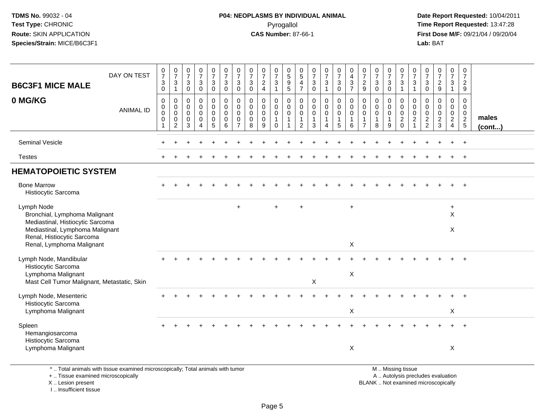# **P04: NEOPLASMS BY INDIVIDUAL ANIMAL**Pyrogallol **Time Report Requested:** 13:47:28

 **Date Report Requested:** 10/04/2011 **First Dose M/F:** 09/21/04 / 09/20/04<br>Lab: BAT **Lab:** BAT

| <b>B6C3F1 MICE MALE</b>                                                                                                                          | DAY ON TEST                                                                     | $\begin{array}{c} 0 \\ 7 \end{array}$<br>$\sqrt{3}$<br>$\mathbf 0$ | $\frac{0}{7}$<br>3<br>$\overline{1}$                   | $\begin{array}{c} 0 \\ 7 \end{array}$<br>$\sqrt{3}$<br>$\mathbf 0$ | $\frac{0}{7}$<br>$\ensuremath{\mathsf{3}}$<br>$\mathbf 0$ | $\frac{0}{7}$<br>$\ensuremath{\mathsf{3}}$<br>$\mathbf 0$ | $\frac{0}{7}$<br>$\ensuremath{\mathsf{3}}$<br>$\pmb{0}$ | $\frac{0}{7}$<br>$\sqrt{3}$<br>$\mathbf 0$               | $\frac{0}{7}$<br>$\sqrt{3}$<br>$\mathbf 0$                    | $\frac{0}{7}$<br>$\sqrt{2}$<br>$\overline{4}$   | $\frac{0}{7}$<br>3<br>$\mathbf{1}$                | $\begin{matrix} 0 \\ 5 \end{matrix}$<br>$\frac{9}{5}$ | 0<br>$\overline{5}$<br>$\overline{4}$<br>$\overline{7}$           | $\begin{array}{c} 0 \\ 7 \end{array}$<br>$_{\rm 0}^3$ | $\begin{smallmatrix}0\\7\end{smallmatrix}$<br>$\frac{3}{1}$                         | $\begin{array}{c} 0 \\ 7 \end{array}$<br>$\ensuremath{\mathsf{3}}$<br>$\mathbf 0$ | 0<br>$\overline{\mathbf{4}}$<br>3<br>$\overline{7}$  | $\frac{0}{7}$<br>$\frac{2}{9}$                                            | $\frac{0}{7}$<br>$\mathbf{3}$<br>$\overline{0}$ | $\frac{0}{7}$<br>$\frac{3}{0}$             | $\begin{array}{c} 0 \\ 7 \end{array}$<br>$\frac{3}{1}$                                        | 0<br>$\overline{7}$<br>$\mathbf{3}$<br>$\mathbf{1}$ | $\frac{0}{7}$<br>$\sqrt{3}$<br>$\mathbf 0$                 | $\frac{0}{7}$<br>$\overline{a}$<br>$9\,$         | $\frac{0}{7}$<br>$\mathbf{3}$<br>$\mathbf{1}$                              | 0<br>$\overline{7}$<br>$\overline{a}$<br>9                      |                       |
|--------------------------------------------------------------------------------------------------------------------------------------------------|---------------------------------------------------------------------------------|--------------------------------------------------------------------|--------------------------------------------------------|--------------------------------------------------------------------|-----------------------------------------------------------|-----------------------------------------------------------|---------------------------------------------------------|----------------------------------------------------------|---------------------------------------------------------------|-------------------------------------------------|---------------------------------------------------|-------------------------------------------------------|-------------------------------------------------------------------|-------------------------------------------------------|-------------------------------------------------------------------------------------|-----------------------------------------------------------------------------------|------------------------------------------------------|---------------------------------------------------------------------------|-------------------------------------------------|--------------------------------------------|-----------------------------------------------------------------------------------------------|-----------------------------------------------------|------------------------------------------------------------|--------------------------------------------------|----------------------------------------------------------------------------|-----------------------------------------------------------------|-----------------------|
| 0 MG/KG                                                                                                                                          | <b>ANIMAL ID</b>                                                                | $\mathbf 0$<br>$\mathbf 0$<br>$\mathbf 0$<br>$\mathbf 0$           | 0<br>$\mathbf 0$<br>$\mathbf 0$<br>0<br>$\overline{2}$ | $\mathbf 0$<br>$\mathbf 0$<br>$\Omega$<br>$\mathbf 0$<br>3         | 0<br>$\mathbf{0}$<br>0<br>$\mathbf 0$<br>4                | 0<br>0<br>$\mathbf 0$<br>$\mathbf 0$<br>5                 | $\mathbf 0$<br>$\pmb{0}$<br>$\pmb{0}$<br>$\pmb{0}$<br>6 | $\mathbf 0$<br>$\mathbf 0$<br>$\mathbf 0$<br>$\mathbf 0$ | $\mathbf 0$<br>$\mathbf 0$<br>$\mathbf 0$<br>$\mathbf 0$<br>8 | 0<br>$\mathbf 0$<br>$\pmb{0}$<br>$\pmb{0}$<br>9 | 0<br>$\mathbf 0$<br>0<br>$\mathbf{1}$<br>$\Omega$ | 0<br>$\mathbf 0$<br>$\mathbf 0$<br>$\mathbf{1}$       | 0<br>$\mathbf 0$<br>$\mathbf 0$<br>$\mathbf{1}$<br>$\overline{2}$ | $\mathbf 0$<br>$\mathbf 0$<br>$\mathbf 0$<br>1<br>3   | $\mathbf 0$<br>$\mathbf 0$<br>$\mathbf 0$<br>$\mathbf{1}$<br>$\boldsymbol{\Lambda}$ | 0<br>$\mathbf 0$<br>0<br>$\mathbf{1}$<br>5                                        | 0<br>$\mathbf 0$<br>$\mathbf 0$<br>$\mathbf{1}$<br>6 | $\mathbf 0$<br>$\mathbf 0$<br>$\pmb{0}$<br>$\mathbf{1}$<br>$\overline{7}$ | 0<br>$\mathbf 0$<br>$\mathbf 0$<br>1<br>8       | 0<br>0<br>$\mathbf 0$<br>$\mathbf{1}$<br>9 | 0<br>$\mathbf 0$<br>$\mathsf 0$<br>$\frac{2}{0}$                                              | 0<br>$\Omega$<br>$\mathbf 0$<br>$\sqrt{2}$          | $\mathbf 0$<br>$\mathbf 0$<br>$\mathbf 0$<br>$\frac{2}{2}$ | 0<br>$\mathbf 0$<br>$\mathbf 0$<br>$\frac{2}{3}$ | $\mathbf 0$<br>$\mathsf{O}\xspace$<br>$\mathsf{O}\xspace$<br>$\frac{2}{4}$ | 0<br>$\mathbf 0$<br>$\mathbf 0$<br>$\sqrt{2}$<br>$\overline{5}$ | males<br>$($ cont $)$ |
| <b>Seminal Vesicle</b>                                                                                                                           |                                                                                 |                                                                    |                                                        |                                                                    |                                                           |                                                           |                                                         |                                                          |                                                               |                                                 |                                                   |                                                       |                                                                   |                                                       |                                                                                     |                                                                                   |                                                      |                                                                           |                                                 |                                            |                                                                                               |                                                     |                                                            |                                                  |                                                                            | $\overline{+}$                                                  |                       |
| <b>Testes</b>                                                                                                                                    |                                                                                 |                                                                    |                                                        |                                                                    |                                                           |                                                           |                                                         |                                                          |                                                               |                                                 |                                                   |                                                       |                                                                   |                                                       |                                                                                     |                                                                                   |                                                      |                                                                           |                                                 |                                            |                                                                                               |                                                     |                                                            |                                                  |                                                                            | $+$                                                             |                       |
| <b>HEMATOPOIETIC SYSTEM</b>                                                                                                                      |                                                                                 |                                                                    |                                                        |                                                                    |                                                           |                                                           |                                                         |                                                          |                                                               |                                                 |                                                   |                                                       |                                                                   |                                                       |                                                                                     |                                                                                   |                                                      |                                                                           |                                                 |                                            |                                                                                               |                                                     |                                                            |                                                  |                                                                            |                                                                 |                       |
| <b>Bone Marrow</b><br>Histiocytic Sarcoma                                                                                                        |                                                                                 |                                                                    |                                                        |                                                                    |                                                           |                                                           |                                                         |                                                          |                                                               |                                                 |                                                   |                                                       |                                                                   |                                                       |                                                                                     |                                                                                   |                                                      |                                                                           |                                                 |                                            |                                                                                               |                                                     |                                                            |                                                  |                                                                            |                                                                 |                       |
| Lymph Node<br>Bronchial, Lymphoma Malignant<br>Mediastinal, Histiocytic Sarcoma<br>Mediastinal, Lymphoma Malignant<br>Renal, Histiocytic Sarcoma |                                                                                 |                                                                    |                                                        |                                                                    |                                                           |                                                           |                                                         | $\ddot{}$                                                |                                                               |                                                 |                                                   |                                                       | $\ddot{}$                                                         |                                                       |                                                                                     |                                                                                   | $\ddot{}$                                            |                                                                           |                                                 |                                            |                                                                                               |                                                     |                                                            |                                                  | $\ddot{}$<br>$\times$<br>X                                                 |                                                                 |                       |
| Renal, Lymphoma Malignant                                                                                                                        |                                                                                 |                                                                    |                                                        |                                                                    |                                                           |                                                           |                                                         |                                                          |                                                               |                                                 |                                                   |                                                       |                                                                   |                                                       |                                                                                     |                                                                                   | X                                                    |                                                                           |                                                 |                                            |                                                                                               |                                                     |                                                            |                                                  |                                                                            |                                                                 |                       |
| Lymph Node, Mandibular<br>Histiocytic Sarcoma                                                                                                    |                                                                                 |                                                                    |                                                        |                                                                    |                                                           |                                                           |                                                         |                                                          |                                                               |                                                 |                                                   |                                                       |                                                                   |                                                       |                                                                                     |                                                                                   |                                                      |                                                                           |                                                 |                                            |                                                                                               |                                                     |                                                            |                                                  |                                                                            |                                                                 |                       |
| Lymphoma Malignant<br>Mast Cell Tumor Malignant, Metastatic, Skin                                                                                |                                                                                 |                                                                    |                                                        |                                                                    |                                                           |                                                           |                                                         |                                                          |                                                               |                                                 |                                                   |                                                       |                                                                   | X                                                     |                                                                                     |                                                                                   | X                                                    |                                                                           |                                                 |                                            |                                                                                               |                                                     |                                                            |                                                  |                                                                            |                                                                 |                       |
| Lymph Node, Mesenteric<br>Histiocytic Sarcoma                                                                                                    |                                                                                 |                                                                    |                                                        |                                                                    |                                                           |                                                           |                                                         |                                                          |                                                               |                                                 |                                                   |                                                       |                                                                   |                                                       |                                                                                     |                                                                                   |                                                      |                                                                           |                                                 |                                            |                                                                                               |                                                     |                                                            |                                                  |                                                                            |                                                                 |                       |
| Lymphoma Malignant                                                                                                                               |                                                                                 |                                                                    |                                                        |                                                                    |                                                           |                                                           |                                                         |                                                          |                                                               |                                                 |                                                   |                                                       |                                                                   |                                                       |                                                                                     |                                                                                   | Χ                                                    |                                                                           |                                                 |                                            |                                                                                               |                                                     |                                                            |                                                  | X                                                                          |                                                                 |                       |
| Spleen<br>Hemangiosarcoma<br>Histiocytic Sarcoma<br>Lymphoma Malignant                                                                           |                                                                                 |                                                                    |                                                        |                                                                    |                                                           |                                                           |                                                         |                                                          |                                                               |                                                 |                                                   |                                                       |                                                                   |                                                       |                                                                                     |                                                                                   | $\times$                                             |                                                                           |                                                 |                                            |                                                                                               |                                                     |                                                            |                                                  | X                                                                          |                                                                 |                       |
| +  Tissue examined microscopically<br>X  Lesion present                                                                                          | *  Total animals with tissue examined microscopically; Total animals with tumor |                                                                    |                                                        |                                                                    |                                                           |                                                           |                                                         |                                                          |                                                               |                                                 |                                                   |                                                       |                                                                   |                                                       |                                                                                     |                                                                                   |                                                      |                                                                           |                                                 |                                            | M  Missing tissue<br>A  Autolysis precludes evaluation<br>BLANK  Not examined microscopically |                                                     |                                                            |                                                  |                                                                            |                                                                 |                       |

I .. Insufficient tissue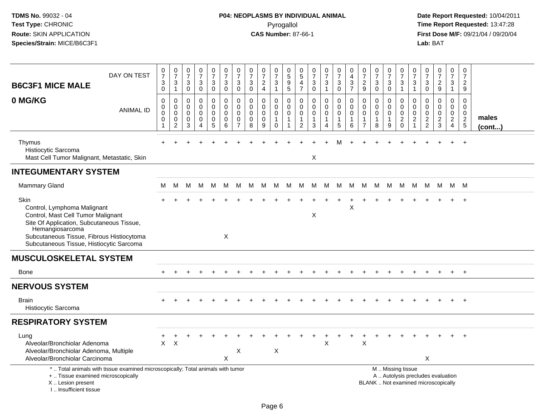# **P04: NEOPLASMS BY INDIVIDUAL ANIMAL**Pyrogallol **Time Report Requested:** 13:47:28

| <b>B6C3F1 MICE MALE</b><br>0 MG/KG                                                                                                                                                                                                 | DAY ON TEST<br><b>ANIMAL ID</b> | 0<br>$\overline{7}$<br>3<br>$\mathbf 0$<br>$\mathbf 0$<br>0<br>0<br>0 | $\mathbf 0$<br>$\overline{7}$<br>$\mathbf{3}$<br>$\mathbf{1}$<br>$\mathbf 0$<br>$\mathbf 0$<br>$\boldsymbol{0}$<br>$\mathbf 0$ | 0<br>$\overline{7}$<br>$\mathbf{3}$<br>$\mathbf 0$<br>$\mathbf 0$<br>$\mathbf 0$<br>$\mathbf 0$<br>0 | $\frac{0}{7}$<br>3<br>$\mathsf{O}$<br>$\mathbf 0$<br>$\mathbf 0$<br>0<br>$\mathbf 0$ | $\frac{0}{7}$<br>$\ensuremath{\mathsf{3}}$<br>$\overline{0}$<br>0<br>0<br>$\mathsf 0$<br>$\mathbf 0$ | $\frac{0}{7}$<br>$\sqrt{3}$<br>$\mathsf{O}\xspace$<br>$\pmb{0}$<br>$\mathbf 0$<br>$\pmb{0}$<br>$\mathbf 0$ | $\frac{0}{7}$<br>$\mathbf{3}$<br>$\pmb{0}$<br>$\mathbf 0$<br>$\mathbf 0$<br>$\pmb{0}$<br>0 | $\frac{0}{7}$<br>$\sqrt{3}$<br>$\mathbf 0$<br>$\mathbf 0$<br>$\Omega$<br>$\mathbf 0$<br>$\mathbf 0$ | $\frac{0}{7}$<br>$_4^2$<br>0<br>$\mathbf 0$<br>$\pmb{0}$<br>$\mathbf 0$ | 0<br>$\overline{7}$<br>$\ensuremath{\mathsf{3}}$<br>$\mathbf{1}$<br>0<br>$\mathbf 0$<br>$\mathsf 0$<br>$\mathbf{1}$ | 0<br>5<br>9<br>$\overline{5}$<br>0<br>$\mathbf 0$<br>0<br>$\mathbf{1}$ | 0<br>$\,$ 5 $\,$<br>$\overline{\mathbf{4}}$<br>$\overline{7}$<br>0<br>$\mathbf 0$<br>$\pmb{0}$<br>$\mathbf{1}$ | $\begin{array}{c} 0 \\ 7 \end{array}$<br>$_{\rm 0}^3$<br>$\pmb{0}$<br>$\mathbf 0$<br>$\pmb{0}$<br>$\mathbf{1}$ | $\frac{0}{7}$<br>$\ensuremath{\mathsf{3}}$<br>$\mathbf{1}$<br>0<br>$\mathbf 0$<br>$\mathsf{O}\xspace$<br>$\mathbf{1}$ | $\frac{0}{7}$<br>$\sqrt{3}$<br>$\mathbf 0$<br>$\pmb{0}$<br>$\mathbf 0$<br>$\mathbf 0$<br>$\mathbf{1}$ | 0<br>4<br>3<br>$\overline{7}$<br>0<br>$\mathbf 0$<br>0<br>1 | $\frac{0}{7}$<br>$\frac{2}{9}$<br>$\mathbf 0$<br>$\mathbf 0$<br>$\pmb{0}$<br>$\mathbf{1}$ | $\frac{0}{7}$<br>3<br>$\mathbf 0$<br>0<br>$\Omega$<br>$\mathbf 0$<br>$\mathbf{1}$ | $\frac{0}{7}$<br>$_0^3$<br>0<br>0<br>$\mathsf{O}\xspace$<br>$\mathbf{1}$ | $\frac{0}{7}$<br>$\ensuremath{\mathsf{3}}$<br>$\overline{1}$<br>$\mathbf 0$<br>$\mathbf 0$<br>$\mathsf 0$ | $\frac{0}{7}$<br>$\frac{3}{1}$<br>$\mathbf 0$<br>$\mathbf 0$<br>$\mathbf 0$ | $\frac{0}{7}$<br>$\ensuremath{\mathsf{3}}$<br>$\mathbf 0$<br>$\mathbf 0$<br>$\mathbf{0}$<br>$\mathbf 0$ | $\frac{0}{7}$<br>$\frac{2}{9}$<br>0<br>$\mathbf 0$<br>$\mathbf 0$<br>$\boldsymbol{2}$ | $\pmb{0}$<br>$\overline{7}$<br>$\mathbf{3}$<br>$\mathbf{1}$<br>0<br>$\mathbf 0$<br>$\mathbf 0$<br>$\overline{2}$ | 0<br>$\overline{7}$<br>$\overline{c}$<br>9<br>$\Omega$<br>$\Omega$<br>0<br>$\sqrt{2}$ | males  |
|------------------------------------------------------------------------------------------------------------------------------------------------------------------------------------------------------------------------------------|---------------------------------|-----------------------------------------------------------------------|--------------------------------------------------------------------------------------------------------------------------------|------------------------------------------------------------------------------------------------------|--------------------------------------------------------------------------------------|------------------------------------------------------------------------------------------------------|------------------------------------------------------------------------------------------------------------|--------------------------------------------------------------------------------------------|-----------------------------------------------------------------------------------------------------|-------------------------------------------------------------------------|---------------------------------------------------------------------------------------------------------------------|------------------------------------------------------------------------|----------------------------------------------------------------------------------------------------------------|----------------------------------------------------------------------------------------------------------------|-----------------------------------------------------------------------------------------------------------------------|-------------------------------------------------------------------------------------------------------|-------------------------------------------------------------|-------------------------------------------------------------------------------------------|-----------------------------------------------------------------------------------|--------------------------------------------------------------------------|-----------------------------------------------------------------------------------------------------------|-----------------------------------------------------------------------------|---------------------------------------------------------------------------------------------------------|---------------------------------------------------------------------------------------|------------------------------------------------------------------------------------------------------------------|---------------------------------------------------------------------------------------|--------|
|                                                                                                                                                                                                                                    |                                 | -1                                                                    | $\overline{c}$                                                                                                                 | 3                                                                                                    | 4                                                                                    | $\overline{5}$                                                                                       | $\,6\,$                                                                                                    | $\overline{7}$                                                                             | 8                                                                                                   | 9                                                                       | $\mathbf 0$                                                                                                         |                                                                        | $\overline{2}$                                                                                                 | 3                                                                                                              | 4                                                                                                                     | 5                                                                                                     | 6                                                           | $\overline{7}$                                                                            | 8                                                                                 | 9                                                                        | $^2_{\rm 0}$                                                                                              | $\frac{2}{1}$                                                               | $\frac{2}{2}$                                                                                           | $\mathbf{3}$                                                                          | $\overline{4}$                                                                                                   | 5                                                                                     | (cont) |
| Thymus<br>Histiocytic Sarcoma<br>Mast Cell Tumor Malignant, Metastatic, Skin                                                                                                                                                       |                                 |                                                                       |                                                                                                                                |                                                                                                      |                                                                                      |                                                                                                      |                                                                                                            |                                                                                            |                                                                                                     |                                                                         |                                                                                                                     |                                                                        |                                                                                                                | X                                                                                                              |                                                                                                                       |                                                                                                       |                                                             |                                                                                           |                                                                                   |                                                                          |                                                                                                           |                                                                             |                                                                                                         |                                                                                       |                                                                                                                  | $\overline{1}$                                                                        |        |
| <b>INTEGUMENTARY SYSTEM</b>                                                                                                                                                                                                        |                                 |                                                                       |                                                                                                                                |                                                                                                      |                                                                                      |                                                                                                      |                                                                                                            |                                                                                            |                                                                                                     |                                                                         |                                                                                                                     |                                                                        |                                                                                                                |                                                                                                                |                                                                                                                       |                                                                                                       |                                                             |                                                                                           |                                                                                   |                                                                          |                                                                                                           |                                                                             |                                                                                                         |                                                                                       |                                                                                                                  |                                                                                       |        |
| Mammary Gland                                                                                                                                                                                                                      |                                 | м                                                                     | M                                                                                                                              | м                                                                                                    | M                                                                                    | M                                                                                                    | M                                                                                                          | M                                                                                          | M                                                                                                   | M                                                                       | M                                                                                                                   | M                                                                      | M                                                                                                              | M                                                                                                              | M                                                                                                                     | M                                                                                                     | M                                                           | M                                                                                         | M                                                                                 | M                                                                        | M                                                                                                         | M                                                                           | M                                                                                                       | M                                                                                     |                                                                                                                  | м м                                                                                   |        |
| Skin<br>Control, Lymphoma Malignant<br>Control, Mast Cell Tumor Malignant<br>Site Of Application, Subcutaneous Tissue,<br>Hemangiosarcoma<br>Subcutaneous Tissue, Fibrous Histiocytoma<br>Subcutaneous Tissue, Histiocytic Sarcoma |                                 |                                                                       |                                                                                                                                |                                                                                                      |                                                                                      |                                                                                                      | X                                                                                                          |                                                                                            |                                                                                                     |                                                                         |                                                                                                                     |                                                                        |                                                                                                                | Χ                                                                                                              |                                                                                                                       |                                                                                                       | X                                                           |                                                                                           |                                                                                   |                                                                          |                                                                                                           |                                                                             |                                                                                                         |                                                                                       |                                                                                                                  |                                                                                       |        |
| <b>MUSCULOSKELETAL SYSTEM</b>                                                                                                                                                                                                      |                                 |                                                                       |                                                                                                                                |                                                                                                      |                                                                                      |                                                                                                      |                                                                                                            |                                                                                            |                                                                                                     |                                                                         |                                                                                                                     |                                                                        |                                                                                                                |                                                                                                                |                                                                                                                       |                                                                                                       |                                                             |                                                                                           |                                                                                   |                                                                          |                                                                                                           |                                                                             |                                                                                                         |                                                                                       |                                                                                                                  |                                                                                       |        |
| Bone                                                                                                                                                                                                                               |                                 |                                                                       |                                                                                                                                |                                                                                                      |                                                                                      |                                                                                                      |                                                                                                            |                                                                                            |                                                                                                     |                                                                         |                                                                                                                     |                                                                        |                                                                                                                |                                                                                                                |                                                                                                                       |                                                                                                       |                                                             |                                                                                           |                                                                                   |                                                                          |                                                                                                           |                                                                             |                                                                                                         |                                                                                       |                                                                                                                  | $^{+}$                                                                                |        |
| <b>NERVOUS SYSTEM</b>                                                                                                                                                                                                              |                                 |                                                                       |                                                                                                                                |                                                                                                      |                                                                                      |                                                                                                      |                                                                                                            |                                                                                            |                                                                                                     |                                                                         |                                                                                                                     |                                                                        |                                                                                                                |                                                                                                                |                                                                                                                       |                                                                                                       |                                                             |                                                                                           |                                                                                   |                                                                          |                                                                                                           |                                                                             |                                                                                                         |                                                                                       |                                                                                                                  |                                                                                       |        |
| <b>Brain</b><br>Histiocytic Sarcoma                                                                                                                                                                                                |                                 |                                                                       |                                                                                                                                |                                                                                                      |                                                                                      |                                                                                                      |                                                                                                            |                                                                                            |                                                                                                     |                                                                         |                                                                                                                     |                                                                        |                                                                                                                |                                                                                                                |                                                                                                                       |                                                                                                       |                                                             |                                                                                           |                                                                                   |                                                                          |                                                                                                           |                                                                             |                                                                                                         |                                                                                       |                                                                                                                  | $\overline{1}$                                                                        |        |
| <b>RESPIRATORY SYSTEM</b>                                                                                                                                                                                                          |                                 |                                                                       |                                                                                                                                |                                                                                                      |                                                                                      |                                                                                                      |                                                                                                            |                                                                                            |                                                                                                     |                                                                         |                                                                                                                     |                                                                        |                                                                                                                |                                                                                                                |                                                                                                                       |                                                                                                       |                                                             |                                                                                           |                                                                                   |                                                                          |                                                                                                           |                                                                             |                                                                                                         |                                                                                       |                                                                                                                  |                                                                                       |        |
| Lung<br>Alveolar/Bronchiolar Adenoma<br>Alveolar/Bronchiolar Adenoma, Multiple<br>Alveolar/Bronchiolar Carcinoma                                                                                                                   |                                 | $\mathsf{X}$                                                          | X                                                                                                                              |                                                                                                      |                                                                                      |                                                                                                      | X                                                                                                          | X                                                                                          |                                                                                                     |                                                                         | X                                                                                                                   |                                                                        |                                                                                                                |                                                                                                                | X                                                                                                                     |                                                                                                       |                                                             | X                                                                                         |                                                                                   |                                                                          |                                                                                                           |                                                                             | X                                                                                                       |                                                                                       |                                                                                                                  |                                                                                       |        |
| *  Total animals with tissue examined microscopically; Total animals with tumor<br>+  Tissue examined microscopically<br>X  Lesion present<br>L. Insufficient tissue                                                               |                                 |                                                                       |                                                                                                                                |                                                                                                      |                                                                                      |                                                                                                      |                                                                                                            |                                                                                            |                                                                                                     |                                                                         |                                                                                                                     |                                                                        |                                                                                                                |                                                                                                                |                                                                                                                       |                                                                                                       |                                                             |                                                                                           |                                                                                   |                                                                          | M  Missing tissue<br>A  Autolysis precludes evaluation<br>BLANK  Not examined microscopically             |                                                                             |                                                                                                         |                                                                                       |                                                                                                                  |                                                                                       |        |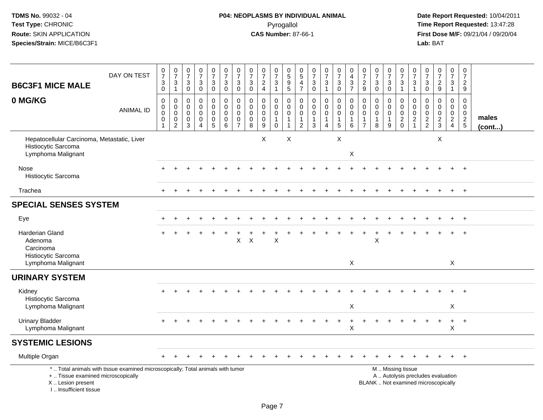# **P04: NEOPLASMS BY INDIVIDUAL ANIMAL**Pyrogallol **Time Report Requested:** 13:47:28

| <b>B6C3F1 MICE MALE</b>                                                                  | DAY ON TEST                                                                     | $\frac{0}{7}$<br>$\mathbf{3}$<br>$\overline{0}$      | $\frac{0}{7}$<br>$\frac{3}{1}$                                                   | $\frac{0}{7}$<br>3<br>$\mathbf 0$                             | $\begin{array}{c} 0 \\ 7 \end{array}$<br>3<br>$\mathbf 0$ | $\frac{0}{7}$<br>3<br>$\overline{0}$                 | $\begin{array}{c} 0 \\ 7 \end{array}$<br>$\mathbf{3}$<br>$\overline{0}$   | $\frac{0}{7}$<br>$\mathbf{3}$<br>$\mathsf{O}\xspace$       | $\begin{smallmatrix}0\\7\end{smallmatrix}$<br>$\sqrt{3}$<br>$\overline{0}$ | $\frac{0}{7}$<br>$\frac{2}{4}$                                | $\frac{0}{7}$<br>$\ensuremath{\mathsf{3}}$<br>$\mathbf{1}$   | $\begin{array}{c} 0 \\ 5 \end{array}$<br>$\boldsymbol{9}$<br>$\overline{5}$ | $\begin{array}{c} 0 \\ 5 \end{array}$<br>4<br>$\overline{7}$ | $\frac{0}{7}$<br>$\ensuremath{\mathsf{3}}$<br>$\overline{0}$ | $\frac{0}{7}$<br>3<br>$\mathbf{1}$                                      | $\begin{array}{c} 0 \\ 7 \end{array}$<br>$_{\rm 0}^3$                                    | $\begin{array}{c} 0 \\ 4 \\ 3 \\ 7 \end{array}$                           | $\frac{0}{7}$<br>$\frac{2}{9}$                                    | $\frac{0}{7}$<br>$\sqrt{3}$<br>$\overline{0}$                               | $\frac{0}{7}$<br>3<br>$\mathsf 0$                 | $\frac{0}{7}$<br>$\frac{3}{1}$                            | $\begin{array}{c} 0 \\ 7 \end{array}$<br>$\frac{3}{1}$   | $\frac{0}{7}$<br>$_{\rm 0}^3$                            | $\begin{smallmatrix}0\\7\end{smallmatrix}$<br>$\frac{2}{9}$ | $\frac{0}{7}$<br>3<br>$\mathbf{1}$                | $\begin{array}{c} 0 \\ 7 \end{array}$<br>$\frac{2}{9}$        |                 |
|------------------------------------------------------------------------------------------|---------------------------------------------------------------------------------|------------------------------------------------------|----------------------------------------------------------------------------------|---------------------------------------------------------------|-----------------------------------------------------------|------------------------------------------------------|---------------------------------------------------------------------------|------------------------------------------------------------|----------------------------------------------------------------------------|---------------------------------------------------------------|--------------------------------------------------------------|-----------------------------------------------------------------------------|--------------------------------------------------------------|--------------------------------------------------------------|-------------------------------------------------------------------------|------------------------------------------------------------------------------------------|---------------------------------------------------------------------------|-------------------------------------------------------------------|-----------------------------------------------------------------------------|---------------------------------------------------|-----------------------------------------------------------|----------------------------------------------------------|----------------------------------------------------------|-------------------------------------------------------------|---------------------------------------------------|---------------------------------------------------------------|-----------------|
| 0 MG/KG                                                                                  | <b>ANIMAL ID</b>                                                                | $\mathsf 0$<br>0<br>$\mathbf 0$<br>0<br>$\mathbf{1}$ | $\boldsymbol{0}$<br>$\pmb{0}$<br>$\overline{0}$<br>$\mathbf 0$<br>$\overline{2}$ | $\mathbf 0$<br>$\mathbf 0$<br>$\mathbf 0$<br>$\mathbf 0$<br>3 | $\pmb{0}$<br>$\Omega$<br>$\mathbf 0$<br>$\mathbf 0$<br>4  | 0<br>$\mathbf 0$<br>0<br>$\pmb{0}$<br>$\overline{5}$ | $\pmb{0}$<br>$\overline{0}$<br>$\mathsf{O}\xspace$<br>0<br>$\overline{6}$ | $\pmb{0}$<br>0<br>$\pmb{0}$<br>$\pmb{0}$<br>$\overline{7}$ | $\pmb{0}$<br>0<br>$\pmb{0}$<br>$\mathbf 0$<br>8                            | $\mathbf 0$<br>$\mathbf 0$<br>$\mathbf 0$<br>$\mathbf 0$<br>9 | 0<br>$\mathbf 0$<br>$\pmb{0}$<br>$\mathbf{1}$<br>$\mathbf 0$ | $\mathbf 0$<br>$\mathbf 0$<br>$\mathbf 0$<br>$\mathbf{1}$<br>$\mathbf{1}$   | 0<br>$\mathbf 0$<br>0<br>1<br>$\overline{2}$                 | $\mathbf 0$<br>$\mathbf 0$<br>$\mathbf 0$<br>$\frac{1}{3}$   | $\pmb{0}$<br>$\mathbf 0$<br>$\pmb{0}$<br>$\mathbf{1}$<br>$\overline{4}$ | $\pmb{0}$<br>$\mathbf 0$<br>$\mathsf{O}\xspace$<br>$\begin{array}{c} 1 \\ 5 \end{array}$ | $\pmb{0}$<br>$\mathbf 0$<br>$\mathbf 0$<br>$\mathbf{1}$<br>$\overline{6}$ | 0<br>$\mathbf 0$<br>$\mathbf 0$<br>$\mathbf{1}$<br>$\overline{7}$ | $\mathbf 0$<br>$\mathbf 0$<br>$\mathbf 0$<br>$\mathbf{1}$<br>$\overline{8}$ | 0<br>$\Omega$<br>$\mathbf 0$<br>$\mathbf{1}$<br>9 | $\mathbf 0$<br>$\mathbf 0$<br>$\mathbf 0$<br>$^2_{\rm 0}$ | $\mathbf 0$<br>$\mathbf 0$<br>$\pmb{0}$<br>$\frac{2}{1}$ | $\mathbf 0$<br>0<br>$\ddot{\mathbf{0}}$<br>$\frac{2}{2}$ | $\mathbf 0$<br>$\Omega$<br>$\mathbf 0$<br>$\frac{2}{3}$     | 0<br>$\mathbf{0}$<br>$\mathbf 0$<br>$\frac{2}{4}$ | $\mathsf 0$<br>$\mathbf 0$<br>$\overline{0}$<br>$\frac{2}{5}$ | males<br>(cont) |
| Hepatocellular Carcinoma, Metastatic, Liver<br>Histiocytic Sarcoma<br>Lymphoma Malignant |                                                                                 |                                                      |                                                                                  |                                                               |                                                           |                                                      |                                                                           |                                                            |                                                                            | X                                                             |                                                              | $\sf X$                                                                     |                                                              |                                                              |                                                                         | $\mathsf X$                                                                              | X                                                                         |                                                                   |                                                                             |                                                   |                                                           |                                                          |                                                          | X                                                           |                                                   |                                                               |                 |
| Nose<br>Histiocytic Sarcoma                                                              |                                                                                 |                                                      |                                                                                  |                                                               |                                                           |                                                      |                                                                           |                                                            |                                                                            |                                                               |                                                              |                                                                             |                                                              |                                                              |                                                                         |                                                                                          |                                                                           |                                                                   |                                                                             |                                                   |                                                           |                                                          |                                                          |                                                             |                                                   |                                                               |                 |
| Trachea                                                                                  |                                                                                 |                                                      |                                                                                  |                                                               |                                                           |                                                      |                                                                           |                                                            |                                                                            |                                                               |                                                              |                                                                             |                                                              |                                                              |                                                                         |                                                                                          |                                                                           |                                                                   |                                                                             |                                                   |                                                           |                                                          |                                                          |                                                             | $\ddot{}$                                         | $+$                                                           |                 |
| <b>SPECIAL SENSES SYSTEM</b>                                                             |                                                                                 |                                                      |                                                                                  |                                                               |                                                           |                                                      |                                                                           |                                                            |                                                                            |                                                               |                                                              |                                                                             |                                                              |                                                              |                                                                         |                                                                                          |                                                                           |                                                                   |                                                                             |                                                   |                                                           |                                                          |                                                          |                                                             |                                                   |                                                               |                 |
| Eye                                                                                      |                                                                                 |                                                      |                                                                                  |                                                               |                                                           |                                                      |                                                                           |                                                            |                                                                            |                                                               |                                                              |                                                                             |                                                              |                                                              |                                                                         |                                                                                          |                                                                           |                                                                   |                                                                             |                                                   |                                                           |                                                          |                                                          |                                                             |                                                   |                                                               |                 |
| <b>Harderian Gland</b><br>Adenoma<br>Carcinoma<br>Histiocytic Sarcoma                    |                                                                                 |                                                      |                                                                                  |                                                               |                                                           |                                                      |                                                                           | X                                                          | $\pmb{\times}$                                                             |                                                               | X                                                            |                                                                             |                                                              |                                                              |                                                                         |                                                                                          |                                                                           |                                                                   | X                                                                           |                                                   |                                                           |                                                          |                                                          |                                                             |                                                   | $\ddot{}$                                                     |                 |
| Lymphoma Malignant                                                                       |                                                                                 |                                                      |                                                                                  |                                                               |                                                           |                                                      |                                                                           |                                                            |                                                                            |                                                               |                                                              |                                                                             |                                                              |                                                              |                                                                         |                                                                                          | $\mathsf{X}$                                                              |                                                                   |                                                                             |                                                   |                                                           |                                                          |                                                          |                                                             | X                                                 |                                                               |                 |
| <b>URINARY SYSTEM</b>                                                                    |                                                                                 |                                                      |                                                                                  |                                                               |                                                           |                                                      |                                                                           |                                                            |                                                                            |                                                               |                                                              |                                                                             |                                                              |                                                              |                                                                         |                                                                                          |                                                                           |                                                                   |                                                                             |                                                   |                                                           |                                                          |                                                          |                                                             |                                                   |                                                               |                 |
| Kidney<br>Histiocytic Sarcoma                                                            |                                                                                 |                                                      |                                                                                  |                                                               |                                                           |                                                      |                                                                           |                                                            |                                                                            |                                                               |                                                              |                                                                             |                                                              |                                                              |                                                                         |                                                                                          |                                                                           |                                                                   |                                                                             |                                                   |                                                           |                                                          |                                                          |                                                             |                                                   |                                                               |                 |
| Lymphoma Malignant<br><b>Urinary Bladder</b><br>Lymphoma Malignant                       |                                                                                 |                                                      |                                                                                  |                                                               |                                                           |                                                      |                                                                           |                                                            |                                                                            |                                                               |                                                              |                                                                             |                                                              |                                                              |                                                                         |                                                                                          | X<br>X                                                                    |                                                                   |                                                                             |                                                   |                                                           |                                                          |                                                          |                                                             | X<br>$\ddot{}$<br>X                               | $+$                                                           |                 |
| <b>SYSTEMIC LESIONS</b>                                                                  |                                                                                 |                                                      |                                                                                  |                                                               |                                                           |                                                      |                                                                           |                                                            |                                                                            |                                                               |                                                              |                                                                             |                                                              |                                                              |                                                                         |                                                                                          |                                                                           |                                                                   |                                                                             |                                                   |                                                           |                                                          |                                                          |                                                             |                                                   |                                                               |                 |
| Multiple Organ                                                                           |                                                                                 |                                                      |                                                                                  |                                                               |                                                           |                                                      |                                                                           |                                                            |                                                                            |                                                               |                                                              |                                                                             |                                                              |                                                              |                                                                         |                                                                                          |                                                                           |                                                                   |                                                                             | $\div$                                            |                                                           |                                                          |                                                          |                                                             | $\ddot{}$                                         | $+$                                                           |                 |
| +  Tissue examined microscopically<br>X  Lesion present<br>I Insufficient tissue         | *  Total animals with tissue examined microscopically; Total animals with tumor |                                                      |                                                                                  |                                                               |                                                           |                                                      |                                                                           |                                                            |                                                                            |                                                               |                                                              |                                                                             |                                                              |                                                              |                                                                         |                                                                                          |                                                                           |                                                                   | BLANK  Not examined microscopically                                         |                                                   | M  Missing tissue<br>A  Autolysis precludes evaluation    |                                                          |                                                          |                                                             |                                                   |                                                               |                 |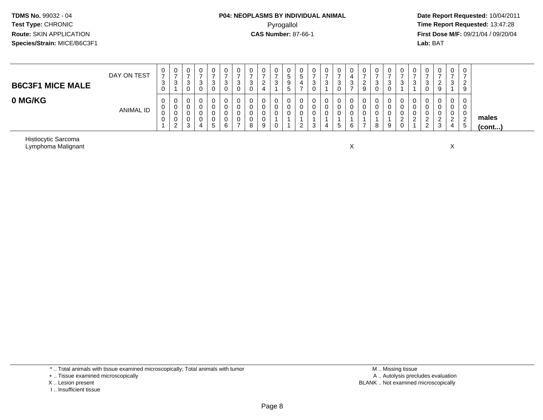# **P04: NEOPLASMS BY INDIVIDUAL ANIMAL**Pyrogallol **Time Report Requested:** 13:47:28

 **Date Report Requested:** 10/04/2011 **First Dose M/F:** 09/21/04 / 09/20/04<br>**Lab:** BAT **Lab:** BAT

| <b>B6C3F1 MICE MALE</b> | DAY ON TEST      | $\rightarrow$<br>ت | U<br>చ       | U<br>ັ<br>υ                | 0<br>O | 0<br>-<br>3<br>0    | 0<br>ີ<br>◡<br>0      | ν<br>ີ<br>ັ | ◡<br>ت | 0<br>ົ<br><u>.</u>    | υ<br>3 | $\mathbf 0$<br>.5<br>9<br>ಎ | U<br>ີວ | 0<br>ົ<br>ັ<br>0      | ົ<br>w | v<br>ۍ | v<br>ັບ | U<br><u>_</u><br>9 | 0<br>3<br>$\mathbf 0$ | 0<br>3<br>0      | 0<br><sup>o</sup><br>ັ | ت | U<br>د<br>◡             | 0<br>▃   | 0<br>3                            | 0<br>-<br>2<br>9                |                       |
|-------------------------|------------------|--------------------|--------------|----------------------------|--------|---------------------|-----------------------|-------------|--------|-----------------------|--------|-----------------------------|---------|-----------------------|--------|--------|---------|--------------------|-----------------------|------------------|------------------------|---|-------------------------|----------|-----------------------------------|---------------------------------|-----------------------|
| 0 MG/KG                 | <b>ANIMAL ID</b> |                    | U<br>ັບ<br>J | υ<br>U<br>U<br>U<br>◠<br>ು | 4      | 0<br>0<br>0<br>. ჯე | 0<br>0<br>0<br>0<br>6 |             | 8      | 0<br>U<br>U<br>U<br>9 | υ<br>U | 0<br>0<br>0                 | v<br>ັບ | 0<br>0<br>0<br>ົ<br>ັ | д      | G      | U<br>ь  | U<br>υ<br>υ        | 0<br>0<br>0<br>8      | 0<br>0<br>0<br>9 | 0<br>0<br>0<br>0       |   | 0<br><u>_</u><br>ົ<br>∼ | <u>.</u> | 0<br>0<br>0<br>ົ<br><u>_</u><br>4 | 0<br>0<br>ົ<br>∠<br>$5^{\circ}$ | males<br>$($ cont $)$ |

Histiocytic SarcomaLymphoma Malignant

t to the contract of the contract of the contract of the contract of the contract of the contract of the contract of the contract of the contract of the contract of the contract of the contract of the contract of the contr  $\mathsf{x}$  x  $\mathsf{x}$ 

\* .. Total animals with tissue examined microscopically; Total animals with tumor

+ .. Tissue examined microscopically

X .. Lesion present

I .. Insufficient tissue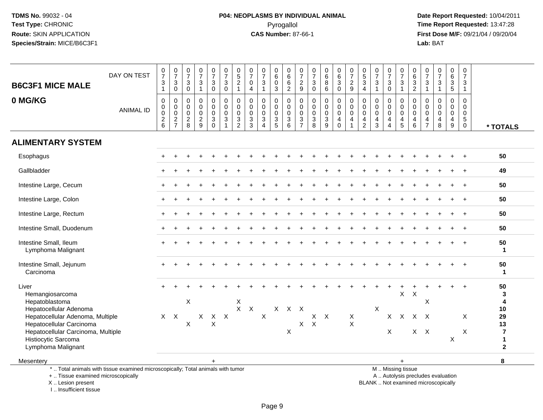# **P04: NEOPLASMS BY INDIVIDUAL ANIMAL**Pyrogallol **Time Report Requested:** 13:47:28

 **Date Report Requested:** 10/04/2011 **First Dose M/F:** 09/21/04 / 09/20/04<br>Lab: BAT **Lab:** BAT

| $\frac{0}{7}$<br>0<br>$\frac{0}{7}$<br>$\overline{7}$<br>$\ensuremath{\mathsf{3}}$<br>$\ensuremath{\mathsf{3}}$<br>$\ensuremath{\mathsf{3}}$<br>$\Omega$<br>$\Omega$<br>$\overline{1}$<br>0<br>0<br>0<br>$\mathbf 0$<br>0<br>$\mathbf 0$<br>$\mathbf 0$<br>$\pmb{0}$<br>$\mathbf 0$<br>$\frac{2}{9}$<br>$\overline{3}$<br>$\overline{c}$<br>8<br>$\Omega$ | $\pmb{0}$<br>$\mathbf 0$<br>$\frac{0}{7}$<br>$\begin{array}{c} 0 \\ 5 \end{array}$<br>$\pmb{0}$<br>0<br>$_6^0$<br>$\frac{0}{7}$<br>$\frac{0}{7}$<br>$\pmb{0}$<br>$\begin{array}{c} 0 \\ 6 \end{array}$<br>$\frac{0}{7}$<br>$\begin{array}{c} 0 \\ 5 \\ 3 \end{array}$<br>0<br>$\frac{0}{7}$<br>0<br>0<br>$\frac{0}{7}$<br>$\begin{array}{c} 0 \\ 6 \end{array}$<br>0<br>$6\overline{6}$<br>$\overline{6}$<br>$\overline{7}$<br>$\overline{7}$<br>$\overline{7}$<br>$\overline{7}$<br>$\,6\,$<br>$\overline{7}$<br>$\overline{7}$<br>$\ensuremath{\mathsf{3}}$<br>$\overline{c}$<br>$\pmb{0}$<br>$\,6\,$<br>$\frac{2}{9}$<br>$\, 8$<br>3<br>$\frac{2}{9}$<br>$\sqrt{3}$<br>$\mathfrak{S}$<br>$\ensuremath{\mathsf{3}}$<br>$\ensuremath{\mathsf{3}}$<br>$_{0}^{3}$<br>$\ensuremath{\mathsf{3}}$<br>$\sqrt{3}$<br>$\ensuremath{\mathsf{3}}$<br>$\ensuremath{\mathsf{3}}$<br>$\ensuremath{\mathsf{3}}$<br>$\mathbf 0$<br>5<br>$\mathbf 0$<br>$\overline{1}$<br>3<br>$\overline{2}$<br>6<br>$\mathbf 0$<br>$\overline{4}$<br>$\Omega$<br>$\overline{2}$<br>$\mathbf{1}$<br>$\overline{4}$<br>$\mathbf{1}$<br>$\mathbf{1}$<br>$\mathbf{1}$<br>$\mathbf{1}$<br>$\boldsymbol{0}$<br>$\pmb{0}$<br>$\pmb{0}$<br>0<br>$\mathbf 0$<br>0<br>0<br>0<br>$\pmb{0}$<br>0<br>$\pmb{0}$<br>0<br>$\mathbf 0$<br>0<br>$\mathbf 0$<br>$\mathbf 0$<br>$\mathbf 0$<br>$\mathbf 0$<br>0<br>$\mathbf 0$<br>$\ddot{\mathbf{0}}$<br>$\boldsymbol{0}$<br>$\mathsf{O}\xspace$<br>$\mathsf 0$<br>$\mathbf 0$<br>$\mathbf 0$<br>$\mathbf 0$<br>$\mathbf 0$<br>$\mathbf 0$<br>$\mathbf 0$<br>$\mathbf 0$<br>$\mathbf 0$<br>$\mathbf 0$<br>$\mathbf 0$<br>$\mathbf 0$<br>$\mathbf 0$<br>$\mathbf 0$<br>0<br>$\Omega$<br>$\Omega$<br>$\tilde{0}$<br>$\overline{0}$<br>$\ddot{\mathbf{0}}$<br>$\pmb{0}$<br>$\mathbf 0$<br>$\mathbf 0$<br>$\mathbf 0$<br>$\mathbf 0$<br>$\mathsf{O}\xspace$<br>$\mathbf 0$<br>$\mathbf 0$<br>$\pmb{0}$<br>$\mathbf 0$<br>$\mathbf 0$<br>$\mathbf 0$<br>$\mathbf 0$<br>$\pmb{0}$<br>$\mathbf 0$<br>0<br>$\mathbf 0$<br>$\frac{3}{2}$<br>$\overline{3}$<br>$\frac{3}{5}$<br>$\overline{3}$<br>$\frac{3}{7}$<br>$\frac{3}{8}$<br>$\mathsf 3$<br>$\ensuremath{\mathsf{3}}$<br>$\sqrt{3}$<br>$\sqrt{5}$<br>$\overline{\mathbf{4}}$<br>4<br>$\overline{4}$<br>$\overline{4}$<br>$\overline{4}$<br>$\overline{4}$<br>$\overline{4}$<br>4<br>$\overline{4}$<br>4<br>6<br>9<br>$\overline{2}$<br>5<br>$6\phantom{1}$<br>$\overline{7}$<br>8<br>$\overline{9}$<br>$\mathbf 0$<br>3<br>$\overline{4}$<br>$\Omega$<br>$\overline{1}$<br>3<br>$\overline{4}$ |                                                                    |
|-----------------------------------------------------------------------------------------------------------------------------------------------------------------------------------------------------------------------------------------------------------------------------------------------------------------------------------------------------------|--------------------------------------------------------------------------------------------------------------------------------------------------------------------------------------------------------------------------------------------------------------------------------------------------------------------------------------------------------------------------------------------------------------------------------------------------------------------------------------------------------------------------------------------------------------------------------------------------------------------------------------------------------------------------------------------------------------------------------------------------------------------------------------------------------------------------------------------------------------------------------------------------------------------------------------------------------------------------------------------------------------------------------------------------------------------------------------------------------------------------------------------------------------------------------------------------------------------------------------------------------------------------------------------------------------------------------------------------------------------------------------------------------------------------------------------------------------------------------------------------------------------------------------------------------------------------------------------------------------------------------------------------------------------------------------------------------------------------------------------------------------------------------------------------------------------------------------------------------------------------------------------------------------------------------------------------------------------------------------------------------------------------------------------------------------------------------------------------------------------------------------------------------------------------------------------------------------------------------------------------------------------------------------------------------------------------------------------------------------------------------------------------------------------------------------------------------------------------------------------------------------------------------------------|--------------------------------------------------------------------|
|                                                                                                                                                                                                                                                                                                                                                           |                                                                                                                                                                                                                                                                                                                                                                                                                                                                                                                                                                                                                                                                                                                                                                                                                                                                                                                                                                                                                                                                                                                                                                                                                                                                                                                                                                                                                                                                                                                                                                                                                                                                                                                                                                                                                                                                                                                                                                                                                                                                                                                                                                                                                                                                                                                                                                                                                                                                                                                                            |                                                                    |
|                                                                                                                                                                                                                                                                                                                                                           |                                                                                                                                                                                                                                                                                                                                                                                                                                                                                                                                                                                                                                                                                                                                                                                                                                                                                                                                                                                                                                                                                                                                                                                                                                                                                                                                                                                                                                                                                                                                                                                                                                                                                                                                                                                                                                                                                                                                                                                                                                                                                                                                                                                                                                                                                                                                                                                                                                                                                                                                            | * TOTALS                                                           |
|                                                                                                                                                                                                                                                                                                                                                           |                                                                                                                                                                                                                                                                                                                                                                                                                                                                                                                                                                                                                                                                                                                                                                                                                                                                                                                                                                                                                                                                                                                                                                                                                                                                                                                                                                                                                                                                                                                                                                                                                                                                                                                                                                                                                                                                                                                                                                                                                                                                                                                                                                                                                                                                                                                                                                                                                                                                                                                                            |                                                                    |
|                                                                                                                                                                                                                                                                                                                                                           | $\ddot{}$                                                                                                                                                                                                                                                                                                                                                                                                                                                                                                                                                                                                                                                                                                                                                                                                                                                                                                                                                                                                                                                                                                                                                                                                                                                                                                                                                                                                                                                                                                                                                                                                                                                                                                                                                                                                                                                                                                                                                                                                                                                                                                                                                                                                                                                                                                                                                                                                                                                                                                                                  | 50                                                                 |
|                                                                                                                                                                                                                                                                                                                                                           |                                                                                                                                                                                                                                                                                                                                                                                                                                                                                                                                                                                                                                                                                                                                                                                                                                                                                                                                                                                                                                                                                                                                                                                                                                                                                                                                                                                                                                                                                                                                                                                                                                                                                                                                                                                                                                                                                                                                                                                                                                                                                                                                                                                                                                                                                                                                                                                                                                                                                                                                            | 49                                                                 |
|                                                                                                                                                                                                                                                                                                                                                           |                                                                                                                                                                                                                                                                                                                                                                                                                                                                                                                                                                                                                                                                                                                                                                                                                                                                                                                                                                                                                                                                                                                                                                                                                                                                                                                                                                                                                                                                                                                                                                                                                                                                                                                                                                                                                                                                                                                                                                                                                                                                                                                                                                                                                                                                                                                                                                                                                                                                                                                                            | 50                                                                 |
|                                                                                                                                                                                                                                                                                                                                                           |                                                                                                                                                                                                                                                                                                                                                                                                                                                                                                                                                                                                                                                                                                                                                                                                                                                                                                                                                                                                                                                                                                                                                                                                                                                                                                                                                                                                                                                                                                                                                                                                                                                                                                                                                                                                                                                                                                                                                                                                                                                                                                                                                                                                                                                                                                                                                                                                                                                                                                                                            | 50                                                                 |
|                                                                                                                                                                                                                                                                                                                                                           |                                                                                                                                                                                                                                                                                                                                                                                                                                                                                                                                                                                                                                                                                                                                                                                                                                                                                                                                                                                                                                                                                                                                                                                                                                                                                                                                                                                                                                                                                                                                                                                                                                                                                                                                                                                                                                                                                                                                                                                                                                                                                                                                                                                                                                                                                                                                                                                                                                                                                                                                            | 50                                                                 |
|                                                                                                                                                                                                                                                                                                                                                           |                                                                                                                                                                                                                                                                                                                                                                                                                                                                                                                                                                                                                                                                                                                                                                                                                                                                                                                                                                                                                                                                                                                                                                                                                                                                                                                                                                                                                                                                                                                                                                                                                                                                                                                                                                                                                                                                                                                                                                                                                                                                                                                                                                                                                                                                                                                                                                                                                                                                                                                                            | 50                                                                 |
|                                                                                                                                                                                                                                                                                                                                                           | $+$                                                                                                                                                                                                                                                                                                                                                                                                                                                                                                                                                                                                                                                                                                                                                                                                                                                                                                                                                                                                                                                                                                                                                                                                                                                                                                                                                                                                                                                                                                                                                                                                                                                                                                                                                                                                                                                                                                                                                                                                                                                                                                                                                                                                                                                                                                                                                                                                                                                                                                                                        | 50<br>$\mathbf{1}$                                                 |
|                                                                                                                                                                                                                                                                                                                                                           |                                                                                                                                                                                                                                                                                                                                                                                                                                                                                                                                                                                                                                                                                                                                                                                                                                                                                                                                                                                                                                                                                                                                                                                                                                                                                                                                                                                                                                                                                                                                                                                                                                                                                                                                                                                                                                                                                                                                                                                                                                                                                                                                                                                                                                                                                                                                                                                                                                                                                                                                            | 50<br>$\mathbf{1}$                                                 |
| $\mathsf X$                                                                                                                                                                                                                                                                                                                                               | $\mathsf X$<br>$\boldsymbol{X}$<br>X<br>X<br>$\mathsf{X}^-$<br>$\mathsf{X}$<br>$X$ $X$ $X$<br>X                                                                                                                                                                                                                                                                                                                                                                                                                                                                                                                                                                                                                                                                                                                                                                                                                                                                                                                                                                                                                                                                                                                                                                                                                                                                                                                                                                                                                                                                                                                                                                                                                                                                                                                                                                                                                                                                                                                                                                                                                                                                                                                                                                                                                                                                                                                                                                                                                                            | 50<br>3<br>4<br>10                                                 |
|                                                                                                                                                                                                                                                                                                                                                           | X<br>X<br>$\times$<br>$\times$<br>$\mathsf{X}$<br>$\mathsf{X}$<br>X<br>Χ<br>$\boldsymbol{\mathsf{X}}$<br>$\mathsf{X}$<br>$\boldsymbol{\mathsf{X}}$<br>$\mathsf{X}$<br>X<br>$\sf X$<br>X<br>$X$ $X$<br>X<br>$\pmb{\times}$                                                                                                                                                                                                                                                                                                                                                                                                                                                                                                                                                                                                                                                                                                                                                                                                                                                                                                                                                                                                                                                                                                                                                                                                                                                                                                                                                                                                                                                                                                                                                                                                                                                                                                                                                                                                                                                                                                                                                                                                                                                                                                                                                                                                                                                                                                                  | 29<br>13<br>$\overline{\mathbf{r}}$<br>$\mathbf 1$<br>$\mathbf{2}$ |
| X<br>X<br>$\pmb{\times}$<br>$\mathsf X$                                                                                                                                                                                                                                                                                                                   |                                                                                                                                                                                                                                                                                                                                                                                                                                                                                                                                                                                                                                                                                                                                                                                                                                                                                                                                                                                                                                                                                                                                                                                                                                                                                                                                                                                                                                                                                                                                                                                                                                                                                                                                                                                                                                                                                                                                                                                                                                                                                                                                                                                                                                                                                                                                                                                                                                                                                                                                            | 8                                                                  |
|                                                                                                                                                                                                                                                                                                                                                           |                                                                                                                                                                                                                                                                                                                                                                                                                                                                                                                                                                                                                                                                                                                                                                                                                                                                                                                                                                                                                                                                                                                                                                                                                                                                                                                                                                                                                                                                                                                                                                                                                                                                                                                                                                                                                                                                                                                                                                                                                                                                                                                                                                                                                                                                                                                                                                                                                                                                                                                                            | $+$<br>$\ddot{}$                                                   |

 Lesion present BLANK .. Not examined microscopicallyX .. Lesion present

I .. Insufficient tissue

A .. Autolysis precludes evaluation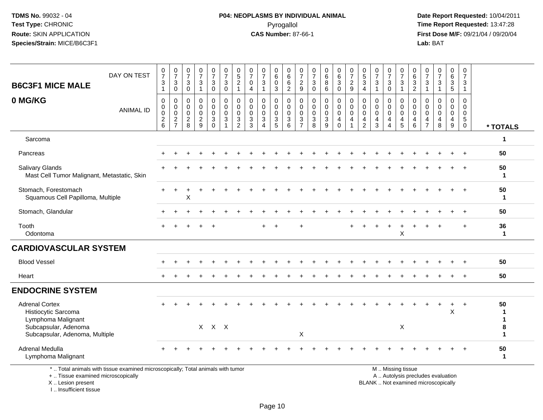#### **P04: NEOPLASMS BY INDIVIDUAL ANIMAL**Pyrogallol **Time Report Requested:** 13:47:28

 **Date Report Requested:** 10/04/2011 **First Dose M/F:** 09/21/04 / 09/20/04<br>Lab: BAT **Lab:** BAT

| DAY ON TEST<br><b>B6C3F1 MICE MALE</b>                                                                                       | $\frac{0}{7}$<br>$\ensuremath{\mathsf{3}}$<br>$\mathbf{1}$ | $\frac{0}{7}$<br>3<br>0                                     | $\frac{0}{7}$<br>3<br>$\mathbf 0$               | $\frac{0}{7}$<br>$\ensuremath{\mathsf{3}}$<br>$\mathbf{1}$    | $\frac{0}{7}$<br>$\ensuremath{\mathsf{3}}$<br>$\mathbf 0$      | $\frac{0}{7}$<br>$\sqrt{3}$<br>$\mathbf 0$                                | $^{\rm 0}_{\rm 5}$<br>$\sqrt{2}$<br>$\mathbf{1}$                 | $\frac{0}{7}$<br>$\mathbf 0$<br>$\overline{4}$ | $\frac{0}{7}$<br>$\sqrt{3}$                          | $\boldsymbol{0}$<br>$\,6\,$<br>$\mathbf 0$<br>3  | 0<br>$\,6\,$<br>$\,6$<br>$\overline{2}$                         | 0<br>$\overline{7}$<br>$\sqrt{2}$<br>9           | $\frac{0}{7}$<br>$\sqrt{3}$<br>$\mathbf 0$                                         | $\begin{matrix}0\\6\\8\end{matrix}$<br>6 | $_{6}^{\rm 0}$<br>$\ensuremath{\mathsf{3}}$<br>$\mathbf 0$ | 0729                                                           | $\frac{0}{5}$<br>$\mathbf{3}$<br>$\overline{4}$            | $\frac{0}{7}$<br>$\sqrt{3}$<br>$\overline{1}$              | 0<br>$\overline{7}$<br>3<br>$\Omega$                   | $\frac{0}{7}$<br>$\ensuremath{\mathsf{3}}$<br>$\mathbf{1}$           | $\pmb{0}$<br>$\,6\,$<br>$\ensuremath{\mathsf{3}}$<br>2                             | 0<br>$\overline{7}$<br>3<br>$\overline{1}$   | $\frac{0}{7}$<br>$\sqrt{3}$<br>$\mathbf{1}$                | 0<br>$\,6$<br>$\mathbf{3}$<br>5                                                | 0<br>$\overline{7}$<br>$\mathbf{3}$<br>$\mathbf{1}$     |                    |
|------------------------------------------------------------------------------------------------------------------------------|------------------------------------------------------------|-------------------------------------------------------------|-------------------------------------------------|---------------------------------------------------------------|----------------------------------------------------------------|---------------------------------------------------------------------------|------------------------------------------------------------------|------------------------------------------------|------------------------------------------------------|--------------------------------------------------|-----------------------------------------------------------------|--------------------------------------------------|------------------------------------------------------------------------------------|------------------------------------------|------------------------------------------------------------|----------------------------------------------------------------|------------------------------------------------------------|------------------------------------------------------------|--------------------------------------------------------|----------------------------------------------------------------------|------------------------------------------------------------------------------------|----------------------------------------------|------------------------------------------------------------|--------------------------------------------------------------------------------|---------------------------------------------------------|--------------------|
| 0 MG/KG<br><b>ANIMAL ID</b>                                                                                                  | $\mathbf 0$<br>0<br>0<br>$\frac{2}{6}$                     | $\mathbf 0$<br>$\mathsf{O}$<br>$\mathbf 0$<br>$\frac{2}{7}$ | $\mathbf 0$<br>0<br>$\mathbf 0$<br>$_{\rm 8}^2$ | $\mathbf 0$<br>$\mathbf 0$<br>$\overline{0}$<br>$\frac{2}{9}$ | $\mathbf 0$<br>$\mathbf 0$<br>0<br>$\mathbf{3}$<br>$\mathbf 0$ | $\mathbf 0$<br>$\mathbf 0$<br>$\mathbf 0$<br>$\sqrt{3}$<br>$\overline{1}$ | $\mathbf 0$<br>$\mathbf 0$<br>$\mathbf 0$<br>3<br>$\overline{c}$ | $\mathbf 0$<br>0<br>0<br>$_3^3$                | $\mathbf 0$<br>0<br>0<br>3<br>$\boldsymbol{\Lambda}$ | $\mathbf 0$<br>0<br>$\mathbf 0$<br>$\frac{3}{5}$ | $\mathbf 0$<br>0<br>$\mathbf 0$<br>$\sqrt{3}$<br>$6\phantom{1}$ | $\mathbf 0$<br>0<br>$\mathbf 0$<br>$\frac{3}{7}$ | $\mathbf 0$<br>$\mathbf 0$<br>$\mathbf 0$<br>$\begin{array}{c} 3 \\ 8 \end{array}$ | 0<br>$_0^0$<br>$\frac{3}{9}$             | 0<br>$\overline{0}$<br>0<br>$^4_{\rm 0}$                   | $\mathbf 0$<br>$\pmb{0}$<br>$\mathbf 0$<br>4<br>$\overline{1}$ | $\mathbf 0$<br>$\mathbf 0$<br>$\mathbf 0$<br>$\frac{4}{2}$ | $\mathbf 0$<br>$\mathbf 0$<br>$\mathbf 0$<br>$\frac{4}{3}$ | $\mathbf 0$<br>0<br>$\mathbf 0$<br>4<br>$\overline{4}$ | 0<br>$\pmb{0}$<br>$\pmb{0}$<br>$\begin{array}{c} 4 \\ 5 \end{array}$ | $\mathbf 0$<br>$\mathbf 0$<br>$\mathbf 0$<br>$\begin{array}{c} 4 \\ 6 \end{array}$ | 0<br>0<br>$\mathbf 0$<br>4<br>$\overline{7}$ | $\mathbf 0$<br>$\mathbf 0$<br>$\mathbf 0$<br>$\frac{4}{8}$ | $\mathbf 0$<br>$\mathbf 0$<br>$\mathbf{0}$<br>$\overline{4}$<br>$\overline{9}$ | $\mathbf 0$<br>0<br>0<br>$5\phantom{.0}$<br>$\mathbf 0$ | * TOTALS           |
| Sarcoma                                                                                                                      |                                                            |                                                             |                                                 |                                                               |                                                                |                                                                           |                                                                  |                                                |                                                      |                                                  |                                                                 |                                                  |                                                                                    |                                          |                                                            |                                                                |                                                            |                                                            |                                                        |                                                                      |                                                                                    |                                              |                                                            |                                                                                |                                                         | 1                  |
| Pancreas                                                                                                                     |                                                            |                                                             |                                                 |                                                               |                                                                |                                                                           |                                                                  |                                                |                                                      |                                                  |                                                                 |                                                  |                                                                                    |                                          |                                                            |                                                                |                                                            |                                                            |                                                        |                                                                      |                                                                                    |                                              |                                                            |                                                                                |                                                         | 50                 |
| <b>Salivary Glands</b><br>Mast Cell Tumor Malignant, Metastatic, Skin                                                        |                                                            |                                                             |                                                 |                                                               |                                                                |                                                                           |                                                                  |                                                |                                                      |                                                  |                                                                 |                                                  |                                                                                    |                                          |                                                            |                                                                |                                                            |                                                            |                                                        |                                                                      |                                                                                    |                                              |                                                            |                                                                                |                                                         | 50<br>$\mathbf 1$  |
| Stomach, Forestomach<br>Squamous Cell Papilloma, Multiple                                                                    |                                                            |                                                             | Χ                                               |                                                               |                                                                |                                                                           |                                                                  |                                                |                                                      |                                                  |                                                                 |                                                  |                                                                                    |                                          |                                                            |                                                                |                                                            |                                                            |                                                        |                                                                      |                                                                                    |                                              |                                                            |                                                                                | $\ddot{}$                                               | 50<br>$\mathbf{1}$ |
| Stomach, Glandular                                                                                                           |                                                            |                                                             |                                                 |                                                               |                                                                |                                                                           |                                                                  |                                                |                                                      |                                                  |                                                                 |                                                  |                                                                                    |                                          |                                                            |                                                                |                                                            |                                                            |                                                        |                                                                      |                                                                                    |                                              |                                                            |                                                                                |                                                         | 50                 |
| Tooth<br>Odontoma                                                                                                            |                                                            |                                                             |                                                 |                                                               |                                                                |                                                                           |                                                                  |                                                |                                                      |                                                  |                                                                 |                                                  |                                                                                    |                                          |                                                            |                                                                |                                                            |                                                            | $\ddot{}$                                              | ÷<br>X                                                               |                                                                                    |                                              |                                                            |                                                                                | $\div$                                                  | 36<br>$\mathbf 1$  |
| <b>CARDIOVASCULAR SYSTEM</b>                                                                                                 |                                                            |                                                             |                                                 |                                                               |                                                                |                                                                           |                                                                  |                                                |                                                      |                                                  |                                                                 |                                                  |                                                                                    |                                          |                                                            |                                                                |                                                            |                                                            |                                                        |                                                                      |                                                                                    |                                              |                                                            |                                                                                |                                                         |                    |
| <b>Blood Vessel</b>                                                                                                          |                                                            |                                                             |                                                 |                                                               |                                                                |                                                                           |                                                                  |                                                |                                                      |                                                  |                                                                 |                                                  |                                                                                    |                                          |                                                            |                                                                |                                                            |                                                            |                                                        |                                                                      |                                                                                    |                                              |                                                            |                                                                                |                                                         | 50                 |
| Heart                                                                                                                        |                                                            |                                                             |                                                 |                                                               |                                                                |                                                                           |                                                                  |                                                |                                                      |                                                  |                                                                 |                                                  |                                                                                    |                                          |                                                            |                                                                |                                                            |                                                            |                                                        |                                                                      |                                                                                    |                                              |                                                            |                                                                                | $\div$                                                  | 50                 |
| <b>ENDOCRINE SYSTEM</b>                                                                                                      |                                                            |                                                             |                                                 |                                                               |                                                                |                                                                           |                                                                  |                                                |                                                      |                                                  |                                                                 |                                                  |                                                                                    |                                          |                                                            |                                                                |                                                            |                                                            |                                                        |                                                                      |                                                                                    |                                              |                                                            |                                                                                |                                                         |                    |
| <b>Adrenal Cortex</b><br>Histiocytic Sarcoma<br>Lymphoma Malignant<br>Subcapsular, Adenoma<br>Subcapsular, Adenoma, Multiple |                                                            |                                                             |                                                 |                                                               | $X$ $X$ $X$                                                    |                                                                           |                                                                  |                                                |                                                      |                                                  |                                                                 | $\mathsf X$                                      |                                                                                    |                                          |                                                            |                                                                |                                                            |                                                            |                                                        | X                                                                    |                                                                                    |                                              |                                                            | X                                                                              | $\ddot{}$                                               | 50<br>8<br>1       |
| Adrenal Medulla<br>Lymphoma Malignant                                                                                        |                                                            |                                                             |                                                 |                                                               |                                                                |                                                                           |                                                                  |                                                |                                                      |                                                  |                                                                 |                                                  |                                                                                    |                                          |                                                            |                                                                |                                                            |                                                            |                                                        |                                                                      |                                                                                    |                                              |                                                            |                                                                                |                                                         | 50<br>-1           |

+ .. Tissue examined microscopically

X .. Lesion present

I .. Insufficient tissue

y the contract of the contract of the contract of the contract of the contract of the contract of the contract of  $A$ . Autolysis precludes evaluation

Lesion present BLANK .. Not examined microscopically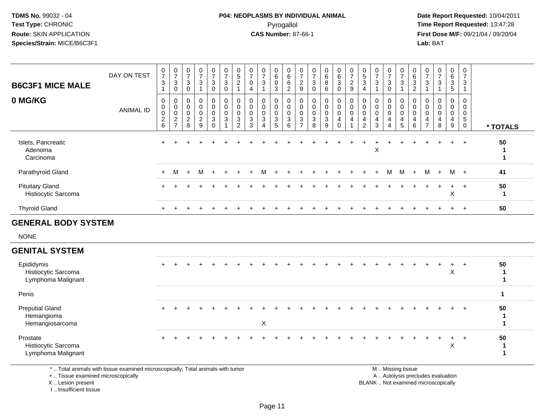#### **P04: NEOPLASMS BY INDIVIDUAL ANIMAL**Pyrogallol **Time Report Requested:** 13:47:28

 **Date Report Requested:** 10/04/2011 **First Dose M/F:** 09/21/04 / 09/20/04<br>**Lab:** BAT **Lab:** BAT

| <b>B6C3F1 MICE MALE</b><br>0 MG/KG                      | DAY ON TEST<br><b>ANIMAL ID</b> | $\frac{0}{7}$<br>$\mathbf{3}$<br>$\mathbf{1}$<br>0<br>$\mathsf{O}\xspace$<br>$\mathbf 0$<br>$\frac{2}{6}$ | $\frac{0}{7}$<br>3<br>0<br>0<br>$\mathbf 0$<br>$\mathsf{O}\xspace$<br>$\overline{c}$<br>$\overline{7}$ | $\frac{0}{7}$<br>3<br>0<br>0<br>$\pmb{0}$<br>$\pmb{0}$<br>$\overline{c}$<br>8 | $\frac{0}{7}$<br>$\mathsf 3$<br>$\mathbf{1}$<br>$\mathbf 0$<br>$\ddot{\mathbf{0}}$<br>$\mathsf{O}\xspace$<br>$\overline{2}$<br>$\overline{9}$ | $\frac{0}{7}$<br>$\mathbf{3}$<br>0<br>0<br>$\mathbf 0$<br>$\mathbf 0$<br>3<br>$\mathbf 0$ | $\frac{0}{7}$<br>$\mathsf 3$<br>$\mathbf 0$<br>$\pmb{0}$<br>$\overline{0}$<br>$\mathbf 0$<br>$\mathbf{3}$<br>1 | $\begin{array}{c} 0 \\ 5 \end{array}$<br>$\overline{\mathbf{c}}$<br>$\mathbf{1}$<br>0<br>$\mathbf 0$<br>$\mathbf 0$<br>3<br>2 | $\frac{0}{7}$<br>$\mathbf 0$<br>$\overline{4}$<br>$\mathbf 0$<br>$\mathbf 0$<br>$\mathbf 0$<br>$\mathbf{3}$<br>3 | $\frac{0}{7}$<br>$\sqrt{3}$<br>$\mathbf 0$<br>$\pmb{0}$<br>$\mathsf{O}\xspace$<br>3<br>$\boldsymbol{\Lambda}$ | $\begin{array}{c} 0 \\ 6 \end{array}$<br>$\mathbf 0$<br>3<br>$\mathbf 0$<br>$\mathsf{O}\xspace$<br>$\mathbf 0$<br>3<br>5 | 0<br>6<br>6<br>$\overline{2}$<br>0<br>$\mathbf 0$<br>$\mathbf 0$<br>$\mathbf{3}$<br>6 | $\frac{0}{7}$<br>$\frac{2}{9}$<br>0<br>$\mathbf 0$<br>$\mathbf 0$<br>3<br>$\overline{7}$ | $\frac{0}{7}$<br>$\sqrt{3}$<br>$\mathbf 0$<br>$\mathbf 0$<br>$\mathbf 0$<br>$\pmb{0}$<br>$\mathsf 3$<br>8 | $\begin{array}{c} 0 \\ 6 \\ 8 \end{array}$<br>6<br>$\mathbf 0$<br>$\ddot{\mathbf{0}}$<br>$\pmb{0}$<br>$\mathbf{3}$<br>9 | $\begin{matrix} 0 \\ 6 \end{matrix}$<br>$\mathbf{3}$<br>$\mathbf 0$<br>0<br>$\ddot{\mathbf{0}}$<br>$\mathsf{O}\xspace$<br>4<br>$\mathbf 0$ | $\frac{0}{7}$<br>$rac{2}{9}$<br>$\pmb{0}$<br>$\overline{0}$<br>$\overline{0}$<br>$\overline{4}$<br>1 | $\begin{array}{c} 0 \\ 5 \end{array}$<br>$\mathbf{3}$<br>$\overline{4}$<br>0<br>$\mathbf 0$<br>$\mathbf 0$<br>$\overline{4}$<br>$\overline{2}$ | $\frac{0}{7}$<br>$\mathbf{3}$<br>$\overline{1}$<br>$\mathbf 0$<br>$\mathbf 0$<br>$\pmb{0}$<br>$\overline{4}$<br>3 | $\frac{0}{7}$<br>3<br>$\Omega$<br>$\mathbf 0$<br>$\mathbf 0$<br>$\mathbf 0$<br>4 | $\frac{0}{7}$<br>$\mathbf{3}$<br>$\mathbf{1}$<br>0<br>$\mathsf{O}\xspace$<br>$\mathsf{O}\xspace$<br>4<br>$\overline{5}$ | $063$<br>2<br>$\mathbf 0$<br>$\pmb{0}$<br>$\mathbf 0$<br>$\overline{4}$<br>$\,6\,$ | $\frac{0}{7}$<br>$\mathbf{3}$<br>$\overline{1}$<br>0<br>$\mathbf 0$<br>$\mathbf 0$<br>$\overline{4}$<br>$\overline{7}$ | $\frac{0}{7}$<br>$\sqrt{3}$<br>$\mathbf{1}$<br>$\mathbf 0$<br>$\mathbf 0$<br>$\mathbf 0$<br>$\overline{4}$<br>8 | 0<br>$6\overline{6}$<br>3<br>5<br>0<br>$\mathbf 0$<br>$\mathbf 0$<br>4<br>$\overline{9}$ | $\frac{0}{7}$<br>$\mathbf{3}$<br>$\mathbf{1}$<br>$\pmb{0}$<br>$\mathsf{O}\xspace$<br>$\ddot{\mathbf{0}}$<br>$\overline{5}$<br>$\mathbf 0$ | * TOTALS                           |
|---------------------------------------------------------|---------------------------------|-----------------------------------------------------------------------------------------------------------|--------------------------------------------------------------------------------------------------------|-------------------------------------------------------------------------------|-----------------------------------------------------------------------------------------------------------------------------------------------|-------------------------------------------------------------------------------------------|----------------------------------------------------------------------------------------------------------------|-------------------------------------------------------------------------------------------------------------------------------|------------------------------------------------------------------------------------------------------------------|---------------------------------------------------------------------------------------------------------------|--------------------------------------------------------------------------------------------------------------------------|---------------------------------------------------------------------------------------|------------------------------------------------------------------------------------------|-----------------------------------------------------------------------------------------------------------|-------------------------------------------------------------------------------------------------------------------------|--------------------------------------------------------------------------------------------------------------------------------------------|------------------------------------------------------------------------------------------------------|------------------------------------------------------------------------------------------------------------------------------------------------|-------------------------------------------------------------------------------------------------------------------|----------------------------------------------------------------------------------|-------------------------------------------------------------------------------------------------------------------------|------------------------------------------------------------------------------------|------------------------------------------------------------------------------------------------------------------------|-----------------------------------------------------------------------------------------------------------------|------------------------------------------------------------------------------------------|-------------------------------------------------------------------------------------------------------------------------------------------|------------------------------------|
| Islets, Pancreatic<br>Adenoma<br>Carcinoma              |                                 |                                                                                                           |                                                                                                        |                                                                               |                                                                                                                                               |                                                                                           |                                                                                                                |                                                                                                                               |                                                                                                                  |                                                                                                               |                                                                                                                          |                                                                                       |                                                                                          |                                                                                                           |                                                                                                                         |                                                                                                                                            |                                                                                                      |                                                                                                                                                | X                                                                                                                 |                                                                                  |                                                                                                                         |                                                                                    |                                                                                                                        |                                                                                                                 | $\ddot{}$                                                                                | $\ddot{}$                                                                                                                                 | 50<br>$\mathbf 1$<br>-1            |
| Parathyroid Gland                                       |                                 | $+$                                                                                                       | м                                                                                                      | $+$                                                                           | м                                                                                                                                             | $\ddot{}$                                                                                 |                                                                                                                |                                                                                                                               |                                                                                                                  | м                                                                                                             |                                                                                                                          |                                                                                       |                                                                                          |                                                                                                           |                                                                                                                         |                                                                                                                                            |                                                                                                      |                                                                                                                                                |                                                                                                                   | M                                                                                | M                                                                                                                       | $+$                                                                                | M                                                                                                                      | $+$                                                                                                             |                                                                                          | $M +$                                                                                                                                     | 41                                 |
| <b>Pituitary Gland</b><br>Histiocytic Sarcoma           |                                 |                                                                                                           |                                                                                                        |                                                                               |                                                                                                                                               |                                                                                           |                                                                                                                |                                                                                                                               |                                                                                                                  |                                                                                                               |                                                                                                                          |                                                                                       |                                                                                          |                                                                                                           |                                                                                                                         |                                                                                                                                            |                                                                                                      |                                                                                                                                                |                                                                                                                   |                                                                                  |                                                                                                                         |                                                                                    |                                                                                                                        |                                                                                                                 | $\ddot{}$<br>X                                                                           | $+$                                                                                                                                       | 50<br>-1                           |
| <b>Thyroid Gland</b>                                    |                                 |                                                                                                           |                                                                                                        |                                                                               |                                                                                                                                               |                                                                                           |                                                                                                                |                                                                                                                               |                                                                                                                  |                                                                                                               |                                                                                                                          |                                                                                       |                                                                                          |                                                                                                           |                                                                                                                         |                                                                                                                                            |                                                                                                      |                                                                                                                                                |                                                                                                                   |                                                                                  |                                                                                                                         |                                                                                    |                                                                                                                        |                                                                                                                 | $\ddot{}$                                                                                | $+$                                                                                                                                       | 50                                 |
| <b>GENERAL BODY SYSTEM</b>                              |                                 |                                                                                                           |                                                                                                        |                                                                               |                                                                                                                                               |                                                                                           |                                                                                                                |                                                                                                                               |                                                                                                                  |                                                                                                               |                                                                                                                          |                                                                                       |                                                                                          |                                                                                                           |                                                                                                                         |                                                                                                                                            |                                                                                                      |                                                                                                                                                |                                                                                                                   |                                                                                  |                                                                                                                         |                                                                                    |                                                                                                                        |                                                                                                                 |                                                                                          |                                                                                                                                           |                                    |
| <b>NONE</b>                                             |                                 |                                                                                                           |                                                                                                        |                                                                               |                                                                                                                                               |                                                                                           |                                                                                                                |                                                                                                                               |                                                                                                                  |                                                                                                               |                                                                                                                          |                                                                                       |                                                                                          |                                                                                                           |                                                                                                                         |                                                                                                                                            |                                                                                                      |                                                                                                                                                |                                                                                                                   |                                                                                  |                                                                                                                         |                                                                                    |                                                                                                                        |                                                                                                                 |                                                                                          |                                                                                                                                           |                                    |
| <b>GENITAL SYSTEM</b>                                   |                                 |                                                                                                           |                                                                                                        |                                                                               |                                                                                                                                               |                                                                                           |                                                                                                                |                                                                                                                               |                                                                                                                  |                                                                                                               |                                                                                                                          |                                                                                       |                                                                                          |                                                                                                           |                                                                                                                         |                                                                                                                                            |                                                                                                      |                                                                                                                                                |                                                                                                                   |                                                                                  |                                                                                                                         |                                                                                    |                                                                                                                        |                                                                                                                 |                                                                                          |                                                                                                                                           |                                    |
| Epididymis<br>Histiocytic Sarcoma<br>Lymphoma Malignant |                                 |                                                                                                           |                                                                                                        |                                                                               |                                                                                                                                               |                                                                                           |                                                                                                                |                                                                                                                               |                                                                                                                  |                                                                                                               |                                                                                                                          |                                                                                       |                                                                                          |                                                                                                           |                                                                                                                         |                                                                                                                                            |                                                                                                      |                                                                                                                                                |                                                                                                                   |                                                                                  |                                                                                                                         |                                                                                    |                                                                                                                        |                                                                                                                 | $\ddot{}$<br>$\mathsf X$                                                                 | $\ddot{}$                                                                                                                                 | 50<br>$\mathbf{1}$<br>$\mathbf{1}$ |
| Penis                                                   |                                 |                                                                                                           |                                                                                                        |                                                                               |                                                                                                                                               |                                                                                           |                                                                                                                |                                                                                                                               |                                                                                                                  |                                                                                                               |                                                                                                                          |                                                                                       |                                                                                          |                                                                                                           |                                                                                                                         |                                                                                                                                            |                                                                                                      |                                                                                                                                                |                                                                                                                   |                                                                                  |                                                                                                                         |                                                                                    |                                                                                                                        |                                                                                                                 |                                                                                          |                                                                                                                                           | $\mathbf{1}$                       |
| <b>Preputial Gland</b><br>Hemangioma<br>Hemangiosarcoma |                                 |                                                                                                           |                                                                                                        |                                                                               |                                                                                                                                               |                                                                                           |                                                                                                                |                                                                                                                               |                                                                                                                  | X                                                                                                             |                                                                                                                          |                                                                                       |                                                                                          |                                                                                                           |                                                                                                                         |                                                                                                                                            |                                                                                                      |                                                                                                                                                |                                                                                                                   |                                                                                  |                                                                                                                         |                                                                                    |                                                                                                                        |                                                                                                                 |                                                                                          |                                                                                                                                           | 50<br>$\mathbf 1$<br>$\mathbf 1$   |
| Prostate<br>Histiocytic Sarcoma<br>Lymphoma Malignant   |                                 |                                                                                                           |                                                                                                        |                                                                               |                                                                                                                                               |                                                                                           |                                                                                                                |                                                                                                                               |                                                                                                                  |                                                                                                               |                                                                                                                          |                                                                                       |                                                                                          |                                                                                                           |                                                                                                                         |                                                                                                                                            |                                                                                                      |                                                                                                                                                |                                                                                                                   |                                                                                  |                                                                                                                         |                                                                                    |                                                                                                                        |                                                                                                                 | $\ddot{}$<br>$\pmb{\times}$                                                              | $+$                                                                                                                                       | 50<br>$\mathbf 1$<br>1             |

\* .. Total animals with tissue examined microscopically; Total animals with tumor

+ .. Tissue examined microscopically

X .. Lesion present

I .. Insufficient tissue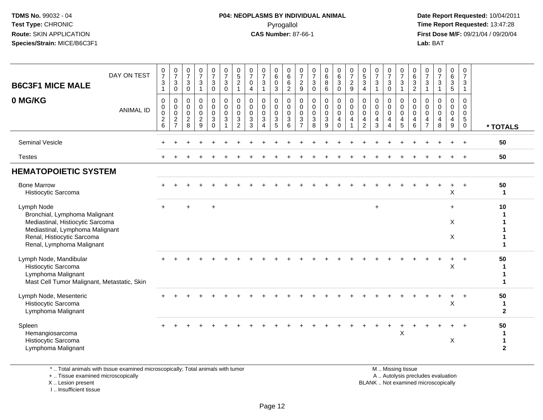#### **P04: NEOPLASMS BY INDIVIDUAL ANIMAL**Pyrogallol **Time Report Requested:** 13:47:28

 **Date Report Requested:** 10/04/2011 **First Dose M/F:** 09/21/04 / 09/20/04<br>**Lab:** BAT **Lab:** BAT

| <b>B6C3F1 MICE MALE</b>                                                                                                                                                       | DAY ON TEST      | $\begin{smallmatrix}0\\7\end{smallmatrix}$<br>$\mathbf{3}$<br>$\mathbf{1}$     | $\frac{0}{7}$<br>3<br>0                                             | $\frac{0}{7}$<br>$\mathbf{3}$<br>$\mathbf 0$ | $\frac{0}{7}$<br>$\sqrt{3}$<br>$\mathbf{1}$        | $\begin{smallmatrix}0\\7\end{smallmatrix}$<br>$\mathsf 3$<br>$\mathbf 0$ | $\frac{0}{7}$<br>$\sqrt{3}$<br>$\mathbf 0$                            | $\begin{array}{c} 0 \\ 5 \end{array}$<br>$\overline{2}$<br>$\mathbf{1}$ | $\begin{array}{c} 0 \\ 7 \end{array}$<br>$\mathbf 0$<br>$\overline{\mathbf{4}}$ | $\frac{0}{7}$<br>3<br>$\mathbf{1}$                     | $\begin{matrix} 0 \\ 6 \end{matrix}$<br>$\pmb{0}$<br>3                          | $\begin{array}{c} 0 \\ 6 \end{array}$<br>$6\phantom{1}$<br>$\overline{2}$ | $\frac{0}{7}$<br>$\frac{2}{9}$                                    | $\frac{0}{7}$<br>$\mathbf{3}$<br>$\mathbf 0$                   | $\begin{array}{c} 0 \\ 6 \\ 8 \end{array}$<br>$\,6\,$  | $\begin{matrix} 0 \\ 6 \\ 3 \end{matrix}$<br>$\mathbf 0$                 | $\frac{0}{7}$<br>$\sqrt{2}$<br>$\overline{9}$             | $\begin{array}{c} 0 \\ 5 \end{array}$<br>$\mathbf{3}$<br>$\overline{4}$ | $\frac{0}{7}$<br>$\mathbf{3}$<br>$\mathbf{1}$          | $\frac{0}{7}$<br>3<br>$\mathbf 0$                                   | $\frac{0}{7}$<br>$\sqrt{3}$<br>1                                             | $\begin{matrix} 0 \\ 6 \\ 3 \end{matrix}$<br>$\overline{2}$               | $\frac{0}{7}$<br>3<br>$\overline{1}$                      | $\frac{0}{7}$<br>$\mathfrak{Z}$<br>$\overline{1}$   | 0<br>$\,6\,$<br>$\overline{3}$<br>$\overline{5}$                     | $\begin{smallmatrix}0\\7\end{smallmatrix}$<br>$\mathbf{3}$<br>$\mathbf{1}$ |                                   |
|-------------------------------------------------------------------------------------------------------------------------------------------------------------------------------|------------------|--------------------------------------------------------------------------------|---------------------------------------------------------------------|----------------------------------------------|----------------------------------------------------|--------------------------------------------------------------------------|-----------------------------------------------------------------------|-------------------------------------------------------------------------|---------------------------------------------------------------------------------|--------------------------------------------------------|---------------------------------------------------------------------------------|---------------------------------------------------------------------------|-------------------------------------------------------------------|----------------------------------------------------------------|--------------------------------------------------------|--------------------------------------------------------------------------|-----------------------------------------------------------|-------------------------------------------------------------------------|--------------------------------------------------------|---------------------------------------------------------------------|------------------------------------------------------------------------------|---------------------------------------------------------------------------|-----------------------------------------------------------|-----------------------------------------------------|----------------------------------------------------------------------|----------------------------------------------------------------------------|-----------------------------------|
| 0 MG/KG                                                                                                                                                                       | <b>ANIMAL ID</b> | $\mathbf 0$<br>$\mathbf 0$<br>$\pmb{0}$<br>$\boldsymbol{2}$<br>$6\phantom{1}6$ | 0<br>$\mathbf 0$<br>$\mathbf 0$<br>$\overline{c}$<br>$\overline{7}$ | 0<br>0<br>$\mathbf 0$<br>$\overline{2}$<br>8 | $\pmb{0}$<br>$\pmb{0}$<br>0<br>$\overline{c}$<br>9 | 0<br>$\mathbf 0$<br>$\mathbf 0$<br>$\mathbf{3}$<br>$\mathbf 0$           | 0<br>$\mathsf{O}\xspace$<br>$\mathbf 0$<br>$\sqrt{3}$<br>$\mathbf{1}$ | 0<br>$\mathbf 0$<br>$\mathbf 0$<br>$\sqrt{3}$<br>$\overline{2}$         | $\mathbf 0$<br>$\mathbf 0$<br>$\mathbf 0$<br>$\mathbf 3$<br>3                   | 0<br>$\mathbf 0$<br>$\mathbf 0$<br>3<br>$\overline{4}$ | 0<br>$\mathbf 0$<br>$\mathbf 0$<br>$\ensuremath{\mathsf{3}}$<br>$5\phantom{.0}$ | $\mathbf 0$<br>$\mathbf 0$<br>$\mathbf 0$<br>$\mathbf{3}$<br>$\,6\,$      | 0<br>$\mathbf 0$<br>$\mathbf 0$<br>$\mathbf{3}$<br>$\overline{7}$ | $\mathbf 0$<br>$\mathbf 0$<br>$\mathbf 0$<br>$\mathbf{3}$<br>8 | 0<br>$\mathbf 0$<br>$\mathbf 0$<br>3<br>$\overline{9}$ | 0<br>$\ddot{\mathbf{0}}$<br>$\mathbf 0$<br>$\overline{4}$<br>$\mathbf 0$ | 0<br>$\ddot{\mathbf{0}}$<br>$\mathbf 0$<br>$\overline{4}$ | 0<br>$\mathbf 0$<br>$\mathbf 0$<br>$\overline{4}$<br>$\overline{c}$     | 0<br>$\mathbf 0$<br>$\mathbf 0$<br>$\overline{4}$<br>3 | 0<br>$\mathbf 0$<br>$\mathbf 0$<br>$\overline{4}$<br>$\overline{4}$ | 0<br>$\ddot{\mathbf{0}}$<br>$\mathbf 0$<br>$\overline{a}$<br>$5\phantom{.0}$ | 0<br>$\pmb{0}$<br>$\mathsf{O}\xspace$<br>$\overline{4}$<br>$6\phantom{1}$ | 0<br>0<br>$\mathbf 0$<br>$\overline{4}$<br>$\overline{7}$ | 0<br>$\mathbf 0$<br>$\Omega$<br>$\overline{4}$<br>8 | 0<br>$\mathbf 0$<br>0<br>$\overline{\mathbf{4}}$<br>$\boldsymbol{9}$ | 0<br>$\mathbf 0$<br>$\mathbf 0$<br>5<br>$\mathbf 0$                        | * TOTALS                          |
| Seminal Vesicle                                                                                                                                                               |                  |                                                                                |                                                                     |                                              |                                                    |                                                                          |                                                                       |                                                                         |                                                                                 |                                                        |                                                                                 |                                                                           |                                                                   |                                                                |                                                        |                                                                          |                                                           |                                                                         |                                                        |                                                                     |                                                                              |                                                                           |                                                           |                                                     |                                                                      |                                                                            | 50                                |
| <b>Testes</b>                                                                                                                                                                 |                  |                                                                                |                                                                     |                                              |                                                    |                                                                          |                                                                       |                                                                         |                                                                                 |                                                        |                                                                                 |                                                                           |                                                                   |                                                                |                                                        |                                                                          |                                                           |                                                                         |                                                        |                                                                     |                                                                              |                                                                           |                                                           |                                                     |                                                                      |                                                                            | 50                                |
| <b>HEMATOPOIETIC SYSTEM</b>                                                                                                                                                   |                  |                                                                                |                                                                     |                                              |                                                    |                                                                          |                                                                       |                                                                         |                                                                                 |                                                        |                                                                                 |                                                                           |                                                                   |                                                                |                                                        |                                                                          |                                                           |                                                                         |                                                        |                                                                     |                                                                              |                                                                           |                                                           |                                                     |                                                                      |                                                                            |                                   |
| <b>Bone Marrow</b><br>Histiocytic Sarcoma                                                                                                                                     |                  |                                                                                |                                                                     |                                              |                                                    |                                                                          |                                                                       |                                                                         |                                                                                 |                                                        |                                                                                 |                                                                           |                                                                   |                                                                |                                                        |                                                                          |                                                           |                                                                         |                                                        |                                                                     |                                                                              |                                                                           |                                                           |                                                     | Χ                                                                    |                                                                            | 50<br>-1                          |
| Lymph Node<br>Bronchial, Lymphoma Malignant<br>Mediastinal, Histiocytic Sarcoma<br>Mediastinal, Lymphoma Malignant<br>Renal, Histiocytic Sarcoma<br>Renal, Lymphoma Malignant |                  | $\ddot{}$                                                                      |                                                                     |                                              |                                                    |                                                                          |                                                                       |                                                                         |                                                                                 |                                                        |                                                                                 |                                                                           |                                                                   |                                                                |                                                        |                                                                          |                                                           |                                                                         | $\ddot{}$                                              |                                                                     |                                                                              |                                                                           |                                                           |                                                     | $\ddot{}$<br>X<br>X                                                  |                                                                            | 10                                |
| Lymph Node, Mandibular<br>Histiocytic Sarcoma<br>Lymphoma Malignant<br>Mast Cell Tumor Malignant, Metastatic, Skin                                                            |                  |                                                                                |                                                                     |                                              |                                                    |                                                                          |                                                                       |                                                                         |                                                                                 |                                                        |                                                                                 |                                                                           |                                                                   |                                                                |                                                        |                                                                          |                                                           |                                                                         |                                                        |                                                                     |                                                                              |                                                                           |                                                           |                                                     | $\ddot{}$<br>X                                                       |                                                                            | 50                                |
| Lymph Node, Mesenteric<br>Histiocytic Sarcoma<br>Lymphoma Malignant                                                                                                           |                  |                                                                                |                                                                     |                                              |                                                    |                                                                          |                                                                       |                                                                         |                                                                                 |                                                        |                                                                                 |                                                                           |                                                                   |                                                                |                                                        |                                                                          |                                                           |                                                                         |                                                        |                                                                     |                                                                              |                                                                           |                                                           |                                                     | X                                                                    |                                                                            | 50<br>$\mathbf 1$<br>$\mathbf{2}$ |
| Spleen<br>Hemangiosarcoma<br>Histiocytic Sarcoma<br>Lymphoma Malignant                                                                                                        |                  |                                                                                |                                                                     |                                              |                                                    |                                                                          |                                                                       |                                                                         |                                                                                 |                                                        |                                                                                 |                                                                           |                                                                   |                                                                |                                                        |                                                                          |                                                           |                                                                         |                                                        |                                                                     | X                                                                            |                                                                           |                                                           |                                                     | X                                                                    |                                                                            | 50<br>-1<br>$\mathbf{2}$          |

\* .. Total animals with tissue examined microscopically; Total animals with tumor

+ .. Tissue examined microscopically

X .. Lesion present

I .. Insufficient tissue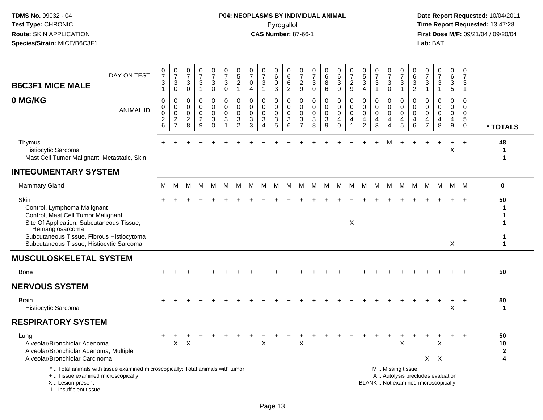#### **P04: NEOPLASMS BY INDIVIDUAL ANIMAL**Pyrogallol **Time Report Requested:** 13:47:28

| <b>B6C3F1 MICE MALE</b>                                                                                                                                                                | DAY ON TEST                                                                     | $\frac{0}{7}$<br>3<br>$\mathbf{1}$               | $\begin{array}{c} 0 \\ 7 \end{array}$<br>$\mathbf{3}$<br>$\mathsf{O}\xspace$ | 0<br>$\overline{7}$<br>$\sqrt{3}$<br>0                     | $\frac{0}{7}$<br>$\sqrt{3}$<br>$\overline{1}$              | 0<br>$\overline{7}$<br>$\sqrt{3}$<br>0          | 0<br>$\overline{7}$<br>$\ensuremath{\mathsf{3}}$<br>$\mathbf 0$        | $\begin{array}{c} 0 \\ 5 \end{array}$<br>$\boldsymbol{2}$<br>$\mathbf{1}$ | 0<br>$\overline{7}$<br>0<br>4                                | $\frac{0}{7}$<br>3<br>$\mathbf{1}$                             | 0<br>$6\overline{6}$<br>$\mathbf 0$<br>3 | 0<br>$\,6\,$<br>$\,6$<br>$\overline{2}$                            | 0<br>$\overline{7}$<br>$\frac{2}{9}$                     | 0<br>$\overline{7}$<br>$\ensuremath{\mathsf{3}}$<br>$\mathbf 0$          | 0<br>$6\phantom{a}$<br>8<br>6                      | 0<br>$6\overline{6}$<br>$\sqrt{3}$<br>$\mathbf 0$    | $\frac{0}{7}$<br>$\boldsymbol{2}$<br>9 | $\begin{matrix} 0 \\ 5 \end{matrix}$<br>$\sqrt{3}$<br>$\overline{4}$ | $\frac{0}{7}$<br>$\sqrt{3}$<br>$\mathbf{1}$                      | $\frac{0}{7}$<br>$\ensuremath{\mathsf{3}}$<br>0           | 0<br>$\overline{7}$<br>$\sqrt{3}$<br>$\mathbf{1}$             | 0<br>6<br>$\ensuremath{\mathsf{3}}$<br>$\overline{c}$ | 0<br>$\overline{7}$<br>$\mathbf{3}$<br>$\overline{1}$                    | $\frac{0}{7}$<br>$\mathbf{3}$<br>$\mathbf{1}$    | 0<br>$\,6\,$<br>$\frac{3}{5}$                             | 0<br>$\overline{7}$<br>3<br>$\overline{1}$                   |                                   |
|----------------------------------------------------------------------------------------------------------------------------------------------------------------------------------------|---------------------------------------------------------------------------------|--------------------------------------------------|------------------------------------------------------------------------------|------------------------------------------------------------|------------------------------------------------------------|-------------------------------------------------|------------------------------------------------------------------------|---------------------------------------------------------------------------|--------------------------------------------------------------|----------------------------------------------------------------|------------------------------------------|--------------------------------------------------------------------|----------------------------------------------------------|--------------------------------------------------------------------------|----------------------------------------------------|------------------------------------------------------|----------------------------------------|----------------------------------------------------------------------|------------------------------------------------------------------|-----------------------------------------------------------|---------------------------------------------------------------|-------------------------------------------------------|--------------------------------------------------------------------------|--------------------------------------------------|-----------------------------------------------------------|--------------------------------------------------------------|-----------------------------------|
| 0 MG/KG                                                                                                                                                                                | <b>ANIMAL ID</b>                                                                | $\mathbf 0$<br>0<br>$\mathbf 0$<br>$\frac{2}{6}$ | 0<br>$\mathbf 0$<br>$\pmb{0}$<br>$\frac{2}{7}$                               | $\mathbf 0$<br>$\mathbf 0$<br>$\mathbf 0$<br>$\frac{2}{8}$ | $\mathbf 0$<br>$\mathbf 0$<br>$\mathbf 0$<br>$\frac{2}{9}$ | 0<br>$\mathbf 0$<br>0<br>$\sqrt{3}$<br>$\Omega$ | $\pmb{0}$<br>$\mathbf 0$<br>$\mathbf 0$<br>$\mathbf{3}$<br>$\mathbf 1$ | 0<br>$\mathbf{0}$<br>$\mathbf 0$<br>3<br>2                                | $\mathbf 0$<br>$\mathbf 0$<br>$\mathbf 0$<br>$\sqrt{3}$<br>3 | 0<br>$\mathbf 0$<br>$\mathbf 0$<br>3<br>$\boldsymbol{\Lambda}$ | 0<br>0<br>$\pmb{0}$<br>$\sqrt{3}$<br>5   | 0<br>$\mathbf{0}$<br>$\mathbf 0$<br>$\ensuremath{\mathsf{3}}$<br>6 | 0<br>$\mathbf{0}$<br>0<br>$\mathbf{3}$<br>$\overline{7}$ | $\mathbf 0$<br>$\Omega$<br>$\mathbf 0$<br>$\ensuremath{\mathsf{3}}$<br>8 | 0<br>$\mathbf 0$<br>$\mathbf 0$<br>$\sqrt{3}$<br>9 | 0<br>0<br>$\pmb{0}$<br>$\overline{4}$<br>$\mathbf 0$ | 0<br>$\mathbf 0$<br>0<br>4             | 0<br>$\mathbf 0$<br>0<br>4<br>$\overline{c}$                         | $\mathbf 0$<br>$\mathbf 0$<br>$\mathbf 0$<br>$\overline{4}$<br>3 | 0<br>$\mathbf 0$<br>0<br>$\overline{4}$<br>$\overline{4}$ | $\mathbf 0$<br>$\Omega$<br>$\mathbf 0$<br>$\overline{4}$<br>5 | 0<br>$\mathbf{0}$<br>0<br>4<br>6                      | $\mathbf 0$<br>$\Omega$<br>0<br>4<br>$\overline{7}$                      | $\mathbf 0$<br>$\Omega$<br>$\mathbf 0$<br>4<br>8 | 0<br>0<br>$\pmb{0}$<br>$\overline{4}$<br>$\boldsymbol{9}$ | $\mathbf 0$<br>$\mathbf 0$<br>$\mathbf 0$<br>$\sqrt{5}$<br>0 | * TOTALS                          |
| Thymus<br>Histiocytic Sarcoma<br>Mast Cell Tumor Malignant, Metastatic, Skin                                                                                                           |                                                                                 |                                                  |                                                                              |                                                            |                                                            |                                                 |                                                                        |                                                                           |                                                              |                                                                |                                          |                                                                    |                                                          |                                                                          |                                                    |                                                      |                                        |                                                                      |                                                                  | М                                                         |                                                               |                                                       |                                                                          |                                                  | $\ddot{}$<br>$\sf X$                                      | $+$                                                          | 48<br>1<br>1                      |
| <b>INTEGUMENTARY SYSTEM</b>                                                                                                                                                            |                                                                                 |                                                  |                                                                              |                                                            |                                                            |                                                 |                                                                        |                                                                           |                                                              |                                                                |                                          |                                                                    |                                                          |                                                                          |                                                    |                                                      |                                        |                                                                      |                                                                  |                                                           |                                                               |                                                       |                                                                          |                                                  |                                                           |                                                              |                                   |
| Mammary Gland                                                                                                                                                                          |                                                                                 | М                                                | M                                                                            | м                                                          | м                                                          | M                                               | M                                                                      | M                                                                         | M                                                            | M                                                              | M                                        | M                                                                  | М                                                        | M                                                                        | M                                                  | M                                                    | M                                      | M                                                                    | M                                                                | M                                                         | M                                                             | M                                                     | M                                                                        | M                                                |                                                           | M M                                                          | 0                                 |
| Skin<br>Control, Lymphoma Malignant<br>Control, Mast Cell Tumor Malignant<br>Site Of Application, Subcutaneous Tissue,<br>Hemangiosarcoma<br>Subcutaneous Tissue, Fibrous Histiocytoma |                                                                                 |                                                  |                                                                              |                                                            |                                                            |                                                 |                                                                        |                                                                           |                                                              |                                                                |                                          |                                                                    |                                                          |                                                                          |                                                    |                                                      | X                                      |                                                                      |                                                                  |                                                           |                                                               |                                                       |                                                                          |                                                  |                                                           |                                                              | 50<br>1<br>1                      |
| Subcutaneous Tissue, Histiocytic Sarcoma<br><b>MUSCULOSKELETAL SYSTEM</b>                                                                                                              |                                                                                 |                                                  |                                                                              |                                                            |                                                            |                                                 |                                                                        |                                                                           |                                                              |                                                                |                                          |                                                                    |                                                          |                                                                          |                                                    |                                                      |                                        |                                                                      |                                                                  |                                                           |                                                               |                                                       |                                                                          |                                                  | Χ                                                         |                                                              | 1                                 |
| <b>Bone</b>                                                                                                                                                                            |                                                                                 |                                                  |                                                                              |                                                            |                                                            |                                                 |                                                                        |                                                                           |                                                              |                                                                |                                          |                                                                    |                                                          |                                                                          |                                                    |                                                      |                                        |                                                                      |                                                                  |                                                           |                                                               |                                                       |                                                                          |                                                  |                                                           |                                                              | 50                                |
| <b>NERVOUS SYSTEM</b>                                                                                                                                                                  |                                                                                 |                                                  |                                                                              |                                                            |                                                            |                                                 |                                                                        |                                                                           |                                                              |                                                                |                                          |                                                                    |                                                          |                                                                          |                                                    |                                                      |                                        |                                                                      |                                                                  |                                                           |                                                               |                                                       |                                                                          |                                                  |                                                           |                                                              |                                   |
| Brain<br>Histiocytic Sarcoma                                                                                                                                                           |                                                                                 |                                                  |                                                                              |                                                            |                                                            |                                                 |                                                                        |                                                                           |                                                              |                                                                |                                          |                                                                    |                                                          |                                                                          |                                                    |                                                      |                                        |                                                                      |                                                                  |                                                           |                                                               |                                                       |                                                                          |                                                  | X                                                         |                                                              | 50<br>$\mathbf 1$                 |
| <b>RESPIRATORY SYSTEM</b>                                                                                                                                                              |                                                                                 |                                                  |                                                                              |                                                            |                                                            |                                                 |                                                                        |                                                                           |                                                              |                                                                |                                          |                                                                    |                                                          |                                                                          |                                                    |                                                      |                                        |                                                                      |                                                                  |                                                           |                                                               |                                                       |                                                                          |                                                  |                                                           |                                                              |                                   |
| Lung<br>Alveolar/Bronchiolar Adenoma<br>Alveolar/Bronchiolar Adenoma, Multiple<br>Alveolar/Bronchiolar Carcinoma                                                                       |                                                                                 |                                                  | X                                                                            | $\boldsymbol{\mathsf{X}}$                                  |                                                            |                                                 |                                                                        |                                                                           |                                                              | X                                                              |                                          |                                                                    | Χ                                                        |                                                                          |                                                    |                                                      |                                        |                                                                      |                                                                  |                                                           | X                                                             |                                                       |                                                                          | X<br>$X$ $X$                                     |                                                           |                                                              | 50<br>10<br>$\boldsymbol{2}$<br>4 |
| +  Tissue examined microscopically<br>X  Lesion present<br>I Insufficient tissue                                                                                                       | *  Total animals with tissue examined microscopically; Total animals with tumor |                                                  |                                                                              |                                                            |                                                            |                                                 |                                                                        |                                                                           |                                                              |                                                                |                                          |                                                                    |                                                          |                                                                          |                                                    |                                                      |                                        |                                                                      |                                                                  |                                                           | M  Missing tissue                                             |                                                       | A  Autolysis precludes evaluation<br>BLANK  Not examined microscopically |                                                  |                                                           |                                                              |                                   |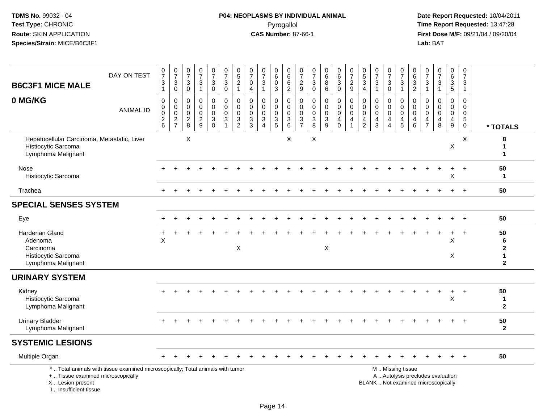# **P04: NEOPLASMS BY INDIVIDUAL ANIMAL**Pyrogallol **Time Report Requested:** 13:47:28

|                                                                                             | DAY ON TEST                                                                     | $\frac{0}{7}$                                          | $\begin{array}{c} 0 \\ 7 \end{array}$ | $\frac{0}{7}$                                          | $\frac{0}{7}$                                                | $\frac{0}{7}$                                                               | $\begin{array}{c} 0 \\ 7 \end{array}$                                          | $\begin{smallmatrix}0\0\5\end{smallmatrix}$                                  | 0<br>$\overline{7}$                                                          | $\frac{0}{7}$                                                                     | $\begin{array}{c} 0 \\ 6 \end{array}$                                          | 0<br>$\,6\,$                                                                        | $\frac{0}{7}$                                                                            | 0<br>$\frac{5}{7}$                                                          | $\begin{array}{c} 0 \\ 6 \end{array}$                           | $\begin{array}{c} 0 \\ 6 \end{array}$                         | $\frac{0}{7}$                                                  | $\begin{array}{c} 0 \\ 5 \end{array}$                             | $\frac{0}{7}$                                                    | $\frac{0}{7}$                                          | $\frac{0}{7}$                                    | $\begin{array}{c} 0 \\ 6 \end{array}$                   | $\frac{0}{7}$                                              | $\begin{array}{c} 0 \\ 7 \end{array}$                            | $\begin{array}{c} 0 \\ 6 \end{array}$                              | $\frac{0}{7}$                                              |                                                            |
|---------------------------------------------------------------------------------------------|---------------------------------------------------------------------------------|--------------------------------------------------------|---------------------------------------|--------------------------------------------------------|--------------------------------------------------------------|-----------------------------------------------------------------------------|--------------------------------------------------------------------------------|------------------------------------------------------------------------------|------------------------------------------------------------------------------|-----------------------------------------------------------------------------------|--------------------------------------------------------------------------------|-------------------------------------------------------------------------------------|------------------------------------------------------------------------------------------|-----------------------------------------------------------------------------|-----------------------------------------------------------------|---------------------------------------------------------------|----------------------------------------------------------------|-------------------------------------------------------------------|------------------------------------------------------------------|--------------------------------------------------------|--------------------------------------------------|---------------------------------------------------------|------------------------------------------------------------|------------------------------------------------------------------|--------------------------------------------------------------------|------------------------------------------------------------|------------------------------------------------------------|
| <b>B6C3F1 MICE MALE</b>                                                                     |                                                                                 | $\ensuremath{\mathsf{3}}$<br>$\mathbf{1}$              | $_{0}^{3}$                            | $\sqrt{3}$<br>$\mathbf 0$                              | $\ensuremath{\mathsf{3}}$<br>$\mathbf{1}$                    | $\ensuremath{\mathsf{3}}$<br>$\mathbf 0$                                    | 3<br>$\mathbf 0$                                                               | $\overline{2}$<br>$\mathbf{1}$                                               | $\pmb{0}$<br>$\overline{4}$                                                  | $\sqrt{3}$<br>$\overline{1}$                                                      | 0<br>3                                                                         | $\,6\,$<br>2                                                                        | $\boldsymbol{2}$<br>9                                                                    | $\ensuremath{\mathsf{3}}$<br>$\mathbf 0$                                    | $\overline{8}$<br>$\,6\,$                                       | $\ensuremath{\mathsf{3}}$<br>$\mathbf 0$                      | $\sqrt{2}$<br>9                                                | $\ensuremath{\mathsf{3}}$<br>$\overline{4}$                       | $\ensuremath{\mathsf{3}}$<br>$\mathbf{1}$                        | 3<br>0                                                 | $\ensuremath{\mathsf{3}}$<br>$\mathbf{1}$        | $\frac{3}{2}$                                           | $\frac{3}{1}$                                              | $\ensuremath{\mathsf{3}}$<br>$\mathbf{1}$                        | $\ensuremath{\mathsf{3}}$<br>$\overline{5}$                        | $\ensuremath{\mathsf{3}}$<br>$\mathbf{1}$                  |                                                            |
| 0 MG/KG                                                                                     | <b>ANIMAL ID</b>                                                                | 0<br>$\pmb{0}$<br>$\mathsf{O}\xspace$<br>$\frac{2}{6}$ | 0<br>$\overline{0}$<br>$\frac{2}{7}$  | 0<br>$\mathbf 0$<br>$\mathbf 0$<br>$\overline{2}$<br>8 | $\mathbf 0$<br>$\mathbf 0$<br>$\mathbf 0$<br>$\sqrt{2}$<br>9 | 0<br>$\overline{0}$<br>$\mathbf 0$<br>$\ensuremath{\mathsf{3}}$<br>$\Omega$ | 0<br>$\mathbf 0$<br>$\mathbf 0$<br>$\ensuremath{\mathsf{3}}$<br>$\overline{1}$ | 0<br>$\pmb{0}$<br>$\mathbf 0$<br>$\ensuremath{\mathsf{3}}$<br>$\overline{2}$ | $\mathbf{0}$<br>$\mathbf 0$<br>$\mathbf 0$<br>$\ensuremath{\mathsf{3}}$<br>3 | $\mathbf 0$<br>$\mathbf 0$<br>$\mathbf 0$<br>$\sqrt{3}$<br>$\boldsymbol{\Lambda}$ | 0<br>$\mathbf 0$<br>$\mathbf 0$<br>$\ensuremath{\mathsf{3}}$<br>$5\phantom{1}$ | $\mathbf 0$<br>$\mathsf{O}\xspace$<br>$\mathbf 0$<br>$\ensuremath{\mathsf{3}}$<br>6 | $\mathbf 0$<br>$\mathbf 0$<br>$\mathbf 0$<br>$\ensuremath{\mathsf{3}}$<br>$\overline{7}$ | $\mathbf 0$<br>$\mathbf 0$<br>$\mathbf 0$<br>$\ensuremath{\mathsf{3}}$<br>8 | 0<br>$\pmb{0}$<br>$\mathbf 0$<br>$\ensuremath{\mathsf{3}}$<br>9 | 0<br>$\mathbf 0$<br>$\mathbf 0$<br>$\overline{4}$<br>$\Omega$ | $\mathbf 0$<br>$\mathbf 0$<br>$\mathbf 0$<br>4<br>$\mathbf{1}$ | $\mathbf 0$<br>$\mathbf 0$<br>$\mathbf{0}$<br>4<br>$\overline{2}$ | $\mathbf 0$<br>$\mathbf 0$<br>$\mathbf 0$<br>$\overline{4}$<br>3 | 0<br>$\mathbf 0$<br>$\mathbf 0$<br>4<br>$\overline{A}$ | 0<br>$\mathbf 0$<br>$\mathbf 0$<br>$\frac{4}{5}$ | $\mathbf{0}$<br>$\mathsf 0$<br>0<br>$\overline{4}$<br>6 | $\mathbf 0$<br>$\mathbf 0$<br>$\mathbf 0$<br>$\frac{4}{7}$ | $\mathbf 0$<br>$\mathbf 0$<br>$\mathbf 0$<br>$\overline{4}$<br>8 | 0<br>$\mathbf 0$<br>$\mathsf{O}\xspace$<br>$\overline{4}$<br>$9\,$ | 0<br>$\pmb{0}$<br>$\mathbf 0$<br>$\sqrt{5}$<br>$\mathbf 0$ | * TOTALS                                                   |
| Hepatocellular Carcinoma, Metastatic, Liver<br>Histiocytic Sarcoma<br>Lymphoma Malignant    |                                                                                 |                                                        |                                       | X                                                      |                                                              |                                                                             |                                                                                |                                                                              |                                                                              |                                                                                   |                                                                                | $\times$                                                                            |                                                                                          | X                                                                           |                                                                 |                                                               |                                                                |                                                                   |                                                                  |                                                        |                                                  |                                                         |                                                            |                                                                  | X                                                                  | $\times$                                                   | 8<br>1<br>1                                                |
| Nose<br>Histiocytic Sarcoma                                                                 |                                                                                 |                                                        |                                       |                                                        |                                                              |                                                                             |                                                                                |                                                                              |                                                                              |                                                                                   |                                                                                |                                                                                     |                                                                                          |                                                                             |                                                                 |                                                               |                                                                |                                                                   |                                                                  |                                                        |                                                  |                                                         |                                                            |                                                                  | X                                                                  | $\ddot{}$                                                  | 50<br>$\mathbf 1$                                          |
| Trachea                                                                                     |                                                                                 |                                                        |                                       |                                                        |                                                              |                                                                             |                                                                                |                                                                              |                                                                              |                                                                                   |                                                                                |                                                                                     |                                                                                          |                                                                             |                                                                 |                                                               |                                                                |                                                                   |                                                                  |                                                        |                                                  |                                                         |                                                            |                                                                  |                                                                    | $\overline{+}$                                             | 50                                                         |
| <b>SPECIAL SENSES SYSTEM</b>                                                                |                                                                                 |                                                        |                                       |                                                        |                                                              |                                                                             |                                                                                |                                                                              |                                                                              |                                                                                   |                                                                                |                                                                                     |                                                                                          |                                                                             |                                                                 |                                                               |                                                                |                                                                   |                                                                  |                                                        |                                                  |                                                         |                                                            |                                                                  |                                                                    |                                                            |                                                            |
| Eye                                                                                         |                                                                                 |                                                        |                                       |                                                        |                                                              |                                                                             |                                                                                |                                                                              |                                                                              |                                                                                   |                                                                                |                                                                                     |                                                                                          |                                                                             |                                                                 |                                                               |                                                                |                                                                   |                                                                  |                                                        |                                                  |                                                         |                                                            |                                                                  |                                                                    | $+$                                                        | 50                                                         |
| <b>Harderian Gland</b><br>Adenoma<br>Carcinoma<br>Histiocytic Sarcoma<br>Lymphoma Malignant |                                                                                 | ÷<br>X                                                 |                                       |                                                        |                                                              |                                                                             |                                                                                | X                                                                            |                                                                              |                                                                                   |                                                                                |                                                                                     |                                                                                          |                                                                             | $\boldsymbol{\mathsf{X}}$                                       |                                                               |                                                                |                                                                   |                                                                  |                                                        |                                                  |                                                         |                                                            |                                                                  | $\ddot{}$<br>X<br>X                                                | $+$                                                        | 50<br>6<br>$\overline{2}$<br>$\mathbf 1$<br>$\overline{2}$ |
| <b>URINARY SYSTEM</b>                                                                       |                                                                                 |                                                        |                                       |                                                        |                                                              |                                                                             |                                                                                |                                                                              |                                                                              |                                                                                   |                                                                                |                                                                                     |                                                                                          |                                                                             |                                                                 |                                                               |                                                                |                                                                   |                                                                  |                                                        |                                                  |                                                         |                                                            |                                                                  |                                                                    |                                                            |                                                            |
| Kidney<br>Histiocytic Sarcoma<br>Lymphoma Malignant                                         |                                                                                 |                                                        |                                       |                                                        |                                                              |                                                                             |                                                                                |                                                                              |                                                                              |                                                                                   |                                                                                |                                                                                     |                                                                                          |                                                                             |                                                                 |                                                               |                                                                |                                                                   |                                                                  |                                                        |                                                  |                                                         |                                                            |                                                                  | Χ                                                                  |                                                            | 50<br>$\mathbf 1$<br>$\overline{2}$                        |
| <b>Urinary Bladder</b><br>Lymphoma Malignant                                                |                                                                                 |                                                        |                                       |                                                        |                                                              |                                                                             |                                                                                |                                                                              |                                                                              |                                                                                   |                                                                                |                                                                                     |                                                                                          |                                                                             |                                                                 |                                                               |                                                                |                                                                   |                                                                  |                                                        |                                                  |                                                         |                                                            |                                                                  |                                                                    |                                                            | 50<br>$\overline{2}$                                       |
| <b>SYSTEMIC LESIONS</b>                                                                     |                                                                                 |                                                        |                                       |                                                        |                                                              |                                                                             |                                                                                |                                                                              |                                                                              |                                                                                   |                                                                                |                                                                                     |                                                                                          |                                                                             |                                                                 |                                                               |                                                                |                                                                   |                                                                  |                                                        |                                                  |                                                         |                                                            |                                                                  |                                                                    |                                                            |                                                            |
| Multiple Organ                                                                              |                                                                                 |                                                        |                                       |                                                        |                                                              |                                                                             |                                                                                |                                                                              |                                                                              |                                                                                   |                                                                                |                                                                                     |                                                                                          |                                                                             |                                                                 |                                                               |                                                                |                                                                   |                                                                  |                                                        |                                                  |                                                         |                                                            |                                                                  | $\ddot{}$                                                          | $+$                                                        | 50                                                         |
| +  Tissue examined microscopically<br>X  Lesion present<br>I Insufficient tissue            | *  Total animals with tissue examined microscopically; Total animals with tumor |                                                        |                                       |                                                        |                                                              |                                                                             |                                                                                |                                                                              |                                                                              |                                                                                   |                                                                                |                                                                                     |                                                                                          |                                                                             |                                                                 |                                                               |                                                                |                                                                   | BLANK  Not examined microscopically                              |                                                        | M  Missing tissue                                |                                                         |                                                            | A  Autolysis precludes evaluation                                |                                                                    |                                                            |                                                            |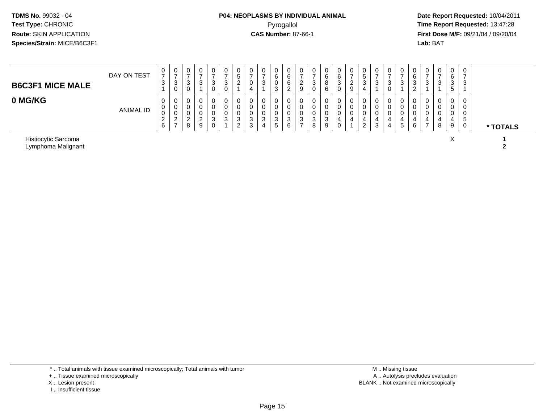# **P04: NEOPLASMS BY INDIVIDUAL ANIMAL**Pyrogallol **Time Report Requested:** 13:47:28

 **Date Report Requested:** 10/04/2011 **First Dose M/F:** 09/21/04 / 09/20/04<br>**Lab:** BAT **Lab:** BAT

| <b>B6C3F1 MICE MALE</b> | DAY ON TEST | $\mathbf{0}$<br>-<br>ົ<br>J.                     | U<br>ົ<br>J           | 0<br>3<br>0           | 0<br>◠<br>◡                | 0<br>3<br>0           | 0<br><sup>o</sup><br>ັ<br>0 | ູບ                | 4 | 0<br>6<br>0<br>చ           |        | 0<br><u>_</u><br>9 |        | 0<br>6<br>8<br>6      | υ<br>6<br><sup>o</sup><br>ت<br>0 | ∠<br>9 | ູບ<br>$\sim$ | U<br>3      | U<br>$\sim$<br><b>N</b><br>U | ت. | U<br>6<br>-3<br><u>_</u> | U<br>د      | 0<br>3                | υ<br>$\sim$<br>ັ | ×.  |          |
|-------------------------|-------------|--------------------------------------------------|-----------------------|-----------------------|----------------------------|-----------------------|-----------------------------|-------------------|---|----------------------------|--------|--------------------|--------|-----------------------|----------------------------------|--------|--------------|-------------|------------------------------|----|--------------------------|-------------|-----------------------|------------------|-----|----------|
| 0 MG/KG                 | ANIMAL ID   | $\mathbf{0}$<br>0<br>0<br><sup>o</sup><br>L<br>6 | ◡<br>ν<br>ν<br>ົ<br>∼ | 0<br>0<br>0<br>ົ<br>8 | 0<br>0<br>0<br>$\sim$<br>9 | 0<br>0<br>0<br>3<br>0 | 0<br>0<br>0<br>ົ<br>ບ       | ν<br>◠<br>J.<br>ົ | J | U<br>u<br>υ<br>◠<br>د<br>5 | ⌒<br>6 | 0<br>0<br>-3<br>-  | ◠<br>J | 0<br>0<br>0<br>3<br>9 | υ<br>4                           | 4      | 4<br>_       | U<br>u<br>3 |                              | 5  | -C<br>4<br>6             | U<br>v<br>◡ | 0<br>0<br>0<br>4<br>8 | 4<br>9           | . ა | * TOTALS |

Histiocytic Sarcomaa and the set of the set of the set of the set of the set of the set of the set of the set of the set of the set of the set of the set of the set of the set of the set of the set of the set of the set of the set of the set Lymphoma Malignant **2**

\* .. Total animals with tissue examined microscopically; Total animals with tumor

+ .. Tissue examined microscopically

- X .. Lesion present
- I .. Insufficient tissue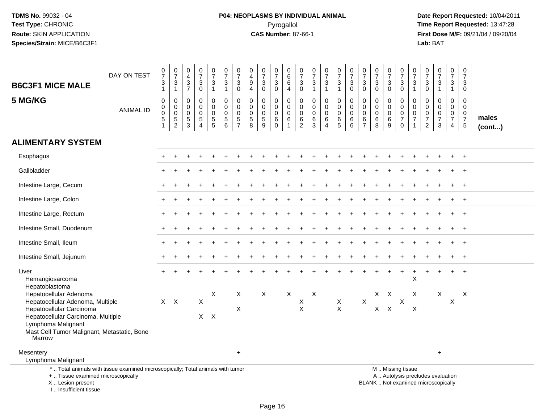# **P04: NEOPLASMS BY INDIVIDUAL ANIMAL**Pyrogallol **Time Report Requested:** 13:47:28

 **Date Report Requested:** 10/04/2011 **First Dose M/F:** 09/21/04 / 09/20/04<br>Lab: BAT **Lab:** BAT

| <b>B6C3F1 MICE MALE</b>                                                                                                                    | DAY ON TEST      | $\frac{0}{7}$<br>$\ensuremath{\mathsf{3}}$<br>$\mathbf{1}$       | $\frac{0}{7}$<br>$\frac{3}{1}$                                   | $\mathbf 0$<br>$\overline{4}$<br>$\frac{3}{7}$      | $\frac{0}{7}$<br>$\ensuremath{\mathsf{3}}$<br>$\mathbf 0$ | $\frac{0}{7}$<br>$\mathbf{3}$<br>$\mathbf{1}$ | $\begin{smallmatrix}0\\7\end{smallmatrix}$<br>$\sqrt{3}$<br>$\mathbf{1}$ | $\frac{0}{7}$<br>$\sqrt{3}$<br>$\mathbf 0$               | $\mathbf 0$<br>$\overline{4}$<br>$\boldsymbol{9}$<br>$\overline{4}$     | $\begin{array}{c} 0 \\ 7 \end{array}$<br>$\mathbf{3}$<br>$\mathbf 0$      | $\begin{smallmatrix}0\\7\end{smallmatrix}$<br>$\sqrt{3}$<br>$\mathbf 0$ | $\,0\,$<br>$6\phantom{1}6$<br>$\,6$<br>$\overline{4}$                        | 0<br>$\overline{7}$<br>$\mathbf{3}$<br>$\mathbf 0$     | $\begin{array}{c} 0 \\ 7 \end{array}$<br>$\ensuremath{\mathsf{3}}$<br>$\mathbf{1}$ | $\frac{0}{7}$<br>$\ensuremath{\mathsf{3}}$<br>$\mathbf{1}$ | $\begin{array}{c} 0 \\ 7 \end{array}$<br>$\ensuremath{\mathsf{3}}$<br>$\mathbf{1}$ | $\frac{0}{7}$<br>$\sqrt{3}$<br>$\mathbf 0$                            | $\frac{0}{7}$<br>$\mathbf{3}$<br>$\mathbf 0$        | $\frac{0}{7}$<br>$\mathbf{3}$<br>$\mathbf 0$                   | $\frac{0}{7}$<br>3<br>$\mathbf 0$ | $\frac{0}{7}$<br>$\frac{3}{0}$                                                                | $\frac{0}{7}$<br>$\mathbf{3}$<br>$\mathbf{1}$                   | 0<br>$\overline{7}$<br>$\ensuremath{\mathsf{3}}$<br>0                 | $\begin{array}{c} 0 \\ 7 \end{array}$<br>$\frac{3}{1}$      | $\frac{0}{7}$<br>$\ensuremath{\mathsf{3}}$<br>$\overline{1}$ | $\pmb{0}$<br>$\overline{7}$<br>$\ensuremath{\mathsf{3}}$<br>$\mathbf 0$    |                 |
|--------------------------------------------------------------------------------------------------------------------------------------------|------------------|------------------------------------------------------------------|------------------------------------------------------------------|-----------------------------------------------------|-----------------------------------------------------------|-----------------------------------------------|--------------------------------------------------------------------------|----------------------------------------------------------|-------------------------------------------------------------------------|---------------------------------------------------------------------------|-------------------------------------------------------------------------|------------------------------------------------------------------------------|--------------------------------------------------------|------------------------------------------------------------------------------------|------------------------------------------------------------|------------------------------------------------------------------------------------|-----------------------------------------------------------------------|-----------------------------------------------------|----------------------------------------------------------------|-----------------------------------|-----------------------------------------------------------------------------------------------|-----------------------------------------------------------------|-----------------------------------------------------------------------|-------------------------------------------------------------|--------------------------------------------------------------|----------------------------------------------------------------------------|-----------------|
| 5 MG/KG                                                                                                                                    | <b>ANIMAL ID</b> | $\mathbf 0$<br>$\mathsf{O}\xspace$<br>$\mathbf 0$<br>$\,$ 5 $\,$ | $\mathbf 0$<br>$\pmb{0}$<br>$\mathsf{O}\xspace$<br>$\frac{5}{2}$ | $\mathbf 0$<br>$\mathbf 0$<br>$\mathbf 0$<br>5<br>3 | $\Omega$<br>$\Omega$<br>$\mathbf 0$<br>$\sqrt{5}$<br>4    | 0<br>$\mathbf 0$<br>0<br>$\frac{5}{5}$        | 0<br>$\mathbf 0$<br>0<br>5<br>$6\phantom{a}$                             | $\mathbf 0$<br>$\mathbf 0$<br>$\pmb{0}$<br>$\frac{5}{7}$ | $\Omega$<br>$\Omega$<br>$\mathbf 0$<br>$\overline{5}$<br>$\overline{8}$ | $\mathbf 0$<br>$\mathbf 0$<br>$\mathbf 0$<br>$\sqrt{5}$<br>$\overline{9}$ | 0<br>$\mathbf 0$<br>0<br>$\,6$<br>$\Omega$                              | $\mathbf 0$<br>$\mathbf 0$<br>$\mathbf 0$<br>$6\phantom{1}6$<br>$\mathbf{1}$ | 0<br>$\mathbf 0$<br>$\mathbf 0$<br>6<br>$\overline{2}$ | $\mathbf 0$<br>$\Omega$<br>$\mathbf 0$<br>6<br>$\overline{3}$                      | 0<br>$\mathbf 0$<br>$\pmb{0}$<br>6<br>4                    | 0<br>$\mathbf 0$<br>0<br>$\,6\,$<br>$\overline{5}$                                 | $\mathbf 0$<br>$\mathbf 0$<br>$\mathbf 0$<br>$\,6$<br>$6\phantom{1}6$ | 0<br>$\Omega$<br>$\mathbf 0$<br>6<br>$\overline{7}$ | $\Omega$<br>$\mathbf 0$<br>$\mathbf 0$<br>$6\phantom{1}6$<br>8 | 0<br>$\Omega$<br>0<br>6<br>9      | 0<br>$\pmb{0}$<br>$\pmb{0}$<br>$\overline{7}$<br>$\mathbf 0$                                  | 0<br>$\mathbf 0$<br>$\pmb{0}$<br>$\overline{7}$<br>$\mathbf{1}$ | $\Omega$<br>$\mathbf{0}$<br>$\pmb{0}$<br>$\overline{7}$<br>$\sqrt{2}$ | $\mathbf 0$<br>$\mathbf 0$<br>$\frac{0}{7}$<br>$\mathbf{3}$ | 0<br>$\mathbf 0$<br>$\mathbf 0$<br>$\overline{7}$<br>4       | $\mathbf 0$<br>$\Omega$<br>$\mathbf 0$<br>$\overline{7}$<br>$\overline{5}$ | males<br>(cont) |
| <b>ALIMENTARY SYSTEM</b>                                                                                                                   |                  |                                                                  |                                                                  |                                                     |                                                           |                                               |                                                                          |                                                          |                                                                         |                                                                           |                                                                         |                                                                              |                                                        |                                                                                    |                                                            |                                                                                    |                                                                       |                                                     |                                                                |                                   |                                                                                               |                                                                 |                                                                       |                                                             |                                                              |                                                                            |                 |
| Esophagus                                                                                                                                  |                  |                                                                  |                                                                  |                                                     |                                                           |                                               |                                                                          |                                                          |                                                                         |                                                                           |                                                                         |                                                                              |                                                        |                                                                                    |                                                            |                                                                                    |                                                                       |                                                     |                                                                |                                   |                                                                                               |                                                                 |                                                                       |                                                             |                                                              | $+$                                                                        |                 |
| Gallbladder                                                                                                                                |                  |                                                                  |                                                                  |                                                     |                                                           |                                               |                                                                          |                                                          |                                                                         |                                                                           |                                                                         |                                                                              |                                                        |                                                                                    |                                                            |                                                                                    |                                                                       |                                                     |                                                                |                                   |                                                                                               |                                                                 |                                                                       |                                                             |                                                              | $\div$                                                                     |                 |
| Intestine Large, Cecum                                                                                                                     |                  |                                                                  |                                                                  |                                                     |                                                           |                                               |                                                                          |                                                          |                                                                         |                                                                           |                                                                         |                                                                              |                                                        |                                                                                    |                                                            |                                                                                    |                                                                       |                                                     |                                                                |                                   |                                                                                               |                                                                 |                                                                       |                                                             |                                                              |                                                                            |                 |
| Intestine Large, Colon                                                                                                                     |                  |                                                                  |                                                                  |                                                     |                                                           |                                               |                                                                          |                                                          |                                                                         |                                                                           |                                                                         |                                                                              |                                                        |                                                                                    |                                                            |                                                                                    |                                                                       |                                                     |                                                                |                                   |                                                                                               |                                                                 |                                                                       |                                                             |                                                              |                                                                            |                 |
| Intestine Large, Rectum                                                                                                                    |                  |                                                                  |                                                                  |                                                     |                                                           |                                               |                                                                          |                                                          |                                                                         |                                                                           |                                                                         |                                                                              |                                                        |                                                                                    |                                                            |                                                                                    |                                                                       |                                                     |                                                                |                                   |                                                                                               |                                                                 |                                                                       |                                                             |                                                              | $\ddot{}$                                                                  |                 |
| Intestine Small, Duodenum                                                                                                                  |                  |                                                                  |                                                                  |                                                     |                                                           |                                               |                                                                          |                                                          |                                                                         |                                                                           |                                                                         |                                                                              |                                                        |                                                                                    |                                                            |                                                                                    |                                                                       |                                                     |                                                                |                                   |                                                                                               |                                                                 |                                                                       |                                                             |                                                              |                                                                            |                 |
| Intestine Small, Ileum                                                                                                                     |                  |                                                                  |                                                                  |                                                     |                                                           |                                               |                                                                          |                                                          |                                                                         |                                                                           |                                                                         |                                                                              |                                                        |                                                                                    |                                                            |                                                                                    |                                                                       |                                                     |                                                                |                                   |                                                                                               |                                                                 |                                                                       |                                                             |                                                              | $\overline{+}$                                                             |                 |
| Intestine Small, Jejunum                                                                                                                   |                  |                                                                  |                                                                  |                                                     |                                                           |                                               |                                                                          |                                                          |                                                                         |                                                                           |                                                                         |                                                                              |                                                        |                                                                                    |                                                            |                                                                                    |                                                                       |                                                     |                                                                |                                   |                                                                                               |                                                                 |                                                                       |                                                             |                                                              |                                                                            |                 |
| Liver<br>Hemangiosarcoma<br>Hepatoblastoma                                                                                                 |                  |                                                                  |                                                                  |                                                     |                                                           |                                               |                                                                          |                                                          |                                                                         |                                                                           |                                                                         |                                                                              |                                                        |                                                                                    |                                                            |                                                                                    |                                                                       |                                                     |                                                                |                                   |                                                                                               | $\pmb{\times}$                                                  |                                                                       |                                                             | $+$                                                          | $\overline{+}$                                                             |                 |
| Hepatocellular Adenoma<br>Hepatocellular Adenoma, Multiple<br>Hepatocellular Carcinoma                                                     |                  |                                                                  | $X$ $X$                                                          |                                                     | $\mathsf{X}$                                              | X                                             |                                                                          | Χ<br>X                                                   |                                                                         | X                                                                         |                                                                         | X                                                                            | Χ<br>$\pmb{\times}$                                    | X                                                                                  |                                                            | $\mathsf X$<br>$\mathsf{X}$                                                        |                                                                       | $\mathsf{X}$                                        |                                                                | $X$ $X$<br>$X$ $X$                | $\mathsf{X}$                                                                                  | X<br>X                                                          |                                                                       | X                                                           | $\times$                                                     | X                                                                          |                 |
| Hepatocellular Carcinoma, Multiple<br>Lymphoma Malignant<br>Mast Cell Tumor Malignant, Metastatic, Bone<br>Marrow                          |                  |                                                                  |                                                                  |                                                     |                                                           | $X$ $X$                                       |                                                                          |                                                          |                                                                         |                                                                           |                                                                         |                                                                              |                                                        |                                                                                    |                                                            |                                                                                    |                                                                       |                                                     |                                                                |                                   |                                                                                               |                                                                 |                                                                       |                                                             |                                                              |                                                                            |                 |
| Mesentery<br>Lymphoma Malignant                                                                                                            |                  |                                                                  |                                                                  |                                                     |                                                           |                                               |                                                                          | $\ddot{}$                                                |                                                                         |                                                                           |                                                                         |                                                                              |                                                        |                                                                                    |                                                            |                                                                                    |                                                                       |                                                     |                                                                |                                   |                                                                                               |                                                                 |                                                                       | $\ddot{}$                                                   |                                                              |                                                                            |                 |
| *  Total animals with tissue examined microscopically; Total animals with tumor<br>+  Tissue examined microscopically<br>X  Lesion present |                  |                                                                  |                                                                  |                                                     |                                                           |                                               |                                                                          |                                                          |                                                                         |                                                                           |                                                                         |                                                                              |                                                        |                                                                                    |                                                            |                                                                                    |                                                                       |                                                     |                                                                |                                   | M  Missing tissue<br>A  Autolysis precludes evaluation<br>BLANK  Not examined microscopically |                                                                 |                                                                       |                                                             |                                                              |                                                                            |                 |

I .. Insufficient tissue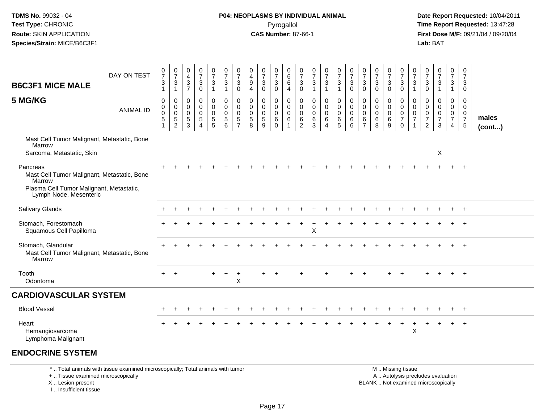#### **P04: NEOPLASMS BY INDIVIDUAL ANIMAL**Pyrogallol **Time Report Requested:** 13:47:28

 **Date Report Requested:** 10/04/2011 **First Dose M/F:** 09/21/04 / 09/20/04<br>**Lab:** BAT **Lab:** BAT

| DAY ON TEST<br><b>B6C3F1 MICE MALE</b><br>5 MG/KG                                                                                       | <b>ANIMAL ID</b> | $\frac{0}{7}$<br>$\ensuremath{\mathsf{3}}$<br>$\mathbf{1}$<br>$\mathbf 0$<br>$\mathbf 0$<br>$\mathbf 0$<br>$\sqrt{5}$<br>$\mathbf{1}$ | $\frac{0}{7}$<br>3<br>$\mathbf{1}$<br>$\mathbf 0$<br>$\mathbf 0$<br>$\mathbf 0$<br>5<br>$\overline{2}$ | $\pmb{0}$<br>$\overline{\mathbf{4}}$<br>$\ensuremath{\mathsf{3}}$<br>$\overline{7}$<br>0<br>0<br>$\mathbf 0$<br>5<br>3 | $\begin{smallmatrix}0\\7\end{smallmatrix}$<br>$\ensuremath{\mathsf{3}}$<br>$\mathsf{O}\xspace$<br>$\mathbf 0$<br>$\mathbf 0$<br>$\mathbf 0$<br>$\sqrt{5}$<br>$\overline{A}$ | $\frac{0}{7}$<br>$\ensuremath{\mathsf{3}}$<br>$\overline{1}$<br>0<br>0<br>$\mathbf 0$<br>$\sqrt{5}$<br>5 | $\frac{0}{7}$<br>$\sqrt{3}$<br>$\mathbf{1}$<br>$\pmb{0}$<br>$\mathsf{O}\xspace$<br>$\overline{0}$<br>$\overline{5}$<br>6 | $\frac{0}{7}$<br>3<br>$\mathbf 0$<br>$\mathbf 0$<br>$\mathbf 0$<br>$\mathbf 0$<br>5<br>$\overline{7}$ | $\boldsymbol{0}$<br>$\overline{4}$<br>$\boldsymbol{9}$<br>$\overline{4}$<br>$\pmb{0}$<br>$\mathbf 0$<br>$\Omega$<br>$\sqrt{5}$<br>8 | $\frac{0}{7}$<br>$\sqrt{3}$<br>$\mathbf 0$<br>0<br>0<br>$\mathbf 0$<br>$\sqrt{5}$<br>9 | $\frac{0}{7}$<br>$\ensuremath{\mathsf{3}}$<br>$\mathbf 0$<br>$\mathbf 0$<br>0<br>$\mathbf 0$<br>6<br>$\mathbf{0}$ | 0<br>$\,6\,$<br>$\,6\,$<br>$\overline{4}$<br>$\mathsf 0$<br>$\mathbf 0$<br>$\mathbf 0$<br>6<br>$\mathbf{1}$ | $\frac{0}{7}$<br>$\sqrt{3}$<br>$\boldsymbol{0}$<br>$\mathbf 0$<br>$\mathbf 0$<br>$\mathbf 0$<br>$6\phantom{1}6$<br>$\overline{2}$ | $\frac{0}{7}$<br>$\ensuremath{\mathsf{3}}$<br>$\mathbf{1}$<br>$\mathbf 0$<br>$\mathbf 0$<br>$\mathbf 0$<br>6<br>$\mathbf{3}$ | $\frac{0}{7}$<br>$\mathbf{3}$<br>$\mathbf{1}$<br>$\mathsf{O}$<br>$\mathbf 0$<br>$\mathbf 0$<br>6<br>4 | $\frac{0}{7}$<br>$\mathbf{3}$<br>$\mathbf{1}$<br>0<br>$\overline{0}$<br>$\mathbf 0$<br>6<br>5 | $\frac{0}{7}$<br>$\sqrt{3}$<br>$\mathbf 0$<br>$\mathbf 0$<br>$\pmb{0}$<br>$\mathbf 0$<br>$\,6$<br>6 | $\frac{0}{7}$<br>$\sqrt{3}$<br>$\pmb{0}$<br>0<br>0<br>$\Omega$<br>$\,6$<br>$\overline{7}$ | $\frac{0}{7}$<br>$\mathbf{3}$<br>$\mathbf 0$<br>$\mathbf 0$<br>$\mathbf 0$<br>$\mathbf 0$<br>6<br>8 | $\frac{0}{7}$<br>3<br>$\mathbf 0$<br>0<br>$\mathbf 0$<br>$\Omega$<br>6<br>9 | $\frac{0}{7}$<br>$\mathbf{3}$<br>$\mathbf 0$<br>$\mathbf 0$<br>$\mathbf 0$<br>$\mathbf 0$<br>$\overline{7}$<br>0 | $\frac{0}{7}$<br>$\sqrt{3}$<br>$\overline{1}$<br>$\mathbf 0$<br>0<br>$\mathsf 0$<br>$\overline{7}$ | $\frac{0}{7}$<br>$\ensuremath{\mathsf{3}}$<br>$\mathbf 0$<br>0<br>$\mathbf 0$<br>$\mathbf 0$<br>$\overline{7}$<br>$\overline{2}$ | $\frac{0}{7}$<br>$\frac{3}{1}$<br>$\mathbf 0$<br>$\mathbf 0$<br>$\mathbf 0$<br>$\overline{7}$<br>3 | $\frac{0}{7}$<br>3<br>$\mathbf{1}$<br>0<br>$\overline{0}$<br>$\mathbf 0$<br>$\overline{7}$<br>$\overline{4}$ | $\frac{0}{7}$<br>$\mathbf{3}$<br>$\mathsf{O}\xspace$<br>0<br>$\mathbf 0$<br>$\mathbf 0$<br>$\overline{7}$<br>$5\phantom{.0}$ | males<br>$($ cont $)$ |
|-----------------------------------------------------------------------------------------------------------------------------------------|------------------|---------------------------------------------------------------------------------------------------------------------------------------|--------------------------------------------------------------------------------------------------------|------------------------------------------------------------------------------------------------------------------------|-----------------------------------------------------------------------------------------------------------------------------------------------------------------------------|----------------------------------------------------------------------------------------------------------|--------------------------------------------------------------------------------------------------------------------------|-------------------------------------------------------------------------------------------------------|-------------------------------------------------------------------------------------------------------------------------------------|----------------------------------------------------------------------------------------|-------------------------------------------------------------------------------------------------------------------|-------------------------------------------------------------------------------------------------------------|-----------------------------------------------------------------------------------------------------------------------------------|------------------------------------------------------------------------------------------------------------------------------|-------------------------------------------------------------------------------------------------------|-----------------------------------------------------------------------------------------------|-----------------------------------------------------------------------------------------------------|-------------------------------------------------------------------------------------------|-----------------------------------------------------------------------------------------------------|-----------------------------------------------------------------------------|------------------------------------------------------------------------------------------------------------------|----------------------------------------------------------------------------------------------------|----------------------------------------------------------------------------------------------------------------------------------|----------------------------------------------------------------------------------------------------|--------------------------------------------------------------------------------------------------------------|------------------------------------------------------------------------------------------------------------------------------|-----------------------|
| Mast Cell Tumor Malignant, Metastatic, Bone<br>Marrow<br>Sarcoma, Metastatic, Skin                                                      |                  |                                                                                                                                       |                                                                                                        |                                                                                                                        |                                                                                                                                                                             |                                                                                                          |                                                                                                                          |                                                                                                       |                                                                                                                                     |                                                                                        |                                                                                                                   |                                                                                                             |                                                                                                                                   |                                                                                                                              |                                                                                                       |                                                                                               |                                                                                                     |                                                                                           |                                                                                                     |                                                                             |                                                                                                                  |                                                                                                    |                                                                                                                                  | $\boldsymbol{\mathsf{X}}$                                                                          |                                                                                                              |                                                                                                                              |                       |
| Pancreas<br>Mast Cell Tumor Malignant, Metastatic, Bone<br>Marrow<br>Plasma Cell Tumor Malignant, Metastatic,<br>Lymph Node, Mesenteric |                  |                                                                                                                                       |                                                                                                        |                                                                                                                        |                                                                                                                                                                             |                                                                                                          |                                                                                                                          |                                                                                                       |                                                                                                                                     |                                                                                        |                                                                                                                   |                                                                                                             |                                                                                                                                   |                                                                                                                              |                                                                                                       |                                                                                               |                                                                                                     |                                                                                           |                                                                                                     |                                                                             |                                                                                                                  |                                                                                                    |                                                                                                                                  |                                                                                                    |                                                                                                              |                                                                                                                              |                       |
| <b>Salivary Glands</b>                                                                                                                  |                  |                                                                                                                                       |                                                                                                        |                                                                                                                        |                                                                                                                                                                             |                                                                                                          |                                                                                                                          |                                                                                                       |                                                                                                                                     |                                                                                        |                                                                                                                   |                                                                                                             |                                                                                                                                   |                                                                                                                              |                                                                                                       |                                                                                               |                                                                                                     |                                                                                           |                                                                                                     |                                                                             |                                                                                                                  |                                                                                                    |                                                                                                                                  |                                                                                                    |                                                                                                              |                                                                                                                              |                       |
| Stomach, Forestomach<br>Squamous Cell Papilloma                                                                                         |                  |                                                                                                                                       |                                                                                                        |                                                                                                                        |                                                                                                                                                                             |                                                                                                          |                                                                                                                          |                                                                                                       |                                                                                                                                     |                                                                                        |                                                                                                                   |                                                                                                             |                                                                                                                                   | X                                                                                                                            |                                                                                                       |                                                                                               |                                                                                                     |                                                                                           |                                                                                                     |                                                                             |                                                                                                                  |                                                                                                    |                                                                                                                                  |                                                                                                    |                                                                                                              |                                                                                                                              |                       |
| Stomach, Glandular<br>Mast Cell Tumor Malignant, Metastatic, Bone<br>Marrow                                                             |                  |                                                                                                                                       |                                                                                                        |                                                                                                                        |                                                                                                                                                                             |                                                                                                          |                                                                                                                          |                                                                                                       |                                                                                                                                     |                                                                                        |                                                                                                                   |                                                                                                             |                                                                                                                                   |                                                                                                                              |                                                                                                       |                                                                                               |                                                                                                     |                                                                                           |                                                                                                     |                                                                             |                                                                                                                  |                                                                                                    |                                                                                                                                  |                                                                                                    |                                                                                                              | $+$                                                                                                                          |                       |
| Tooth<br>Odontoma                                                                                                                       |                  |                                                                                                                                       | $\overline{ }$                                                                                         |                                                                                                                        |                                                                                                                                                                             |                                                                                                          |                                                                                                                          | $\mathsf X$                                                                                           |                                                                                                                                     |                                                                                        |                                                                                                                   |                                                                                                             |                                                                                                                                   |                                                                                                                              |                                                                                                       |                                                                                               |                                                                                                     |                                                                                           |                                                                                                     |                                                                             |                                                                                                                  |                                                                                                    |                                                                                                                                  |                                                                                                    |                                                                                                              |                                                                                                                              |                       |
| <b>CARDIOVASCULAR SYSTEM</b>                                                                                                            |                  |                                                                                                                                       |                                                                                                        |                                                                                                                        |                                                                                                                                                                             |                                                                                                          |                                                                                                                          |                                                                                                       |                                                                                                                                     |                                                                                        |                                                                                                                   |                                                                                                             |                                                                                                                                   |                                                                                                                              |                                                                                                       |                                                                                               |                                                                                                     |                                                                                           |                                                                                                     |                                                                             |                                                                                                                  |                                                                                                    |                                                                                                                                  |                                                                                                    |                                                                                                              |                                                                                                                              |                       |
| <b>Blood Vessel</b>                                                                                                                     |                  |                                                                                                                                       |                                                                                                        |                                                                                                                        |                                                                                                                                                                             |                                                                                                          |                                                                                                                          |                                                                                                       |                                                                                                                                     |                                                                                        |                                                                                                                   |                                                                                                             |                                                                                                                                   |                                                                                                                              |                                                                                                       |                                                                                               |                                                                                                     |                                                                                           |                                                                                                     |                                                                             |                                                                                                                  |                                                                                                    |                                                                                                                                  |                                                                                                    |                                                                                                              | $+$                                                                                                                          |                       |
| Heart<br>Hemangiosarcoma<br>Lymphoma Malignant                                                                                          |                  |                                                                                                                                       |                                                                                                        |                                                                                                                        |                                                                                                                                                                             |                                                                                                          |                                                                                                                          |                                                                                                       |                                                                                                                                     |                                                                                        |                                                                                                                   |                                                                                                             |                                                                                                                                   |                                                                                                                              |                                                                                                       |                                                                                               |                                                                                                     |                                                                                           |                                                                                                     |                                                                             |                                                                                                                  | $\boldsymbol{\mathsf{X}}$                                                                          |                                                                                                                                  |                                                                                                    | $\ddot{}$                                                                                                    |                                                                                                                              |                       |

#### **ENDOCRINE SYSTEM**

\* .. Total animals with tissue examined microscopically; Total animals with tumor

+ .. Tissue examined microscopically

X .. Lesion present

I .. Insufficient tissue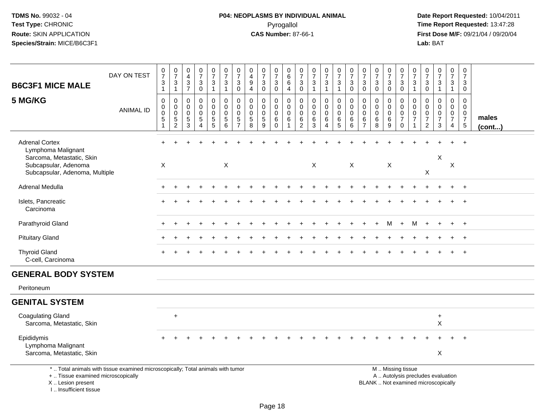# **P04: NEOPLASMS BY INDIVIDUAL ANIMAL**Pyrogallol **Time Report Requested:** 13:47:28

 **Date Report Requested:** 10/04/2011 **First Dose M/F:** 09/21/04 / 09/20/04<br>Lab: BAT **Lab:** BAT

| <b>B6C3F1 MICE MALE</b>                                                                                                                    | DAY ON TEST      | $\frac{0}{7}$<br>$\mathbf{3}$<br>$\mathbf{1}$                                      | $\frac{0}{7}$<br>$\mathbf{3}$<br>$\mathbf{1}$                           | 0<br>$\overline{4}$<br>$\mathsf 3$<br>$\overline{7}$ | $\frac{0}{7}$<br>$\sqrt{3}$<br>$\mathbf 0$                                | $\frac{0}{7}$<br>$\mathbf{3}$<br>$\mathbf{1}$                   | $\frac{0}{7}$<br>3<br>$\mathbf{1}$                           | $\frac{0}{7}$<br>$\sqrt{3}$<br>$\mathbf 0$                      | 0<br>$\overline{4}$<br>$\boldsymbol{9}$<br>$\overline{4}$  | $\frac{0}{7}$<br>$\sqrt{3}$<br>$\Omega$                    | $\frac{0}{7}$<br>$\ensuremath{\mathsf{3}}$<br>$\mathbf 0$           | 0<br>$\,6\,$<br>$\,6$<br>$\overline{4}$                          | $\frac{0}{7}$<br>$\mathbf{3}$<br>$\overline{0}$                  | $\frac{0}{7}$<br>$\mathbf{3}$<br>$\mathbf{1}$       | $\frac{0}{7}$<br>3<br>$\mathbf{1}$                               | $\begin{smallmatrix}0\\7\end{smallmatrix}$<br>$\mathbf 3$<br>$\mathbf{1}$ | $\frac{0}{7}$<br>$\sqrt{3}$<br>$\mathbf 0$                | $\frac{0}{7}$<br>3<br>$\mathbf 0$                      | $\frac{0}{7}$<br>$\sqrt{3}$<br>$\Omega$                   | $\frac{0}{7}$<br>$\mathbf{3}$<br>$\mathbf 0$              | $\frac{0}{7}$<br>$\mathbf{3}$<br>$\mathbf 0$                               | $\frac{0}{7}$<br>$\sqrt{3}$<br>$\mathbf{1}$                      | $\frac{0}{7}$<br>$\mathbf{3}$<br>$\mathbf 0$           | $\begin{smallmatrix}0\\7\end{smallmatrix}$<br>$\sqrt{3}$<br>$\overline{1}$ | $\frac{0}{7}$<br>$\mathbf{3}$<br>$\mathbf{1}$                        | 0<br>$\overline{7}$<br>3<br>$\mathbf 0$                                       |                       |
|--------------------------------------------------------------------------------------------------------------------------------------------|------------------|------------------------------------------------------------------------------------|-------------------------------------------------------------------------|------------------------------------------------------|---------------------------------------------------------------------------|-----------------------------------------------------------------|--------------------------------------------------------------|-----------------------------------------------------------------|------------------------------------------------------------|------------------------------------------------------------|---------------------------------------------------------------------|------------------------------------------------------------------|------------------------------------------------------------------|-----------------------------------------------------|------------------------------------------------------------------|---------------------------------------------------------------------------|-----------------------------------------------------------|--------------------------------------------------------|-----------------------------------------------------------|-----------------------------------------------------------|----------------------------------------------------------------------------|------------------------------------------------------------------|--------------------------------------------------------|----------------------------------------------------------------------------|----------------------------------------------------------------------|-------------------------------------------------------------------------------|-----------------------|
| 5 MG/KG                                                                                                                                    | <b>ANIMAL ID</b> | $\mathbf 0$<br>$\mathsf{O}$<br>$\mathsf{O}\xspace$<br>$\sqrt{5}$<br>$\overline{1}$ | $\pmb{0}$<br>$\mathbf 0$<br>$\mathsf 0$<br>$\sqrt{5}$<br>$\overline{2}$ | 0<br>$\mathbf{0}$<br>$\mathbf 0$<br>5<br>3           | $\mathbf 0$<br>$\mathbf 0$<br>$\mathbf 0$<br>$\sqrt{5}$<br>$\overline{4}$ | $\mathbf 0$<br>0<br>$\mathbf 0$<br>$\sqrt{5}$<br>$\overline{5}$ | $\mathbf 0$<br>$\mathbf 0$<br>$\mathbf 0$<br>$\sqrt{5}$<br>6 | $\mathbf 0$<br>0<br>$\mathbf 0$<br>$\sqrt{5}$<br>$\overline{7}$ | $\Omega$<br>$\mathbf{0}$<br>$\mathbf 0$<br>$\sqrt{5}$<br>8 | $\mathbf 0$<br>0<br>$\mathsf{O}\xspace$<br>$\sqrt{5}$<br>9 | $\mathbf 0$<br>$\mathbf 0$<br>$\mathbf 0$<br>$\,6\,$<br>$\mathbf 0$ | $\mathbf 0$<br>$\mathbf 0$<br>$\mathbf 0$<br>6<br>$\overline{1}$ | $\mathbf 0$<br>$\mathbf 0$<br>$\mathbf 0$<br>6<br>$\overline{2}$ | $\mathbf 0$<br>$\mathbf 0$<br>$\mathbf 0$<br>6<br>3 | $\mathbf 0$<br>$\mathbf 0$<br>$\mathbf 0$<br>6<br>$\overline{4}$ | 0<br>$\mathbf 0$<br>$\mathbf 0$<br>6<br>$\overline{5}$                    | $\mathbf 0$<br>$\mathbf 0$<br>$\mathbf 0$<br>$\,6\,$<br>6 | 0<br>$\mathbf 0$<br>$\mathbf 0$<br>6<br>$\overline{7}$ | $\mathbf 0$<br>$\mathbf 0$<br>$\mathbf 0$<br>$\,6\,$<br>8 | $\mathbf 0$<br>$\mathbf 0$<br>$\mathbf 0$<br>$\,6\,$<br>9 | $\mathbf 0$<br>$\mathbf 0$<br>$\mathbf 0$<br>$\overline{7}$<br>$\mathbf 0$ | $\mathbf 0$<br>$\mathbf 0$<br>$\mathbf 0$<br>$\overline{7}$<br>1 | $\Omega$<br>0<br>0<br>$\overline{7}$<br>$\overline{2}$ | $\mathbf 0$<br>0<br>$\mathbf 0$<br>$\overline{7}$<br>3                     | $\mathbf 0$<br>$\mathbf 0$<br>0<br>$7\overline{ }$<br>$\overline{4}$ | $\mathbf 0$<br>$\mathbf 0$<br>$\mathbf 0$<br>$\overline{7}$<br>$\overline{5}$ | males<br>$($ cont $)$ |
| <b>Adrenal Cortex</b><br>Lymphoma Malignant<br>Sarcoma, Metastatic, Skin<br>Subcapsular, Adenoma<br>Subcapsular, Adenoma, Multiple         |                  | $\pmb{\times}$                                                                     |                                                                         |                                                      |                                                                           |                                                                 | $\boldsymbol{\mathsf{X}}$                                    |                                                                 |                                                            |                                                            |                                                                     |                                                                  |                                                                  | $\mathsf X$                                         |                                                                  |                                                                           | X                                                         |                                                        |                                                           | X                                                         |                                                                            |                                                                  | X                                                      | X                                                                          | $+$<br>$\boldsymbol{\mathsf{X}}$                                     | $+$                                                                           |                       |
| Adrenal Medulla                                                                                                                            |                  |                                                                                    |                                                                         |                                                      |                                                                           |                                                                 |                                                              |                                                                 |                                                            |                                                            |                                                                     |                                                                  |                                                                  |                                                     |                                                                  |                                                                           |                                                           |                                                        |                                                           |                                                           |                                                                            |                                                                  |                                                        |                                                                            |                                                                      | $+$                                                                           |                       |
| Islets, Pancreatic<br>Carcinoma                                                                                                            |                  |                                                                                    |                                                                         |                                                      |                                                                           |                                                                 |                                                              |                                                                 |                                                            |                                                            |                                                                     |                                                                  |                                                                  |                                                     |                                                                  |                                                                           |                                                           |                                                        |                                                           |                                                           |                                                                            |                                                                  |                                                        |                                                                            |                                                                      | $\ddot{}$                                                                     |                       |
| Parathyroid Gland                                                                                                                          |                  |                                                                                    |                                                                         |                                                      |                                                                           |                                                                 |                                                              |                                                                 |                                                            |                                                            |                                                                     |                                                                  |                                                                  |                                                     |                                                                  |                                                                           |                                                           |                                                        |                                                           | M                                                         | $+$                                                                        | м                                                                |                                                        |                                                                            |                                                                      | $+$                                                                           |                       |
| <b>Pituitary Gland</b>                                                                                                                     |                  |                                                                                    |                                                                         |                                                      |                                                                           |                                                                 |                                                              |                                                                 |                                                            |                                                            |                                                                     |                                                                  |                                                                  |                                                     |                                                                  |                                                                           |                                                           |                                                        |                                                           |                                                           |                                                                            |                                                                  |                                                        |                                                                            | $\ddot{}$                                                            | $+$                                                                           |                       |
| <b>Thyroid Gland</b><br>C-cell, Carcinoma                                                                                                  |                  |                                                                                    |                                                                         |                                                      |                                                                           |                                                                 |                                                              |                                                                 |                                                            |                                                            |                                                                     |                                                                  |                                                                  |                                                     |                                                                  |                                                                           |                                                           |                                                        |                                                           |                                                           |                                                                            |                                                                  |                                                        |                                                                            |                                                                      |                                                                               |                       |
| <b>GENERAL BODY SYSTEM</b>                                                                                                                 |                  |                                                                                    |                                                                         |                                                      |                                                                           |                                                                 |                                                              |                                                                 |                                                            |                                                            |                                                                     |                                                                  |                                                                  |                                                     |                                                                  |                                                                           |                                                           |                                                        |                                                           |                                                           |                                                                            |                                                                  |                                                        |                                                                            |                                                                      |                                                                               |                       |
| Peritoneum                                                                                                                                 |                  |                                                                                    |                                                                         |                                                      |                                                                           |                                                                 |                                                              |                                                                 |                                                            |                                                            |                                                                     |                                                                  |                                                                  |                                                     |                                                                  |                                                                           |                                                           |                                                        |                                                           |                                                           |                                                                            |                                                                  |                                                        |                                                                            |                                                                      |                                                                               |                       |
| <b>GENITAL SYSTEM</b>                                                                                                                      |                  |                                                                                    |                                                                         |                                                      |                                                                           |                                                                 |                                                              |                                                                 |                                                            |                                                            |                                                                     |                                                                  |                                                                  |                                                     |                                                                  |                                                                           |                                                           |                                                        |                                                           |                                                           |                                                                            |                                                                  |                                                        |                                                                            |                                                                      |                                                                               |                       |
| <b>Coagulating Gland</b><br>Sarcoma, Metastatic, Skin                                                                                      |                  |                                                                                    | $\ddot{}$                                                               |                                                      |                                                                           |                                                                 |                                                              |                                                                 |                                                            |                                                            |                                                                     |                                                                  |                                                                  |                                                     |                                                                  |                                                                           |                                                           |                                                        |                                                           |                                                           |                                                                            |                                                                  |                                                        | $\ddot{}$<br>X                                                             |                                                                      |                                                                               |                       |
| Epididymis<br>Lymphoma Malignant<br>Sarcoma, Metastatic, Skin                                                                              |                  |                                                                                    |                                                                         |                                                      |                                                                           |                                                                 |                                                              |                                                                 |                                                            |                                                            |                                                                     |                                                                  |                                                                  |                                                     |                                                                  |                                                                           |                                                           |                                                        |                                                           |                                                           |                                                                            |                                                                  |                                                        | X                                                                          |                                                                      |                                                                               |                       |
| *  Total animals with tissue examined microscopically; Total animals with tumor<br>+  Tissue examined microscopically<br>X  Lesion present |                  |                                                                                    |                                                                         |                                                      |                                                                           |                                                                 |                                                              |                                                                 |                                                            |                                                            |                                                                     |                                                                  |                                                                  |                                                     |                                                                  |                                                                           |                                                           |                                                        |                                                           |                                                           | M  Missing tissue                                                          |                                                                  |                                                        | A  Autolysis precludes evaluation<br>BLANK  Not examined microscopically   |                                                                      |                                                                               |                       |

I .. Insufficient tissue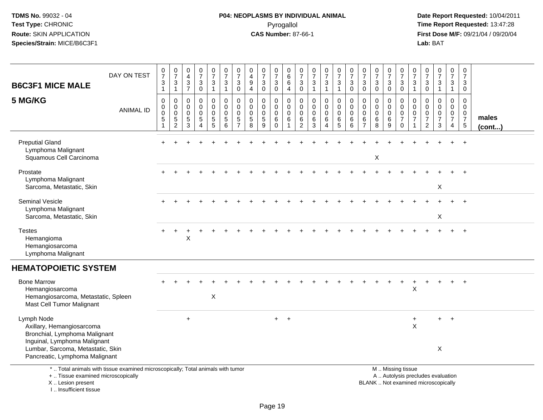# **P04: NEOPLASMS BY INDIVIDUAL ANIMAL**Pyrogallol **Time Report Requested:** 13:47:28

 **Date Report Requested:** 10/04/2011 **First Dose M/F:** 09/21/04 / 09/20/04<br>Lab: BAT **Lab:** BAT

| <b>B6C3F1 MICE MALE</b>                                                                                                                                 | DAY ON TEST      | $\frac{0}{7}$<br>$\sqrt{3}$<br>$\mathbf{1}$                 | $\frac{0}{7}$<br>$\ensuremath{\mathsf{3}}$<br>$\mathbf{1}$ | 0<br>$\overline{4}$<br>$\frac{3}{7}$                         | $\frac{0}{7}$<br>$\sqrt{3}$<br>$\mathbf 0$                                    | $\frac{0}{7}$<br>$\mathbf{3}$<br>$\mathbf{1}$ | $\frac{0}{7}$<br>$\mathbf{3}$<br>$\mathbf{1}$ | $\frac{0}{7}$<br>3<br>$\mathbf 0$                      | 0<br>4<br>$\boldsymbol{9}$<br>$\overline{4}$ | $\frac{0}{7}$<br>$\sqrt{3}$<br>$\mathbf 0$                   | 0<br>$\overline{7}$<br>$\sqrt{3}$<br>$\mathbf 0$ | 0<br>$\,6\,$<br>6<br>$\overline{4}$                                       | 0<br>$\overline{7}$<br>$\mathbf{3}$<br>$\mathbf 0$               | 0<br>$\overline{7}$<br>$\sqrt{3}$<br>$\overline{1}$ | $\frac{0}{7}$<br>$\mathbf{3}$<br>$\mathbf{1}$            | $\frac{0}{7}$<br>$\mathbf{3}$<br>$\mathbf{1}$ | $\frac{0}{7}$<br>$\mathbf{3}$<br>$\mathbf 0$                      | $\frac{0}{7}$<br>$\mathbf{3}$<br>$\mathbf 0$                     | 0<br>$\overline{7}$<br>$\ensuremath{\mathsf{3}}$<br>$\Omega$ | $\frac{0}{7}$<br>3<br>$\mathbf{0}$              | 0<br>$\overline{7}$<br>3<br>0                                 | $\boldsymbol{0}$<br>$\overline{7}$<br>$\sqrt{3}$<br>$\mathbf{1}$ | $\frac{0}{7}$<br>$\mathbf{3}$<br>$\mathbf 0$                                 | $\frac{0}{7}$<br>$\sqrt{3}$<br>$\mathbf{1}$                   | $\frac{0}{7}$<br>3<br>$\mathbf{1}$                                  | 0<br>$\boldsymbol{7}$<br>3<br>$\mathbf 0$                                      |                 |
|---------------------------------------------------------------------------------------------------------------------------------------------------------|------------------|-------------------------------------------------------------|------------------------------------------------------------|--------------------------------------------------------------|-------------------------------------------------------------------------------|-----------------------------------------------|-----------------------------------------------|--------------------------------------------------------|----------------------------------------------|--------------------------------------------------------------|--------------------------------------------------|---------------------------------------------------------------------------|------------------------------------------------------------------|-----------------------------------------------------|----------------------------------------------------------|-----------------------------------------------|-------------------------------------------------------------------|------------------------------------------------------------------|--------------------------------------------------------------|-------------------------------------------------|---------------------------------------------------------------|------------------------------------------------------------------|------------------------------------------------------------------------------|---------------------------------------------------------------|---------------------------------------------------------------------|--------------------------------------------------------------------------------|-----------------|
| 5 MG/KG                                                                                                                                                 | <b>ANIMAL ID</b> | $\mathbf 0$<br>0<br>$\pmb{0}$<br>$\sqrt{5}$<br>$\mathbf{1}$ | 0<br>0<br>$\pmb{0}$<br>$\overline{5}$<br>$\overline{c}$    | $\mathbf 0$<br>$\mathbf 0$<br>$\mathbf 0$<br>$\sqrt{5}$<br>3 | $\mathbf 0$<br>$\mathbf 0$<br>$\mathbf 0$<br>$\overline{5}$<br>$\overline{4}$ | 0<br>$\mathbf 0$<br>$\mathbf 0$<br>5<br>5     | $\mathbf 0$<br>0<br>$\mathsf 0$<br>5<br>6     | $\mathbf 0$<br>0<br>$\mathbf 0$<br>5<br>$\overline{7}$ | $\Omega$<br>0<br>0<br>$\sqrt{5}$<br>8        | $\mathbf 0$<br>$\mathbf 0$<br>$\mathbf 0$<br>$\sqrt{5}$<br>9 | 0<br>$\mathbf 0$<br>$\mathbf 0$<br>6<br>$\Omega$ | $\mathbf 0$<br>$\mathbf 0$<br>$\overline{0}$<br>$\,6\,$<br>$\overline{1}$ | $\mathbf 0$<br>$\mathbf 0$<br>$\mathbf 0$<br>6<br>$\overline{2}$ | 0<br>$\mathbf 0$<br>$\mathbf 0$<br>6<br>3           | $\mathbf 0$<br>0<br>$\pmb{0}$<br>$\,6$<br>$\overline{4}$ | $\mathbf 0$<br>0<br>$\mathbf 0$<br>6<br>5     | $\mathbf 0$<br>$\mathbf 0$<br>$\mathbf 0$<br>$6\phantom{1}6$<br>6 | $\mathbf 0$<br>$\mathbf 0$<br>$\mathbf 0$<br>6<br>$\overline{7}$ | $\mathbf 0$<br>$\mathbf 0$<br>$\mathbf 0$<br>6<br>8          | 0<br>$\mathbf 0$<br>$\mathbf 0$<br>$\,6\,$<br>9 | $\mathbf 0$<br>0<br>$\mathbf 0$<br>$\overline{7}$<br>$\Omega$ | $\mathbf 0$<br>$\mathbf 0$<br>$\mathbf 0$<br>$\overline{7}$      | $\Omega$<br>$\mathbf 0$<br>$\mathbf 0$<br>$\boldsymbol{7}$<br>$\overline{2}$ | $\Omega$<br>$\mathbf 0$<br>$\mathbf 0$<br>$\overline{7}$<br>3 | $\mathbf 0$<br>0<br>$\mathbf 0$<br>$\overline{7}$<br>$\overline{4}$ | $\mathbf 0$<br>$\mathbf 0$<br>$\mathbf 0$<br>$\overline{7}$<br>$5\phantom{.0}$ | males<br>(cont) |
| <b>Preputial Gland</b><br>Lymphoma Malignant<br>Squamous Cell Carcinoma                                                                                 |                  |                                                             |                                                            |                                                              |                                                                               |                                               |                                               |                                                        |                                              |                                                              |                                                  |                                                                           |                                                                  |                                                     |                                                          |                                               |                                                                   |                                                                  | X                                                            |                                                 |                                                               |                                                                  |                                                                              |                                                               |                                                                     | $\overline{ }$                                                                 |                 |
| Prostate<br>Lymphoma Malignant<br>Sarcoma, Metastatic, Skin                                                                                             |                  |                                                             |                                                            |                                                              |                                                                               |                                               |                                               |                                                        |                                              |                                                              |                                                  |                                                                           |                                                                  |                                                     |                                                          |                                               |                                                                   |                                                                  |                                                              |                                                 |                                                               |                                                                  |                                                                              | $\boldsymbol{\mathsf{X}}$                                     |                                                                     |                                                                                |                 |
| <b>Seminal Vesicle</b><br>Lymphoma Malignant<br>Sarcoma, Metastatic, Skin                                                                               |                  |                                                             |                                                            |                                                              |                                                                               |                                               |                                               |                                                        |                                              |                                                              |                                                  |                                                                           |                                                                  |                                                     |                                                          |                                               |                                                                   |                                                                  |                                                              |                                                 |                                                               |                                                                  |                                                                              | $\boldsymbol{\mathsf{X}}$                                     |                                                                     |                                                                                |                 |
| <b>Testes</b><br>Hemangioma<br>Hemangiosarcoma<br>Lymphoma Malignant                                                                                    |                  |                                                             |                                                            | X                                                            |                                                                               |                                               |                                               |                                                        |                                              |                                                              |                                                  |                                                                           |                                                                  |                                                     |                                                          |                                               |                                                                   |                                                                  |                                                              |                                                 |                                                               |                                                                  |                                                                              |                                                               |                                                                     |                                                                                |                 |
| <b>HEMATOPOIETIC SYSTEM</b>                                                                                                                             |                  |                                                             |                                                            |                                                              |                                                                               |                                               |                                               |                                                        |                                              |                                                              |                                                  |                                                                           |                                                                  |                                                     |                                                          |                                               |                                                                   |                                                                  |                                                              |                                                 |                                                               |                                                                  |                                                                              |                                                               |                                                                     |                                                                                |                 |
| <b>Bone Marrow</b><br>Hemangiosarcoma<br>Hemangiosarcoma, Metastatic, Spleen<br>Mast Cell Tumor Malignant                                               |                  |                                                             |                                                            |                                                              |                                                                               | X                                             |                                               |                                                        |                                              |                                                              |                                                  |                                                                           |                                                                  |                                                     |                                                          |                                               |                                                                   |                                                                  |                                                              |                                                 | +                                                             | +<br>$\mathsf X$                                                 |                                                                              |                                                               | +                                                                   | $\overline{+}$                                                                 |                 |
| Lymph Node<br>Axillary, Hemangiosarcoma<br>Bronchial, Lymphoma Malignant<br>Inguinal, Lymphoma Malignant<br>Lumbar, Sarcoma, Metastatic, Skin           |                  |                                                             |                                                            | $\ddot{}$                                                    |                                                                               |                                               |                                               |                                                        |                                              |                                                              | $+$                                              | $+$                                                                       |                                                                  |                                                     |                                                          |                                               |                                                                   |                                                                  |                                                              |                                                 |                                                               | $\ddot{}$<br>$\times$                                            |                                                                              | $\ddot{}$<br>X                                                | $+$                                                                 |                                                                                |                 |
| Pancreatic, Lymphoma Malignant<br>*  Total animals with tissue examined microscopically; Total animals with tumor<br>+  Tissue examined microscopically |                  |                                                             |                                                            |                                                              |                                                                               |                                               |                                               |                                                        |                                              |                                                              |                                                  |                                                                           |                                                                  |                                                     |                                                          |                                               |                                                                   |                                                                  |                                                              |                                                 | M  Missing tissue<br>A  Autolysis precludes evaluation        |                                                                  |                                                                              |                                                               |                                                                     |                                                                                |                 |

X .. Lesion present

I .. Insufficient tissue

Lesion present BLANK .. Not examined microscopically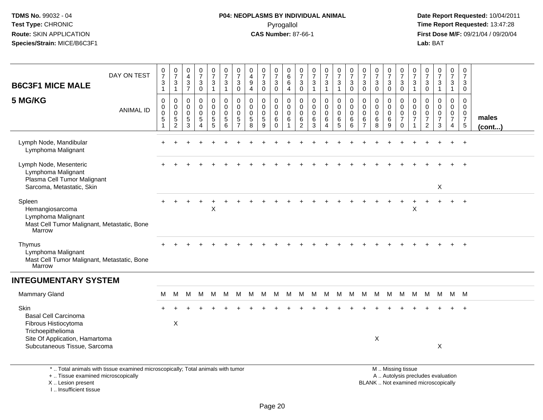# **P04: NEOPLASMS BY INDIVIDUAL ANIMAL**Pyrogallol **Time Report Requested:** 13:47:28

 **Date Report Requested:** 10/04/2011 **First Dose M/F:** 09/21/04 / 09/20/04<br>Lab: BAT **Lab:** BAT

|                                                                                                                       | DAY ON TEST      | $\frac{0}{7}$                                                         | $\frac{0}{7}$                                          | $\pmb{0}$<br>$\overline{\mathbf{4}}$              | $\frac{0}{7}$                                                            | $\mathbf 0$<br>$\overline{7}$                                            | $\frac{0}{7}$                                                | 0<br>$\overline{7}$                                              | $\begin{smallmatrix}0\0\4\end{smallmatrix}$              | $\frac{0}{7}$                                     | $\frac{0}{7}$                                          | 0<br>$\,6\,$                                                                   | 0<br>$\overline{7}$                                 | $\frac{0}{7}$                                       | $\frac{0}{7}$                                | $\frac{0}{7}$                                       | $\frac{0}{7}$                                               | 0<br>$\overline{7}$                                    | $\begin{array}{c} 0 \\ 7 \end{array}$                 | 0<br>$\overline{7}$                   | 0<br>$\overline{7}$                                                             | 0<br>$\overline{7}$                               | $\frac{0}{7}$                                               | $\frac{0}{7}$                                        | 0<br>$\overline{7}$                                                           | 0<br>$\overline{7}$                                                       |                 |
|-----------------------------------------------------------------------------------------------------------------------|------------------|-----------------------------------------------------------------------|--------------------------------------------------------|---------------------------------------------------|--------------------------------------------------------------------------|--------------------------------------------------------------------------|--------------------------------------------------------------|------------------------------------------------------------------|----------------------------------------------------------|---------------------------------------------------|--------------------------------------------------------|--------------------------------------------------------------------------------|-----------------------------------------------------|-----------------------------------------------------|----------------------------------------------|-----------------------------------------------------|-------------------------------------------------------------|--------------------------------------------------------|-------------------------------------------------------|---------------------------------------|---------------------------------------------------------------------------------|---------------------------------------------------|-------------------------------------------------------------|------------------------------------------------------|-------------------------------------------------------------------------------|---------------------------------------------------------------------------|-----------------|
| <b>B6C3F1 MICE MALE</b>                                                                                               |                  | $\ensuremath{\mathsf{3}}$<br>$\mathbf{1}$                             | 3<br>$\mathbf{1}$                                      | $\frac{3}{7}$                                     | $\ensuremath{\mathsf{3}}$<br>$\mathbf 0$                                 | $\ensuremath{\mathsf{3}}$<br>$\mathbf{1}$                                | $\mathbf{3}$<br>$\mathbf{1}$                                 | 3<br>$\Omega$                                                    | 9<br>$\overline{4}$                                      | 3<br>$\Omega$                                     | $\sqrt{3}$<br>$\mathbf 0$                              | $\,6\,$<br>$\overline{4}$                                                      | $\mathbf{3}$<br>$\mathbf 0$                         | $\sqrt{3}$<br>$\overline{1}$                        | 3<br>1                                       | 3<br>$\mathbf{1}$                                   | $\mathbf{3}$<br>$\mathbf 0$                                 | $\mathbf{3}$<br>$\mathbf 0$                            | $\ensuremath{\mathsf{3}}$<br>$\Omega$                 | 3<br>$\Omega$                         | $\sqrt{3}$<br>$\Omega$                                                          | 3<br>$\mathbf{1}$                                 | $\mathbf{3}$<br>$\Omega$                                    | $\ensuremath{\mathsf{3}}$<br>$\mathbf{1}$            | 3<br>$\mathbf{1}$                                                             | 3<br>$\mathbf 0$                                                          |                 |
| 5 MG/KG                                                                                                               | <b>ANIMAL ID</b> | $\pmb{0}$<br>$\mathbf 0$<br>$\mathbf 0$<br>$\sqrt{5}$<br>$\mathbf{1}$ | 0<br>$\mathbf 0$<br>$\mathbf 0$<br>5<br>$\overline{2}$ | 0<br>0<br>$\mathsf{O}\xspace$<br>$\,$ 5 $\,$<br>3 | $\mathbf 0$<br>$\pmb{0}$<br>$\mathsf 0$<br>$\,$ 5 $\,$<br>$\overline{4}$ | 0<br>$\mathbf 0$<br>$\mathsf 0$<br>$\begin{array}{c} 5 \\ 5 \end{array}$ | $\mathbf 0$<br>$\mathbf 0$<br>$\mathbf 0$<br>$\sqrt{5}$<br>6 | $\mathbf 0$<br>$\mathbf 0$<br>$\mathbf 0$<br>5<br>$\overline{7}$ | $\pmb{0}$<br>$\pmb{0}$<br>$\mathsf 0$<br>$\sqrt{5}$<br>8 | $\mathbf 0$<br>$\mathbf 0$<br>$\pmb{0}$<br>5<br>9 | 0<br>$\mathsf{O}\xspace$<br>$\pmb{0}$<br>6<br>$\Omega$ | $\mathbf 0$<br>$\mathsf{O}\xspace$<br>$\mathbf 0$<br>$\,6\,$<br>$\overline{1}$ | $\mathbf 0$<br>$\mathbf 0$<br>$\mathbf 0$<br>6<br>2 | $\mathbf 0$<br>$\mathbf 0$<br>$\mathbf 0$<br>6<br>3 | 0<br>0<br>$\mathbf 0$<br>6<br>$\overline{4}$ | $\pmb{0}$<br>$\pmb{0}$<br>$\mathbf 0$<br>$6\over 5$ | $\pmb{0}$<br>$\pmb{0}$<br>$\mathsf{O}\xspace$<br>$\,6$<br>6 | $\mathbf 0$<br>0<br>$\mathbf 0$<br>6<br>$\overline{7}$ | $\mathbf 0$<br>$\pmb{0}$<br>$\pmb{0}$<br>$\,6\,$<br>8 | 0<br>0<br>$\mathbf 0$<br>$\,6\,$<br>9 | $\boldsymbol{0}$<br>$\mathbf 0$<br>$\mathbf 0$<br>$\overline{7}$<br>$\mathbf 0$ | $\mathbf 0$<br>$\mathbf 0$<br>0<br>$\overline{7}$ | $\mathbf 0$<br>$\Omega$<br>$\pmb{0}$<br>$\overline{7}$<br>2 | 0<br>$\mathsf 0$<br>$\pmb{0}$<br>$\overline{7}$<br>3 | $\mathbf 0$<br>$\mathbf 0$<br>$\mathbf 0$<br>$\overline{7}$<br>$\overline{4}$ | $\mathbf 0$<br>$\mathbf 0$<br>$\mathbf 0$<br>$\overline{7}$<br>$\sqrt{5}$ | males<br>(cont) |
| Lymph Node, Mandibular<br>Lymphoma Malignant                                                                          |                  |                                                                       |                                                        |                                                   |                                                                          |                                                                          |                                                              |                                                                  |                                                          |                                                   |                                                        |                                                                                |                                                     |                                                     |                                              |                                                     |                                                             |                                                        |                                                       |                                       |                                                                                 |                                                   |                                                             |                                                      |                                                                               | $+$                                                                       |                 |
| Lymph Node, Mesenteric<br>Lymphoma Malignant<br>Plasma Cell Tumor Malignant<br>Sarcoma, Metastatic, Skin              |                  |                                                                       |                                                        |                                                   |                                                                          |                                                                          |                                                              |                                                                  |                                                          |                                                   |                                                        |                                                                                |                                                     |                                                     |                                              |                                                     |                                                             |                                                        |                                                       |                                       |                                                                                 |                                                   |                                                             | X                                                    |                                                                               |                                                                           |                 |
| Spleen<br>Hemangiosarcoma<br>Lymphoma Malignant<br>Mast Cell Tumor Malignant, Metastatic, Bone<br>Marrow              |                  |                                                                       |                                                        |                                                   |                                                                          | X                                                                        |                                                              |                                                                  |                                                          |                                                   |                                                        |                                                                                |                                                     |                                                     |                                              |                                                     |                                                             |                                                        |                                                       |                                       |                                                                                 | X                                                 |                                                             |                                                      |                                                                               |                                                                           |                 |
| Thymus<br>Lymphoma Malignant<br>Mast Cell Tumor Malignant, Metastatic, Bone<br>Marrow                                 |                  |                                                                       |                                                        |                                                   |                                                                          |                                                                          |                                                              |                                                                  |                                                          |                                                   |                                                        |                                                                                |                                                     |                                                     |                                              |                                                     |                                                             |                                                        |                                                       |                                       |                                                                                 |                                                   |                                                             |                                                      |                                                                               |                                                                           |                 |
| <b>INTEGUMENTARY SYSTEM</b>                                                                                           |                  |                                                                       |                                                        |                                                   |                                                                          |                                                                          |                                                              |                                                                  |                                                          |                                                   |                                                        |                                                                                |                                                     |                                                     |                                              |                                                     |                                                             |                                                        |                                                       |                                       |                                                                                 |                                                   |                                                             |                                                      |                                                                               |                                                                           |                 |
| Mammary Gland                                                                                                         |                  | М                                                                     | м                                                      | M                                                 | M                                                                        | M                                                                        | M                                                            | M                                                                | M                                                        | M                                                 | M                                                      | M                                                                              | M                                                   | M                                                   | M                                            | M                                                   | M                                                           | M M                                                    |                                                       | M                                     |                                                                                 | M M                                               |                                                             | M M M M                                              |                                                                               |                                                                           |                 |
| Skin<br><b>Basal Cell Carcinoma</b><br>Fibrous Histiocytoma<br>Trichoepithelioma                                      |                  |                                                                       | $\times$                                               |                                                   |                                                                          |                                                                          |                                                              |                                                                  |                                                          |                                                   |                                                        |                                                                                |                                                     |                                                     |                                              |                                                     |                                                             |                                                        |                                                       |                                       |                                                                                 |                                                   |                                                             |                                                      |                                                                               |                                                                           |                 |
| Site Of Application, Hamartoma<br>Subcutaneous Tissue, Sarcoma                                                        |                  |                                                                       |                                                        |                                                   |                                                                          |                                                                          |                                                              |                                                                  |                                                          |                                                   |                                                        |                                                                                |                                                     |                                                     |                                              |                                                     |                                                             |                                                        | X                                                     |                                       |                                                                                 |                                                   |                                                             | X                                                    |                                                                               |                                                                           |                 |
| *  Total animals with tissue examined microscopically; Total animals with tumor<br>+  Tissue examined microscopically |                  |                                                                       |                                                        |                                                   |                                                                          |                                                                          |                                                              |                                                                  |                                                          |                                                   |                                                        |                                                                                |                                                     |                                                     |                                              |                                                     |                                                             |                                                        |                                                       |                                       | M  Missing tissue<br>A  Autolysis precludes evaluation                          |                                                   |                                                             |                                                      |                                                                               |                                                                           |                 |

I .. Insufficient tissue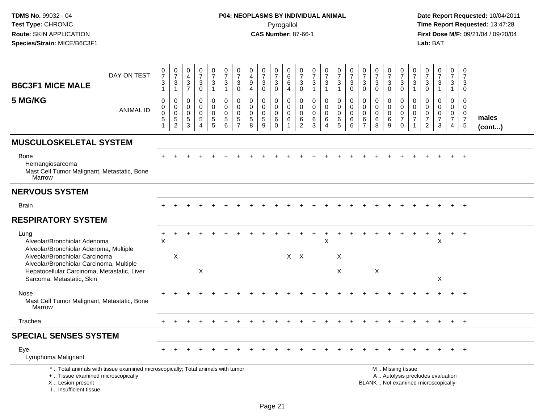| <b>B6C3F1 MICE MALE</b>                                                                                                                                | DAY ON TEST                                                                     | $\frac{0}{7}$<br>$\mathbf{3}$<br>$\mathbf{1}$          | $\begin{smallmatrix}0\\7\end{smallmatrix}$<br>3<br>$\mathbf{1}$ | $\begin{smallmatrix}0\0\4\end{smallmatrix}$<br>$\mathbf{3}$<br>$\overline{7}$ | $\begin{array}{c} 0 \\ 7 \end{array}$<br>$\sqrt{3}$<br>$\pmb{0}$ | $\begin{smallmatrix}0\\7\end{smallmatrix}$<br>$\mathbf{3}$<br>$\mathbf{1}$         | $\frac{0}{7}$<br>$\sqrt{3}$<br>$\mathbf{1}$                  | 0<br>$\overline{7}$<br>$\ensuremath{\mathsf{3}}$<br>$\mathbf 0$    | $\pmb{0}$<br>$\overline{4}$<br>$\boldsymbol{9}$<br>$\overline{4}$ | $\frac{0}{7}$<br>3<br>$\mathbf 0$                | $\begin{smallmatrix}0\\7\end{smallmatrix}$<br>$\sqrt{3}$<br>$\mathbf 0$ | $\,0\,$<br>$6\phantom{a}$<br>$\,6\,$<br>$\overline{4}$                   | $\begin{smallmatrix}0\\7\end{smallmatrix}$<br>$\sqrt{3}$<br>$\mathbf 0$ | $\begin{array}{c} 0 \\ 7 \end{array}$<br>$\sqrt{3}$<br>$\overline{1}$ | $\frac{0}{7}$<br>$\mathbf{3}$<br>$\mathbf{1}$                        | $\frac{0}{7}$<br>$\ensuremath{\mathsf{3}}$<br>$\mathbf{1}$ | $\frac{0}{7}$<br>$\mathbf{3}$<br>$\mathbf 0$        | $\frac{0}{7}$<br>$\sqrt{3}$<br>$\mathbf 0$                    | $\begin{array}{c} 0 \\ 7 \end{array}$<br>$\sqrt{3}$<br>$\mathbf 0$ | $\begin{array}{c} 0 \\ 7 \end{array}$<br>$\sqrt{3}$<br>$\mathbf 0$ | $\frac{0}{7}$<br>$\sqrt{3}$<br>$\overline{0}$                           | 0<br>$\overline{7}$<br>3<br>$\overline{1}$            | $\frac{0}{7}$<br>$\ensuremath{\mathsf{3}}$<br>$\mathbf 0$               | $\frac{0}{7}$<br>$\mathbf{3}$<br>$\mathbf{1}$                    | $\frac{0}{7}$<br>3<br>$\mathbf{1}$                                            | $\begin{array}{c} 0 \\ 7 \end{array}$<br>3<br>$\Omega$       |                       |
|--------------------------------------------------------------------------------------------------------------------------------------------------------|---------------------------------------------------------------------------------|--------------------------------------------------------|-----------------------------------------------------------------|-------------------------------------------------------------------------------|------------------------------------------------------------------|------------------------------------------------------------------------------------|--------------------------------------------------------------|--------------------------------------------------------------------|-------------------------------------------------------------------|--------------------------------------------------|-------------------------------------------------------------------------|--------------------------------------------------------------------------|-------------------------------------------------------------------------|-----------------------------------------------------------------------|----------------------------------------------------------------------|------------------------------------------------------------|-----------------------------------------------------|---------------------------------------------------------------|--------------------------------------------------------------------|--------------------------------------------------------------------|-------------------------------------------------------------------------|-------------------------------------------------------|-------------------------------------------------------------------------|------------------------------------------------------------------|-------------------------------------------------------------------------------|--------------------------------------------------------------|-----------------------|
| 5 MG/KG                                                                                                                                                | <b>ANIMAL ID</b>                                                                | $\mathsf 0$<br>$\pmb{0}$<br>$\pmb{0}$<br>$\frac{5}{1}$ | 0<br>0<br>$\mathbf 0$<br>$\,$ 5 $\,$<br>$\overline{c}$          | $\mathbf 0$<br>$\mathbf 0$<br>0<br>$\frac{5}{3}$                              | 0<br>$\mathbf 0$<br>$\mathbf 0$<br>$\sqrt{5}$<br>$\Delta$        | $\mathbf 0$<br>$\mathbf 0$<br>$\mathbf 0$<br>$\begin{array}{c} 5 \\ 5 \end{array}$ | $\mathbf 0$<br>$\mathbf 0$<br>$\mathbf 0$<br>$\sqrt{5}$<br>6 | $\mathbf 0$<br>$\mathbf{0}$<br>$\mathbf{0}$<br>5<br>$\overline{7}$ | $\mathbf 0$<br>$\mathbf 0$<br>$\mathbf 0$<br>$\,$ 5 $\,$<br>8     | $\mathbf 0$<br>$\Omega$<br>$\mathbf 0$<br>5<br>9 | $\mathbf 0$<br>$\mathbf 0$<br>0<br>6<br>$\mathbf 0$                     | $\mathbf 0$<br>$\mathbf 0$<br>$\mathsf{O}\xspace$<br>6<br>$\overline{1}$ | $\mathbf 0$<br>$\mathbf 0$<br>$\mathbf 0$<br>6<br>2                     | $\mathbf 0$<br>$\Omega$<br>$\mathbf 0$<br>$\,6$<br>3                  | $\mathbf 0$<br>$\mathbf 0$<br>$\mathbf 0$<br>$\,6$<br>$\overline{4}$ | $\mathbf 0$<br>$\mathbf 0$<br>$\mathbf 0$<br>$\,6$<br>5    | $\mathbf 0$<br>$\mathbf 0$<br>$\mathbf 0$<br>6<br>6 | $\mathbf 0$<br>$\Omega$<br>$\mathbf 0$<br>6<br>$\overline{7}$ | $\mathbf 0$<br>$\mathbf 0$<br>0<br>6<br>8                          | $\mathbf 0$<br>$\mathbf{0}$<br>$\mathbf 0$<br>6<br>9               | $\mathbf 0$<br>$\mathbf 0$<br>$\mathbf 0$<br>$\overline{7}$<br>$\Omega$ | $\Omega$<br>$\Omega$<br>$\mathbf 0$<br>$\overline{7}$ | $\Omega$<br>$\Omega$<br>$\mathbf 0$<br>$\overline{7}$<br>$\overline{2}$ | $\mathbf 0$<br>$\mathbf 0$<br>$\mathbf 0$<br>$\overline{7}$<br>3 | $\mathbf 0$<br>$\mathbf 0$<br>$\mathbf 0$<br>$\overline{7}$<br>$\overline{4}$ | $\mathbf 0$<br>$\Omega$<br>0<br>$\overline{7}$<br>$\sqrt{5}$ | males<br>$($ cont $)$ |
| <b>MUSCULOSKELETAL SYSTEM</b>                                                                                                                          |                                                                                 |                                                        |                                                                 |                                                                               |                                                                  |                                                                                    |                                                              |                                                                    |                                                                   |                                                  |                                                                         |                                                                          |                                                                         |                                                                       |                                                                      |                                                            |                                                     |                                                               |                                                                    |                                                                    |                                                                         |                                                       |                                                                         |                                                                  |                                                                               |                                                              |                       |
| <b>Bone</b><br>Hemangiosarcoma<br>Mast Cell Tumor Malignant, Metastatic, Bone<br>Marrow                                                                |                                                                                 |                                                        |                                                                 |                                                                               |                                                                  |                                                                                    |                                                              |                                                                    |                                                                   |                                                  |                                                                         |                                                                          |                                                                         |                                                                       |                                                                      |                                                            |                                                     |                                                               |                                                                    |                                                                    |                                                                         |                                                       |                                                                         |                                                                  |                                                                               |                                                              |                       |
| <b>NERVOUS SYSTEM</b>                                                                                                                                  |                                                                                 |                                                        |                                                                 |                                                                               |                                                                  |                                                                                    |                                                              |                                                                    |                                                                   |                                                  |                                                                         |                                                                          |                                                                         |                                                                       |                                                                      |                                                            |                                                     |                                                               |                                                                    |                                                                    |                                                                         |                                                       |                                                                         |                                                                  |                                                                               |                                                              |                       |
| <b>Brain</b>                                                                                                                                           |                                                                                 |                                                        |                                                                 |                                                                               |                                                                  |                                                                                    |                                                              |                                                                    |                                                                   |                                                  |                                                                         |                                                                          |                                                                         |                                                                       |                                                                      |                                                            |                                                     |                                                               |                                                                    |                                                                    |                                                                         |                                                       |                                                                         |                                                                  |                                                                               | $+$                                                          |                       |
| <b>RESPIRATORY SYSTEM</b>                                                                                                                              |                                                                                 |                                                        |                                                                 |                                                                               |                                                                  |                                                                                    |                                                              |                                                                    |                                                                   |                                                  |                                                                         |                                                                          |                                                                         |                                                                       |                                                                      |                                                            |                                                     |                                                               |                                                                    |                                                                    |                                                                         |                                                       |                                                                         |                                                                  |                                                                               |                                                              |                       |
| Lung<br>Alveolar/Bronchiolar Adenoma<br>Alveolar/Bronchiolar Adenoma, Multiple                                                                         |                                                                                 | $\mathsf{X}$                                           |                                                                 |                                                                               |                                                                  |                                                                                    |                                                              |                                                                    |                                                                   |                                                  |                                                                         |                                                                          |                                                                         |                                                                       | $\sf X$                                                              |                                                            |                                                     |                                                               |                                                                    |                                                                    |                                                                         |                                                       |                                                                         | X                                                                |                                                                               |                                                              |                       |
| Alveolar/Bronchiolar Carcinoma<br>Alveolar/Bronchiolar Carcinoma, Multiple<br>Hepatocellular Carcinoma, Metastatic, Liver<br>Sarcoma, Metastatic, Skin |                                                                                 |                                                        | X                                                               |                                                                               | X                                                                |                                                                                    |                                                              |                                                                    |                                                                   |                                                  |                                                                         |                                                                          | $X$ $X$                                                                 |                                                                       |                                                                      | X<br>X                                                     |                                                     |                                                               | X                                                                  |                                                                    |                                                                         |                                                       |                                                                         | X                                                                |                                                                               |                                                              |                       |
| Nose<br>Mast Cell Tumor Malignant, Metastatic, Bone<br>Marrow                                                                                          |                                                                                 |                                                        |                                                                 |                                                                               |                                                                  |                                                                                    |                                                              |                                                                    |                                                                   |                                                  |                                                                         |                                                                          |                                                                         |                                                                       |                                                                      |                                                            |                                                     |                                                               |                                                                    |                                                                    |                                                                         |                                                       |                                                                         |                                                                  |                                                                               |                                                              |                       |
| Trachea                                                                                                                                                |                                                                                 |                                                        |                                                                 |                                                                               |                                                                  |                                                                                    |                                                              |                                                                    |                                                                   |                                                  |                                                                         |                                                                          |                                                                         |                                                                       |                                                                      |                                                            |                                                     |                                                               |                                                                    |                                                                    |                                                                         |                                                       |                                                                         |                                                                  |                                                                               | $+$                                                          |                       |
| <b>SPECIAL SENSES SYSTEM</b>                                                                                                                           |                                                                                 |                                                        |                                                                 |                                                                               |                                                                  |                                                                                    |                                                              |                                                                    |                                                                   |                                                  |                                                                         |                                                                          |                                                                         |                                                                       |                                                                      |                                                            |                                                     |                                                               |                                                                    |                                                                    |                                                                         |                                                       |                                                                         |                                                                  |                                                                               |                                                              |                       |
| Eye<br>Lymphoma Malignant                                                                                                                              |                                                                                 |                                                        |                                                                 |                                                                               |                                                                  |                                                                                    |                                                              |                                                                    |                                                                   |                                                  |                                                                         |                                                                          |                                                                         |                                                                       |                                                                      |                                                            |                                                     |                                                               |                                                                    |                                                                    |                                                                         |                                                       |                                                                         |                                                                  |                                                                               | $+$                                                          |                       |
| +  Tissue examined microscopically<br>X  Lesion present<br>I., Insufficient tissue                                                                     | *  Total animals with tissue examined microscopically; Total animals with tumor |                                                        |                                                                 |                                                                               |                                                                  |                                                                                    |                                                              |                                                                    |                                                                   |                                                  |                                                                         |                                                                          |                                                                         |                                                                       |                                                                      |                                                            |                                                     |                                                               | BLANK  Not examined microscopically                                | M  Missing tissue<br>A  Autolysis precludes evaluation             |                                                                         |                                                       |                                                                         |                                                                  |                                                                               |                                                              |                       |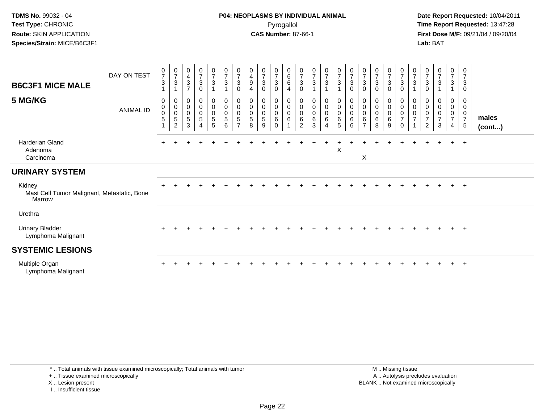## **P04: NEOPLASMS BY INDIVIDUAL ANIMAL**Pyrogallol **Time Report Requested:** 13:47:28

 **Date Report Requested:** 10/04/2011 **First Dose M/F:** 09/21/04 / 09/20/04<br>**Lab:** BAT **Lab:** BAT

| <b>B6C3F1 MICE MALE</b><br>5 MG/KG                              | DAY ON TEST<br><b>ANIMAL ID</b> | $\frac{0}{7}$<br>$\ensuremath{\mathsf{3}}$<br>0<br>$\,0\,$<br>$\overline{0}$<br>$\sqrt{5}$ | $\frac{0}{7}$<br>$\mathbf{3}$<br>$\overline{1}$<br>$\pmb{0}$<br>$_{\rm 0}^{\rm 0}$<br>$5\,$<br>2 | 0<br>$\overline{4}$<br>$\mathbf{3}$<br>$\overline{z}$<br>0<br>0<br>$\pmb{0}$<br>$\sqrt{5}$<br>3 | $\begin{smallmatrix}0\\7\end{smallmatrix}$<br>$\ensuremath{\mathsf{3}}$<br>$\mathbf 0$<br>$\begin{smallmatrix}0\\0\\0\end{smallmatrix}$<br>$\,$ 5 $\,$<br>$\overline{4}$ | $\frac{0}{7}$<br>$\mathbf{3}$<br>$_0^0$<br>0<br>5<br>5 | $\frac{0}{7}$<br>$\mathbf{3}$<br>$\mathbf{1}$<br>$\begin{smallmatrix} 0\\0 \end{smallmatrix}$<br>$\ddot{\mathbf{0}}$<br>$\sqrt{5}$<br>6 | 0<br>$\overline{7}$<br>3<br>$\Omega$<br>0<br>$\pmb{0}$<br>$\mathbf 0$<br>5<br>$\overline{ }$ | 0<br>$\overline{\mathbf{4}}$<br>$\boldsymbol{9}$<br>4<br>0<br>$\pmb{0}$<br>$\pmb{0}$<br>5<br>8 | $\frac{0}{7}$<br>$\mathbf{3}$<br>$\mathbf 0$<br>0<br>$\mathsf{O}$<br>$\pmb{0}$<br>5<br>9 | $\frac{0}{7}$<br>$\mathbf{3}$<br>$\mathbf 0$<br>0<br>$\boldsymbol{0}$<br>$\pmb{0}$<br>6<br>$\mathbf 0$ | $\begin{array}{c} 0 \\ 6 \end{array}$<br>$\,6\,$<br>$\overline{4}$<br>$\pmb{0}$<br>$\pmb{0}$<br>$\mathbf 0$<br>$\,6\,$ | $\frac{0}{7}$<br>$\sqrt{3}$<br>0<br>0<br>$\mathsf 0$<br>$\pmb{0}$<br>$\,6\,$<br>2 | $\frac{0}{7}$<br>$\sqrt{3}$<br>1<br>0<br>$\pmb{0}$<br>$\pmb{0}$<br>6<br>3 | $\frac{0}{7}$<br>$\mathbf{3}$<br>0<br>$\pmb{0}$<br>$\pmb{0}$<br>6<br>4 | $\frac{0}{7}$<br>$\mathbf{3}$<br>$_{\rm 0}^{\rm 0}$<br>$\ddot{\mathbf{0}}$<br>$\,6\,$<br>$\sqrt{5}$ | $\frac{0}{7}$<br>$\mathbf{3}$<br>$\mathbf 0$<br>$\begin{smallmatrix}0\\0\\0\end{smallmatrix}$<br>6<br>6 | $\frac{0}{7}$<br>$\mathbf{3}$<br>0<br>0<br>0<br>0<br>6 | $\frac{0}{7}$<br>$\ensuremath{\mathsf{3}}$<br>$\mathbf 0$<br>$\begin{smallmatrix}0\0\0\end{smallmatrix}$<br>$\mathsf{O}\xspace$<br>$\,6\,$<br>8 | $\frac{0}{7}$<br>$\mathbf{3}$<br>0<br>$\begin{smallmatrix}0\0\0\end{smallmatrix}$<br>$\pmb{0}$<br>6<br>9 | $\frac{0}{7}$<br>$\mathbf 3$<br>$\mathbf 0$<br>$\begin{smallmatrix} 0\\0 \end{smallmatrix}$<br>$\boldsymbol{0}$<br>$\overline{7}$<br>$\mathbf 0$ | $\frac{0}{7}$<br>3<br>0<br>$\mathbf 0$<br>$\mathbf 0$<br>$\overline{7}$ | $\frac{0}{7}$<br>$\mathbf{3}$<br>$\mathbf 0$<br>$\pmb{0}$<br>$\pmb{0}$<br>$\overline{7}$<br>2 | $\frac{0}{7}$<br>$\mathbf{3}$<br>0<br>$\mathsf{O}\xspace$<br>$\pmb{0}$<br>$\overline{ }$<br>3 | $\frac{0}{7}$<br>$\mathbf{3}$<br>0<br>$\boldsymbol{0}$<br>0<br>$\overline{7}$<br>4 | 0<br>$\overline{7}$<br>3<br>$\mathbf 0$<br>0<br>$\mathbf 0$<br>$\mathbf 0$<br>$\overline{7}$<br>$\sqrt{5}$ | males<br>(cont) |
|-----------------------------------------------------------------|---------------------------------|--------------------------------------------------------------------------------------------|--------------------------------------------------------------------------------------------------|-------------------------------------------------------------------------------------------------|--------------------------------------------------------------------------------------------------------------------------------------------------------------------------|--------------------------------------------------------|-----------------------------------------------------------------------------------------------------------------------------------------|----------------------------------------------------------------------------------------------|------------------------------------------------------------------------------------------------|------------------------------------------------------------------------------------------|--------------------------------------------------------------------------------------------------------|------------------------------------------------------------------------------------------------------------------------|-----------------------------------------------------------------------------------|---------------------------------------------------------------------------|------------------------------------------------------------------------|-----------------------------------------------------------------------------------------------------|---------------------------------------------------------------------------------------------------------|--------------------------------------------------------|-------------------------------------------------------------------------------------------------------------------------------------------------|----------------------------------------------------------------------------------------------------------|--------------------------------------------------------------------------------------------------------------------------------------------------|-------------------------------------------------------------------------|-----------------------------------------------------------------------------------------------|-----------------------------------------------------------------------------------------------|------------------------------------------------------------------------------------|------------------------------------------------------------------------------------------------------------|-----------------|
| Harderian Gland<br>Adenoma<br>Carcinoma                         |                                 |                                                                                            |                                                                                                  |                                                                                                 |                                                                                                                                                                          |                                                        |                                                                                                                                         |                                                                                              |                                                                                                |                                                                                          |                                                                                                        |                                                                                                                        |                                                                                   |                                                                           |                                                                        | $\boldsymbol{\mathsf{X}}$                                                                           |                                                                                                         | X                                                      |                                                                                                                                                 |                                                                                                          |                                                                                                                                                  |                                                                         |                                                                                               |                                                                                               | $+$                                                                                | $\overline{ }$                                                                                             |                 |
| <b>URINARY SYSTEM</b>                                           |                                 |                                                                                            |                                                                                                  |                                                                                                 |                                                                                                                                                                          |                                                        |                                                                                                                                         |                                                                                              |                                                                                                |                                                                                          |                                                                                                        |                                                                                                                        |                                                                                   |                                                                           |                                                                        |                                                                                                     |                                                                                                         |                                                        |                                                                                                                                                 |                                                                                                          |                                                                                                                                                  |                                                                         |                                                                                               |                                                                                               |                                                                                    |                                                                                                            |                 |
| Kidney<br>Mast Cell Tumor Malignant, Metastatic, Bone<br>Marrow |                                 |                                                                                            |                                                                                                  |                                                                                                 |                                                                                                                                                                          |                                                        |                                                                                                                                         |                                                                                              |                                                                                                |                                                                                          |                                                                                                        |                                                                                                                        |                                                                                   |                                                                           |                                                                        |                                                                                                     |                                                                                                         |                                                        |                                                                                                                                                 |                                                                                                          |                                                                                                                                                  |                                                                         |                                                                                               |                                                                                               | $\pm$                                                                              | $^{+}$                                                                                                     |                 |
| Urethra                                                         |                                 |                                                                                            |                                                                                                  |                                                                                                 |                                                                                                                                                                          |                                                        |                                                                                                                                         |                                                                                              |                                                                                                |                                                                                          |                                                                                                        |                                                                                                                        |                                                                                   |                                                                           |                                                                        |                                                                                                     |                                                                                                         |                                                        |                                                                                                                                                 |                                                                                                          |                                                                                                                                                  |                                                                         |                                                                                               |                                                                                               |                                                                                    |                                                                                                            |                 |
| <b>Urinary Bladder</b><br>Lymphoma Malignant                    |                                 |                                                                                            |                                                                                                  |                                                                                                 |                                                                                                                                                                          |                                                        |                                                                                                                                         |                                                                                              |                                                                                                |                                                                                          |                                                                                                        |                                                                                                                        |                                                                                   |                                                                           |                                                                        |                                                                                                     |                                                                                                         |                                                        |                                                                                                                                                 |                                                                                                          |                                                                                                                                                  |                                                                         |                                                                                               |                                                                                               | $+$                                                                                | $+$                                                                                                        |                 |
| <b>SYSTEMIC LESIONS</b>                                         |                                 |                                                                                            |                                                                                                  |                                                                                                 |                                                                                                                                                                          |                                                        |                                                                                                                                         |                                                                                              |                                                                                                |                                                                                          |                                                                                                        |                                                                                                                        |                                                                                   |                                                                           |                                                                        |                                                                                                     |                                                                                                         |                                                        |                                                                                                                                                 |                                                                                                          |                                                                                                                                                  |                                                                         |                                                                                               |                                                                                               |                                                                                    |                                                                                                            |                 |
| Multiple Organ<br>Lymphoma Malignant                            |                                 |                                                                                            |                                                                                                  |                                                                                                 |                                                                                                                                                                          |                                                        |                                                                                                                                         |                                                                                              |                                                                                                |                                                                                          |                                                                                                        |                                                                                                                        |                                                                                   |                                                                           |                                                                        |                                                                                                     |                                                                                                         |                                                        |                                                                                                                                                 |                                                                                                          |                                                                                                                                                  |                                                                         |                                                                                               |                                                                                               | $+$                                                                                | $\overline{ }$                                                                                             |                 |

\* .. Total animals with tissue examined microscopically; Total animals with tumor

+ .. Tissue examined microscopically

X .. Lesion present

I .. Insufficient tissue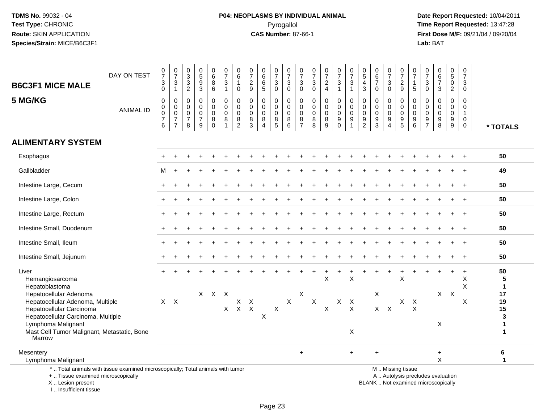# **P04: NEOPLASMS BY INDIVIDUAL ANIMAL**Pyrogallol **Time Report Requested:** 13:47:28

 **Date Report Requested:** 10/04/2011 **First Dose M/F:** 09/21/04 / 09/20/04<br>Lab: BAT **Lab:** BAT

| <b>B6C3F1 MICE MALE</b>                                                                                                                            | DAY ON TEST      | $\frac{0}{7}$<br>$\frac{3}{0}$                              | $\frac{0}{7}$<br>$\frac{3}{1}$                                              | 0<br>$\overline{3}$<br>$\ensuremath{\mathsf{3}}$<br>$\boldsymbol{2}$ | $\begin{array}{c} 0 \\ 5 \end{array}$<br>$\overline{9}$<br>$\mathbf{3}$ | $_{6}^{\rm 0}$<br>$\bf 8$<br>6                   | $\begin{smallmatrix}0\\7\end{smallmatrix}$<br>$\ensuremath{\mathsf{3}}$<br>$\mathbf{1}$ | $\begin{array}{c} 0 \\ 6 \end{array}$<br>1<br>0                                         | $\begin{array}{c} 0 \\ 7 \end{array}$<br>$\sqrt{2}$<br>9   | $\mathbf 0$<br>$\overline{6}$<br>$\,6$<br>$\sqrt{5}$                 | $\begin{array}{c} 0 \\ 7 \end{array}$<br>$\ensuremath{\mathsf{3}}$<br>$\mathbf 0$ | $\frac{0}{7}$<br>$\ensuremath{\mathsf{3}}$<br>$\mathbf 0$ | $\frac{0}{7}$<br>$\ensuremath{\mathsf{3}}$<br>$\mathbf 0$ | $\frac{0}{7}$<br>$\frac{3}{0}$                 | $\begin{smallmatrix}0\\7\end{smallmatrix}$<br>$\frac{2}{4}$ | $\frac{0}{7}$<br>$\ensuremath{\mathsf{3}}$<br>$\overline{1}$     | $\begin{array}{c} 0 \\ 7 \end{array}$<br>$\frac{3}{1}$           | $^{\rm 0}_{\rm 5}$<br>4<br>3                     | $\begin{array}{c} 0 \\ 6 \end{array}$<br>$\overline{7}$<br>$\mathbf 0$ | $\begin{array}{c} 0 \\ 7 \end{array}$<br>$\ensuremath{\mathsf{3}}$<br>$\mathsf{O}\xspace$ | $\frac{0}{7}$<br>$\frac{2}{9}$                                 | $\mathbf 0$<br>$\overline{7}$<br>$\mathbf 1$<br>$\sqrt{5}$                         | $\mathbf 0$<br>$\overline{7}$<br>$\ensuremath{\mathsf{3}}$<br>$\mathbf 0$ | 0<br>$\overline{6}$<br>$\overline{7}$<br>3          | $\begin{array}{c} 0 \\ 5 \end{array}$<br>$\bar{0}$<br>$\overline{2}$ | $\begin{array}{c} 0 \\ 7 \end{array}$<br>$\ensuremath{\mathsf{3}}$<br>$\mathsf{O}\xspace$ |                          |
|----------------------------------------------------------------------------------------------------------------------------------------------------|------------------|-------------------------------------------------------------|-----------------------------------------------------------------------------|----------------------------------------------------------------------|-------------------------------------------------------------------------|--------------------------------------------------|-----------------------------------------------------------------------------------------|-----------------------------------------------------------------------------------------|------------------------------------------------------------|----------------------------------------------------------------------|-----------------------------------------------------------------------------------|-----------------------------------------------------------|-----------------------------------------------------------|------------------------------------------------|-------------------------------------------------------------|------------------------------------------------------------------|------------------------------------------------------------------|--------------------------------------------------|------------------------------------------------------------------------|-------------------------------------------------------------------------------------------|----------------------------------------------------------------|------------------------------------------------------------------------------------|---------------------------------------------------------------------------|-----------------------------------------------------|----------------------------------------------------------------------|-------------------------------------------------------------------------------------------|--------------------------|
| 5 MG/KG                                                                                                                                            | <b>ANIMAL ID</b> | 0<br>$\boldsymbol{0}$<br>$\mathbf 0$<br>$\overline{7}$<br>6 | $\pmb{0}$<br>$\mathbf 0$<br>$\mathbf 0$<br>$\overline{7}$<br>$\overline{7}$ | 0<br>$\mathbf 0$<br>0<br>$\overline{7}$<br>8                         | $\mathbf 0$<br>$\mathbf 0$<br>$\pmb{0}$<br>$\overline{7}$<br>9          | 0<br>$\mathbf 0$<br>$\mathbf 0$<br>8<br>$\Omega$ | 0<br>$\pmb{0}$<br>$\mathsf 0$<br>8                                                      | $\mathbf 0$<br>$\pmb{0}$<br>$\pmb{0}$<br>$\begin{smallmatrix} 8 \\ 2 \end{smallmatrix}$ | $\mathbf 0$<br>$\mathbf 0$<br>$\mathbf 0$<br>$\frac{8}{3}$ | $\mathbf 0$<br>$\mathbf 0$<br>$\pmb{0}$<br>$\,8\,$<br>$\overline{4}$ | 0<br>$\mathsf{O}\xspace$<br>$\pmb{0}$<br>$\begin{array}{c} 8 \\ 5 \end{array}$    | 0<br>$\mathbf 0$<br>$\mathsf 0$<br>8<br>6                 | 0<br>$\mathbf 0$<br>$\pmb{0}$<br>$\frac{8}{7}$            | 0<br>$\boldsymbol{0}$<br>$\pmb{0}$<br>$_{8}^8$ | 0<br>$\mathsf{O}\xspace$<br>$\pmb{0}$<br>$^8_9$             | 0<br>$\mathbf 0$<br>$\pmb{0}$<br>$\boldsymbol{9}$<br>$\mathbf 0$ | $\mathbf 0$<br>$\mathbf 0$<br>$\mathbf 0$<br>9<br>$\overline{1}$ | 0<br>$\mathbf 0$<br>$\mathbf 0$<br>$\frac{9}{2}$ | 0<br>$\pmb{0}$<br>$\pmb{0}$<br>$\frac{9}{3}$                           | 0<br>0<br>$\pmb{0}$<br>$\boldsymbol{9}$<br>$\overline{4}$                                 | 0<br>0<br>$\mathbf 0$<br>$\begin{array}{c} 9 \\ 5 \end{array}$ | $\mathbf 0$<br>$\mathbf 0$<br>$\mathbf 0$<br>$\begin{array}{c} 9 \\ 6 \end{array}$ | 0<br>$\mathbf 0$<br>$\mathbf 0$<br>$\boldsymbol{9}$<br>$\overline{7}$     | $\mathbf 0$<br>$\mathbf 0$<br>$\mathbf 0$<br>9<br>8 | 0<br>$\mathbf 0$<br>$\pmb{0}$<br>$^9_9$                              | 0<br>$\boldsymbol{0}$<br>$\mathbf{1}$<br>$\mathbf 0$<br>$\mathbf 0$                       | * TOTALS                 |
| <b>ALIMENTARY SYSTEM</b>                                                                                                                           |                  |                                                             |                                                                             |                                                                      |                                                                         |                                                  |                                                                                         |                                                                                         |                                                            |                                                                      |                                                                                   |                                                           |                                                           |                                                |                                                             |                                                                  |                                                                  |                                                  |                                                                        |                                                                                           |                                                                |                                                                                    |                                                                           |                                                     |                                                                      |                                                                                           |                          |
| Esophagus                                                                                                                                          |                  |                                                             |                                                                             |                                                                      |                                                                         |                                                  |                                                                                         |                                                                                         |                                                            |                                                                      |                                                                                   |                                                           |                                                           |                                                |                                                             |                                                                  |                                                                  |                                                  |                                                                        |                                                                                           |                                                                |                                                                                    |                                                                           |                                                     |                                                                      |                                                                                           | 50                       |
| Gallbladder                                                                                                                                        |                  | м                                                           |                                                                             |                                                                      |                                                                         |                                                  |                                                                                         |                                                                                         |                                                            |                                                                      |                                                                                   |                                                           |                                                           |                                                |                                                             |                                                                  |                                                                  |                                                  |                                                                        |                                                                                           |                                                                |                                                                                    |                                                                           |                                                     |                                                                      |                                                                                           | 49                       |
| Intestine Large, Cecum                                                                                                                             |                  |                                                             |                                                                             |                                                                      |                                                                         |                                                  |                                                                                         |                                                                                         |                                                            |                                                                      |                                                                                   |                                                           |                                                           |                                                |                                                             |                                                                  |                                                                  |                                                  |                                                                        |                                                                                           |                                                                |                                                                                    |                                                                           |                                                     |                                                                      |                                                                                           | 50                       |
| Intestine Large, Colon                                                                                                                             |                  |                                                             |                                                                             |                                                                      |                                                                         |                                                  |                                                                                         |                                                                                         |                                                            |                                                                      |                                                                                   |                                                           |                                                           |                                                |                                                             |                                                                  |                                                                  |                                                  |                                                                        |                                                                                           |                                                                |                                                                                    |                                                                           |                                                     |                                                                      |                                                                                           | 50                       |
| Intestine Large, Rectum                                                                                                                            |                  |                                                             |                                                                             |                                                                      |                                                                         |                                                  |                                                                                         |                                                                                         |                                                            |                                                                      |                                                                                   |                                                           |                                                           |                                                |                                                             |                                                                  |                                                                  |                                                  |                                                                        |                                                                                           |                                                                |                                                                                    |                                                                           |                                                     |                                                                      |                                                                                           | 50                       |
| Intestine Small, Duodenum                                                                                                                          |                  |                                                             |                                                                             |                                                                      |                                                                         |                                                  |                                                                                         |                                                                                         |                                                            |                                                                      |                                                                                   |                                                           |                                                           |                                                |                                                             |                                                                  |                                                                  |                                                  |                                                                        |                                                                                           |                                                                |                                                                                    |                                                                           |                                                     |                                                                      |                                                                                           | 50                       |
| Intestine Small, Ileum                                                                                                                             |                  |                                                             |                                                                             |                                                                      |                                                                         |                                                  |                                                                                         |                                                                                         |                                                            |                                                                      |                                                                                   |                                                           |                                                           |                                                |                                                             |                                                                  |                                                                  |                                                  |                                                                        |                                                                                           |                                                                |                                                                                    |                                                                           |                                                     |                                                                      | $\ddot{}$                                                                                 | 50                       |
| Intestine Small, Jejunum                                                                                                                           |                  |                                                             |                                                                             |                                                                      |                                                                         |                                                  |                                                                                         |                                                                                         |                                                            |                                                                      |                                                                                   |                                                           |                                                           |                                                |                                                             |                                                                  |                                                                  |                                                  |                                                                        |                                                                                           |                                                                |                                                                                    |                                                                           |                                                     |                                                                      |                                                                                           | 50                       |
| Liver<br>Hemangiosarcoma<br>Hepatoblastoma                                                                                                         |                  |                                                             |                                                                             |                                                                      |                                                                         |                                                  |                                                                                         |                                                                                         |                                                            |                                                                      |                                                                                   |                                                           |                                                           |                                                | X                                                           |                                                                  | $\boldsymbol{\mathsf{X}}$                                        |                                                  |                                                                        |                                                                                           | X                                                              |                                                                                    |                                                                           |                                                     |                                                                      | $\ddot{}$<br>X<br>X                                                                       | 50<br>5<br>$\mathbf 1$   |
| Hepatocellular Adenoma<br>Hepatocellular Adenoma, Multiple<br>Hepatocellular Carcinoma<br>Hepatocellular Carcinoma, Multiple<br>Lymphoma Malignant |                  |                                                             | $X$ $X$                                                                     |                                                                      |                                                                         | X X X                                            | X                                                                                       | X<br>$X$ $X$                                                                            | $\mathsf{X}$                                               | X                                                                    | $\mathsf X$                                                                       | $\boldsymbol{X}$                                          | X                                                         | X                                              | $\mathsf X$                                                 |                                                                  | $X$ $X$<br>$\boldsymbol{\mathsf{X}}$                             |                                                  | X<br>$X$ $X$                                                           |                                                                                           |                                                                | $X$ $X$<br>$\times$                                                                |                                                                           | $X$ $X$<br>X                                        |                                                                      | X                                                                                         | 17<br>19<br>15<br>3<br>1 |
| Mast Cell Tumor Malignant, Metastatic, Bone<br>Marrow                                                                                              |                  |                                                             |                                                                             |                                                                      |                                                                         |                                                  |                                                                                         |                                                                                         |                                                            |                                                                      |                                                                                   |                                                           |                                                           |                                                |                                                             |                                                                  | X                                                                |                                                  |                                                                        |                                                                                           |                                                                |                                                                                    |                                                                           |                                                     |                                                                      |                                                                                           | 1                        |
| Mesentery<br>Lymphoma Malignant                                                                                                                    |                  |                                                             |                                                                             |                                                                      |                                                                         |                                                  |                                                                                         |                                                                                         |                                                            |                                                                      |                                                                                   |                                                           | $\ddot{}$                                                 |                                                |                                                             |                                                                  | $+$                                                              |                                                  | $\ddot{}$                                                              |                                                                                           |                                                                |                                                                                    |                                                                           | $\ddot{}$<br>$\mathsf{X}$                           |                                                                      |                                                                                           | $\bf 6$<br>$\mathbf{1}$  |
| *  Total animals with tissue examined microscopically; Total animals with tumor<br>+  Tissue examined microscopically<br>X  Lesion present         |                  |                                                             |                                                                             |                                                                      |                                                                         |                                                  |                                                                                         |                                                                                         |                                                            |                                                                      |                                                                                   |                                                           |                                                           |                                                |                                                             |                                                                  |                                                                  |                                                  | BLANK  Not examined microscopically                                    |                                                                                           | M  Missing tissue<br>A  Autolysis precludes evaluation         |                                                                                    |                                                                           |                                                     |                                                                      |                                                                                           |                          |

I .. Insufficient tissue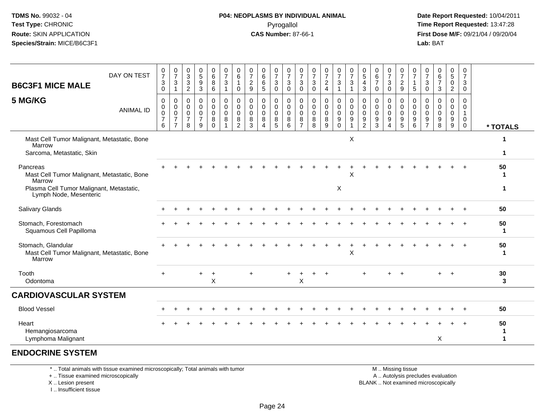#### **P04: NEOPLASMS BY INDIVIDUAL ANIMAL**Pyrogallol **Time Report Requested:** 13:47:28

 **Date Report Requested:** 10/04/2011 **First Dose M/F:** 09/21/04 / 09/20/04<br>**Lab:** BAT **Lab:** BAT

| DAY ON TEST<br><b>B6C3F1 MICE MALE</b>                                             | $\frac{0}{7}$<br>$\mathbf{3}$<br>$\pmb{0}$ | $\frac{0}{7}$<br>$\sqrt{3}$<br>1                                  | $\begin{array}{c} 0 \\ 3 \\ 2 \end{array}$                     | $\begin{array}{c} 0 \\ 5 \end{array}$<br>$\boldsymbol{9}$<br>$\mathbf{3}$ | $\begin{array}{c} 0 \\ 6 \end{array}$<br>8<br>6 | $\frac{0}{7}$<br>$\mathbf{3}$<br>1 | $_{6}^{\rm 0}$<br>1<br>0              | 0<br>$\overline{7}$<br>$\sqrt{2}$<br>9    | $\begin{array}{c} 0 \\ 6 \end{array}$<br>6<br>$\overline{5}$ | $\frac{0}{7}$<br>$\ensuremath{\mathsf{3}}$<br>$\pmb{0}$ | $\frac{0}{7}$<br>$\ensuremath{\mathsf{3}}$<br>$\mathsf{O}\xspace$ | $\frac{0}{7}$<br>3<br>$\mathbf 0$  | $\frac{0}{7}$<br>$\ensuremath{\mathsf{3}}$<br>$\pmb{0}$ | $\frac{0}{7}$<br>$\frac{2}{4}$                      | $\frac{0}{7}$<br>$\ensuremath{\mathsf{3}}$<br>$\overline{1}$ | $\begin{array}{c} 0 \\ 7 \end{array}$<br>$\ensuremath{\mathsf{3}}$<br>$\mathbf{1}$ | $\begin{matrix} 0 \\ 5 \end{matrix}$<br>$\overline{4}$<br>$\mathbf{3}$ | $\begin{array}{c} 0 \\ 6 \end{array}$<br>$\overline{7}$<br>$\mathbf 0$ | $\frac{0}{7}$<br>$\sqrt{3}$<br>$\mathbf 0$                                              | $\begin{smallmatrix}0\\7\end{smallmatrix}$<br>$\frac{2}{9}$           | $\frac{0}{7}$<br>$\mathbf{1}$<br>$\sqrt{5}$                           | $\frac{0}{7}$<br>3<br>0                   | $\begin{matrix} 0 \\ 6 \end{matrix}$<br>$\overline{7}$<br>$\mathbf{3}$ | $\begin{array}{c} 0 \\ 5 \end{array}$<br>$\pmb{0}$<br>$\overline{2}$ | 0<br>$\overline{7}$<br>$\mathbf{3}$<br>$\mathbf 0$                        |                      |
|------------------------------------------------------------------------------------|--------------------------------------------|-------------------------------------------------------------------|----------------------------------------------------------------|---------------------------------------------------------------------------|-------------------------------------------------|------------------------------------|---------------------------------------|-------------------------------------------|--------------------------------------------------------------|---------------------------------------------------------|-------------------------------------------------------------------|------------------------------------|---------------------------------------------------------|-----------------------------------------------------|--------------------------------------------------------------|------------------------------------------------------------------------------------|------------------------------------------------------------------------|------------------------------------------------------------------------|-----------------------------------------------------------------------------------------|-----------------------------------------------------------------------|-----------------------------------------------------------------------|-------------------------------------------|------------------------------------------------------------------------|----------------------------------------------------------------------|---------------------------------------------------------------------------|----------------------|
| 5 MG/KG<br><b>ANIMAL ID</b>                                                        | 0<br>0<br>0<br>$\overline{7}$<br>6         | 0<br>$\pmb{0}$<br>$\mathbf 0$<br>$\overline{7}$<br>$\overline{7}$ | 0<br>$\mathbf 0$<br>$\mathsf{O}\xspace$<br>$\overline{7}$<br>8 | $\mathbf 0$<br>$\mathbf 0$<br>$\mathbf 0$<br>$\overline{7}$<br>9          | 0<br>0<br>$\mathbf 0$<br>8<br>$\Omega$          | 0<br>0<br>$\mathbf 0$<br>8         | 0<br>$\mathbf 0$<br>0<br>$\bf 8$<br>2 | $\mathbf 0$<br>0<br>$\mathbf 0$<br>8<br>3 | $\mathbf 0$<br>$\mathbf 0$<br>$\mathbf 0$<br>$\,8\,$<br>Δ    | 0<br>0<br>$\boldsymbol{0}$<br>$\, 8$<br>5               | $\mathbf 0$<br>0<br>$\mathbf 0$<br>8<br>6                         | 0<br>0<br>0<br>8<br>$\overline{7}$ | 0<br>0<br>0<br>8<br>$\overline{8}$                      | $\mathbf 0$<br>$\mathbf 0$<br>$\mathbf 0$<br>8<br>9 | 0<br>0<br>$\mathbf 0$<br>9<br>$\Omega$                       | $\mathbf 0$<br>$\mathbf 0$<br>$\mathbf 0$<br>$\boldsymbol{9}$<br>$\mathbf{1}$      | 0<br>$\pmb{0}$<br>0<br>$\boldsymbol{9}$<br>$\overline{2}$              | 0<br>0<br>0<br>$9\,$<br>$\overline{3}$                                 | $\mathbf 0$<br>$\mathbf 0$<br>$\mathbf 0$<br>$\boldsymbol{9}$<br>$\boldsymbol{\Lambda}$ | 0<br>$\mathbf 0$<br>$\mathbf 0$<br>$\boldsymbol{9}$<br>$\overline{5}$ | $\mathbf 0$<br>0<br>$\mathbf 0$<br>$\boldsymbol{9}$<br>$6\phantom{1}$ | 0<br>0<br>$\Omega$<br>9<br>$\overline{7}$ | $\mathbf 0$<br>$\mathbf 0$<br>$\Omega$<br>9<br>8                       | $\mathbf 0$<br>0<br>$\mathsf 0$<br>9<br>9                            | $\mathbf{0}$<br>$\Omega$<br>$\overline{1}$<br>$\mathbf 0$<br>$\mathbf{0}$ | * TOTALS             |
| Mast Cell Tumor Malignant, Metastatic, Bone<br>Marrow<br>Sarcoma, Metastatic, Skin |                                            |                                                                   |                                                                |                                                                           |                                                 |                                    |                                       |                                           |                                                              |                                                         |                                                                   |                                    |                                                         |                                                     |                                                              | $\times$                                                                           |                                                                        |                                                                        |                                                                                         |                                                                       |                                                                       |                                           |                                                                        |                                                                      |                                                                           | 1<br>$\mathbf 1$     |
| Pancreas<br>Mast Cell Tumor Malignant, Metastatic, Bone<br>Marrow                  |                                            |                                                                   |                                                                |                                                                           |                                                 |                                    |                                       |                                           |                                                              |                                                         |                                                                   |                                    |                                                         |                                                     |                                                              | Χ                                                                                  |                                                                        |                                                                        |                                                                                         |                                                                       |                                                                       |                                           |                                                                        |                                                                      |                                                                           | 50<br>1              |
| Plasma Cell Tumor Malignant, Metastatic,<br>Lymph Node, Mesenteric                 |                                            |                                                                   |                                                                |                                                                           |                                                 |                                    |                                       |                                           |                                                              |                                                         |                                                                   |                                    |                                                         |                                                     | X                                                            |                                                                                    |                                                                        |                                                                        |                                                                                         |                                                                       |                                                                       |                                           |                                                                        |                                                                      |                                                                           | 1                    |
| Salivary Glands                                                                    |                                            |                                                                   |                                                                |                                                                           |                                                 |                                    |                                       |                                           |                                                              |                                                         |                                                                   |                                    |                                                         |                                                     |                                                              |                                                                                    |                                                                        |                                                                        |                                                                                         |                                                                       |                                                                       |                                           |                                                                        |                                                                      |                                                                           | 50                   |
| Stomach, Forestomach<br>Squamous Cell Papilloma                                    |                                            |                                                                   |                                                                |                                                                           |                                                 |                                    |                                       |                                           |                                                              |                                                         |                                                                   |                                    |                                                         |                                                     |                                                              |                                                                                    |                                                                        |                                                                        |                                                                                         |                                                                       |                                                                       |                                           |                                                                        |                                                                      |                                                                           | 50<br>1              |
| Stomach, Glandular<br>Mast Cell Tumor Malignant, Metastatic, Bone<br>Marrow        |                                            |                                                                   |                                                                |                                                                           |                                                 |                                    |                                       |                                           |                                                              |                                                         |                                                                   |                                    |                                                         |                                                     |                                                              | X                                                                                  |                                                                        |                                                                        |                                                                                         |                                                                       |                                                                       |                                           |                                                                        |                                                                      | $+$                                                                       | 50<br>1              |
| Tooth<br>Odontoma                                                                  | $+$                                        |                                                                   |                                                                |                                                                           | $\sf X$                                         |                                    |                                       | $\ddot{}$                                 |                                                              |                                                         |                                                                   | X                                  |                                                         |                                                     |                                                              |                                                                                    |                                                                        |                                                                        |                                                                                         |                                                                       |                                                                       |                                           | $+$                                                                    | $\overline{+}$                                                       |                                                                           | 30<br>3              |
| <b>CARDIOVASCULAR SYSTEM</b>                                                       |                                            |                                                                   |                                                                |                                                                           |                                                 |                                    |                                       |                                           |                                                              |                                                         |                                                                   |                                    |                                                         |                                                     |                                                              |                                                                                    |                                                                        |                                                                        |                                                                                         |                                                                       |                                                                       |                                           |                                                                        |                                                                      |                                                                           |                      |
| <b>Blood Vessel</b>                                                                |                                            |                                                                   |                                                                |                                                                           |                                                 |                                    |                                       |                                           |                                                              |                                                         |                                                                   |                                    |                                                         |                                                     |                                                              |                                                                                    |                                                                        |                                                                        |                                                                                         |                                                                       |                                                                       |                                           |                                                                        |                                                                      |                                                                           | 50                   |
| Heart<br>Hemangiosarcoma                                                           |                                            |                                                                   |                                                                |                                                                           |                                                 |                                    |                                       |                                           |                                                              |                                                         |                                                                   |                                    |                                                         |                                                     |                                                              |                                                                                    |                                                                        |                                                                        |                                                                                         |                                                                       |                                                                       |                                           |                                                                        |                                                                      |                                                                           | 50<br>1              |
| Lymphoma Malignant                                                                 |                                            |                                                                   |                                                                |                                                                           |                                                 |                                    |                                       |                                           |                                                              |                                                         |                                                                   |                                    |                                                         |                                                     |                                                              |                                                                                    |                                                                        |                                                                        |                                                                                         |                                                                       |                                                                       |                                           | X                                                                      |                                                                      |                                                                           | $\blacktriangleleft$ |

#### **ENDOCRINE SYSTEM**

\* .. Total animals with tissue examined microscopically; Total animals with tumor

+ .. Tissue examined microscopically

X .. Lesion present

I .. Insufficient tissue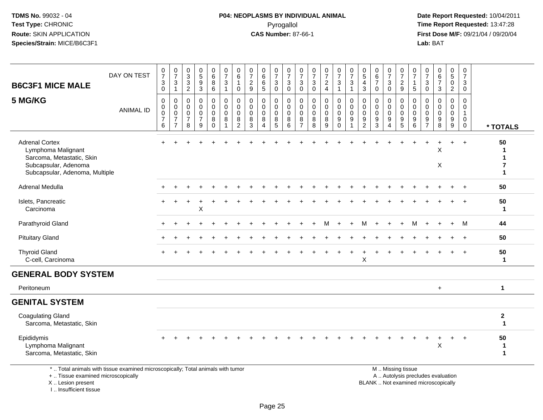#### **P04: NEOPLASMS BY INDIVIDUAL ANIMAL**Pyrogallol **Time Report Requested:** 13:47:28

 **Date Report Requested:** 10/04/2011 **First Dose M/F:** 09/21/04 / 09/20/04<br>Lab: BAT **Lab:** BAT

| <b>B6C3F1 MICE MALE</b>                                                                                                            | DAY ON TEST      | $\frac{0}{7}$<br>3<br>0                      | $\frac{0}{7}$<br>$\frac{3}{1}$                                        | $_{3}^{\rm 0}$<br>$\mathbf{3}$<br>2                              | $\begin{array}{c} 0 \\ 5 \end{array}$<br>9<br>3        | $_{6}^{\rm 0}$<br>8<br>6        | $\begin{array}{c} 0 \\ 7 \end{array}$<br>3<br>$\mathbf{1}$ | $\begin{array}{c} 0 \\ 6 \end{array}$<br>$\overline{1}$<br>0   | $\frac{0}{7}$<br>$\frac{2}{9}$                                  | 0<br>$\,6\,$<br>6<br>5                                           | $\frac{0}{7}$<br>3<br>0                                | $\frac{0}{7}$<br>3<br>$\mathbf 0$                  | $\begin{array}{c} 0 \\ 7 \end{array}$<br>$\mathbf{3}$<br>$\mathbf 0$ | $\frac{0}{7}$<br>3<br>$\mathbf 0$         | $\frac{0}{7}$<br>$\frac{2}{4}$                      | $\begin{array}{c} 0 \\ 7 \end{array}$<br>$\sqrt{3}$<br>$\mathbf{1}$ | $\frac{0}{7}$<br>$\mathsf 3$<br>$\mathbf{1}$         | $\begin{array}{c} 0 \\ 5 \end{array}$<br>4<br>3 | $\begin{array}{c} 0 \\ 6 \end{array}$<br>$\overline{7}$<br>$\mathbf 0$ | $\begin{array}{c} 0 \\ 7 \end{array}$<br>$\mathbf 3$<br>$\mathbf 0$        | $\frac{0}{7}$<br>$\sqrt{2}$<br>9                       | $\frac{0}{7}$<br>$\overline{1}$<br>5                               | $\frac{0}{7}$<br>3<br>$\Omega$            | $_{6}^{\rm 0}$<br>$\overline{7}$<br>$\mathfrak{Z}$     | $\begin{array}{c} 0 \\ 5 \end{array}$<br>$\pmb{0}$<br>$\overline{2}$ | $\begin{smallmatrix}0\\7\end{smallmatrix}$<br>3<br>0                        |                                             |
|------------------------------------------------------------------------------------------------------------------------------------|------------------|----------------------------------------------|-----------------------------------------------------------------------|------------------------------------------------------------------|--------------------------------------------------------|---------------------------------|------------------------------------------------------------|----------------------------------------------------------------|-----------------------------------------------------------------|------------------------------------------------------------------|--------------------------------------------------------|----------------------------------------------------|----------------------------------------------------------------------|-------------------------------------------|-----------------------------------------------------|---------------------------------------------------------------------|------------------------------------------------------|-------------------------------------------------|------------------------------------------------------------------------|----------------------------------------------------------------------------|--------------------------------------------------------|--------------------------------------------------------------------|-------------------------------------------|--------------------------------------------------------|----------------------------------------------------------------------|-----------------------------------------------------------------------------|---------------------------------------------|
| 5 MG/KG                                                                                                                            | <b>ANIMAL ID</b> | $\mathbf 0$<br>0<br>0<br>$\overline{7}$<br>6 | $\mathbf 0$<br>$_{\rm 0}^{\rm 0}$<br>$\overline{7}$<br>$\overline{7}$ | $\mathbf 0$<br>$\mathbf 0$<br>$\mathbf 0$<br>$\overline{7}$<br>8 | 0<br>$\mathbf 0$<br>$\mathbf 0$<br>$\overline{7}$<br>9 | 0<br>0<br>0<br>8<br>$\mathbf 0$ | 0<br>$\mathbf 0$<br>$\pmb{0}$<br>8<br>$\mathbf{1}$         | $\mathbf 0$<br>$\pmb{0}$<br>$\mathbf 0$<br>8<br>$\overline{2}$ | $\mathbf 0$<br>$\mathbf 0$<br>$\mathbf{0}$<br>8<br>$\mathbf{3}$ | $\mathbf 0$<br>$\mathbf 0$<br>$\mathbf 0$<br>8<br>$\overline{4}$ | 0<br>$\mathbf 0$<br>$\mathbf 0$<br>8<br>$\overline{5}$ | 0<br>0<br>$\mathbf 0$<br>$\bf 8$<br>$\overline{6}$ | 0<br>$\mathbf 0$<br>$\mathbf 0$<br>8<br>$\overline{7}$               | $\mathbf 0$<br>$\mathbf 0$<br>0<br>8<br>8 | $\mathbf 0$<br>$\mathbf 0$<br>$\mathbf 0$<br>8<br>9 | 0<br>$\mathbf 0$<br>$\mathbf 0$<br>$_{0}^{9}$                       | 0<br>$\mathbf 0$<br>$\mathbf 0$<br>9<br>$\mathbf{1}$ | 0<br>0<br>0<br>9<br>$\overline{2}$              | $\mathbf 0$<br>0<br>0<br>$\frac{9}{3}$                                 | $\mathbf 0$<br>$\mathbf 0$<br>$\pmb{0}$<br>$9\,$<br>$\boldsymbol{\Lambda}$ | $\mathbf 0$<br>$\mathbf 0$<br>0<br>9<br>$\overline{5}$ | $\mathbf 0$<br>$\mathbf 0$<br>$\mathbf 0$<br>$\boldsymbol{9}$<br>6 | 0<br>0<br>$\Omega$<br>9<br>$\overline{7}$ | $\mathbf 0$<br>0<br>$\mathbf 0$<br>9<br>$\overline{8}$ | 0<br>0<br>$\pmb{0}$<br>$^9_9$                                        | $\mathbf 0$<br>$\mathbf 0$<br>$\mathbf{1}$<br>$\overline{0}$<br>$\mathbf 0$ | * TOTALS                                    |
| <b>Adrenal Cortex</b><br>Lymphoma Malignant<br>Sarcoma, Metastatic, Skin<br>Subcapsular, Adenoma<br>Subcapsular, Adenoma, Multiple |                  |                                              |                                                                       |                                                                  |                                                        |                                 |                                                            |                                                                |                                                                 |                                                                  |                                                        |                                                    |                                                                      |                                           |                                                     |                                                                     |                                                      |                                                 |                                                                        |                                                                            |                                                        |                                                                    |                                           | X<br>X                                                 | $\ddot{}$                                                            | $\ddot{}$                                                                   | 50<br>1<br>$\mathbf{1}$<br>7<br>$\mathbf 1$ |
| Adrenal Medulla                                                                                                                    |                  |                                              |                                                                       |                                                                  |                                                        |                                 |                                                            |                                                                |                                                                 |                                                                  |                                                        |                                                    |                                                                      |                                           |                                                     |                                                                     |                                                      |                                                 |                                                                        |                                                                            |                                                        |                                                                    |                                           |                                                        |                                                                      |                                                                             | 50                                          |
| Islets, Pancreatic<br>Carcinoma                                                                                                    |                  |                                              |                                                                       |                                                                  | X                                                      |                                 |                                                            |                                                                |                                                                 |                                                                  |                                                        |                                                    |                                                                      |                                           |                                                     |                                                                     |                                                      |                                                 |                                                                        |                                                                            |                                                        |                                                                    |                                           |                                                        |                                                                      |                                                                             | 50<br>$\mathbf{1}$                          |
| Parathyroid Gland                                                                                                                  |                  |                                              |                                                                       |                                                                  |                                                        |                                 |                                                            |                                                                |                                                                 |                                                                  |                                                        |                                                    |                                                                      |                                           |                                                     |                                                                     |                                                      | M                                               |                                                                        |                                                                            |                                                        | М                                                                  |                                           |                                                        | $\overline{+}$                                                       | M                                                                           | 44                                          |
| <b>Pituitary Gland</b>                                                                                                             |                  |                                              |                                                                       |                                                                  |                                                        |                                 |                                                            |                                                                |                                                                 |                                                                  |                                                        |                                                    |                                                                      |                                           |                                                     |                                                                     |                                                      |                                                 |                                                                        |                                                                            |                                                        |                                                                    |                                           |                                                        |                                                                      | $\overline{+}$                                                              | 50                                          |
| <b>Thyroid Gland</b><br>C-cell, Carcinoma                                                                                          |                  |                                              |                                                                       |                                                                  |                                                        |                                 |                                                            |                                                                |                                                                 |                                                                  |                                                        |                                                    |                                                                      |                                           |                                                     |                                                                     |                                                      | Χ                                               |                                                                        |                                                                            |                                                        |                                                                    |                                           |                                                        |                                                                      |                                                                             | 50<br>$\mathbf{1}$                          |
| <b>GENERAL BODY SYSTEM</b>                                                                                                         |                  |                                              |                                                                       |                                                                  |                                                        |                                 |                                                            |                                                                |                                                                 |                                                                  |                                                        |                                                    |                                                                      |                                           |                                                     |                                                                     |                                                      |                                                 |                                                                        |                                                                            |                                                        |                                                                    |                                           |                                                        |                                                                      |                                                                             |                                             |
| Peritoneum                                                                                                                         |                  |                                              |                                                                       |                                                                  |                                                        |                                 |                                                            |                                                                |                                                                 |                                                                  |                                                        |                                                    |                                                                      |                                           |                                                     |                                                                     |                                                      |                                                 |                                                                        |                                                                            |                                                        |                                                                    |                                           | $+$                                                    |                                                                      |                                                                             | $\mathbf 1$                                 |
| <b>GENITAL SYSTEM</b>                                                                                                              |                  |                                              |                                                                       |                                                                  |                                                        |                                 |                                                            |                                                                |                                                                 |                                                                  |                                                        |                                                    |                                                                      |                                           |                                                     |                                                                     |                                                      |                                                 |                                                                        |                                                                            |                                                        |                                                                    |                                           |                                                        |                                                                      |                                                                             |                                             |
| <b>Coagulating Gland</b><br>Sarcoma, Metastatic, Skin                                                                              |                  |                                              |                                                                       |                                                                  |                                                        |                                 |                                                            |                                                                |                                                                 |                                                                  |                                                        |                                                    |                                                                      |                                           |                                                     |                                                                     |                                                      |                                                 |                                                                        |                                                                            |                                                        |                                                                    |                                           |                                                        |                                                                      |                                                                             | $\boldsymbol{2}$<br>$\blacktriangleleft$    |
| Epididymis<br>Lymphoma Malignant<br>Sarcoma, Metastatic, Skin                                                                      |                  |                                              |                                                                       |                                                                  |                                                        |                                 |                                                            |                                                                |                                                                 |                                                                  |                                                        |                                                    |                                                                      |                                           |                                                     |                                                                     |                                                      |                                                 |                                                                        |                                                                            |                                                        |                                                                    |                                           | X                                                      | $\ddot{}$                                                            | $+$                                                                         | 50<br>$\mathbf{1}$<br>$\mathbf{1}$          |
| *  Total animals with tissue examined microscopically; Total animals with tumor                                                    |                  |                                              |                                                                       |                                                                  |                                                        |                                 |                                                            |                                                                |                                                                 |                                                                  |                                                        |                                                    |                                                                      |                                           |                                                     |                                                                     |                                                      |                                                 |                                                                        |                                                                            | M  Missing tissue                                      |                                                                    |                                           |                                                        |                                                                      |                                                                             |                                             |

+ .. Tissue examined microscopically

X .. Lesion present

I .. Insufficient tissue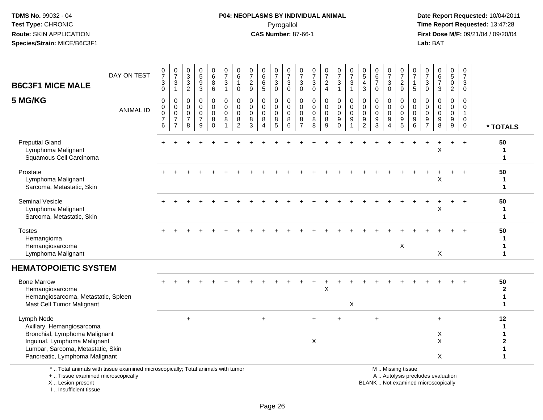#### **P04: NEOPLASMS BY INDIVIDUAL ANIMAL**Pyrogallol **Time Report Requested:** 13:47:28

 **Date Report Requested:** 10/04/2011 **First Dose M/F:** 09/21/04 / 09/20/04<br>Lab: BAT **Lab:** BAT

| <b>B6C3F1 MICE MALE</b>                                                                                                                       | DAY ON TEST      | $\frac{0}{7}$<br>3<br>$\mathbf 0$                       | $\frac{0}{7}$<br>3<br>$\overline{1}$                                               | $\pmb{0}$<br>$\mathbf{3}$<br>3<br>$\overline{2}$           | 0<br>5<br>9<br>3                                        | $_6^0$<br>8<br>6                              | $\begin{smallmatrix}0\\7\end{smallmatrix}$<br>$\mathbf{3}$<br>$\mathbf{1}$ | 0<br>$\overline{6}$<br>$\mathbf 0$                               | 0<br>$\overline{7}$<br>$\overline{2}$<br>9    | 0<br>$\,6$<br>6<br>5                       | $\frac{0}{7}$<br>3<br>$\mathbf{0}$     | 0<br>$\overline{7}$<br>3<br>$\mathbf 0$          | 0<br>$\overline{7}$<br>3<br>$\mathbf 0$                            | 0<br>$\overline{7}$<br>3<br>$\mathbf 0$       | $\frac{0}{7}$<br>$\overline{c}$<br>$\overline{4}$ | $\frac{0}{7}$<br>3<br>$\mathbf{1}$                                      | 0<br>$\overline{7}$<br>3<br>$\mathbf{1}$  | 0<br>$\overline{5}$<br>4<br>3                                  | 0<br>6<br>$\overline{7}$<br>$\mathbf 0$          | $\frac{0}{7}$<br>3<br>$\mathbf{0}$                | 0<br>$\overline{7}$<br>$\overline{c}$<br>9 | 0<br>$\overline{7}$<br>$\overline{1}$<br>5    | 0<br>$\overline{7}$<br>3<br>$\Omega$       | 0<br>6<br>$\overline{7}$<br>3              | $\begin{array}{c} 0 \\ 5 \end{array}$<br>$\pmb{0}$<br>$\overline{2}$ | $\mathbf 0$<br>$\overline{7}$<br>3<br>$\mathbf 0$        |                                      |
|-----------------------------------------------------------------------------------------------------------------------------------------------|------------------|---------------------------------------------------------|------------------------------------------------------------------------------------|------------------------------------------------------------|---------------------------------------------------------|-----------------------------------------------|----------------------------------------------------------------------------|------------------------------------------------------------------|-----------------------------------------------|--------------------------------------------|----------------------------------------|--------------------------------------------------|--------------------------------------------------------------------|-----------------------------------------------|---------------------------------------------------|-------------------------------------------------------------------------|-------------------------------------------|----------------------------------------------------------------|--------------------------------------------------|---------------------------------------------------|--------------------------------------------|-----------------------------------------------|--------------------------------------------|--------------------------------------------|----------------------------------------------------------------------|----------------------------------------------------------|--------------------------------------|
| 5 MG/KG                                                                                                                                       | <b>ANIMAL ID</b> | $\mathbf{0}$<br>0<br>$\mathbf 0$<br>$\overline{7}$<br>6 | $\Omega$<br>$\mathsf{O}\xspace$<br>$\mathbf 0$<br>$\overline{7}$<br>$\overline{7}$ | $\Omega$<br>$\mathbf 0$<br>$\Omega$<br>$\overline{7}$<br>8 | $\Omega$<br>$\Omega$<br>$\Omega$<br>$\overline{7}$<br>9 | 0<br>$\mathbf 0$<br>$\Omega$<br>8<br>$\Omega$ | $\mathbf 0$<br>$\mathbf 0$<br>$\mathbf 0$<br>8<br>-1                       | $\mathbf 0$<br>$\mathbf 0$<br>$\mathbf 0$<br>8<br>$\overline{2}$ | $\Omega$<br>$\mathbf 0$<br>$\Omega$<br>8<br>3 | $\Omega$<br>$\Omega$<br>$\Omega$<br>8<br>4 | 0<br>$\mathbf 0$<br>$\Omega$<br>8<br>5 | $\mathbf 0$<br>$\mathbf 0$<br>$\Omega$<br>8<br>6 | $\Omega$<br>$\mathsf{O}\xspace$<br>$\Omega$<br>8<br>$\overline{7}$ | $\Omega$<br>$\mathbf 0$<br>$\Omega$<br>8<br>8 | $\Omega$<br>$\mathbf 0$<br>$\Omega$<br>8<br>9     | 0<br>$\mathsf{O}\xspace$<br>$\mathbf 0$<br>$\boldsymbol{9}$<br>$\Omega$ | 0<br>$\mathbf 0$<br>$\mathbf 0$<br>9<br>1 | $\mathbf{0}$<br>$\mathbf 0$<br>$\Omega$<br>9<br>$\overline{2}$ | $\Omega$<br>$\mathbf 0$<br>$\mathbf 0$<br>9<br>3 | $\Omega$<br>$\mathbf 0$<br>$\mathbf{0}$<br>9<br>Δ | 0<br>$\mathbf 0$<br>$\Omega$<br>9<br>5     | $\Omega$<br>$\mathbf 0$<br>$\Omega$<br>9<br>6 | $\Omega$<br>$\Omega$<br>$\Omega$<br>9<br>7 | $\Omega$<br>$\Omega$<br>$\Omega$<br>9<br>8 | $\Omega$<br>$\mathbf 0$<br>$\mathbf 0$<br>$\boldsymbol{9}$<br>9      | $\Omega$<br>$\Omega$<br>$\mathbf{1}$<br>$\mathbf 0$<br>0 | * TOTALS                             |
| <b>Preputial Gland</b><br>Lymphoma Malignant<br>Squamous Cell Carcinoma                                                                       |                  |                                                         |                                                                                    |                                                            |                                                         |                                               |                                                                            |                                                                  |                                               |                                            |                                        |                                                  |                                                                    |                                               |                                                   |                                                                         |                                           |                                                                |                                                  |                                                   |                                            |                                               |                                            |                                            |                                                                      | $+$                                                      | 50<br>$\mathbf{1}$                   |
| Prostate<br>Lymphoma Malignant<br>Sarcoma, Metastatic, Skin                                                                                   |                  |                                                         |                                                                                    |                                                            |                                                         |                                               |                                                                            |                                                                  |                                               |                                            |                                        |                                                  |                                                                    |                                               |                                                   |                                                                         |                                           |                                                                |                                                  |                                                   |                                            |                                               |                                            | X                                          |                                                                      | $\ddot{}$                                                | 50<br>1<br>$\blacktriangleleft$      |
| <b>Seminal Vesicle</b><br>Lymphoma Malignant<br>Sarcoma, Metastatic, Skin                                                                     |                  |                                                         |                                                                                    |                                                            |                                                         |                                               |                                                                            |                                                                  |                                               |                                            |                                        |                                                  |                                                                    |                                               |                                                   |                                                                         |                                           |                                                                |                                                  |                                                   |                                            |                                               |                                            | X                                          |                                                                      |                                                          | 50<br>1<br>1                         |
| <b>Testes</b><br>Hemangioma<br>Hemangiosarcoma<br>Lymphoma Malignant                                                                          |                  |                                                         |                                                                                    |                                                            |                                                         |                                               |                                                                            |                                                                  |                                               |                                            |                                        |                                                  |                                                                    |                                               |                                                   |                                                                         |                                           |                                                                |                                                  |                                                   | X                                          |                                               |                                            | X                                          |                                                                      |                                                          | 50<br>1<br>1<br>$\blacktriangleleft$ |
| <b>HEMATOPOIETIC SYSTEM</b>                                                                                                                   |                  |                                                         |                                                                                    |                                                            |                                                         |                                               |                                                                            |                                                                  |                                               |                                            |                                        |                                                  |                                                                    |                                               |                                                   |                                                                         |                                           |                                                                |                                                  |                                                   |                                            |                                               |                                            |                                            |                                                                      |                                                          |                                      |
| <b>Bone Marrow</b><br>Hemangiosarcoma<br>Hemangiosarcoma, Metastatic, Spleen<br>Mast Cell Tumor Malignant                                     |                  |                                                         |                                                                                    |                                                            |                                                         |                                               |                                                                            |                                                                  |                                               |                                            |                                        |                                                  |                                                                    |                                               | Χ                                                 |                                                                         | X                                         |                                                                |                                                  |                                                   |                                            |                                               |                                            |                                            |                                                                      |                                                          | 50<br>$\mathbf{2}$<br>1<br>1         |
| Lymph Node<br>Axillary, Hemangiosarcoma<br>Bronchial, Lymphoma Malignant<br>Inguinal, Lymphoma Malignant<br>Lumbar, Sarcoma, Metastatic, Skin |                  |                                                         |                                                                                    | $\ddot{}$                                                  |                                                         |                                               |                                                                            |                                                                  |                                               | $\ddot{}$                                  |                                        |                                                  |                                                                    | $+$<br>X                                      |                                                   | ÷.                                                                      |                                           |                                                                | $\ddot{}$                                        |                                                   |                                            |                                               |                                            | $+$<br>X<br>X                              |                                                                      |                                                          | 12<br>2                              |
| Pancreatic, Lymphoma Malignant<br>* Tatel animals with tigaus avaning dimissopracially Tatel animals with tumor                               |                  |                                                         |                                                                                    |                                                            |                                                         |                                               |                                                                            |                                                                  |                                               |                                            |                                        |                                                  |                                                                    |                                               |                                                   |                                                                         |                                           |                                                                |                                                  |                                                   | M <sub>N</sub> Micripa tionup              |                                               |                                            | X                                          |                                                                      |                                                          | 1                                    |

\* .. Total animals with tissue examined microscopically; Total animals with tumor

+ .. Tissue examined microscopically

X .. Lesion present

I .. Insufficient tissue

M .. Missing tissue

y the contract of the contract of the contract of the contract of the contract of the contract of the contract of  $A$ . Autolysis precludes evaluation

Lesion present BLANK .. Not examined microscopically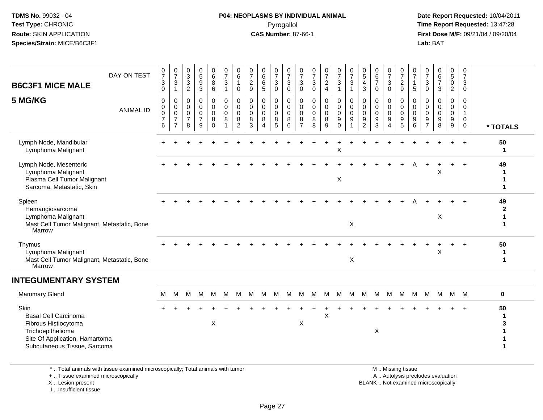#### **P04: NEOPLASMS BY INDIVIDUAL ANIMAL**Pyrogallol **Time Report Requested:** 13:47:28

 **Date Report Requested:** 10/04/2011 **First Dose M/F:** 09/21/04 / 09/20/04<br>**Lab:** BAT **Lab:** BAT

| DAY ON TEST<br><b>B6C3F1 MICE MALE</b><br>5 MG/KG<br><b>ANIMAL ID</b>                                                                              | $\frac{0}{7}$<br>$\mathbf{3}$<br>0<br>0<br>$\pmb{0}$<br>$\mathbf 0$<br>$\overline{7}$<br>6 | $\frac{0}{7}$<br>$\sqrt{3}$<br>$\mathbf{1}$<br>0<br>$\pmb{0}$<br>$\mathsf{O}\xspace$<br>$\overline{7}$<br>$\overline{7}$ | $\begin{array}{c} 0 \\ 3 \\ 3 \end{array}$<br>$\overline{2}$<br>$\mathbf 0$<br>$\mathbf 0$<br>$\mathbf 0$<br>$\overline{7}$<br>8 | $\begin{array}{c} 0 \\ 5 \end{array}$<br>$\boldsymbol{9}$<br>$\sqrt{3}$<br>$\mathbf 0$<br>$\mathbf 0$<br>$\pmb{0}$<br>$\overline{7}$<br>9 | 0<br>$\,6\,$<br>8<br>6<br>0<br>$\mathbf 0$<br>0<br>8<br>$\Omega$ | $\frac{0}{7}$<br>$\sqrt{3}$<br>$\mathbf{1}$<br>$\pmb{0}$<br>$\pmb{0}$<br>$\mathsf{O}\xspace$<br>$\, 8$<br>$\mathbf 1$ | 0<br>$\,6$<br>$\mathbf{1}$<br>0<br>0<br>$\mathbf 0$<br>$\mathbf 0$<br>8<br>$\overline{2}$ | 0<br>$\boldsymbol{7}$<br>$\overline{a}$<br>9<br>$\mathbf 0$<br>$\pmb{0}$<br>0<br>8<br>3 | $\begin{array}{c} 0 \\ 6 \end{array}$<br>$6\phantom{a}$<br>$\sqrt{5}$<br>$\mathbf 0$<br>$\pmb{0}$<br>$\mathbf 0$<br>8<br>Δ | 0<br>$\overline{7}$<br>$\sqrt{3}$<br>0<br>0<br>$\mathbf 0$<br>$\mathbf 0$<br>8<br>5 | 0<br>$\boldsymbol{7}$<br>$\mathbf{3}$<br>$\mathbf 0$<br>$\mathbf 0$<br>$\mathbf 0$<br>$\mathbf 0$<br>$\,8\,$<br>6 | 0<br>$\overline{7}$<br>$\sqrt{3}$<br>$\mathbf 0$<br>0<br>0<br>0<br>8<br>$\overline{7}$ | $\frac{0}{7}$<br>$\mathbf{3}$<br>$\mathbf 0$<br>0<br>$\pmb{0}$<br>$\pmb{0}$<br>$\bf 8$<br>8 | $\frac{0}{7}$<br>$\overline{c}$<br>$\overline{4}$<br>0<br>$\pmb{0}$<br>$\mathsf 0$<br>8<br>9 | $\frac{0}{7}$<br>3<br>0<br>$\ddot{\mathbf{0}}$<br>$\mathbf 0$<br>$\boldsymbol{9}$<br>$\Omega$ | $\frac{0}{7}$<br>$\mathbf 3$<br>$\overline{1}$<br>$\pmb{0}$<br>$\mathbf 0$<br>$\mathbf 0$<br>$9\,$<br>$\overline{\mathbf{1}}$ | 0<br>$\sqrt{5}$<br>$\overline{4}$<br>$\mathbf{3}$<br>0<br>$\mathbf 0$<br>$\mathbf 0$<br>$\boldsymbol{9}$<br>2 | 0<br>$\,6\,$<br>$\overline{7}$<br>$\mathbf 0$<br>$\mathbf 0$<br>$\pmb{0}$<br>$\mathbf 0$<br>$9\,$<br>3 | 0<br>$\overline{7}$<br>3<br>$\mathbf 0$<br>0<br>$\mathbf 0$<br>$\mathbf 0$<br>$\boldsymbol{9}$ | $\frac{0}{7}$<br>$\overline{2}$<br>9<br>0<br>$\boldsymbol{0}$<br>$\mathbf 0$<br>$\boldsymbol{9}$<br>5 | 0<br>$\overline{7}$<br>$\mathbf{1}$<br>5<br>$\mathbf 0$<br>$\mathsf 0$<br>$\mathsf 0$<br>$\boldsymbol{9}$<br>6 | 0<br>$\overline{7}$<br>$\mathbf{3}$<br>0<br>$\mathbf 0$<br>$\mathbf 0$<br>$\mathbf 0$<br>$\boldsymbol{9}$<br>$\overline{7}$ | 0<br>$\,6\,$<br>$\overline{7}$<br>3<br>$\mathbf 0$<br>$\mathbf 0$<br>$\Omega$<br>9<br>8 | 0<br>$\sqrt{5}$<br>$\mathbf 0$<br>$\boldsymbol{2}$<br>0<br>$\mathbf 0$<br>$\mathsf{O}\xspace$<br>$\boldsymbol{9}$<br>$\overline{9}$ | 0<br>$\boldsymbol{7}$<br>$\mathsf 3$<br>0<br>0<br>$\mathbf 0$<br>$\mathbf{1}$<br>$\mathsf{O}\xspace$<br>$\mathbf 0$ | * TOTALS                                |
|----------------------------------------------------------------------------------------------------------------------------------------------------|--------------------------------------------------------------------------------------------|--------------------------------------------------------------------------------------------------------------------------|----------------------------------------------------------------------------------------------------------------------------------|-------------------------------------------------------------------------------------------------------------------------------------------|------------------------------------------------------------------|-----------------------------------------------------------------------------------------------------------------------|-------------------------------------------------------------------------------------------|-----------------------------------------------------------------------------------------|----------------------------------------------------------------------------------------------------------------------------|-------------------------------------------------------------------------------------|-------------------------------------------------------------------------------------------------------------------|----------------------------------------------------------------------------------------|---------------------------------------------------------------------------------------------|----------------------------------------------------------------------------------------------|-----------------------------------------------------------------------------------------------|-------------------------------------------------------------------------------------------------------------------------------|---------------------------------------------------------------------------------------------------------------|--------------------------------------------------------------------------------------------------------|------------------------------------------------------------------------------------------------|-------------------------------------------------------------------------------------------------------|----------------------------------------------------------------------------------------------------------------|-----------------------------------------------------------------------------------------------------------------------------|-----------------------------------------------------------------------------------------|-------------------------------------------------------------------------------------------------------------------------------------|---------------------------------------------------------------------------------------------------------------------|-----------------------------------------|
| Lymph Node, Mandibular<br>Lymphoma Malignant                                                                                                       |                                                                                            |                                                                                                                          |                                                                                                                                  |                                                                                                                                           |                                                                  |                                                                                                                       |                                                                                           |                                                                                         |                                                                                                                            |                                                                                     |                                                                                                                   |                                                                                        |                                                                                             |                                                                                              | Χ                                                                                             |                                                                                                                               |                                                                                                               |                                                                                                        |                                                                                                |                                                                                                       |                                                                                                                |                                                                                                                             |                                                                                         |                                                                                                                                     |                                                                                                                     | 50<br>-1                                |
| Lymph Node, Mesenteric<br>Lymphoma Malignant<br>Plasma Cell Tumor Malignant<br>Sarcoma, Metastatic, Skin                                           |                                                                                            |                                                                                                                          |                                                                                                                                  |                                                                                                                                           |                                                                  |                                                                                                                       |                                                                                           |                                                                                         |                                                                                                                            |                                                                                     |                                                                                                                   |                                                                                        |                                                                                             |                                                                                              | X                                                                                             |                                                                                                                               |                                                                                                               |                                                                                                        |                                                                                                |                                                                                                       |                                                                                                                |                                                                                                                             | X                                                                                       |                                                                                                                                     |                                                                                                                     | 49<br>1<br>1                            |
| Spleen<br>Hemangiosarcoma<br>Lymphoma Malignant<br>Mast Cell Tumor Malignant, Metastatic, Bone<br>Marrow                                           |                                                                                            |                                                                                                                          |                                                                                                                                  |                                                                                                                                           |                                                                  |                                                                                                                       |                                                                                           |                                                                                         |                                                                                                                            |                                                                                     |                                                                                                                   |                                                                                        |                                                                                             |                                                                                              |                                                                                               | X                                                                                                                             |                                                                                                               |                                                                                                        |                                                                                                |                                                                                                       |                                                                                                                |                                                                                                                             | $\boldsymbol{\mathsf{X}}$                                                               |                                                                                                                                     |                                                                                                                     | 49<br>$\mathbf{2}$<br>$\mathbf{1}$<br>1 |
| Thymus<br>Lymphoma Malignant<br>Mast Cell Tumor Malignant, Metastatic, Bone<br>Marrow                                                              |                                                                                            |                                                                                                                          |                                                                                                                                  |                                                                                                                                           |                                                                  |                                                                                                                       |                                                                                           |                                                                                         |                                                                                                                            |                                                                                     |                                                                                                                   |                                                                                        |                                                                                             |                                                                                              |                                                                                               | X                                                                                                                             |                                                                                                               |                                                                                                        |                                                                                                |                                                                                                       |                                                                                                                |                                                                                                                             | X                                                                                       |                                                                                                                                     |                                                                                                                     | 50<br>$\mathbf{1}$<br>$\mathbf{1}$      |
| <b>INTEGUMENTARY SYSTEM</b>                                                                                                                        |                                                                                            |                                                                                                                          |                                                                                                                                  |                                                                                                                                           |                                                                  |                                                                                                                       |                                                                                           |                                                                                         |                                                                                                                            |                                                                                     |                                                                                                                   |                                                                                        |                                                                                             |                                                                                              |                                                                                               |                                                                                                                               |                                                                                                               |                                                                                                        |                                                                                                |                                                                                                       |                                                                                                                |                                                                                                                             |                                                                                         |                                                                                                                                     |                                                                                                                     |                                         |
| <b>Mammary Gland</b>                                                                                                                               | M                                                                                          | М                                                                                                                        | M                                                                                                                                | M                                                                                                                                         | M                                                                | M                                                                                                                     | M                                                                                         |                                                                                         | M M M                                                                                                                      |                                                                                     | M                                                                                                                 | M                                                                                      |                                                                                             |                                                                                              | M M M                                                                                         | M                                                                                                                             | M                                                                                                             |                                                                                                        | M M                                                                                            | M                                                                                                     |                                                                                                                |                                                                                                                             |                                                                                         | M M M M M                                                                                                                           |                                                                                                                     | $\mathbf 0$                             |
| Skin<br><b>Basal Cell Carcinoma</b><br>Fibrous Histiocytoma<br>Trichoepithelioma<br>Site Of Application, Hamartoma<br>Subcutaneous Tissue, Sarcoma |                                                                                            |                                                                                                                          |                                                                                                                                  |                                                                                                                                           | X                                                                |                                                                                                                       |                                                                                           |                                                                                         |                                                                                                                            |                                                                                     |                                                                                                                   | X                                                                                      |                                                                                             | X                                                                                            |                                                                                               |                                                                                                                               |                                                                                                               | X                                                                                                      |                                                                                                |                                                                                                       |                                                                                                                |                                                                                                                             |                                                                                         |                                                                                                                                     |                                                                                                                     | 50                                      |

\* .. Total animals with tissue examined microscopically; Total animals with tumor

+ .. Tissue examined microscopically

 Lesion present BLANK .. Not examined microscopicallyX .. Lesion present

I .. Insufficient tissue

 M .. Missing tissuey the contract of the contract of the contract of the contract of the contract of the contract of the contract of  $A$ . Autolysis precludes evaluation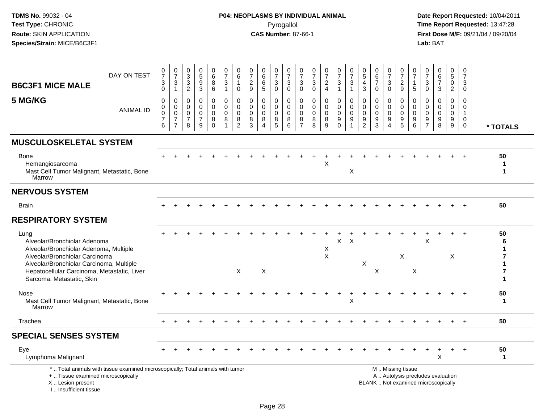# **P04: NEOPLASMS BY INDIVIDUAL ANIMAL**Pyrogallol **Time Report Requested:** 13:47:28

| <b>B6C3F1 MICE MALE</b>                                                                                                                                              | DAY ON TEST      | 0<br>$\overline{7}$<br>3<br>$\mathbf 0$                | $\frac{0}{7}$<br>$\mathbf{3}$<br>$\mathbf{1}$                     | 0<br>$\frac{3}{2}$                                  | $\begin{array}{c} 0 \\ 5 \end{array}$<br>$\frac{9}{3}$              | $\pmb{0}$<br>$6\phantom{a}$<br>8<br>$\,6\,$         | $\frac{0}{7}$<br>$\sqrt{3}$<br>$\overline{1}$                    | 0<br>6<br>$\mathbf 0$                                         | 0<br>$\overline{7}$<br>$\overline{c}$<br>9                  | $\begin{array}{c} 0 \\ 6 \end{array}$<br>$\overline{6}$<br>$\overline{5}$        | 0<br>$\overline{7}$<br>$\mathsf 3$<br>$\mathbf 0$ | $\frac{0}{7}$<br>$_{0}^{3}$                                       | 0<br>$\overline{7}$<br>$\ensuremath{\mathsf{3}}$<br>$\mathbf 0$  | 0<br>$\overline{7}$<br>3<br>$\mathbf 0$          | $\frac{0}{7}$<br>$\frac{2}{4}$                                   | $\frac{0}{7}$<br>$\ensuremath{\mathsf{3}}$<br>$\mathbf{1}$ | $\frac{0}{7}$<br>$\ensuremath{\mathsf{3}}$<br>$\mathbf{1}$ | $\begin{array}{c} 0 \\ 5 \end{array}$<br>$\overline{4}$<br>$\mathbf{3}$ | 0<br>6<br>$\overline{7}$<br>$\mathbf{0}$                             | $\frac{0}{7}$<br>$\sqrt{3}$<br>$\Omega$                               | $\frac{0}{7}$<br>$\frac{2}{9}$                                         | 0<br>$\overline{7}$<br>$\mathbf{1}$<br>5      | 0<br>$\overline{7}$<br>$\mathsf 3$<br>$\mathbf 0$   | $\begin{array}{c} 0 \\ 6 \end{array}$<br>$\overline{7}$<br>3 | 0<br>$\overline{5}$<br>$\mathbf 0$<br>$\overline{2}$ | 0<br>$\overline{7}$<br>$\mathbf{3}$<br>$\mathbf 0$          |                         |
|----------------------------------------------------------------------------------------------------------------------------------------------------------------------|------------------|--------------------------------------------------------|-------------------------------------------------------------------|-----------------------------------------------------|---------------------------------------------------------------------|-----------------------------------------------------|------------------------------------------------------------------|---------------------------------------------------------------|-------------------------------------------------------------|----------------------------------------------------------------------------------|---------------------------------------------------|-------------------------------------------------------------------|------------------------------------------------------------------|--------------------------------------------------|------------------------------------------------------------------|------------------------------------------------------------|------------------------------------------------------------|-------------------------------------------------------------------------|----------------------------------------------------------------------|-----------------------------------------------------------------------|------------------------------------------------------------------------|-----------------------------------------------|-----------------------------------------------------|--------------------------------------------------------------|------------------------------------------------------|-------------------------------------------------------------|-------------------------|
| 5 MG/KG                                                                                                                                                              | <b>ANIMAL ID</b> | $\mathbf 0$<br>0<br>$\mathbf 0$<br>$\overline{7}$<br>6 | $\mathbf 0$<br>0<br>$\pmb{0}$<br>$\overline{7}$<br>$\overline{7}$ | $\mathbf 0$<br>$\mathbf 0$<br>$\mathbf 0$<br>7<br>8 | 0<br>$\mathbf 0$<br>$\mathbf 0$<br>$\overline{7}$<br>$\overline{9}$ | 0<br>$\mathbf 0$<br>$\mathbf 0$<br>8<br>$\mathbf 0$ | $\mathbf 0$<br>$\mathbf 0$<br>$\mathbf 0$<br>8<br>$\overline{1}$ | $\mathbf 0$<br>$\mathbf 0$<br>$\Omega$<br>8<br>$\overline{c}$ | $\mathbf 0$<br>$\mathbf 0$<br>$\Omega$<br>8<br>$\mathbf{3}$ | $\mathbf 0$<br>$\mathbf 0$<br>$\mathbf 0$<br>$\bf 8$<br>$\boldsymbol{\varDelta}$ | 0<br>$\mathbf 0$<br>$\mathbf 0$<br>8<br>5         | $\mathbf 0$<br>$\mathbf 0$<br>$\mathbf 0$<br>8<br>$6\phantom{1}6$ | $\mathbf 0$<br>$\mathbf 0$<br>$\mathbf 0$<br>8<br>$\overline{7}$ | $\mathbf 0$<br>$\mathbf 0$<br>$\Omega$<br>8<br>8 | $\mathbf 0$<br>$\mathbf 0$<br>$\mathbf 0$<br>8<br>$\overline{9}$ | 0<br>$\overline{0}$<br>$\mathbf 0$<br>9<br>$\pmb{0}$       | 0<br>$\mathbf 0$<br>$\mathbf 0$<br>9<br>$\mathbf{1}$       | $\mathbf 0$<br>$\mathbf 0$<br>$\mathbf 0$<br>9<br>$\overline{c}$        | $\mathbf{0}$<br>$\mathbf 0$<br>$\mathbf{0}$<br>$9\,$<br>$\mathbf{3}$ | 0<br>$\mathbf 0$<br>$\mathbf 0$<br>$\boldsymbol{9}$<br>$\overline{4}$ | 0<br>$\mathbf 0$<br>$\mathbf 0$<br>$\boldsymbol{9}$<br>$5\phantom{.0}$ | 0<br>$\mathbf 0$<br>$\mathbf 0$<br>9<br>$\,6$ | 0<br>$\Omega$<br>$\mathbf 0$<br>9<br>$\overline{7}$ | $\mathbf 0$<br>$\mathbf 0$<br>$\mathbf 0$<br>9<br>8          | 0<br>$\mathbf 0$<br>$\mathbf 0$<br>9<br>9            | $\Omega$<br>$\mathbf 0$<br>$\mathbf{1}$<br>$\mathbf 0$<br>0 | * TOTALS                |
| <b>MUSCULOSKELETAL SYSTEM</b>                                                                                                                                        |                  |                                                        |                                                                   |                                                     |                                                                     |                                                     |                                                                  |                                                               |                                                             |                                                                                  |                                                   |                                                                   |                                                                  |                                                  |                                                                  |                                                            |                                                            |                                                                         |                                                                      |                                                                       |                                                                        |                                               |                                                     |                                                              |                                                      |                                                             |                         |
| Bone<br>Hemangiosarcoma<br>Mast Cell Tumor Malignant, Metastatic, Bone<br>Marrow                                                                                     |                  |                                                        |                                                                   |                                                     |                                                                     |                                                     |                                                                  |                                                               |                                                             |                                                                                  |                                                   |                                                                   |                                                                  |                                                  | X                                                                |                                                            | Χ                                                          |                                                                         |                                                                      |                                                                       |                                                                        |                                               |                                                     |                                                              |                                                      |                                                             | 50<br>1<br>$\mathbf{1}$ |
| <b>NERVOUS SYSTEM</b>                                                                                                                                                |                  |                                                        |                                                                   |                                                     |                                                                     |                                                     |                                                                  |                                                               |                                                             |                                                                                  |                                                   |                                                                   |                                                                  |                                                  |                                                                  |                                                            |                                                            |                                                                         |                                                                      |                                                                       |                                                                        |                                               |                                                     |                                                              |                                                      |                                                             |                         |
| Brain                                                                                                                                                                |                  |                                                        |                                                                   |                                                     |                                                                     |                                                     |                                                                  |                                                               |                                                             |                                                                                  |                                                   |                                                                   |                                                                  |                                                  |                                                                  |                                                            |                                                            |                                                                         |                                                                      |                                                                       |                                                                        |                                               |                                                     |                                                              |                                                      |                                                             | 50                      |
| <b>RESPIRATORY SYSTEM</b>                                                                                                                                            |                  |                                                        |                                                                   |                                                     |                                                                     |                                                     |                                                                  |                                                               |                                                             |                                                                                  |                                                   |                                                                   |                                                                  |                                                  |                                                                  |                                                            |                                                            |                                                                         |                                                                      |                                                                       |                                                                        |                                               |                                                     |                                                              |                                                      |                                                             |                         |
| Lung<br>Alveolar/Bronchiolar Adenoma<br>Alveolar/Bronchiolar Adenoma, Multiple                                                                                       |                  |                                                        |                                                                   |                                                     |                                                                     |                                                     |                                                                  |                                                               |                                                             |                                                                                  |                                                   |                                                                   |                                                                  |                                                  | X                                                                | $\mathsf{X}$                                               | $\times$                                                   |                                                                         |                                                                      |                                                                       |                                                                        |                                               | X                                                   |                                                              |                                                      |                                                             | 50<br>6                 |
| Alveolar/Bronchiolar Carcinoma<br>Alveolar/Bronchiolar Carcinoma, Multiple<br>Hepatocellular Carcinoma, Metastatic, Liver<br>Sarcoma, Metastatic, Skin               |                  |                                                        |                                                                   |                                                     |                                                                     |                                                     |                                                                  | $\mathsf{X}$                                                  |                                                             | X                                                                                |                                                   |                                                                   |                                                                  |                                                  | X                                                                |                                                            |                                                            | X                                                                       | X                                                                    |                                                                       | X                                                                      | X                                             |                                                     |                                                              | X                                                    |                                                             | 7                       |
| Nose<br>Mast Cell Tumor Malignant, Metastatic, Bone<br>Marrow                                                                                                        |                  |                                                        |                                                                   |                                                     |                                                                     |                                                     |                                                                  |                                                               |                                                             |                                                                                  |                                                   |                                                                   |                                                                  |                                                  |                                                                  |                                                            | $\mathsf X$                                                |                                                                         |                                                                      |                                                                       |                                                                        |                                               |                                                     |                                                              |                                                      |                                                             | 50<br>$\mathbf{1}$      |
| Trachea                                                                                                                                                              |                  |                                                        |                                                                   |                                                     |                                                                     |                                                     |                                                                  |                                                               |                                                             |                                                                                  |                                                   |                                                                   |                                                                  |                                                  |                                                                  |                                                            |                                                            |                                                                         |                                                                      |                                                                       |                                                                        |                                               |                                                     |                                                              |                                                      | $\ddot{}$                                                   | 50                      |
| <b>SPECIAL SENSES SYSTEM</b>                                                                                                                                         |                  |                                                        |                                                                   |                                                     |                                                                     |                                                     |                                                                  |                                                               |                                                             |                                                                                  |                                                   |                                                                   |                                                                  |                                                  |                                                                  |                                                            |                                                            |                                                                         |                                                                      |                                                                       |                                                                        |                                               |                                                     |                                                              |                                                      |                                                             |                         |
| Eye<br>Lymphoma Malignant                                                                                                                                            |                  |                                                        |                                                                   |                                                     |                                                                     |                                                     |                                                                  |                                                               |                                                             |                                                                                  |                                                   |                                                                   |                                                                  |                                                  |                                                                  |                                                            |                                                            |                                                                         |                                                                      |                                                                       |                                                                        |                                               |                                                     | $\boldsymbol{\mathsf{X}}$                                    |                                                      |                                                             | 50<br>$\mathbf{1}$      |
| *  Total animals with tissue examined microscopically; Total animals with tumor<br>+  Tissue examined microscopically<br>X  Lesion present<br>L. Insufficient tissue |                  |                                                        |                                                                   |                                                     |                                                                     |                                                     |                                                                  |                                                               |                                                             |                                                                                  |                                                   |                                                                   |                                                                  |                                                  |                                                                  |                                                            |                                                            |                                                                         | BLANK  Not examined microscopically                                  |                                                                       | M  Missing tissue                                                      |                                               |                                                     | A  Autolysis precludes evaluation                            |                                                      |                                                             |                         |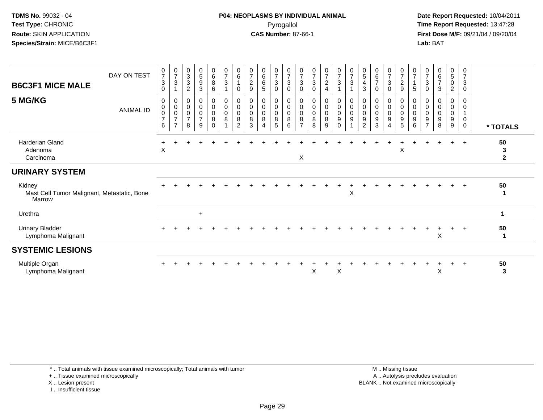#### **P04: NEOPLASMS BY INDIVIDUAL ANIMAL**Pyrogallol **Time Report Requested:** 13:47:28

 **Date Report Requested:** 10/04/2011 **First Dose M/F:** 09/21/04 / 09/20/04<br>**Lab:** BAT **Lab:** BAT

| <b>B6C3F1 MICE MALE</b>                                         | DAY ON TEST      | $\frac{0}{7}$<br>$\mathbf{3}$<br>$\Omega$          | $\mathbf 0$<br>$\overline{7}$<br>3                              | $\mathbf 0$<br>$\frac{3}{3}$<br>$\overline{2}$       | $\mathbf 0$<br>5<br>9<br>3                   | $\mathbf 0$<br>$\frac{6}{8}$<br>6 | $\mathbf 0$<br>$\overline{7}$<br>$\sqrt{3}$ | $\mathbf 0$<br>$\,6\,$<br>0             | $\boldsymbol{0}$<br>$\overline{7}$<br>$\sqrt{2}$<br>9 | 0<br>6<br>6<br>5              | $\frac{0}{7}$<br>$\mathbf{3}$<br>0                      | $\frac{0}{7}$<br>$\sqrt{3}$<br>0 | 0<br>$\overline{7}$<br>$\sqrt{3}$<br>0 | $\frac{0}{7}$<br>$\sqrt{3}$<br>0           | $\frac{0}{7}$<br>$\overline{c}$<br>4 | $\frac{0}{7}$<br>$\sqrt{3}$<br>1                                        | 0<br>$\overline{7}$<br>$\mathbf{3}$ | 0<br>5<br>4<br>3                                       | 0<br>$\frac{6}{7}$<br>0       | 0<br>$\overline{7}$<br>$\sqrt{3}$<br>0            | $\frac{0}{7}$<br>$\overline{c}$<br>$9\,$               | 0<br>$\overline{7}$<br>$\mathbf{1}$<br>5 | 0<br>$\overline{7}$<br>$\ensuremath{\mathsf{3}}$<br>$\mathbf 0$ | $\mathbf 0$<br>$rac{6}{7}$<br>3      | 0<br>$\overline{5}$<br>$\mathsf{O}\xspace$<br>$\overline{c}$ | 0<br>$\overline{7}$<br>3<br>0 |                         |
|-----------------------------------------------------------------|------------------|----------------------------------------------------|-----------------------------------------------------------------|------------------------------------------------------|----------------------------------------------|-----------------------------------|---------------------------------------------|-----------------------------------------|-------------------------------------------------------|-------------------------------|---------------------------------------------------------|----------------------------------|----------------------------------------|--------------------------------------------|--------------------------------------|-------------------------------------------------------------------------|-------------------------------------|--------------------------------------------------------|-------------------------------|---------------------------------------------------|--------------------------------------------------------|------------------------------------------|-----------------------------------------------------------------|--------------------------------------|--------------------------------------------------------------|-------------------------------|-------------------------|
| 5 MG/KG                                                         | <b>ANIMAL ID</b> | 0<br>$\pmb{0}$<br>$\pmb{0}$<br>$\overline{7}$<br>6 | 0<br>$\pmb{0}$<br>$\pmb{0}$<br>$\overline{7}$<br>$\overline{7}$ | 0<br>$\pmb{0}$<br>$\mathbf 0$<br>$\overline{7}$<br>8 | 0<br>$\mathbf 0$<br>0<br>$\overline{7}$<br>9 | 0<br>0<br>0<br>8<br>$\Omega$      | 0<br>$\pmb{0}$<br>$\pmb{0}$<br>$\bf 8$      | 0<br>$\pmb{0}$<br>$\mathbf 0$<br>8<br>2 | 0<br>$\pmb{0}$<br>$\mathbf 0$<br>8<br>3               | 0<br>$\pmb{0}$<br>0<br>8<br>4 | 0<br>$\mathbf 0$<br>$\mathbf 0$<br>8<br>$5\phantom{.0}$ | 0<br>0<br>$\pmb{0}$<br>8<br>6    | 0<br>0<br>0<br>8<br>$\overline{7}$     | 0<br>$\pmb{0}$<br>$\pmb{0}$<br>$\, 8$<br>8 | 0<br>0<br>0<br>8<br>9                | $\boldsymbol{0}$<br>$\overline{0}$<br>$\pmb{0}$<br>$9\,$<br>$\mathbf 0$ | 0<br>$\pmb{0}$<br>$\mathbf 0$<br>9  | 0<br>$\mathbf 0$<br>$\mathbf 0$<br>9<br>$\overline{2}$ | 0<br>$\pmb{0}$<br>0<br>9<br>3 | 0<br>0<br>0<br>$\boldsymbol{9}$<br>$\overline{4}$ | 0<br>$\mathbf 0$<br>$\pmb{0}$<br>$\boldsymbol{9}$<br>5 | 0<br>0<br>$\mathbf 0$<br>9<br>6          | 0<br>0<br>$\mathbf 0$<br>9<br>$\overline{7}$                    | 0<br>$\boldsymbol{0}$<br>0<br>9<br>8 | 0<br>0<br>0<br>9<br>9                                        | 0<br>0<br>0<br>0              | * TOTALS                |
| <b>Harderian Gland</b><br>Adenoma<br>Carcinoma                  |                  | $\boldsymbol{\mathsf{X}}$                          |                                                                 |                                                      |                                              |                                   |                                             |                                         |                                                       |                               |                                                         |                                  | X                                      |                                            |                                      |                                                                         |                                     |                                                        |                               |                                                   | X                                                      |                                          |                                                                 |                                      |                                                              |                               | 50<br>3<br>$\mathbf{2}$ |
| <b>URINARY SYSTEM</b>                                           |                  |                                                    |                                                                 |                                                      |                                              |                                   |                                             |                                         |                                                       |                               |                                                         |                                  |                                        |                                            |                                      |                                                                         |                                     |                                                        |                               |                                                   |                                                        |                                          |                                                                 |                                      |                                                              |                               |                         |
| Kidney<br>Mast Cell Tumor Malignant, Metastatic, Bone<br>Marrow |                  |                                                    |                                                                 |                                                      |                                              |                                   |                                             |                                         |                                                       |                               |                                                         |                                  |                                        |                                            |                                      |                                                                         | X                                   |                                                        |                               |                                                   |                                                        |                                          |                                                                 |                                      | $+$                                                          | $+$                           | 50<br>-1                |
| Urethra                                                         |                  |                                                    |                                                                 |                                                      | $\ddot{}$                                    |                                   |                                             |                                         |                                                       |                               |                                                         |                                  |                                        |                                            |                                      |                                                                         |                                     |                                                        |                               |                                                   |                                                        |                                          |                                                                 |                                      |                                                              |                               | 1                       |
| <b>Urinary Bladder</b><br>Lymphoma Malignant                    |                  |                                                    |                                                                 |                                                      |                                              |                                   |                                             |                                         |                                                       |                               |                                                         |                                  |                                        |                                            |                                      |                                                                         |                                     |                                                        |                               |                                                   |                                                        |                                          |                                                                 | Χ                                    |                                                              | $+$                           | 50<br>1                 |
| <b>SYSTEMIC LESIONS</b>                                         |                  |                                                    |                                                                 |                                                      |                                              |                                   |                                             |                                         |                                                       |                               |                                                         |                                  |                                        |                                            |                                      |                                                                         |                                     |                                                        |                               |                                                   |                                                        |                                          |                                                                 |                                      |                                                              |                               |                         |
| Multiple Organ<br>Lymphoma Malignant                            |                  |                                                    |                                                                 |                                                      |                                              |                                   |                                             |                                         |                                                       |                               |                                                         |                                  |                                        | X                                          |                                      | $\boldsymbol{\mathsf{X}}$                                               |                                     |                                                        |                               |                                                   |                                                        |                                          |                                                                 | X                                    |                                                              |                               | 50<br>3                 |

\* .. Total animals with tissue examined microscopically; Total animals with tumor

+ .. Tissue examined microscopically

X .. Lesion present

I .. Insufficient tissue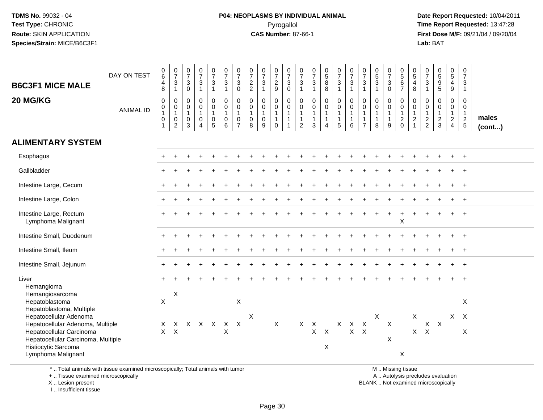# **P04: NEOPLASMS BY INDIVIDUAL ANIMAL**Pyrogallol **Time Report Requested:** 13:47:28

 **Date Report Requested:** 10/04/2011 **First Dose M/F:** 09/21/04 / 09/20/04<br>Lab: BAT **Lab:** BAT

| <b>B6C3F1 MICE MALE</b>                                                                                                   | DAY ON TEST      | $_{6}^{\rm 0}$<br>$\overline{4}$<br>8                      | $\frac{0}{7}$<br>3<br>$\mathbf{1}$                                | $\frac{0}{7}$<br>$\ensuremath{\mathsf{3}}$<br>$\mathbf 0$                | $\frac{0}{7}$<br>$\mathbf{3}$<br>$\mathbf{1}$              | $\begin{array}{c} 0 \\ 7 \\ 3 \\ 1 \end{array}$                            | $\frac{0}{7}$<br>3<br>$\mathbf{1}$        | $\begin{matrix} 0 \\ 7 \\ 3 \end{matrix}$<br>$\mathbf 0$                  | $\frac{0}{7}$<br>$\frac{2}{2}$             | $\begin{array}{c} 0 \\ 7 \\ 3 \end{array}$<br>$\mathbf{1}$ | $\frac{0}{7}$<br>$\frac{2}{9}$                                     | 0<br>$\overline{7}$<br>3<br>0                     | $\frac{0}{7}$<br>$\ensuremath{\mathsf{3}}$<br>$\overline{1}$ | $\frac{0}{7}$<br>3<br>$\overline{1}$                 | $\begin{array}{c} 0 \\ 5 \\ 8 \end{array}$<br>8                            | $\frac{0}{7}$<br>3<br>1         | $\begin{array}{c} 0 \\ 7 \\ 3 \end{array}$<br>$\mathbf{1}$ | $\frac{0}{7}$<br>$\mathbf{3}$<br>$\overline{1}$                    | $\begin{array}{c} 0 \\ 5 \\ 3 \end{array}$<br>$\mathbf{1}$  | $\frac{0}{7}$<br>$\ensuremath{\mathsf{3}}$<br>$\mathsf{O}\xspace$ | $\begin{array}{c} 0 \\ 5 \\ 6 \end{array}$<br>$\overline{7}$      | $\begin{matrix} 0 \\ 5 \end{matrix}$<br>4<br>8                            | $\frac{0}{7}$<br>$\mathbf{3}$<br>$\mathbf{1}$                        | $\begin{array}{c} 0 \\ 5 \end{array}$<br>$\begin{array}{c} 9 \\ 5 \end{array}$ | $\begin{array}{c} 0 \\ 5 \end{array}$<br>$\overline{4}$<br>9 | $\begin{array}{c} 0 \\ 7 \end{array}$<br>3<br>$\mathbf{1}$                   |                       |
|---------------------------------------------------------------------------------------------------------------------------|------------------|------------------------------------------------------------|-------------------------------------------------------------------|--------------------------------------------------------------------------|------------------------------------------------------------|----------------------------------------------------------------------------|-------------------------------------------|---------------------------------------------------------------------------|--------------------------------------------|------------------------------------------------------------|--------------------------------------------------------------------|---------------------------------------------------|--------------------------------------------------------------|------------------------------------------------------|----------------------------------------------------------------------------|---------------------------------|------------------------------------------------------------|--------------------------------------------------------------------|-------------------------------------------------------------|-------------------------------------------------------------------|-------------------------------------------------------------------|---------------------------------------------------------------------------|----------------------------------------------------------------------|--------------------------------------------------------------------------------|--------------------------------------------------------------|------------------------------------------------------------------------------|-----------------------|
| 20 MG/KG                                                                                                                  | <b>ANIMAL ID</b> | $\mathbf 0$<br>$\pmb{0}$<br>$\mathbf{1}$<br>$\pmb{0}$<br>1 | 0<br>$\mathbf 0$<br>$\mathbf{1}$<br>$\mathbf 0$<br>$\overline{2}$ | $\boldsymbol{0}$<br>$\mathbf 0$<br>$\mathbf{1}$<br>$\boldsymbol{0}$<br>3 | 0<br>$\mathsf{O}\xspace$<br>$\mathbf{1}$<br>$\pmb{0}$<br>4 | $\pmb{0}$<br>$\mathbf 0$<br>$\mathbf{1}$<br>$\boldsymbol{0}$<br>$\sqrt{5}$ | 0<br>$\mathbf 0$<br>1<br>$\mathbf 0$<br>6 | $\pmb{0}$<br>$\mathbf 0$<br>$\mathbf{1}$<br>$\mathbf 0$<br>$\overline{7}$ | 0<br>$\mathbf 0$<br>$\mathbf{1}$<br>0<br>8 | 0<br>$\mathbf 0$<br>$\mathbf{1}$<br>$\mathbf 0$<br>9       | $\,0\,$<br>$\pmb{0}$<br>$\mathbf{1}$<br>$\mathbf 1$<br>$\mathbf 0$ | 0<br>$\mathbf 0$<br>$\mathbf 1$<br>$\overline{1}$ | $\pmb{0}$<br>$\mathbf 0$<br>$\mathbf 1$<br>$\mathbf{1}$<br>2 | 0<br>$\mathsf{O}\xspace$<br>-1<br>-1<br>$\mathbf{3}$ | $\pmb{0}$<br>$\mathbf 0$<br>$\mathbf{1}$<br>$\mathbf{1}$<br>$\overline{4}$ | 0<br>$\mathbf 0$<br>1<br>1<br>5 | 0<br>$\mathsf 0$<br>$\mathbf{1}$<br>$\mathbf{1}$<br>6      | 0<br>$\mathbf 0$<br>$\mathbf{1}$<br>$\mathbf{1}$<br>$\overline{7}$ | $\pmb{0}$<br>$\pmb{0}$<br>$\mathbf{1}$<br>$\mathbf{1}$<br>8 | 0<br>$\pmb{0}$<br>$\mathbf{1}$<br>1<br>9                          | 0<br>$\mathbf 0$<br>$\mathbf{1}$<br>$\overline{2}$<br>$\mathbf 0$ | $\mathbf 0$<br>$\mathbf 0$<br>$\mathbf 1$<br>$\sqrt{2}$<br>$\overline{1}$ | 0<br>$\mathbf 0$<br>$\mathbf{1}$<br>$\overline{2}$<br>$\overline{2}$ | $\pmb{0}$<br>$\mathbf 0$<br>$\mathbf{1}$<br>$\overline{2}$<br>$\mathbf{3}$     | 0<br>0<br>1<br>$\overline{2}$<br>$\overline{4}$              | $\mathbf 0$<br>$\mathbf 0$<br>$\overline{1}$<br>$\overline{2}$<br>$\sqrt{5}$ | males<br>$($ cont $)$ |
| <b>ALIMENTARY SYSTEM</b>                                                                                                  |                  |                                                            |                                                                   |                                                                          |                                                            |                                                                            |                                           |                                                                           |                                            |                                                            |                                                                    |                                                   |                                                              |                                                      |                                                                            |                                 |                                                            |                                                                    |                                                             |                                                                   |                                                                   |                                                                           |                                                                      |                                                                                |                                                              |                                                                              |                       |
| Esophagus                                                                                                                 |                  |                                                            |                                                                   |                                                                          |                                                            |                                                                            |                                           |                                                                           |                                            |                                                            |                                                                    |                                                   |                                                              |                                                      |                                                                            |                                 |                                                            |                                                                    |                                                             |                                                                   |                                                                   |                                                                           |                                                                      |                                                                                |                                                              |                                                                              |                       |
| Gallbladder                                                                                                               |                  |                                                            |                                                                   |                                                                          |                                                            |                                                                            |                                           |                                                                           |                                            |                                                            |                                                                    |                                                   |                                                              |                                                      |                                                                            |                                 |                                                            |                                                                    |                                                             |                                                                   |                                                                   |                                                                           |                                                                      |                                                                                |                                                              |                                                                              |                       |
| Intestine Large, Cecum                                                                                                    |                  |                                                            |                                                                   |                                                                          |                                                            |                                                                            |                                           |                                                                           |                                            |                                                            |                                                                    |                                                   |                                                              |                                                      |                                                                            |                                 |                                                            |                                                                    |                                                             |                                                                   |                                                                   |                                                                           |                                                                      |                                                                                |                                                              |                                                                              |                       |
| Intestine Large, Colon                                                                                                    |                  |                                                            |                                                                   |                                                                          |                                                            |                                                                            |                                           |                                                                           |                                            |                                                            |                                                                    |                                                   |                                                              |                                                      |                                                                            |                                 |                                                            |                                                                    |                                                             |                                                                   |                                                                   |                                                                           |                                                                      |                                                                                |                                                              | $\ddot{}$                                                                    |                       |
| Intestine Large, Rectum<br>Lymphoma Malignant                                                                             |                  |                                                            |                                                                   |                                                                          |                                                            |                                                                            |                                           |                                                                           |                                            |                                                            |                                                                    |                                                   |                                                              |                                                      |                                                                            |                                 |                                                            |                                                                    |                                                             |                                                                   | $\mathsf X$                                                       |                                                                           |                                                                      |                                                                                |                                                              | $\ddot{}$                                                                    |                       |
| Intestine Small, Duodenum                                                                                                 |                  |                                                            |                                                                   |                                                                          |                                                            |                                                                            |                                           |                                                                           |                                            |                                                            |                                                                    |                                                   |                                                              |                                                      |                                                                            |                                 |                                                            |                                                                    |                                                             |                                                                   |                                                                   |                                                                           |                                                                      |                                                                                |                                                              | $\div$                                                                       |                       |
| Intestine Small, Ileum                                                                                                    |                  |                                                            |                                                                   |                                                                          |                                                            |                                                                            |                                           |                                                                           |                                            |                                                            |                                                                    |                                                   |                                                              |                                                      |                                                                            |                                 |                                                            |                                                                    |                                                             |                                                                   |                                                                   |                                                                           |                                                                      |                                                                                |                                                              | $\div$                                                                       |                       |
| Intestine Small, Jejunum                                                                                                  |                  |                                                            |                                                                   |                                                                          |                                                            |                                                                            |                                           |                                                                           |                                            |                                                            |                                                                    |                                                   |                                                              |                                                      |                                                                            |                                 |                                                            |                                                                    |                                                             |                                                                   |                                                                   |                                                                           |                                                                      |                                                                                |                                                              | $\ddot{}$                                                                    |                       |
| Liver<br>Hemangioma<br>Hemangiosarcoma                                                                                    |                  |                                                            | $\boldsymbol{\mathsf{X}}$                                         |                                                                          |                                                            |                                                                            |                                           |                                                                           |                                            |                                                            |                                                                    |                                                   |                                                              |                                                      |                                                                            |                                 |                                                            |                                                                    |                                                             |                                                                   |                                                                   |                                                                           |                                                                      |                                                                                |                                                              | $\ddot{}$                                                                    |                       |
| Hepatoblastoma<br>Hepatoblastoma, Multiple                                                                                |                  | X                                                          |                                                                   |                                                                          |                                                            |                                                                            |                                           | X                                                                         |                                            |                                                            |                                                                    |                                                   |                                                              |                                                      |                                                                            |                                 |                                                            |                                                                    |                                                             |                                                                   |                                                                   |                                                                           |                                                                      |                                                                                |                                                              | X                                                                            |                       |
| Hepatocellular Adenoma                                                                                                    |                  |                                                            |                                                                   |                                                                          |                                                            | $\mathsf{X}$                                                               |                                           | $\mathsf{X}$                                                              | X                                          |                                                            | X                                                                  |                                                   | $X$ $X$                                                      |                                                      |                                                                            |                                 | $X$ $X$ $X$                                                |                                                                    | X                                                           | X                                                                 |                                                                   | X                                                                         |                                                                      | $X$ $X$                                                                        |                                                              | $X$ $X$                                                                      |                       |
| Hepatocellular Adenoma, Multiple<br>Hepatocellular Carcinoma<br>Hepatocellular Carcinoma, Multiple<br>Histiocytic Sarcoma |                  | X<br>$\mathsf{X}$                                          | X<br>$\boldsymbol{\mathsf{X}}$                                    |                                                                          | X X                                                        |                                                                            | X<br>X                                    |                                                                           |                                            |                                                            |                                                                    |                                                   |                                                              | $\mathsf X$                                          | $\boldsymbol{\mathsf{X}}$<br>X                                             |                                 | $X$ $X$                                                    |                                                                    |                                                             | X                                                                 |                                                                   | $\mathsf{X}$                                                              | $\boldsymbol{\mathsf{X}}$                                            |                                                                                |                                                              | X                                                                            |                       |
| Lymphoma Malignant<br>* Total animals with tissue examined microsconically: Total animals with tumor                      |                  |                                                            |                                                                   |                                                                          |                                                            |                                                                            |                                           |                                                                           |                                            |                                                            |                                                                    |                                                   |                                                              |                                                      |                                                                            |                                 |                                                            |                                                                    |                                                             |                                                                   | X<br>M Miccinaticaus                                              |                                                                           |                                                                      |                                                                                |                                                              |                                                                              |                       |

\* .. Total animals with tissue examined microscopically; Total animals with tumor

+ .. Tissue examined microscopically

X .. Lesion present

I .. Insufficient tissue

M .. Missing tissue

y the contract of the contract of the contract of the contract of the contract of the contract of the contract of  $A$ . Autolysis precludes evaluation

Lesion present BLANK .. Not examined microscopically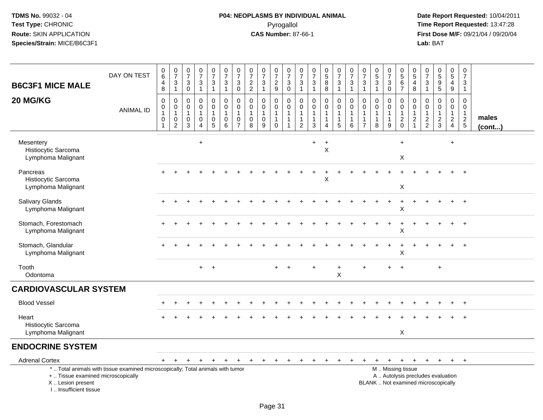# **P04: NEOPLASMS BY INDIVIDUAL ANIMAL**Pyrogallol **Time Report Requested:** 13:47:28

| <b>B6C3F1 MICE MALE</b>                                                           | DAY ON TEST                                                                     | $_6^0$<br>$\overline{\mathbf{4}}$<br>8           | $\frac{0}{7}$<br>$\frac{3}{1}$                                        | $\begin{array}{c} 0 \\ 7 \end{array}$<br>$\mathbf{3}$<br>$\mathbf 0$ | $\begin{array}{c} 0 \\ 7 \end{array}$<br>$\mathbf{3}$<br>$\mathbf{1}$     | $\begin{smallmatrix}0\\7\end{smallmatrix}$<br>$\ensuremath{\mathsf{3}}$<br>$\mathbf{1}$ | $\frac{0}{7}$<br>$\sqrt{3}$<br>$\mathbf{1}$      | $\frac{0}{7}$<br>3<br>$\pmb{0}$                               | $\begin{array}{c} 0 \\ 7 \end{array}$<br>$\frac{2}{2}$ | $\begin{array}{c} 0 \\ 7 \end{array}$<br>$\mathbf{3}$<br>$\mathbf{1}$ | $\frac{0}{7}$<br>$\frac{2}{9}$                                  | $\frac{0}{7}$<br>$\sqrt{3}$<br>$\mathbf 0$                                     | 0<br>$\overline{7}$<br>3<br>$\mathbf{1}$                             | $\begin{array}{c} 0 \\ 7 \end{array}$<br>$\mathbf{3}$<br>$\mathbf{1}$ | $\begin{array}{c} 0 \\ 5 \\ 8 \end{array}$<br>$\overline{8}$     | $\begin{array}{c} 0 \\ 7 \end{array}$<br>$\mathbf{3}$<br>$\overline{1}$ | $\begin{array}{c} 0 \\ 7 \end{array}$<br>$\sqrt{3}$<br>$\mathbf{1}$ | $\frac{0}{7}$<br>$\mathbf 3$<br>$\mathbf{1}$             | $\begin{array}{c} 0 \\ 5 \end{array}$<br>$\mathbf{3}$<br>$\mathbf{1}$ | $\frac{0}{7}$<br>3<br>$\ddot{\mathbf{0}}$             | $\begin{smallmatrix}0\0\5\end{smallmatrix}$<br>$\,6$<br>$\overline{7}$ | 0<br>$\overline{5}$<br>$\overline{4}$<br>8                        | $\begin{array}{c} 0 \\ 7 \end{array}$<br>$\sqrt{3}$<br>$\mathbf{1}$ | $\begin{array}{c} 0 \\ 5 \\ 9 \end{array}$<br>$\overline{5}$ | $\begin{array}{c} 0 \\ 5 \end{array}$<br>$\overline{4}$<br>$\boldsymbol{9}$ | $\mathbf 0$<br>$\overline{7}$<br>3<br>$\mathbf{1}$         |                 |
|-----------------------------------------------------------------------------------|---------------------------------------------------------------------------------|--------------------------------------------------|-----------------------------------------------------------------------|----------------------------------------------------------------------|---------------------------------------------------------------------------|-----------------------------------------------------------------------------------------|--------------------------------------------------|---------------------------------------------------------------|--------------------------------------------------------|-----------------------------------------------------------------------|-----------------------------------------------------------------|--------------------------------------------------------------------------------|----------------------------------------------------------------------|-----------------------------------------------------------------------|------------------------------------------------------------------|-------------------------------------------------------------------------|---------------------------------------------------------------------|----------------------------------------------------------|-----------------------------------------------------------------------|-------------------------------------------------------|------------------------------------------------------------------------|-------------------------------------------------------------------|---------------------------------------------------------------------|--------------------------------------------------------------|-----------------------------------------------------------------------------|------------------------------------------------------------|-----------------|
| 20 MG/KG                                                                          | <b>ANIMAL ID</b>                                                                | $\pmb{0}$<br>0<br>$\mathbf{1}$<br>$\pmb{0}$<br>1 | $\pmb{0}$<br>$\pmb{0}$<br>$\mathbf{1}$<br>$\pmb{0}$<br>$\overline{2}$ | $\mathbf 0$<br>$\mathbf 0$<br>$\mathbf{1}$<br>$\mathbf 0$<br>3       | $\pmb{0}$<br>$\mathbf 0$<br>$\mathbf{1}$<br>$\mathbf 0$<br>$\overline{4}$ | 0<br>$\mathbf 0$<br>$\mathbf{1}$<br>$\mathbf 0$<br>$\overline{5}$                       | $\pmb{0}$<br>0<br>$\mathbf{1}$<br>$\pmb{0}$<br>6 | $\pmb{0}$<br>0<br>$\mathbf{1}$<br>$\pmb{0}$<br>$\overline{7}$ | 0<br>$\mathbf 0$<br>$\mathbf{1}$<br>$\mathbf 0$<br>8   | $\mathbf 0$<br>0<br>$\mathbf{1}$<br>$\pmb{0}$<br>9                    | 0<br>$\mathbf 0$<br>$\mathbf{1}$<br>$\mathbf{1}$<br>$\mathbf 0$ | $\mathbf 0$<br>$\mathbf 0$<br>$\overline{1}$<br>$\mathbf{1}$<br>$\overline{1}$ | 0<br>$\mathbf 0$<br>$\overline{1}$<br>$\mathbf{1}$<br>$\overline{2}$ | $\pmb{0}$<br>$\Omega$<br>$\mathbf{1}$<br>$\mathbf{1}$<br>$\mathbf{3}$ | $\mathsf{O}$<br>$\mathbf 0$<br>$\mathbf{1}$<br>$\mathbf{1}$<br>4 | 0<br>$\mathbf 0$<br>$\mathbf{1}$<br>$\mathbf{1}$<br>5                   | $\mathbf 0$<br>0<br>$\mathbf{1}$<br>$\mathbf{1}$<br>6               | 0<br>0<br>$\mathbf{1}$<br>$\mathbf{1}$<br>$\overline{7}$ | $\pmb{0}$<br>$\mathbf 0$<br>$\mathbf{1}$<br>$\mathbf{1}$<br>8         | 0<br>$\mathbf 0$<br>$\mathbf{1}$<br>$\mathbf{1}$<br>9 | 0<br>0<br>$\mathbf{1}$<br>$^2_{\rm 0}$                                 | 0<br>$\mathbf 0$<br>$\mathbf 1$<br>$\overline{c}$<br>$\mathbf{1}$ | 0<br>0<br>$\overline{1}$<br>$\frac{2}{2}$                           | $\pmb{0}$<br>0<br>$\mathbf{1}$<br>$\frac{2}{3}$              | $\pmb{0}$<br>$\mathbf 0$<br>$\mathbf{1}$<br>$\frac{2}{4}$                   | $\mathbf 0$<br>$\mathbf{0}$<br>$\mathbf{1}$<br>$rac{2}{5}$ | males<br>(cont) |
| Mesentery<br>Histiocytic Sarcoma<br>Lymphoma Malignant                            |                                                                                 |                                                  |                                                                       |                                                                      | $\ddot{}$                                                                 |                                                                                         |                                                  |                                                               |                                                        |                                                                       |                                                                 |                                                                                |                                                                      | +                                                                     | $\ddot{}$<br>Χ                                                   |                                                                         |                                                                     |                                                          |                                                                       |                                                       | $\ddot{}$<br>X                                                         |                                                                   |                                                                     |                                                              | $\ddot{}$                                                                   |                                                            |                 |
| Pancreas<br>Histiocytic Sarcoma<br>Lymphoma Malignant                             |                                                                                 |                                                  |                                                                       |                                                                      |                                                                           |                                                                                         |                                                  |                                                               |                                                        |                                                                       |                                                                 |                                                                                |                                                                      |                                                                       | X                                                                |                                                                         |                                                                     |                                                          |                                                                       |                                                       | X                                                                      |                                                                   |                                                                     |                                                              |                                                                             | $+$                                                        |                 |
| Salivary Glands<br>Lymphoma Malignant                                             |                                                                                 |                                                  |                                                                       |                                                                      |                                                                           |                                                                                         |                                                  |                                                               |                                                        |                                                                       |                                                                 |                                                                                |                                                                      |                                                                       |                                                                  |                                                                         |                                                                     |                                                          |                                                                       | $\ddot{}$                                             | $\ddot{}$<br>X                                                         | $\ddot{}$                                                         |                                                                     |                                                              | $\ddot{}$                                                                   | $+$                                                        |                 |
| Stomach, Forestomach<br>Lymphoma Malignant                                        |                                                                                 |                                                  |                                                                       |                                                                      |                                                                           |                                                                                         |                                                  |                                                               |                                                        |                                                                       |                                                                 |                                                                                |                                                                      |                                                                       |                                                                  |                                                                         |                                                                     |                                                          |                                                                       |                                                       | $\mathsf X$                                                            |                                                                   |                                                                     |                                                              |                                                                             | $\overline{ }$                                             |                 |
| Stomach, Glandular<br>Lymphoma Malignant                                          |                                                                                 |                                                  |                                                                       |                                                                      |                                                                           |                                                                                         |                                                  |                                                               |                                                        |                                                                       |                                                                 |                                                                                |                                                                      |                                                                       |                                                                  |                                                                         |                                                                     |                                                          |                                                                       |                                                       | X                                                                      |                                                                   |                                                                     |                                                              |                                                                             |                                                            |                 |
| Tooth<br>Odontoma                                                                 |                                                                                 |                                                  |                                                                       |                                                                      | $+$                                                                       | $+$                                                                                     |                                                  |                                                               |                                                        |                                                                       |                                                                 |                                                                                |                                                                      |                                                                       |                                                                  | +<br>$\boldsymbol{\mathsf{X}}$                                          |                                                                     | ÷                                                        |                                                                       | ÷                                                     |                                                                        |                                                                   |                                                                     | $\div$                                                       |                                                                             |                                                            |                 |
| <b>CARDIOVASCULAR SYSTEM</b>                                                      |                                                                                 |                                                  |                                                                       |                                                                      |                                                                           |                                                                                         |                                                  |                                                               |                                                        |                                                                       |                                                                 |                                                                                |                                                                      |                                                                       |                                                                  |                                                                         |                                                                     |                                                          |                                                                       |                                                       |                                                                        |                                                                   |                                                                     |                                                              |                                                                             |                                                            |                 |
| <b>Blood Vessel</b>                                                               |                                                                                 |                                                  |                                                                       |                                                                      |                                                                           |                                                                                         |                                                  |                                                               |                                                        |                                                                       |                                                                 |                                                                                |                                                                      |                                                                       |                                                                  |                                                                         |                                                                     |                                                          |                                                                       |                                                       |                                                                        |                                                                   |                                                                     |                                                              | $+$                                                                         | $+$                                                        |                 |
| Heart<br>Histiocytic Sarcoma<br>Lymphoma Malignant                                |                                                                                 |                                                  |                                                                       |                                                                      |                                                                           |                                                                                         |                                                  |                                                               |                                                        |                                                                       |                                                                 |                                                                                |                                                                      |                                                                       |                                                                  |                                                                         |                                                                     |                                                          |                                                                       |                                                       | X                                                                      |                                                                   |                                                                     |                                                              |                                                                             |                                                            |                 |
| <b>ENDOCRINE SYSTEM</b>                                                           |                                                                                 |                                                  |                                                                       |                                                                      |                                                                           |                                                                                         |                                                  |                                                               |                                                        |                                                                       |                                                                 |                                                                                |                                                                      |                                                                       |                                                                  |                                                                         |                                                                     |                                                          |                                                                       |                                                       |                                                                        |                                                                   |                                                                     |                                                              |                                                                             |                                                            |                 |
| <b>Adrenal Cortex</b>                                                             |                                                                                 | $+$                                              | $+$                                                                   | $+$                                                                  | $\ddot{}$                                                                 | $+$                                                                                     | $\ddot{}$                                        | $+$                                                           | $+$                                                    | $+$                                                                   | $+$                                                             | $+$                                                                            | $\ddot{}$                                                            | $\ddot{}$                                                             | $\ddot{}$                                                        | $+$                                                                     | $\ddot{}$                                                           | $+$                                                      | $\ddot{}$                                                             | $+$                                                   | $+$                                                                    | $+$                                                               |                                                                     | + + + +                                                      |                                                                             |                                                            |                 |
| +  Tissue examined microscopically<br>X  Lesion present<br>L. Insufficient tissue | *  Total animals with tissue examined microscopically; Total animals with tumor |                                                  |                                                                       |                                                                      |                                                                           |                                                                                         |                                                  |                                                               |                                                        |                                                                       |                                                                 |                                                                                |                                                                      |                                                                       |                                                                  |                                                                         |                                                                     |                                                          | BLANK  Not examined microscopically                                   |                                                       | M  Missing tissue                                                      |                                                                   |                                                                     | A  Autolysis precludes evaluation                            |                                                                             |                                                            |                 |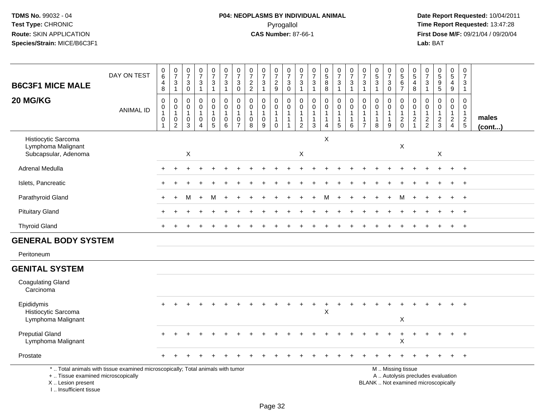# **P04: NEOPLASMS BY INDIVIDUAL ANIMAL**Pyrogallol **Time Report Requested:** 13:47:28

| <b>B6C3F1 MICE MALE</b>                                                          | DAY ON TEST                                                                     | $_6^0$<br>$\overline{\mathbf{4}}$<br>8   | $\frac{0}{7}$<br>$\frac{3}{1}$                     | $\begin{array}{c} 0 \\ 7 \end{array}$<br>3<br>$\mathbf 0$      | $\begin{array}{c} 0 \\ 7 \end{array}$<br>$\sqrt{3}$<br>$\mathbf{1}$       | $\begin{smallmatrix}0\\7\end{smallmatrix}$<br>$\mathbf{3}$<br>$\mathbf{1}$ | $\frac{0}{7}$<br>$\sqrt{3}$<br>$\mathbf{1}$                                   | $\frac{0}{7}$<br>$\mathbf{3}$<br>$\pmb{0}$        | $\frac{0}{7}$<br>$\frac{2}{2}$                                         | $\frac{0}{7}$<br>3<br>$\mathbf{1}$ | $\frac{0}{7}$<br>$\frac{2}{9}$                                         | $\frac{0}{7}$<br>$_0^3$                                      | $\frac{0}{7}$<br>$\frac{3}{1}$                                     | $\begin{array}{c} 0 \\ 7 \end{array}$<br>$\frac{3}{1}$                     | $\begin{array}{c} 0 \\ 5 \end{array}$<br>8<br>$\bar{8}$ | $\frac{0}{7}$<br>$\frac{3}{1}$                                    | $\frac{0}{7}$<br>3<br>$\mathbf{1}$                    | $\begin{array}{c} 0 \\ 7 \end{array}$<br>$\mathbf{3}$<br>$\mathbf{1}$ | $\begin{smallmatrix}0\0\5\end{smallmatrix}$<br>$\mathbf{3}$<br>$\mathbf{1}$ | $\frac{0}{7}$<br>$_{\rm 0}^3$                         | $\begin{array}{c} 0 \\ 5 \end{array}$<br>$\,6\,$<br>$\overline{7}$                            | 0<br>$\sqrt{5}$<br>$\overline{4}$<br>$\,8\,$                                     | $\frac{0}{7}$<br>3<br>$\mathbf{1}$                       | $\begin{array}{c} 0 \\ 5 \end{array}$<br>$\boldsymbol{9}$<br>$\overline{5}$ | $\begin{array}{c} 0 \\ 5 \end{array}$<br>$\overline{4}$<br>$\boldsymbol{9}$    | $\frac{0}{7}$<br>3<br>$\mathbf{1}$                  |                       |
|----------------------------------------------------------------------------------|---------------------------------------------------------------------------------|------------------------------------------|----------------------------------------------------|----------------------------------------------------------------|---------------------------------------------------------------------------|----------------------------------------------------------------------------|-------------------------------------------------------------------------------|---------------------------------------------------|------------------------------------------------------------------------|------------------------------------|------------------------------------------------------------------------|--------------------------------------------------------------|--------------------------------------------------------------------|----------------------------------------------------------------------------|---------------------------------------------------------|-------------------------------------------------------------------|-------------------------------------------------------|-----------------------------------------------------------------------|-----------------------------------------------------------------------------|-------------------------------------------------------|-----------------------------------------------------------------------------------------------|----------------------------------------------------------------------------------|----------------------------------------------------------|-----------------------------------------------------------------------------|--------------------------------------------------------------------------------|-----------------------------------------------------|-----------------------|
| 20 MG/KG                                                                         | <b>ANIMAL ID</b>                                                                | $\pmb{0}$<br>0<br>$\mathbf{1}$<br>0<br>1 | $\pmb{0}$<br>$\pmb{0}$<br>$\overline{1}$<br>$_2^0$ | $\mathbf 0$<br>$\mathbf 0$<br>$\mathbf{1}$<br>$\mathbf 0$<br>3 | $\pmb{0}$<br>$\mathbf 0$<br>$\mathbf{1}$<br>$\mathbf 0$<br>$\overline{A}$ | 0<br>$\mathbf 0$<br>$\mathbf{1}$<br>0<br>$\overline{5}$                    | $\mathbf 0$<br>$\mathbf 0$<br>$\overline{1}$<br>$\mathbf 0$<br>$\overline{6}$ | 0<br>$\mathbf 0$<br>$\mathbf 0$<br>$\overline{7}$ | $\pmb{0}$<br>$\mathbf 0$<br>$\overline{1}$<br>$\mathsf{O}\xspace$<br>8 | 0<br>0<br>$\mathbf{1}$<br>0<br>9   | 0<br>$\mathbf 0$<br>$\mathbf 1$<br>$\mathbf{1}$<br>$\mathsf{O}\xspace$ | $\mathsf 0$<br>$\mathsf 0$<br>$\mathbf{1}$<br>$\overline{1}$ | $\mathsf 0$<br>0<br>$\mathbf{1}$<br>$\mathbf{1}$<br>$\overline{2}$ | $\pmb{0}$<br>$\mathbf 0$<br>$\mathbf{1}$<br>$\mathbf{1}$<br>$\overline{3}$ | 0<br>$\mathbf 0$<br>$\mathbf{1}$<br>$\mathbf{1}$<br>4   | $\pmb{0}$<br>$\mathsf{O}\xspace$<br>$\mathbf{1}$<br>$\frac{1}{5}$ | $\mathsf{O}$<br>$\mathbf 0$<br>1<br>$\mathbf{1}$<br>6 | 0<br>0<br>$\mathbf{1}$<br>$\mathbf{1}$<br>$\overline{7}$              | $\mathbf 0$<br>0<br>$\mathbf{1}$<br>8                                       | 0<br>$\mathbf 0$<br>$\mathbf{1}$<br>$\mathbf{1}$<br>9 | $\pmb{0}$<br>$\mathsf{O}\xspace$<br>$\mathbf{1}$<br>$\frac{2}{0}$                             | $\mathbf 0$<br>$\mathbf 0$<br>$\overline{1}$<br>$\overline{c}$<br>$\overline{1}$ | $\mathbf 0$<br>$\Omega$<br>$\mathbf{1}$<br>$\frac{2}{2}$ | 0<br>$\mathbf 0$<br>$\frac{2}{3}$                                           | $\mathbf 0$<br>$\mathbf 0$<br>$\mathbf{1}$<br>$\overline{c}$<br>$\overline{4}$ | 0<br>$\mathbf 0$<br>$\overline{1}$<br>$\frac{2}{5}$ | males<br>$($ cont $)$ |
| Histiocytic Sarcoma<br>Lymphoma Malignant<br>Subcapsular, Adenoma                |                                                                                 |                                          |                                                    | X                                                              |                                                                           |                                                                            |                                                                               |                                                   |                                                                        |                                    |                                                                        |                                                              | $\boldsymbol{\mathsf{X}}$                                          |                                                                            | X                                                       |                                                                   |                                                       |                                                                       |                                                                             |                                                       | $\boldsymbol{\mathsf{X}}$                                                                     |                                                                                  |                                                          | X                                                                           |                                                                                |                                                     |                       |
| Adrenal Medulla                                                                  |                                                                                 |                                          |                                                    |                                                                |                                                                           |                                                                            |                                                                               |                                                   |                                                                        |                                    |                                                                        |                                                              |                                                                    |                                                                            |                                                         |                                                                   |                                                       |                                                                       |                                                                             |                                                       |                                                                                               |                                                                                  |                                                          |                                                                             |                                                                                | $\ddot{}$                                           |                       |
| Islets, Pancreatic                                                               |                                                                                 |                                          |                                                    |                                                                |                                                                           |                                                                            |                                                                               |                                                   |                                                                        |                                    |                                                                        |                                                              |                                                                    |                                                                            |                                                         |                                                                   |                                                       |                                                                       |                                                                             |                                                       |                                                                                               |                                                                                  |                                                          |                                                                             |                                                                                | $\ddot{}$                                           |                       |
| Parathyroid Gland                                                                |                                                                                 | $+$                                      | $+$                                                | м                                                              | $+$                                                                       | M                                                                          | $\ddot{}$                                                                     |                                                   |                                                                        |                                    |                                                                        |                                                              |                                                                    |                                                                            | м                                                       |                                                                   |                                                       |                                                                       |                                                                             |                                                       | м                                                                                             |                                                                                  |                                                          |                                                                             | $+$                                                                            | $+$                                                 |                       |
| <b>Pituitary Gland</b>                                                           |                                                                                 |                                          |                                                    |                                                                |                                                                           |                                                                            |                                                                               |                                                   |                                                                        |                                    |                                                                        |                                                              |                                                                    |                                                                            |                                                         |                                                                   |                                                       |                                                                       |                                                                             |                                                       |                                                                                               |                                                                                  |                                                          |                                                                             |                                                                                | $\overline{+}$                                      |                       |
| <b>Thyroid Gland</b>                                                             |                                                                                 |                                          |                                                    |                                                                |                                                                           |                                                                            |                                                                               |                                                   |                                                                        |                                    |                                                                        |                                                              |                                                                    |                                                                            |                                                         |                                                                   |                                                       |                                                                       |                                                                             |                                                       |                                                                                               |                                                                                  |                                                          |                                                                             |                                                                                | $+$                                                 |                       |
| <b>GENERAL BODY SYSTEM</b>                                                       |                                                                                 |                                          |                                                    |                                                                |                                                                           |                                                                            |                                                                               |                                                   |                                                                        |                                    |                                                                        |                                                              |                                                                    |                                                                            |                                                         |                                                                   |                                                       |                                                                       |                                                                             |                                                       |                                                                                               |                                                                                  |                                                          |                                                                             |                                                                                |                                                     |                       |
| Peritoneum                                                                       |                                                                                 |                                          |                                                    |                                                                |                                                                           |                                                                            |                                                                               |                                                   |                                                                        |                                    |                                                                        |                                                              |                                                                    |                                                                            |                                                         |                                                                   |                                                       |                                                                       |                                                                             |                                                       |                                                                                               |                                                                                  |                                                          |                                                                             |                                                                                |                                                     |                       |
| <b>GENITAL SYSTEM</b>                                                            |                                                                                 |                                          |                                                    |                                                                |                                                                           |                                                                            |                                                                               |                                                   |                                                                        |                                    |                                                                        |                                                              |                                                                    |                                                                            |                                                         |                                                                   |                                                       |                                                                       |                                                                             |                                                       |                                                                                               |                                                                                  |                                                          |                                                                             |                                                                                |                                                     |                       |
| <b>Coagulating Gland</b><br>Carcinoma                                            |                                                                                 |                                          |                                                    |                                                                |                                                                           |                                                                            |                                                                               |                                                   |                                                                        |                                    |                                                                        |                                                              |                                                                    |                                                                            |                                                         |                                                                   |                                                       |                                                                       |                                                                             |                                                       |                                                                                               |                                                                                  |                                                          |                                                                             |                                                                                |                                                     |                       |
| Epididymis<br>Histiocytic Sarcoma<br>Lymphoma Malignant                          |                                                                                 |                                          |                                                    |                                                                |                                                                           |                                                                            |                                                                               |                                                   |                                                                        |                                    |                                                                        |                                                              |                                                                    |                                                                            | X                                                       |                                                                   |                                                       |                                                                       |                                                                             |                                                       | $\times$                                                                                      |                                                                                  |                                                          |                                                                             |                                                                                | $\ddot{+}$                                          |                       |
| <b>Preputial Gland</b><br>Lymphoma Malignant                                     |                                                                                 | $+$                                      |                                                    |                                                                |                                                                           |                                                                            |                                                                               |                                                   |                                                                        |                                    |                                                                        |                                                              |                                                                    |                                                                            |                                                         |                                                                   |                                                       |                                                                       |                                                                             | $\ddot{}$                                             | $\ddot{}$<br>X                                                                                |                                                                                  |                                                          |                                                                             | $\ddot{}$                                                                      | $\ddot{}$                                           |                       |
| Prostate                                                                         |                                                                                 |                                          |                                                    |                                                                |                                                                           |                                                                            |                                                                               |                                                   |                                                                        |                                    |                                                                        |                                                              |                                                                    |                                                                            |                                                         |                                                                   |                                                       |                                                                       |                                                                             |                                                       |                                                                                               |                                                                                  |                                                          |                                                                             |                                                                                |                                                     |                       |
| +  Tissue examined microscopically<br>X  Lesion present<br>I Insufficient tissue | *  Total animals with tissue examined microscopically; Total animals with tumor |                                          |                                                    |                                                                |                                                                           |                                                                            |                                                                               |                                                   |                                                                        |                                    |                                                                        |                                                              |                                                                    |                                                                            |                                                         |                                                                   |                                                       |                                                                       |                                                                             |                                                       | M  Missing tissue<br>A  Autolysis precludes evaluation<br>BLANK  Not examined microscopically |                                                                                  |                                                          |                                                                             |                                                                                |                                                     |                       |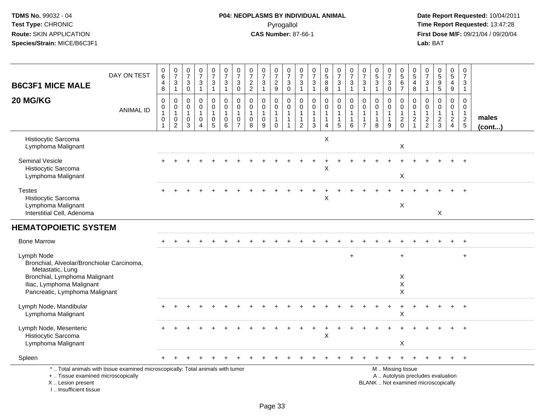# **P04: NEOPLASMS BY INDIVIDUAL ANIMAL**Pyrogallol **Time Report Requested:** 13:47:28

| <b>B6C3F1 MICE MALE</b>                                                                                                                                                      | DAY ON TEST                                                                     | $_6^0$<br>$\overline{4}$<br>8                              | $\begin{array}{c} 0 \\ 7 \end{array}$<br>3<br>$\mathbf{1}$ | $\begin{array}{c} 0 \\ 7 \end{array}$<br>$\mathbf{3}$<br>$\mathsf{O}\xspace$ | $\begin{array}{c} 0 \\ 7 \end{array}$<br>$\sqrt{3}$<br>$\mathbf{1}$ | $\begin{array}{c} 0 \\ 7 \end{array}$<br>$\frac{3}{1}$                  | $\frac{0}{7}$<br>$\frac{3}{1}$                                   | $\frac{0}{7}$<br>3<br>$\boldsymbol{0}$                            | $\begin{array}{c} 0 \\ 7 \end{array}$<br>$\frac{2}{2}$              | $\frac{0}{7}$<br>3<br>$\mathbf{1}$         | $\begin{smallmatrix}0\\7\end{smallmatrix}$<br>$\frac{2}{9}$          | $\frac{0}{7}$<br>$\mathbf{3}$<br>$\overline{0}$         | $\begin{array}{c} 0 \\ 7 \end{array}$<br>$\mathbf{3}$<br>$\mathbf{1}$       | $\begin{array}{c} 0 \\ 7 \end{array}$<br>$\sqrt{3}$<br>$\mathbf{1}$        | $\begin{array}{c} 0 \\ 5 \end{array}$<br>$\,8\,$<br>$\overline{8}$ | $\frac{0}{7}$<br>$\mathbf{3}$<br>$\mathbf{1}$                     | $\frac{0}{7}$<br>$\mathbf{3}$<br>$\mathbf{1}$ | $\frac{0}{7}$<br>$\mathbf{3}$<br>$\mathbf{1}$                   | $\begin{array}{c} 0 \\ 5 \end{array}$<br>$\mathfrak{S}$<br>$\mathbf{1}$ | $\frac{0}{7}$<br>$\sqrt{3}$<br>$\mathbf 0$ | $\begin{array}{c} 0 \\ 5 \end{array}$<br>$\,6\,$<br>$\overline{7}$                            | 0<br>$\overline{5}$<br>$\overline{4}$<br>$\bf 8$ | $\begin{array}{c} 0 \\ 7 \end{array}$<br>$\sqrt{3}$<br>$\overline{1}$ | $\begin{array}{c} 0 \\ 5 \end{array}$<br>$\frac{9}{5}$ | $\begin{array}{c} 0 \\ 5 \end{array}$<br>4<br>$\boldsymbol{9}$ | 0<br>$\overline{7}$<br>3<br>$\mathbf{1}$               |                 |
|------------------------------------------------------------------------------------------------------------------------------------------------------------------------------|---------------------------------------------------------------------------------|------------------------------------------------------------|------------------------------------------------------------|------------------------------------------------------------------------------|---------------------------------------------------------------------|-------------------------------------------------------------------------|------------------------------------------------------------------|-------------------------------------------------------------------|---------------------------------------------------------------------|--------------------------------------------|----------------------------------------------------------------------|---------------------------------------------------------|-----------------------------------------------------------------------------|----------------------------------------------------------------------------|--------------------------------------------------------------------|-------------------------------------------------------------------|-----------------------------------------------|-----------------------------------------------------------------|-------------------------------------------------------------------------|--------------------------------------------|-----------------------------------------------------------------------------------------------|--------------------------------------------------|-----------------------------------------------------------------------|--------------------------------------------------------|----------------------------------------------------------------|--------------------------------------------------------|-----------------|
| 20 MG/KG                                                                                                                                                                     | <b>ANIMAL ID</b>                                                                | $\pmb{0}$<br>$\pmb{0}$<br>$\mathbf{1}$<br>$\mathbf 0$<br>1 | $\mathbf 0$<br>0<br>$\mathbf{1}$<br>0<br>$\overline{2}$    | $\mathbf 0$<br>$\mathbf 0$<br>$\mathbf{1}$<br>0<br>3                         | $\pmb{0}$<br>0<br>$\mathbf{1}$<br>0<br>$\Delta$                     | $\pmb{0}$<br>$\mathbf 0$<br>$\mathbf{1}$<br>$\pmb{0}$<br>$\overline{5}$ | $\pmb{0}$<br>$\mathbf 0$<br>$\mathbf{1}$<br>0<br>$6\phantom{1}6$ | 0<br>$\mathbf 0$<br>$\mathbf{1}$<br>$\mathbf 0$<br>$\overline{7}$ | $\boldsymbol{0}$<br>$\mathbf 0$<br>$\mathbf{1}$<br>$\mathbf 0$<br>8 | 0<br>$\mathbf 0$<br>$\mathbf{1}$<br>0<br>9 | $\pmb{0}$<br>$\mathbf 0$<br>$\mathbf{1}$<br>$\mathbf{1}$<br>$\Omega$ | $\pmb{0}$<br>$\mathbf 0$<br>$\mathbf 1$<br>$\mathbf{1}$ | $\mathbf 0$<br>$\mathbf 0$<br>$\mathbf 1$<br>$\mathbf{1}$<br>$\overline{2}$ | $\mathbf 0$<br>$\mathbf 0$<br>$\mathbf{1}$<br>$\mathbf{1}$<br>$\mathbf{3}$ | 0<br>$\mathbf{0}$<br>$\mathbf{1}$<br>$\mathbf{1}$<br>4             | $\mathbf 0$<br>$\mathbf 0$<br>$\overline{1}$<br>$\mathbf{1}$<br>5 | $\mathbf 0$<br>0<br>1<br>1<br>6               | 0<br>$\Omega$<br>$\mathbf{1}$<br>$\mathbf{1}$<br>$\overline{7}$ | 0<br>0<br>$\mathbf{1}$<br>$\mathbf{1}$<br>8                             | 0<br>$\mathbf 0$<br>1<br>$\mathbf{1}$<br>9 | $\mathsf 0$<br>$\mathbf 0$<br>$\mathbf{1}$<br>$\frac{2}{0}$                                   | 0<br>0<br>$\mathbf{1}$<br>$\overline{c}$         | $\pmb{0}$<br>$\mathbf 0$<br>$\mathbf{1}$<br>$\frac{2}{2}$             | 0<br>$\mathbf 0$<br>$\mathbf{1}$<br>$\frac{2}{3}$      | $\pmb{0}$<br>$\mathbf 0$<br>$\mathbf{1}$<br>$\frac{2}{4}$      | $\mathbf 0$<br>$\Omega$<br>$\mathbf{1}$<br>$rac{2}{5}$ | males<br>(cont) |
| Histiocytic Sarcoma<br>Lymphoma Malignant                                                                                                                                    |                                                                                 |                                                            |                                                            |                                                                              |                                                                     |                                                                         |                                                                  |                                                                   |                                                                     |                                            |                                                                      |                                                         |                                                                             |                                                                            | X                                                                  |                                                                   |                                               |                                                                 |                                                                         |                                            | $\mathsf X$                                                                                   |                                                  |                                                                       |                                                        |                                                                |                                                        |                 |
| <b>Seminal Vesicle</b><br>Histiocytic Sarcoma<br>Lymphoma Malignant                                                                                                          |                                                                                 |                                                            |                                                            |                                                                              |                                                                     |                                                                         |                                                                  |                                                                   |                                                                     |                                            |                                                                      |                                                         |                                                                             |                                                                            | X                                                                  |                                                                   |                                               |                                                                 |                                                                         |                                            | X                                                                                             |                                                  |                                                                       |                                                        |                                                                |                                                        |                 |
| <b>Testes</b><br>Histiocytic Sarcoma<br>Lymphoma Malignant<br>Interstitial Cell, Adenoma                                                                                     |                                                                                 |                                                            |                                                            |                                                                              |                                                                     |                                                                         |                                                                  |                                                                   |                                                                     |                                            |                                                                      |                                                         |                                                                             |                                                                            | Χ                                                                  |                                                                   |                                               |                                                                 |                                                                         |                                            | X                                                                                             |                                                  |                                                                       | X                                                      |                                                                |                                                        |                 |
| <b>HEMATOPOIETIC SYSTEM</b>                                                                                                                                                  |                                                                                 |                                                            |                                                            |                                                                              |                                                                     |                                                                         |                                                                  |                                                                   |                                                                     |                                            |                                                                      |                                                         |                                                                             |                                                                            |                                                                    |                                                                   |                                               |                                                                 |                                                                         |                                            |                                                                                               |                                                  |                                                                       |                                                        |                                                                |                                                        |                 |
| <b>Bone Marrow</b>                                                                                                                                                           |                                                                                 |                                                            |                                                            |                                                                              |                                                                     |                                                                         |                                                                  |                                                                   |                                                                     |                                            |                                                                      |                                                         |                                                                             |                                                                            |                                                                    |                                                                   |                                               |                                                                 |                                                                         |                                            |                                                                                               |                                                  |                                                                       |                                                        |                                                                | $\ddot{}$                                              |                 |
| Lymph Node<br>Bronchial, Alveolar/Bronchiolar Carcinoma,<br>Metastatic, Lung<br>Bronchial, Lymphoma Malignant<br>Iliac, Lymphoma Malignant<br>Pancreatic, Lymphoma Malignant |                                                                                 |                                                            |                                                            |                                                                              |                                                                     |                                                                         |                                                                  |                                                                   |                                                                     |                                            |                                                                      |                                                         |                                                                             |                                                                            |                                                                    |                                                                   | $\ddot{}$                                     |                                                                 |                                                                         |                                            | $\overline{1}$<br>X<br>$\pmb{\times}$<br>$\sf X$                                              |                                                  |                                                                       |                                                        |                                                                | $\ddot{}$                                              |                 |
| Lymph Node, Mandibular<br>Lymphoma Malignant                                                                                                                                 |                                                                                 |                                                            |                                                            |                                                                              |                                                                     |                                                                         |                                                                  |                                                                   |                                                                     |                                            |                                                                      |                                                         |                                                                             |                                                                            |                                                                    |                                                                   |                                               |                                                                 |                                                                         | $\ddot{}$                                  | $\ddot{}$<br>$\mathsf X$                                                                      |                                                  |                                                                       |                                                        |                                                                |                                                        |                 |
| Lymph Node, Mesenteric<br>Histiocytic Sarcoma<br>Lymphoma Malignant                                                                                                          |                                                                                 |                                                            |                                                            |                                                                              |                                                                     |                                                                         |                                                                  |                                                                   |                                                                     |                                            |                                                                      |                                                         |                                                                             |                                                                            | $\sf X$                                                            |                                                                   |                                               |                                                                 |                                                                         |                                            | X                                                                                             |                                                  |                                                                       |                                                        |                                                                |                                                        |                 |
| Spleen                                                                                                                                                                       |                                                                                 |                                                            |                                                            |                                                                              |                                                                     |                                                                         |                                                                  |                                                                   |                                                                     |                                            |                                                                      |                                                         |                                                                             |                                                                            |                                                                    |                                                                   |                                               |                                                                 |                                                                         |                                            |                                                                                               |                                                  |                                                                       |                                                        |                                                                | $+$                                                    |                 |
| +  Tissue examined microscopically<br>X  Lesion present<br>I., Insufficient tissue                                                                                           | *  Total animals with tissue examined microscopically; Total animals with tumor |                                                            |                                                            |                                                                              |                                                                     |                                                                         |                                                                  |                                                                   |                                                                     |                                            |                                                                      |                                                         |                                                                             |                                                                            |                                                                    |                                                                   |                                               |                                                                 |                                                                         |                                            | M  Missing tissue<br>A  Autolysis precludes evaluation<br>BLANK  Not examined microscopically |                                                  |                                                                       |                                                        |                                                                |                                                        |                 |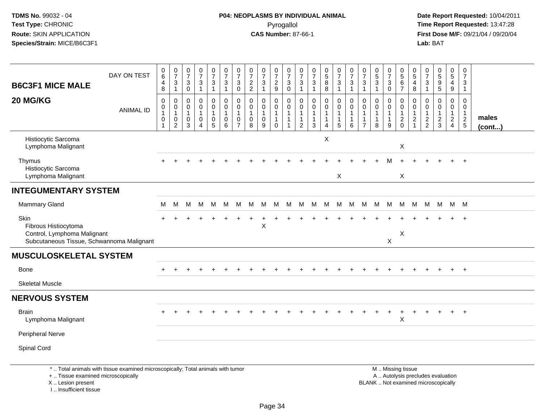I .. Insufficient tissue

# **P04: NEOPLASMS BY INDIVIDUAL ANIMAL**Pyrogallol **Time Report Requested:** 13:47:28

| <b>B6C3F1 MICE MALE</b>                                                                                  | DAY ON TEST                                                                     | 0<br>$\,6\,$<br>$^{\,4}_{\,8}$                                | $\frac{0}{7}$<br>$\mathbf{3}$<br>$\mathbf{1}$                   | $\begin{smallmatrix}0\\7\end{smallmatrix}$<br>$_{\rm 0}^3$  | $\frac{0}{7}$<br>$\frac{3}{1}$                       | $\frac{0}{7}$<br>$\frac{3}{1}$                                      | $\frac{0}{7}$<br>$\sqrt{3}$<br>$\overline{1}$                       | $\frac{0}{7}$<br>3<br>$\mathbf 0$                                 | $\frac{0}{7}$<br>$\frac{2}{2}$                                 | $\frac{0}{7}$<br>3<br>$\mathbf{1}$                   | $\frac{0}{7}$<br>$\frac{2}{9}$                      | $\frac{0}{7}$<br>$_0^3$                                 | $\frac{0}{7}$<br>$\frac{3}{1}$                                                        | $\frac{0}{7}$<br>$\ensuremath{\mathsf{3}}$<br>$\overline{1}$ | $\begin{array}{c} 0 \\ 5 \\ 8 \end{array}$<br>$\overline{8}$       | $\frac{0}{7}$<br>$\frac{3}{1}$                                               | $\frac{0}{7}$<br>$\mathbf{3}$<br>$\mathbf{1}$ | 0<br>$\overline{7}$<br>$\sqrt{3}$<br>$\mathbf{1}$        | $\begin{array}{c} 0 \\ 5 \\ 3 \end{array}$<br>$\overline{1}$    | $\frac{0}{7}$<br>$_{\rm 0}^3$                 | $\begin{array}{c} 0 \\ 5 \end{array}$<br>$\begin{array}{c} 6 \\ 7 \end{array}$                | $\begin{array}{c} 0 \\ 5 \end{array}$<br>4<br>$\bf 8$ | $\frac{0}{7}$<br>$\frac{3}{1}$                              | 0<br>5<br>9<br>5                                  | $^{\rm 0}_{\rm 5}$<br>$\begin{array}{c} 4 \\ 9 \end{array}$          | $\pmb{0}$<br>$\overline{7}$<br>3<br>$\mathbf{1}$  |                 |
|----------------------------------------------------------------------------------------------------------|---------------------------------------------------------------------------------|---------------------------------------------------------------|-----------------------------------------------------------------|-------------------------------------------------------------|------------------------------------------------------|---------------------------------------------------------------------|---------------------------------------------------------------------|-------------------------------------------------------------------|----------------------------------------------------------------|------------------------------------------------------|-----------------------------------------------------|---------------------------------------------------------|---------------------------------------------------------------------------------------|--------------------------------------------------------------|--------------------------------------------------------------------|------------------------------------------------------------------------------|-----------------------------------------------|----------------------------------------------------------|-----------------------------------------------------------------|-----------------------------------------------|-----------------------------------------------------------------------------------------------|-------------------------------------------------------|-------------------------------------------------------------|---------------------------------------------------|----------------------------------------------------------------------|---------------------------------------------------|-----------------|
| 20 MG/KG                                                                                                 | <b>ANIMAL ID</b>                                                                | 0<br>$\pmb{0}$<br>$\mathbf{1}$<br>$\mathsf 0$<br>$\mathbf{1}$ | $\mathbf 0$<br>0<br>$\mathbf{1}$<br>$\pmb{0}$<br>$\overline{2}$ | 0<br>$\mathbf 0$<br>$\overline{1}$<br>$\boldsymbol{0}$<br>3 | 0<br>$\mathbf 0$<br>1<br>$\pmb{0}$<br>$\overline{4}$ | $\pmb{0}$<br>$\mathbf 0$<br>$\mathbf{1}$<br>$\pmb{0}$<br>$\sqrt{5}$ | $\boldsymbol{0}$<br>$\mathbf 0$<br>$\mathbf{1}$<br>$\mathsf 0$<br>6 | 0<br>$\mathbf 0$<br>$\mathbf{1}$<br>$\mathbf 0$<br>$\overline{7}$ | $\mathbf 0$<br>$\mathbf 0$<br>$\mathbf{1}$<br>$\mathbf 0$<br>8 | 0<br>$\mathbf 0$<br>$\mathbf{1}$<br>$\mathbf 0$<br>9 | 0<br>$\pmb{0}$<br>$\mathbf{1}$<br>$\mathbf{1}$<br>0 | 0<br>$\mathbf 0$<br>$\mathbf{1}$<br>$\overline{1}$<br>1 | $\boldsymbol{0}$<br>$\mathbf 0$<br>$\overline{1}$<br>$\overline{1}$<br>$\overline{2}$ | 0<br>0<br>$\mathbf{1}$<br>$\mathbf{1}$<br>$\mathbf{3}$       | 0<br>$\mathbf 0$<br>$\mathbf{1}$<br>$\mathbf{1}$<br>$\overline{4}$ | $\begin{smallmatrix}0\0\0\end{smallmatrix}$<br>$\mathbf{1}$<br>$\frac{1}{5}$ | 0<br>0<br>$\mathbf{1}$<br>$\mathbf{1}$<br>6   | 0<br>$\mathbf 0$<br>-1<br>$\mathbf{1}$<br>$\overline{7}$ | $\mathbf 0$<br>$\mathbf 0$<br>$\mathbf{1}$<br>$\mathbf{1}$<br>8 | 0<br>0<br>$\mathbf{1}$<br>$\overline{1}$<br>9 | $\pmb{0}$<br>$\mathbf 0$<br>$\mathbf{1}$<br>$\sqrt{2}$<br>$\mathbf 0$                         | 0<br>$\mathbf 0$<br>$\mathbf{1}$<br>$\sqrt{2}$<br>1   | $\mathbf 0$<br>$\mathbf 0$<br>$\mathbf{1}$<br>$\frac{2}{2}$ | 0<br>$\mathbf 0$<br>$\mathbf{1}$<br>$\frac{2}{3}$ | 0<br>$\mathbf 0$<br>$\mathbf{1}$<br>$\overline{a}$<br>$\overline{4}$ | 0<br>$\mathbf 0$<br>$\mathbf{1}$<br>$\frac{2}{5}$ | males<br>(cont) |
| Histiocytic Sarcoma<br>Lymphoma Malignant                                                                |                                                                                 |                                                               |                                                                 |                                                             |                                                      |                                                                     |                                                                     |                                                                   |                                                                |                                                      |                                                     |                                                         |                                                                                       |                                                              | X                                                                  |                                                                              |                                               |                                                          |                                                                 |                                               | X                                                                                             |                                                       |                                                             |                                                   |                                                                      |                                                   |                 |
| Thymus<br>Histiocytic Sarcoma<br>Lymphoma Malignant                                                      |                                                                                 |                                                               |                                                                 |                                                             |                                                      |                                                                     |                                                                     |                                                                   |                                                                |                                                      |                                                     |                                                         |                                                                                       |                                                              |                                                                    | X                                                                            |                                               |                                                          |                                                                 |                                               | X                                                                                             |                                                       |                                                             |                                                   |                                                                      | $\overline{+}$                                    |                 |
| <b>INTEGUMENTARY SYSTEM</b>                                                                              |                                                                                 |                                                               |                                                                 |                                                             |                                                      |                                                                     |                                                                     |                                                                   |                                                                |                                                      |                                                     |                                                         |                                                                                       |                                                              |                                                                    |                                                                              |                                               |                                                          |                                                                 |                                               |                                                                                               |                                                       |                                                             |                                                   |                                                                      |                                                   |                 |
| <b>Mammary Gland</b>                                                                                     |                                                                                 | M                                                             | м                                                               | M                                                           | M                                                    | M                                                                   | М                                                                   | M                                                                 | M                                                              | M                                                    | M                                                   | м                                                       | м                                                                                     | М                                                            | M                                                                  | M                                                                            | M                                             | M                                                        | M                                                               | M                                             | M                                                                                             | M                                                     | M                                                           | M                                                 |                                                                      | M M                                               |                 |
| Skin<br>Fibrous Histiocytoma<br>Control, Lymphoma Malignant<br>Subcutaneous Tissue, Schwannoma Malignant |                                                                                 |                                                               |                                                                 |                                                             |                                                      |                                                                     |                                                                     |                                                                   |                                                                | X                                                    |                                                     |                                                         |                                                                                       |                                                              |                                                                    |                                                                              |                                               |                                                          |                                                                 | X                                             | $\boldsymbol{\mathsf{X}}$                                                                     |                                                       |                                                             |                                                   |                                                                      |                                                   |                 |
| <b>MUSCULOSKELETAL SYSTEM</b>                                                                            |                                                                                 |                                                               |                                                                 |                                                             |                                                      |                                                                     |                                                                     |                                                                   |                                                                |                                                      |                                                     |                                                         |                                                                                       |                                                              |                                                                    |                                                                              |                                               |                                                          |                                                                 |                                               |                                                                                               |                                                       |                                                             |                                                   |                                                                      |                                                   |                 |
| <b>Bone</b>                                                                                              |                                                                                 |                                                               |                                                                 |                                                             |                                                      |                                                                     |                                                                     |                                                                   |                                                                |                                                      |                                                     |                                                         |                                                                                       |                                                              |                                                                    |                                                                              |                                               |                                                          |                                                                 |                                               |                                                                                               |                                                       |                                                             |                                                   | $\pm$                                                                | $+$                                               |                 |
| <b>Skeletal Muscle</b>                                                                                   |                                                                                 |                                                               |                                                                 |                                                             |                                                      |                                                                     |                                                                     |                                                                   |                                                                |                                                      |                                                     |                                                         |                                                                                       |                                                              |                                                                    |                                                                              |                                               |                                                          |                                                                 |                                               |                                                                                               |                                                       |                                                             |                                                   |                                                                      |                                                   |                 |
| <b>NERVOUS SYSTEM</b>                                                                                    |                                                                                 |                                                               |                                                                 |                                                             |                                                      |                                                                     |                                                                     |                                                                   |                                                                |                                                      |                                                     |                                                         |                                                                                       |                                                              |                                                                    |                                                                              |                                               |                                                          |                                                                 |                                               |                                                                                               |                                                       |                                                             |                                                   |                                                                      |                                                   |                 |
| <b>Brain</b><br>Lymphoma Malignant                                                                       |                                                                                 |                                                               |                                                                 |                                                             |                                                      |                                                                     |                                                                     |                                                                   |                                                                |                                                      |                                                     |                                                         |                                                                                       |                                                              |                                                                    |                                                                              |                                               |                                                          |                                                                 | $\ddot{}$                                     | $\ddot{}$<br>$\times$                                                                         |                                                       |                                                             |                                                   | $\ddot{}$                                                            | $+$                                               |                 |
| <b>Peripheral Nerve</b>                                                                                  |                                                                                 |                                                               |                                                                 |                                                             |                                                      |                                                                     |                                                                     |                                                                   |                                                                |                                                      |                                                     |                                                         |                                                                                       |                                                              |                                                                    |                                                                              |                                               |                                                          |                                                                 |                                               |                                                                                               |                                                       |                                                             |                                                   |                                                                      |                                                   |                 |
| Spinal Cord                                                                                              |                                                                                 |                                                               |                                                                 |                                                             |                                                      |                                                                     |                                                                     |                                                                   |                                                                |                                                      |                                                     |                                                         |                                                                                       |                                                              |                                                                    |                                                                              |                                               |                                                          |                                                                 |                                               |                                                                                               |                                                       |                                                             |                                                   |                                                                      |                                                   |                 |
| +  Tissue examined microscopically<br>X  Lesion present                                                  | *  Total animals with tissue examined microscopically; Total animals with tumor |                                                               |                                                                 |                                                             |                                                      |                                                                     |                                                                     |                                                                   |                                                                |                                                      |                                                     |                                                         |                                                                                       |                                                              |                                                                    |                                                                              |                                               |                                                          |                                                                 |                                               | M  Missing tissue<br>A  Autolysis precludes evaluation<br>BLANK  Not examined microscopically |                                                       |                                                             |                                                   |                                                                      |                                                   |                 |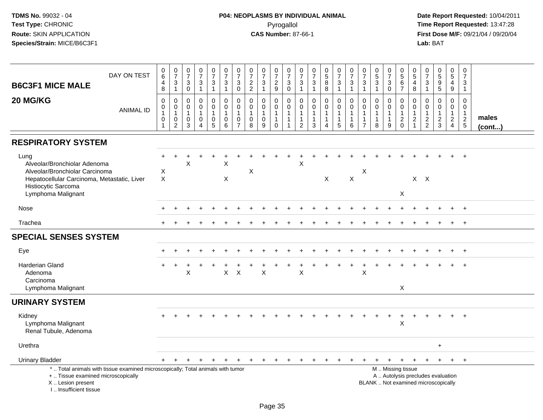| <b>B6C3F1 MICE MALE</b>                                                                                                                                            | DAY ON TEST                                                                     | 0<br>$\,6\,$<br>4<br>8                      | $\frac{0}{7}$<br>$\sqrt{3}$<br>$\overline{1}$                               | $\begin{smallmatrix}0\\7\end{smallmatrix}$<br>$\ensuremath{\mathsf{3}}$<br>$\mathsf{O}\xspace$ | $\frac{0}{7}$<br>3<br>$\mathbf{1}$           | $\frac{0}{7}$<br>$\ensuremath{\mathsf{3}}$<br>$\mathbf{1}$                               | $\frac{0}{7}$<br>$\frac{3}{1}$                                          | $\frac{0}{7}$<br>3<br>$\mathbf 0$                         | $\frac{0}{7}$<br>$\frac{2}{2}$                       | $\frac{0}{7}$<br>$\sqrt{3}$<br>$\mathbf{1}$ | $\frac{0}{7}$<br>$\frac{2}{9}$                                          | $\frac{0}{7}$<br>$\ensuremath{\mathsf{3}}$<br>$\mathbf 0$ | 0<br>$\overline{7}$<br>$\ensuremath{\mathsf{3}}$<br>$\mathbf{1}$ | $\begin{array}{c} 0 \\ 7 \end{array}$<br>$\frac{3}{1}$                             | $\begin{array}{c} 0 \\ 5 \\ 8 \end{array}$<br>8       | $\frac{0}{7}$<br>$\ensuremath{\mathsf{3}}$<br>$\mathbf{1}$                   | $\frac{0}{7}$<br>$\ensuremath{\mathsf{3}}$<br>$\mathbf{1}$ | 0<br>$\overline{7}$<br>$\ensuremath{\mathsf{3}}$<br>$\mathbf{1}$ | $\begin{array}{c} 0 \\ 5 \\ 3 \end{array}$<br>$\mathbf{1}$ | 0<br>$\overline{7}$<br>$_0^3$                           | $\pmb{0}$<br>$\overline{5}$<br>$\frac{6}{7}$                | 0<br>$\sqrt{5}$<br>$\overline{4}$<br>$\boldsymbol{8}$                          | 0<br>$\overline{7}$<br>3<br>$\mathbf{1}$                    | 0<br>5<br>5<br>5                                                         | 0<br>$\overline{5}$<br>$\overline{\mathbf{4}}$<br>9                 | 0<br>$\overline{7}$<br>$\mathbf{3}$<br>$\mathbf 1$          |                       |
|--------------------------------------------------------------------------------------------------------------------------------------------------------------------|---------------------------------------------------------------------------------|---------------------------------------------|-----------------------------------------------------------------------------|------------------------------------------------------------------------------------------------|----------------------------------------------|------------------------------------------------------------------------------------------|-------------------------------------------------------------------------|-----------------------------------------------------------|------------------------------------------------------|---------------------------------------------|-------------------------------------------------------------------------|-----------------------------------------------------------|------------------------------------------------------------------|------------------------------------------------------------------------------------|-------------------------------------------------------|------------------------------------------------------------------------------|------------------------------------------------------------|------------------------------------------------------------------|------------------------------------------------------------|---------------------------------------------------------|-------------------------------------------------------------|--------------------------------------------------------------------------------|-------------------------------------------------------------|--------------------------------------------------------------------------|---------------------------------------------------------------------|-------------------------------------------------------------|-----------------------|
| 20 MG/KG                                                                                                                                                           | <b>ANIMAL ID</b>                                                                | $\mathbf 0$<br>0<br>$\mathbf{1}$<br>0<br>-1 | $\mathbf 0$<br>$\mathbf 0$<br>$\mathbf{1}$<br>$\mathbf 0$<br>$\overline{c}$ | $\mathbf 0$<br>$\mathbf 0$<br>$\mathbf{1}$<br>$\mathbf 0$<br>3                                 | 0<br>$\mathbf 0$<br>1<br>0<br>$\overline{4}$ | $\boldsymbol{0}$<br>$\ddot{\mathbf{0}}$<br>$\mathbf{1}$<br>$\mathbf 0$<br>$\overline{5}$ | $\mathbf 0$<br>$\overline{0}$<br>$\overline{1}$<br>0<br>$6\phantom{1}6$ | 0<br>$\mathbf 0$<br>$\overline{1}$<br>0<br>$\overline{7}$ | $\mathbf 0$<br>$\mathbf 0$<br>$\mathbf{1}$<br>0<br>8 | 0<br>$\mathbf 0$<br>$\mathbf 0$<br>9        | 0<br>$\ddot{\mathbf{0}}$<br>$\mathbf{1}$<br>$\mathbf{1}$<br>$\mathbf 0$ | 0<br>$\mathbf 0$<br>$\mathbf{1}$<br>$\mathbf{1}$<br>1     | $\mathbf 0$<br>$\mathbf 0$<br>$\mathbf{1}$<br>$\overline{2}$     | $\mathbf 0$<br>$\ddot{\mathbf{0}}$<br>$\mathbf{1}$<br>$\mathbf{1}$<br>$\mathbf{3}$ | 0<br>$\mathbf 0$<br>$\mathbf{1}$<br>$\mathbf{1}$<br>4 | $\mathbf 0$<br>$\mathbf 0$<br>$\mathbf{1}$<br>$\mathbf{1}$<br>$\overline{5}$ | $\mathbf 0$<br>$\mathbf 0$<br>1<br>1<br>6                  | $\Omega$<br>$\Omega$<br>$\mathbf 1$<br>$\overline{7}$            | $\mathbf 0$<br>$\mathbf 0$<br>1<br>8                       | 0<br>$\mathbf 0$<br>$\overline{1}$<br>$\mathbf{1}$<br>9 | $\mathbf 0$<br>$\mathbf 0$<br>$\mathbf{1}$<br>$\frac{2}{0}$ | $\mathbf 0$<br>$\mathbf 0$<br>$\overline{1}$<br>$\overline{c}$<br>$\mathbf{1}$ | $\mathbf 0$<br>$\mathbf 0$<br>$\mathbf{1}$<br>$\frac{2}{2}$ | 0<br>$\mathbf 0$<br>$\mathbf 1$<br>$\frac{2}{3}$                         | $\boldsymbol{0}$<br>$\overline{0}$<br>$\mathbf{1}$<br>$\frac{2}{4}$ | $\mathbf 0$<br>$\mathbf 0$<br>$\mathbf{1}$<br>$\frac{2}{5}$ | males<br>$($ cont $)$ |
| <b>RESPIRATORY SYSTEM</b>                                                                                                                                          |                                                                                 |                                             |                                                                             |                                                                                                |                                              |                                                                                          |                                                                         |                                                           |                                                      |                                             |                                                                         |                                                           |                                                                  |                                                                                    |                                                       |                                                                              |                                                            |                                                                  |                                                            |                                                         |                                                             |                                                                                |                                                             |                                                                          |                                                                     |                                                             |                       |
| Lung<br>Alveolar/Bronchiolar Adenoma<br>Alveolar/Bronchiolar Carcinoma<br>Hepatocellular Carcinoma, Metastatic, Liver<br>Histiocytic Sarcoma<br>Lymphoma Malignant |                                                                                 | Χ<br>$\boldsymbol{\mathsf{X}}$              |                                                                             | X                                                                                              |                                              |                                                                                          | $\sf X$<br>X                                                            |                                                           | $\boldsymbol{\mathsf{X}}$                            |                                             |                                                                         |                                                           | $\mathsf{X}$                                                     |                                                                                    | X                                                     |                                                                              | $\mathsf X$                                                | $\boldsymbol{\mathsf{X}}$                                        |                                                            |                                                         | $\boldsymbol{\mathsf{X}}$                                   |                                                                                | $X$ $X$                                                     |                                                                          |                                                                     |                                                             |                       |
| Nose                                                                                                                                                               |                                                                                 |                                             |                                                                             |                                                                                                |                                              |                                                                                          |                                                                         |                                                           |                                                      |                                             |                                                                         |                                                           |                                                                  |                                                                                    |                                                       |                                                                              |                                                            |                                                                  |                                                            |                                                         |                                                             |                                                                                |                                                             |                                                                          |                                                                     | $\ddot{}$                                                   |                       |
| Trachea                                                                                                                                                            |                                                                                 |                                             |                                                                             |                                                                                                |                                              |                                                                                          |                                                                         |                                                           |                                                      |                                             |                                                                         |                                                           |                                                                  |                                                                                    |                                                       |                                                                              |                                                            |                                                                  |                                                            |                                                         |                                                             |                                                                                |                                                             |                                                                          |                                                                     | $+$                                                         |                       |
| <b>SPECIAL SENSES SYSTEM</b>                                                                                                                                       |                                                                                 |                                             |                                                                             |                                                                                                |                                              |                                                                                          |                                                                         |                                                           |                                                      |                                             |                                                                         |                                                           |                                                                  |                                                                                    |                                                       |                                                                              |                                                            |                                                                  |                                                            |                                                         |                                                             |                                                                                |                                                             |                                                                          |                                                                     |                                                             |                       |
| Eye                                                                                                                                                                |                                                                                 |                                             |                                                                             |                                                                                                |                                              |                                                                                          |                                                                         |                                                           |                                                      |                                             |                                                                         |                                                           |                                                                  |                                                                                    |                                                       |                                                                              |                                                            |                                                                  |                                                            |                                                         |                                                             |                                                                                |                                                             |                                                                          |                                                                     | $+$                                                         |                       |
| Harderian Gland<br>Adenoma<br>Carcinoma<br>Lymphoma Malignant                                                                                                      |                                                                                 |                                             |                                                                             | X                                                                                              |                                              |                                                                                          | X                                                                       | X                                                         |                                                      | Χ                                           |                                                                         |                                                           | X                                                                |                                                                                    |                                                       |                                                                              |                                                            | X                                                                |                                                            |                                                         | X                                                           |                                                                                |                                                             |                                                                          |                                                                     |                                                             |                       |
| <b>URINARY SYSTEM</b>                                                                                                                                              |                                                                                 |                                             |                                                                             |                                                                                                |                                              |                                                                                          |                                                                         |                                                           |                                                      |                                             |                                                                         |                                                           |                                                                  |                                                                                    |                                                       |                                                                              |                                                            |                                                                  |                                                            |                                                         |                                                             |                                                                                |                                                             |                                                                          |                                                                     |                                                             |                       |
| Kidney<br>Lymphoma Malignant<br>Renal Tubule, Adenoma                                                                                                              |                                                                                 |                                             |                                                                             |                                                                                                |                                              |                                                                                          |                                                                         |                                                           |                                                      |                                             |                                                                         |                                                           |                                                                  |                                                                                    |                                                       |                                                                              |                                                            |                                                                  |                                                            | $\ddot{}$                                               | $\ddot{}$<br>$\sf X$                                        |                                                                                |                                                             |                                                                          |                                                                     |                                                             |                       |
| Urethra                                                                                                                                                            |                                                                                 |                                             |                                                                             |                                                                                                |                                              |                                                                                          |                                                                         |                                                           |                                                      |                                             |                                                                         |                                                           |                                                                  |                                                                                    |                                                       |                                                                              |                                                            |                                                                  |                                                            |                                                         |                                                             |                                                                                |                                                             | +                                                                        |                                                                     |                                                             |                       |
| <b>Urinary Bladder</b>                                                                                                                                             |                                                                                 | $+$                                         | $+$                                                                         | $+$                                                                                            | $^{+}$                                       | $+$                                                                                      | $\pm$                                                                   | $\pm$                                                     | $+$                                                  | $+$                                         | $+$                                                                     | $+$                                                       | $\pm$                                                            | $+$                                                                                | $\pm$                                                 |                                                                              |                                                            | $\pm$                                                            | $\pm$                                                      | $+$                                                     | $+$                                                         | $\ddot{}$                                                                      | $\ddot{}$                                                   | $+$                                                                      | $+$                                                                 | $+$                                                         |                       |
| +  Tissue examined microscopically<br>X  Lesion present<br>I Insufficient tissue                                                                                   | *  Total animals with tissue examined microscopically; Total animals with tumor |                                             |                                                                             |                                                                                                |                                              |                                                                                          |                                                                         |                                                           |                                                      |                                             |                                                                         |                                                           |                                                                  |                                                                                    |                                                       |                                                                              |                                                            |                                                                  |                                                            |                                                         | M  Missing tissue                                           |                                                                                |                                                             | A  Autolysis precludes evaluation<br>BLANK  Not examined microscopically |                                                                     |                                                             |                       |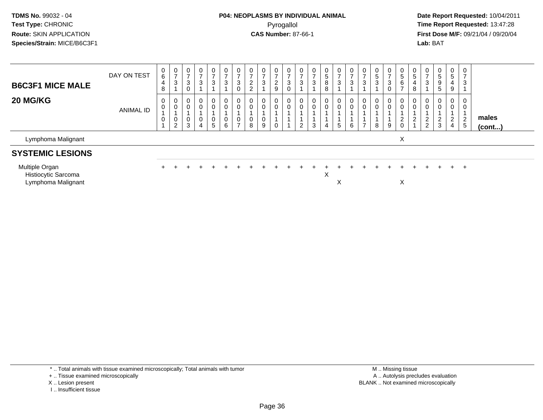Multiple Organ

Histiocytic Sarcoma

Lymphoma Malignant

## **P04: NEOPLASMS BY INDIVIDUAL ANIMAL**Pyrogallol **Time Report Requested:** 13:47:28

 **Date Report Requested:** 10/04/2011 **First Dose M/F:** 09/21/04 / 09/20/04<br>**Lab:** BAT **Lab:** BAT

| <b>B6C3F1 MICE MALE</b> | DAY ON TEST | U<br>6<br>4<br>8 | $\mathbf{0}$<br>-<br>3 | 0<br>3<br>υ      | ົ | 0<br>3           | 0<br>3           | 0<br>3<br>0 | υ<br>$\sqrt{2}$<br><u>_</u><br>∼ |        | -<br>$\sim$<br>$\epsilon$<br>9 | $\overline{0}$<br>3<br>0 | U<br>3      | $\mathbf 0$<br>ა | 0<br>.5<br>8<br>8 | 0<br>3      | 0<br>3      | د | 3 | 0<br>3<br>0 | 0<br>5<br>6                  | U<br>5<br>8         | 0<br>$\rightarrow$<br>3   | 0<br>. 5<br>9<br>$\mathbf{p}$ | 0<br>5<br>4<br>9      | 0<br>3 |                 |
|-------------------------|-------------|------------------|------------------------|------------------|---|------------------|------------------|-------------|----------------------------------|--------|--------------------------------|--------------------------|-------------|------------------|-------------------|-------------|-------------|---|---|-------------|------------------------------|---------------------|---------------------------|-------------------------------|-----------------------|--------|-----------------|
| <b>20 MG/KG</b>         | ANIMAL ID   | U                | 0<br>0<br>0<br>2       | U<br>0<br>υ<br>3 | 4 | 0<br>0<br>0<br>5 | 0<br>0<br>0<br>6 | 0<br>0<br>0 | υ<br>U<br>8                      | 0<br>9 | 0                              | 0<br>0                   | U<br>◠<br>∠ | 0<br>3           | 0<br>0<br>4       | 0<br>0<br>5 | 0<br>0<br>6 |   | 8 | 0<br>0<br>9 | 0<br>0<br>ົ<br><u>L</u><br>0 | $\overline{0}$<br>0 | 0<br>0<br>$\epsilon$<br>2 | 0<br>0<br>2<br>3              | 0<br>0<br>2<br>∼<br>4 | 2<br>5 | males<br>(cont) |
| Lymphoma Malignant      |             |                  |                        |                  |   |                  |                  |             |                                  |        |                                |                          |             |                  |                   |             |             |   |   |             | X                            |                     |                           |                               |                       |        |                 |
| <b>SYSTEMIC LESIONS</b> |             |                  |                        |                  |   |                  |                  |             |                                  |        |                                |                          |             |                  |                   |             |             |   |   |             |                              |                     |                           |                               |                       |        |                 |

<sup>+</sup> <sup>+</sup> <sup>+</sup> <sup>+</sup> <sup>+</sup> <sup>+</sup> <sup>+</sup> <sup>+</sup> <sup>+</sup> <sup>+</sup> <sup>+</sup> <sup>+</sup> <sup>+</sup> <sup>+</sup> <sup>+</sup> <sup>+</sup> <sup>+</sup> <sup>+</sup> <sup>+</sup> <sup>+</sup> <sup>+</sup> <sup>+</sup> <sup>+</sup> <sup>+</sup>

 $x \rightarrow x$ 

a the contract of  $\mathbb{X}$ 

t and the contract of the contract of the contract of the contract of the contract of the contract of the contract of the contract of the contract of the contract of the contract of the contract of the contract of the cont

\* .. Total animals with tissue examined microscopically; Total animals with tumor

+ .. Tissue examined microscopically

n +

X .. Lesion present

I .. Insufficient tissue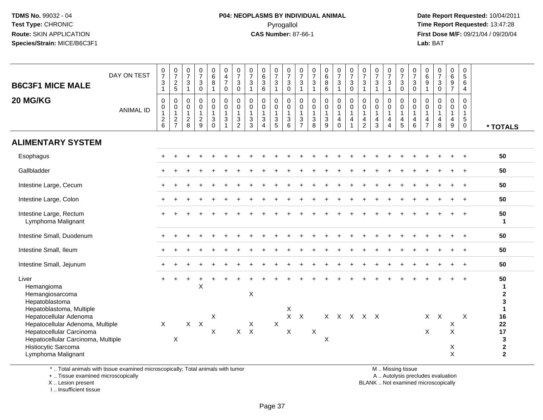#### **P04: NEOPLASMS BY INDIVIDUAL ANIMAL**Pyrogallol **Time Report Requested:** 13:47:28

 **Date Report Requested:** 10/04/2011 **First Dose M/F:** 09/21/04 / 09/20/04<br>**Lab:** BAT **Lab:** BAT

| DAY ON TEST      | $\frac{0}{7}$<br>$\sqrt{3}$<br>$\mathbf{1}$                            | $\frac{0}{7}$<br>$\frac{2}{5}$                  | $\frac{0}{7}$<br>$\mathsf 3$<br>$\mathbf{1}$     | $\frac{0}{7}$<br>$\ensuremath{\mathsf{3}}$<br>$\mathsf 0$ | $_{6}^{\rm 0}$<br>8<br>$\mathbf{1}$                                                     | $\begin{smallmatrix}0\0\4\end{smallmatrix}$<br>$\overline{7}$<br>$\mathbf 0$    | $\frac{0}{7}$<br>$\mathbf{3}$<br>$\mathbf 0$                               | $\begin{array}{c} 0 \\ 7 \end{array}$<br>$\ensuremath{\mathsf{3}}$<br>$\mathbf{1}$ | $0\over 6$<br>$\mathbf{3}$<br>$\,6\,$                                        | $\frac{0}{7}$<br>$\sqrt{3}$<br>$\mathbf{1}$                              | $\frac{0}{7}$<br>$\ensuremath{\mathsf{3}}$<br>$\mathsf 0$                  | $\frac{0}{7}$<br>$\ensuremath{\mathsf{3}}$<br>$\mathbf{1}$          | $\frac{0}{7}$<br>$\ensuremath{\mathsf{3}}$<br>$\mathbf{1}$ | $_{6}^{\rm 0}$<br>$\bf 8$<br>$\,6\,$                      | $\begin{smallmatrix} 0\\7 \end{smallmatrix}$<br>$\mathbf{3}$<br>$\mathbf{1}$                 | $\frac{0}{7}$<br>$\mathbf{3}$<br>$\mathsf 0$                             | 0<br>$\overline{7}$<br>$\ensuremath{\mathsf{3}}$<br>$\mathbf{1}$ | $\frac{0}{7}$<br>$\ensuremath{\mathsf{3}}$<br>$\mathbf{1}$                      | $\frac{0}{7}$<br>$\sqrt{3}$<br>$\mathbf{1}$                             | $\frac{0}{7}$<br>$\sqrt{3}$<br>$\mathbf 0$                           | $\frac{0}{7}$<br>$\mathbf{3}$<br>$\pmb{0}$ | $_{6}^{\rm 0}$<br>$\boldsymbol{9}$<br>$\mathbf{1}$                 | $\frac{0}{7}$<br>$\ensuremath{\mathsf{3}}$<br>$\mathsf{O}\xspace$ | 0<br>6<br>$\boldsymbol{9}$<br>$\overline{7}$               | $\mathbf 0$<br>$\sqrt{5}$<br>$\,6\,$<br>$\overline{4}$                  |                                                                    |
|------------------|------------------------------------------------------------------------|-------------------------------------------------|--------------------------------------------------|-----------------------------------------------------------|-----------------------------------------------------------------------------------------|---------------------------------------------------------------------------------|----------------------------------------------------------------------------|------------------------------------------------------------------------------------|------------------------------------------------------------------------------|--------------------------------------------------------------------------|----------------------------------------------------------------------------|---------------------------------------------------------------------|------------------------------------------------------------|-----------------------------------------------------------|----------------------------------------------------------------------------------------------|--------------------------------------------------------------------------|------------------------------------------------------------------|---------------------------------------------------------------------------------|-------------------------------------------------------------------------|----------------------------------------------------------------------|--------------------------------------------|--------------------------------------------------------------------|-------------------------------------------------------------------|------------------------------------------------------------|-------------------------------------------------------------------------|--------------------------------------------------------------------|
| <b>ANIMAL ID</b> | $\boldsymbol{0}$<br>$\mathbf 0$<br>$\overline{1}$<br>$\frac{2}{6}$     | 0<br>$\pmb{0}$<br>$\mathbf{1}$<br>$\frac{2}{7}$ | $\pmb{0}$<br>$\pmb{0}$<br>$\mathbf{1}$<br>$^2_8$ | $\pmb{0}$<br>$\pmb{0}$<br>$\mathbf{1}$<br>$\frac{2}{9}$   | $\mathsf{O}$<br>$\overline{0}$<br>$\mathbf{1}$<br>$\ensuremath{\mathsf{3}}$<br>$\Omega$ | $\pmb{0}$<br>$\overline{0}$<br>$\overline{1}$<br>$\mathbf{3}$<br>$\overline{1}$ | $\mathbf 0$<br>$\mathbf 0$<br>$\mathbf{1}$<br>$\sqrt{3}$<br>$\overline{2}$ | $\mathbf 0$<br>$\overline{0}$<br>$\mathbf{1}$<br>$\mathbf{3}$<br>3                 | $\mathbf 0$<br>$\mathbf 0$<br>$\mathbf{1}$<br>$\mathbf{3}$<br>$\overline{4}$ | $\boldsymbol{0}$<br>$\ddot{\mathbf{0}}$<br>$\mathbf{1}$<br>$\frac{3}{5}$ | $\pmb{0}$<br>$\mathbf 0$<br>$\mathbf{1}$<br>$\ensuremath{\mathsf{3}}$<br>6 | $\mathbf 0$<br>$\mathsf{O}\xspace$<br>$\mathbf{1}$<br>$\frac{3}{7}$ | $\mathsf 0$<br>$\mathbf 0$<br>$\overline{1}$<br>$_{8}^{3}$ | 0<br>$\ddot{\mathbf{0}}$<br>$\mathbf{1}$<br>$\frac{3}{9}$ | $\begin{smallmatrix}0\0\0\end{smallmatrix}$<br>$\mathbf{1}$<br>$\overline{4}$<br>$\mathbf 0$ | $\mathsf{O}$<br>$\ddot{\mathbf{0}}$<br>$\mathbf{1}$<br>4<br>$\mathbf{1}$ | 0<br>$\pmb{0}$<br>$\mathbf{1}$<br>4<br>$\overline{2}$            | $\mathbf 0$<br>$\overline{0}$<br>$\mathbf{1}$<br>$\overline{4}$<br>$\mathbf{3}$ | $\pmb{0}$<br>$\ddot{\mathbf{0}}$<br>$\mathbf{1}$<br>4<br>$\overline{4}$ | $\pmb{0}$<br>$\overline{0}$<br>$\overline{1}$<br>$\overline{4}$<br>5 | 0<br>$\mathbf 0$<br>$\mathbf{1}$<br>4<br>6 | 0<br>$\pmb{0}$<br>$\mathbf{1}$<br>$\overline{4}$<br>$\overline{7}$ | $\mathsf{O}$<br>$\bar{0}$<br>$\mathbf{1}$<br>$\overline{4}$<br>8  | 0<br>$\overline{0}$<br>$\mathbf{1}$<br>$\overline{4}$<br>9 | $\mathbf 0$<br>$\mathbf 0$<br>$\mathbf{1}$<br>$\sqrt{5}$<br>$\mathbf 0$ | * TOTALS                                                           |
|                  |                                                                        |                                                 |                                                  |                                                           |                                                                                         |                                                                                 |                                                                            |                                                                                    |                                                                              |                                                                          |                                                                            |                                                                     |                                                            |                                                           |                                                                                              |                                                                          |                                                                  |                                                                                 |                                                                         |                                                                      |                                            |                                                                    |                                                                   |                                                            |                                                                         |                                                                    |
|                  |                                                                        |                                                 |                                                  |                                                           |                                                                                         |                                                                                 |                                                                            |                                                                                    |                                                                              |                                                                          |                                                                            |                                                                     |                                                            |                                                           |                                                                                              |                                                                          |                                                                  |                                                                                 |                                                                         |                                                                      |                                            |                                                                    |                                                                   |                                                            |                                                                         | 50                                                                 |
|                  |                                                                        |                                                 |                                                  |                                                           |                                                                                         |                                                                                 |                                                                            |                                                                                    |                                                                              |                                                                          |                                                                            |                                                                     |                                                            |                                                           |                                                                                              |                                                                          |                                                                  |                                                                                 |                                                                         |                                                                      |                                            |                                                                    |                                                                   |                                                            | $\overline{+}$                                                          | 50                                                                 |
|                  |                                                                        |                                                 |                                                  |                                                           |                                                                                         |                                                                                 |                                                                            |                                                                                    |                                                                              |                                                                          |                                                                            |                                                                     |                                                            |                                                           |                                                                                              |                                                                          |                                                                  |                                                                                 |                                                                         |                                                                      |                                            |                                                                    |                                                                   |                                                            | $+$                                                                     | 50                                                                 |
|                  |                                                                        |                                                 |                                                  |                                                           |                                                                                         |                                                                                 |                                                                            |                                                                                    |                                                                              |                                                                          |                                                                            |                                                                     |                                                            |                                                           |                                                                                              |                                                                          |                                                                  |                                                                                 |                                                                         |                                                                      |                                            |                                                                    |                                                                   |                                                            |                                                                         | 50                                                                 |
|                  |                                                                        |                                                 |                                                  |                                                           |                                                                                         |                                                                                 |                                                                            |                                                                                    |                                                                              |                                                                          |                                                                            |                                                                     |                                                            |                                                           |                                                                                              |                                                                          |                                                                  |                                                                                 |                                                                         |                                                                      |                                            |                                                                    |                                                                   |                                                            |                                                                         | 50<br>$\mathbf{1}$                                                 |
|                  |                                                                        |                                                 |                                                  |                                                           |                                                                                         |                                                                                 |                                                                            |                                                                                    |                                                                              |                                                                          |                                                                            |                                                                     |                                                            |                                                           |                                                                                              |                                                                          |                                                                  |                                                                                 |                                                                         |                                                                      |                                            |                                                                    |                                                                   |                                                            | $\overline{+}$                                                          | 50                                                                 |
|                  |                                                                        |                                                 |                                                  |                                                           |                                                                                         |                                                                                 |                                                                            |                                                                                    |                                                                              |                                                                          |                                                                            |                                                                     |                                                            |                                                           |                                                                                              |                                                                          |                                                                  |                                                                                 |                                                                         |                                                                      |                                            |                                                                    |                                                                   |                                                            | $\overline{+}$                                                          | 50                                                                 |
|                  |                                                                        |                                                 |                                                  |                                                           |                                                                                         |                                                                                 |                                                                            |                                                                                    |                                                                              |                                                                          |                                                                            |                                                                     |                                                            |                                                           |                                                                                              |                                                                          |                                                                  |                                                                                 |                                                                         |                                                                      |                                            |                                                                    |                                                                   |                                                            |                                                                         | 50                                                                 |
|                  |                                                                        |                                                 |                                                  | $\overline{ }$<br>$\sf X$                                 |                                                                                         |                                                                                 |                                                                            | X                                                                                  |                                                                              |                                                                          |                                                                            |                                                                     |                                                            |                                                           |                                                                                              |                                                                          |                                                                  |                                                                                 |                                                                         |                                                                      |                                            |                                                                    |                                                                   |                                                            |                                                                         | 50<br>$\mathbf{1}$<br>$\boldsymbol{2}$<br>3                        |
|                  | $\mathsf{X}$                                                           | X                                               |                                                  |                                                           | X<br>X                                                                                  |                                                                                 |                                                                            | X                                                                                  |                                                                              | $\pmb{\times}$                                                           | X<br>X<br>X                                                                | $\mathsf{X}$                                                        | X                                                          | $\pmb{\times}$                                            |                                                                                              |                                                                          |                                                                  |                                                                                 |                                                                         |                                                                      |                                            | $\boldsymbol{\mathsf{X}}$                                          |                                                                   | X<br>$\mathsf X$<br>X<br>X                                 | X                                                                       | $\mathbf{1}$<br>16<br>22<br>17<br>3<br>$\mathbf 2$<br>$\mathbf{2}$ |
|                  | Hepatocellular Adenoma, Multiple<br>Hepatocellular Carcinoma, Multiple |                                                 |                                                  |                                                           | $X$ $X$                                                                                 |                                                                                 |                                                                            |                                                                                    | $X$ $X$                                                                      |                                                                          |                                                                            |                                                                     |                                                            |                                                           |                                                                                              |                                                                          |                                                                  |                                                                                 | $X$ $X$ $X$ $X$ $X$                                                     |                                                                      |                                            |                                                                    |                                                                   | $X$ $X$                                                    |                                                                         |                                                                    |

\* .. Total animals with tissue examined microscopically; Total animals with tumor

+ .. Tissue examined microscopically

 Lesion present BLANK .. Not examined microscopicallyX .. Lesion present

I .. Insufficient tissue

M .. Missing tissue

y the contract of the contract of the contract of the contract of the contract of the contract of the contract of  $A$ . Autolysis precludes evaluation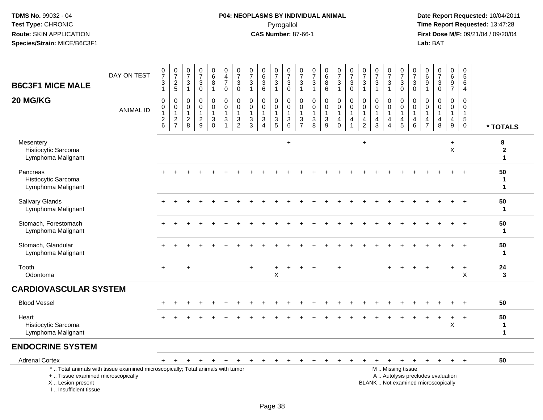# **P04: NEOPLASMS BY INDIVIDUAL ANIMAL**Pyrogallol **Time Report Requested:** 13:47:28

 **Date Report Requested:** 10/04/2011 **First Dose M/F:** 09/21/04 / 09/20/04<br>Lab: BAT **Lab:** BAT

| <b>B6C3F1 MICE MALE</b><br>20 MG/KG                     | DAY ON TEST<br><b>ANIMAL ID</b>                                                 | 0<br>$\overline{7}$<br>3<br>$\mathbf{1}$<br>0<br>$\pmb{0}$ | $\frac{0}{7}$<br>$\frac{2}{5}$<br>0<br>$\pmb{0}$ | $\frac{0}{7}$<br>$\ensuremath{\mathsf{3}}$<br>$\mathbf{1}$<br>0<br>$\mathbf 0$ | $\frac{0}{7}$<br>$\ensuremath{\mathsf{3}}$<br>$\mathbf 0$<br>$\mathbf 0$<br>$\mathbf 0$ | $\begin{array}{c} 0 \\ 6 \end{array}$<br>8<br>$\mathbf{1}$<br>0<br>$\mathbf 0$ | $\pmb{0}$<br>$\overline{4}$<br>$\overline{7}$<br>$\mathbf 0$<br>0<br>$\mathsf{O}\xspace$ | $\frac{0}{7}$<br>$\sqrt{3}$<br>$\mathbf 0$<br>0<br>$\mathbf 0$ | $\begin{array}{c} 0 \\ 7 \end{array}$<br>3<br>$\mathbf{1}$<br>0<br>$\mathbf 0$ | $\begin{array}{c} 0 \\ 6 \end{array}$<br>$\ensuremath{\mathsf{3}}$<br>6<br>0<br>$\mathbf 0$ | $\frac{0}{7}$<br>3<br>$\mathbf{1}$<br>0<br>$\mathbf 0$ | $\frac{0}{7}$<br>$\ensuremath{\mathsf{3}}$<br>$\pmb{0}$<br>0<br>$\mathsf{O}\xspace$ | $\frac{0}{7}$<br>$\ensuremath{\mathsf{3}}$<br>$\mathbf{1}$<br>0<br>$\mathbf 0$ | 0<br>$\overline{7}$<br>$\sqrt{3}$<br>$\overline{1}$<br>0<br>$\mathbf 0$ | 0<br>6<br>$\, 8$<br>6<br>$\mathbf 0$<br>$\mathbf 0$ | $\frac{0}{7}$<br>$\mathbf{3}$<br>$\mathbf{1}$<br>0<br>$\mathbf 0$ | $\begin{smallmatrix}0\\7\end{smallmatrix}$<br>3<br>$\mathbf 0$<br>0<br>$\mathbf 0$ | $\frac{0}{7}$<br>$\ensuremath{\mathsf{3}}$<br>$\mathbf{1}$<br>0<br>$\pmb{0}$ | $\frac{0}{7}$<br>$\sqrt{3}$<br>$\mathbf{1}$<br>$\mathbf 0$<br>$\mathbf 0$ | $\frac{0}{7}$<br>$\sqrt{3}$<br>$\overline{1}$<br>0<br>$\mathbf 0$ | $\pmb{0}$<br>$\overline{7}$<br>$\ensuremath{\mathsf{3}}$<br>$\mathbf 0$<br>0<br>$\mathbf 0$ | $\frac{0}{7}$<br>$\ensuremath{\mathsf{3}}$<br>$\mathbf 0$<br>0<br>$\mathsf 0$ | 0<br>$\,6$<br>9<br>$\mathbf{1}$<br>0<br>$\mathbf 0$ | $\pmb{0}$<br>$\overline{7}$<br>$\ensuremath{\mathsf{3}}$<br>$\mathbf 0$<br>0<br>0 | $\pmb{0}$<br>6<br>$\boldsymbol{9}$<br>$\overline{7}$<br>$\mathbf 0$<br>$\mathbf 0$ | $\pmb{0}$<br>$\overline{5}$ 6<br>$\overline{4}$<br>0<br>$\mathbf 0$ |                                       |
|---------------------------------------------------------|---------------------------------------------------------------------------------|------------------------------------------------------------|--------------------------------------------------|--------------------------------------------------------------------------------|-----------------------------------------------------------------------------------------|--------------------------------------------------------------------------------|------------------------------------------------------------------------------------------|----------------------------------------------------------------|--------------------------------------------------------------------------------|---------------------------------------------------------------------------------------------|--------------------------------------------------------|-------------------------------------------------------------------------------------|--------------------------------------------------------------------------------|-------------------------------------------------------------------------|-----------------------------------------------------|-------------------------------------------------------------------|------------------------------------------------------------------------------------|------------------------------------------------------------------------------|---------------------------------------------------------------------------|-------------------------------------------------------------------|---------------------------------------------------------------------------------------------|-------------------------------------------------------------------------------|-----------------------------------------------------|-----------------------------------------------------------------------------------|------------------------------------------------------------------------------------|---------------------------------------------------------------------|---------------------------------------|
|                                                         |                                                                                 | $\mathbf{1}$<br>$\sqrt{2}$<br>$6\phantom{a}$               | $\mathbf{1}$<br>$\frac{2}{7}$                    | $\mathbf{1}$<br>$^2_{\bf 8}$                                                   | $\mathbf{1}$<br>$\frac{2}{9}$                                                           | 3<br>$\overline{0}$                                                            | $\overline{1}$<br>$\ensuremath{\mathsf{3}}$<br>$\overline{1}$                            | $\mathbf{1}$<br>$\frac{3}{2}$                                  | 1<br>$\mathbf{3}$<br>3                                                         | $\mathbf{1}$<br>$\frac{3}{4}$                                                               | 1<br>$\frac{3}{5}$                                     | $\mathbf{1}$<br>$^3$ 6                                                              | $\overline{1}$<br>$\frac{3}{7}$                                                | $\overline{1}$<br>3<br>$\overline{8}$                                   | $\mathbf{1}$<br>$\sqrt{3}$<br>$\overline{9}$        | 1<br>$\overline{4}$<br>$\mathbf 0$                                | $\mathbf{1}$<br>$\overline{4}$<br>$\overline{1}$                                   | $\mathbf{1}$<br>$\overline{4}$<br>$\overline{2}$                             | $\overline{1}$<br>$\overline{4}$<br>3                                     | $\mathbf{1}$<br>$\overline{4}$<br>$\boldsymbol{\Lambda}$          | $\mathbf{1}$<br>4<br>5                                                                      | $\mathbf{1}$<br>4<br>6                                                        | $\mathbf{1}$<br>4<br>$\overline{7}$                 | $\mathbf{1}$<br>$\overline{4}$<br>$\,8\,$                                         | $\mathbf{1}$<br>$\overline{4}$<br>$\boldsymbol{9}$                                 | $\mathbf{1}$<br>$\,$ 5 $\,$<br>$\mathbf 0$                          | * TOTALS                              |
| Mesentery<br>Histiocytic Sarcoma<br>Lymphoma Malignant  |                                                                                 |                                                            |                                                  |                                                                                |                                                                                         |                                                                                |                                                                                          |                                                                |                                                                                |                                                                                             |                                                        | $+$                                                                                 |                                                                                |                                                                         |                                                     |                                                                   |                                                                                    | $\ddot{}$                                                                    |                                                                           |                                                                   |                                                                                             |                                                                               |                                                     |                                                                                   | $\ddot{}$<br>X                                                                     |                                                                     | 8<br>$\boldsymbol{2}$<br>$\mathbf{1}$ |
| Pancreas<br>Histiocytic Sarcoma<br>Lymphoma Malignant   |                                                                                 |                                                            |                                                  |                                                                                |                                                                                         |                                                                                |                                                                                          |                                                                |                                                                                |                                                                                             |                                                        |                                                                                     |                                                                                |                                                                         |                                                     |                                                                   |                                                                                    |                                                                              |                                                                           |                                                                   |                                                                                             |                                                                               |                                                     |                                                                                   |                                                                                    |                                                                     | 50<br>1<br>$\blacktriangleleft$       |
| <b>Salivary Glands</b><br>Lymphoma Malignant            |                                                                                 |                                                            |                                                  |                                                                                |                                                                                         |                                                                                |                                                                                          |                                                                |                                                                                |                                                                                             |                                                        |                                                                                     |                                                                                |                                                                         |                                                     |                                                                   |                                                                                    |                                                                              |                                                                           |                                                                   |                                                                                             |                                                                               |                                                     |                                                                                   |                                                                                    |                                                                     | 50<br>$\mathbf{1}$                    |
| Stomach, Forestomach<br>Lymphoma Malignant              |                                                                                 |                                                            |                                                  |                                                                                |                                                                                         |                                                                                |                                                                                          |                                                                |                                                                                |                                                                                             |                                                        |                                                                                     |                                                                                |                                                                         |                                                     |                                                                   |                                                                                    |                                                                              |                                                                           |                                                                   |                                                                                             |                                                                               |                                                     |                                                                                   |                                                                                    |                                                                     | 50<br>$\mathbf{1}$                    |
| Stomach, Glandular<br>Lymphoma Malignant                |                                                                                 |                                                            |                                                  |                                                                                |                                                                                         |                                                                                |                                                                                          |                                                                |                                                                                |                                                                                             |                                                        |                                                                                     |                                                                                |                                                                         |                                                     |                                                                   |                                                                                    |                                                                              |                                                                           |                                                                   |                                                                                             |                                                                               |                                                     |                                                                                   |                                                                                    |                                                                     | 50<br>$\mathbf{1}$                    |
| Tooth<br>Odontoma                                       |                                                                                 | $+$                                                        |                                                  | $\div$                                                                         |                                                                                         |                                                                                |                                                                                          |                                                                | $\ddot{}$                                                                      |                                                                                             | +<br>X                                                 |                                                                                     |                                                                                |                                                                         |                                                     |                                                                   |                                                                                    |                                                                              |                                                                           |                                                                   |                                                                                             |                                                                               |                                                     |                                                                                   |                                                                                    | $\ddot{}$<br>X                                                      | 24<br>3                               |
| <b>CARDIOVASCULAR SYSTEM</b>                            |                                                                                 |                                                            |                                                  |                                                                                |                                                                                         |                                                                                |                                                                                          |                                                                |                                                                                |                                                                                             |                                                        |                                                                                     |                                                                                |                                                                         |                                                     |                                                                   |                                                                                    |                                                                              |                                                                           |                                                                   |                                                                                             |                                                                               |                                                     |                                                                                   |                                                                                    |                                                                     |                                       |
| <b>Blood Vessel</b>                                     |                                                                                 |                                                            |                                                  |                                                                                |                                                                                         |                                                                                |                                                                                          |                                                                |                                                                                |                                                                                             |                                                        |                                                                                     |                                                                                |                                                                         |                                                     |                                                                   |                                                                                    |                                                                              |                                                                           |                                                                   |                                                                                             |                                                                               |                                                     |                                                                                   |                                                                                    |                                                                     | 50                                    |
| Heart<br>Histiocytic Sarcoma<br>Lymphoma Malignant      |                                                                                 |                                                            |                                                  |                                                                                |                                                                                         |                                                                                |                                                                                          |                                                                |                                                                                |                                                                                             |                                                        |                                                                                     |                                                                                |                                                                         |                                                     |                                                                   |                                                                                    |                                                                              |                                                                           |                                                                   |                                                                                             |                                                                               |                                                     |                                                                                   | $\ddot{}$<br>X                                                                     | $\ddot{}$                                                           | 50<br>$\mathbf{1}$<br>$\mathbf{1}$    |
| <b>ENDOCRINE SYSTEM</b>                                 |                                                                                 |                                                            |                                                  |                                                                                |                                                                                         |                                                                                |                                                                                          |                                                                |                                                                                |                                                                                             |                                                        |                                                                                     |                                                                                |                                                                         |                                                     |                                                                   |                                                                                    |                                                                              |                                                                           |                                                                   |                                                                                             |                                                                               |                                                     |                                                                                   |                                                                                    |                                                                     |                                       |
| <b>Adrenal Cortex</b>                                   |                                                                                 | $+$                                                        | $+$                                              | $\ddot{}$                                                                      | $\pm$                                                                                   | $\ddot{}$                                                                      | $\ddot{}$                                                                                |                                                                |                                                                                | $\pm$                                                                                       | $\ddot{}$                                              | $+$                                                                                 | $+$                                                                            | $+$                                                                     | $\pm$                                               | $\pm$                                                             | $\pm$                                                                              |                                                                              | $\ddot{}$                                                                 | $+$                                                               | $+$                                                                                         | $+$                                                                           | $+$                                                 | $+$                                                                               | $+$ $+$                                                                            |                                                                     | 50                                    |
| +  Tissue examined microscopically<br>X  Lesion present | *  Total animals with tissue examined microscopically; Total animals with tumor |                                                            |                                                  |                                                                                |                                                                                         |                                                                                |                                                                                          |                                                                |                                                                                |                                                                                             |                                                        |                                                                                     |                                                                                |                                                                         |                                                     |                                                                   |                                                                                    |                                                                              |                                                                           |                                                                   | M  Missing tissue                                                                           |                                                                               |                                                     | A  Autolysis precludes evaluation<br>BLANK  Not examined microscopically          |                                                                                    |                                                                     |                                       |

I .. Insufficient tissue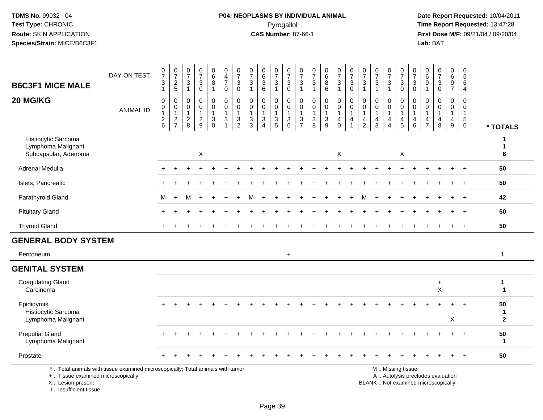# **P04: NEOPLASMS BY INDIVIDUAL ANIMAL**Pyrogallol **Time Report Requested:** 13:47:28

 **Date Report Requested:** 10/04/2011 **First Dose M/F:** 09/21/04 / 09/20/04<br>Lab: BAT **Lab:** BAT

| <b>B6C3F1 MICE MALE</b>                                           | DAY ON TEST                                                                     | $\frac{0}{7}$<br>3                        | $\frac{0}{7}$<br>$\frac{2}{5}$                          | $\begin{smallmatrix}0\\7\end{smallmatrix}$<br>3             | $\frac{0}{7}$<br>$\ensuremath{\mathsf{3}}$                    | $\pmb{0}$<br>$\,6\,$<br>8                                                              | 0<br>$\overline{\mathbf{4}}$<br>$\overline{7}$     | $\frac{0}{7}$<br>$\sqrt{3}$                                                  | $\frac{0}{7}$<br>$\sqrt{3}$                          | $_{6}^{\rm 0}$<br>$\sqrt{3}$                                          | $\frac{0}{7}$<br>$\ensuremath{\mathsf{3}}$        | $\frac{0}{7}$<br>$\sqrt{3}$                                               | $\pmb{0}$<br>$\overline{7}$<br>$\mathbf{3}$                                | $\frac{0}{7}$<br>$\sqrt{3}$                                               | $_{6}^{\rm 0}$<br>$_{6}^{8}$                  | $\frac{0}{7}$<br>$\ensuremath{\mathsf{3}}$                                | $\frac{0}{7}$<br>$\sqrt{3}$           | $\begin{smallmatrix}0\\7\end{smallmatrix}$<br>$\ensuremath{\mathsf{3}}$        | $\frac{0}{7}$<br>$\sqrt{3}$                                        | $\frac{0}{7}$<br>3                         | $\frac{0}{7}$<br>$\ensuremath{\mathsf{3}}$              | $\frac{0}{7}$<br>3                      | $\pmb{0}$<br>$\,6$<br>9                                                     | $\begin{smallmatrix}0\\7\end{smallmatrix}$<br>$_0^3$            | $\begin{array}{c} 0 \\ 6 \end{array}$<br>$\frac{9}{7}$                    | 0<br>$\overline{5}$<br>6                                                |                         |
|-------------------------------------------------------------------|---------------------------------------------------------------------------------|-------------------------------------------|---------------------------------------------------------|-------------------------------------------------------------|---------------------------------------------------------------|----------------------------------------------------------------------------------------|----------------------------------------------------|------------------------------------------------------------------------------|------------------------------------------------------|-----------------------------------------------------------------------|---------------------------------------------------|---------------------------------------------------------------------------|----------------------------------------------------------------------------|---------------------------------------------------------------------------|-----------------------------------------------|---------------------------------------------------------------------------|---------------------------------------|--------------------------------------------------------------------------------|--------------------------------------------------------------------|--------------------------------------------|---------------------------------------------------------|-----------------------------------------|-----------------------------------------------------------------------------|-----------------------------------------------------------------|---------------------------------------------------------------------------|-------------------------------------------------------------------------|-------------------------|
|                                                                   |                                                                                 | $\overline{1}$                            |                                                         | $\mathbf{1}$                                                | $\mathbf 0$                                                   | $\mathbf{1}$                                                                           | 0                                                  | $\mathbf 0$                                                                  | $\mathbf{1}$                                         | 6                                                                     | $\mathbf{1}$                                      | $\mathbf 0$                                                               | $\mathbf{1}$                                                               | $\mathbf{1}$                                                              |                                               | $\mathbf{1}$                                                              | $\mathbf 0$                           | $\overline{1}$                                                                 | $\overline{1}$                                                     | $\mathbf{1}$                               | $\mathbf 0$                                             | $\mathbf 0$                             | $\mathbf{1}$                                                                |                                                                 |                                                                           | $\overline{4}$                                                          |                         |
| 20 MG/KG                                                          | <b>ANIMAL ID</b>                                                                | 0<br>0<br>$\overline{1}$<br>$\frac{2}{6}$ | $\,0\,$<br>$\mathbf 0$<br>$\mathbf{1}$<br>$\frac{2}{7}$ | $\mathbf 0$<br>$\mathbf 0$<br>$\mathbf{1}$<br>$\frac{2}{8}$ | $\mathbf 0$<br>$\mathbf 0$<br>$\overline{1}$<br>$\frac{2}{9}$ | $\mathbf 0$<br>$\mathbf 0$<br>$\mathbf{1}$<br>$\ensuremath{\mathsf{3}}$<br>$\mathbf 0$ | 0<br>$\mathbf 0$<br>1<br>$\ensuremath{\mathsf{3}}$ | $\mathbf 0$<br>$\pmb{0}$<br>1<br>$\ensuremath{\mathsf{3}}$<br>$\overline{2}$ | $\mathbf 0$<br>$\mathbf 0$<br>$\mathbf{1}$<br>3<br>3 | $\mathbf 0$<br>$\mathbf 0$<br>$\sqrt{3}$<br>$\boldsymbol{\varLambda}$ | 0<br>$\mathbf 0$<br>$\mathbf{1}$<br>$\frac{3}{5}$ | $\mathbf 0$<br>$\Omega$<br>$\overline{1}$<br>$\sqrt{3}$<br>$6\phantom{a}$ | $\mathbf 0$<br>$\mathbf 0$<br>$\mathbf{1}$<br>$\sqrt{3}$<br>$\overline{7}$ | $\mathbf 0$<br>$\Omega$<br>$\mathbf{1}$<br>$\ensuremath{\mathsf{3}}$<br>8 | 0<br>$\overline{0}$<br>$\mathbf{1}$<br>3<br>9 | 0<br>$\mathbf 0$<br>$\mathbf{1}$<br>$\begin{array}{c} 4 \\ 0 \end{array}$ | 0<br>$\mathbf 0$<br>$\mathbf{1}$<br>4 | $\mathbf 0$<br>$\mathbf 0$<br>$\mathbf{1}$<br>$\overline{4}$<br>$\overline{2}$ | $\mathbf 0$<br>$\mathbf{0}$<br>$\mathbf{1}$<br>$\overline{4}$<br>3 | 0<br>$\mathbf 0$<br>$\mathbf{1}$<br>4<br>4 | 0<br>$\mathbf 0$<br>$\mathbf{1}$<br>$\overline{4}$<br>5 | 0<br>$\Omega$<br>$\mathbf{1}$<br>4<br>6 | $\mathbf 0$<br>$\Omega$<br>$\mathbf{1}$<br>$\overline{4}$<br>$\overline{7}$ | $\pmb{0}$<br>$\mathbf 0$<br>$\mathbf{1}$<br>$\overline{4}$<br>8 | 0<br>$\mathbf 0$<br>$\mathbf{1}$<br>$\begin{array}{c} 4 \\ 9 \end{array}$ | $\mathbf 0$<br>$\mathbf 0$<br>$\mathbf{1}$<br>$\sqrt{5}$<br>$\mathbf 0$ | * TOTALS                |
| Histiocytic Sarcoma<br>Lymphoma Malignant<br>Subcapsular, Adenoma |                                                                                 |                                           |                                                         |                                                             | $\times$                                                      |                                                                                        |                                                    |                                                                              |                                                      |                                                                       |                                                   |                                                                           |                                                                            |                                                                           |                                               | X                                                                         |                                       |                                                                                |                                                                    |                                            | X                                                       |                                         |                                                                             |                                                                 |                                                                           |                                                                         | 6                       |
| Adrenal Medulla                                                   |                                                                                 | $\pm$                                     |                                                         |                                                             |                                                               |                                                                                        |                                                    |                                                                              |                                                      |                                                                       |                                                   |                                                                           |                                                                            |                                                                           |                                               |                                                                           |                                       |                                                                                |                                                                    |                                            |                                                         |                                         |                                                                             |                                                                 | ÷.                                                                        | $+$                                                                     | 50                      |
| Islets, Pancreatic                                                |                                                                                 |                                           |                                                         |                                                             |                                                               |                                                                                        |                                                    |                                                                              |                                                      |                                                                       |                                                   |                                                                           |                                                                            |                                                                           |                                               |                                                                           |                                       |                                                                                |                                                                    |                                            |                                                         |                                         |                                                                             |                                                                 |                                                                           | $\overline{ }$                                                          | 50                      |
| Parathyroid Gland                                                 |                                                                                 | М                                         | $\div$                                                  |                                                             |                                                               |                                                                                        |                                                    |                                                                              |                                                      |                                                                       |                                                   |                                                                           |                                                                            |                                                                           |                                               |                                                                           |                                       |                                                                                |                                                                    |                                            |                                                         |                                         |                                                                             |                                                                 |                                                                           |                                                                         | 42                      |
| <b>Pituitary Gland</b>                                            |                                                                                 |                                           |                                                         |                                                             |                                                               |                                                                                        |                                                    |                                                                              |                                                      |                                                                       |                                                   |                                                                           |                                                                            |                                                                           |                                               |                                                                           |                                       |                                                                                |                                                                    |                                            |                                                         |                                         |                                                                             |                                                                 |                                                                           | $\overline{+}$                                                          | 50                      |
| <b>Thyroid Gland</b>                                              |                                                                                 |                                           |                                                         |                                                             |                                                               |                                                                                        |                                                    |                                                                              |                                                      |                                                                       |                                                   |                                                                           |                                                                            |                                                                           |                                               |                                                                           |                                       |                                                                                |                                                                    |                                            |                                                         |                                         |                                                                             |                                                                 |                                                                           | $\overline{+}$                                                          | 50                      |
| <b>GENERAL BODY SYSTEM</b>                                        |                                                                                 |                                           |                                                         |                                                             |                                                               |                                                                                        |                                                    |                                                                              |                                                      |                                                                       |                                                   |                                                                           |                                                                            |                                                                           |                                               |                                                                           |                                       |                                                                                |                                                                    |                                            |                                                         |                                         |                                                                             |                                                                 |                                                                           |                                                                         |                         |
| Peritoneum                                                        |                                                                                 |                                           |                                                         |                                                             |                                                               |                                                                                        |                                                    |                                                                              |                                                      |                                                                       |                                                   | $\ddot{}$                                                                 |                                                                            |                                                                           |                                               |                                                                           |                                       |                                                                                |                                                                    |                                            |                                                         |                                         |                                                                             |                                                                 |                                                                           |                                                                         | $\mathbf{1}$            |
| <b>GENITAL SYSTEM</b>                                             |                                                                                 |                                           |                                                         |                                                             |                                                               |                                                                                        |                                                    |                                                                              |                                                      |                                                                       |                                                   |                                                                           |                                                                            |                                                                           |                                               |                                                                           |                                       |                                                                                |                                                                    |                                            |                                                         |                                         |                                                                             |                                                                 |                                                                           |                                                                         |                         |
| <b>Coagulating Gland</b><br>Carcinoma                             |                                                                                 |                                           |                                                         |                                                             |                                                               |                                                                                        |                                                    |                                                                              |                                                      |                                                                       |                                                   |                                                                           |                                                                            |                                                                           |                                               |                                                                           |                                       |                                                                                |                                                                    |                                            |                                                         |                                         |                                                                             | $+$<br>$\mathsf X$                                              |                                                                           |                                                                         | 1<br>1                  |
| Epididymis<br>Histiocytic Sarcoma<br>Lymphoma Malignant           |                                                                                 |                                           |                                                         |                                                             |                                                               |                                                                                        |                                                    |                                                                              |                                                      |                                                                       |                                                   |                                                                           |                                                                            |                                                                           |                                               |                                                                           |                                       |                                                                                |                                                                    |                                            |                                                         |                                         |                                                                             |                                                                 | X                                                                         |                                                                         | 50<br>1<br>$\mathbf{2}$ |
| <b>Preputial Gland</b><br>Lymphoma Malignant                      |                                                                                 |                                           |                                                         |                                                             |                                                               |                                                                                        |                                                    |                                                                              |                                                      |                                                                       |                                                   |                                                                           |                                                                            |                                                                           |                                               |                                                                           |                                       |                                                                                |                                                                    |                                            |                                                         |                                         |                                                                             |                                                                 |                                                                           | $+$                                                                     | 50<br>$\mathbf 1$       |
| Prostate                                                          |                                                                                 |                                           |                                                         |                                                             |                                                               |                                                                                        |                                                    |                                                                              |                                                      |                                                                       |                                                   |                                                                           |                                                                            |                                                                           |                                               |                                                                           |                                       |                                                                                |                                                                    |                                            |                                                         |                                         |                                                                             |                                                                 |                                                                           |                                                                         | 50                      |
| +  Tissue examined microscopically<br>X  Lesion present           | *  Total animals with tissue examined microscopically; Total animals with tumor |                                           |                                                         |                                                             |                                                               |                                                                                        |                                                    |                                                                              |                                                      |                                                                       |                                                   |                                                                           |                                                                            |                                                                           |                                               |                                                                           |                                       |                                                                                | BLANK  Not examined microscopically                                |                                            | M  Missing tissue                                       | A  Autolysis precludes evaluation       |                                                                             |                                                                 |                                                                           |                                                                         |                         |

I .. Insufficient tissue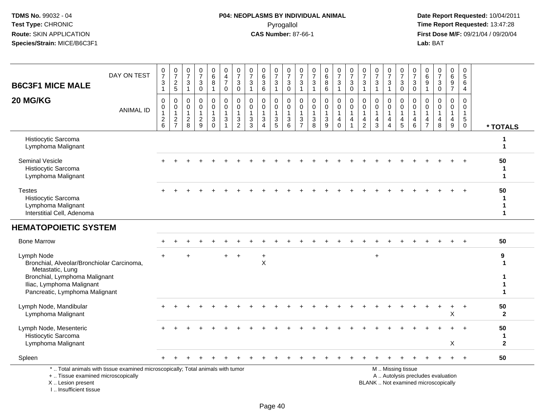# **P04: NEOPLASMS BY INDIVIDUAL ANIMAL**Pyrogallol **Time Report Requested:** 13:47:28

| <b>B6C3F1 MICE MALE</b>                                                                      | DAY ON TEST                                                                     | $\frac{0}{7}$<br>$\ensuremath{\mathsf{3}}$<br>$\mathbf{1}$               | $\begin{array}{c} 0 \\ 7 \end{array}$<br>$\frac{2}{5}$      | $\pmb{0}$<br>$\overline{7}$<br>$\ensuremath{\mathsf{3}}$<br>$\mathbf{1}$ | $\mathbf 0$<br>$\overline{7}$<br>3<br>$\overline{0}$           | $_{6}^{\rm 0}$<br>$\bf 8$<br>$\mathbf{1}$                 | 0<br>4<br>$\overline{7}$<br>$\mathbf 0$                           | $\frac{0}{7}$<br>$\sqrt{3}$<br>0                                                                  | $\frac{0}{7}$<br>$\ensuremath{\mathsf{3}}$<br>$\mathbf{1}$  | $\mathbf 0$<br>$\overline{6}$<br>$\sqrt{3}$<br>6                           | $\begin{array}{c} 0 \\ 7 \end{array}$<br>$\ensuremath{\mathsf{3}}$<br>$\mathbf{1}$ | $\frac{0}{7}$<br>3<br>$\mathbf 0$                    | $\frac{0}{7}$<br>$\ensuremath{\mathsf{3}}$<br>$\mathbf{1}$ | 0<br>$\overline{7}$<br>$\ensuremath{\mathsf{3}}$<br>$\mathbf{1}$ | $\begin{array}{c} 0 \\ 6 \end{array}$<br>$\bf 8$<br>$\,6\,$                          | $\begin{array}{c} 0 \\ 7 \end{array}$<br>$\ensuremath{\mathsf{3}}$<br>$\overline{1}$ | $\frac{0}{7}$<br>$\sqrt{3}$<br>$\mathbf 0$                                   | $\frac{0}{7}$<br>3<br>$\mathbf{1}$            | $\frac{0}{7}$<br>$\ensuremath{\mathsf{3}}$<br>$\mathbf{1}$      | $\frac{0}{7}$<br>3<br>$\mathbf{1}$                      | $\frac{0}{7}$<br>$\ensuremath{\mathsf{3}}$<br>$\mathbf 0$ | $\frac{0}{7}$<br>$\sqrt{3}$<br>$\mathbf 0$             | 0<br>6<br>9<br>$\mathbf{1}$                                       | $\mathbf 0$<br>$\overline{7}$<br>$\ensuremath{\mathsf{3}}$<br>$\mathbf 0$ | 0<br>$\overline{6}$<br>$\boldsymbol{9}$<br>$\overline{7}$ | 0<br>$5\phantom{.0}$<br>$\,6\,$<br>$\overline{4}$                                   |                                   |
|----------------------------------------------------------------------------------------------|---------------------------------------------------------------------------------|--------------------------------------------------------------------------|-------------------------------------------------------------|--------------------------------------------------------------------------|----------------------------------------------------------------|-----------------------------------------------------------|-------------------------------------------------------------------|---------------------------------------------------------------------------------------------------|-------------------------------------------------------------|----------------------------------------------------------------------------|------------------------------------------------------------------------------------|------------------------------------------------------|------------------------------------------------------------|------------------------------------------------------------------|--------------------------------------------------------------------------------------|--------------------------------------------------------------------------------------|------------------------------------------------------------------------------|-----------------------------------------------|-----------------------------------------------------------------|---------------------------------------------------------|-----------------------------------------------------------|--------------------------------------------------------|-------------------------------------------------------------------|---------------------------------------------------------------------------|-----------------------------------------------------------|-------------------------------------------------------------------------------------|-----------------------------------|
| 20 MG/KG                                                                                     | <b>ANIMAL ID</b>                                                                | 0<br>$\mathbf 0$<br>$\mathbf 1$<br>$\begin{array}{c} 2 \\ 6 \end{array}$ | $\mathbf 0$<br>$\pmb{0}$<br>$\overline{1}$<br>$\frac{2}{7}$ | $\mathbf 0$<br>0<br>$\overline{1}$<br>$\overline{2}$<br>8                | $\Omega$<br>$\mathbf 0$<br>$\mathbf{1}$<br>$\overline{c}$<br>9 | 0<br>$\mathbf 0$<br>$\mathbf 1$<br>$\sqrt{3}$<br>$\Omega$ | $\mathbf 0$<br>$\mathbf 0$<br>$\mathbf{1}$<br>3<br>$\overline{1}$ | $\mathbf 0$<br>$\mathsf{O}\xspace$<br>$\mathbf{1}$<br>$\ensuremath{\mathsf{3}}$<br>$\overline{2}$ | $\mathbf 0$<br>$\mathbf 0$<br>$\mathbf{1}$<br>$\frac{3}{3}$ | $\mathbf 0$<br>$\mathbf 0$<br>$\mathbf{1}$<br>$\sqrt{3}$<br>$\overline{A}$ | 0<br>$\mathbf 0$<br>$\mathbf{1}$<br>$\ensuremath{\mathsf{3}}$<br>5                 | $\mathbf 0$<br>$\mathbf 0$<br>$\mathbf{1}$<br>3<br>6 | 0<br>$\mathbf 0$<br>$\mathbf{1}$<br>3<br>$\overline{7}$    | $\mathbf 0$<br>$\mathbf 0$<br>$\mathbf{1}$<br>$\mathbf{3}$<br>8  | $\mathbf 0$<br>$\mathsf{O}\xspace$<br>$\mathbf{1}$<br>$\ensuremath{\mathsf{3}}$<br>9 | 0<br>$\pmb{0}$<br>$\overline{1}$<br>4<br>$\Omega$                                    | $\mathbf 0$<br>$\mathbf 0$<br>$\mathbf{1}$<br>$\overline{4}$<br>$\mathbf{1}$ | 0<br>0<br>$\mathbf{1}$<br>4<br>$\overline{2}$ | $\mathbf 0$<br>$\mathbf 0$<br>$\mathbf{1}$<br>4<br>$\mathbf{3}$ | 0<br>$\mathbf 0$<br>$\mathbf{1}$<br>4<br>$\overline{4}$ | 0<br>$\mathbf 0$<br>$\mathbf{1}$<br>4<br>5                | $\mathbf 0$<br>$\mathbf 0$<br>$\overline{1}$<br>4<br>6 | $\Omega$<br>$\mathbf{0}$<br>$\overline{1}$<br>4<br>$\overline{7}$ | $\Omega$<br>$\mathbf 0$<br>$\mathbf{1}$<br>4<br>8                         | $\mathbf 0$<br>$\overline{0}$<br>1<br>4<br>9              | $\Omega$<br>$\mathbf 0$<br>$\overline{1}$<br>$5\phantom{.0}$<br>$\mathsf{O}\xspace$ | * TOTALS                          |
| Histiocytic Sarcoma<br>Lymphoma Malignant                                                    |                                                                                 |                                                                          |                                                             |                                                                          |                                                                |                                                           |                                                                   |                                                                                                   |                                                             |                                                                            |                                                                                    |                                                      |                                                            |                                                                  |                                                                                      |                                                                                      |                                                                              |                                               |                                                                 |                                                         |                                                           |                                                        |                                                                   |                                                                           |                                                           |                                                                                     | 1                                 |
| <b>Seminal Vesicle</b><br>Histiocytic Sarcoma<br>Lymphoma Malignant                          |                                                                                 |                                                                          |                                                             |                                                                          |                                                                |                                                           |                                                                   |                                                                                                   |                                                             |                                                                            |                                                                                    |                                                      |                                                            |                                                                  |                                                                                      |                                                                                      |                                                                              |                                               |                                                                 |                                                         |                                                           |                                                        |                                                                   |                                                                           |                                                           |                                                                                     | 50<br>-1<br>1                     |
| <b>Testes</b><br>Histiocytic Sarcoma<br>Lymphoma Malignant<br>Interstitial Cell, Adenoma     |                                                                                 |                                                                          |                                                             |                                                                          |                                                                |                                                           |                                                                   |                                                                                                   |                                                             |                                                                            |                                                                                    |                                                      |                                                            |                                                                  |                                                                                      |                                                                                      |                                                                              |                                               |                                                                 |                                                         |                                                           |                                                        |                                                                   |                                                                           |                                                           |                                                                                     | 50<br>-1<br>$\mathbf 1$           |
| <b>HEMATOPOIETIC SYSTEM</b>                                                                  |                                                                                 |                                                                          |                                                             |                                                                          |                                                                |                                                           |                                                                   |                                                                                                   |                                                             |                                                                            |                                                                                    |                                                      |                                                            |                                                                  |                                                                                      |                                                                                      |                                                                              |                                               |                                                                 |                                                         |                                                           |                                                        |                                                                   |                                                                           |                                                           |                                                                                     |                                   |
| <b>Bone Marrow</b>                                                                           |                                                                                 |                                                                          |                                                             |                                                                          |                                                                |                                                           |                                                                   |                                                                                                   |                                                             |                                                                            |                                                                                    |                                                      |                                                            |                                                                  |                                                                                      |                                                                                      |                                                                              |                                               |                                                                 |                                                         |                                                           |                                                        |                                                                   |                                                                           |                                                           | $\ddot{}$                                                                           | 50                                |
| Lymph Node<br>Bronchial, Alveolar/Bronchiolar Carcinoma,<br>Metastatic, Lung                 |                                                                                 |                                                                          |                                                             |                                                                          |                                                                |                                                           |                                                                   | $\overline{+}$                                                                                    |                                                             | $\ddot{}$<br>X                                                             |                                                                                    |                                                      |                                                            |                                                                  |                                                                                      |                                                                                      |                                                                              |                                               | $\ddot{}$                                                       |                                                         |                                                           |                                                        |                                                                   |                                                                           |                                                           |                                                                                     | 9                                 |
| Bronchial, Lymphoma Malignant<br>Iliac, Lymphoma Malignant<br>Pancreatic, Lymphoma Malignant |                                                                                 |                                                                          |                                                             |                                                                          |                                                                |                                                           |                                                                   |                                                                                                   |                                                             |                                                                            |                                                                                    |                                                      |                                                            |                                                                  |                                                                                      |                                                                                      |                                                                              |                                               |                                                                 |                                                         |                                                           |                                                        |                                                                   |                                                                           |                                                           |                                                                                     |                                   |
| Lymph Node, Mandibular<br>Lymphoma Malignant                                                 |                                                                                 |                                                                          |                                                             |                                                                          |                                                                |                                                           |                                                                   |                                                                                                   |                                                             |                                                                            |                                                                                    |                                                      |                                                            |                                                                  |                                                                                      |                                                                                      |                                                                              |                                               |                                                                 |                                                         |                                                           |                                                        |                                                                   |                                                                           | $\ddot{}$<br>X                                            | $\ddot{}$                                                                           | 50<br>$\mathbf{2}$                |
| Lymph Node, Mesenteric<br>Histiocytic Sarcoma<br>Lymphoma Malignant                          |                                                                                 |                                                                          |                                                             |                                                                          |                                                                |                                                           |                                                                   |                                                                                                   |                                                             |                                                                            |                                                                                    |                                                      |                                                            |                                                                  |                                                                                      |                                                                                      |                                                                              |                                               |                                                                 |                                                         |                                                           |                                                        |                                                                   |                                                                           | Х                                                         |                                                                                     | 50<br>$\mathbf 1$<br>$\mathbf{2}$ |
| Spleen                                                                                       |                                                                                 |                                                                          |                                                             |                                                                          |                                                                |                                                           |                                                                   |                                                                                                   |                                                             |                                                                            |                                                                                    |                                                      |                                                            |                                                                  |                                                                                      |                                                                                      |                                                                              |                                               |                                                                 |                                                         |                                                           |                                                        |                                                                   |                                                                           |                                                           | $\ddot{}$                                                                           | 50                                |
| +  Tissue examined microscopically<br>X  Lesion present<br>I Insufficient tissue             | *  Total animals with tissue examined microscopically; Total animals with tumor |                                                                          |                                                             |                                                                          |                                                                |                                                           |                                                                   |                                                                                                   |                                                             |                                                                            |                                                                                    |                                                      |                                                            |                                                                  |                                                                                      |                                                                                      |                                                                              |                                               |                                                                 |                                                         | M  Missing tissue                                         |                                                        |                                                                   | A  Autolysis precludes evaluation<br>BLANK  Not examined microscopically  |                                                           |                                                                                     |                                   |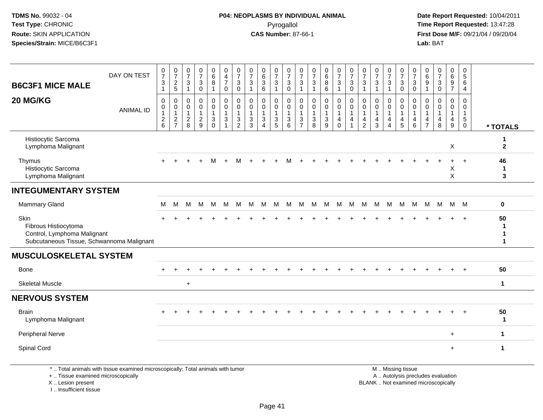**Date Report Requested:** 10/04/2011 **First Dose M/F:** 09/21/04 / 09/20/04<br>Lab: BAT **Lab:** BAT

| <b>B6C3F1 MICE MALE</b>                                                                                  | DAY ON TEST                                                                     | $\frac{0}{7}$<br>$\mathfrak{S}$<br>$\mathbf{1}$             | $\frac{0}{7}$<br>$\overline{c}$<br>$5\phantom{.0}$        | 0<br>$\overline{7}$<br>3<br>$\overline{1}$                    | $\frac{0}{7}$<br>$\sqrt{3}$<br>$\mathbf 0$                  | 0<br>$\,6\,$<br>8<br>$\overline{1}$               | 0<br>$\overline{4}$<br>$\overline{7}$<br>$\mathbf 0$                         | 0<br>$\overline{7}$<br>3<br>0                      | $\frac{0}{7}$<br>$\mathbf{3}$<br>$\overline{1}$      | 0<br>$6\overline{6}$<br>3<br>6                          | $\frac{0}{7}$<br>$\mathbf{3}$<br>$\mathbf{1}$                                   | 0<br>$\overline{7}$<br>$\sqrt{3}$<br>$\mathbf 0$                                          | 0<br>$\overline{7}$<br>3<br>$\overline{1}$                          | $\frac{0}{7}$<br>$\mathbf{3}$<br>$\overline{1}$               | 0<br>$6\phantom{a}$<br>8<br>6                                | $\frac{0}{7}$<br>$\mathbf{3}$<br>$\mathbf{1}$                           | $\frac{0}{7}$<br>$\mathbf{3}$<br>$\mathbf 0$         | 0<br>$\overline{7}$<br>3<br>$\overline{1}$                     | $\frac{0}{7}$<br>$\sqrt{3}$<br>$\mathbf{1}$                                  | 0<br>$\overline{7}$<br>$\mathbf{3}$<br>$\overline{1}$                  | 0<br>$\overline{7}$<br>$\mathbf{3}$<br>$\mathbf 0$                | 0<br>$\overline{7}$<br>3<br>$\mathbf 0$ | 0<br>$6\phantom{1}$<br>9<br>$\overline{1}$                                  | $\frac{0}{7}$<br>3<br>$\mathbf 0$                 | 0<br>$\,6\,$<br>$\boldsymbol{9}$<br>$\overline{7}$      | 0<br>$\sqrt{5}$<br>6<br>$\overline{4}$                                        |                    |
|----------------------------------------------------------------------------------------------------------|---------------------------------------------------------------------------------|-------------------------------------------------------------|-----------------------------------------------------------|---------------------------------------------------------------|-------------------------------------------------------------|---------------------------------------------------|------------------------------------------------------------------------------|----------------------------------------------------|------------------------------------------------------|---------------------------------------------------------|---------------------------------------------------------------------------------|-------------------------------------------------------------------------------------------|---------------------------------------------------------------------|---------------------------------------------------------------|--------------------------------------------------------------|-------------------------------------------------------------------------|------------------------------------------------------|----------------------------------------------------------------|------------------------------------------------------------------------------|------------------------------------------------------------------------|-------------------------------------------------------------------|-----------------------------------------|-----------------------------------------------------------------------------|---------------------------------------------------|---------------------------------------------------------|-------------------------------------------------------------------------------|--------------------|
| 20 MG/KG                                                                                                 | <b>ANIMAL ID</b>                                                                | 0<br>$\mathsf{O}\xspace$<br>$\overline{1}$<br>$\frac{2}{6}$ | 0<br>$\mathsf{O}\xspace$<br>$\mathbf{1}$<br>$\frac{2}{7}$ | $\mathbf 0$<br>$\mathbf 0$<br>$\overline{1}$<br>$\frac{2}{8}$ | $\mathbf 0$<br>$\mathbf 0$<br>$\mathbf{1}$<br>$\frac{2}{9}$ | 0<br>$\mathbf 0$<br>$\mathbf{1}$<br>3<br>$\Omega$ | $\mathbf 0$<br>$\mathbf 0$<br>$\overline{1}$<br>$\sqrt{3}$<br>$\overline{1}$ | 0<br>$\mathbf 0$<br>$\mathbf{3}$<br>$\overline{2}$ | 0<br>$\mathbf 0$<br>$\mathbf{1}$<br>$\mathsf 3$<br>3 | 0<br>$\mathbf 0$<br>$\mathbf{1}$<br>3<br>$\overline{4}$ | 0<br>$\mathbf 0$<br>$\mathbf{1}$<br>$\ensuremath{\mathsf{3}}$<br>$\overline{5}$ | $\mathbf 0$<br>$\mathbf 0$<br>$\mathbf{1}$<br>$\ensuremath{\mathsf{3}}$<br>$6\phantom{1}$ | $\mathbf 0$<br>$\mathbf 0$<br>$\overline{1}$<br>3<br>$\overline{7}$ | $\mathbf 0$<br>$\mathbf 0$<br>$\mathbf{1}$<br>$\sqrt{3}$<br>8 | $\mathbf 0$<br>$\mathbf 0$<br>$\ensuremath{\mathsf{3}}$<br>9 | $\pmb{0}$<br>$\pmb{0}$<br>$\mathbf{1}$<br>$\overline{4}$<br>$\mathbf 0$ | $\mathbf 0$<br>$\mathsf 0$<br>$\mathbf{1}$<br>4<br>1 | $\Omega$<br>$\mathbf 0$<br>$\mathbf{1}$<br>4<br>$\overline{2}$ | $\mathbf 0$<br>$\mathbf 0$<br>$\mathbf{1}$<br>$\overline{4}$<br>$\mathbf{3}$ | 0<br>$\mathbf 0$<br>$\overline{1}$<br>$\overline{4}$<br>$\overline{4}$ | $\mathbf 0$<br>$\mathsf 0$<br>$\mathbf{1}$<br>$\overline{4}$<br>5 | $\Omega$<br>0<br>4<br>6                 | $\mathbf 0$<br>$\Omega$<br>$\mathbf{1}$<br>$\overline{4}$<br>$\overline{7}$ | $\Omega$<br>$\mathbf 0$<br>$\mathbf{1}$<br>4<br>8 | 0<br>$\mathbf 0$<br>$\mathbf{1}$<br>$\overline{4}$<br>9 | $\mathbf 0$<br>$\mathbf 0$<br>$\overline{1}$<br>$\overline{5}$<br>$\mathbf 0$ | * TOTALS           |
| Histiocytic Sarcoma<br>Lymphoma Malignant                                                                |                                                                                 |                                                             |                                                           |                                                               |                                                             |                                                   |                                                                              |                                                    |                                                      |                                                         |                                                                                 |                                                                                           |                                                                     |                                                               |                                                              |                                                                         |                                                      |                                                                |                                                                              |                                                                        |                                                                   |                                         |                                                                             |                                                   | X                                                       |                                                                               | 1<br>$\mathbf{2}$  |
| Thymus<br>Histiocytic Sarcoma<br>Lymphoma Malignant                                                      |                                                                                 |                                                             |                                                           |                                                               |                                                             |                                                   |                                                                              | м                                                  |                                                      |                                                         |                                                                                 |                                                                                           |                                                                     |                                                               |                                                              |                                                                         |                                                      |                                                                |                                                                              |                                                                        |                                                                   |                                         |                                                                             |                                                   | X<br>X                                                  | $\overline{+}$                                                                | 46<br>1<br>3       |
| <b>INTEGUMENTARY SYSTEM</b>                                                                              |                                                                                 |                                                             |                                                           |                                                               |                                                             |                                                   |                                                                              |                                                    |                                                      |                                                         |                                                                                 |                                                                                           |                                                                     |                                                               |                                                              |                                                                         |                                                      |                                                                |                                                                              |                                                                        |                                                                   |                                         |                                                                             |                                                   |                                                         |                                                                               |                    |
| <b>Mammary Gland</b>                                                                                     |                                                                                 | М                                                           | M                                                         | м                                                             | м                                                           | M                                                 | M                                                                            | М                                                  | м                                                    | M                                                       | M                                                                               | M                                                                                         | м                                                                   | M                                                             | M                                                            | M                                                                       | M                                                    | M                                                              | M                                                                            | M                                                                      | M                                                                 | М                                       | M                                                                           | M                                                 |                                                         | M M                                                                           | 0                  |
| Skin<br>Fibrous Histiocytoma<br>Control, Lymphoma Malignant<br>Subcutaneous Tissue, Schwannoma Malignant |                                                                                 |                                                             |                                                           |                                                               |                                                             |                                                   |                                                                              |                                                    |                                                      |                                                         |                                                                                 |                                                                                           |                                                                     |                                                               |                                                              |                                                                         |                                                      |                                                                |                                                                              |                                                                        |                                                                   |                                         |                                                                             |                                                   |                                                         | $+$                                                                           | 50<br>1<br>1<br>1  |
| <b>MUSCULOSKELETAL SYSTEM</b>                                                                            |                                                                                 |                                                             |                                                           |                                                               |                                                             |                                                   |                                                                              |                                                    |                                                      |                                                         |                                                                                 |                                                                                           |                                                                     |                                                               |                                                              |                                                                         |                                                      |                                                                |                                                                              |                                                                        |                                                                   |                                         |                                                                             |                                                   |                                                         |                                                                               |                    |
| Bone                                                                                                     |                                                                                 |                                                             |                                                           |                                                               |                                                             |                                                   |                                                                              |                                                    |                                                      |                                                         |                                                                                 |                                                                                           |                                                                     |                                                               |                                                              |                                                                         |                                                      |                                                                |                                                                              |                                                                        |                                                                   |                                         |                                                                             |                                                   |                                                         |                                                                               | 50                 |
| <b>Skeletal Muscle</b>                                                                                   |                                                                                 |                                                             |                                                           | $\ddot{}$                                                     |                                                             |                                                   |                                                                              |                                                    |                                                      |                                                         |                                                                                 |                                                                                           |                                                                     |                                                               |                                                              |                                                                         |                                                      |                                                                |                                                                              |                                                                        |                                                                   |                                         |                                                                             |                                                   |                                                         |                                                                               | $\mathbf 1$        |
| <b>NERVOUS SYSTEM</b>                                                                                    |                                                                                 |                                                             |                                                           |                                                               |                                                             |                                                   |                                                                              |                                                    |                                                      |                                                         |                                                                                 |                                                                                           |                                                                     |                                                               |                                                              |                                                                         |                                                      |                                                                |                                                                              |                                                                        |                                                                   |                                         |                                                                             |                                                   |                                                         |                                                                               |                    |
| <b>Brain</b><br>Lymphoma Malignant                                                                       |                                                                                 |                                                             |                                                           |                                                               |                                                             |                                                   |                                                                              |                                                    |                                                      |                                                         |                                                                                 |                                                                                           |                                                                     |                                                               |                                                              |                                                                         |                                                      |                                                                |                                                                              |                                                                        |                                                                   |                                         |                                                                             |                                                   |                                                         |                                                                               | 50<br>$\mathbf{1}$ |
| Peripheral Nerve                                                                                         |                                                                                 |                                                             |                                                           |                                                               |                                                             |                                                   |                                                                              |                                                    |                                                      |                                                         |                                                                                 |                                                                                           |                                                                     |                                                               |                                                              |                                                                         |                                                      |                                                                |                                                                              |                                                                        |                                                                   |                                         |                                                                             |                                                   | $+$                                                     |                                                                               | 1                  |
| Spinal Cord                                                                                              |                                                                                 |                                                             |                                                           |                                                               |                                                             |                                                   |                                                                              |                                                    |                                                      |                                                         |                                                                                 |                                                                                           |                                                                     |                                                               |                                                              |                                                                         |                                                      |                                                                |                                                                              |                                                                        |                                                                   |                                         |                                                                             |                                                   | $+$                                                     |                                                                               | $\mathbf{1}$       |
| +  Tissue examined microscopically<br>X  Lesion present                                                  | *  Total animals with tissue examined microscopically; Total animals with tumor |                                                             |                                                           |                                                               |                                                             |                                                   |                                                                              |                                                    |                                                      |                                                         |                                                                                 |                                                                                           |                                                                     |                                                               |                                                              |                                                                         |                                                      |                                                                | BLANK  Not examined microscopically                                          |                                                                        | M  Missing tissue<br>A  Autolysis precludes evaluation            |                                         |                                                                             |                                                   |                                                         |                                                                               |                    |

I .. Insufficient tissue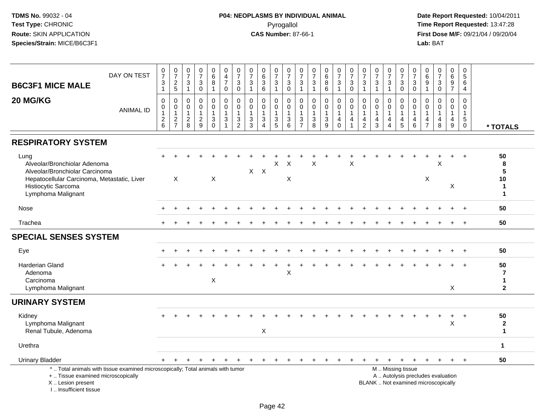## **P04: NEOPLASMS BY INDIVIDUAL ANIMAL**Pyrogallol **Time Report Requested:** 13:47:28

| <b>B6C3F1 MICE MALE</b>                                                                                                                                            | DAY ON TEST                                                                     | $\frac{0}{7}$<br>3<br>$\mathbf{1}$      | $\frac{0}{7}$<br>$rac{2}{5}$                            | $\frac{0}{7}$<br>$\frac{3}{1}$                      | $\begin{array}{c} 0 \\ 7 \end{array}$<br>$\sqrt{3}$<br>$\mathbf 0$ | 0<br>$6\phantom{a}$<br>$\bf 8$<br>$\mathbf{1}$ | $\pmb{0}$<br>$\overline{4}$<br>$\boldsymbol{7}$<br>$\mathsf{O}\xspace$ | $\begin{array}{c} 0 \\ 7 \end{array}$<br>3<br>$\overline{0}$                 | $\frac{0}{7}$<br>3<br>$\mathbf{1}$                | $\begin{array}{c} 0 \\ 6 \end{array}$<br>$\mathbf{3}$<br>$6\phantom{1}6$ | 0<br>$\overline{7}$<br>$\mathsf 3$<br>$\mathbf{1}$                 | 0<br>$\overline{7}$<br>$\ensuremath{\mathsf{3}}$<br>$\mathbf 0$       | $\frac{0}{7}$<br>3<br>$\mathbf{1}$                                           | $\pmb{0}$<br>$\overline{7}$<br>$\ensuremath{\mathsf{3}}$<br>$\mathbf{1}$ | $_{6}^{\rm 0}$<br>$\bf 8$<br>$\overline{6}$                             | $\frac{0}{7}$<br>$\sqrt{3}$<br>$\mathbf{1}$                    | $\frac{0}{7}$<br>$\sqrt{3}$<br>$\overline{0}$                              | $\begin{array}{c} 0 \\ 7 \end{array}$<br>$\ensuremath{\mathsf{3}}$<br>$\mathbf{1}$ | $\frac{0}{7}$<br>$\ensuremath{\mathsf{3}}$<br>$\overline{1}$ | $\frac{0}{7}$<br>$\sqrt{3}$<br>$\mathbf{1}$             | 0<br>$\overline{7}$<br>$\ensuremath{\mathsf{3}}$<br>$\mathbf 0$                               | $\pmb{0}$<br>$\overline{7}$<br>$_{0}^{3}$                           | $\mathbf 0$<br>$\,6\,$<br>$\boldsymbol{9}$<br>$\mathbf{1}$ | $\begin{smallmatrix}0\\7\end{smallmatrix}$<br>$\ensuremath{\mathsf{3}}$<br>$\overline{0}$ | $\begin{matrix} 0 \\ 6 \end{matrix}$<br>$\frac{9}{7}$   | $\pmb{0}$<br>5<br>6<br>$\overline{4}$                                        |                                                                 |
|--------------------------------------------------------------------------------------------------------------------------------------------------------------------|---------------------------------------------------------------------------------|-----------------------------------------|---------------------------------------------------------|-----------------------------------------------------|--------------------------------------------------------------------|------------------------------------------------|------------------------------------------------------------------------|------------------------------------------------------------------------------|---------------------------------------------------|--------------------------------------------------------------------------|--------------------------------------------------------------------|-----------------------------------------------------------------------|------------------------------------------------------------------------------|--------------------------------------------------------------------------|-------------------------------------------------------------------------|----------------------------------------------------------------|----------------------------------------------------------------------------|------------------------------------------------------------------------------------|--------------------------------------------------------------|---------------------------------------------------------|-----------------------------------------------------------------------------------------------|---------------------------------------------------------------------|------------------------------------------------------------|-------------------------------------------------------------------------------------------|---------------------------------------------------------|------------------------------------------------------------------------------|-----------------------------------------------------------------|
| 20 MG/KG                                                                                                                                                           | <b>ANIMAL ID</b>                                                                | 0<br>0<br>$\mathbf{1}$<br>$\frac{2}{6}$ | $\pmb{0}$<br>$\pmb{0}$<br>$\mathbf{1}$<br>$\frac{2}{7}$ | $\mathbf 0$<br>0<br>$\overline{1}$<br>$\frac{2}{8}$ | $\mathbf 0$<br>$\mathbf 0$<br>$\mathbf{1}$<br>$\frac{2}{9}$        | 0<br>$\mathbf 0$<br>1<br>3<br>$\mathbf 0$      | $\pmb{0}$<br>$\pmb{0}$<br>$\mathbf{1}$<br>$\frac{3}{1}$                | $\mathbf 0$<br>$\mathbf 0$<br>$\mathbf{1}$<br>$\mathbf{3}$<br>$\overline{2}$ | $\mathbf 0$<br>$\mathbf 0$<br>3<br>$\overline{3}$ | $\mathbf 0$<br>$\mathbf 0$<br>$\mathbf{1}$<br>3<br>$\overline{4}$        | 0<br>$\mathbf 0$<br>$\mathbf{1}$<br>$\mathbf{3}$<br>$\overline{5}$ | $\mathbf 0$<br>$\mathsf{O}\xspace$<br>$\mathbf{1}$<br>$\sqrt{3}$<br>6 | $\pmb{0}$<br>$\mathbf 0$<br>1<br>$\ensuremath{\mathsf{3}}$<br>$\overline{7}$ | $\pmb{0}$<br>$\mathbf 0$<br>$\mathbf{1}$<br>$_8^3$                       | $\mathbf 0$<br>$\mathsf{O}\xspace$<br>1<br>$\sqrt{3}$<br>$\overline{9}$ | $\pmb{0}$<br>$\mathbf 0$<br>$\overline{1}$<br>4<br>$\mathbf 0$ | $\pmb{0}$<br>$\pmb{0}$<br>$\mathbf{1}$<br>$\overline{4}$<br>$\overline{1}$ | 0<br>$\mathbf 0$<br>4<br>$\overline{2}$                                            | $\mathbf 0$<br>$\mathbf 0$<br>$\overline{1}$<br>4<br>3       | $\mathbf 0$<br>0<br>$\mathbf{1}$<br>4<br>$\overline{4}$ | 0<br>$\mathbf 0$<br>$\mathbf 1$<br>$\overline{4}$<br>5                                        | $\mathbf 0$<br>$\mathbf 0$<br>$\overline{1}$<br>$\overline{4}$<br>6 | $\mathbf 0$<br>$\Omega$<br>-1<br>4<br>$\overline{7}$       | $\mathbf 0$<br>$\mathbf 0$<br>$\mathbf{1}$<br>4<br>8                                      | $\mathbf 0$<br>$\overline{0}$<br>$\mathbf{1}$<br>4<br>9 | $\mathbf 0$<br>$\mathbf 0$<br>$\mathbf{1}$<br>$5\phantom{.0}$<br>$\mathbf 0$ | * TOTALS                                                        |
| <b>RESPIRATORY SYSTEM</b>                                                                                                                                          |                                                                                 |                                         |                                                         |                                                     |                                                                    |                                                |                                                                        |                                                                              |                                                   |                                                                          |                                                                    |                                                                       |                                                                              |                                                                          |                                                                         |                                                                |                                                                            |                                                                                    |                                                              |                                                         |                                                                                               |                                                                     |                                                            |                                                                                           |                                                         |                                                                              |                                                                 |
| Lung<br>Alveolar/Bronchiolar Adenoma<br>Alveolar/Bronchiolar Carcinoma<br>Hepatocellular Carcinoma, Metastatic, Liver<br>Histiocytic Sarcoma<br>Lymphoma Malignant |                                                                                 |                                         | X                                                       |                                                     |                                                                    | X                                              |                                                                        |                                                                              |                                                   | $X$ $X$                                                                  | X                                                                  | $\times$<br>X                                                         |                                                                              | X                                                                        |                                                                         |                                                                | $\times$                                                                   |                                                                                    |                                                              |                                                         |                                                                                               |                                                                     | X                                                          | X                                                                                         | $\ddot{}$<br>X                                          | $\ddot{}$                                                                    | 50<br>8<br>$5\phantom{.0}$<br>10<br>$\mathbf{1}$<br>$\mathbf 1$ |
| Nose                                                                                                                                                               |                                                                                 |                                         |                                                         |                                                     |                                                                    |                                                |                                                                        |                                                                              |                                                   |                                                                          |                                                                    |                                                                       |                                                                              |                                                                          |                                                                         |                                                                |                                                                            |                                                                                    |                                                              |                                                         |                                                                                               |                                                                     |                                                            |                                                                                           |                                                         |                                                                              | 50                                                              |
| Trachea                                                                                                                                                            |                                                                                 |                                         |                                                         |                                                     |                                                                    |                                                |                                                                        |                                                                              |                                                   |                                                                          |                                                                    |                                                                       |                                                                              |                                                                          |                                                                         |                                                                |                                                                            |                                                                                    |                                                              |                                                         |                                                                                               |                                                                     |                                                            |                                                                                           |                                                         | $\overline{+}$                                                               | 50                                                              |
| <b>SPECIAL SENSES SYSTEM</b>                                                                                                                                       |                                                                                 |                                         |                                                         |                                                     |                                                                    |                                                |                                                                        |                                                                              |                                                   |                                                                          |                                                                    |                                                                       |                                                                              |                                                                          |                                                                         |                                                                |                                                                            |                                                                                    |                                                              |                                                         |                                                                                               |                                                                     |                                                            |                                                                                           |                                                         |                                                                              |                                                                 |
| Eye                                                                                                                                                                |                                                                                 |                                         |                                                         |                                                     |                                                                    |                                                |                                                                        |                                                                              |                                                   |                                                                          |                                                                    |                                                                       |                                                                              |                                                                          |                                                                         |                                                                |                                                                            |                                                                                    |                                                              |                                                         |                                                                                               |                                                                     |                                                            |                                                                                           |                                                         | $\ddot{}$                                                                    | 50                                                              |
| <b>Harderian Gland</b><br>Adenoma<br>Carcinoma<br>Lymphoma Malignant                                                                                               |                                                                                 |                                         |                                                         |                                                     |                                                                    | X                                              |                                                                        |                                                                              |                                                   |                                                                          |                                                                    | X                                                                     |                                                                              |                                                                          |                                                                         |                                                                |                                                                            |                                                                                    |                                                              |                                                         |                                                                                               |                                                                     |                                                            |                                                                                           | X                                                       |                                                                              | 50<br>$\overline{7}$<br>1<br>$\mathbf{2}$                       |
| <b>URINARY SYSTEM</b>                                                                                                                                              |                                                                                 |                                         |                                                         |                                                     |                                                                    |                                                |                                                                        |                                                                              |                                                   |                                                                          |                                                                    |                                                                       |                                                                              |                                                                          |                                                                         |                                                                |                                                                            |                                                                                    |                                                              |                                                         |                                                                                               |                                                                     |                                                            |                                                                                           |                                                         |                                                                              |                                                                 |
| Kidney<br>Lymphoma Malignant<br>Renal Tubule, Adenoma                                                                                                              |                                                                                 |                                         |                                                         |                                                     |                                                                    |                                                |                                                                        |                                                                              |                                                   | $\pmb{\times}$                                                           |                                                                    |                                                                       |                                                                              |                                                                          |                                                                         |                                                                |                                                                            |                                                                                    |                                                              |                                                         |                                                                                               |                                                                     |                                                            |                                                                                           | $\ddot{}$<br>X                                          | $\ddot{}$                                                                    | 50<br>$\boldsymbol{2}$<br>$\mathbf{1}$                          |
| Urethra                                                                                                                                                            |                                                                                 |                                         |                                                         |                                                     |                                                                    |                                                |                                                                        |                                                                              |                                                   |                                                                          |                                                                    |                                                                       |                                                                              |                                                                          |                                                                         |                                                                |                                                                            |                                                                                    |                                                              |                                                         |                                                                                               |                                                                     |                                                            |                                                                                           |                                                         |                                                                              | $\mathbf{1}$                                                    |
| <b>Urinary Bladder</b>                                                                                                                                             |                                                                                 | $+$                                     | $+$                                                     | $\pm$                                               | $\pm$                                                              | $\overline{ }$                                 |                                                                        | $\pm$                                                                        | $\pm$                                             | $\ddot{}$                                                                | $+$                                                                |                                                                       |                                                                              | ÷                                                                        | $\div$                                                                  | $\ddot{}$                                                      |                                                                            |                                                                                    |                                                              | $+$                                                     | $\ddot{}$                                                                                     | $+$                                                                 | $\ddot{}$                                                  | $\ddot{}$                                                                                 | $+$                                                     | $+$                                                                          | 50                                                              |
| +  Tissue examined microscopically<br>X  Lesion present<br>I Insufficient tissue                                                                                   | *  Total animals with tissue examined microscopically; Total animals with tumor |                                         |                                                         |                                                     |                                                                    |                                                |                                                                        |                                                                              |                                                   |                                                                          |                                                                    |                                                                       |                                                                              |                                                                          |                                                                         |                                                                |                                                                            |                                                                                    |                                                              |                                                         | M  Missing tissue<br>A  Autolysis precludes evaluation<br>BLANK  Not examined microscopically |                                                                     |                                                            |                                                                                           |                                                         |                                                                              |                                                                 |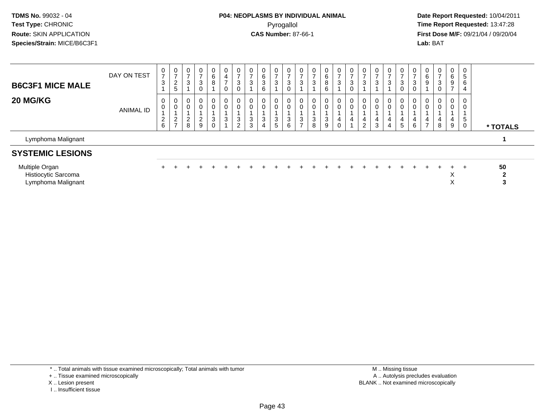### **P04: NEOPLASMS BY INDIVIDUAL ANIMAL**Pyrogallol **Time Report Requested:** 13:47:28

 **Date Report Requested:** 10/04/2011 **First Dose M/F:** 09/21/04 / 09/20/04<br>**Lab:** BAT **Lab:** BAT

| Lymphoma Malignant<br><b>SYSTEMIC LESIONS</b> |             |                         |                                    |                                 |                                |                                      |                                          |                            |        |             |                  |             |                         |                  |                  |                  |   |                     |        |             |        |                  |                          |                       |                               |                   |          |
|-----------------------------------------------|-------------|-------------------------|------------------------------------|---------------------------------|--------------------------------|--------------------------------------|------------------------------------------|----------------------------|--------|-------------|------------------|-------------|-------------------------|------------------|------------------|------------------|---|---------------------|--------|-------------|--------|------------------|--------------------------|-----------------------|-------------------------------|-------------------|----------|
| <b>20 MG/KG</b>                               | ANIMAL ID   | 0<br>0<br>$\frac{2}{6}$ | 0<br>$\mathbf 0$<br>$\frac{2}{7}$  | $\mathbf{0}$<br>$\epsilon$<br>8 | 0<br>0<br>ົ<br>$\epsilon$<br>9 | 0<br>$\mathbf 0$<br>3<br>$\mathbf 0$ | $\mathbf{0}$<br>0<br>3<br>$\overline{A}$ | 0<br>$\mathbf 0$<br>3<br>2 | 3<br>3 | 3           | 0<br>0<br>3<br>5 | 0<br>3<br>6 | 0<br>3<br>$\rightarrow$ | 0<br>0<br>3<br>8 | 0<br>0<br>3<br>9 | 0<br>0<br>4<br>0 | 4 | 4<br>$\overline{2}$ | 4<br>3 | 0<br>4<br>4 | 4<br>5 | 0<br>0<br>4<br>6 | 0<br>4<br>$\overline{ }$ | 0<br>0<br>4<br>8      | $\overline{0}$<br>0<br>4<br>9 | $\mathbf{p}$<br>0 | * TOTALS |
| <b>B6C3F1 MICE MALE</b>                       | DAY ON TEST | $\frac{0}{7}$<br>3      | $\frac{0}{7}$<br>2<br><sub>5</sub> | $\cup$<br>3                     | 0<br>3<br>0                    | 0<br>6<br>8                          | $\mathbf{0}$<br>4<br>$\overline{ }$<br>0 | 0<br>3<br>0                |        | 6<br>ు<br>6 | 0<br>3           | 0<br>3      | 0<br>3                  | 0<br>3           | 0<br>6<br>8<br>6 | 0<br>3           | 3 | 3                   |        |             | 3<br>U | -0<br>3<br>0     | 0<br>6<br>9              | $\mathbf 0$<br>3<br>0 | $\mathbf{0}$<br>6<br>9        | 5<br>6<br>4       |          |

| Multiple Organ      |  |  |  |  |  |  |  |  |  |  |  |  | 50 |  |
|---------------------|--|--|--|--|--|--|--|--|--|--|--|--|----|--|
| Histiocytic Sarcoma |  |  |  |  |  |  |  |  |  |  |  |  |    |  |
| Lymphoma Malignant  |  |  |  |  |  |  |  |  |  |  |  |  |    |  |

\* .. Total animals with tissue examined microscopically; Total animals with tumor

+ .. Tissue examined microscopically

X .. Lesion present

I .. Insufficient tissue

 M .. Missing tissuey the contract of the contract of the contract of the contract of the contract of the contract of the contract of  $A$ . Autolysis precludes evaluation Lesion present BLANK .. Not examined microscopically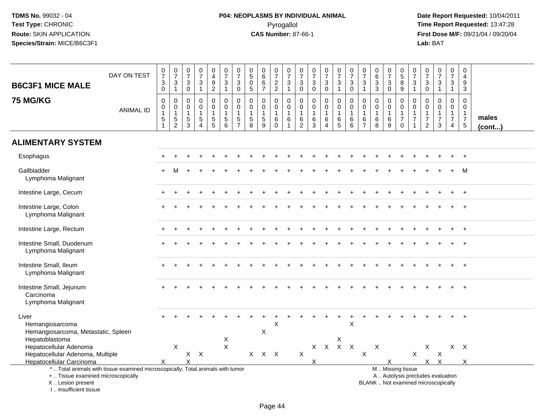# **P04: NEOPLASMS BY INDIVIDUAL ANIMAL**Pyrogallol **Time Report Requested:** 13:47:28

| <b>B6C3F1 MICE MALE</b>                                                                                                                                               | DAY ON TEST      | $\frac{0}{7}$<br>$\ensuremath{\mathsf{3}}$<br>$\mathsf{O}\xspace$ | $\frac{0}{7}$<br>$\overline{3}$<br>$\mathbf{1}$           | $\frac{0}{7}$<br>$\sqrt{3}$<br>$\mathbf 0$        | $\begin{array}{c} 0 \\ 7 \end{array}$<br>$\sqrt{3}$<br>$\mathbf{1}$   | 0<br>$\overline{4}$<br>$\boldsymbol{9}$<br>$\overline{c}$   | $\begin{array}{c} 0 \\ 7 \end{array}$<br>$\sqrt{3}$<br>$\mathbf{1}$ | $\begin{array}{c} 0 \\ 7 \end{array}$<br>$\sqrt{3}$<br>$\mathbf 0$ | $\pmb{0}$<br>$\sqrt{5}$<br>0<br>$\sqrt{5}$           | $\begin{array}{c} 0 \\ 6 \end{array}$<br>$\,6\,$<br>$\overline{7}$ | $\frac{0}{7}$<br>$\boldsymbol{2}$<br>$\sqrt{2}$      | $\frac{0}{7}$<br>$\mathbf{3}$<br>$\mathbf{1}$                             | $\frac{0}{7}$<br>$\ensuremath{\mathsf{3}}$<br>$\mathbf 0$ | $\frac{0}{7}$<br>$\sqrt{3}$<br>$\pmb{0}$                      | $\frac{0}{7}$<br>$\mathbf{3}$<br>$\mathbf 0$                      | $\frac{0}{7}$<br>3<br>$\mathbf{1}$                       | $\frac{0}{7}$<br>$\mathbf{3}$<br>$\Omega$                             | $\pmb{0}$<br>$\overline{7}$<br>$\mathbf{3}$<br>$\mathbf{1}$ | $\pmb{0}$<br>$\,6\,$<br>$\sqrt{3}$<br>$\sqrt{3}$  | $\frac{0}{7}$<br>3<br>$\mathbf 0$                 | $\begin{array}{c} 0 \\ 5 \\ 8 \end{array}$<br>$9\,$                   | $\frac{0}{7}$<br>$\sqrt{3}$<br>$\overline{1}$                | $\frac{0}{7}$<br>$\sqrt{3}$<br>$\mathbf 0$                                     | $\frac{0}{7}$<br>$\sqrt{3}$<br>$\overline{1}$                            | $\begin{array}{c} 0 \\ 7 \end{array}$<br>$\sqrt{3}$<br>$\mathbf{1}$         | $\pmb{0}$<br>$\overline{4}$<br>$\boldsymbol{9}$<br>$\mathsf 3$                  |                       |
|-----------------------------------------------------------------------------------------------------------------------------------------------------------------------|------------------|-------------------------------------------------------------------|-----------------------------------------------------------|---------------------------------------------------|-----------------------------------------------------------------------|-------------------------------------------------------------|---------------------------------------------------------------------|--------------------------------------------------------------------|------------------------------------------------------|--------------------------------------------------------------------|------------------------------------------------------|---------------------------------------------------------------------------|-----------------------------------------------------------|---------------------------------------------------------------|-------------------------------------------------------------------|----------------------------------------------------------|-----------------------------------------------------------------------|-------------------------------------------------------------|---------------------------------------------------|---------------------------------------------------|-----------------------------------------------------------------------|--------------------------------------------------------------|--------------------------------------------------------------------------------|--------------------------------------------------------------------------|-----------------------------------------------------------------------------|---------------------------------------------------------------------------------|-----------------------|
| <b>75 MG/KG</b>                                                                                                                                                       | <b>ANIMAL ID</b> | 0<br>0<br>$\mathbf{1}$<br>$\frac{5}{1}$                           | $\mathbf 0$<br>$\pmb{0}$<br>$\mathbf{1}$<br>$\frac{5}{2}$ | $\mathbf 0$<br>0<br>$\mathbf{1}$<br>$\frac{5}{3}$ | $\Omega$<br>$\pmb{0}$<br>$\mathbf{1}$<br>$\sqrt{5}$<br>$\overline{A}$ | $\mathbf 0$<br>$\mathbf 0$<br>$\mathbf{1}$<br>$\frac{5}{5}$ | $\mathbf 0$<br>$\mathbf 0$<br>$\mathbf{1}$<br>$\frac{5}{6}$         | $\mathbf 0$<br>$\mathbf 0$<br>$\mathbf{1}$<br>$\frac{5}{7}$        | $\mathbf 0$<br>0<br>$\mathbf{1}$<br>$\,$ 5 $\,$<br>8 | $\mathbf 0$<br>$\mathbf 0$<br>$\mathbf{1}$<br>$\frac{5}{9}$        | $\mathbf 0$<br>0<br>$\mathbf{1}$<br>6<br>$\mathbf 0$ | $\mathbf 0$<br>$\mathbf 0$<br>$\overline{1}$<br>$\,6\,$<br>$\overline{1}$ | $\mathbf 0$<br>0<br>$\mathbf{1}$<br>6<br>$\boldsymbol{2}$ | $\mathbf 0$<br>$\pmb{0}$<br>$\mathbf{1}$<br>6<br>$\mathbf{3}$ | $\mathbf 0$<br>$\mathsf 0$<br>$\mathbf{1}$<br>6<br>$\overline{4}$ | $\mathbf 0$<br>$\mathbf 0$<br>$\mathbf{1}$<br>$6\over 5$ | $\Omega$<br>$\mathbf 0$<br>$\overline{1}$<br>$\,6$<br>$6\phantom{1}6$ | $\mathbf 0$<br>0<br>$\mathbf{1}$<br>6<br>$\overline{7}$     | $\Omega$<br>$\mathbf 0$<br>$\mathbf{1}$<br>6<br>8 | $\Omega$<br>$\mathbf 0$<br>$\mathbf{1}$<br>6<br>9 | $\mathbf 0$<br>0<br>$\overline{1}$<br>$\boldsymbol{7}$<br>$\mathbf 0$ | $\mathbf 0$<br>$\mathbf 0$<br>$\mathbf{1}$<br>$\overline{7}$ | $\mathbf 0$<br>$\mathbf 0$<br>$\mathbf{1}$<br>$\overline{7}$<br>$\overline{2}$ | $\Omega$<br>$\mathbf 0$<br>$\mathbf{1}$<br>$\overline{7}$<br>3           | $\Omega$<br>$\mathbf 0$<br>$\mathbf{1}$<br>$\overline{7}$<br>$\overline{4}$ | $\mathbf 0$<br>$\mathbf 0$<br>$\mathbf{1}$<br>$\overline{7}$<br>$5\phantom{.0}$ | males<br>$($ cont $)$ |
| <b>ALIMENTARY SYSTEM</b>                                                                                                                                              |                  |                                                                   |                                                           |                                                   |                                                                       |                                                             |                                                                     |                                                                    |                                                      |                                                                    |                                                      |                                                                           |                                                           |                                                               |                                                                   |                                                          |                                                                       |                                                             |                                                   |                                                   |                                                                       |                                                              |                                                                                |                                                                          |                                                                             |                                                                                 |                       |
| Esophagus                                                                                                                                                             |                  |                                                                   |                                                           |                                                   |                                                                       |                                                             |                                                                     |                                                                    |                                                      |                                                                    |                                                      |                                                                           |                                                           |                                                               |                                                                   |                                                          |                                                                       |                                                             |                                                   |                                                   |                                                                       |                                                              |                                                                                |                                                                          |                                                                             |                                                                                 |                       |
| Gallbladder<br>Lymphoma Malignant                                                                                                                                     |                  |                                                                   |                                                           |                                                   |                                                                       |                                                             |                                                                     |                                                                    |                                                      |                                                                    |                                                      |                                                                           |                                                           |                                                               |                                                                   |                                                          |                                                                       |                                                             |                                                   |                                                   |                                                                       |                                                              |                                                                                |                                                                          |                                                                             | M                                                                               |                       |
| Intestine Large, Cecum                                                                                                                                                |                  |                                                                   |                                                           |                                                   |                                                                       |                                                             |                                                                     |                                                                    |                                                      |                                                                    |                                                      |                                                                           |                                                           |                                                               |                                                                   |                                                          |                                                                       |                                                             |                                                   |                                                   |                                                                       |                                                              |                                                                                |                                                                          |                                                                             |                                                                                 |                       |
| Intestine Large, Colon<br>Lymphoma Malignant                                                                                                                          |                  |                                                                   |                                                           |                                                   |                                                                       |                                                             |                                                                     |                                                                    |                                                      |                                                                    |                                                      |                                                                           |                                                           |                                                               |                                                                   |                                                          |                                                                       |                                                             |                                                   |                                                   |                                                                       |                                                              |                                                                                |                                                                          |                                                                             |                                                                                 |                       |
| Intestine Large, Rectum                                                                                                                                               |                  |                                                                   |                                                           |                                                   |                                                                       |                                                             |                                                                     |                                                                    |                                                      |                                                                    |                                                      |                                                                           |                                                           |                                                               |                                                                   |                                                          |                                                                       |                                                             |                                                   |                                                   |                                                                       |                                                              |                                                                                |                                                                          |                                                                             |                                                                                 |                       |
| Intestine Small, Duodenum<br>Lymphoma Malignant                                                                                                                       |                  |                                                                   |                                                           |                                                   |                                                                       |                                                             |                                                                     |                                                                    |                                                      |                                                                    |                                                      |                                                                           |                                                           |                                                               |                                                                   |                                                          |                                                                       |                                                             |                                                   |                                                   |                                                                       |                                                              |                                                                                |                                                                          |                                                                             |                                                                                 |                       |
| Intestine Small, Ileum<br>Lymphoma Malignant                                                                                                                          |                  |                                                                   |                                                           |                                                   |                                                                       |                                                             |                                                                     |                                                                    |                                                      |                                                                    |                                                      |                                                                           |                                                           |                                                               |                                                                   |                                                          |                                                                       |                                                             |                                                   |                                                   |                                                                       |                                                              |                                                                                |                                                                          |                                                                             |                                                                                 |                       |
| Intestine Small, Jejunum<br>Carcinoma<br>Lymphoma Malignant                                                                                                           |                  |                                                                   |                                                           |                                                   |                                                                       |                                                             |                                                                     |                                                                    |                                                      |                                                                    |                                                      |                                                                           |                                                           |                                                               |                                                                   |                                                          |                                                                       |                                                             |                                                   |                                                   |                                                                       |                                                              |                                                                                |                                                                          |                                                                             |                                                                                 |                       |
| Liver<br>Hemangiosarcoma<br>Hemangiosarcoma, Metastatic, Spleen                                                                                                       |                  |                                                                   |                                                           |                                                   |                                                                       |                                                             |                                                                     |                                                                    |                                                      | X                                                                  | X                                                    |                                                                           |                                                           |                                                               |                                                                   | $\ddot{}$                                                | $\ddot{}$<br>$\times$                                                 |                                                             |                                                   |                                                   |                                                                       |                                                              |                                                                                |                                                                          |                                                                             |                                                                                 |                       |
| Hepatoblastoma<br>Hepatocellular Adenoma                                                                                                                              |                  |                                                                   | X                                                         |                                                   |                                                                       |                                                             | X<br>$\boldsymbol{\mathsf{X}}$                                      |                                                                    |                                                      |                                                                    |                                                      |                                                                           |                                                           |                                                               |                                                                   | X<br>$X$ $X$ $X$ $X$                                     |                                                                       |                                                             | $\mathsf X$                                       |                                                   |                                                                       |                                                              | X                                                                              |                                                                          |                                                                             | $X$ $X$                                                                         |                       |
| Hepatocellular Adenoma, Multiple                                                                                                                                      |                  |                                                                   |                                                           | X                                                 | X                                                                     |                                                             |                                                                     |                                                                    | $\mathsf{X}$                                         | $X$ $X$                                                            |                                                      |                                                                           | $\boldsymbol{\mathsf{X}}$                                 |                                                               |                                                                   |                                                          |                                                                       | $\mathsf X$                                                 |                                                   |                                                   |                                                                       | X                                                            |                                                                                | X                                                                        |                                                                             |                                                                                 |                       |
| Hepatocellular Carcinoma                                                                                                                                              |                  |                                                                   |                                                           | X                                                 |                                                                       |                                                             |                                                                     |                                                                    |                                                      |                                                                    |                                                      |                                                                           |                                                           | X                                                             |                                                                   |                                                          |                                                                       |                                                             |                                                   | $\times$                                          |                                                                       |                                                              |                                                                                | $X$ $X$                                                                  |                                                                             | X                                                                               |                       |
| *  Total animals with tissue examined microscopically; Total animals with tumor<br>+  Tissue examined microscopically<br>X  Lesion present<br>I., Insufficient tissue |                  |                                                                   |                                                           |                                                   |                                                                       |                                                             |                                                                     |                                                                    |                                                      |                                                                    |                                                      |                                                                           |                                                           |                                                               |                                                                   |                                                          |                                                                       |                                                             |                                                   | M  Missing tissue                                 |                                                                       |                                                              |                                                                                | A  Autolysis precludes evaluation<br>BLANK  Not examined microscopically |                                                                             |                                                                                 |                       |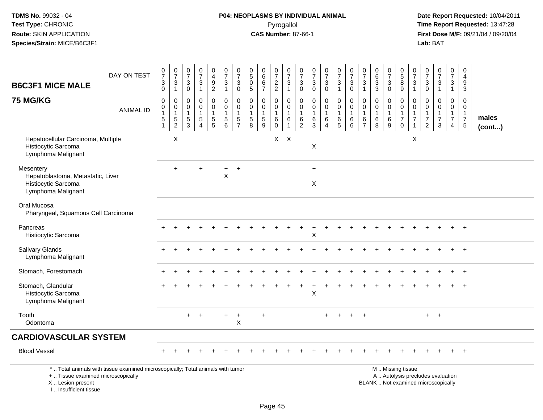# **P04: NEOPLASMS BY INDIVIDUAL ANIMAL**Pyrogallol **Time Report Requested:** 13:47:28

 **Date Report Requested:** 10/04/2011 **First Dose M/F:** 09/21/04 / 09/20/04<br>Lab: BAT **Lab:** BAT

| <b>B6C3F1 MICE MALE</b>                                                                     | DAY ON TEST                                                                     | $\begin{array}{c} 0 \\ 7 \end{array}$<br>$_{\rm 0}^3$                                | $\begin{smallmatrix}0\\7\end{smallmatrix}$<br>$\frac{3}{1}$ | $\pmb{0}$<br>$\overline{7}$<br>3<br>$\boldsymbol{0}$ | $\begin{smallmatrix}0\\7\end{smallmatrix}$<br>$\ensuremath{\mathsf{3}}$<br>$\mathbf{1}$ | $\begin{smallmatrix}0\0\4\end{smallmatrix}$<br>$\frac{9}{2}$        | $\begin{array}{c} 0 \\ 7 \end{array}$<br>$\ensuremath{\mathsf{3}}$<br>$\mathbf{1}$ | $\begin{array}{c} 0 \\ 7 \end{array}$<br>$\ensuremath{\mathsf{3}}$<br>$\mathbf 0$ | $\pmb{0}$<br>$\overline{5}$<br>0<br>$\sqrt{5}$  | $\pmb{0}$<br>$\overline{6}$<br>$\,6\,$<br>$\overline{7}$          | $\begin{array}{c} 0 \\ 7 \end{array}$<br>$\frac{2}{2}$ | $\frac{0}{7}$<br>$\ensuremath{\mathsf{3}}$<br>$\mathbf{1}$ | $\frac{0}{7}$<br>$\ensuremath{\mathsf{3}}$<br>$\mathsf{O}\xspace$ | $\begin{array}{c} 0 \\ 7 \end{array}$<br>$\ensuremath{\mathsf{3}}$<br>$\mathbf 0$ | $\begin{smallmatrix} 0\\7 \end{smallmatrix}$<br>$_{\rm 0}^3$              | $\begin{smallmatrix}0\\7\end{smallmatrix}$<br>$\ensuremath{\mathsf{3}}$<br>$\mathbf{1}$ | $\frac{0}{7}$<br>3<br>$\mathbf 0$                          | $\frac{0}{7}$<br>$\ensuremath{\mathsf{3}}$<br>$\mathbf{1}$ | $_{6}^{\rm 0}$<br>$\overline{3}$<br>$\mathbf{3}$           | $\begin{array}{c} 0 \\ 7 \end{array}$<br>$\ensuremath{\mathsf{3}}$<br>$\pmb{0}$ | $\begin{array}{c} 0 \\ 5 \end{array}$<br>$\overline{8}$<br>9      | $\begin{array}{c} 0 \\ 7 \end{array}$<br>$\ensuremath{\mathsf{3}}$<br>$\overline{1}$ | $\mathbf 0$<br>$\overline{7}$<br>$\ensuremath{\mathsf{3}}$<br>$\mathbf 0$      | $\begin{smallmatrix}0\\7\end{smallmatrix}$<br>$\ensuremath{\mathsf{3}}$<br>$\mathbf{1}$ | $\frac{0}{7}$<br>3<br>$\mathbf{1}$                                   | $\pmb{0}$<br>$\overline{4}$<br>$\frac{9}{3}$                     |                       |
|---------------------------------------------------------------------------------------------|---------------------------------------------------------------------------------|--------------------------------------------------------------------------------------|-------------------------------------------------------------|------------------------------------------------------|-----------------------------------------------------------------------------------------|---------------------------------------------------------------------|------------------------------------------------------------------------------------|-----------------------------------------------------------------------------------|-------------------------------------------------|-------------------------------------------------------------------|--------------------------------------------------------|------------------------------------------------------------|-------------------------------------------------------------------|-----------------------------------------------------------------------------------|---------------------------------------------------------------------------|-----------------------------------------------------------------------------------------|------------------------------------------------------------|------------------------------------------------------------|------------------------------------------------------------|---------------------------------------------------------------------------------|-------------------------------------------------------------------|--------------------------------------------------------------------------------------|--------------------------------------------------------------------------------|-----------------------------------------------------------------------------------------|----------------------------------------------------------------------|------------------------------------------------------------------|-----------------------|
| <b>75 MG/KG</b>                                                                             | <b>ANIMAL ID</b>                                                                | $\boldsymbol{0}$<br>$\boldsymbol{0}$<br>$\mathbf{1}$<br>$\sqrt{5}$<br>$\overline{1}$ | 0<br>$\mathbf 0$<br>$\mathbf{1}$<br>$\frac{5}{2}$           | 0<br>$\mathbf 0$<br>$\mathbf{1}$<br>$\sqrt{5}$<br>3  | $\mathbf 0$<br>$\mathbf 0$<br>$\mathbf{1}$<br>$\sqrt{5}$<br>$\overline{4}$              | $\mathbf 0$<br>$\ddot{\mathbf{0}}$<br>$\mathbf{1}$<br>$\frac{5}{5}$ | 0<br>$\mathsf{O}\xspace$<br>$\mathbf{1}$<br>$\frac{5}{6}$                          | $\mathbf 0$<br>$\mathbf 0$<br>$\mathbf{1}$<br>$\frac{5}{7}$                       | 0<br>$\Omega$<br>$\mathbf 1$<br>$\sqrt{5}$<br>8 | $\mathbf 0$<br>$\mathbf 0$<br>$\mathbf{1}$<br>$\overline{5}$<br>9 | 0<br>$\mathbf 0$<br>1<br>6<br>$\Omega$                 | 0<br>$\overline{0}$<br>$\mathbf{1}$<br>6<br>$\overline{1}$ | $\pmb{0}$<br>$\mathbf 0$<br>$\mathbf{1}$<br>$\frac{6}{2}$         | 0<br>0<br>$\mathbf{1}$<br>$\,6\,$<br>3                                            | $\mathbf 0$<br>$\overline{0}$<br>$\mathbf 1$<br>$\,6\,$<br>$\overline{4}$ | 0<br>$\mathbf 0$<br>$\mathbf{1}$<br>$\,6\,$<br>$\overline{5}$                           | $\mathbf 0$<br>$\mathbf 0$<br>$\mathbf{1}$<br>$\,6\,$<br>6 | 0<br>$\mathsf{O}\xspace$<br>$\mathbf{1}$<br>$\frac{6}{7}$  | $\mathbf 0$<br>$\mathbf 0$<br>$\mathbf{1}$<br>$\,6\,$<br>8 | $\mathbf 0$<br>$\mathsf{O}\xspace$<br>1<br>$\,6\,$<br>9                         | 0<br>$\mathbf 0$<br>$\mathbf{1}$<br>$\overline{7}$<br>$\mathbf 0$ | 0<br>$\mathbf 0$<br>$\overline{1}$<br>$\overline{7}$<br>$\overline{1}$               | $\mathbf 0$<br>$\mathbf 0$<br>$\mathbf{1}$<br>$\overline{7}$<br>$\overline{2}$ | $\mathbf 0$<br>$\mathbf 0$<br>$\mathbf{1}$<br>$\overline{7}$<br>3                       | 0<br>$\mathbf 0$<br>$\mathbf{1}$<br>$\overline{7}$<br>$\overline{4}$ | 0<br>$\mathbf 0$<br>$\mathbf{1}$<br>$\overline{7}$<br>$\sqrt{5}$ | males<br>$($ cont $)$ |
| Hepatocellular Carcinoma, Multiple<br>Histiocytic Sarcoma<br>Lymphoma Malignant             |                                                                                 |                                                                                      | $\times$                                                    |                                                      |                                                                                         |                                                                     |                                                                                    |                                                                                   |                                                 |                                                                   |                                                        | $X$ $X$                                                    |                                                                   | $\pmb{\times}$                                                                    |                                                                           |                                                                                         |                                                            |                                                            |                                                            |                                                                                 |                                                                   | X                                                                                    |                                                                                |                                                                                         |                                                                      |                                                                  |                       |
| Mesentery<br>Hepatoblastoma, Metastatic, Liver<br>Histiocytic Sarcoma<br>Lymphoma Malignant |                                                                                 |                                                                                      | $\ddot{}$                                                   |                                                      |                                                                                         |                                                                     | +<br>$\pmb{\times}$                                                                | $\overline{+}$                                                                    |                                                 |                                                                   |                                                        |                                                            |                                                                   | $+$<br>X                                                                          |                                                                           |                                                                                         |                                                            |                                                            |                                                            |                                                                                 |                                                                   |                                                                                      |                                                                                |                                                                                         |                                                                      |                                                                  |                       |
| Oral Mucosa<br>Pharyngeal, Squamous Cell Carcinoma                                          |                                                                                 |                                                                                      |                                                             |                                                      |                                                                                         |                                                                     |                                                                                    |                                                                                   |                                                 |                                                                   |                                                        |                                                            |                                                                   |                                                                                   |                                                                           |                                                                                         |                                                            |                                                            |                                                            |                                                                                 |                                                                   |                                                                                      |                                                                                |                                                                                         |                                                                      |                                                                  |                       |
| Pancreas<br>Histiocytic Sarcoma                                                             |                                                                                 |                                                                                      |                                                             |                                                      |                                                                                         |                                                                     |                                                                                    |                                                                                   |                                                 |                                                                   |                                                        |                                                            |                                                                   | Χ                                                                                 |                                                                           |                                                                                         |                                                            |                                                            |                                                            |                                                                                 |                                                                   |                                                                                      |                                                                                |                                                                                         |                                                                      |                                                                  |                       |
| <b>Salivary Glands</b><br>Lymphoma Malignant                                                |                                                                                 |                                                                                      |                                                             |                                                      |                                                                                         |                                                                     |                                                                                    |                                                                                   |                                                 |                                                                   |                                                        |                                                            |                                                                   |                                                                                   |                                                                           |                                                                                         |                                                            |                                                            |                                                            |                                                                                 |                                                                   |                                                                                      |                                                                                |                                                                                         |                                                                      |                                                                  |                       |
| Stomach, Forestomach                                                                        |                                                                                 |                                                                                      |                                                             |                                                      |                                                                                         |                                                                     |                                                                                    |                                                                                   |                                                 |                                                                   |                                                        |                                                            |                                                                   |                                                                                   |                                                                           |                                                                                         |                                                            |                                                            |                                                            |                                                                                 |                                                                   |                                                                                      |                                                                                |                                                                                         |                                                                      |                                                                  |                       |
| Stomach, Glandular<br>Histiocytic Sarcoma<br>Lymphoma Malignant                             |                                                                                 |                                                                                      |                                                             |                                                      |                                                                                         |                                                                     |                                                                                    |                                                                                   |                                                 |                                                                   |                                                        |                                                            |                                                                   | X                                                                                 |                                                                           |                                                                                         |                                                            |                                                            |                                                            |                                                                                 |                                                                   |                                                                                      |                                                                                |                                                                                         |                                                                      |                                                                  |                       |
| Tooth<br>Odontoma                                                                           |                                                                                 |                                                                                      |                                                             | $+$                                                  |                                                                                         |                                                                     |                                                                                    | $\ddot{}$<br>X                                                                    |                                                 |                                                                   |                                                        |                                                            |                                                                   |                                                                                   |                                                                           |                                                                                         |                                                            |                                                            |                                                            |                                                                                 |                                                                   |                                                                                      | $+$                                                                            | $+$                                                                                     |                                                                      |                                                                  |                       |
| <b>CARDIOVASCULAR SYSTEM</b>                                                                |                                                                                 |                                                                                      |                                                             |                                                      |                                                                                         |                                                                     |                                                                                    |                                                                                   |                                                 |                                                                   |                                                        |                                                            |                                                                   |                                                                                   |                                                                           |                                                                                         |                                                            |                                                            |                                                            |                                                                                 |                                                                   |                                                                                      |                                                                                |                                                                                         |                                                                      |                                                                  |                       |
| <b>Blood Vessel</b>                                                                         |                                                                                 |                                                                                      |                                                             |                                                      |                                                                                         |                                                                     |                                                                                    |                                                                                   |                                                 |                                                                   |                                                        |                                                            |                                                                   |                                                                                   |                                                                           |                                                                                         |                                                            |                                                            |                                                            |                                                                                 |                                                                   |                                                                                      |                                                                                |                                                                                         |                                                                      | $\ddot{}$                                                        |                       |
| +  Tissue examined microscopically<br>X  Lesion present                                     | *  Total animals with tissue examined microscopically; Total animals with tumor |                                                                                      |                                                             |                                                      |                                                                                         |                                                                     |                                                                                    |                                                                                   |                                                 |                                                                   |                                                        |                                                            |                                                                   |                                                                                   |                                                                           |                                                                                         |                                                            |                                                            |                                                            |                                                                                 | M  Missing tissue                                                 |                                                                                      |                                                                                | A  Autolysis precludes evaluation<br>BLANK  Not examined microscopically                |                                                                      |                                                                  |                       |

I .. Insufficient tissue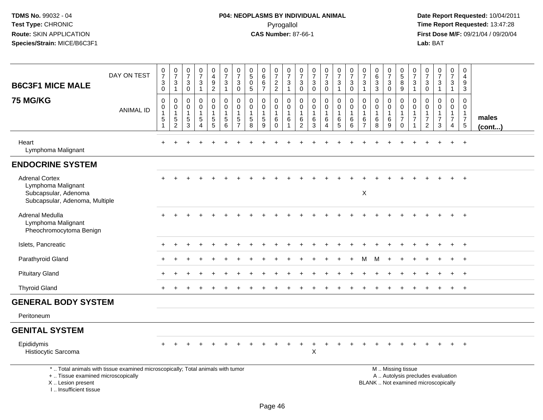# **P04: NEOPLASMS BY INDIVIDUAL ANIMAL**Pyrogallol **Time Report Requested:** 13:47:28

| <b>B6C3F1 MICE MALE</b>                                                                                                                                              | DAY ON TEST      | $\frac{0}{7}$<br>$\sqrt{3}$<br>$\mathbf 0$                        | $\frac{0}{7}$<br>$\mathbf{3}$<br>$\mathbf{1}$                                 | $\frac{0}{7}$<br>3<br>0                                        | $\frac{0}{7}$<br>3<br>$\mathbf{1}$           | $\begin{smallmatrix}0\\4\end{smallmatrix}$<br>$9\,$<br>$\overline{2}$      | $\frac{0}{7}$<br>$\sqrt{3}$<br>$\mathbf{1}$                                 | $\frac{0}{7}$<br>$\mathbf{3}$<br>$\mathbf 0$      | $\begin{array}{c} 0 \\ 5 \end{array}$<br>$\mathbf 0$<br>$\sqrt{5}$ | $\pmb{0}$<br>$\,6\,$<br>$\,6\,$<br>$\overline{7}$                | $\begin{array}{c} 0 \\ 7 \end{array}$<br>$\frac{2}{2}$     | 0<br>$\overline{7}$<br>3<br>$\mathbf{1}$ | $\begin{smallmatrix}0\\7\end{smallmatrix}$<br>$\mathbf{3}$<br>$\mathbf 0$ | $\frac{0}{7}$<br>$\sqrt{3}$<br>$\mathbf 0$         | $\begin{smallmatrix}0\\7\end{smallmatrix}$<br>$\mathbf{3}$<br>$\mathsf{O}\xspace$ | $\frac{0}{7}$<br>$\sqrt{3}$<br>$\overline{1}$              | $\boldsymbol{0}$<br>$\overline{7}$<br>3<br>$\pmb{0}$                 | $\begin{array}{c} 0 \\ 7 \end{array}$<br>3<br>$\mathbf{1}$ | $_{6}^{\rm 0}$<br>3<br>3                   | $\begin{array}{c} 0 \\ 7 \end{array}$<br>$\mathbf{3}$<br>$\mathsf{O}$ | $^{\rm 0}_{\rm 5}$<br>$\bf 8$<br>9                                                            | 0<br>$\overline{7}$<br>3<br>$\mathbf{1}$                                   | $\frac{0}{7}$<br>3<br>$\mathbf 0$                                             | $\frac{0}{7}$<br>3<br>$\mathbf{1}$                                 | $\pmb{0}$<br>$\overline{7}$<br>3<br>$\mathbf{1}$               | 0<br>$\overline{4}$<br>9<br>$\sqrt{3}$                                  |                 |
|----------------------------------------------------------------------------------------------------------------------------------------------------------------------|------------------|-------------------------------------------------------------------|-------------------------------------------------------------------------------|----------------------------------------------------------------|----------------------------------------------|----------------------------------------------------------------------------|-----------------------------------------------------------------------------|---------------------------------------------------|--------------------------------------------------------------------|------------------------------------------------------------------|------------------------------------------------------------|------------------------------------------|---------------------------------------------------------------------------|----------------------------------------------------|-----------------------------------------------------------------------------------|------------------------------------------------------------|----------------------------------------------------------------------|------------------------------------------------------------|--------------------------------------------|-----------------------------------------------------------------------|-----------------------------------------------------------------------------------------------|----------------------------------------------------------------------------|-------------------------------------------------------------------------------|--------------------------------------------------------------------|----------------------------------------------------------------|-------------------------------------------------------------------------|-----------------|
| 75 MG/KG                                                                                                                                                             | <b>ANIMAL ID</b> | $\mathbf 0$<br>0<br>$\mathbf{1}$<br>$\,$ 5 $\,$<br>$\overline{1}$ | $\mathbf 0$<br>$\mathbf 0$<br>$\overline{1}$<br>$\,$ 5 $\,$<br>$\overline{2}$ | $\Omega$<br>$\mathbf 0$<br>$\mathbf{1}$<br>5<br>$\overline{3}$ | 0<br>$\mathbf 0$<br>1<br>5<br>$\overline{4}$ | 0<br>$\mathbf{0}$<br>$\mathbf{1}$<br>$\begin{array}{c} 5 \\ 5 \end{array}$ | $\mathbf 0$<br>$\mathbf 0$<br>$\mathbf{1}$<br>$\sqrt{5}$<br>$6\overline{6}$ | $\mathbf 0$<br>0<br>$\mathbf{1}$<br>$\frac{5}{7}$ | $\Omega$<br>$\mathbf 0$<br>$\mathbf{1}$<br>$\sqrt{5}$<br>8         | 0<br>$\mathbf 0$<br>$\mathbf{1}$<br>$\sqrt{5}$<br>$\overline{9}$ | $\Omega$<br>0<br>$\mathbf{1}$<br>$\,6$<br>$\boldsymbol{0}$ | 0<br>0<br>-1<br>6<br>1                   | 0<br>$\mathbf 0$<br>$\mathbf{1}$<br>$\,6$<br>$\overline{2}$               | $\pmb{0}$<br>$\mathbf 0$<br>$\mathbf{1}$<br>$^6_3$ | $\mathbf 0$<br>$\mathbf 0$<br>$\overline{1}$<br>6<br>$\overline{4}$               | $\mathbf 0$<br>$\mathbf 0$<br>$\overline{1}$<br>$6\over 5$ | $\mathbf 0$<br>$\mathbf 0$<br>$\overline{1}$<br>6<br>$6\phantom{1}6$ | 0<br>$\mathbf 0$<br>$\mathbf{1}$<br>6<br>$\overline{7}$    | 0<br>$\mathbf 0$<br>$\mathbf{1}$<br>$^6_8$ | 0<br>$\mathbf 0$<br>$\mathbf{1}$<br>6<br>$\overline{9}$               | $\mathbf 0$<br>$\mathbf 0$<br>$\mathbf{1}$<br>$\overline{7}$<br>$\mathbf 0$                   | $\Omega$<br>$\mathbf 0$<br>$\overline{1}$<br>$\overline{7}$<br>$\mathbf 1$ | $\Omega$<br>$\mathbf 0$<br>$\overline{1}$<br>$\overline{7}$<br>$\overline{2}$ | 0<br>$\mathbf 0$<br>$\mathbf{1}$<br>$\overline{7}$<br>$\mathbf{3}$ | $\Omega$<br>$\mathbf 0$<br>$\mathbf{1}$<br>$\overline{7}$<br>4 | $\Omega$<br>$\mathbf 0$<br>$\mathbf{1}$<br>$\overline{7}$<br>$\sqrt{5}$ | males<br>(cont) |
| Heart<br>Lymphoma Malignant                                                                                                                                          |                  |                                                                   |                                                                               |                                                                |                                              |                                                                            |                                                                             |                                                   |                                                                    |                                                                  |                                                            |                                          |                                                                           |                                                    |                                                                                   |                                                            |                                                                      |                                                            |                                            |                                                                       |                                                                                               |                                                                            |                                                                               |                                                                    |                                                                |                                                                         |                 |
| <b>ENDOCRINE SYSTEM</b>                                                                                                                                              |                  |                                                                   |                                                                               |                                                                |                                              |                                                                            |                                                                             |                                                   |                                                                    |                                                                  |                                                            |                                          |                                                                           |                                                    |                                                                                   |                                                            |                                                                      |                                                            |                                            |                                                                       |                                                                                               |                                                                            |                                                                               |                                                                    |                                                                |                                                                         |                 |
| <b>Adrenal Cortex</b><br>Lymphoma Malignant<br>Subcapsular, Adenoma<br>Subcapsular, Adenoma, Multiple                                                                |                  |                                                                   |                                                                               |                                                                |                                              |                                                                            |                                                                             |                                                   |                                                                    |                                                                  |                                                            |                                          |                                                                           |                                                    |                                                                                   |                                                            |                                                                      | $\sf X$                                                    |                                            |                                                                       |                                                                                               |                                                                            |                                                                               |                                                                    |                                                                |                                                                         |                 |
| Adrenal Medulla<br>Lymphoma Malignant<br>Pheochromocytoma Benign                                                                                                     |                  |                                                                   |                                                                               |                                                                |                                              |                                                                            |                                                                             |                                                   |                                                                    |                                                                  |                                                            |                                          |                                                                           |                                                    |                                                                                   |                                                            |                                                                      |                                                            |                                            |                                                                       |                                                                                               |                                                                            |                                                                               |                                                                    |                                                                |                                                                         |                 |
| Islets, Pancreatic                                                                                                                                                   |                  |                                                                   |                                                                               |                                                                |                                              |                                                                            |                                                                             |                                                   |                                                                    |                                                                  |                                                            |                                          |                                                                           |                                                    |                                                                                   |                                                            |                                                                      |                                                            |                                            |                                                                       |                                                                                               |                                                                            |                                                                               |                                                                    |                                                                | $\overline{1}$                                                          |                 |
| Parathyroid Gland                                                                                                                                                    |                  |                                                                   |                                                                               |                                                                |                                              |                                                                            |                                                                             |                                                   |                                                                    |                                                                  |                                                            |                                          |                                                                           |                                                    |                                                                                   |                                                            |                                                                      | м                                                          | M                                          |                                                                       |                                                                                               |                                                                            |                                                                               |                                                                    |                                                                | $\ddot{}$                                                               |                 |
| <b>Pituitary Gland</b>                                                                                                                                               |                  |                                                                   |                                                                               |                                                                |                                              |                                                                            |                                                                             |                                                   |                                                                    |                                                                  |                                                            |                                          |                                                                           |                                                    |                                                                                   |                                                            |                                                                      |                                                            |                                            |                                                                       |                                                                                               |                                                                            |                                                                               |                                                                    |                                                                | $\ddot{}$                                                               |                 |
| <b>Thyroid Gland</b>                                                                                                                                                 |                  |                                                                   |                                                                               |                                                                |                                              |                                                                            |                                                                             |                                                   |                                                                    |                                                                  |                                                            |                                          |                                                                           |                                                    |                                                                                   |                                                            |                                                                      |                                                            |                                            |                                                                       |                                                                                               |                                                                            |                                                                               |                                                                    |                                                                | $\ddot{}$                                                               |                 |
| <b>GENERAL BODY SYSTEM</b>                                                                                                                                           |                  |                                                                   |                                                                               |                                                                |                                              |                                                                            |                                                                             |                                                   |                                                                    |                                                                  |                                                            |                                          |                                                                           |                                                    |                                                                                   |                                                            |                                                                      |                                                            |                                            |                                                                       |                                                                                               |                                                                            |                                                                               |                                                                    |                                                                |                                                                         |                 |
| Peritoneum                                                                                                                                                           |                  |                                                                   |                                                                               |                                                                |                                              |                                                                            |                                                                             |                                                   |                                                                    |                                                                  |                                                            |                                          |                                                                           |                                                    |                                                                                   |                                                            |                                                                      |                                                            |                                            |                                                                       |                                                                                               |                                                                            |                                                                               |                                                                    |                                                                |                                                                         |                 |
| <b>GENITAL SYSTEM</b>                                                                                                                                                |                  |                                                                   |                                                                               |                                                                |                                              |                                                                            |                                                                             |                                                   |                                                                    |                                                                  |                                                            |                                          |                                                                           |                                                    |                                                                                   |                                                            |                                                                      |                                                            |                                            |                                                                       |                                                                                               |                                                                            |                                                                               |                                                                    |                                                                |                                                                         |                 |
| Epididymis<br>Histiocytic Sarcoma                                                                                                                                    |                  |                                                                   |                                                                               |                                                                |                                              |                                                                            |                                                                             |                                                   |                                                                    |                                                                  |                                                            |                                          |                                                                           | Χ                                                  |                                                                                   |                                                            |                                                                      |                                                            |                                            |                                                                       |                                                                                               |                                                                            |                                                                               |                                                                    |                                                                |                                                                         |                 |
| *  Total animals with tissue examined microscopically; Total animals with tumor<br>+  Tissue examined microscopically<br>X  Lesion present<br>L. Insufficient tissue |                  |                                                                   |                                                                               |                                                                |                                              |                                                                            |                                                                             |                                                   |                                                                    |                                                                  |                                                            |                                          |                                                                           |                                                    |                                                                                   |                                                            |                                                                      |                                                            |                                            |                                                                       | M  Missing tissue<br>A  Autolysis precludes evaluation<br>BLANK  Not examined microscopically |                                                                            |                                                                               |                                                                    |                                                                |                                                                         |                 |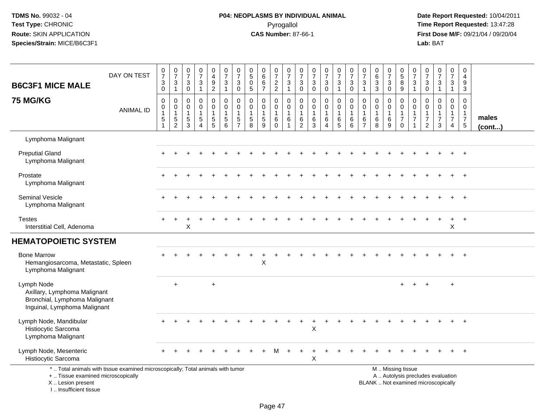# **P04: NEOPLASMS BY INDIVIDUAL ANIMAL**Pyrogallol **Time Report Requested:** 13:47:28

| <b>B6C3F1 MICE MALE</b>                                                                                     | DAY ON TEST                                                                     | $\frac{0}{7}$<br>$\mathbf{3}$<br>$\mathsf{O}\xspace$                      | $\begin{array}{c} 0 \\ 7 \end{array}$<br>3<br>$\mathbf{1}$ | $\begin{array}{c} 0 \\ 7 \end{array}$<br>$\mathbf{3}$<br>$\mathsf 0$ | $\begin{array}{c} 0 \\ 7 \end{array}$<br>$\sqrt{3}$<br>$\mathbf{1}$        | 0<br>$\overline{4}$<br>$\boldsymbol{9}$<br>$\overline{2}$       | $\frac{0}{7}$<br>$\mathbf{3}$<br>$\mathbf{1}$                              | $\frac{0}{7}$<br>$\mathbf{3}$<br>0                              | $\pmb{0}$<br>$\overline{5}$<br>$\pmb{0}$<br>$\sqrt{5}$                    | $\begin{array}{c} 0 \\ 6 \end{array}$<br>$\,6\,$<br>$\overline{7}$ | $\frac{0}{7}$<br>$\frac{2}{2}$                       | $\frac{0}{7}$<br>$\sqrt{3}$<br>$\overline{1}$                       | 0<br>$\overline{7}$<br>3<br>$\boldsymbol{0}$                        | $\begin{smallmatrix}0\\7\end{smallmatrix}$<br>$\mathbf{3}$<br>$\mathsf 0$ | $\frac{0}{7}$<br>3<br>$\bar{0}$              | $\frac{0}{7}$<br>$\sqrt{3}$<br>$\mathbf{1}$              | $\frac{0}{7}$<br>$\sqrt{3}$<br>$\mathbf 0$                           | $\frac{0}{7}$<br>3<br>$\overline{1}$                                | $\pmb{0}$<br>$6\phantom{1}6$<br>$\mathbf{3}$<br>$\mathbf{3}$ | $\frac{0}{7}$<br>3<br>$\mathbf 0$                       | $\begin{smallmatrix}0\0\5\end{smallmatrix}$<br>8<br>$\overline{9}$        | $\frac{0}{7}$<br>$\ensuremath{\mathsf{3}}$<br>$\mathbf{1}$        | $\begin{array}{c} 0 \\ 7 \end{array}$<br>$\mathbf{3}$<br>$\mathbf 0$           | $\begin{array}{c} 0 \\ 7 \end{array}$<br>$\sqrt{3}$<br>$\mathbf{1}$      | 0<br>$\overline{7}$<br>$\mathbf{3}$<br>$\mathbf{1}$                            | $\pmb{0}$<br>$\overline{4}$<br>$\boldsymbol{9}$<br>$\mathsf 3$                  |                 |
|-------------------------------------------------------------------------------------------------------------|---------------------------------------------------------------------------------|---------------------------------------------------------------------------|------------------------------------------------------------|----------------------------------------------------------------------|----------------------------------------------------------------------------|-----------------------------------------------------------------|----------------------------------------------------------------------------|-----------------------------------------------------------------|---------------------------------------------------------------------------|--------------------------------------------------------------------|------------------------------------------------------|---------------------------------------------------------------------|---------------------------------------------------------------------|---------------------------------------------------------------------------|----------------------------------------------|----------------------------------------------------------|----------------------------------------------------------------------|---------------------------------------------------------------------|--------------------------------------------------------------|---------------------------------------------------------|---------------------------------------------------------------------------|-------------------------------------------------------------------|--------------------------------------------------------------------------------|--------------------------------------------------------------------------|--------------------------------------------------------------------------------|---------------------------------------------------------------------------------|-----------------|
| <b>75 MG/KG</b>                                                                                             | <b>ANIMAL ID</b>                                                                | $\mathbf 0$<br>$\pmb{0}$<br>$\overline{1}$<br>$\,$ 5 $\,$<br>$\mathbf{1}$ | $\pmb{0}$<br>$\mathbf 0$<br>$\mathbf{1}$<br>$\frac{5}{2}$  | $\mathbf 0$<br>0<br>$\mathbf{1}$<br>$\frac{5}{3}$                    | $\mathbf 0$<br>$\mathbf 0$<br>$\mathbf{1}$<br>$\sqrt{5}$<br>$\overline{4}$ | 0<br>0<br>$\mathbf{1}$<br>$\begin{array}{c} 5 \\ 5 \end{array}$ | $\mathbf 0$<br>$\mathbf 0$<br>$\mathbf{1}$<br>$\sqrt{5}$<br>$\overline{6}$ | $\pmb{0}$<br>0<br>$\mathbf{1}$<br>$\,$ 5 $\,$<br>$\overline{7}$ | 0<br>$\mathbf 0$<br>$\mathbf{1}$<br>$\begin{array}{c} 5 \\ 8 \end{array}$ | $\mathbf 0$<br>0<br>1<br>$\sqrt{5}$<br>9                           | 0<br>$\mathbf 0$<br>$\mathbf{1}$<br>6<br>$\mathbf 0$ | $\mathsf 0$<br>$\mathbf 0$<br>$\overline{1}$<br>6<br>$\overline{1}$ | $\mathbf 0$<br>$\mathbf 0$<br>$\overline{1}$<br>6<br>$\overline{2}$ | $\mathbf 0$<br>$\mathbf 0$<br>$\mathbf{1}$<br>6<br>$\overline{3}$         | 0<br>0<br>$\mathbf 1$<br>6<br>$\overline{4}$ | $\mathbf 0$<br>$\mathbf 0$<br>$\mathbf{1}$<br>$6\over 5$ | $\mathbf 0$<br>$\mathbf 0$<br>$\overline{1}$<br>6<br>$6\phantom{1}6$ | $\mathbf 0$<br>$\mathbf 0$<br>$\overline{1}$<br>6<br>$\overline{7}$ | $\mathbf 0$<br>$\mathbf 0$<br>$\overline{1}$<br>6<br>8       | 0<br>$\mathbf 0$<br>$\mathbf{1}$<br>6<br>$\overline{9}$ | 0<br>$\mathbf 0$<br>$\mathbf{1}$<br>$\overline{7}$<br>$\ddot{\mathbf{0}}$ | $\mathbf 0$<br>$\mathbf 0$<br>$\mathbf{1}$<br>$\overline{7}$<br>1 | $\mathbf 0$<br>$\mathbf 0$<br>$\mathbf{1}$<br>$\overline{7}$<br>$\overline{2}$ | $\mathbf 0$<br>$\mathbf{0}$<br>$\mathbf 1$<br>$\overline{7}$<br>3        | $\mathbf 0$<br>$\mathbf 0$<br>$\mathbf{1}$<br>$\overline{7}$<br>$\overline{4}$ | $\mathsf 0$<br>$\mathbf{0}$<br>$\mathbf{1}$<br>$\overline{7}$<br>$\overline{5}$ | males<br>(cont) |
| Lymphoma Malignant                                                                                          |                                                                                 |                                                                           |                                                            |                                                                      |                                                                            |                                                                 |                                                                            |                                                                 |                                                                           |                                                                    |                                                      |                                                                     |                                                                     |                                                                           |                                              |                                                          |                                                                      |                                                                     |                                                              |                                                         |                                                                           |                                                                   |                                                                                |                                                                          |                                                                                |                                                                                 |                 |
| <b>Preputial Gland</b><br>Lymphoma Malignant                                                                |                                                                                 |                                                                           |                                                            |                                                                      |                                                                            |                                                                 |                                                                            |                                                                 |                                                                           |                                                                    |                                                      |                                                                     |                                                                     |                                                                           |                                              |                                                          |                                                                      |                                                                     |                                                              |                                                         |                                                                           |                                                                   |                                                                                |                                                                          |                                                                                |                                                                                 |                 |
| Prostate<br>Lymphoma Malignant                                                                              |                                                                                 |                                                                           |                                                            |                                                                      |                                                                            |                                                                 |                                                                            |                                                                 |                                                                           |                                                                    |                                                      |                                                                     |                                                                     |                                                                           |                                              |                                                          |                                                                      |                                                                     |                                                              |                                                         |                                                                           |                                                                   |                                                                                |                                                                          |                                                                                |                                                                                 |                 |
| Seminal Vesicle<br>Lymphoma Malignant                                                                       |                                                                                 |                                                                           |                                                            |                                                                      |                                                                            |                                                                 |                                                                            |                                                                 |                                                                           |                                                                    |                                                      |                                                                     |                                                                     |                                                                           |                                              |                                                          |                                                                      |                                                                     |                                                              |                                                         |                                                                           |                                                                   |                                                                                |                                                                          |                                                                                |                                                                                 |                 |
| <b>Testes</b><br>Interstitial Cell, Adenoma                                                                 |                                                                                 |                                                                           | $\ddot{}$                                                  | X                                                                    |                                                                            |                                                                 |                                                                            |                                                                 |                                                                           |                                                                    |                                                      |                                                                     |                                                                     |                                                                           |                                              |                                                          |                                                                      |                                                                     |                                                              |                                                         |                                                                           |                                                                   |                                                                                |                                                                          | $\ddot{}$<br>X                                                                 | $\overline{1}$                                                                  |                 |
| <b>HEMATOPOIETIC SYSTEM</b>                                                                                 |                                                                                 |                                                                           |                                                            |                                                                      |                                                                            |                                                                 |                                                                            |                                                                 |                                                                           |                                                                    |                                                      |                                                                     |                                                                     |                                                                           |                                              |                                                          |                                                                      |                                                                     |                                                              |                                                         |                                                                           |                                                                   |                                                                                |                                                                          |                                                                                |                                                                                 |                 |
| <b>Bone Marrow</b><br>Hemangiosarcoma, Metastatic, Spleen<br>Lymphoma Malignant                             |                                                                                 |                                                                           |                                                            |                                                                      |                                                                            |                                                                 |                                                                            |                                                                 |                                                                           | X                                                                  |                                                      |                                                                     |                                                                     |                                                                           |                                              |                                                          |                                                                      |                                                                     |                                                              |                                                         |                                                                           |                                                                   |                                                                                |                                                                          |                                                                                |                                                                                 |                 |
| Lymph Node<br>Axillary, Lymphoma Malignant<br>Bronchial, Lymphoma Malignant<br>Inguinal, Lymphoma Malignant |                                                                                 |                                                                           | $\ddot{}$                                                  |                                                                      |                                                                            | $+$                                                             |                                                                            |                                                                 |                                                                           |                                                                    |                                                      |                                                                     |                                                                     |                                                                           |                                              |                                                          |                                                                      |                                                                     |                                                              |                                                         |                                                                           |                                                                   |                                                                                |                                                                          | $+$                                                                            |                                                                                 |                 |
| Lymph Node, Mandibular<br>Histiocytic Sarcoma<br>Lymphoma Malignant                                         |                                                                                 |                                                                           |                                                            |                                                                      |                                                                            |                                                                 |                                                                            |                                                                 |                                                                           |                                                                    |                                                      |                                                                     |                                                                     | Χ                                                                         |                                              |                                                          |                                                                      |                                                                     |                                                              |                                                         |                                                                           |                                                                   |                                                                                |                                                                          |                                                                                |                                                                                 |                 |
| Lymph Node, Mesenteric<br>Histiocytic Sarcoma                                                               |                                                                                 |                                                                           |                                                            |                                                                      |                                                                            |                                                                 |                                                                            |                                                                 |                                                                           |                                                                    |                                                      |                                                                     |                                                                     | X                                                                         |                                              |                                                          |                                                                      |                                                                     |                                                              |                                                         |                                                                           |                                                                   |                                                                                |                                                                          |                                                                                |                                                                                 |                 |
| +  Tissue examined microscopically<br>X  Lesion present<br>I Insufficient tissue                            | *  Total animals with tissue examined microscopically; Total animals with tumor |                                                                           |                                                            |                                                                      |                                                                            |                                                                 |                                                                            |                                                                 |                                                                           |                                                                    |                                                      |                                                                     |                                                                     |                                                                           |                                              |                                                          |                                                                      |                                                                     |                                                              |                                                         | M  Missing tissue                                                         |                                                                   |                                                                                | A  Autolysis precludes evaluation<br>BLANK  Not examined microscopically |                                                                                |                                                                                 |                 |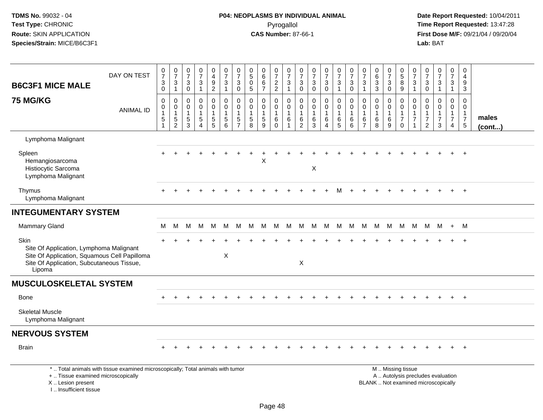# **P04: NEOPLASMS BY INDIVIDUAL ANIMAL**Pyrogallol **Time Report Requested:** 13:47:28

|                                                                                                                                                        | DAY ON TEST                                                                     | $\frac{0}{7}$                                                            | $\frac{0}{7}$                                     | 0<br>$\overline{7}$                      | $\begin{array}{c} 0 \\ 7 \end{array}$                      | $\mathbf 0$<br>$\overline{4}$                                                                 | 0<br>$\overline{7}$                                            | $\pmb{0}$<br>$\overline{7}$                                     | 0<br>$\sqrt{5}$                                               | $\begin{array}{c} 0 \\ 6 \end{array}$     | 0<br>$\overline{7}$                                     | $\boldsymbol{0}$<br>$\overline{7}$                    | 0<br>$\overline{7}$                                               | $\begin{array}{c} 0 \\ 7 \end{array}$                             | $\begin{smallmatrix}0\\7\end{smallmatrix}$                      | 0<br>$\overline{7}$                                               | $\frac{0}{7}$                                           | 0<br>$\overline{7}$                                                 | $\pmb{0}$<br>$\overline{6}$<br>3           | 0<br>$\overline{7}$        | $\begin{array}{c} 0 \\ 5 \end{array}$                                            | 0<br>$\overline{7}$    | 0<br>$\overline{7}$                                                           | $\frac{0}{7}$                           | 0<br>$\overline{7}$                                                                    | 0<br>$\overline{4}$                                                        |                       |
|--------------------------------------------------------------------------------------------------------------------------------------------------------|---------------------------------------------------------------------------------|--------------------------------------------------------------------------|---------------------------------------------------|------------------------------------------|------------------------------------------------------------|-----------------------------------------------------------------------------------------------|----------------------------------------------------------------|-----------------------------------------------------------------|---------------------------------------------------------------|-------------------------------------------|---------------------------------------------------------|-------------------------------------------------------|-------------------------------------------------------------------|-------------------------------------------------------------------|-----------------------------------------------------------------|-------------------------------------------------------------------|---------------------------------------------------------|---------------------------------------------------------------------|--------------------------------------------|----------------------------|----------------------------------------------------------------------------------|------------------------|-------------------------------------------------------------------------------|-----------------------------------------|----------------------------------------------------------------------------------------|----------------------------------------------------------------------------|-----------------------|
| <b>B6C3F1 MICE MALE</b>                                                                                                                                |                                                                                 | $\ensuremath{\mathsf{3}}$<br>$\mathsf{O}\xspace$                         | $\mathbf{3}$<br>$\mathbf{1}$                      | $\ensuremath{\mathsf{3}}$<br>$\mathbf 0$ | $\ensuremath{\mathsf{3}}$<br>$\mathbf{1}$                  | $\frac{9}{2}$                                                                                 | $\ensuremath{\mathsf{3}}$<br>$\mathbf{1}$                      | 3<br>$\pmb{0}$                                                  | $\pmb{0}$<br>$\overline{5}$                                   | 6<br>$\overline{7}$                       | $\frac{2}{2}$                                           | $\ensuremath{\mathsf{3}}$<br>$\mathbf{1}$             | $\mathbf{3}$<br>$\mathbf 0$                                       | $\sqrt{3}$<br>$\mathbf 0$                                         | $\ensuremath{\mathsf{3}}$<br>$\mathbf 0$                        | 3<br>$\mathbf{1}$                                                 | $\ensuremath{\mathsf{3}}$<br>$\mathbf 0$                | $\ensuremath{\mathsf{3}}$<br>$\overline{1}$                         | $\mathbf{3}$                               | $\mathsf 3$<br>$\mathbf 0$ | $\,8\,$<br>$\overline{9}$                                                        | 3<br>$\overline{1}$    | $\ensuremath{\mathsf{3}}$<br>$\overline{0}$                                   | 3<br>$\mathbf{1}$                       | $\mathbf{3}$<br>$\mathbf{1}$                                                           | 9<br>3                                                                     |                       |
| <b>75 MG/KG</b>                                                                                                                                        | <b>ANIMAL ID</b>                                                                | $\pmb{0}$<br>$\pmb{0}$<br>$\mathbf{1}$<br>$\overline{5}$<br>$\mathbf{1}$ | 0<br>$\mathbf 0$<br>$\mathbf{1}$<br>$\frac{5}{2}$ | 0<br>0<br>$\mathbf{1}$<br>$\frac{5}{3}$  | $\mathbf 0$<br>$\mathbf 0$<br>$\sqrt{5}$<br>$\overline{4}$ | $\mathbf 0$<br>$\mathsf{O}\xspace$<br>$\overline{1}$<br>$\begin{array}{c} 5 \\ 5 \end{array}$ | 0<br>$\pmb{0}$<br>$\mathbf{1}$<br>$\sqrt{5}$<br>$6\phantom{1}$ | $\mathbf 0$<br>$\mathbf 0$<br>1<br>$\sqrt{5}$<br>$\overline{7}$ | $\mathbf 0$<br>$\mathbf 0$<br>$\mathbf{1}$<br>$\sqrt{5}$<br>8 | 0<br>$\mathbf 0$<br>$\mathbf 1$<br>5<br>9 | 0<br>$\overline{0}$<br>$\mathbf{1}$<br>6<br>$\mathbf 0$ | 0<br>$\pmb{0}$<br>$\mathbf{1}$<br>6<br>$\overline{1}$ | $\mathbf 0$<br>$\mathbf 0$<br>$\mathbf{1}$<br>6<br>$\overline{c}$ | $\mathbf 0$<br>$\mathbf 0$<br>$\overline{1}$<br>6<br>$\mathbf{3}$ | 0<br>$\mathsf{O}\xspace$<br>$\mathbf{1}$<br>6<br>$\overline{4}$ | $\mathbf 0$<br>$\mathbf 0$<br>$\mathbf{1}$<br>6<br>$\overline{5}$ | $\mathbf 0$<br>0<br>$\mathbf{1}$<br>6<br>$6\phantom{a}$ | $\mathbf 0$<br>$\mathbf 0$<br>$\overline{1}$<br>6<br>$\overline{7}$ | 0<br>$\mathbf 0$<br>$\mathbf{1}$<br>6<br>8 | 0<br>$\mathbf 0$<br>6<br>9 | $\mathbf 0$<br>$\overline{0}$<br>$\mathbf{1}$<br>$\boldsymbol{7}$<br>$\mathbf 0$ | 0<br>$\mathbf{0}$<br>7 | $\Omega$<br>$\mathbf 0$<br>$\mathbf{1}$<br>$\boldsymbol{7}$<br>$\overline{2}$ | 0<br>$\mathbf 0$<br>$\overline{7}$<br>3 | $\mathbf 0$<br>$\ddot{\mathbf{0}}$<br>$\mathbf{1}$<br>$\overline{7}$<br>$\overline{4}$ | $\mathbf 0$<br>$\mathbf 0$<br>$\mathbf{1}$<br>$\overline{7}$<br>$\sqrt{5}$ | males<br>$($ cont $)$ |
| Lymphoma Malignant                                                                                                                                     |                                                                                 |                                                                          |                                                   |                                          |                                                            |                                                                                               |                                                                |                                                                 |                                                               |                                           |                                                         |                                                       |                                                                   |                                                                   |                                                                 |                                                                   |                                                         |                                                                     |                                            |                            |                                                                                  |                        |                                                                               |                                         |                                                                                        |                                                                            |                       |
| Spleen<br>Hemangiosarcoma<br>Histiocytic Sarcoma<br>Lymphoma Malignant                                                                                 |                                                                                 |                                                                          |                                                   |                                          |                                                            |                                                                                               |                                                                |                                                                 |                                                               | X                                         |                                                         |                                                       |                                                                   | $\mathsf X$                                                       |                                                                 |                                                                   |                                                         |                                                                     |                                            |                            |                                                                                  |                        |                                                                               |                                         |                                                                                        | $\overline{+}$                                                             |                       |
| Thymus<br>Lymphoma Malignant                                                                                                                           |                                                                                 |                                                                          |                                                   |                                          |                                                            |                                                                                               |                                                                |                                                                 |                                                               |                                           |                                                         |                                                       |                                                                   |                                                                   |                                                                 |                                                                   |                                                         |                                                                     |                                            |                            |                                                                                  |                        |                                                                               |                                         |                                                                                        | $\overline{+}$                                                             |                       |
| <b>INTEGUMENTARY SYSTEM</b>                                                                                                                            |                                                                                 |                                                                          |                                                   |                                          |                                                            |                                                                                               |                                                                |                                                                 |                                                               |                                           |                                                         |                                                       |                                                                   |                                                                   |                                                                 |                                                                   |                                                         |                                                                     |                                            |                            |                                                                                  |                        |                                                                               |                                         |                                                                                        |                                                                            |                       |
| <b>Mammary Gland</b>                                                                                                                                   |                                                                                 | М                                                                        | М                                                 | M                                        | M                                                          | M                                                                                             | M                                                              | M                                                               | M                                                             | M                                         | M                                                       | M                                                     | M                                                                 | M                                                                 | M                                                               | M                                                                 | M                                                       | M                                                                   | M                                          | M                          | M                                                                                | M                      | M                                                                             | M                                       | $+$                                                                                    | M                                                                          |                       |
| Skin<br>Site Of Application, Lymphoma Malignant<br>Site Of Application, Squamous Cell Papilloma<br>Site Of Application, Subcutaneous Tissue,<br>Lipoma |                                                                                 |                                                                          |                                                   |                                          |                                                            |                                                                                               | X                                                              |                                                                 |                                                               |                                           |                                                         |                                                       | X                                                                 |                                                                   |                                                                 |                                                                   |                                                         |                                                                     |                                            |                            |                                                                                  |                        |                                                                               |                                         |                                                                                        | $\overline{+}$                                                             |                       |
| <b>MUSCULOSKELETAL SYSTEM</b>                                                                                                                          |                                                                                 |                                                                          |                                                   |                                          |                                                            |                                                                                               |                                                                |                                                                 |                                                               |                                           |                                                         |                                                       |                                                                   |                                                                   |                                                                 |                                                                   |                                                         |                                                                     |                                            |                            |                                                                                  |                        |                                                                               |                                         |                                                                                        |                                                                            |                       |
| Bone                                                                                                                                                   |                                                                                 |                                                                          |                                                   |                                          |                                                            |                                                                                               |                                                                |                                                                 |                                                               |                                           |                                                         |                                                       |                                                                   |                                                                   |                                                                 |                                                                   |                                                         |                                                                     |                                            |                            |                                                                                  |                        |                                                                               |                                         |                                                                                        | $+$                                                                        |                       |
| <b>Skeletal Muscle</b><br>Lymphoma Malignant                                                                                                           |                                                                                 |                                                                          |                                                   |                                          |                                                            |                                                                                               |                                                                |                                                                 |                                                               |                                           |                                                         |                                                       |                                                                   |                                                                   |                                                                 |                                                                   |                                                         |                                                                     |                                            |                            |                                                                                  |                        |                                                                               |                                         |                                                                                        |                                                                            |                       |
| <b>NERVOUS SYSTEM</b>                                                                                                                                  |                                                                                 |                                                                          |                                                   |                                          |                                                            |                                                                                               |                                                                |                                                                 |                                                               |                                           |                                                         |                                                       |                                                                   |                                                                   |                                                                 |                                                                   |                                                         |                                                                     |                                            |                            |                                                                                  |                        |                                                                               |                                         |                                                                                        |                                                                            |                       |
| <b>Brain</b>                                                                                                                                           |                                                                                 |                                                                          |                                                   |                                          |                                                            |                                                                                               |                                                                |                                                                 |                                                               |                                           |                                                         |                                                       |                                                                   |                                                                   |                                                                 |                                                                   |                                                         |                                                                     |                                            |                            |                                                                                  |                        |                                                                               |                                         |                                                                                        | $+$                                                                        |                       |
| +  Tissue examined microscopically<br>X  Lesion present<br>I Insufficient tissue                                                                       | *  Total animals with tissue examined microscopically; Total animals with tumor |                                                                          |                                                   |                                          |                                                            |                                                                                               |                                                                |                                                                 |                                                               |                                           |                                                         |                                                       |                                                                   |                                                                   |                                                                 |                                                                   |                                                         |                                                                     | BLANK  Not examined microscopically        |                            | M  Missing tissue<br>A  Autolysis precludes evaluation                           |                        |                                                                               |                                         |                                                                                        |                                                                            |                       |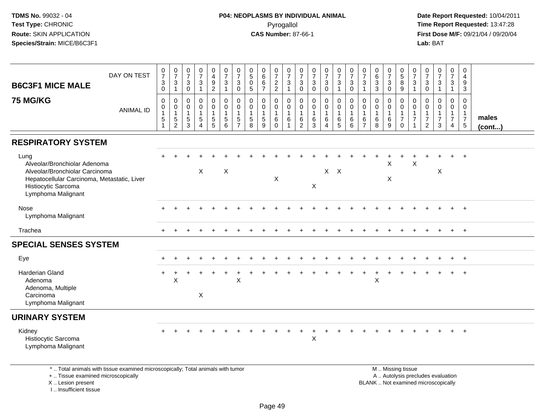#### **P04: NEOPLASMS BY INDIVIDUAL ANIMAL**Pyrogallol **Time Report Requested:** 13:47:28

 **Date Report Requested:** 10/04/2011 **First Dose M/F:** 09/21/04 / 09/20/04<br>Lab: BAT **Lab:** BAT

| DAY ON TEST<br><b>B6C3F1 MICE MALE</b>                                                                                                                             | $\frac{0}{7}$<br>$\sqrt{3}$<br>$\mathbf 0$ | $\frac{0}{7}$<br>$\sqrt{3}$<br>$\mathbf{1}$            | $\frac{0}{7}$<br>$\mathsf 3$<br>$\mathbf 0$ | $\frac{0}{7}$<br>$\sqrt{3}$                    | 0<br>$\overline{4}$<br>$\frac{9}{2}$                                             | $\frac{0}{7}$<br>$\mathbf{3}$<br>$\mathbf{1}$                   | 0<br>$\overline{7}$<br>3<br>$\mathbf 0$ | $\begin{array}{c} 0 \\ 5 \end{array}$<br>$\overline{0}$<br>$\overline{5}$ | $\begin{matrix} 0 \\ 6 \end{matrix}$<br>$6\overline{6}$<br>$\overline{7}$ | $\frac{0}{7}$<br>$\frac{2}{2}$ | $\frac{0}{7}$<br>$\sqrt{3}$<br>$\overline{1}$     | 0<br>$\overline{7}$<br>3<br>$\mathbf 0$       | $\frac{0}{7}$<br>$\ensuremath{\mathsf{3}}$<br>$\mathbf 0$ | 0<br>7<br>$\mathbf{3}$<br>$\mathbf 0$ | $\frac{0}{7}$<br>$\mathbf{3}$<br>$\overline{1}$                          | $\frac{0}{7}$<br>$\sqrt{3}$<br>$\mathbf 0$         | $\frac{0}{7}$<br>$\mathbf{3}$<br>$\overline{1}$           | 0<br>$6\phantom{a}$<br>$\overline{3}$<br>$\mathbf{3}$ | $\frac{0}{7}$<br>$\sqrt{3}$<br>$\mathbf 0$    | 0<br>$\overline{5}$<br>$\overline{8}$<br>$\overline{9}$           | 0<br>$\overline{7}$<br>3<br>$\mathbf{1}$      | 0<br>$\overline{7}$<br>$\ensuremath{\mathsf{3}}$<br>$\overline{0}$ | $\frac{0}{7}$<br>$\sqrt{3}$<br>$\mathbf{1}$                | 0<br>$\overline{7}$<br>3<br>$\overline{1}$    | 0<br>$\overline{a}$<br>9<br>3                                                |                       |
|--------------------------------------------------------------------------------------------------------------------------------------------------------------------|--------------------------------------------|--------------------------------------------------------|---------------------------------------------|------------------------------------------------|----------------------------------------------------------------------------------|-----------------------------------------------------------------|-----------------------------------------|---------------------------------------------------------------------------|---------------------------------------------------------------------------|--------------------------------|---------------------------------------------------|-----------------------------------------------|-----------------------------------------------------------|---------------------------------------|--------------------------------------------------------------------------|----------------------------------------------------|-----------------------------------------------------------|-------------------------------------------------------|-----------------------------------------------|-------------------------------------------------------------------|-----------------------------------------------|--------------------------------------------------------------------|------------------------------------------------------------|-----------------------------------------------|------------------------------------------------------------------------------|-----------------------|
| <b>75 MG/KG</b><br><b>ANIMAL ID</b>                                                                                                                                | 0<br>0<br>$\mathbf 1$<br>5<br>1            | 0<br>0<br>$\mathbf{1}$<br>$\sqrt{5}$<br>$\overline{c}$ | 0<br>0<br>$\mathbf{1}$<br>$\,$ 5 $\,$<br>3  | 0<br>0<br>$\sqrt{5}$<br>$\boldsymbol{\Lambda}$ | $\mathbf 0$<br>$\pmb{0}$<br>$\mathbf 1$<br>$\begin{array}{c} 5 \\ 5 \end{array}$ | $\mathbf 0$<br>$\mathbf 0$<br>$\overline{1}$<br>$\sqrt{5}$<br>6 | 0<br>$\mathbf 0$<br>5<br>$\overline{7}$ | $\mathbf 0$<br>$\mathbf 0$<br>$\mathbf{1}$<br>$\sqrt{5}$<br>8             | 0<br>0<br>$\mathbf{1}$<br>5<br>9                                          | 0<br>0<br>6<br>$\Omega$        | $\mathbf 0$<br>$\mathbf 0$<br>$\overline{1}$<br>6 | 0<br>0<br>$\mathbf{1}$<br>6<br>$\overline{c}$ | $\mathbf 0$<br>$\mathbf 0$<br>$\mathbf{1}$<br>6<br>3      | 0<br>0<br>6<br>4                      | $\mathbf 0$<br>$\mathbf 0$<br>$\mathbf{1}$<br>$\,6\,$<br>$5\phantom{.0}$ | $\mathbf 0$<br>$\pmb{0}$<br>$\mathbf{1}$<br>6<br>6 | $\mathbf 0$<br>0<br>$\overline{1}$<br>6<br>$\overline{7}$ | $\mathbf 0$<br>0<br>$\mathbf{1}$<br>6<br>8            | 0<br>$\mathsf{O}\xspace$<br>1<br>$\,6\,$<br>9 | 0<br>$\mathbf 0$<br>$\mathbf{1}$<br>$\overline{7}$<br>$\mathbf 0$ | 0<br>0<br>$\mathbf{1}$<br>$\overline{7}$<br>1 | $\Omega$<br>0<br>$\overline{7}$<br>$\overline{2}$                  | $\mathbf 0$<br>$\mathbf 0$<br>$\overline{7}$<br>$\sqrt{3}$ | 0<br>0<br>$\mathbf{1}$<br>$\overline{7}$<br>4 | $\mathbf 0$<br>$\mathbf 0$<br>$\overline{1}$<br>$\overline{7}$<br>$\sqrt{5}$ | males<br>$($ cont $)$ |
| <b>RESPIRATORY SYSTEM</b>                                                                                                                                          |                                            |                                                        |                                             |                                                |                                                                                  |                                                                 |                                         |                                                                           |                                                                           |                                |                                                   |                                               |                                                           |                                       |                                                                          |                                                    |                                                           |                                                       |                                               |                                                                   |                                               |                                                                    |                                                            |                                               |                                                                              |                       |
| Lung<br>Alveolar/Bronchiolar Adenoma<br>Alveolar/Bronchiolar Carcinoma<br>Hepatocellular Carcinoma, Metastatic, Liver<br>Histiocytic Sarcoma<br>Lymphoma Malignant |                                            |                                                        |                                             | X                                              |                                                                                  | X                                                               |                                         |                                                                           |                                                                           | X                              |                                                   |                                               | $\mathsf X$                                               |                                       | $X$ $X$                                                                  |                                                    |                                                           |                                                       | X<br>X                                        |                                                                   | $\mathsf X$                                   |                                                                    | X                                                          |                                               | $+$                                                                          |                       |
| Nose<br>Lymphoma Malignant                                                                                                                                         |                                            |                                                        |                                             |                                                |                                                                                  |                                                                 |                                         |                                                                           |                                                                           |                                |                                                   |                                               |                                                           |                                       |                                                                          |                                                    |                                                           |                                                       |                                               |                                                                   |                                               |                                                                    |                                                            |                                               | $+$                                                                          |                       |
| Trachea                                                                                                                                                            |                                            | $\div$                                                 |                                             | $\div$                                         |                                                                                  |                                                                 |                                         |                                                                           | ÷                                                                         |                                |                                                   |                                               |                                                           | ÷                                     | $\ddot{}$                                                                | $\ddot{}$                                          |                                                           |                                                       | $\div$                                        |                                                                   | $\div$                                        |                                                                    | $\ddot{}$                                                  | $+$                                           | $+$                                                                          |                       |
| <b>SPECIAL SENSES SYSTEM</b>                                                                                                                                       |                                            |                                                        |                                             |                                                |                                                                                  |                                                                 |                                         |                                                                           |                                                                           |                                |                                                   |                                               |                                                           |                                       |                                                                          |                                                    |                                                           |                                                       |                                               |                                                                   |                                               |                                                                    |                                                            |                                               |                                                                              |                       |
| Eye                                                                                                                                                                |                                            |                                                        |                                             |                                                |                                                                                  |                                                                 |                                         |                                                                           |                                                                           |                                |                                                   |                                               |                                                           |                                       |                                                                          |                                                    |                                                           |                                                       |                                               |                                                                   |                                               |                                                                    |                                                            | $+$                                           | $+$                                                                          |                       |
| <b>Harderian Gland</b><br>Adenoma<br>Adenoma, Multiple<br>Carcinoma<br>Lymphoma Malignant                                                                          | $\pm$                                      | X                                                      |                                             | X                                              |                                                                                  |                                                                 | X                                       |                                                                           |                                                                           |                                |                                                   |                                               |                                                           |                                       |                                                                          |                                                    |                                                           | X                                                     |                                               |                                                                   |                                               |                                                                    |                                                            | $\div$                                        | $+$                                                                          |                       |
| <b>URINARY SYSTEM</b>                                                                                                                                              |                                            |                                                        |                                             |                                                |                                                                                  |                                                                 |                                         |                                                                           |                                                                           |                                |                                                   |                                               |                                                           |                                       |                                                                          |                                                    |                                                           |                                                       |                                               |                                                                   |                                               |                                                                    |                                                            |                                               |                                                                              |                       |
| Kidney<br>Histiocytic Sarcoma<br>Lymphoma Malignant                                                                                                                |                                            |                                                        |                                             |                                                |                                                                                  |                                                                 |                                         |                                                                           |                                                                           |                                |                                                   |                                               | X                                                         |                                       |                                                                          |                                                    |                                                           |                                                       |                                               |                                                                   |                                               |                                                                    |                                                            |                                               | $\overline{+}$                                                               |                       |
| *  Total animals with tissue examined microscopically; Total animals with tumor                                                                                    |                                            |                                                        |                                             |                                                |                                                                                  |                                                                 |                                         |                                                                           |                                                                           |                                |                                                   |                                               |                                                           |                                       |                                                                          |                                                    |                                                           |                                                       |                                               | M  Missing tissue                                                 |                                               |                                                                    |                                                            |                                               |                                                                              |                       |

+ .. Tissue examined microscopically

X .. Lesion present

I .. Insufficient tissue

M .. Missing tissue A .. Autolysis precludes evaluation Lesion present BLANK .. Not examined microscopically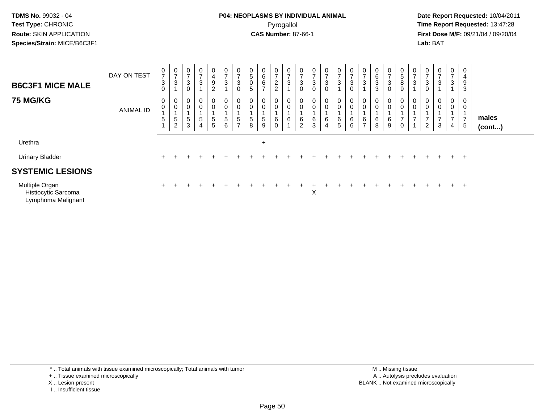Lymphoma Malignant

### **P04: NEOPLASMS BY INDIVIDUAL ANIMAL**Pyrogallol **Time Report Requested:** 13:47:28

 **Date Report Requested:** 10/04/2011 **First Dose M/F:** 09/21/04 / 09/20/04<br>**Lab:** BAT **Lab:** BAT

| <b>B6C3F1 MICE MALE</b>               | DAY ON TEST      | $\pmb{0}$<br>$\overline{z}$<br>$\sqrt{3}$<br>0 | 0<br>$\overline{ }$<br>3 | 0<br>$\overline{7}$<br>$\ensuremath{\mathsf{3}}$        | $\mathbf 0$<br>$\overline{ }$<br>$\mathbf{3}$ | 0<br>4<br>$\frac{9}{2}$ | $\frac{0}{7}$<br>$\sqrt{3}$                                 | $\frac{0}{7}$<br>$_{\rm 0}^3$     | 0<br>$\mathbf 5$<br>$\boldsymbol{0}$<br>5 | 0<br>6<br>6<br>⇁ | 0<br>$\overline{z}$<br>$\frac{2}{2}$    | $\mathbf 0$<br>-<br>3 | $\frac{0}{7}$<br>$\sqrt{3}$<br>$\mathbf 0$ | $\frac{0}{7}$<br>$\ensuremath{\mathsf{3}}$ | 0<br>$\overline{ }$<br>3<br>$\mathbf 0$ | $\frac{0}{7}$<br>$\mathbf{3}$ | $\mathbf 0$<br>$\overline{ }$<br>$\ensuremath{\mathsf{3}}$<br>0 | 0<br>$\rightarrow$<br>3 | $\bf{0}$<br>$\,6\,$<br>$\mathbf 3$<br>3 | 0<br>$\overline{ }$<br>3 | 0<br>5<br>$\,8\,$<br>9                                             | 0<br>$\overline{ }$<br>3 | 0<br>$\overline{7}$<br>3      | 0<br>$\rightarrow$<br>3 | 0<br>$\overline{ }$<br>$\mathbf{3}$ | 0<br>4<br>9<br>3                      |                       |  |
|---------------------------------------|------------------|------------------------------------------------|--------------------------|---------------------------------------------------------|-----------------------------------------------|-------------------------|-------------------------------------------------------------|-----------------------------------|-------------------------------------------|------------------|-----------------------------------------|-----------------------|--------------------------------------------|--------------------------------------------|-----------------------------------------|-------------------------------|-----------------------------------------------------------------|-------------------------|-----------------------------------------|--------------------------|--------------------------------------------------------------------|--------------------------|-------------------------------|-------------------------|-------------------------------------|---------------------------------------|-----------------------|--|
| <b>75 MG/KG</b>                       | <b>ANIMAL ID</b> | 0<br>$\mathbf 0$<br>5                          | 0<br>$\pmb{0}$<br>5<br>2 | $\boldsymbol{0}$<br>$\mathbf 0$<br>$5\phantom{.0}$<br>3 | $\mathbf 0$<br>0<br>$\sqrt{5}$<br>4           | 0<br>0<br>$\frac{5}{5}$ | $_{\rm 0}^{\rm 0}$<br>$\begin{array}{c} 5 \\ 6 \end{array}$ | 0<br>$\mathbf 0$<br>$\frac{5}{7}$ | $\mathbf 0$<br>$\mathbf 0$<br>5<br>8      | 5<br>9           | $\mathbf 0$<br>0<br>6<br>$\overline{0}$ | 6                     | 0<br>$\pmb{0}$<br>$\frac{6}{2}$            | $_{\rm 0}^{\rm 0}$<br>$^6_3$               | 0<br>0<br>6<br>4                        | $\pmb{0}$<br>$6\over 5$       | $_0^0$<br>$^6_6$                                                | 6<br>$\rightarrow$      | 0<br>$\pmb{0}$<br>6<br>8                | 0<br>0<br>6<br>9         | $\begin{matrix} 0 \\ 0 \end{matrix}$<br>$\overline{ }$<br>$\Omega$ | $\pmb{0}$                | $\mathsf 0$<br>$\overline{c}$ | 0<br>$\mathsf 0$<br>3   | 0<br>$\mathbf 0$<br>4               | 0<br>$\pmb{0}$<br>$\overline{7}$<br>5 | males<br>$($ cont $)$ |  |
| Urethra                               |                  |                                                |                          |                                                         |                                               |                         |                                                             |                                   |                                           | $\ddot{}$        |                                         |                       |                                            |                                            |                                         |                               |                                                                 |                         |                                         |                          |                                                                    |                          |                               |                         |                                     |                                       |                       |  |
| <b>Urinary Bladder</b>                |                  | $+$                                            |                          |                                                         |                                               |                         |                                                             |                                   |                                           |                  |                                         |                       |                                            |                                            |                                         |                               |                                                                 |                         |                                         |                          |                                                                    |                          | $+$                           | $+$                     |                                     | $+$ $+$                               |                       |  |
| <b>SYSTEMIC LESIONS</b>               |                  |                                                |                          |                                                         |                                               |                         |                                                             |                                   |                                           |                  |                                         |                       |                                            |                                            |                                         |                               |                                                                 |                         |                                         |                          |                                                                    |                          |                               |                         |                                     |                                       |                       |  |
| Multiple Organ<br>Histiocytic Sarcoma |                  | $+$                                            |                          |                                                         |                                               |                         |                                                             |                                   |                                           |                  |                                         |                       |                                            | Χ                                          |                                         |                               |                                                                 |                         |                                         | $\div$                   |                                                                    |                          | $+$                           | $+$                     | $+$ $+$                             |                                       |                       |  |

\* .. Total animals with tissue examined microscopically; Total animals with tumor

+ .. Tissue examined microscopically

X .. Lesion present

I .. Insufficient tissue

 M .. Missing tissuey the contract of the contract of the contract of the contract of the contract of the contract of the contract of  $A$ . Autolysis precludes evaluation Lesion present BLANK .. Not examined microscopically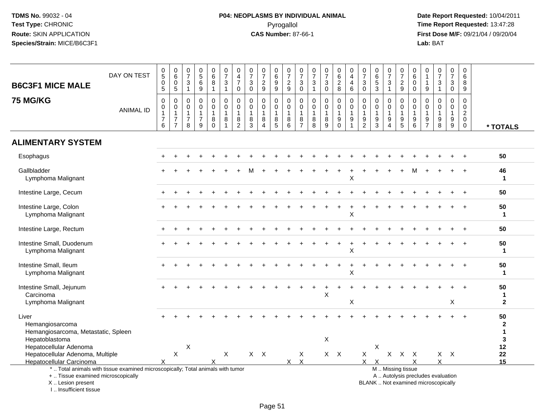# **P04: NEOPLASMS BY INDIVIDUAL ANIMAL**Pyrogallol **Time Report Requested:** 13:47:28

| <b>B6C3F1 MICE MALE</b>                                                                                                                                             | DAY ON TEST      | $\begin{array}{c} 0 \\ 5 \end{array}$<br>$\mathbf 0$<br>$\overline{5}$    | $\begin{array}{c} 0 \\ 6 \end{array}$<br>$\overline{0}$<br>$\sqrt{5}$     | $\frac{0}{7}$<br>$\mathsf 3$<br>$\mathbf{1}$                      | $\begin{matrix}0\5\6\end{matrix}$<br>$\boldsymbol{9}$   | $_{6}^{\rm 0}$<br>$\overline{8}$<br>$\mathbf{1}$      | $\frac{0}{7}$<br>$\sqrt{3}$<br>$\mathbf{1}$           | $\boldsymbol{0}$<br>$\overline{4}$<br>$\overline{7}$<br>$\mathbf 0$ | $\frac{0}{7}$<br>$\mathbf 3$<br>$\mathbf 0$          | $\frac{0}{7}$<br>$\boldsymbol{2}$<br>$9\,$                      | 0<br>$\,6\,$<br>$\boldsymbol{9}$<br>$9\,$                  | $\begin{array}{c} 0 \\ 7 \end{array}$<br>$\boldsymbol{2}$<br>$\boldsymbol{9}$ | $\frac{0}{7}$<br>$\ensuremath{\mathsf{3}}$<br>$\mathbf 0$     | $\frac{0}{7}$<br>3<br>$\mathbf{1}$         | $\begin{array}{c} 0 \\ 7 \end{array}$<br>$\mathfrak{S}$<br>$\mathbf 0$ | $\begin{array}{c} 0 \\ 6 \end{array}$<br>$\overline{2}$<br>8                | 0<br>$\overline{\mathbf{4}}$<br>4<br>$\,6\,$      | $\frac{0}{7}$<br>$\sqrt{3}$<br>$\mathbf 0$      | $\begin{array}{c} 0 \\ 6 \end{array}$<br>$\overline{5}$<br>$\mathfrak{Z}$ | $\frac{0}{7}$<br>$\ensuremath{\mathsf{3}}$<br>$\mathbf{1}$ | $\begin{array}{c} 0 \\ 7 \end{array}$<br>$\overline{c}$<br>$\boldsymbol{9}$ | 0<br>6<br>$\mathbf 0$<br>$\mathbf 0$                                | 0<br>$\mathbf{1}$<br>$\mathbf{1}$<br>$9\,$                               | $\frac{0}{7}$<br>$\sqrt{3}$<br>$\mathbf{1}$                           | $\frac{0}{7}$<br>$\mathbf{3}$<br>$\mathsf{O}$ | $\mathbf 0$<br>$\,6\,$<br>8<br>9                                        |                                            |
|---------------------------------------------------------------------------------------------------------------------------------------------------------------------|------------------|---------------------------------------------------------------------------|---------------------------------------------------------------------------|-------------------------------------------------------------------|---------------------------------------------------------|-------------------------------------------------------|-------------------------------------------------------|---------------------------------------------------------------------|------------------------------------------------------|-----------------------------------------------------------------|------------------------------------------------------------|-------------------------------------------------------------------------------|---------------------------------------------------------------|--------------------------------------------|------------------------------------------------------------------------|-----------------------------------------------------------------------------|---------------------------------------------------|-------------------------------------------------|---------------------------------------------------------------------------|------------------------------------------------------------|-----------------------------------------------------------------------------|---------------------------------------------------------------------|--------------------------------------------------------------------------|-----------------------------------------------------------------------|-----------------------------------------------|-------------------------------------------------------------------------|--------------------------------------------|
| <b>75 MG/KG</b>                                                                                                                                                     | <b>ANIMAL ID</b> | $\mathbf 0$<br>$\mathsf{O}\xspace$<br>$\mathbf{1}$<br>$\overline{7}$<br>6 | 0<br>$\boldsymbol{0}$<br>$\mathbf{1}$<br>$\overline{7}$<br>$\overline{7}$ | $\mathbf 0$<br>$\mathbf 0$<br>$\mathbf{1}$<br>$\overline{7}$<br>8 | 0<br>$\mathbf 0$<br>$\mathbf{1}$<br>$\overline{7}$<br>9 | 0<br>$\mathsf{O}$<br>$\mathbf{1}$<br>8<br>$\mathbf 0$ | 0<br>$\pmb{0}$<br>$\mathbf{1}$<br>8<br>$\overline{1}$ | $\mathbf 0$<br>$\mathbf 0$<br>$\overline{1}$<br>8<br>$\overline{c}$ | $\mathbf 0$<br>$\mathbf 0$<br>$\mathbf{1}$<br>8<br>3 | 0<br>$\mathbf 0$<br>$\overline{1}$<br>$\bf 8$<br>$\overline{4}$ | $\mathbf 0$<br>$\mathbf 0$<br>$\mathbf{1}$<br>$\,8\,$<br>5 | $\mathbf 0$<br>$\mathbf 0$<br>$\mathbf{1}$<br>8<br>6                          | 0<br>$\mathsf 0$<br>$\mathbf{1}$<br>$\,8\,$<br>$\overline{7}$ | 0<br>$\mathbf 0$<br>$\mathbf{1}$<br>8<br>8 | $\mathbf 0$<br>$\mathbf 0$<br>$\overline{1}$<br>$\bf 8$<br>9           | $\mathbf 0$<br>$\pmb{0}$<br>$\mathbf{1}$<br>$\boldsymbol{9}$<br>$\mathbf 0$ | $\mathbf 0$<br>$\mathbf 0$<br>$\overline{1}$<br>9 | 0<br>$\pmb{0}$<br>$\mathbf{1}$<br>$\frac{9}{2}$ | 0<br>$\mathbf 0$<br>$\mathbf{1}$<br>9<br>$\mathbf{3}$                     | 0<br>$\mathbf 0$<br>$\mathbf{1}$<br>9<br>$\overline{4}$    | $\mathbf 0$<br>$\mathbf 0$<br>$\mathbf{1}$<br>$\boldsymbol{9}$<br>5         | $\mathbf 0$<br>$\mathbf 0$<br>$\mathbf{1}$<br>$\boldsymbol{9}$<br>6 | 0<br>$\mathbf 0$<br>$\mathbf 1$<br>9<br>$\overline{7}$                   | $\mathbf 0$<br>$\mathbf 0$<br>$\overline{1}$<br>$\boldsymbol{9}$<br>8 | 0<br>$\mathbf 0$<br>$\mathbf{1}$<br>9<br>9    | $\Omega$<br>$\mathbf 0$<br>$\overline{2}$<br>$\mathbf 0$<br>$\mathbf 0$ | * TOTALS                                   |
| <b>ALIMENTARY SYSTEM</b>                                                                                                                                            |                  |                                                                           |                                                                           |                                                                   |                                                         |                                                       |                                                       |                                                                     |                                                      |                                                                 |                                                            |                                                                               |                                                               |                                            |                                                                        |                                                                             |                                                   |                                                 |                                                                           |                                                            |                                                                             |                                                                     |                                                                          |                                                                       |                                               |                                                                         |                                            |
| Esophagus                                                                                                                                                           |                  |                                                                           |                                                                           |                                                                   |                                                         |                                                       |                                                       |                                                                     |                                                      |                                                                 |                                                            |                                                                               |                                                               |                                            |                                                                        |                                                                             |                                                   |                                                 |                                                                           |                                                            |                                                                             |                                                                     |                                                                          |                                                                       |                                               | $\div$                                                                  | 50                                         |
| Gallbladder<br>Lymphoma Malignant                                                                                                                                   |                  |                                                                           |                                                                           |                                                                   |                                                         |                                                       |                                                       |                                                                     |                                                      |                                                                 |                                                            |                                                                               |                                                               |                                            |                                                                        |                                                                             | Χ                                                 |                                                 |                                                                           |                                                            |                                                                             |                                                                     |                                                                          |                                                                       |                                               | $\div$                                                                  | 46<br>1                                    |
| Intestine Large, Cecum                                                                                                                                              |                  |                                                                           |                                                                           |                                                                   |                                                         |                                                       |                                                       |                                                                     |                                                      |                                                                 |                                                            |                                                                               |                                                               |                                            |                                                                        |                                                                             |                                                   |                                                 |                                                                           |                                                            |                                                                             |                                                                     |                                                                          |                                                                       |                                               |                                                                         | 50                                         |
| Intestine Large, Colon<br>Lymphoma Malignant                                                                                                                        |                  |                                                                           |                                                                           |                                                                   |                                                         |                                                       |                                                       |                                                                     |                                                      |                                                                 |                                                            |                                                                               |                                                               |                                            |                                                                        |                                                                             | X                                                 |                                                 |                                                                           |                                                            |                                                                             |                                                                     |                                                                          |                                                                       |                                               |                                                                         | 50<br>1                                    |
| Intestine Large, Rectum                                                                                                                                             |                  |                                                                           |                                                                           |                                                                   |                                                         |                                                       |                                                       |                                                                     |                                                      |                                                                 |                                                            |                                                                               |                                                               |                                            |                                                                        |                                                                             |                                                   |                                                 |                                                                           |                                                            |                                                                             |                                                                     |                                                                          |                                                                       |                                               |                                                                         | 50                                         |
| Intestine Small, Duodenum<br>Lymphoma Malignant                                                                                                                     |                  |                                                                           |                                                                           |                                                                   |                                                         |                                                       |                                                       |                                                                     |                                                      |                                                                 |                                                            |                                                                               |                                                               |                                            |                                                                        |                                                                             | X                                                 |                                                 |                                                                           |                                                            |                                                                             |                                                                     |                                                                          |                                                                       |                                               |                                                                         | 50<br>1                                    |
| Intestine Small, Ileum<br>Lymphoma Malignant                                                                                                                        |                  |                                                                           |                                                                           |                                                                   |                                                         |                                                       |                                                       |                                                                     |                                                      |                                                                 |                                                            |                                                                               |                                                               |                                            |                                                                        |                                                                             | X                                                 |                                                 |                                                                           |                                                            |                                                                             |                                                                     |                                                                          |                                                                       |                                               |                                                                         | 50<br>$\mathbf{1}$                         |
| Intestine Small, Jejunum<br>Carcinoma                                                                                                                               |                  |                                                                           |                                                                           |                                                                   |                                                         |                                                       |                                                       |                                                                     |                                                      |                                                                 |                                                            |                                                                               |                                                               |                                            | X                                                                      |                                                                             |                                                   |                                                 |                                                                           |                                                            |                                                                             |                                                                     |                                                                          |                                                                       |                                               |                                                                         | 50<br>1                                    |
| Lymphoma Malignant                                                                                                                                                  |                  |                                                                           |                                                                           |                                                                   |                                                         |                                                       |                                                       |                                                                     |                                                      |                                                                 |                                                            |                                                                               |                                                               |                                            |                                                                        |                                                                             | X                                                 |                                                 |                                                                           |                                                            |                                                                             |                                                                     |                                                                          |                                                                       | X                                             |                                                                         | $\overline{2}$                             |
| Liver<br>Hemangiosarcoma<br>Hemangiosarcoma, Metastatic, Spleen                                                                                                     |                  |                                                                           |                                                                           |                                                                   |                                                         |                                                       |                                                       |                                                                     |                                                      |                                                                 |                                                            |                                                                               |                                                               |                                            |                                                                        |                                                                             |                                                   |                                                 |                                                                           |                                                            |                                                                             |                                                                     |                                                                          |                                                                       |                                               |                                                                         | 50<br>$\mathbf{2}$<br>$\blacktriangleleft$ |
| Hepatoblastoma<br>Hepatocellular Adenoma                                                                                                                            |                  |                                                                           |                                                                           | X                                                                 |                                                         |                                                       |                                                       |                                                                     |                                                      |                                                                 |                                                            |                                                                               |                                                               |                                            | X                                                                      |                                                                             |                                                   |                                                 | X                                                                         |                                                            |                                                                             |                                                                     |                                                                          |                                                                       |                                               |                                                                         | 3<br>12                                    |
| Hepatocellular Adenoma, Multiple                                                                                                                                    |                  |                                                                           | X                                                                         |                                                                   |                                                         |                                                       | X                                                     |                                                                     |                                                      | $X$ $X$                                                         |                                                            |                                                                               | X                                                             |                                            |                                                                        | $X$ $X$                                                                     |                                                   | X                                               |                                                                           | $\mathsf{X}$                                               | $\mathsf{X}$                                                                | $\mathsf{X}$                                                        |                                                                          |                                                                       | $X$ $X$                                       |                                                                         | 22                                         |
| <b>Hepatocellular Carcinoma</b>                                                                                                                                     |                  |                                                                           |                                                                           |                                                                   |                                                         |                                                       |                                                       |                                                                     |                                                      |                                                                 |                                                            | $\mathsf{X}$                                                                  | $\boldsymbol{\mathsf{X}}$                                     |                                            |                                                                        |                                                                             |                                                   | $\times$                                        | $\times$                                                                  |                                                            |                                                                             | X                                                                   |                                                                          | X                                                                     |                                               |                                                                         | 15                                         |
| *  Total animals with tissue examined microscopically; Total animals with tumor<br>+  Tissue examined microscopically<br>X  Lesion present<br>I Insufficient tissue |                  |                                                                           |                                                                           |                                                                   |                                                         |                                                       |                                                       |                                                                     |                                                      |                                                                 |                                                            |                                                                               |                                                               |                                            |                                                                        |                                                                             |                                                   |                                                 |                                                                           |                                                            | M  Missing tissue                                                           |                                                                     | A  Autolysis precludes evaluation<br>BLANK  Not examined microscopically |                                                                       |                                               |                                                                         |                                            |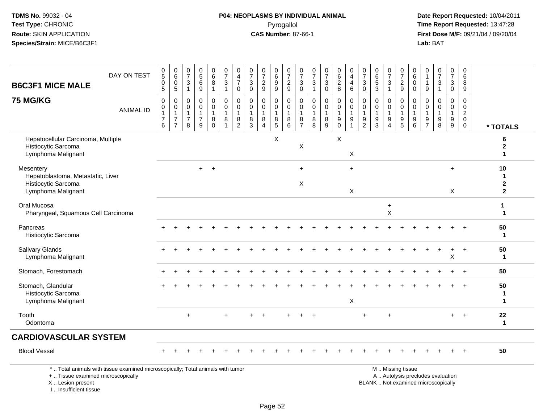I .. Insufficient tissue

# **P04: NEOPLASMS BY INDIVIDUAL ANIMAL**Pyrogallol **Time Report Requested:** 13:47:28

| <b>B6C3F1 MICE MALE</b>                                                                     | DAY ON TEST                                                                     | $\begin{smallmatrix}0\5\0\end{smallmatrix}$<br>$\sqrt{5}$              | $\begin{array}{c} 0 \\ 6 \end{array}$<br>$\pmb{0}$<br>$\sqrt{5}$             | $\mathbf 0$<br>$\overline{7}$<br>3<br>$\mathbf{1}$                | $\begin{array}{c} 0 \\ 5 \end{array}$<br>$\,6\,$<br>$9\,$                      | $_{6}^{\rm 0}$<br>$\bf 8$<br>$\mathbf{1}$                      | $\frac{0}{7}$<br>$\ensuremath{\mathsf{3}}$<br>$\mathbf{1}$ | $\pmb{0}$<br>$\overline{4}$<br>$\overline{7}$<br>$\mathbf 0$ | 0<br>$\overline{7}$<br>3<br>$\mathbf 0$             | $\frac{0}{7}$<br>$\boldsymbol{2}$<br>9                                         | 0<br>$\overline{6}$<br>9<br>$\boldsymbol{9}$ | $\begin{array}{c} 0 \\ 7 \end{array}$<br>$\frac{2}{9}$ | $\frac{0}{7}$<br>$\ensuremath{\mathsf{3}}$<br>$\mathbf 0$   | 0<br>$\overline{7}$<br>3<br>$\mathbf{1}$     | $\frac{0}{7}$<br>$\sqrt{3}$<br>$\mathsf{O}\xspace$          | 0<br>$\overline{6}$<br>$\sqrt{2}$<br>8                              | 0<br>$\overline{4}$<br>4<br>$\,6\,$                                              | $\frac{0}{7}$<br>$\ensuremath{\mathsf{3}}$<br>$\mathsf{O}\xspace$ | $\begin{array}{c} 0 \\ 6 \\ 5 \end{array}$<br>$\mathbf{3}$            | $\begin{array}{c} 0 \\ 7 \end{array}$<br>$\sqrt{3}$<br>$\mathbf{1}$ | $\begin{smallmatrix} 0\\7 \end{smallmatrix}$<br>$\sqrt{2}$<br>$\mathsf g$               | $\mathbf 0$<br>$6\overline{6}$<br>$\mathbf 0$<br>$\mathbf 0$ | $\mathbf 0$<br>$\mathbf 1$<br>-1<br>9                             | $\frac{0}{7}$<br>$\ensuremath{\mathsf{3}}$<br>$\mathbf{1}$               | $\frac{0}{7}$<br>3<br>$\mathbf 0$             | $\pmb{0}$<br>$\overline{6}$<br>8<br>9                          |                               |
|---------------------------------------------------------------------------------------------|---------------------------------------------------------------------------------|------------------------------------------------------------------------|------------------------------------------------------------------------------|-------------------------------------------------------------------|--------------------------------------------------------------------------------|----------------------------------------------------------------|------------------------------------------------------------|--------------------------------------------------------------|-----------------------------------------------------|--------------------------------------------------------------------------------|----------------------------------------------|--------------------------------------------------------|-------------------------------------------------------------|----------------------------------------------|-------------------------------------------------------------|---------------------------------------------------------------------|----------------------------------------------------------------------------------|-------------------------------------------------------------------|-----------------------------------------------------------------------|---------------------------------------------------------------------|-----------------------------------------------------------------------------------------|--------------------------------------------------------------|-------------------------------------------------------------------|--------------------------------------------------------------------------|-----------------------------------------------|----------------------------------------------------------------|-------------------------------|
| <b>75 MG/KG</b>                                                                             | <b>ANIMAL ID</b>                                                                | $\mathbf 0$<br>$\boldsymbol{0}$<br>$\mathbf{1}$<br>$\overline{7}$<br>6 | 0<br>$\mathsf{O}\xspace$<br>$\mathbf{1}$<br>$\overline{7}$<br>$\overline{7}$ | $\mathbf 0$<br>$\mathbf 0$<br>$\mathbf{1}$<br>$\overline{7}$<br>8 | $\mathbf 0$<br>$\mathbf 0$<br>$\mathbf{1}$<br>$\overline{7}$<br>$\overline{9}$ | $\mathbf 0$<br>$\overline{0}$<br>$\mathbf{1}$<br>8<br>$\Omega$ | 0<br>$\mathbf 0$<br>1<br>$\bf 8$                           | $\mathbf 0$<br>$\mathbf 0$<br>$\mathbf{1}$<br>$\frac{8}{2}$  | $\mathbf 0$<br>$\Omega$<br>$\overline{1}$<br>8<br>3 | $\mathbf 0$<br>$\mathbf 0$<br>$\mathbf{1}$<br>$\, 8$<br>$\boldsymbol{\Lambda}$ | 0<br>$\mathbf 0$<br>8<br>$\overline{5}$      | 0<br>$\bar{0}$<br>$\mathbf{1}$<br>$^8_6$               | 0<br>$\pmb{0}$<br>$\mathbf{1}$<br>$\bf 8$<br>$\overline{7}$ | 0<br>0<br>$\mathbf 1$<br>8<br>$\overline{8}$ | $\mathbf 0$<br>$\ddot{\mathbf{0}}$<br>$\mathbf 1$<br>$^8_9$ | 0<br>$\mathbf 0$<br>$\mathbf{1}$<br>$\boldsymbol{9}$<br>$\mathbf 0$ | $\mathbf 0$<br>$\mathbf 0$<br>$\mathbf{1}$<br>$\boldsymbol{9}$<br>$\overline{1}$ | 0<br>$\mathsf{O}\xspace$<br>$\mathbf{1}$<br>$\frac{9}{2}$         | $\mathbf 0$<br>$\mathbf 0$<br>$\mathbf{1}$<br>$9\,$<br>$\overline{3}$ | $\mathbf 0$<br>$\mathbf 0$<br>$9\,$<br>$\boldsymbol{\Lambda}$       | $\mathbf 0$<br>$\mathsf{O}\xspace$<br>$\mathbf 1$<br>$\boldsymbol{9}$<br>$\overline{5}$ | 0<br>$\mathbf 0$<br>$\overline{1}$<br>9<br>6                 | $\mathbf 0$<br>$\mathbf 0$<br>$\mathbf{1}$<br>9<br>$\overline{7}$ | $\mathbf 0$<br>$\mathbf 0$<br>1<br>$\boldsymbol{9}$<br>8                 | 0<br>$\overline{0}$<br>$\mathbf{1}$<br>$^9_9$ | 0<br>$\pmb{0}$<br>$\overline{c}$<br>$\mathbf 0$<br>$\mathbf 0$ | * TOTALS                      |
| Hepatocellular Carcinoma, Multiple<br>Histiocytic Sarcoma<br>Lymphoma Malignant             |                                                                                 |                                                                        |                                                                              |                                                                   |                                                                                |                                                                |                                                            |                                                              |                                                     |                                                                                | X                                            |                                                        | X                                                           |                                              |                                                             | X                                                                   | X                                                                                |                                                                   |                                                                       |                                                                     |                                                                                         |                                                              |                                                                   |                                                                          |                                               |                                                                | 6<br>2<br>1                   |
| Mesentery<br>Hepatoblastoma, Metastatic, Liver<br>Histiocytic Sarcoma<br>Lymphoma Malignant |                                                                                 |                                                                        |                                                                              |                                                                   | $+$                                                                            | $\overline{+}$                                                 |                                                            |                                                              |                                                     |                                                                                |                                              |                                                        | $+$<br>X                                                    |                                              |                                                             |                                                                     | $+$<br>$\sf X$                                                                   |                                                                   |                                                                       |                                                                     |                                                                                         |                                                              |                                                                   |                                                                          | $\ddot{}$<br>X                                |                                                                | 10<br>-1<br>2<br>$\mathbf{2}$ |
| Oral Mucosa<br>Pharyngeal, Squamous Cell Carcinoma                                          |                                                                                 |                                                                        |                                                                              |                                                                   |                                                                                |                                                                |                                                            |                                                              |                                                     |                                                                                |                                              |                                                        |                                                             |                                              |                                                             |                                                                     |                                                                                  |                                                                   |                                                                       | $\ddot{}$<br>X                                                      |                                                                                         |                                                              |                                                                   |                                                                          |                                               |                                                                | 1<br>$\mathbf 1$              |
| Pancreas<br>Histiocytic Sarcoma                                                             |                                                                                 |                                                                        |                                                                              |                                                                   |                                                                                |                                                                |                                                            |                                                              |                                                     |                                                                                |                                              |                                                        |                                                             |                                              |                                                             |                                                                     |                                                                                  |                                                                   |                                                                       |                                                                     |                                                                                         |                                                              |                                                                   |                                                                          |                                               |                                                                | 50<br>$\blacktriangleleft$    |
| <b>Salivary Glands</b><br>Lymphoma Malignant                                                |                                                                                 |                                                                        |                                                                              |                                                                   |                                                                                |                                                                |                                                            |                                                              |                                                     |                                                                                |                                              |                                                        |                                                             |                                              |                                                             |                                                                     |                                                                                  |                                                                   |                                                                       |                                                                     |                                                                                         |                                                              |                                                                   |                                                                          | $\ddot{}$<br>$\overline{\mathsf{X}}$          | $\ddot{}$                                                      | 50<br>-1                      |
| Stomach, Forestomach                                                                        |                                                                                 |                                                                        |                                                                              |                                                                   |                                                                                |                                                                |                                                            |                                                              |                                                     |                                                                                |                                              |                                                        |                                                             |                                              |                                                             |                                                                     |                                                                                  |                                                                   |                                                                       |                                                                     |                                                                                         |                                                              |                                                                   |                                                                          |                                               |                                                                | 50                            |
| Stomach, Glandular<br>Histiocytic Sarcoma<br>Lymphoma Malignant                             |                                                                                 |                                                                        |                                                                              |                                                                   |                                                                                |                                                                |                                                            |                                                              |                                                     |                                                                                |                                              |                                                        |                                                             |                                              |                                                             |                                                                     | X                                                                                |                                                                   |                                                                       |                                                                     |                                                                                         |                                                              |                                                                   |                                                                          |                                               |                                                                | 50<br>1<br>$\mathbf{1}$       |
| Tooth<br>Odontoma                                                                           |                                                                                 |                                                                        |                                                                              | $\ddot{}$                                                         |                                                                                |                                                                | $+$                                                        |                                                              |                                                     |                                                                                |                                              |                                                        |                                                             | $\ddot{}$                                    |                                                             |                                                                     |                                                                                  | $\ddot{}$                                                         |                                                                       | $\ddot{}$                                                           |                                                                                         |                                                              |                                                                   |                                                                          | $+$                                           | $+$                                                            | 22<br>$\mathbf{1}$            |
| <b>CARDIOVASCULAR SYSTEM</b>                                                                |                                                                                 |                                                                        |                                                                              |                                                                   |                                                                                |                                                                |                                                            |                                                              |                                                     |                                                                                |                                              |                                                        |                                                             |                                              |                                                             |                                                                     |                                                                                  |                                                                   |                                                                       |                                                                     |                                                                                         |                                                              |                                                                   |                                                                          |                                               |                                                                |                               |
| <b>Blood Vessel</b>                                                                         |                                                                                 |                                                                        |                                                                              |                                                                   |                                                                                |                                                                |                                                            |                                                              |                                                     |                                                                                |                                              |                                                        |                                                             |                                              |                                                             |                                                                     |                                                                                  |                                                                   |                                                                       |                                                                     |                                                                                         |                                                              |                                                                   |                                                                          |                                               |                                                                | 50                            |
| +  Tissue examined microscopically<br>X  Lesion present                                     | *  Total animals with tissue examined microscopically; Total animals with tumor |                                                                        |                                                                              |                                                                   |                                                                                |                                                                |                                                            |                                                              |                                                     |                                                                                |                                              |                                                        |                                                             |                                              |                                                             |                                                                     |                                                                                  |                                                                   |                                                                       |                                                                     | M  Missing tissue                                                                       |                                                              |                                                                   | A  Autolysis precludes evaluation<br>BLANK  Not examined microscopically |                                               |                                                                |                               |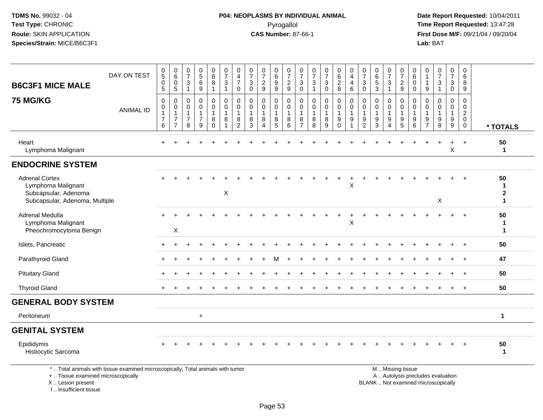# **P04: NEOPLASMS BY INDIVIDUAL ANIMAL**Pyrogallol **Time Report Requested:** 13:47:28

 **Date Report Requested:** 10/04/2011 **First Dose M/F:** 09/21/04 / 09/20/04<br>Lab: BAT **Lab:** BAT

| <b>B6C3F1 MICE MALE</b>                                                                                               | DAY ON TEST      | $\begin{array}{c} 0 \\ 5 \end{array}$<br>$\pmb{0}$<br>$\sqrt{5}$ | $\begin{array}{c} 0 \\ 6 \end{array}$<br>$\,0\,$<br>$\sqrt{5}$     | $\frac{0}{7}$<br>3<br>$\mathbf{1}$            | $\pmb{0}$<br>$\sqrt{5}$<br>6<br>9                              | $_{6}^{\rm 0}$<br>8<br>$\mathbf{1}$              | $\begin{array}{c} 0 \\ 7 \end{array}$<br>$\mathbf{3}$<br>$\mathbf{1}$ | $\begin{smallmatrix}0\\4\end{smallmatrix}$<br>$\overline{7}$<br>0    | $\frac{0}{7}$<br>$\mathbf{3}$<br>$\mathbf 0$           | $\frac{0}{7}$<br>$\sqrt{2}$<br>9                                  | $\pmb{0}$<br>$\,6\,$<br>$\boldsymbol{9}$<br>$\overline{9}$ | 0<br>$\overline{7}$<br>$\frac{2}{9}$       | $\frac{0}{7}$<br>3<br>$\mathbf 0$             | $\pmb{0}$<br>$\overline{7}$<br>3<br>$\mathbf{1}$ | $\frac{0}{7}$<br>$\ensuremath{\mathsf{3}}$<br>$\mathsf 0$ | $\begin{array}{c} 0 \\ 6 \end{array}$<br>$\sqrt{2}$<br>8            | $\pmb{0}$<br>$\overline{4}$<br>$\overline{4}$<br>6                      | $\frac{0}{7}$<br>3<br>$\mathbf 0$       | 0<br>$6\phantom{a}$<br>$\sqrt{5}$<br>$\mathbf{3}$             | $\frac{0}{7}$<br>$\ensuremath{\mathsf{3}}$<br>$\overline{1}$                  | 0<br>$\overline{7}$<br>$\sqrt{2}$<br>9    | 0<br>$\,6\,$<br>$\mathbf 0$<br>$\mathbf 0$                                        | 0<br>$\overline{1}$<br>1<br>$9\,$                                 | $\pmb{0}$<br>$\overline{7}$<br>3<br>$\mathbf{1}$ | $\frac{0}{7}$<br>3<br>$\mathbf 0$                           | $\pmb{0}$<br>6<br>8<br>9                                                      |                         |
|-----------------------------------------------------------------------------------------------------------------------|------------------|------------------------------------------------------------------|--------------------------------------------------------------------|-----------------------------------------------|----------------------------------------------------------------|--------------------------------------------------|-----------------------------------------------------------------------|----------------------------------------------------------------------|--------------------------------------------------------|-------------------------------------------------------------------|------------------------------------------------------------|--------------------------------------------|-----------------------------------------------|--------------------------------------------------|-----------------------------------------------------------|---------------------------------------------------------------------|-------------------------------------------------------------------------|-----------------------------------------|---------------------------------------------------------------|-------------------------------------------------------------------------------|-------------------------------------------|-----------------------------------------------------------------------------------|-------------------------------------------------------------------|--------------------------------------------------|-------------------------------------------------------------|-------------------------------------------------------------------------------|-------------------------|
| <b>75 MG/KG</b>                                                                                                       | <b>ANIMAL ID</b> | 0<br>0<br>$\mathbf 1$<br>$\overline{7}$<br>6                     | 0<br>$\pmb{0}$<br>$\mathbf{1}$<br>$\overline{7}$<br>$\overline{7}$ | 0<br>0<br>$\mathbf{1}$<br>$\overline{7}$<br>8 | $\mathbf 0$<br>$\Omega$<br>$\mathbf{1}$<br>$\overline{7}$<br>9 | $\mathbf 0$<br>$\mathbf 0$<br>1<br>8<br>$\Omega$ | 0<br>$\mathbf 0$<br>$\mathbf{1}$<br>8                                 | $\mathbf 0$<br>$\pmb{0}$<br>$\mathbf{1}$<br>$\bf8$<br>$\overline{2}$ | $\mathbf 0$<br>$\mathbf 0$<br>$\overline{1}$<br>8<br>3 | $\mathbf 0$<br>$\mathbf 0$<br>$\mathbf{1}$<br>$\,8\,$<br>$\Delta$ | 0<br>$\boldsymbol{0}$<br>$\mathbf{1}$<br>$\, 8$<br>5       | 0<br>$\mathbf 0$<br>$\mathbf{1}$<br>8<br>6 | 0<br>0<br>$\mathbf{1}$<br>8<br>$\overline{7}$ | 0<br>$\mathbf 0$<br>$\mathbf{1}$<br>8<br>8       | $\mathbf 0$<br>$\pmb{0}$<br>$\mathbf{1}$<br>$\bf 8$<br>9  | 0<br>$\mathbf 0$<br>$\mathbf{1}$<br>$\boldsymbol{9}$<br>$\mathbf 0$ | $\mathbf 0$<br>$\mathbf 0$<br>$\overline{1}$<br>$9\,$<br>$\overline{1}$ | 0<br>$\mathbf 0$<br>9<br>$\overline{2}$ | $\Omega$<br>$\Omega$<br>$\mathbf{1}$<br>$\boldsymbol{9}$<br>3 | $\mathbf 0$<br>$\mathbf 0$<br>$\mathbf{1}$<br>$9\,$<br>$\boldsymbol{\Lambda}$ | 0<br>$\mathbf 0$<br>$\mathbf 1$<br>9<br>5 | $\mathbf 0$<br>$\mathbf 0$<br>$\mathbf{1}$<br>$\boldsymbol{9}$<br>$6\phantom{1}6$ | $\Omega$<br>$\Omega$<br>$\overline{1}$<br>$9\,$<br>$\overline{7}$ | $\Omega$<br>$\Omega$<br>1<br>9<br>8              | 0<br>$\mathbf 0$<br>$\mathbf{1}$<br>$9\,$<br>$\overline{9}$ | $\mathbf 0$<br>$\mathbf 0$<br>$\overline{c}$<br>$\mathbf 0$<br>$\overline{0}$ | * TOTALS                |
| Heart<br>Lymphoma Malignant                                                                                           |                  |                                                                  |                                                                    |                                               |                                                                |                                                  |                                                                       |                                                                      |                                                        |                                                                   |                                                            |                                            |                                               |                                                  |                                                           |                                                                     |                                                                         |                                         |                                                               |                                                                               |                                           |                                                                                   |                                                                   |                                                  | Χ                                                           |                                                                               | 50<br>$\mathbf 1$       |
| <b>ENDOCRINE SYSTEM</b>                                                                                               |                  |                                                                  |                                                                    |                                               |                                                                |                                                  |                                                                       |                                                                      |                                                        |                                                                   |                                                            |                                            |                                               |                                                  |                                                           |                                                                     |                                                                         |                                         |                                                               |                                                                               |                                           |                                                                                   |                                                                   |                                                  |                                                             |                                                                               |                         |
| <b>Adrenal Cortex</b><br>Lymphoma Malignant<br>Subcapsular, Adenoma                                                   |                  |                                                                  |                                                                    |                                               |                                                                |                                                  | $\mathsf{X}$                                                          |                                                                      |                                                        |                                                                   |                                                            |                                            |                                               |                                                  |                                                           |                                                                     | X                                                                       |                                         |                                                               |                                                                               |                                           |                                                                                   |                                                                   |                                                  |                                                             |                                                                               | 50<br>-1<br>$\mathbf 2$ |
| Subcapsular, Adenoma, Multiple                                                                                        |                  |                                                                  |                                                                    |                                               |                                                                |                                                  |                                                                       |                                                                      |                                                        |                                                                   |                                                            |                                            |                                               |                                                  |                                                           |                                                                     |                                                                         |                                         |                                                               |                                                                               |                                           |                                                                                   |                                                                   | X                                                |                                                             |                                                                               | 1                       |
| Adrenal Medulla<br>Lymphoma Malignant<br>Pheochromocytoma Benign                                                      |                  |                                                                  | X                                                                  |                                               |                                                                |                                                  |                                                                       |                                                                      |                                                        |                                                                   |                                                            |                                            |                                               |                                                  |                                                           |                                                                     | X                                                                       |                                         |                                                               |                                                                               |                                           |                                                                                   |                                                                   |                                                  |                                                             |                                                                               | 50<br>-1<br>1           |
| Islets, Pancreatic                                                                                                    |                  |                                                                  |                                                                    |                                               |                                                                |                                                  |                                                                       |                                                                      |                                                        |                                                                   |                                                            |                                            |                                               |                                                  |                                                           |                                                                     |                                                                         |                                         |                                                               |                                                                               |                                           |                                                                                   |                                                                   |                                                  |                                                             |                                                                               | 50                      |
| Parathyroid Gland                                                                                                     |                  |                                                                  |                                                                    |                                               |                                                                |                                                  |                                                                       |                                                                      |                                                        |                                                                   | м                                                          |                                            |                                               |                                                  |                                                           |                                                                     |                                                                         |                                         |                                                               |                                                                               |                                           |                                                                                   |                                                                   |                                                  |                                                             | $\overline{+}$                                                                | 47                      |
| <b>Pituitary Gland</b>                                                                                                |                  |                                                                  |                                                                    |                                               |                                                                |                                                  |                                                                       |                                                                      |                                                        |                                                                   |                                                            |                                            |                                               |                                                  |                                                           |                                                                     |                                                                         |                                         |                                                               |                                                                               |                                           |                                                                                   |                                                                   |                                                  |                                                             |                                                                               | 50                      |
| <b>Thyroid Gland</b>                                                                                                  |                  |                                                                  |                                                                    |                                               |                                                                |                                                  |                                                                       |                                                                      |                                                        |                                                                   |                                                            |                                            |                                               |                                                  |                                                           |                                                                     |                                                                         |                                         |                                                               |                                                                               |                                           |                                                                                   |                                                                   |                                                  |                                                             |                                                                               | 50                      |
| <b>GENERAL BODY SYSTEM</b>                                                                                            |                  |                                                                  |                                                                    |                                               |                                                                |                                                  |                                                                       |                                                                      |                                                        |                                                                   |                                                            |                                            |                                               |                                                  |                                                           |                                                                     |                                                                         |                                         |                                                               |                                                                               |                                           |                                                                                   |                                                                   |                                                  |                                                             |                                                                               |                         |
| Peritoneum                                                                                                            |                  |                                                                  |                                                                    |                                               | $\ddot{}$                                                      |                                                  |                                                                       |                                                                      |                                                        |                                                                   |                                                            |                                            |                                               |                                                  |                                                           |                                                                     |                                                                         |                                         |                                                               |                                                                               |                                           |                                                                                   |                                                                   |                                                  |                                                             |                                                                               | $\mathbf{1}$            |
| <b>GENITAL SYSTEM</b>                                                                                                 |                  |                                                                  |                                                                    |                                               |                                                                |                                                  |                                                                       |                                                                      |                                                        |                                                                   |                                                            |                                            |                                               |                                                  |                                                           |                                                                     |                                                                         |                                         |                                                               |                                                                               |                                           |                                                                                   |                                                                   |                                                  |                                                             |                                                                               |                         |
| Epididymis<br>Histiocytic Sarcoma                                                                                     |                  |                                                                  |                                                                    |                                               |                                                                |                                                  |                                                                       |                                                                      |                                                        |                                                                   |                                                            |                                            |                                               |                                                  |                                                           |                                                                     |                                                                         |                                         |                                                               |                                                                               |                                           |                                                                                   |                                                                   |                                                  |                                                             |                                                                               | 50<br>$\mathbf 1$       |
| *  Total animals with tissue examined microscopically; Total animals with tumor<br>+  Tissue examined microscopically |                  |                                                                  |                                                                    |                                               |                                                                |                                                  |                                                                       |                                                                      |                                                        |                                                                   |                                                            |                                            |                                               |                                                  |                                                           |                                                                     |                                                                         |                                         |                                                               |                                                                               | M  Missing tissue                         |                                                                                   |                                                                   | A  Autolysis precludes evaluation                |                                                             |                                                                               |                         |

 Lesion present BLANK .. Not examined microscopicallyX .. Lesion present

I .. Insufficient tissue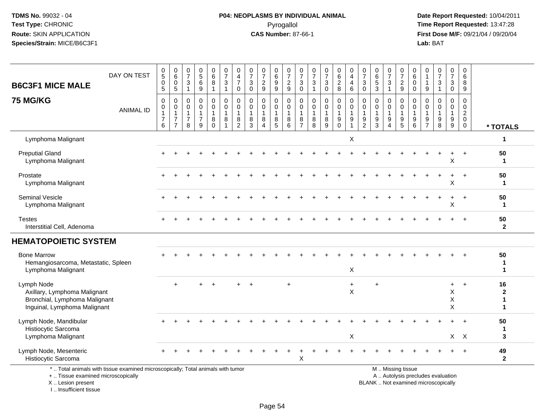I .. Insufficient tissue

# **P04: NEOPLASMS BY INDIVIDUAL ANIMAL**Pyrogallol **Time Report Requested:** 13:47:28

| <b>B6C3F1 MICE MALE</b>                                                                                     | DAY ON TEST                                                                     | $\begin{array}{c} 0 \\ 5 \end{array}$<br>$\pmb{0}$<br>$\overline{5}$    | $\begin{array}{c} 0 \\ 6 \end{array}$<br>0<br>5            | 0<br>$\overline{7}$<br>$\mathbf{3}$<br>$\mathbf{1}$              | $\begin{array}{c} 0 \\ 5 \end{array}$<br>$\,6\,$<br>$\boldsymbol{9}$ | $\pmb{0}$<br>$\,6\,$<br>8<br>$\overline{1}$                | $\frac{0}{7}$<br>$\sqrt{3}$<br>$\mathbf{1}$                                | 0<br>$\overline{\mathbf{4}}$<br>$\overline{7}$<br>0               | 0<br>$\boldsymbol{7}$<br>$\mathbf{3}$<br>$\mathbf 0$      | $\frac{0}{7}$<br>$\overline{2}$<br>9                            | 0<br>6<br>9<br>$\overline{9}$             | $\frac{0}{7}$<br>$\frac{2}{9}$                                         | 0<br>$\overline{7}$<br>3<br>0                              | 0<br>$\overline{7}$<br>3<br>$\mathbf{1}$                   | $\frac{0}{7}$<br>3<br>$\mathbf 0$ | 0<br>$\,6\,$<br>$\overline{c}$<br>8                                    | 0<br>$\overline{4}$<br>4<br>6                                                    | 0<br>$\overline{7}$<br>3<br>0                                                    | $\begin{array}{c} 0 \\ 6 \end{array}$<br>$\sqrt{5}$<br>$\overline{3}$ | 0<br>$\overline{7}$<br>3<br>$\mathbf{1}$                  | $\pmb{0}$<br>$\overline{7}$<br>$\frac{2}{9}$ | 0<br>$\,6$<br>0<br>$\mathbf 0$                  | $\Omega$<br>$\overline{1}$<br>-1<br>$\boldsymbol{9}$ | $\frac{0}{7}$<br>$\mathbf{3}$<br>$\mathbf{1}$                            | 0<br>$\overline{7}$<br>3<br>0                                   | $\mathbf 0$<br>$\,6\,$<br>8<br>9                                           |                                        |
|-------------------------------------------------------------------------------------------------------------|---------------------------------------------------------------------------------|-------------------------------------------------------------------------|------------------------------------------------------------|------------------------------------------------------------------|----------------------------------------------------------------------|------------------------------------------------------------|----------------------------------------------------------------------------|-------------------------------------------------------------------|-----------------------------------------------------------|-----------------------------------------------------------------|-------------------------------------------|------------------------------------------------------------------------|------------------------------------------------------------|------------------------------------------------------------|-----------------------------------|------------------------------------------------------------------------|----------------------------------------------------------------------------------|----------------------------------------------------------------------------------|-----------------------------------------------------------------------|-----------------------------------------------------------|----------------------------------------------|-------------------------------------------------|------------------------------------------------------|--------------------------------------------------------------------------|-----------------------------------------------------------------|----------------------------------------------------------------------------|----------------------------------------|
| <b>75 MG/KG</b>                                                                                             | <b>ANIMAL ID</b>                                                                | $\pmb{0}$<br>$\mathsf{O}\xspace$<br>$\mathbf{1}$<br>$\overline{7}$<br>6 | 0<br>0<br>$\mathbf{1}$<br>$\overline{7}$<br>$\overline{7}$ | $\mathbf 0$<br>$\mathbf 0$<br>$\mathbf 1$<br>$\overline{7}$<br>8 | 0<br>$\mathbf 0$<br>$\mathbf{1}$<br>$\overline{7}$<br>9              | 0<br>$\mathbf 0$<br>$\mathbf{1}$<br>$\bf 8$<br>$\mathbf 0$ | $\mathbf 0$<br>$\boldsymbol{0}$<br>$\mathbf{1}$<br>$\,8\,$<br>$\mathbf{1}$ | $\mathbf 0$<br>$\mathbf 0$<br>$\mathbf{1}$<br>8<br>$\overline{2}$ | $\mathbf 0$<br>$\mathbf 0$<br>$\mathbf{1}$<br>$\bf8$<br>3 | 0<br>$\mathbf 0$<br>$\mathbf{1}$<br>8<br>$\boldsymbol{\Lambda}$ | 0<br>$\mathbf 0$<br>$\mathbf 1$<br>8<br>5 | $\mathbf 0$<br>$\mathbf 0$<br>$\mathbf{1}$<br>$\, 8$<br>$6\phantom{1}$ | 0<br>$\mathbf{0}$<br>$\overline{1}$<br>8<br>$\overline{7}$ | $\mathbf 0$<br>$\mathbf 0$<br>$\mathbf{1}$<br>$\,8\,$<br>8 | 0<br>$\mathbf 0$<br>1<br>8<br>9   | 0<br>$\mathbf 0$<br>$\mathbf{1}$<br>$\boldsymbol{9}$<br>$\overline{0}$ | $\mathbf 0$<br>$\mathsf 0$<br>$\mathbf{1}$<br>$\boldsymbol{9}$<br>$\overline{1}$ | $\mathbf 0$<br>$\mathbf 0$<br>$\mathbf{1}$<br>$\boldsymbol{9}$<br>$\overline{2}$ | $\mathbf 0$<br>$\mathbf 0$<br>$\mathbf{1}$<br>$\boldsymbol{9}$<br>3   | 0<br>$\mathbf 0$<br>$\mathbf{1}$<br>$\boldsymbol{9}$<br>4 | 0<br>$\mathbf 0$<br>$\mathbf{1}$<br>9<br>5   | 0<br>$\mathbf{0}$<br>1<br>$\boldsymbol{9}$<br>6 | 0<br>$\mathbf 0$<br>9<br>$\overline{7}$              | 0<br>$\mathbf 0$<br>$\mathbf{1}$<br>$\boldsymbol{9}$<br>8                | $\mathbf 0$<br>$\overline{0}$<br>$\mathbf{1}$<br>$9\,$<br>$9\,$ | $\mathbf 0$<br>$\mathbf 0$<br>$\overline{2}$<br>$\mathbf 0$<br>$\mathbf 0$ | * TOTALS                               |
| Lymphoma Malignant                                                                                          |                                                                                 |                                                                         |                                                            |                                                                  |                                                                      |                                                            |                                                                            |                                                                   |                                                           |                                                                 |                                           |                                                                        |                                                            |                                                            |                                   |                                                                        | X                                                                                |                                                                                  |                                                                       |                                                           |                                              |                                                 |                                                      |                                                                          |                                                                 |                                                                            | $\mathbf 1$                            |
| <b>Preputial Gland</b><br>Lymphoma Malignant                                                                |                                                                                 |                                                                         |                                                            |                                                                  |                                                                      |                                                            |                                                                            |                                                                   |                                                           |                                                                 |                                           |                                                                        |                                                            |                                                            |                                   |                                                                        |                                                                                  |                                                                                  |                                                                       |                                                           |                                              |                                                 |                                                      |                                                                          | X                                                               |                                                                            | 50<br>$\mathbf{1}$                     |
| Prostate<br>Lymphoma Malignant                                                                              |                                                                                 |                                                                         |                                                            |                                                                  |                                                                      |                                                            |                                                                            |                                                                   |                                                           |                                                                 |                                           |                                                                        |                                                            |                                                            |                                   |                                                                        |                                                                                  |                                                                                  |                                                                       |                                                           |                                              |                                                 |                                                      |                                                                          | X                                                               | $\div$                                                                     | 50<br>$\mathbf{1}$                     |
| Seminal Vesicle<br>Lymphoma Malignant                                                                       |                                                                                 |                                                                         |                                                            |                                                                  |                                                                      |                                                            |                                                                            |                                                                   |                                                           |                                                                 |                                           |                                                                        |                                                            |                                                            |                                   |                                                                        |                                                                                  |                                                                                  |                                                                       |                                                           |                                              |                                                 |                                                      |                                                                          | $\ddot{}$<br>X                                                  | $+$                                                                        | 50<br>$\mathbf{1}$                     |
| <b>Testes</b><br>Interstitial Cell, Adenoma                                                                 |                                                                                 |                                                                         |                                                            |                                                                  |                                                                      |                                                            |                                                                            |                                                                   |                                                           |                                                                 |                                           |                                                                        |                                                            |                                                            |                                   |                                                                        |                                                                                  |                                                                                  |                                                                       |                                                           |                                              |                                                 |                                                      |                                                                          |                                                                 |                                                                            | 50<br>$\mathbf{2}$                     |
| <b>HEMATOPOIETIC SYSTEM</b>                                                                                 |                                                                                 |                                                                         |                                                            |                                                                  |                                                                      |                                                            |                                                                            |                                                                   |                                                           |                                                                 |                                           |                                                                        |                                                            |                                                            |                                   |                                                                        |                                                                                  |                                                                                  |                                                                       |                                                           |                                              |                                                 |                                                      |                                                                          |                                                                 |                                                                            |                                        |
| <b>Bone Marrow</b><br>Hemangiosarcoma, Metastatic, Spleen<br>Lymphoma Malignant                             |                                                                                 |                                                                         |                                                            |                                                                  |                                                                      |                                                            |                                                                            |                                                                   |                                                           |                                                                 |                                           |                                                                        |                                                            |                                                            |                                   |                                                                        | X                                                                                |                                                                                  |                                                                       |                                                           |                                              |                                                 |                                                      |                                                                          |                                                                 |                                                                            | 50<br>-1<br>$\blacktriangleleft$       |
| Lymph Node<br>Axillary, Lymphoma Malignant<br>Bronchial, Lymphoma Malignant<br>Inguinal, Lymphoma Malignant |                                                                                 |                                                                         | $\div$                                                     |                                                                  |                                                                      |                                                            |                                                                            |                                                                   |                                                           |                                                                 |                                           | $\overline{ }$                                                         |                                                            |                                                            |                                   |                                                                        | $\ddot{}$<br>$\pmb{\times}$                                                      |                                                                                  |                                                                       |                                                           |                                              |                                                 |                                                      |                                                                          | $\ddot{}$<br>X<br>X<br>X                                        | $+$                                                                        | 16<br>$\mathbf{2}$<br>$\mathbf 1$<br>1 |
| Lymph Node, Mandibular<br>Histiocytic Sarcoma<br>Lymphoma Malignant                                         |                                                                                 |                                                                         |                                                            |                                                                  |                                                                      |                                                            |                                                                            |                                                                   |                                                           |                                                                 |                                           |                                                                        |                                                            |                                                            |                                   |                                                                        | X                                                                                |                                                                                  |                                                                       |                                                           |                                              |                                                 |                                                      |                                                                          |                                                                 | $X \times$                                                                 | 50<br>1<br>3                           |
| Lymph Node, Mesenteric<br>Histiocytic Sarcoma                                                               |                                                                                 |                                                                         |                                                            |                                                                  |                                                                      |                                                            |                                                                            |                                                                   |                                                           |                                                                 |                                           |                                                                        | X                                                          |                                                            |                                   |                                                                        |                                                                                  |                                                                                  |                                                                       |                                                           |                                              |                                                 |                                                      |                                                                          |                                                                 | $+$                                                                        | 49<br>$\mathbf{2}$                     |
| +  Tissue examined microscopically<br>X  Lesion present                                                     | *  Total animals with tissue examined microscopically; Total animals with tumor |                                                                         |                                                            |                                                                  |                                                                      |                                                            |                                                                            |                                                                   |                                                           |                                                                 |                                           |                                                                        |                                                            |                                                            |                                   |                                                                        |                                                                                  |                                                                                  |                                                                       |                                                           | M  Missing tissue                            |                                                 |                                                      | A  Autolysis precludes evaluation<br>BLANK  Not examined microscopically |                                                                 |                                                                            |                                        |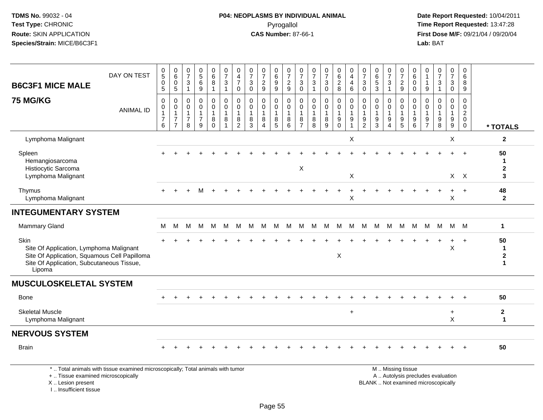# **P04: NEOPLASMS BY INDIVIDUAL ANIMAL**Pyrogallol **Time Report Requested:** 13:47:28

 **Date Report Requested:** 10/04/2011 **First Dose M/F:** 09/21/04 / 09/20/04<br>Lab: BAT **Lab:** BAT

|                                                                                                                                                        | DAY ON TEST                                                                     | $\begin{matrix} 0 \\ 5 \end{matrix}$          | $\begin{array}{c} 0 \\ 6 \end{array}$                              | 0<br>$\overline{7}$                          | $\begin{array}{c} 0 \\ 5 \end{array}$                                        | $\begin{array}{c} 0 \\ 6 \end{array}$      | $\frac{0}{7}$                                                              | 0<br>$\overline{\mathbf{4}}$                            | $\frac{0}{7}$                                                        | $\frac{0}{7}$                                           | 0<br>$6\phantom{a}$                                                   | $\frac{0}{7}$                                                  | $\frac{0}{7}$                                                            | $\frac{0}{7}$                                             | $\frac{0}{7}$                                               | 0<br>6                                                                        | 0<br>$\overline{\mathbf{4}}$                                         | $\frac{0}{7}$                                                       | $\begin{array}{c} 0 \\ 6 \end{array}$                               | 0<br>$\overline{7}$                                               | $\mathbf 0$<br>$\overline{7}$                                       | 0<br>6                                                      | 0<br>$\overline{1}$                                             | $\frac{0}{7}$                         | $\pmb{0}$<br>$\overline{7}$                                         | 0<br>6                                                            |                                                 |
|--------------------------------------------------------------------------------------------------------------------------------------------------------|---------------------------------------------------------------------------------|-----------------------------------------------|--------------------------------------------------------------------|----------------------------------------------|------------------------------------------------------------------------------|--------------------------------------------|----------------------------------------------------------------------------|---------------------------------------------------------|----------------------------------------------------------------------|---------------------------------------------------------|-----------------------------------------------------------------------|----------------------------------------------------------------|--------------------------------------------------------------------------|-----------------------------------------------------------|-------------------------------------------------------------|-------------------------------------------------------------------------------|----------------------------------------------------------------------|---------------------------------------------------------------------|---------------------------------------------------------------------|-------------------------------------------------------------------|---------------------------------------------------------------------|-------------------------------------------------------------|-----------------------------------------------------------------|---------------------------------------|---------------------------------------------------------------------|-------------------------------------------------------------------|-------------------------------------------------|
| <b>B6C3F1 MICE MALE</b>                                                                                                                                |                                                                                 | 0<br>5                                        | 0<br>5                                                             | 3                                            | $\,6\,$<br>$\overline{9}$                                                    | 8<br>$\overline{\mathbf{1}}$               | $\sqrt{3}$<br>$\mathbf{1}$                                                 | $\overline{7}$<br>$\mathbf 0$                           | $\ensuremath{\mathsf{3}}$<br>$\mathbf 0$                             | $\overline{a}$<br>9                                     | $\boldsymbol{9}$<br>9                                                 | $\frac{2}{9}$                                                  | $_0^3$                                                                   | $\sqrt{3}$<br>$\overline{1}$                              | $\ensuremath{\mathsf{3}}$<br>$\mathbf 0$                    | $_{\rm 8}^2$                                                                  | 4<br>$\,6\,$                                                         | $\ensuremath{\mathsf{3}}$<br>$\mathbf 0$                            | $\mathbf 5$<br>3                                                    | 3<br>$\overline{1}$                                               | $\frac{2}{9}$                                                       | $\mathbf 0$<br>$\mathbf 0$                                  | 1<br>$9\,$                                                      | 3                                     | 3<br>$\mathbf 0$                                                    | 8<br>9                                                            |                                                 |
| <b>75 MG/KG</b>                                                                                                                                        | <b>ANIMAL ID</b>                                                                | 0<br>0<br>$\mathbf{1}$<br>$\overline{7}$<br>6 | 0<br>$\pmb{0}$<br>$\mathbf{1}$<br>$\overline{7}$<br>$\overline{7}$ | 0<br>$\mathbf 0$<br>1<br>$\overline{7}$<br>8 | $\mathbf 0$<br>$\pmb{0}$<br>$\mathbf{1}$<br>$\overline{7}$<br>$\overline{9}$ | 0<br>0<br>$\mathbf{1}$<br>8<br>$\mathbf 0$ | $\mathbf 0$<br>$\boldsymbol{0}$<br>$\mathbf{1}$<br>$\,8\,$<br>$\mathbf{1}$ | 0<br>$\mathbf 0$<br>$\mathbf{1}$<br>8<br>$\overline{2}$ | $\mathbf 0$<br>$\mathbf 0$<br>$\mathbf{1}$<br>$\bf8$<br>$\mathbf{3}$ | 0<br>$\mathbf 0$<br>$\mathbf{1}$<br>8<br>$\overline{A}$ | 0<br>$\mathsf{O}\xspace$<br>$\mathbf{1}$<br>$\bf 8$<br>$\overline{5}$ | $\mathbf 0$<br>0<br>$\mathbf{1}$<br>$\bf 8$<br>$6\phantom{1}6$ | $\mathbf 0$<br>$\mathbf 0$<br>$\overline{1}$<br>$\, 8$<br>$\overline{7}$ | $\mathbf 0$<br>$\mathbf 0$<br>$\mathbf{1}$<br>$\, 8$<br>8 | 0<br>$\pmb{0}$<br>$\mathbf{1}$<br>$\bf 8$<br>$\overline{9}$ | $\mathbf 0$<br>$\mathbf 0$<br>$\mathbf{1}$<br>$\boldsymbol{9}$<br>$\mathbf 0$ | 0<br>$\mathbf 0$<br>$\mathbf{1}$<br>$\boldsymbol{9}$<br>$\mathbf{1}$ | $\Omega$<br>0<br>$\mathbf{1}$<br>$\boldsymbol{9}$<br>$\overline{2}$ | $\mathbf 0$<br>$\mathbf 0$<br>1<br>$\boldsymbol{9}$<br>$\mathbf{3}$ | $\mathbf 0$<br>$\mathbf 0$<br>$\mathbf{1}$<br>9<br>$\overline{4}$ | $\mathbf 0$<br>$\mathbf 0$<br>$\mathbf{1}$<br>$\boldsymbol{9}$<br>5 | $\Omega$<br>$\Omega$<br>$\mathbf{1}$<br>9<br>$6\phantom{1}$ | $\Omega$<br>$\Omega$<br>1<br>$\boldsymbol{9}$<br>$\overline{7}$ | $\mathbf{0}$<br>$\mathbf 0$<br>9<br>8 | $\mathbf 0$<br>$\mathbf 0$<br>$\mathbf{1}$<br>$\boldsymbol{9}$<br>9 | 0<br>$\mathbf 0$<br>$\overline{c}$<br>$\mathbf 0$<br>$\mathsf{O}$ | * TOTALS                                        |
| Lymphoma Malignant                                                                                                                                     |                                                                                 |                                               |                                                                    |                                              |                                                                              |                                            |                                                                            |                                                         |                                                                      |                                                         |                                                                       |                                                                |                                                                          |                                                           |                                                             |                                                                               | Χ                                                                    |                                                                     |                                                                     |                                                                   |                                                                     |                                                             |                                                                 |                                       | X                                                                   |                                                                   | $\mathbf{2}$                                    |
| Spleen<br>Hemangiosarcoma                                                                                                                              |                                                                                 |                                               |                                                                    |                                              |                                                                              |                                            |                                                                            |                                                         |                                                                      |                                                         |                                                                       |                                                                | $\boldsymbol{\mathsf{X}}$                                                |                                                           |                                                             |                                                                               |                                                                      |                                                                     |                                                                     |                                                                   |                                                                     |                                                             |                                                                 |                                       | $\div$                                                              | $+$                                                               | 50<br>1                                         |
| Histiocytic Sarcoma<br>Lymphoma Malignant                                                                                                              |                                                                                 |                                               |                                                                    |                                              |                                                                              |                                            |                                                                            |                                                         |                                                                      |                                                         |                                                                       |                                                                |                                                                          |                                                           |                                                             |                                                                               | X                                                                    |                                                                     |                                                                     |                                                                   |                                                                     |                                                             |                                                                 |                                       |                                                                     | $X$ $X$                                                           | $\mathbf{2}$<br>3                               |
| Thymus<br>Lymphoma Malignant                                                                                                                           |                                                                                 |                                               |                                                                    |                                              |                                                                              |                                            |                                                                            |                                                         |                                                                      |                                                         |                                                                       |                                                                |                                                                          |                                                           |                                                             |                                                                               | $\mathsf X$                                                          |                                                                     |                                                                     |                                                                   |                                                                     |                                                             |                                                                 |                                       | $\mathsf X$                                                         | $+$                                                               | 48<br>$\mathbf{2}$                              |
| <b>INTEGUMENTARY SYSTEM</b>                                                                                                                            |                                                                                 |                                               |                                                                    |                                              |                                                                              |                                            |                                                                            |                                                         |                                                                      |                                                         |                                                                       |                                                                |                                                                          |                                                           |                                                             |                                                                               |                                                                      |                                                                     |                                                                     |                                                                   |                                                                     |                                                             |                                                                 |                                       |                                                                     |                                                                   |                                                 |
| <b>Mammary Gland</b>                                                                                                                                   |                                                                                 | м                                             | м                                                                  | M                                            | M                                                                            | M                                          | М                                                                          | M                                                       | М                                                                    | M                                                       | M                                                                     | M                                                              | M                                                                        | м                                                         | M                                                           | M                                                                             | M                                                                    | M                                                                   | M                                                                   | M                                                                 | M                                                                   | M                                                           | M                                                               | M                                     |                                                                     | M M                                                               | 1                                               |
| Skin<br>Site Of Application, Lymphoma Malignant<br>Site Of Application, Squamous Cell Papilloma<br>Site Of Application, Subcutaneous Tissue,<br>Lipoma |                                                                                 |                                               |                                                                    |                                              |                                                                              |                                            |                                                                            |                                                         |                                                                      |                                                         |                                                                       |                                                                |                                                                          |                                                           |                                                             | X                                                                             |                                                                      |                                                                     |                                                                     |                                                                   |                                                                     |                                                             |                                                                 |                                       | $\boldsymbol{\mathsf{X}}$                                           | $\ddot{}$                                                         | 50<br>$\mathbf 1$<br>$\mathbf 2$<br>$\mathbf 1$ |
| <b>MUSCULOSKELETAL SYSTEM</b>                                                                                                                          |                                                                                 |                                               |                                                                    |                                              |                                                                              |                                            |                                                                            |                                                         |                                                                      |                                                         |                                                                       |                                                                |                                                                          |                                                           |                                                             |                                                                               |                                                                      |                                                                     |                                                                     |                                                                   |                                                                     |                                                             |                                                                 |                                       |                                                                     |                                                                   |                                                 |
| Bone                                                                                                                                                   |                                                                                 |                                               |                                                                    |                                              |                                                                              |                                            |                                                                            |                                                         |                                                                      |                                                         |                                                                       |                                                                |                                                                          |                                                           |                                                             |                                                                               |                                                                      |                                                                     |                                                                     |                                                                   |                                                                     |                                                             |                                                                 |                                       |                                                                     |                                                                   | 50                                              |
| <b>Skeletal Muscle</b><br>Lymphoma Malignant                                                                                                           |                                                                                 |                                               |                                                                    |                                              |                                                                              |                                            |                                                                            |                                                         |                                                                      |                                                         |                                                                       |                                                                |                                                                          |                                                           |                                                             |                                                                               | $\ddot{}$                                                            |                                                                     |                                                                     |                                                                   |                                                                     |                                                             |                                                                 |                                       | $\ddot{}$<br>X                                                      |                                                                   | $\mathbf{2}$<br>$\mathbf{1}$                    |
| <b>NERVOUS SYSTEM</b>                                                                                                                                  |                                                                                 |                                               |                                                                    |                                              |                                                                              |                                            |                                                                            |                                                         |                                                                      |                                                         |                                                                       |                                                                |                                                                          |                                                           |                                                             |                                                                               |                                                                      |                                                                     |                                                                     |                                                                   |                                                                     |                                                             |                                                                 |                                       |                                                                     |                                                                   |                                                 |
| <b>Brain</b>                                                                                                                                           |                                                                                 |                                               |                                                                    |                                              |                                                                              |                                            |                                                                            |                                                         |                                                                      |                                                         |                                                                       |                                                                |                                                                          |                                                           |                                                             |                                                                               |                                                                      |                                                                     |                                                                     |                                                                   |                                                                     |                                                             |                                                                 |                                       |                                                                     |                                                                   | 50                                              |
| +  Tissue examined microscopically                                                                                                                     | *  Total animals with tissue examined microscopically; Total animals with tumor |                                               |                                                                    |                                              |                                                                              |                                            |                                                                            |                                                         |                                                                      |                                                         |                                                                       |                                                                |                                                                          |                                                           |                                                             |                                                                               |                                                                      |                                                                     |                                                                     |                                                                   | M. Missing tissue<br>A  Autolysis precludes evaluation              |                                                             |                                                                 |                                       |                                                                     |                                                                   |                                                 |

Lesion present BLANK .. Not examined microscopically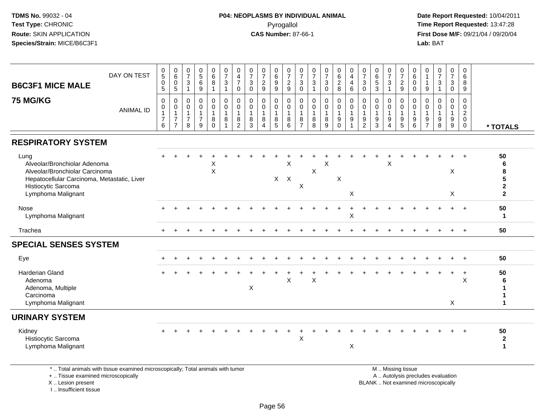#### **P04: NEOPLASMS BY INDIVIDUAL ANIMAL**Pyrogallol **Time Report Requested:** 13:47:28

 **Date Report Requested:** 10/04/2011 **First Dose M/F:** 09/21/04 / 09/20/04<br>Lab: BAT **Lab:** BAT

| DAY ON TEST<br><b>B6C3F1 MICE MALE</b>                                                                                                                             | $\begin{matrix} 0 \\ 5 \end{matrix}$<br>$\pmb{0}$<br>$\sqrt{5}$ | $\begin{array}{c} 0 \\ 6 \end{array}$<br>$\mathsf{O}\xspace$<br>$5\phantom{.0}$ | 0<br>$\overline{7}$<br>$\mathbf{3}$<br>-1                   | $\begin{array}{c} 0 \\ 5 \\ 6 \end{array}$<br>$9\,$     | 0<br>$6\phantom{a}$<br>$\bf 8$<br>$\overline{1}$    | $\frac{0}{7}$<br>$\sqrt{3}$<br>$\mathbf{1}$            | 0<br>$\overline{4}$<br>$\overline{7}$<br>$\mathbf 0$ | $\frac{0}{7}$<br>$\sqrt{3}$<br>$\mathbf 0$        | $\frac{0}{7}$<br>$\overline{c}$<br>9                 | 0<br>$\,6\,$<br>$9\,$<br>9 | $\frac{0}{7}$<br>$\frac{2}{9}$                       | 0<br>$\overline{7}$<br>$\sqrt{3}$<br>$\mathbf 0$        | $\frac{0}{7}$<br>$\sqrt{3}$<br>$\mathbf{1}$       | $\frac{0}{7}$<br>$\mathbf{3}$<br>$\mathbf 0$ | $\pmb{0}$<br>$6\phantom{a}$<br>$\overline{c}$<br>8 | 0<br>$\overline{4}$<br>$\overline{\mathbf{4}}$<br>$\,6\,$ | $\frac{0}{7}$<br>$\mathbf{3}$<br>$\mathbf 0$         | $\pmb{0}$<br>$6\phantom{a}$<br>$\sqrt{5}$<br>$\mathbf{3}$ | 0<br>$\overline{7}$<br>$\ensuremath{\mathsf{3}}$<br>$\mathbf{1}$ | 0<br>$\overline{\mathbf{7}}$<br>$\overline{c}$<br>$\boldsymbol{9}$ | 0<br>$\,6$<br>0<br>0                              | 0<br>$\mathbf{1}$<br>$\mathbf{1}$<br>9                         | $\frac{0}{7}$<br>$\sqrt{3}$ | $\mathbf 0$<br>$\overline{7}$<br>$\sqrt{3}$<br>$\mathsf{O}\xspace$ | 0<br>6<br>8<br>9                                                         |                                                   |
|--------------------------------------------------------------------------------------------------------------------------------------------------------------------|-----------------------------------------------------------------|---------------------------------------------------------------------------------|-------------------------------------------------------------|---------------------------------------------------------|-----------------------------------------------------|--------------------------------------------------------|------------------------------------------------------|---------------------------------------------------|------------------------------------------------------|----------------------------|------------------------------------------------------|---------------------------------------------------------|---------------------------------------------------|----------------------------------------------|----------------------------------------------------|-----------------------------------------------------------|------------------------------------------------------|-----------------------------------------------------------|------------------------------------------------------------------|--------------------------------------------------------------------|---------------------------------------------------|----------------------------------------------------------------|-----------------------------|--------------------------------------------------------------------|--------------------------------------------------------------------------|---------------------------------------------------|
| <b>75 MG/KG</b><br><b>ANIMAL ID</b>                                                                                                                                | 0<br>0<br>$\mathbf{1}$<br>$\overline{7}$<br>6                   | $\mathbf 0$<br>0<br>$\mathbf{1}$<br>$\overline{7}$<br>$\overline{7}$            | $\Omega$<br>$\mathbf 0$<br>$\overline{7}$<br>8              | 0<br>$\mathbf 0$<br>$\mathbf{1}$<br>$\overline{7}$<br>9 | 0<br>$\mathsf 0$<br>$\overline{1}$<br>8<br>$\Omega$ | $\mathbf 0$<br>$\mathbf 0$<br>$\overline{1}$<br>8<br>1 | $\Omega$<br>$\mathbf 0$<br>1<br>8<br>2               | $\Omega$<br>$\mathbf 0$<br>$\mathbf{1}$<br>8<br>3 | $\mathbf 0$<br>$\mathbf 0$<br>$\mathbf{1}$<br>8<br>Δ | 0<br>$\mathbf 0$<br>8<br>5 | $\mathbf 0$<br>$\mathbf 0$<br>$\mathbf{1}$<br>8<br>6 | 0<br>$\mathbf 0$<br>$\mathbf{1}$<br>8<br>$\overline{7}$ | $\Omega$<br>$\mathbf 0$<br>$\mathbf{1}$<br>8<br>8 | 0<br>$\mathbf 0$<br>8<br>9                   | 0<br>$\mathbf 0$<br>$\mathbf{1}$<br>9<br>$\Omega$  | $\mathbf 0$<br>$\mathbf 0$<br>$\mathbf{1}$<br>9           | $\mathbf{0}$<br>0<br>$\overline{1}$<br>$\frac{9}{2}$ | 0<br>$\mathbf 0$<br>$\mathbf{1}$<br>9<br>3                | 0<br>$\mathbf 0$<br>$\mathbf{1}$<br>9<br>4                       | $\Omega$<br>$\mathbf 0$<br>$\mathbf{1}$<br>9<br>5                  | $\Omega$<br>$\mathbf 0$<br>$\mathbf{1}$<br>9<br>6 | $\Omega$<br>$\mathbf 0$<br>$\mathbf{1}$<br>9<br>$\overline{7}$ | $\mathbf 0$<br>0<br>9<br>8  | 0<br>$\mathsf{O}\xspace$<br>$\mathbf{1}$<br>9<br>$\boldsymbol{9}$  | $\Omega$<br>$\mathbf 0$<br>$\overline{2}$<br>$\mathbf 0$<br>$\mathbf{0}$ | * TOTALS                                          |
| <b>RESPIRATORY SYSTEM</b>                                                                                                                                          |                                                                 |                                                                                 |                                                             |                                                         |                                                     |                                                        |                                                      |                                                   |                                                      |                            |                                                      |                                                         |                                                   |                                              |                                                    |                                                           |                                                      |                                                           |                                                                  |                                                                    |                                                   |                                                                |                             |                                                                    |                                                                          |                                                   |
| Lung<br>Alveolar/Bronchiolar Adenoma<br>Alveolar/Bronchiolar Carcinoma<br>Hepatocellular Carcinoma, Metastatic, Liver<br>Histiocytic Sarcoma<br>Lymphoma Malignant |                                                                 |                                                                                 |                                                             |                                                         | X<br>$\sf X$                                        |                                                        |                                                      |                                                   |                                                      | $X$ $X$                    | X                                                    | $\sf X$                                                 | $\boldsymbol{\mathsf{X}}$                         | X                                            | X                                                  | $\boldsymbol{\mathsf{X}}$                                 |                                                      |                                                           | X                                                                |                                                                    |                                                   |                                                                |                             | X<br>X                                                             |                                                                          | 50<br>6<br>8<br>5<br>$\mathbf{2}$<br>$\mathbf{2}$ |
| <b>Nose</b><br>Lymphoma Malignant                                                                                                                                  |                                                                 |                                                                                 |                                                             |                                                         |                                                     |                                                        |                                                      |                                                   |                                                      |                            |                                                      |                                                         |                                                   |                                              |                                                    | X                                                         |                                                      |                                                           |                                                                  |                                                                    |                                                   |                                                                |                             |                                                                    |                                                                          | 50<br>1                                           |
| Trachea                                                                                                                                                            |                                                                 |                                                                                 |                                                             |                                                         |                                                     |                                                        |                                                      |                                                   |                                                      |                            |                                                      |                                                         |                                                   |                                              |                                                    |                                                           |                                                      |                                                           |                                                                  |                                                                    |                                                   |                                                                |                             |                                                                    | $+$                                                                      | 50                                                |
| <b>SPECIAL SENSES SYSTEM</b>                                                                                                                                       |                                                                 |                                                                                 |                                                             |                                                         |                                                     |                                                        |                                                      |                                                   |                                                      |                            |                                                      |                                                         |                                                   |                                              |                                                    |                                                           |                                                      |                                                           |                                                                  |                                                                    |                                                   |                                                                |                             |                                                                    |                                                                          |                                                   |
| Eye                                                                                                                                                                |                                                                 |                                                                                 |                                                             |                                                         |                                                     |                                                        |                                                      |                                                   |                                                      |                            |                                                      |                                                         |                                                   |                                              |                                                    |                                                           |                                                      |                                                           |                                                                  |                                                                    |                                                   |                                                                |                             |                                                                    |                                                                          | 50                                                |
| <b>Harderian Gland</b><br>Adenoma<br>Adenoma, Multiple<br>Carcinoma<br>Lymphoma Malignant                                                                          |                                                                 |                                                                                 |                                                             |                                                         |                                                     |                                                        |                                                      | X                                                 |                                                      |                            | X                                                    |                                                         | X                                                 |                                              |                                                    |                                                           |                                                      |                                                           |                                                                  |                                                                    |                                                   |                                                                |                             | X                                                                  | $\ddot{}$<br>X                                                           | 50                                                |
| <b>URINARY SYSTEM</b>                                                                                                                                              |                                                                 |                                                                                 |                                                             |                                                         |                                                     |                                                        |                                                      |                                                   |                                                      |                            |                                                      |                                                         |                                                   |                                              |                                                    |                                                           |                                                      |                                                           |                                                                  |                                                                    |                                                   |                                                                |                             |                                                                    |                                                                          |                                                   |
| Kidney<br>Histiocytic Sarcoma<br>Lymphoma Malignant                                                                                                                |                                                                 |                                                                                 |                                                             |                                                         |                                                     |                                                        |                                                      |                                                   |                                                      |                            |                                                      | $\mathsf X$                                             |                                                   |                                              |                                                    | X                                                         |                                                      |                                                           |                                                                  |                                                                    |                                                   |                                                                |                             |                                                                    |                                                                          | 50<br>$\mathbf{2}$<br>$\mathbf 1$                 |
| An article of the context of the context of                                                                                                                        |                                                                 |                                                                                 | and the substitute of the substitute of the contribution of |                                                         |                                                     |                                                        |                                                      |                                                   |                                                      |                            |                                                      |                                                         |                                                   |                                              |                                                    |                                                           |                                                      |                                                           |                                                                  | <b>ALC: ALC: A STATE OF</b>                                        |                                                   |                                                                |                             |                                                                    |                                                                          |                                                   |

\* .. Total animals with tissue examined microscopically; Total animals with tumor

+ .. Tissue examined microscopically

X .. Lesion present

I .. Insufficient tissue

M .. Missing tissue

y the contract of the contract of the contract of the contract of the contract of the contract of the contract of  $A$ . Autolysis precludes evaluation

Lesion present BLANK .. Not examined microscopically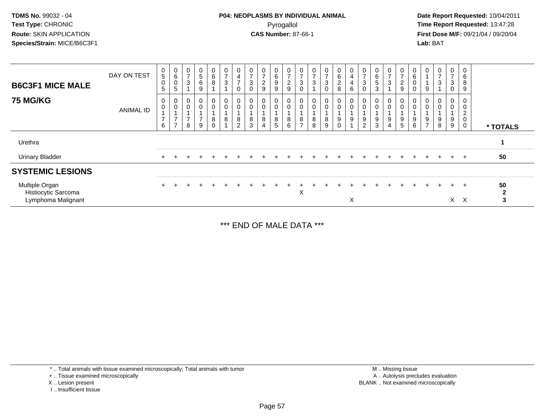**Date Report Requested:** 10/04/2011 **First Dose M/F:** 09/21/04 / 09/20/04<br>**Lab:** BAT **Lab:** BAT

| <b>B6C3F1 MICE MALE</b>                                     | DAY ON TEST | $\mathbf 0$<br>5<br>$\boldsymbol{0}$<br>5 | $_6^0$<br>$\boldsymbol{0}$<br>$\sqrt{5}$   | $\frac{0}{7}$<br>$\ensuremath{\mathsf{3}}$ | 0<br>$\overline{5}$<br>$\,6\,$<br>$9\,$                          | $_6^0$<br>8      | $\frac{0}{7}$<br>$\sqrt{3}$         | 0<br>4<br>$\overline{ }$<br>$\Omega$    | 0<br>$\overline{7}$<br>$\mathbf 3$<br>$\Omega$ | 0<br>$\rightarrow$<br>$\overline{\mathbf{c}}$<br>$\overline{9}$ | 0<br>$\,6\,$<br>9<br>9 | 0<br>$\overline{7}$<br>$\overline{c}$<br>$\boldsymbol{9}$ | 0<br>$\overline{z}$<br>3<br>$\mathbf 0$ | 0<br>$\overline{7}$<br>3         | $\frac{0}{7}$<br>$_{0}^{3}$ | 0<br>6<br>2<br>8 | $\frac{0}{4}$<br>$\overline{4}$<br>$\,6\,$ | $\frac{0}{7}$<br>$\ensuremath{\mathsf{3}}$<br>0 | 0<br>$\,6$<br>5<br>3       | $\overline{ }$<br>3 | $\frac{0}{7}$<br>$\frac{2}{9}$     | $\mathbf 0$<br>6<br>0<br>0 | 0<br>9                                               | $\frac{0}{7}$<br>$\mathbf{3}$ | 0<br>$\overline{ }$<br>3<br>0 | 0<br>6<br>8<br>9                             |                         |
|-------------------------------------------------------------|-------------|-------------------------------------------|--------------------------------------------|--------------------------------------------|------------------------------------------------------------------|------------------|-------------------------------------|-----------------------------------------|------------------------------------------------|-----------------------------------------------------------------|------------------------|-----------------------------------------------------------|-----------------------------------------|----------------------------------|-----------------------------|------------------|--------------------------------------------|-------------------------------------------------|----------------------------|---------------------|------------------------------------|----------------------------|------------------------------------------------------|-------------------------------|-------------------------------|----------------------------------------------|-------------------------|
| <b>75 MG/KG</b>                                             | ANIMAL ID   | 0<br>$\mathbf 0$<br>$\overline{7}$<br>6   | 0<br>0<br>$\overline{ }$<br>$\overline{ }$ | 0<br>0<br>$\overline{ }$<br>8              | $\mathbf 0$<br>$\mathbf 0$<br>$\overline{ }$<br>$\boldsymbol{9}$ | 0<br>0<br>8<br>0 | $\mathbf 0$<br>$\pmb{0}$<br>$\bf 8$ | 0<br>$\mathbf 0$<br>8<br>$\overline{2}$ | $\mathbf 0$<br>8<br>3                          | 0<br>0<br>8<br>4                                                | 0<br>0<br>8<br>5       | 0<br>$\mathbf 0$<br>$\,8\,$<br>6                          | 0<br>$\mathbf 0$<br>8<br>$\overline{ }$ | 0<br>$\mathbf 0$<br>$\,8\,$<br>8 | 0<br>0<br>$^8_9$            | 0<br>0<br>9<br>0 | 0<br>$\pmb{0}$<br>$9\,$                    | 0<br>$\pmb{0}$<br>9<br>$\overline{c}$           | 0<br>$\mathbf 0$<br>9<br>3 | 9<br>4              | $\mathbf 0$<br>$\pmb{0}$<br>9<br>5 | 0<br>0<br>9<br>$\,6\,$     | 0<br>$\pmb{0}$<br>$\boldsymbol{9}$<br>$\overline{7}$ | 0<br>$\mathbf 0$<br>9<br>8    | 0<br>0<br>9<br>9              | $\overline{c}$<br>$\mathbf 0$<br>$\mathbf 0$ | * TOTALS                |
| Urethra                                                     |             |                                           |                                            |                                            |                                                                  |                  |                                     |                                         |                                                |                                                                 |                        |                                                           |                                         |                                  |                             |                  |                                            |                                                 |                            |                     |                                    |                            |                                                      |                               |                               |                                              |                         |
| <b>Urinary Bladder</b>                                      |             |                                           |                                            |                                            |                                                                  |                  |                                     |                                         |                                                |                                                                 |                        |                                                           |                                         |                                  |                             |                  |                                            |                                                 |                            |                     |                                    |                            |                                                      |                               | $+$                           | $+$                                          | 50                      |
| <b>SYSTEMIC LESIONS</b>                                     |             |                                           |                                            |                                            |                                                                  |                  |                                     |                                         |                                                |                                                                 |                        |                                                           |                                         |                                  |                             |                  |                                            |                                                 |                            |                     |                                    |                            |                                                      |                               |                               |                                              |                         |
| Multiple Organ<br>Histiocytic Sarcoma<br>Lymphoma Malignant |             |                                           |                                            |                                            |                                                                  |                  |                                     |                                         |                                                |                                                                 |                        |                                                           | X                                       |                                  |                             |                  | X                                          |                                                 |                            |                     |                                    |                            |                                                      |                               | $\ddot{}$<br>X                | $+$<br>$\times$                              | 50<br>$\mathbf{2}$<br>3 |

\*\*\* END OF MALE DATA \*\*\*

\* .. Total animals with tissue examined microscopically; Total animals with tumor

+ .. Tissue examined microscopically

X .. Lesion present

I .. Insufficient tissue

 M .. Missing tissuey the contract of the contract of the contract of the contract of the contract of the contract of the contract of  $A$ . Autolysis precludes evaluation Lesion present BLANK .. Not examined microscopically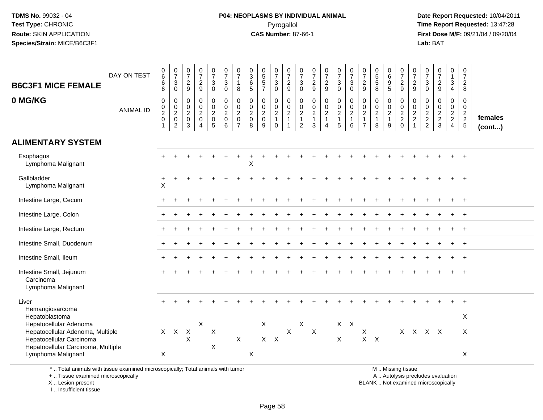### **P04: NEOPLASMS BY INDIVIDUAL ANIMAL**Pyrogallol **Time Report Requested:** 13:47:28

 **Date Report Requested:** 10/04/2011 **First Dose M/F:** 09/21/04 / 09/20/04<br>**Lab:** BAT **Lab:** BAT

|                                                              | DAY ON TEST      | 0<br>6                                                 | $\frac{0}{7}$                                   | $\begin{array}{c} 0 \\ 7 \end{array}$     | $\frac{0}{7}$                                             | $\frac{0}{7}$                                                   | $\begin{array}{c} 0 \\ 7 \end{array}$            | $\frac{0}{7}$                                                    | $_{3}^{\rm 0}$                                                 | $\begin{array}{c} 0 \\ 5 \\ 5 \end{array}$ | $\begin{array}{c} 0 \\ 7 \end{array}$                                       | $\frac{0}{7}$                                                            | $\frac{0}{7}$                                                                  | $\frac{0}{7}$<br>$\frac{2}{9}$                 | $\frac{0}{7}$                                  | $\frac{0}{7}$                                        | $\frac{0}{7}$                                | $\begin{array}{c} 0 \\ 7 \end{array}$                                          | $\begin{smallmatrix}0\0\5\end{smallmatrix}$                   | $_{6}^{\rm 0}$                                          | $\frac{0}{7}$<br>$\frac{2}{9}$                               | $\frac{0}{7}$                                 | $\frac{0}{7}$                          | $\frac{0}{7}$                             | 0<br>$\mathbf{1}$                                   | $\begin{array}{c} 0 \\ 7 \end{array}$            |                         |
|--------------------------------------------------------------|------------------|--------------------------------------------------------|-------------------------------------------------|-------------------------------------------|-----------------------------------------------------------|-----------------------------------------------------------------|--------------------------------------------------|------------------------------------------------------------------|----------------------------------------------------------------|--------------------------------------------|-----------------------------------------------------------------------------|--------------------------------------------------------------------------|--------------------------------------------------------------------------------|------------------------------------------------|------------------------------------------------|------------------------------------------------------|----------------------------------------------|--------------------------------------------------------------------------------|---------------------------------------------------------------|---------------------------------------------------------|--------------------------------------------------------------|-----------------------------------------------|----------------------------------------|-------------------------------------------|-----------------------------------------------------|--------------------------------------------------|-------------------------|
| <b>B6C3F1 MICE FEMALE</b>                                    |                  | 6<br>6                                                 | 3<br>$\mathbf 0$                                | $\sqrt{2}$<br>9                           | $\frac{2}{9}$                                             | 3<br>$\mathbf 0$                                                | $\mathbf{3}$<br>$\mathbf 0$                      | $\mathbf{1}$<br>8                                                | 6<br>5                                                         | $\overline{7}$                             | $\ensuremath{\mathsf{3}}$<br>$\mathbf 0$                                    | $\sqrt{2}$<br>9                                                          | 3<br>$\mathbf 0$                                                               |                                                | $\frac{2}{9}$                                  | 3<br>$\mathbf 0$                                     | $\ensuremath{\mathsf{3}}$<br>$\Omega$        | $\overline{2}$<br>9                                                            | $\sqrt{5}$<br>8                                               | 9<br>5                                                  |                                                              | $\frac{2}{9}$                                 | 3<br>$\mathbf 0$                       | $\overline{2}$<br>9                       | 3<br>$\overline{4}$                                 | $\mathbf 2$<br>8                                 |                         |
| 0 MG/KG                                                      | <b>ANIMAL ID</b> | $\mathbf 0$<br>0<br>$\overline{2}$<br>$\mathbf 0$<br>1 | $\mathsf{O}$<br>$\frac{0}{2}$<br>$\overline{c}$ | $\pmb{0}$<br>$\frac{0}{2}$<br>3           | $\pmb{0}$<br>$\frac{0}{2}$<br>$\pmb{0}$<br>$\overline{4}$ | 0<br>$\pmb{0}$<br>$\overline{2}$<br>$\pmb{0}$<br>$\overline{5}$ | $\mathbf 0$<br>$\frac{0}{2}$<br>$\mathbf 0$<br>6 | $\mathbf 0$<br>$\mathbf 0$<br>$\overline{2}$<br>$\mathbf 0$<br>7 | $\mathbf 0$<br>$\mathbf 0$<br>$\overline{2}$<br>$\pmb{0}$<br>8 | $\pmb{0}$<br>$_2^0$<br>$\pmb{0}$<br>9      | $\mathbf 0$<br>$\mathsf 0$<br>$\overline{2}$<br>$\mathbf{1}$<br>$\mathbf 0$ | $\mathsf 0$<br>$\boldsymbol{0}$<br>$\frac{2}{1}$<br>$\blacktriangleleft$ | $\mathbf 0$<br>$\mathbf 0$<br>$\overline{2}$<br>$\mathbf{1}$<br>$\overline{c}$ | $\mathsf 0$<br>$\frac{0}{2}$<br>$\mathfrak{S}$ | $\mathsf{O}\xspace$<br>$\frac{0}{2}$<br>1<br>4 | 0<br>$\frac{0}{2}$<br>$\mathbf{1}$<br>$\overline{5}$ | $\pmb{0}$<br>$\pmb{0}$<br>$\frac{2}{1}$<br>6 | $\mathbf 0$<br>$\mathbf 0$<br>$\overline{2}$<br>$\mathbf{1}$<br>$\overline{7}$ | $\pmb{0}$<br>$\pmb{0}$<br>$\overline{2}$<br>$\mathbf{1}$<br>8 | 0<br>$\mathbf 0$<br>$\overline{2}$<br>$\mathbf{1}$<br>9 | $\pmb{0}$<br>$\begin{array}{c} 0 \\ 2 \\ 2 \\ 0 \end{array}$ | $\mathbf 0$<br>$\frac{0}{2}$<br>$\frac{2}{1}$ | 0<br>$\boldsymbol{0}$<br>$\frac{2}{2}$ | $\mathbf 0$<br>$\pmb{0}$<br>$\frac{2}{3}$ | 0<br>$\mathbf 0$<br>$\frac{2}{2}$<br>$\overline{4}$ | $\mathbf 0$<br>$\mathbf 0$<br>$\frac{2}{2}$<br>5 | females<br>$($ cont $)$ |
| <b>ALIMENTARY SYSTEM</b>                                     |                  |                                                        |                                                 |                                           |                                                           |                                                                 |                                                  |                                                                  |                                                                |                                            |                                                                             |                                                                          |                                                                                |                                                |                                                |                                                      |                                              |                                                                                |                                                               |                                                         |                                                              |                                               |                                        |                                           |                                                     |                                                  |                         |
| Esophagus<br>Lymphoma Malignant                              |                  |                                                        |                                                 |                                           |                                                           |                                                                 |                                                  |                                                                  | $\mathsf X$                                                    |                                            |                                                                             |                                                                          |                                                                                |                                                |                                                |                                                      |                                              |                                                                                |                                                               |                                                         |                                                              |                                               |                                        |                                           |                                                     |                                                  |                         |
| Gallbladder<br>Lymphoma Malignant                            |                  | $\ddot{}$<br>$\mathsf X$                               |                                                 |                                           |                                                           |                                                                 |                                                  |                                                                  |                                                                |                                            |                                                                             |                                                                          |                                                                                |                                                |                                                |                                                      |                                              |                                                                                |                                                               |                                                         |                                                              |                                               |                                        |                                           |                                                     | $\overline{+}$                                   |                         |
| Intestine Large, Cecum                                       |                  |                                                        |                                                 |                                           |                                                           |                                                                 |                                                  |                                                                  |                                                                |                                            |                                                                             |                                                                          |                                                                                |                                                |                                                |                                                      |                                              |                                                                                |                                                               |                                                         |                                                              |                                               |                                        |                                           |                                                     | $\ddot{}$                                        |                         |
| Intestine Large, Colon                                       |                  |                                                        |                                                 |                                           |                                                           |                                                                 |                                                  |                                                                  |                                                                |                                            |                                                                             |                                                                          |                                                                                |                                                |                                                |                                                      |                                              |                                                                                |                                                               |                                                         |                                                              |                                               |                                        |                                           |                                                     | $\div$                                           |                         |
| Intestine Large, Rectum                                      |                  |                                                        |                                                 |                                           |                                                           |                                                                 |                                                  |                                                                  |                                                                |                                            |                                                                             |                                                                          |                                                                                |                                                |                                                |                                                      |                                              |                                                                                |                                                               |                                                         |                                                              |                                               |                                        |                                           |                                                     |                                                  |                         |
| Intestine Small, Duodenum                                    |                  |                                                        |                                                 |                                           |                                                           |                                                                 |                                                  |                                                                  |                                                                |                                            |                                                                             |                                                                          |                                                                                |                                                |                                                |                                                      |                                              |                                                                                |                                                               |                                                         |                                                              |                                               |                                        |                                           |                                                     | $\ddot{}$                                        |                         |
| Intestine Small, Ileum                                       |                  |                                                        |                                                 |                                           |                                                           |                                                                 |                                                  |                                                                  |                                                                |                                            |                                                                             |                                                                          |                                                                                |                                                |                                                |                                                      |                                              |                                                                                |                                                               |                                                         |                                                              |                                               |                                        |                                           |                                                     |                                                  |                         |
| Intestine Small, Jejunum<br>Carcinoma<br>Lymphoma Malignant  |                  |                                                        |                                                 |                                           |                                                           |                                                                 |                                                  |                                                                  |                                                                |                                            |                                                                             |                                                                          |                                                                                |                                                |                                                |                                                      |                                              |                                                                                |                                                               |                                                         |                                                              |                                               |                                        |                                           |                                                     | $\ddot{}$                                        |                         |
| Liver<br>Hemangiosarcoma                                     |                  |                                                        |                                                 |                                           |                                                           |                                                                 |                                                  |                                                                  |                                                                |                                            |                                                                             |                                                                          |                                                                                |                                                |                                                |                                                      |                                              |                                                                                |                                                               |                                                         |                                                              |                                               |                                        |                                           |                                                     | $\ddot{}$                                        |                         |
| Hepatoblastoma<br>Hepatocellular Adenoma                     |                  |                                                        |                                                 |                                           | X                                                         |                                                                 |                                                  |                                                                  |                                                                | X                                          |                                                                             |                                                                          | X                                                                              |                                                |                                                |                                                      | $X$ $X$                                      |                                                                                |                                                               |                                                         |                                                              |                                               |                                        |                                           |                                                     | X                                                |                         |
| Hepatocellular Adenoma, Multiple<br>Hepatocellular Carcinoma |                  |                                                        | $X$ $X$                                         | $\mathsf{X}$<br>$\boldsymbol{\mathsf{X}}$ |                                                           | $\boldsymbol{\mathsf{X}}$                                       |                                                  | $\mathsf X$                                                      |                                                                | $X$ $X$                                    |                                                                             | $\pmb{\times}$                                                           |                                                                                | $\mathsf{X}$                                   |                                                | X                                                    |                                              | $\mathsf X$                                                                    | $X$ $X$                                                       |                                                         |                                                              | X X X X                                       |                                        |                                           |                                                     | X                                                |                         |
| Hepatocellular Carcinoma, Multiple<br>Lymphoma Malignant     |                  | $\boldsymbol{\mathsf{X}}$                              |                                                 |                                           |                                                           | $\boldsymbol{\mathsf{X}}$                                       |                                                  |                                                                  | X                                                              |                                            |                                                                             |                                                                          |                                                                                |                                                |                                                |                                                      |                                              |                                                                                |                                                               |                                                         |                                                              |                                               |                                        |                                           |                                                     | X                                                |                         |
|                                                              |                  |                                                        |                                                 |                                           |                                                           |                                                                 |                                                  |                                                                  |                                                                |                                            |                                                                             |                                                                          |                                                                                |                                                |                                                |                                                      |                                              |                                                                                |                                                               |                                                         |                                                              |                                               |                                        |                                           |                                                     |                                                  |                         |

\* .. Total animals with tissue examined microscopically; Total animals with tumor

+ .. Tissue examined microscopically

X .. Lesion present

I .. Insufficient tissue

M .. Missing tissue

y the contract of the contract of the contract of the contract of the contract of the contract of the contract of  $A$ . Autolysis precludes evaluation

Lesion present BLANK .. Not examined microscopically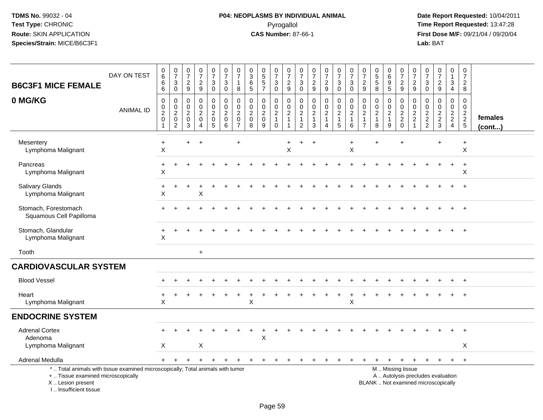# **P04: NEOPLASMS BY INDIVIDUAL ANIMAL**Pyrogallol **Time Report Requested:** 13:47:28

| <b>B6C3F1 MICE FEMALE</b>                                                                                                                                            | DAY ON TEST      | $\pmb{0}$<br>$\,6\,$<br>6<br>6                    | $\frac{0}{7}$<br>$\sqrt{3}$<br>$\pmb{0}$              | $\frac{0}{7}$<br>$\overline{2}$<br>$\boldsymbol{9}$                    | $\frac{0}{7}$<br>$\overline{a}$<br>$\boldsymbol{9}$               | $\frac{0}{7}$<br>3<br>$\mathsf{O}\xspace$          | $\begin{array}{c} 0 \\ 7 \end{array}$<br>$\mathbf{3}$<br>$\mathbf 0$ | 0<br>$\overline{7}$<br>-1<br>8                         | $\pmb{0}$<br>$\mathbf{3}$<br>6<br>5        | $\begin{array}{c} 0 \\ 5 \end{array}$<br>5<br>$\overline{7}$ | $\frac{0}{7}$<br>$\mathbf{3}$<br>$\mathsf{O}$                            | 0<br>$\overline{7}$<br>$\overline{c}$<br>9                        | $\boldsymbol{0}$<br>$\overline{7}$<br>$\sqrt{3}$<br>$\mathbf 0$ | $\begin{array}{c} 0 \\ 7 \end{array}$<br>$\sqrt{2}$<br>$\boldsymbol{9}$ | $\frac{0}{7}$<br>$\overline{c}$<br>$\boldsymbol{9}$     | $\frac{0}{7}$<br>$\sqrt{3}$<br>$\mathbf 0$                              | 0<br>$\overline{7}$<br>3<br>$\Omega$ | $\frac{0}{7}$<br>$\boldsymbol{2}$<br>9                                      | $\begin{array}{c} 0 \\ 5 \\ 5 \end{array}$<br>8 | 0<br>$6\phantom{1}$<br>9<br>$\sqrt{5}$                  | $\frac{0}{7}$<br>$\frac{2}{9}$                         | 0<br>$\overline{7}$<br>$\overline{c}$<br>$9\,$                        | $\pmb{0}$<br>$\overline{7}$<br>3<br>$\mathbf 0$        | 0<br>$\overline{7}$<br>$\overline{c}$<br>9 | 0<br>$\mathbf{1}$<br>$\sqrt{3}$<br>$\overline{4}$ | $\pmb{0}$<br>$\overline{7}$<br>$\overline{c}$<br>8   |                   |
|----------------------------------------------------------------------------------------------------------------------------------------------------------------------|------------------|---------------------------------------------------|-------------------------------------------------------|------------------------------------------------------------------------|-------------------------------------------------------------------|----------------------------------------------------|----------------------------------------------------------------------|--------------------------------------------------------|--------------------------------------------|--------------------------------------------------------------|--------------------------------------------------------------------------|-------------------------------------------------------------------|-----------------------------------------------------------------|-------------------------------------------------------------------------|---------------------------------------------------------|-------------------------------------------------------------------------|--------------------------------------|-----------------------------------------------------------------------------|-------------------------------------------------|---------------------------------------------------------|--------------------------------------------------------|-----------------------------------------------------------------------|--------------------------------------------------------|--------------------------------------------|---------------------------------------------------|------------------------------------------------------|-------------------|
| 0 MG/KG                                                                                                                                                              | <b>ANIMAL ID</b> | $\mathbf 0$<br>0<br>$\frac{2}{0}$<br>$\mathbf{1}$ | 0<br>$\mathbf 0$<br>$\frac{2}{0}$<br>$\boldsymbol{2}$ | 0<br>$\mathbf 0$<br>$\overline{c}$<br>$\boldsymbol{0}$<br>$\mathbf{3}$ | $\mathbf 0$<br>0<br>$\overline{a}$<br>0<br>$\boldsymbol{\Lambda}$ | $\mathbf 0$<br>0<br>$^2_{\rm 0}$<br>$\overline{5}$ | 0<br>$\mathbf 0$<br>$\sqrt{2}$<br>$\pmb{0}$<br>$6\phantom{1}6$       | $\Omega$<br>0<br>$\overline{2}$<br>0<br>$\overline{7}$ | $\mathbf{0}$<br>$\mathbf 0$<br>2<br>0<br>8 | 0<br>0<br>$\overline{c}$<br>$\mathbf 0$<br>9                 | $\mathbf 0$<br>$\mathbf 0$<br>$\overline{c}$<br>$\mathbf{1}$<br>$\Omega$ | $\mathbf 0$<br>$\mathbf 0$<br>$\overline{2}$<br>$\mathbf{1}$<br>1 | $\mathbf 0$<br>0<br>$\overline{c}$<br>1<br>2                    | $\mathbf 0$<br>$\pmb{0}$<br>$\boldsymbol{2}$<br>1<br>3                  | 0<br>$\pmb{0}$<br>$\boldsymbol{2}$<br>$\mathbf{1}$<br>4 | $\Omega$<br>$\mathbf 0$<br>$\sqrt{2}$<br>$\mathbf{1}$<br>$5\phantom{1}$ | 0<br>0<br>$\overline{2}$<br>1<br>6   | $\Omega$<br>$\mathbf 0$<br>$\overline{c}$<br>$\mathbf{1}$<br>$\overline{7}$ | 0<br>0<br>$\overline{c}$<br>$\mathbf{1}$<br>8   | 0<br>$\mathbf 0$<br>$\overline{2}$<br>$\mathbf{1}$<br>9 | $\mathbf 0$<br>$0$<br>$2$<br>$0$                       | $\Omega$<br>0<br>$\boldsymbol{2}$<br>$\overline{c}$<br>$\overline{ }$ | $\Omega$<br>$\mathbf 0$<br>$\sqrt{2}$<br>$\frac{2}{2}$ | 0<br>$\mathbf 0$<br>$\frac{2}{3}$          | $\Omega$<br>0<br>$\frac{2}{2}$<br>$\overline{4}$  | 0<br>0<br>$\begin{array}{c} 2 \\ 2 \\ 5 \end{array}$ | females<br>(cont) |
| Mesentery<br>Lymphoma Malignant                                                                                                                                      |                  | $\ddot{}$<br>$\boldsymbol{\mathsf{X}}$            |                                                       | $\ddot{}$                                                              | $\ddot{}$                                                         |                                                    |                                                                      | $\ddot{}$                                              |                                            |                                                              |                                                                          | $\ddot{}$<br>X                                                    |                                                                 |                                                                         |                                                         |                                                                         | $\ddot{}$<br>X                       |                                                                             | $\ddot{}$                                       |                                                         |                                                        |                                                                       |                                                        |                                            |                                                   | $\ddot{}$<br>$\boldsymbol{\mathsf{X}}$               |                   |
| Pancreas<br>Lymphoma Malignant                                                                                                                                       |                  | $\ddot{}$<br>$\boldsymbol{\mathsf{X}}$            |                                                       |                                                                        |                                                                   |                                                    |                                                                      |                                                        |                                            |                                                              |                                                                          |                                                                   |                                                                 |                                                                         |                                                         |                                                                         |                                      |                                                                             |                                                 |                                                         |                                                        |                                                                       |                                                        |                                            |                                                   | $\ddot{}$<br>X                                       |                   |
| <b>Salivary Glands</b><br>Lymphoma Malignant                                                                                                                         |                  | Х                                                 |                                                       |                                                                        | X                                                                 |                                                    |                                                                      |                                                        |                                            |                                                              |                                                                          |                                                                   |                                                                 |                                                                         |                                                         |                                                                         |                                      |                                                                             |                                                 |                                                         |                                                        |                                                                       |                                                        |                                            |                                                   | $\ddot{}$                                            |                   |
| Stomach, Forestomach<br>Squamous Cell Papilloma                                                                                                                      |                  |                                                   |                                                       |                                                                        |                                                                   |                                                    |                                                                      |                                                        |                                            |                                                              |                                                                          |                                                                   |                                                                 |                                                                         |                                                         |                                                                         |                                      |                                                                             |                                                 |                                                         |                                                        |                                                                       |                                                        |                                            |                                                   | $\overline{+}$                                       |                   |
| Stomach, Glandular<br>Lymphoma Malignant                                                                                                                             |                  | X                                                 |                                                       |                                                                        |                                                                   |                                                    |                                                                      |                                                        |                                            |                                                              |                                                                          |                                                                   |                                                                 |                                                                         |                                                         |                                                                         |                                      |                                                                             |                                                 |                                                         |                                                        |                                                                       |                                                        |                                            |                                                   | $+$                                                  |                   |
| Tooth                                                                                                                                                                |                  |                                                   |                                                       |                                                                        | $\ddot{}$                                                         |                                                    |                                                                      |                                                        |                                            |                                                              |                                                                          |                                                                   |                                                                 |                                                                         |                                                         |                                                                         |                                      |                                                                             |                                                 |                                                         |                                                        |                                                                       |                                                        |                                            |                                                   |                                                      |                   |
| <b>CARDIOVASCULAR SYSTEM</b>                                                                                                                                         |                  |                                                   |                                                       |                                                                        |                                                                   |                                                    |                                                                      |                                                        |                                            |                                                              |                                                                          |                                                                   |                                                                 |                                                                         |                                                         |                                                                         |                                      |                                                                             |                                                 |                                                         |                                                        |                                                                       |                                                        |                                            |                                                   |                                                      |                   |
| <b>Blood Vessel</b>                                                                                                                                                  |                  |                                                   |                                                       |                                                                        |                                                                   |                                                    |                                                                      |                                                        |                                            |                                                              |                                                                          |                                                                   |                                                                 |                                                                         |                                                         |                                                                         |                                      |                                                                             |                                                 |                                                         |                                                        |                                                                       |                                                        |                                            |                                                   |                                                      |                   |
| Heart<br>Lymphoma Malignant                                                                                                                                          |                  | X                                                 |                                                       |                                                                        |                                                                   |                                                    |                                                                      |                                                        | X                                          |                                                              |                                                                          |                                                                   |                                                                 |                                                                         |                                                         |                                                                         | X                                    |                                                                             |                                                 |                                                         |                                                        |                                                                       |                                                        |                                            |                                                   |                                                      |                   |
| <b>ENDOCRINE SYSTEM</b>                                                                                                                                              |                  |                                                   |                                                       |                                                                        |                                                                   |                                                    |                                                                      |                                                        |                                            |                                                              |                                                                          |                                                                   |                                                                 |                                                                         |                                                         |                                                                         |                                      |                                                                             |                                                 |                                                         |                                                        |                                                                       |                                                        |                                            |                                                   |                                                      |                   |
| <b>Adrenal Cortex</b><br>Adenoma                                                                                                                                     |                  |                                                   |                                                       |                                                                        |                                                                   |                                                    |                                                                      |                                                        |                                            | Χ                                                            |                                                                          |                                                                   |                                                                 |                                                                         |                                                         |                                                                         |                                      |                                                                             |                                                 |                                                         |                                                        |                                                                       |                                                        |                                            | $\ddot{}$                                         | $\overline{+}$                                       |                   |
| Lymphoma Malignant                                                                                                                                                   |                  | Χ                                                 |                                                       |                                                                        | X                                                                 |                                                    |                                                                      |                                                        |                                            |                                                              |                                                                          |                                                                   |                                                                 |                                                                         |                                                         |                                                                         |                                      |                                                                             |                                                 |                                                         |                                                        |                                                                       |                                                        |                                            |                                                   | X                                                    |                   |
| Adrenal Medulla                                                                                                                                                      |                  | $+$                                               | $\ddot{}$                                             |                                                                        | $\ddot{}$                                                         | $\pm$                                              |                                                                      |                                                        |                                            | $\overline{+}$                                               | $\pm$                                                                    | $\pm$                                                             | ╇                                                               | $\div$                                                                  | $\ddot{}$                                               |                                                                         | ÷                                    |                                                                             | $\ddot{}$                                       | $\ddot{}$                                               | $\ddot{}$                                              | $\ddot{}$                                                             | $\ddot{}$                                              | $+$                                        | $+$                                               | $+$                                                  |                   |
| *  Total animals with tissue examined microscopically; Total animals with tumor<br>+  Tissue examined microscopically<br>X  Lesion present<br>L. Insufficient tissue |                  |                                                   |                                                       |                                                                        |                                                                   |                                                    |                                                                      |                                                        |                                            |                                                              |                                                                          |                                                                   |                                                                 |                                                                         |                                                         |                                                                         |                                      |                                                                             | BLANK  Not examined microscopically             |                                                         | M  Missing tissue<br>A  Autolysis precludes evaluation |                                                                       |                                                        |                                            |                                                   |                                                      |                   |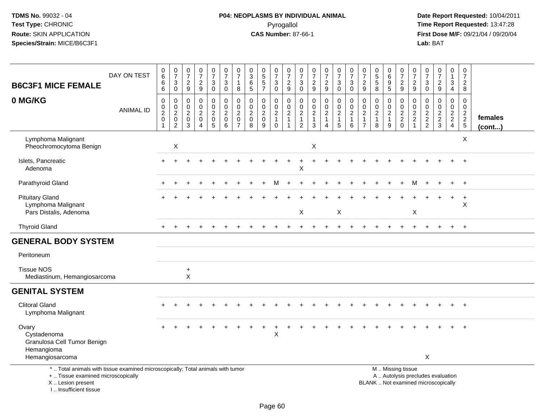# **P04: NEOPLASMS BY INDIVIDUAL ANIMAL**Pyrogallol **Time Report Requested:** 13:47:28

| <b>B6C3F1 MICE FEMALE</b>                                                                                                                                          | DAY ON TEST      | 0<br>$\,6\,$<br>$\,6$<br>$\,6\,$                                            | $\frac{0}{7}$<br>$\ensuremath{\mathsf{3}}$<br>$\overline{0}$          | $\frac{0}{7}$<br>$\frac{2}{9}$             | $\frac{0}{7}$<br>$\frac{2}{9}$                             | $\begin{smallmatrix}0\\7\end{smallmatrix}$<br>$\mathsf 3$<br>$\mathsf{O}\xspace$ | $\frac{0}{7}$<br>$\sqrt{3}$<br>$\mathbf 0$                 | $\begin{array}{c} 0 \\ 7 \end{array}$<br>$\mathbf{1}$<br>8              | $\pmb{0}$<br>$\overline{3}$<br>$\,6\,$<br>$\overline{5}$         | 0<br>5<br>5<br>7                                    | $\begin{array}{c} 0 \\ 7 \end{array}$<br>$\mathbf{3}$<br>$\overline{0}$ | $\begin{array}{c} 0 \\ 7 \end{array}$<br>$\frac{2}{9}$ | $\frac{0}{7}$<br>$\sqrt{3}$<br>$\overline{0}$                                     | $\frac{0}{7}$<br>$\frac{2}{9}$                                                   | $\begin{array}{c} 0 \\ 7 \end{array}$<br>$\frac{2}{9}$                           | $\frac{0}{7}$<br>$\ensuremath{\mathsf{3}}$<br>$\overline{0}$        | $\frac{0}{7}$<br>3<br>$\mathbf 0$                       | $\frac{0}{7}$<br>$\frac{2}{9}$                                             | $\begin{array}{c} 0 \\ 5 \\ 5 \end{array}$<br>$\overline{8}$        | $\begin{array}{c} 0 \\ 6 \end{array}$<br>$\begin{array}{c} 9 \\ 5 \end{array}$ | 0<br>$\overline{7}$<br>$\frac{2}{9}$             | $\frac{0}{7}$<br>$\frac{2}{9}$                              | $\frac{0}{7}$<br>$\sqrt{3}$<br>$\overline{0}$            | $\frac{0}{7}$<br>$\frac{2}{9}$                                           | $\pmb{0}$<br>$\mathbf{1}$<br>$\frac{3}{4}$ | $\pmb{0}$<br>$\overline{7}$<br>$\overline{2}$<br>8 |                   |
|--------------------------------------------------------------------------------------------------------------------------------------------------------------------|------------------|-----------------------------------------------------------------------------|-----------------------------------------------------------------------|--------------------------------------------|------------------------------------------------------------|----------------------------------------------------------------------------------|------------------------------------------------------------|-------------------------------------------------------------------------|------------------------------------------------------------------|-----------------------------------------------------|-------------------------------------------------------------------------|--------------------------------------------------------|-----------------------------------------------------------------------------------|----------------------------------------------------------------------------------|----------------------------------------------------------------------------------|---------------------------------------------------------------------|---------------------------------------------------------|----------------------------------------------------------------------------|---------------------------------------------------------------------|--------------------------------------------------------------------------------|--------------------------------------------------|-------------------------------------------------------------|----------------------------------------------------------|--------------------------------------------------------------------------|--------------------------------------------|----------------------------------------------------|-------------------|
| 0 MG/KG                                                                                                                                                            | <b>ANIMAL ID</b> | $\mathbf 0$<br>$\pmb{0}$<br>$\boldsymbol{2}$<br>$\mathbf 0$<br>$\mathbf{1}$ | $\pmb{0}$<br>$\pmb{0}$<br>$\sqrt{2}$<br>$\mathbf 0$<br>$\overline{2}$ | $\pmb{0}$<br>0<br>$\overline{c}$<br>0<br>3 | $\pmb{0}$<br>$\pmb{0}$<br>$\overline{c}$<br>$\pmb{0}$<br>4 | $\mathbf 0$<br>$\mathbf 0$<br>$\sqrt{2}$<br>$\mathbf 0$<br>$\overline{5}$        | $\pmb{0}$<br>$\mathbf 0$<br>$\sqrt{2}$<br>$\mathbf 0$<br>6 | $\pmb{0}$<br>$\mathbf 0$<br>$\sqrt{2}$<br>$\mathbf 0$<br>$\overline{7}$ | $\mathbf 0$<br>$\mathbf 0$<br>$\overline{c}$<br>$\mathbf 0$<br>8 | 0<br>$\mathbf 0$<br>$\frac{2}{0}$<br>$\overline{9}$ | 0<br>$\mathbf 0$<br>$\overline{2}$<br>$\mathbf{1}$<br>0                 | $\pmb{0}$<br>$\mathbf 0$<br>$\sqrt{2}$<br>$\mathbf{1}$ | $\boldsymbol{0}$<br>$\mathbf 0$<br>$\sqrt{2}$<br>$\overline{1}$<br>$\overline{2}$ | $\mathbf 0$<br>$\mathbf 0$<br>$\boldsymbol{2}$<br>$\mathbf{1}$<br>$\overline{3}$ | $\pmb{0}$<br>$\mathsf{O}\xspace$<br>$\sqrt{2}$<br>$\mathbf{1}$<br>$\overline{4}$ | $\pmb{0}$<br>$\mathsf{O}\xspace$<br>$\sqrt{2}$<br>$\mathbf{1}$<br>5 | 0<br>$\mathbf 0$<br>$\overline{a}$<br>$\mathbf{1}$<br>6 | $\mathbf 0$<br>$\mathbf 0$<br>$\sqrt{2}$<br>$\mathbf{1}$<br>$\overline{7}$ | $\mathbf 0$<br>$\mathbf 0$<br>$\boldsymbol{2}$<br>$\mathbf{1}$<br>8 | $\mathbf 0$<br>$\mathbf 0$<br>$\sqrt{2}$<br>$\mathbf{1}$<br>9                  | $\mathbf 0$<br>$\mathbf 0$<br>$\frac{2}{2}$<br>0 | $\mathbf 0$<br>$\mathbf 0$<br>$\frac{2}{2}$<br>$\mathbf{1}$ | $\boldsymbol{0}$<br>$\mathsf{O}\xspace$<br>$\frac{2}{2}$ | 0<br>$\mathbf 0$<br>$\frac{2}{3}$                                        | $\pmb{0}$<br>$\mathbf 0$<br>$\frac{2}{2}$  | $\mathbf 0$<br>$\mathbf 0$<br>$\frac{2}{2}$<br>5   | females<br>(cont) |
| Lymphoma Malignant<br>Pheochromocytoma Benign                                                                                                                      |                  |                                                                             | Χ                                                                     |                                            |                                                            |                                                                                  |                                                            |                                                                         |                                                                  |                                                     |                                                                         |                                                        |                                                                                   | $\boldsymbol{\mathsf{X}}$                                                        |                                                                                  |                                                                     |                                                         |                                                                            |                                                                     |                                                                                |                                                  |                                                             |                                                          |                                                                          |                                            | $\mathsf X$                                        |                   |
| Islets, Pancreatic<br>Adenoma                                                                                                                                      |                  |                                                                             |                                                                       |                                            |                                                            |                                                                                  |                                                            |                                                                         |                                                                  |                                                     |                                                                         |                                                        | Χ                                                                                 |                                                                                  |                                                                                  |                                                                     |                                                         |                                                                            |                                                                     |                                                                                |                                                  |                                                             |                                                          |                                                                          |                                            | $\overline{+}$                                     |                   |
| Parathyroid Gland                                                                                                                                                  |                  |                                                                             |                                                                       |                                            |                                                            |                                                                                  |                                                            |                                                                         |                                                                  |                                                     | м                                                                       |                                                        |                                                                                   |                                                                                  |                                                                                  |                                                                     |                                                         |                                                                            |                                                                     |                                                                                |                                                  | М                                                           |                                                          |                                                                          |                                            | $\overline{1}$                                     |                   |
| <b>Pituitary Gland</b><br>Lymphoma Malignant<br>Pars Distalis, Adenoma                                                                                             |                  |                                                                             |                                                                       |                                            |                                                            |                                                                                  |                                                            |                                                                         |                                                                  |                                                     |                                                                         |                                                        | X                                                                                 |                                                                                  |                                                                                  | X                                                                   |                                                         |                                                                            |                                                                     |                                                                                |                                                  | X                                                           |                                                          |                                                                          | $\ddot{}$                                  | $\overline{+}$<br>$\mathsf X$                      |                   |
| <b>Thyroid Gland</b>                                                                                                                                               |                  | $\pm$                                                                       |                                                                       |                                            |                                                            |                                                                                  |                                                            |                                                                         |                                                                  |                                                     |                                                                         |                                                        |                                                                                   |                                                                                  |                                                                                  |                                                                     |                                                         |                                                                            |                                                                     |                                                                                |                                                  |                                                             |                                                          |                                                                          | $+$                                        | $+$                                                |                   |
| <b>GENERAL BODY SYSTEM</b>                                                                                                                                         |                  |                                                                             |                                                                       |                                            |                                                            |                                                                                  |                                                            |                                                                         |                                                                  |                                                     |                                                                         |                                                        |                                                                                   |                                                                                  |                                                                                  |                                                                     |                                                         |                                                                            |                                                                     |                                                                                |                                                  |                                                             |                                                          |                                                                          |                                            |                                                    |                   |
| Peritoneum                                                                                                                                                         |                  |                                                                             |                                                                       |                                            |                                                            |                                                                                  |                                                            |                                                                         |                                                                  |                                                     |                                                                         |                                                        |                                                                                   |                                                                                  |                                                                                  |                                                                     |                                                         |                                                                            |                                                                     |                                                                                |                                                  |                                                             |                                                          |                                                                          |                                            |                                                    |                   |
| <b>Tissue NOS</b><br>Mediastinum, Hemangiosarcoma                                                                                                                  |                  |                                                                             |                                                                       | $\ddot{}$<br>X                             |                                                            |                                                                                  |                                                            |                                                                         |                                                                  |                                                     |                                                                         |                                                        |                                                                                   |                                                                                  |                                                                                  |                                                                     |                                                         |                                                                            |                                                                     |                                                                                |                                                  |                                                             |                                                          |                                                                          |                                            |                                                    |                   |
| <b>GENITAL SYSTEM</b>                                                                                                                                              |                  |                                                                             |                                                                       |                                            |                                                            |                                                                                  |                                                            |                                                                         |                                                                  |                                                     |                                                                         |                                                        |                                                                                   |                                                                                  |                                                                                  |                                                                     |                                                         |                                                                            |                                                                     |                                                                                |                                                  |                                                             |                                                          |                                                                          |                                            |                                                    |                   |
| <b>Clitoral Gland</b><br>Lymphoma Malignant                                                                                                                        |                  |                                                                             |                                                                       |                                            |                                                            |                                                                                  |                                                            |                                                                         |                                                                  |                                                     |                                                                         |                                                        |                                                                                   |                                                                                  |                                                                                  |                                                                     |                                                         |                                                                            |                                                                     |                                                                                |                                                  |                                                             |                                                          |                                                                          |                                            | $\overline{1}$                                     |                   |
| Ovary<br>Cystadenoma<br>Granulosa Cell Tumor Benign<br>Hemangioma<br>Hemangiosarcoma                                                                               |                  |                                                                             |                                                                       |                                            |                                                            |                                                                                  |                                                            |                                                                         |                                                                  |                                                     | Χ                                                                       |                                                        |                                                                                   |                                                                                  |                                                                                  |                                                                     |                                                         |                                                                            |                                                                     |                                                                                |                                                  |                                                             | $\mathsf{X}$                                             |                                                                          |                                            |                                                    |                   |
| *  Total animals with tissue examined microscopically; Total animals with tumor<br>+  Tissue examined microscopically<br>X Lesion present<br>I Insufficient tissue |                  |                                                                             |                                                                       |                                            |                                                            |                                                                                  |                                                            |                                                                         |                                                                  |                                                     |                                                                         |                                                        |                                                                                   |                                                                                  |                                                                                  |                                                                     |                                                         |                                                                            |                                                                     |                                                                                | M  Missing tissue                                |                                                             |                                                          | A  Autolysis precludes evaluation<br>BLANK  Not examined microscopically |                                            |                                                    |                   |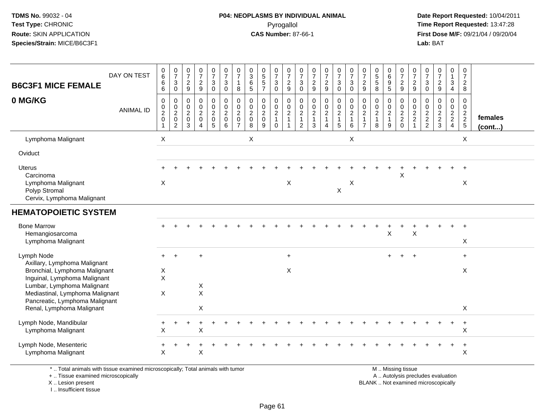#### **P04: NEOPLASMS BY INDIVIDUAL ANIMAL**Pyrogallol **Time Report Requested:** 13:47:28

 **Date Report Requested:** 10/04/2011 **First Dose M/F:** 09/21/04 / 09/20/04<br>**Lab:** BAT **Lab:** BAT

| <b>B6C3F1 MICE FEMALE</b>                                                                                                                                      | DAY ON TEST      | 0<br>6<br>6<br>6                                                | $\frac{0}{7}$<br>$\ensuremath{\mathsf{3}}$<br>$\mathbf 0$ | $\frac{0}{7}$<br>$\overline{c}$<br>9                   | $\begin{array}{c} 0 \\ 7 \end{array}$<br>$\boldsymbol{2}$<br>$\boldsymbol{9}$                        | $\begin{smallmatrix}0\\7\end{smallmatrix}$<br>$\mathsf 3$<br>$\mathbf 0$ | $\frac{0}{7}$<br>$\mathbf{3}$<br>$\mathbf 0$           | $\pmb{0}$<br>$\overline{7}$<br>$\mathbf{1}$<br>8                              | $\pmb{0}$<br>$\ensuremath{\mathsf{3}}$<br>$\,6\,$<br>5                  | $\begin{array}{c} 0 \\ 5 \end{array}$<br>5<br>$\overline{7}$ | $\frac{0}{7}$<br>$\sqrt{3}$<br>0        | $\frac{0}{7}$<br>$\overline{c}$<br>9              | 0<br>$\overline{7}$<br>3<br>$\mathbf 0$                                            | $\frac{0}{7}$<br>$\sqrt{2}$<br>9                                     | $\frac{0}{7}$<br>$\frac{2}{9}$                                                              | $\frac{0}{7}$<br>$\mathbf{3}$<br>$\mathbf 0$                    | $\frac{0}{7}$<br>$\ensuremath{\mathsf{3}}$<br>$\Omega$ | $\frac{0}{7}$<br>$\overline{2}$<br>9                             | $\begin{array}{c} 0 \\ 5 \\ 5 \end{array}$<br>8       | 0<br>$6\phantom{a}$<br>$\boldsymbol{9}$<br>$\sqrt{5}$     | $\frac{0}{7}$<br>$\frac{2}{9}$ | 0<br>$\overline{7}$<br>$\overline{c}$<br>9                             | $\frac{0}{7}$<br>$\mathbf{3}$<br>$\mathbf 0$          | $\frac{0}{7}$<br>$\frac{2}{9}$ | $\pmb{0}$<br>$\mathbf{1}$<br>$\ensuremath{\mathsf{3}}$<br>$\overline{4}$ | 0<br>$\overline{7}$<br>$\overline{c}$<br>8 |                         |
|----------------------------------------------------------------------------------------------------------------------------------------------------------------|------------------|-----------------------------------------------------------------|-----------------------------------------------------------|--------------------------------------------------------|------------------------------------------------------------------------------------------------------|--------------------------------------------------------------------------|--------------------------------------------------------|-------------------------------------------------------------------------------|-------------------------------------------------------------------------|--------------------------------------------------------------|-----------------------------------------|---------------------------------------------------|------------------------------------------------------------------------------------|----------------------------------------------------------------------|---------------------------------------------------------------------------------------------|-----------------------------------------------------------------|--------------------------------------------------------|------------------------------------------------------------------|-------------------------------------------------------|-----------------------------------------------------------|--------------------------------|------------------------------------------------------------------------|-------------------------------------------------------|--------------------------------|--------------------------------------------------------------------------|--------------------------------------------|-------------------------|
| 0 MG/KG                                                                                                                                                        | <b>ANIMAL ID</b> | $\mathbf 0$<br>0<br>$\overline{\mathbf{c}}$<br>$\mathbf 0$<br>1 | 0<br>$^{\rm 0}_{\rm 2}$<br>0<br>$\overline{2}$            | 0<br>$\mathbf 0$<br>$\overline{2}$<br>$\mathbf 0$<br>3 | $\mathbf 0$<br>$\begin{smallmatrix} 0\\2 \end{smallmatrix}$<br>$\mathbf 0$<br>$\boldsymbol{\Lambda}$ | 0<br>$\begin{smallmatrix} 0\\2 \end{smallmatrix}$<br>$\mathbf 0$<br>5    | 0<br>$\pmb{0}$<br>$\boldsymbol{2}$<br>$\mathbf 0$<br>6 | $\mathbf 0$<br>$\mathbf 0$<br>$\overline{2}$<br>$\mathbf 0$<br>$\overline{7}$ | $\mathbf 0$<br>$\boldsymbol{0}$<br>$\boldsymbol{2}$<br>$\mathbf 0$<br>8 | 0<br>$\mathbf 0$<br>$\overline{2}$<br>$\mathbf 0$<br>9       | 0<br>$_2^0$<br>$\mathbf{1}$<br>$\Omega$ | $\mathbf 0$<br>$^{\rm 0}_{\rm 2}$<br>$\mathbf{1}$ | $\mathbf 0$<br>$\begin{smallmatrix} 0\\2 \end{smallmatrix}$<br>$\overline{1}$<br>2 | $\mathbf 0$<br>$\mathop{2}\limits^{\mathbb{O}}$<br>$\mathbf{1}$<br>3 | $\pmb{0}$<br>$\begin{smallmatrix} 0\\2 \end{smallmatrix}$<br>$\mathbf{1}$<br>$\overline{4}$ | $\pmb{0}$<br>$\mathbf 0$<br>$\overline{c}$<br>$\mathbf{1}$<br>5 | 0<br>$_{2}^{\rm 0}$<br>$\mathbf{1}$<br>6               | 0<br>$\mathbf 0$<br>$\sqrt{2}$<br>$\mathbf{1}$<br>$\overline{7}$ | 0<br>$\pmb{0}$<br>$\overline{2}$<br>$\mathbf{1}$<br>8 | 0<br>$\mathbf 0$<br>$\overline{2}$<br>$\overline{1}$<br>9 | 0<br>$\frac{0}{2}$<br>$\Omega$ | 0<br>$\mathbf 0$<br>$\boldsymbol{2}$<br>$\overline{c}$<br>$\mathbf{1}$ | 0<br>$\mathbf 0$<br>$\boldsymbol{2}$<br>$\frac{2}{2}$ | 0<br>$\frac{0}{2}$<br>3        | 0<br>$\mathbf 0$<br>$\frac{2}{2}$<br>$\overline{4}$                      | 0<br>0<br>$\frac{2}{2}$                    | females<br>$($ cont $)$ |
| Lymphoma Malignant                                                                                                                                             |                  | $\pmb{\times}$                                                  |                                                           |                                                        |                                                                                                      |                                                                          |                                                        |                                                                               | X                                                                       |                                                              |                                         |                                                   |                                                                                    |                                                                      |                                                                                             |                                                                 | $\boldsymbol{\mathsf{X}}$                              |                                                                  |                                                       |                                                           |                                |                                                                        |                                                       |                                |                                                                          | X                                          |                         |
| Oviduct                                                                                                                                                        |                  |                                                                 |                                                           |                                                        |                                                                                                      |                                                                          |                                                        |                                                                               |                                                                         |                                                              |                                         |                                                   |                                                                                    |                                                                      |                                                                                             |                                                                 |                                                        |                                                                  |                                                       |                                                           |                                |                                                                        |                                                       |                                |                                                                          |                                            |                         |
| <b>Uterus</b>                                                                                                                                                  |                  |                                                                 |                                                           |                                                        |                                                                                                      |                                                                          |                                                        |                                                                               |                                                                         |                                                              |                                         |                                                   |                                                                                    |                                                                      |                                                                                             |                                                                 |                                                        |                                                                  |                                                       |                                                           |                                |                                                                        |                                                       |                                |                                                                          | $\ddot{}$                                  |                         |
| Carcinoma<br>Lymphoma Malignant<br>Polyp Stromal<br>Cervix, Lymphoma Malignant                                                                                 |                  | $\boldsymbol{\mathsf{X}}$                                       |                                                           |                                                        |                                                                                                      |                                                                          |                                                        |                                                                               |                                                                         |                                                              |                                         | X                                                 |                                                                                    |                                                                      |                                                                                             | $\mathsf X$                                                     | X                                                      |                                                                  |                                                       |                                                           | Χ                              |                                                                        |                                                       |                                |                                                                          | X                                          |                         |
| <b>HEMATOPOIETIC SYSTEM</b>                                                                                                                                    |                  |                                                                 |                                                           |                                                        |                                                                                                      |                                                                          |                                                        |                                                                               |                                                                         |                                                              |                                         |                                                   |                                                                                    |                                                                      |                                                                                             |                                                                 |                                                        |                                                                  |                                                       |                                                           |                                |                                                                        |                                                       |                                |                                                                          |                                            |                         |
| <b>Bone Marrow</b><br>Hemangiosarcoma<br>Lymphoma Malignant                                                                                                    |                  |                                                                 |                                                           |                                                        |                                                                                                      |                                                                          |                                                        |                                                                               |                                                                         |                                                              |                                         |                                                   |                                                                                    |                                                                      |                                                                                             |                                                                 |                                                        |                                                                  |                                                       | $\pmb{\times}$                                            |                                | $\times$                                                               |                                                       |                                |                                                                          | X                                          |                         |
| Lymph Node                                                                                                                                                     |                  |                                                                 |                                                           |                                                        | ÷                                                                                                    |                                                                          |                                                        |                                                                               |                                                                         |                                                              |                                         | $+$                                               |                                                                                    |                                                                      |                                                                                             |                                                                 |                                                        |                                                                  |                                                       | $+$                                                       |                                |                                                                        |                                                       |                                |                                                                          | $+$                                        |                         |
| Axillary, Lymphoma Malignant<br>Bronchial, Lymphoma Malignant<br>Inguinal, Lymphoma Malignant<br>Lumbar, Lymphoma Malignant<br>Mediastinal, Lymphoma Malignant |                  | X<br>$\times$<br>X                                              |                                                           |                                                        | X<br>$\mathsf{X}$                                                                                    |                                                                          |                                                        |                                                                               |                                                                         |                                                              |                                         | X                                                 |                                                                                    |                                                                      |                                                                                             |                                                                 |                                                        |                                                                  |                                                       |                                                           |                                |                                                                        |                                                       |                                |                                                                          | X                                          |                         |
| Pancreatic, Lymphoma Malignant<br>Renal, Lymphoma Malignant                                                                                                    |                  |                                                                 |                                                           |                                                        | X                                                                                                    |                                                                          |                                                        |                                                                               |                                                                         |                                                              |                                         |                                                   |                                                                                    |                                                                      |                                                                                             |                                                                 |                                                        |                                                                  |                                                       |                                                           |                                |                                                                        |                                                       |                                |                                                                          | X                                          |                         |
| Lymph Node, Mandibular<br>Lymphoma Malignant                                                                                                                   |                  | X                                                               |                                                           |                                                        | X                                                                                                    |                                                                          |                                                        |                                                                               |                                                                         |                                                              |                                         |                                                   |                                                                                    |                                                                      |                                                                                             |                                                                 |                                                        |                                                                  |                                                       |                                                           |                                |                                                                        |                                                       |                                |                                                                          | $\ddot{}$<br>$\pmb{\times}$                |                         |
| Lymph Node, Mesenteric<br>Lymphoma Malignant                                                                                                                   |                  | ÷<br>X                                                          |                                                           |                                                        | $\pmb{\times}$                                                                                       |                                                                          |                                                        |                                                                               |                                                                         |                                                              |                                         |                                                   |                                                                                    |                                                                      |                                                                                             |                                                                 |                                                        |                                                                  |                                                       |                                                           |                                |                                                                        |                                                       |                                | $\ddot{}$                                                                | $\ddot{\phantom{1}}$<br>$\pmb{\times}$     |                         |
|                                                                                                                                                                |                  |                                                                 |                                                           |                                                        |                                                                                                      |                                                                          |                                                        |                                                                               |                                                                         |                                                              |                                         |                                                   |                                                                                    |                                                                      |                                                                                             |                                                                 |                                                        |                                                                  |                                                       |                                                           |                                |                                                                        |                                                       |                                |                                                                          |                                            |                         |

\* .. Total animals with tissue examined microscopically; Total animals with tumor

+ .. Tissue examined microscopically

X .. Lesion present

I .. Insufficient tissue

M .. Missing tissue

y the contract of the contract of the contract of the contract of the contract of the contract of the contract of  $A$ . Autolysis precludes evaluation Lesion present BLANK .. Not examined microscopically

Page 61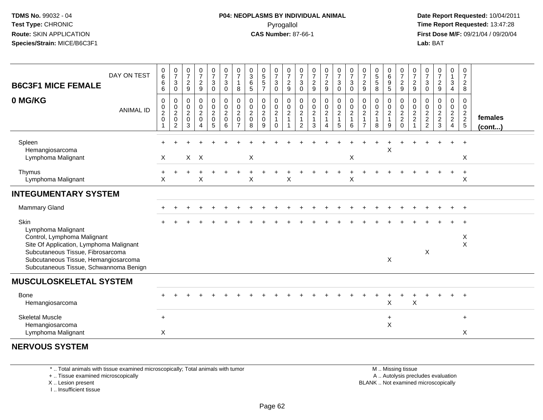#### **P04: NEOPLASMS BY INDIVIDUAL ANIMAL**Pyrogallol **Time Report Requested:** 13:47:28

 **Date Report Requested:** 10/04/2011 **First Dose M/F:** 09/21/04 / 09/20/04<br>**Lab:** BAT **Lab:** BAT

| DAY ON TEST<br><b>B6C3F1 MICE FEMALE</b>                                                                                                                                                                                    | $\begin{matrix} 0 \\ 6 \end{matrix}$<br>6<br>6          | $\frac{0}{7}$<br>3<br>0                                   | $\frac{0}{7}$<br>$\boldsymbol{2}$<br>$\boldsymbol{9}$ | $\frac{0}{7}$<br>$\frac{2}{9}$                                                      | $\frac{0}{7}$<br>3<br>0            | $\begin{array}{c} 0 \\ 7 \end{array}$<br>$\sqrt{3}$<br>$\mathbf 0$ | $\frac{0}{7}$<br>1<br>8                                         | $_{3}^{\rm 0}$<br>$\,6\,$<br>$\sqrt{5}$            | $\begin{smallmatrix}0\0\5\end{smallmatrix}$<br>$\frac{5}{7}$ | $\frac{0}{7}$<br>$\sqrt{3}$<br>$\ddot{\mathbf{0}}$             | $\frac{0}{7}$<br>$\frac{2}{9}$                                           | $\frac{0}{7}$<br>$\ensuremath{\mathsf{3}}$<br>$\mathbf 0$          | $\begin{smallmatrix}0\\7\end{smallmatrix}$<br>$\frac{2}{9}$                           | $\frac{0}{7}$<br>$\frac{2}{9}$          | $\frac{0}{7}$<br>3<br>$\mathsf{O}$ | $\frac{0}{7}$<br>$\sqrt{3}$<br>$\mathbf 0$                             | $\frac{0}{7}$<br>$\boldsymbol{2}$<br>$\boldsymbol{9}$            | $\begin{array}{c} 0 \\ 5 \end{array}$<br>$\sqrt{5}$<br>8 | $\begin{array}{c} 0 \\ 6 \end{array}$<br>$\boldsymbol{9}$<br>5 | $\frac{0}{7}$<br>$\frac{2}{9}$                         | $\frac{0}{7}$<br>$\frac{2}{9}$                       | $\frac{0}{7}$<br>$\sqrt{3}$<br>$\overline{0}$ | $\frac{0}{7}$<br>$\frac{2}{9}$         | 0<br>$\mathbf{1}$<br>3<br>4               | $\frac{0}{7}$<br>$\frac{2}{8}$                       |                   |
|-----------------------------------------------------------------------------------------------------------------------------------------------------------------------------------------------------------------------------|---------------------------------------------------------|-----------------------------------------------------------|-------------------------------------------------------|-------------------------------------------------------------------------------------|------------------------------------|--------------------------------------------------------------------|-----------------------------------------------------------------|----------------------------------------------------|--------------------------------------------------------------|----------------------------------------------------------------|--------------------------------------------------------------------------|--------------------------------------------------------------------|---------------------------------------------------------------------------------------|-----------------------------------------|------------------------------------|------------------------------------------------------------------------|------------------------------------------------------------------|----------------------------------------------------------|----------------------------------------------------------------|--------------------------------------------------------|------------------------------------------------------|-----------------------------------------------|----------------------------------------|-------------------------------------------|------------------------------------------------------|-------------------|
| 0 MG/KG<br><b>ANIMAL ID</b>                                                                                                                                                                                                 | 0<br>$\mathop{2}\limits^{\mathbb{O}}$<br>$\pmb{0}$<br>1 | 0<br>$\mathbf 0$<br>$\overline{2}$<br>0<br>$\overline{2}$ | 0<br>0<br>$\overline{c}$<br>0<br>3                    | $\boldsymbol{0}$<br>$\mathop{2}\limits^{\mathbb{O}}$<br>$\pmb{0}$<br>$\overline{A}$ | 0<br>0<br>$\overline{2}$<br>0<br>5 | 0<br>$\pmb{0}$<br>$\overline{2}$<br>$\mathbf 0$<br>6               | 0<br>$\pmb{0}$<br>$\overline{c}$<br>$\pmb{0}$<br>$\overline{7}$ | 0<br>$\pmb{0}$<br>$\overline{2}$<br>$\pmb{0}$<br>8 | 0<br>$\pmb{0}$<br>$\overline{2}$<br>$\pmb{0}$<br>9           | 0<br>$\mathbf 0$<br>$\overline{2}$<br>$\mathbf{1}$<br>$\Omega$ | 0<br>$\pmb{0}$<br>$\overline{2}$<br>$\mathbf{1}$<br>$\blacktriangleleft$ | 0<br>$\pmb{0}$<br>$\overline{2}$<br>$\mathbf{1}$<br>$\overline{2}$ | $\boldsymbol{0}$<br>$\begin{smallmatrix} 0\\2 \end{smallmatrix}$<br>$\mathbf{1}$<br>3 | 0<br>$^{\rm 0}_{\rm 2}$<br>$\mathbf{1}$ | 0<br>$_2^0$<br>$\mathbf{1}$<br>5   | $\begin{smallmatrix} 0\\0\\2 \end{smallmatrix}$<br>$\overline{1}$<br>6 | 0<br>$\mathbf 0$<br>$\sqrt{2}$<br>$\mathbf{1}$<br>$\overline{7}$ | 0<br>$\pmb{0}$<br>$\overline{2}$<br>$\mathbf{1}$<br>8    | 0<br>0<br>$\overline{2}$<br>$\mathbf{1}$<br>9                  | 0<br>0<br>$\overline{2}$<br>$\overline{a}$<br>$\Omega$ | 0<br>$\pmb{0}$<br>$\overline{2}$<br>$\boldsymbol{2}$ | 0<br>0<br>$\frac{2}{2}$                       | 0<br>$\mathbf 0$<br>$\frac{2}{2}$<br>3 | 0<br>0<br>$\frac{2}{2}$<br>$\overline{4}$ | 0<br>$\mathbf 0$<br>$\frac{2}{2}$<br>$5\phantom{.0}$ | females<br>(cont) |
| Spleen<br>Hemangiosarcoma<br>Lymphoma Malignant                                                                                                                                                                             | $\times$                                                |                                                           |                                                       | $X$ $X$                                                                             |                                    |                                                                    |                                                                 | X                                                  |                                                              |                                                                |                                                                          |                                                                    |                                                                                       |                                         |                                    | X                                                                      |                                                                  |                                                          | X                                                              |                                                        |                                                      |                                               |                                        |                                           | $\ddot{}$<br>X                                       |                   |
| Thymus<br>Lymphoma Malignant                                                                                                                                                                                                | X                                                       |                                                           |                                                       | X                                                                                   |                                    |                                                                    |                                                                 | X                                                  |                                                              |                                                                | X                                                                        |                                                                    |                                                                                       |                                         |                                    | X                                                                      |                                                                  |                                                          |                                                                |                                                        |                                                      |                                               |                                        |                                           | X                                                    |                   |
| <b>INTEGUMENTARY SYSTEM</b>                                                                                                                                                                                                 |                                                         |                                                           |                                                       |                                                                                     |                                    |                                                                    |                                                                 |                                                    |                                                              |                                                                |                                                                          |                                                                    |                                                                                       |                                         |                                    |                                                                        |                                                                  |                                                          |                                                                |                                                        |                                                      |                                               |                                        |                                           |                                                      |                   |
| Mammary Gland                                                                                                                                                                                                               |                                                         |                                                           |                                                       |                                                                                     |                                    |                                                                    |                                                                 |                                                    |                                                              |                                                                |                                                                          |                                                                    |                                                                                       |                                         |                                    |                                                                        |                                                                  |                                                          |                                                                |                                                        |                                                      |                                               |                                        |                                           |                                                      |                   |
| Skin<br>Lymphoma Malignant<br>Control, Lymphoma Malignant<br>Site Of Application, Lymphoma Malignant<br>Subcutaneous Tissue, Fibrosarcoma<br>Subcutaneous Tissue, Hemangiosarcoma<br>Subcutaneous Tissue, Schwannoma Benign |                                                         |                                                           |                                                       |                                                                                     |                                    |                                                                    |                                                                 |                                                    |                                                              |                                                                |                                                                          |                                                                    |                                                                                       |                                         |                                    |                                                                        |                                                                  |                                                          | X                                                              |                                                        |                                                      | X                                             |                                        |                                           | X<br>X                                               |                   |
| <b>MUSCULOSKELETAL SYSTEM</b>                                                                                                                                                                                               |                                                         |                                                           |                                                       |                                                                                     |                                    |                                                                    |                                                                 |                                                    |                                                              |                                                                |                                                                          |                                                                    |                                                                                       |                                         |                                    |                                                                        |                                                                  |                                                          |                                                                |                                                        |                                                      |                                               |                                        |                                           |                                                      |                   |
| <b>Bone</b><br>Hemangiosarcoma                                                                                                                                                                                              |                                                         |                                                           |                                                       |                                                                                     |                                    |                                                                    |                                                                 |                                                    |                                                              |                                                                |                                                                          |                                                                    |                                                                                       |                                         |                                    |                                                                        |                                                                  |                                                          | X                                                              |                                                        | $\sf X$                                              |                                               |                                        |                                           |                                                      |                   |
| <b>Skeletal Muscle</b><br>Hemangiosarcoma<br>Lymphoma Malignant                                                                                                                                                             | $\ddot{}$<br>X                                          |                                                           |                                                       |                                                                                     |                                    |                                                                    |                                                                 |                                                    |                                                              |                                                                |                                                                          |                                                                    |                                                                                       |                                         |                                    |                                                                        |                                                                  |                                                          | +<br>X                                                         |                                                        |                                                      |                                               |                                        |                                           | $\ddot{}$<br>X                                       |                   |
| <b>NERVOUS SYSTEM</b>                                                                                                                                                                                                       |                                                         |                                                           |                                                       |                                                                                     |                                    |                                                                    |                                                                 |                                                    |                                                              |                                                                |                                                                          |                                                                    |                                                                                       |                                         |                                    |                                                                        |                                                                  |                                                          |                                                                |                                                        |                                                      |                                               |                                        |                                           |                                                      |                   |

\* .. Total animals with tissue examined microscopically; Total animals with tumor

+ .. Tissue examined microscopically

X .. Lesion present

I .. Insufficient tissue

 M .. Missing tissuey the contract of the contract of the contract of the contract of the contract of the contract of the contract of  $A$ . Autolysis precludes evaluation Lesion present BLANK .. Not examined microscopically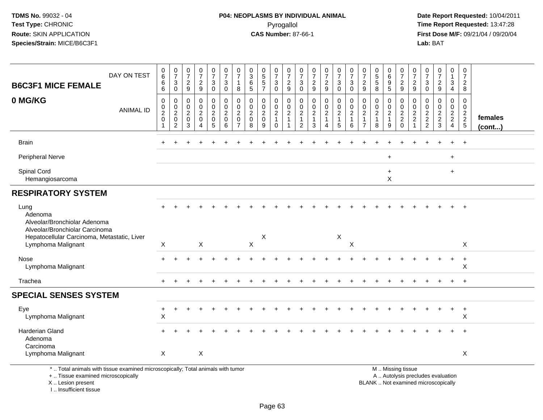#### **P04: NEOPLASMS BY INDIVIDUAL ANIMAL**Pyrogallol **Time Report Requested:** 13:47:28

 **Date Report Requested:** 10/04/2011 **First Dose M/F:** 09/21/04 / 09/20/04<br>**Lab:** BAT **Lab:** BAT

| DAY ON TEST<br><b>B6C3F1 MICE FEMALE</b>                                          | $\begin{array}{c} 0 \\ 6 \end{array}$<br>6<br>6           | $\frac{0}{7}$<br>3<br>$\mathbf 0$                  | $\frac{0}{7}$<br>$\overline{2}$<br>9                            | 0<br>$\overline{7}$<br>$\frac{2}{9}$                             | $\frac{0}{7}$<br>3<br>$\mathbf 0$                      | $\frac{0}{7}$<br>$\mathbf{3}$<br>$\mathbf 0$                 | 0<br>$\overline{7}$<br>$\overline{1}$<br>8                   | $_{3}^{\rm 0}$<br>$6\phantom{1}6$<br>5                           | $\begin{array}{c} 0 \\ 5 \\ 5 \end{array}$<br>$\overline{7}$ | 0<br>$\overline{7}$<br>$\mathbf{3}$<br>$\mathbf 0$                         | $\frac{0}{7}$<br>$\frac{2}{9}$                     | 0<br>$\overline{7}$<br>3<br>$\mathbf 0$                                          | $\begin{array}{c} 0 \\ 7 \end{array}$<br>$\sqrt{2}$<br>$\overline{9}$ | $\begin{smallmatrix}0\\7\end{smallmatrix}$<br>$\frac{2}{9}$              | $\frac{0}{7}$<br>$\mathbf 3$<br>$\mathbf 0$                   | 0<br>$\overline{7}$<br>3<br>$\Omega$ | $\frac{0}{7}$<br>$\overline{2}$<br>9                                         | $\begin{array}{c} 0 \\ 5 \\ 5 \end{array}$<br>$\overline{8}$ | 0<br>$6\overline{6}$<br>$\begin{array}{c} 9 \\ 5 \end{array}$ | $\frac{0}{7}$<br>$\frac{2}{9}$                        | 0<br>$\overline{7}$<br>$\overline{2}$<br>9                   | 0<br>$\overline{7}$<br>3<br>$\mathbf 0$                                       | $\frac{0}{7}$<br>$\frac{2}{9}$                            | 0<br>$\mathbf{1}$<br>3<br>$\overline{4}$                      | 0<br>$\overline{7}$<br>$\overline{2}$<br>8       |                         |
|-----------------------------------------------------------------------------------|-----------------------------------------------------------|----------------------------------------------------|-----------------------------------------------------------------|------------------------------------------------------------------|--------------------------------------------------------|--------------------------------------------------------------|--------------------------------------------------------------|------------------------------------------------------------------|--------------------------------------------------------------|----------------------------------------------------------------------------|----------------------------------------------------|----------------------------------------------------------------------------------|-----------------------------------------------------------------------|--------------------------------------------------------------------------|---------------------------------------------------------------|--------------------------------------|------------------------------------------------------------------------------|--------------------------------------------------------------|---------------------------------------------------------------|-------------------------------------------------------|--------------------------------------------------------------|-------------------------------------------------------------------------------|-----------------------------------------------------------|---------------------------------------------------------------|--------------------------------------------------|-------------------------|
| 0 MG/KG<br><b>ANIMAL ID</b>                                                       | $\mathbf 0$<br>$\pmb{0}$<br>$\overline{c}$<br>$\mathbf 0$ | 0<br>$\mathbf 0$<br>$\sqrt{2}$<br>$\mathbf 0$<br>2 | $\mathbf 0$<br>$\mathbf 0$<br>$\sqrt{2}$<br>$\overline{0}$<br>3 | $\mathbf 0$<br>$\mathbf 0$<br>$\overline{c}$<br>$\mathbf 0$<br>4 | 0<br>$\mathbf 0$<br>$\overline{c}$<br>$\mathbf 0$<br>5 | $\mathbf 0$<br>$\pmb{0}$<br>$\overline{c}$<br>$\pmb{0}$<br>6 | $\mathbf{0}$<br>$\mathbf 0$<br>$\overline{2}$<br>$\mathbf 0$ | $\mathbf 0$<br>$\mathbf 0$<br>$\overline{2}$<br>$\mathbf 0$<br>8 | 0<br>$\mathbf 0$<br>$\boldsymbol{2}$<br>$\pmb{0}$<br>9       | $\mathbf 0$<br>$\mathbf 0$<br>$\boldsymbol{2}$<br>$\mathbf{1}$<br>$\Omega$ | $\mathbf 0$<br>0<br>$\overline{c}$<br>$\mathbf{1}$ | $\mathbf 0$<br>$\mathbf 0$<br>$\boldsymbol{2}$<br>$\mathbf{1}$<br>$\overline{2}$ | 0<br>$\pmb{0}$<br>$\overline{c}$<br>$\mathbf 1$<br>3                  | $\pmb{0}$<br>$\pmb{0}$<br>$\sqrt{2}$<br>$\overline{1}$<br>$\overline{A}$ | $\mathbf 0$<br>$\mathbf 0$<br>$\sqrt{2}$<br>$\mathbf{1}$<br>5 | $\Omega$<br>0<br>$\overline{c}$<br>6 | $\mathbf 0$<br>$\pmb{0}$<br>$\overline{c}$<br>$\mathbf{1}$<br>$\overline{7}$ | 0<br>$\mathbf 0$<br>$\overline{c}$<br>$\mathbf{1}$<br>8      | 0<br>$\mathbf 0$<br>$\overline{c}$<br>$\mathbf{1}$<br>9       | $\mathbf 0$<br>$\pmb{0}$<br>$\frac{2}{2}$<br>$\Omega$ | $\Omega$<br>$\mathbf 0$<br>$\overline{c}$<br>$\sqrt{2}$<br>1 | $\Omega$<br>$\mathbf 0$<br>$\overline{c}$<br>$\overline{c}$<br>$\overline{2}$ | 0<br>$\mathbf 0$<br>$\overline{c}$<br>$\overline{2}$<br>3 | $\mathbf 0$<br>$\mathbf 0$<br>$\frac{2}{2}$<br>$\overline{4}$ | $\mathbf 0$<br>$\mathbf 0$<br>$\frac{2}{2}$<br>5 | females<br>$($ cont $)$ |
| <b>Brain</b>                                                                      |                                                           |                                                    |                                                                 |                                                                  |                                                        |                                                              |                                                              |                                                                  |                                                              |                                                                            |                                                    |                                                                                  |                                                                       |                                                                          |                                                               |                                      |                                                                              |                                                              |                                                               |                                                       |                                                              |                                                                               |                                                           |                                                               | $\ddot{}$                                        |                         |
| Peripheral Nerve                                                                  |                                                           |                                                    |                                                                 |                                                                  |                                                        |                                                              |                                                              |                                                                  |                                                              |                                                                            |                                                    |                                                                                  |                                                                       |                                                                          |                                                               |                                      |                                                                              |                                                              | $\ddot{}$                                                     |                                                       |                                                              |                                                                               |                                                           | $+$                                                           |                                                  |                         |
| Spinal Cord<br>Hemangiosarcoma                                                    |                                                           |                                                    |                                                                 |                                                                  |                                                        |                                                              |                                                              |                                                                  |                                                              |                                                                            |                                                    |                                                                                  |                                                                       |                                                                          |                                                               |                                      |                                                                              |                                                              | $\ddot{}$<br>X                                                |                                                       |                                                              |                                                                               |                                                           | $+$                                                           |                                                  |                         |
| <b>RESPIRATORY SYSTEM</b>                                                         |                                                           |                                                    |                                                                 |                                                                  |                                                        |                                                              |                                                              |                                                                  |                                                              |                                                                            |                                                    |                                                                                  |                                                                       |                                                                          |                                                               |                                      |                                                                              |                                                              |                                                               |                                                       |                                                              |                                                                               |                                                           |                                                               |                                                  |                         |
| Lung<br>Adenoma<br>Alveolar/Bronchiolar Adenoma<br>Alveolar/Bronchiolar Carcinoma |                                                           |                                                    |                                                                 |                                                                  |                                                        |                                                              |                                                              |                                                                  |                                                              |                                                                            |                                                    |                                                                                  |                                                                       |                                                                          |                                                               |                                      |                                                                              |                                                              |                                                               |                                                       |                                                              |                                                                               |                                                           |                                                               | $+$                                              |                         |
| Hepatocellular Carcinoma, Metastatic, Liver<br>Lymphoma Malignant                 | $\mathsf{X}$                                              |                                                    |                                                                 | X                                                                |                                                        |                                                              |                                                              | $\pmb{\times}$                                                   | Χ                                                            |                                                                            |                                                    |                                                                                  |                                                                       |                                                                          | X                                                             | $\mathsf X$                          |                                                                              |                                                              |                                                               |                                                       |                                                              |                                                                               |                                                           |                                                               | X                                                |                         |
| Nose<br>Lymphoma Malignant                                                        |                                                           |                                                    |                                                                 |                                                                  |                                                        |                                                              |                                                              |                                                                  |                                                              |                                                                            |                                                    |                                                                                  |                                                                       |                                                                          |                                                               |                                      |                                                                              |                                                              |                                                               |                                                       |                                                              |                                                                               |                                                           | +                                                             | $+$<br>X                                         |                         |
| Trachea                                                                           | $\pm$                                                     |                                                    |                                                                 |                                                                  |                                                        |                                                              |                                                              |                                                                  |                                                              |                                                                            |                                                    |                                                                                  |                                                                       |                                                                          |                                                               |                                      |                                                                              |                                                              |                                                               |                                                       |                                                              |                                                                               |                                                           | $+$                                                           | $+$                                              |                         |
| <b>SPECIAL SENSES SYSTEM</b>                                                      |                                                           |                                                    |                                                                 |                                                                  |                                                        |                                                              |                                                              |                                                                  |                                                              |                                                                            |                                                    |                                                                                  |                                                                       |                                                                          |                                                               |                                      |                                                                              |                                                              |                                                               |                                                       |                                                              |                                                                               |                                                           |                                                               |                                                  |                         |
| Eye<br>Lymphoma Malignant                                                         | $\ddot{}$<br>$\boldsymbol{\mathsf{X}}$                    |                                                    |                                                                 |                                                                  |                                                        |                                                              |                                                              |                                                                  |                                                              |                                                                            |                                                    |                                                                                  |                                                                       |                                                                          |                                                               |                                      |                                                                              |                                                              |                                                               |                                                       |                                                              |                                                                               |                                                           |                                                               | $\ddot{}$<br>X                                   |                         |
| Harderian Gland<br>Adenoma                                                        |                                                           |                                                    |                                                                 |                                                                  |                                                        |                                                              |                                                              |                                                                  |                                                              |                                                                            |                                                    |                                                                                  |                                                                       |                                                                          |                                                               |                                      |                                                                              |                                                              |                                                               |                                                       |                                                              |                                                                               |                                                           |                                                               | $\ddot{}$                                        |                         |
| Carcinoma<br>Lymphoma Malignant                                                   | X                                                         |                                                    |                                                                 | X                                                                |                                                        |                                                              |                                                              |                                                                  |                                                              |                                                                            |                                                    |                                                                                  |                                                                       |                                                                          |                                                               |                                      |                                                                              |                                                              |                                                               |                                                       |                                                              |                                                                               |                                                           |                                                               | X                                                |                         |
| * Total animals with tissue examined microsconically: Total animals with tumor    |                                                           |                                                    |                                                                 |                                                                  |                                                        |                                                              |                                                              |                                                                  |                                                              |                                                                            |                                                    |                                                                                  |                                                                       |                                                                          |                                                               |                                      |                                                                              |                                                              |                                                               | M Miccinaticcup                                       |                                                              |                                                                               |                                                           |                                                               |                                                  |                         |

\* .. Total animals with tissue examined microscopically; Total animals with tumor

+ .. Tissue examined microscopically

 Lesion present BLANK .. Not examined microscopicallyX .. Lesion present

I .. Insufficient tissue

 M .. Missing tissuey the contract of the contract of the contract of the contract of the contract of the contract of the contract of  $A$ . Autolysis precludes evaluation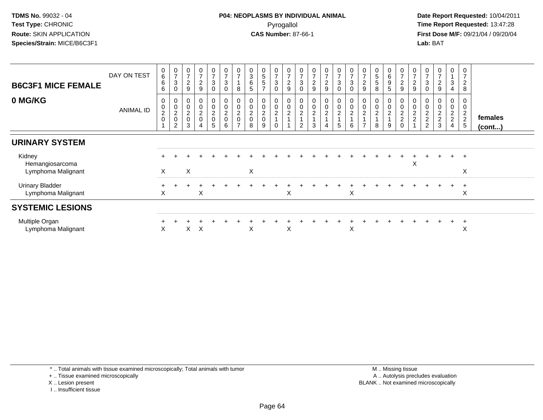**Date Report Requested:** 10/04/2011 **First Dose M/F:** 09/21/04 / 09/20/04<br>**Lab:** BAT **Lab:** BAT

| <b>B6C3F1 MICE FEMALE</b>                       | DAY ON TEST      | $\begin{array}{c} 0 \\ 6 \end{array}$<br>6<br>6 | $\frac{0}{7}$<br>$\sqrt{3}$<br>0     | 0<br>$\overline{7}$<br>$\overline{2}$<br>9 | 0<br>$\overline{7}$<br>$\boldsymbol{2}$<br>9 | 0<br>$\overline{ }$<br>3<br>0        | $\frac{0}{7}$<br>$\ensuremath{\mathsf{3}}$<br>0     | 0<br>$\overline{ }$<br>8                                    | $\begin{array}{c} 0 \\ 3 \\ 6 \end{array}$<br>$\sqrt{5}$ | $\begin{array}{c} 0 \\ 5 \\ 5 \end{array}$<br>$\overline{ }$ | $\frac{0}{7}$<br>3<br>$\mathbf 0$            | $\pmb{0}$<br>$\overline{7}$<br>$\boldsymbol{2}$<br>$\boldsymbol{9}$ | 0<br>$\overline{ }$<br>$\ensuremath{\mathsf{3}}$<br>0 | 0<br>$\overline{7}$<br>$\boldsymbol{2}$<br>$\boldsymbol{9}$ | 0<br>$\overline{7}$<br>$\overline{c}$<br>$\boldsymbol{9}$ | $\frac{0}{7}$<br>$\ensuremath{\mathsf{3}}$<br>$\pmb{0}$      | $\begin{array}{c} 0 \\ 7 \end{array}$<br>$\sqrt{3}$<br>$\mathbf 0$ | 0<br>$\overline{7}$<br>$\overline{c}$<br>9 | $\begin{array}{c} 5 \\ 5 \end{array}$<br>8 | 0<br>6<br>9<br>5                                           | $\frac{0}{7}$<br>$\overline{c}$<br>$9\,$ | 0<br>$\overline{ }$<br>$\boldsymbol{2}$<br>9 | $\pmb{0}$<br>$\overline{7}$<br>$\sqrt{3}$<br>$\mathbf 0$ | 0<br>$\overline{7}$<br>$\sqrt{2}$<br>9 | 0<br>3<br>4                  | 0<br>$\overline{7}$<br>$\overline{c}$<br>8 |                   |
|-------------------------------------------------|------------------|-------------------------------------------------|--------------------------------------|--------------------------------------------|----------------------------------------------|--------------------------------------|-----------------------------------------------------|-------------------------------------------------------------|----------------------------------------------------------|--------------------------------------------------------------|----------------------------------------------|---------------------------------------------------------------------|-------------------------------------------------------|-------------------------------------------------------------|-----------------------------------------------------------|--------------------------------------------------------------|--------------------------------------------------------------------|--------------------------------------------|--------------------------------------------|------------------------------------------------------------|------------------------------------------|----------------------------------------------|----------------------------------------------------------|----------------------------------------|------------------------------|--------------------------------------------|-------------------|
| 0 MG/KG                                         | <b>ANIMAL ID</b> | 0<br>$\mathbf 0$<br>$\frac{2}{0}$               | 0<br>$\pmb{0}$<br>$\frac{2}{0}$<br>2 | 0<br>$\boldsymbol{0}$<br>$^2_{\rm 0}$<br>3 | $\mathbf 0$<br>$\pmb{0}$<br>$\frac{2}{0}$    | 0<br>$\pmb{0}$<br>$\frac{2}{0}$<br>5 | 0<br>$\begin{matrix} 0 \\ 2 \\ 0 \end{matrix}$<br>6 | $\mathbf 0$<br>$\pmb{0}$<br>$\frac{2}{0}$<br>$\overline{ }$ | $\begin{matrix} 0 \\ 0 \\ 2 \\ 0 \end{matrix}$<br>8      | 0<br>$\frac{0}{2}$<br>9                                      | 0<br>$\pmb{0}$<br>$\overline{c}$<br>$\Omega$ | 0<br>$\pmb{0}$<br>$\frac{2}{1}$<br>$\blacktriangleleft$             | 0<br>0<br>$\overline{c}$<br>2                         | $\pmb{0}$<br>$\overline{c}$<br>3                            | 0<br>$\pmb{0}$<br>$\overline{2}$<br>4                     | $\begin{matrix} 0 \\ 0 \\ 2 \\ 1 \end{matrix}$<br>$\sqrt{5}$ | $\begin{array}{c} 0 \\ 0 \\ 2 \\ 1 \end{array}$<br>6               | 0<br>$\pmb{0}$<br>2<br>$\overline{ }$      | $\pmb{0}$<br>$\boldsymbol{2}$<br>8         | 0<br>$\mathsf{O}$<br>$\overline{c}$<br>$\overline{4}$<br>9 | $0002$<br>$20$                           | 0<br>$\pmb{0}$<br>$\frac{2}{2}$              | $\pmb{0}$<br>$\frac{2}{2}$                               | 0<br>$\pmb{0}$<br>$\frac{2}{2}$<br>3   | 0<br>0<br>$\frac{2}{2}$<br>4 | 0<br>$\frac{2}{2}$<br>5                    | females<br>(cont) |
| <b>URINARY SYSTEM</b>                           |                  |                                                 |                                      |                                            |                                              |                                      |                                                     |                                                             |                                                          |                                                              |                                              |                                                                     |                                                       |                                                             |                                                           |                                                              |                                                                    |                                            |                                            |                                                            |                                          |                                              |                                                          |                                        |                              |                                            |                   |
| Kidney<br>Hemangiosarcoma<br>Lymphoma Malignant |                  | X                                               |                                      | $\mathsf X$                                |                                              |                                      |                                                     |                                                             | $\pmb{\times}$                                           |                                                              |                                              |                                                                     |                                                       |                                                             |                                                           |                                                              |                                                                    |                                            |                                            |                                                            |                                          | X                                            |                                                          |                                        | $\ddot{}$                    | $\overline{+}$<br>X                        |                   |
| <b>Urinary Bladder</b><br>Lymphoma Malignant    |                  | X                                               |                                      |                                            | X                                            |                                      |                                                     |                                                             |                                                          |                                                              |                                              | X                                                                   |                                                       |                                                             |                                                           |                                                              | X                                                                  |                                            |                                            |                                                            |                                          |                                              |                                                          |                                        |                              | $\pm$<br>X                                 |                   |
| <b>SYSTEMIC LESIONS</b>                         |                  |                                                 |                                      |                                            |                                              |                                      |                                                     |                                                             |                                                          |                                                              |                                              |                                                                     |                                                       |                                                             |                                                           |                                                              |                                                                    |                                            |                                            |                                                            |                                          |                                              |                                                          |                                        |                              |                                            |                   |
| Multiple Organ<br>Lymphoma Malignant            |                  | X                                               |                                      | X                                          | X                                            |                                      |                                                     |                                                             | X                                                        |                                                              |                                              | X                                                                   |                                                       |                                                             |                                                           |                                                              | X                                                                  |                                            |                                            |                                                            |                                          |                                              |                                                          |                                        |                              | $\pm$<br>⋏                                 |                   |

\* .. Total animals with tissue examined microscopically; Total animals with tumor

+ .. Tissue examined microscopically

X .. Lesion present

I .. Insufficient tissue

 M .. Missing tissuey the contract of the contract of the contract of the contract of the contract of the contract of the contract of  $A$ . Autolysis precludes evaluation Lesion present BLANK .. Not examined microscopically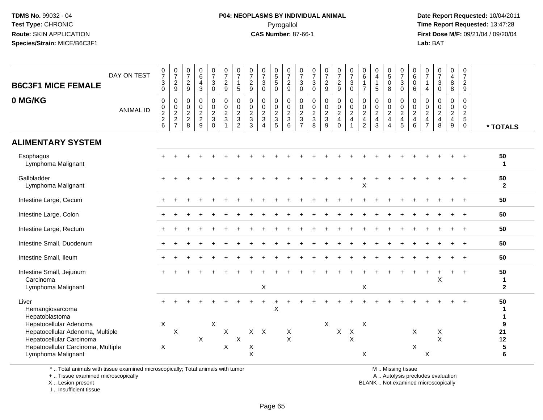#### **P04: NEOPLASMS BY INDIVIDUAL ANIMAL**Pyrogallol **Time Report Requested:** 13:47:28

 **Date Report Requested:** 10/04/2011 **First Dose M/F:** 09/21/04 / 09/20/04<br>**Lab:** BAT **Lab:** BAT

| $\begin{array}{c} 0 \\ 7 \end{array}$<br>$\frac{0}{7}$<br>$\frac{0}{7}$<br>$\frac{0}{7}$<br>$\begin{array}{c} 0 \\ 6 \end{array}$<br>$\frac{0}{7}$<br>$\frac{0}{7}$<br>$\frac{0}{7}$<br>$\frac{0}{7}$<br>$\begin{array}{c} 0 \\ 5 \\ 5 \end{array}$<br>$\frac{0}{7}$<br>$\frac{0}{7}$<br>$\begin{array}{c} 0 \\ 6 \end{array}$<br>0<br>$\begin{smallmatrix}0\0\5\end{smallmatrix}$<br>$\frac{0}{7}$<br>0<br>0<br>$\frac{0}{7}$<br>$\frac{0}{7}$<br>$\frac{0}{7}$<br>$\frac{0}{7}$<br>$\frac{0}{7}$<br>$_6^0$<br>0<br>DAY ON TEST<br>$\overline{4}$<br>$\overline{7}$<br>$\overline{7}$<br>$\overline{4}$<br>$\sqrt{2}$<br>$\frac{2}{9}$<br>$\frac{2}{9}$<br>$\ensuremath{\mathsf{3}}$<br>$\frac{2}{9}$<br>$\sqrt{2}$<br>$\overline{\mathbf{4}}$<br>$\ensuremath{\mathsf{3}}$<br>$\frac{2}{9}$<br>$\sqrt{3}$<br>$\sqrt{3}$<br>$\frac{2}{9}$<br>$\ensuremath{\mathsf{3}}$<br>$\overline{1}$<br>$\pmb{0}$<br>$\ensuremath{\mathsf{3}}$<br>$\ensuremath{\mathsf{3}}$<br>$\bf 8$<br>$\sqrt{2}$<br>$\mathbf{3}$<br>$\mathbf{1}$<br>0<br>$\mathbf{1}$<br>$\mathbf{1}$<br>9<br>$\sqrt{3}$<br>$\pmb{0}$<br>$9\,$<br>5<br>$\mathbf 0$<br>$\mathsf{O}\xspace$<br>$\mathsf 0$<br>$\mathbf 0$<br>$\pmb{0}$<br>$\overline{7}$<br>$\sqrt{5}$<br>8<br>$\mathbf 0$<br>6<br>$\mathsf 0$<br>8<br>9<br>0<br>$\overline{\mathbf{4}}$<br>$\pmb{0}$<br>$\pmb{0}$<br>$\pmb{0}$<br>$\pmb{0}$<br>$\pmb{0}$<br>$\mathsf{O}\xspace$<br>$\pmb{0}$<br>$\pmb{0}$<br>$\pmb{0}$<br>$\mathsf 0$<br>$\pmb{0}$<br>0<br>$\mathbf 0$<br>0<br>0<br>$\pmb{0}$<br>$\pmb{0}$<br>$\pmb{0}$<br>$\mathbf 0$<br>0<br>$\mathbf 0$<br>$\mathbf 0$<br>0<br>$\pmb{0}$<br>0<br>$\overline{0}$<br>$\ddot{\mathbf{0}}$<br>$\begin{array}{c} 0 \\ 2 \\ 3 \\ 3 \end{array}$<br>$\ddot{\mathbf{0}}$<br>$\ddot{\mathbf{0}}$<br>$\overline{0}$<br>$\ddot{\mathbf{0}}$<br>$\ddot{\mathbf{0}}$<br>$\ddot{\mathbf{0}}$<br>$\ddot{\mathbf{0}}$<br>$\frac{0}{2}$<br>$\mathbf 0$<br>$\mathbf 0$<br>$\pmb{0}$<br>$\pmb{0}$<br>$\mathbf 0$<br>$\pmb{0}$<br>$\mathsf{O}\xspace$<br>$\pmb{0}$<br>$\pmb{0}$<br>$\frac{0}{2}$<br>7<br>$\mathsf{O}\xspace$<br>$\mathbf 0$<br>0<br>$\pmb{0}$<br><b>ANIMAL ID</b><br>$\frac{2}{3}$<br>$\frac{2}{4}$<br>$\frac{2}{2}$ 6<br>$\overline{2}$<br>$\overline{2}$<br>$\frac{2}{3}$<br>$\overline{2}$<br>$\frac{2}{3}$<br>$rac{2}{3}$<br>$\frac{2}{3}$<br>$\frac{2}{3}$<br>$\overline{2}$<br>$\overline{2}$<br>$\frac{2}{4}$<br>$\overline{2}$<br>$\frac{2}{4}$<br>$\overline{2}$<br>$\frac{2}{4}$<br>$\frac{2}{3}$<br>$\overline{a}$<br>$\overline{2}$<br>$\overline{c}$<br>$\boldsymbol{2}$<br>$\boldsymbol{2}$<br>$\mathbf 3$<br>3<br>$\sqrt{5}$<br>$\overline{4}$<br>$\overline{4}$<br>$\overline{4}$<br>$\overline{4}$<br>4<br>8<br>$\overline{9}$<br>$\overline{8}$<br>$\overline{2}$<br>$\overline{7}$<br>$6\phantom{1}6$<br>3<br>5<br>6<br>8<br>$9\,$<br>9<br>$\Omega$<br>$\overline{2}$<br>$\overline{7}$<br>$\mathbf 0$<br>$\mathbf 0$<br>$\mathbf{1}$<br>$\overline{4}$<br>$\overline{4}$<br>* TOTALS<br>50<br>Esophagus<br>Lymphoma Malignant<br>-1<br>Gallbladder<br>50<br>$\mathbf{2}$<br>Lymphoma Malignant<br>X<br>50<br>Intestine Large, Cecum<br>50<br>Intestine Large, Colon<br>Intestine Large, Rectum<br>50<br>Intestine Small, Duodenum<br>50<br>$\ddot{}$<br>Intestine Small, Ileum<br>50<br>$\overline{ }$<br>Intestine Small, Jejunum<br>50<br>$\ddot{}$<br>+<br>X<br>Carcinoma<br>1<br>X<br>X<br>Lymphoma Malignant<br>$\mathbf{2}$<br>Liver<br>50<br>X<br>Hemangiosarcoma<br>1<br>Hepatoblastoma<br>1<br>$\boldsymbol{\mathsf{X}}$<br>$\pmb{\times}$<br>X<br>X<br>Hepatocellular Adenoma<br>9<br>$\boldsymbol{\mathsf{X}}$<br>$X$ $X$<br>Hepatocellular Adenoma, Multiple<br>X<br>X<br>$\boldsymbol{X}$<br>X<br>21<br>X<br>X<br>$\boldsymbol{\mathsf{X}}$<br>$\times$<br>$\times$<br>X<br>$\sf X$<br>12<br>Hepatocellular Carcinoma<br>$\sf X$<br>${\bf 5}$<br>$\boldsymbol{\mathsf{X}}$<br>Hepatocellular Carcinoma, Multiple<br>X<br>X<br>$\mathsf X$<br>X<br>X<br>6<br>Lymphoma Malignant |                           |  |  |  |  |  |  |  |  |  |  |  |  |  |  |
|----------------------------------------------------------------------------------------------------------------------------------------------------------------------------------------------------------------------------------------------------------------------------------------------------------------------------------------------------------------------------------------------------------------------------------------------------------------------------------------------------------------------------------------------------------------------------------------------------------------------------------------------------------------------------------------------------------------------------------------------------------------------------------------------------------------------------------------------------------------------------------------------------------------------------------------------------------------------------------------------------------------------------------------------------------------------------------------------------------------------------------------------------------------------------------------------------------------------------------------------------------------------------------------------------------------------------------------------------------------------------------------------------------------------------------------------------------------------------------------------------------------------------------------------------------------------------------------------------------------------------------------------------------------------------------------------------------------------------------------------------------------------------------------------------------------------------------------------------------------------------------------------------------------------------------------------------------------------------------------------------------------------------------------------------------------------------------------------------------------------------------------------------------------------------------------------------------------------------------------------------------------------------------------------------------------------------------------------------------------------------------------------------------------------------------------------------------------------------------------------------------------------------------------------------------------------------------------------------------------------------------------------------------------------------------------------------------------------------------------------------------------------------------------------------------------------------------------------------------------------------------------------------------------------------------------------------------------------------------------------------------------------------------------------------------------------------------------------------------------------------------------------------------------------------------------------------------------------------------------------------------------------------------------------------------------------------------------------------------------------------------------------------------------------------------------------------------------------------------------------------------------------------------------------------------------------------------------------------------------------------------------------------------------------------------------------------------------------------------------------------------------------------------------------------------------------------------------------------------------------------------------------------------------------------------------------------------------------------------------|---------------------------|--|--|--|--|--|--|--|--|--|--|--|--|--|--|
|                                                                                                                                                                                                                                                                                                                                                                                                                                                                                                                                                                                                                                                                                                                                                                                                                                                                                                                                                                                                                                                                                                                                                                                                                                                                                                                                                                                                                                                                                                                                                                                                                                                                                                                                                                                                                                                                                                                                                                                                                                                                                                                                                                                                                                                                                                                                                                                                                                                                                                                                                                                                                                                                                                                                                                                                                                                                                                                                                                                                                                                                                                                                                                                                                                                                                                                                                                                                                                                                                                                                                                                                                                                                                                                                                                                                                                                                                                                                                                                        | <b>B6C3F1 MICE FEMALE</b> |  |  |  |  |  |  |  |  |  |  |  |  |  |  |
|                                                                                                                                                                                                                                                                                                                                                                                                                                                                                                                                                                                                                                                                                                                                                                                                                                                                                                                                                                                                                                                                                                                                                                                                                                                                                                                                                                                                                                                                                                                                                                                                                                                                                                                                                                                                                                                                                                                                                                                                                                                                                                                                                                                                                                                                                                                                                                                                                                                                                                                                                                                                                                                                                                                                                                                                                                                                                                                                                                                                                                                                                                                                                                                                                                                                                                                                                                                                                                                                                                                                                                                                                                                                                                                                                                                                                                                                                                                                                                                        | 0 MG/KG                   |  |  |  |  |  |  |  |  |  |  |  |  |  |  |
|                                                                                                                                                                                                                                                                                                                                                                                                                                                                                                                                                                                                                                                                                                                                                                                                                                                                                                                                                                                                                                                                                                                                                                                                                                                                                                                                                                                                                                                                                                                                                                                                                                                                                                                                                                                                                                                                                                                                                                                                                                                                                                                                                                                                                                                                                                                                                                                                                                                                                                                                                                                                                                                                                                                                                                                                                                                                                                                                                                                                                                                                                                                                                                                                                                                                                                                                                                                                                                                                                                                                                                                                                                                                                                                                                                                                                                                                                                                                                                                        | <b>ALIMENTARY SYSTEM</b>  |  |  |  |  |  |  |  |  |  |  |  |  |  |  |
|                                                                                                                                                                                                                                                                                                                                                                                                                                                                                                                                                                                                                                                                                                                                                                                                                                                                                                                                                                                                                                                                                                                                                                                                                                                                                                                                                                                                                                                                                                                                                                                                                                                                                                                                                                                                                                                                                                                                                                                                                                                                                                                                                                                                                                                                                                                                                                                                                                                                                                                                                                                                                                                                                                                                                                                                                                                                                                                                                                                                                                                                                                                                                                                                                                                                                                                                                                                                                                                                                                                                                                                                                                                                                                                                                                                                                                                                                                                                                                                        |                           |  |  |  |  |  |  |  |  |  |  |  |  |  |  |
|                                                                                                                                                                                                                                                                                                                                                                                                                                                                                                                                                                                                                                                                                                                                                                                                                                                                                                                                                                                                                                                                                                                                                                                                                                                                                                                                                                                                                                                                                                                                                                                                                                                                                                                                                                                                                                                                                                                                                                                                                                                                                                                                                                                                                                                                                                                                                                                                                                                                                                                                                                                                                                                                                                                                                                                                                                                                                                                                                                                                                                                                                                                                                                                                                                                                                                                                                                                                                                                                                                                                                                                                                                                                                                                                                                                                                                                                                                                                                                                        |                           |  |  |  |  |  |  |  |  |  |  |  |  |  |  |
|                                                                                                                                                                                                                                                                                                                                                                                                                                                                                                                                                                                                                                                                                                                                                                                                                                                                                                                                                                                                                                                                                                                                                                                                                                                                                                                                                                                                                                                                                                                                                                                                                                                                                                                                                                                                                                                                                                                                                                                                                                                                                                                                                                                                                                                                                                                                                                                                                                                                                                                                                                                                                                                                                                                                                                                                                                                                                                                                                                                                                                                                                                                                                                                                                                                                                                                                                                                                                                                                                                                                                                                                                                                                                                                                                                                                                                                                                                                                                                                        |                           |  |  |  |  |  |  |  |  |  |  |  |  |  |  |
|                                                                                                                                                                                                                                                                                                                                                                                                                                                                                                                                                                                                                                                                                                                                                                                                                                                                                                                                                                                                                                                                                                                                                                                                                                                                                                                                                                                                                                                                                                                                                                                                                                                                                                                                                                                                                                                                                                                                                                                                                                                                                                                                                                                                                                                                                                                                                                                                                                                                                                                                                                                                                                                                                                                                                                                                                                                                                                                                                                                                                                                                                                                                                                                                                                                                                                                                                                                                                                                                                                                                                                                                                                                                                                                                                                                                                                                                                                                                                                                        |                           |  |  |  |  |  |  |  |  |  |  |  |  |  |  |
|                                                                                                                                                                                                                                                                                                                                                                                                                                                                                                                                                                                                                                                                                                                                                                                                                                                                                                                                                                                                                                                                                                                                                                                                                                                                                                                                                                                                                                                                                                                                                                                                                                                                                                                                                                                                                                                                                                                                                                                                                                                                                                                                                                                                                                                                                                                                                                                                                                                                                                                                                                                                                                                                                                                                                                                                                                                                                                                                                                                                                                                                                                                                                                                                                                                                                                                                                                                                                                                                                                                                                                                                                                                                                                                                                                                                                                                                                                                                                                                        |                           |  |  |  |  |  |  |  |  |  |  |  |  |  |  |
|                                                                                                                                                                                                                                                                                                                                                                                                                                                                                                                                                                                                                                                                                                                                                                                                                                                                                                                                                                                                                                                                                                                                                                                                                                                                                                                                                                                                                                                                                                                                                                                                                                                                                                                                                                                                                                                                                                                                                                                                                                                                                                                                                                                                                                                                                                                                                                                                                                                                                                                                                                                                                                                                                                                                                                                                                                                                                                                                                                                                                                                                                                                                                                                                                                                                                                                                                                                                                                                                                                                                                                                                                                                                                                                                                                                                                                                                                                                                                                                        |                           |  |  |  |  |  |  |  |  |  |  |  |  |  |  |
|                                                                                                                                                                                                                                                                                                                                                                                                                                                                                                                                                                                                                                                                                                                                                                                                                                                                                                                                                                                                                                                                                                                                                                                                                                                                                                                                                                                                                                                                                                                                                                                                                                                                                                                                                                                                                                                                                                                                                                                                                                                                                                                                                                                                                                                                                                                                                                                                                                                                                                                                                                                                                                                                                                                                                                                                                                                                                                                                                                                                                                                                                                                                                                                                                                                                                                                                                                                                                                                                                                                                                                                                                                                                                                                                                                                                                                                                                                                                                                                        |                           |  |  |  |  |  |  |  |  |  |  |  |  |  |  |
|                                                                                                                                                                                                                                                                                                                                                                                                                                                                                                                                                                                                                                                                                                                                                                                                                                                                                                                                                                                                                                                                                                                                                                                                                                                                                                                                                                                                                                                                                                                                                                                                                                                                                                                                                                                                                                                                                                                                                                                                                                                                                                                                                                                                                                                                                                                                                                                                                                                                                                                                                                                                                                                                                                                                                                                                                                                                                                                                                                                                                                                                                                                                                                                                                                                                                                                                                                                                                                                                                                                                                                                                                                                                                                                                                                                                                                                                                                                                                                                        |                           |  |  |  |  |  |  |  |  |  |  |  |  |  |  |
|                                                                                                                                                                                                                                                                                                                                                                                                                                                                                                                                                                                                                                                                                                                                                                                                                                                                                                                                                                                                                                                                                                                                                                                                                                                                                                                                                                                                                                                                                                                                                                                                                                                                                                                                                                                                                                                                                                                                                                                                                                                                                                                                                                                                                                                                                                                                                                                                                                                                                                                                                                                                                                                                                                                                                                                                                                                                                                                                                                                                                                                                                                                                                                                                                                                                                                                                                                                                                                                                                                                                                                                                                                                                                                                                                                                                                                                                                                                                                                                        |                           |  |  |  |  |  |  |  |  |  |  |  |  |  |  |
|                                                                                                                                                                                                                                                                                                                                                                                                                                                                                                                                                                                                                                                                                                                                                                                                                                                                                                                                                                                                                                                                                                                                                                                                                                                                                                                                                                                                                                                                                                                                                                                                                                                                                                                                                                                                                                                                                                                                                                                                                                                                                                                                                                                                                                                                                                                                                                                                                                                                                                                                                                                                                                                                                                                                                                                                                                                                                                                                                                                                                                                                                                                                                                                                                                                                                                                                                                                                                                                                                                                                                                                                                                                                                                                                                                                                                                                                                                                                                                                        |                           |  |  |  |  |  |  |  |  |  |  |  |  |  |  |
|                                                                                                                                                                                                                                                                                                                                                                                                                                                                                                                                                                                                                                                                                                                                                                                                                                                                                                                                                                                                                                                                                                                                                                                                                                                                                                                                                                                                                                                                                                                                                                                                                                                                                                                                                                                                                                                                                                                                                                                                                                                                                                                                                                                                                                                                                                                                                                                                                                                                                                                                                                                                                                                                                                                                                                                                                                                                                                                                                                                                                                                                                                                                                                                                                                                                                                                                                                                                                                                                                                                                                                                                                                                                                                                                                                                                                                                                                                                                                                                        |                           |  |  |  |  |  |  |  |  |  |  |  |  |  |  |

\* .. Total animals with tissue examined microscopically; Total animals with tumor

+ .. Tissue examined microscopically

X .. Lesion present

I .. Insufficient tissue

M .. Missing tissue

y the contract of the contract of the contract of the contract of the contract of the contract of the contract of  $A$ . Autolysis precludes evaluation

Lesion present BLANK .. Not examined microscopically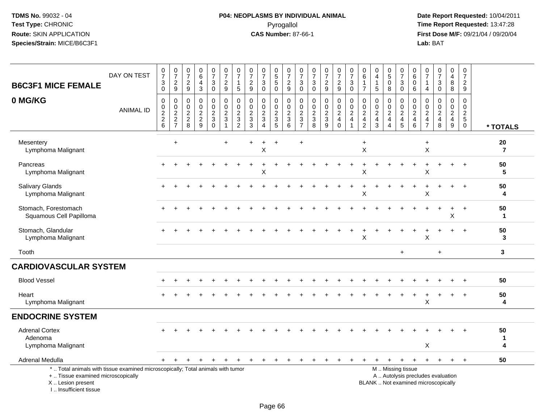# **P04: NEOPLASMS BY INDIVIDUAL ANIMAL**Pyrogallol **Time Report Requested:** 13:47:28

 **Date Report Requested:** 10/04/2011 **First Dose M/F:** 09/21/04 / 09/20/04<br>Lab: BAT **Lab:** BAT

| <b>B6C3F1 MICE FEMALE</b>                                                                                                                  | DAY ON TEST      | $\frac{0}{7}$<br>$\ensuremath{\mathsf{3}}$<br>0             | $\frac{0}{7}$<br>$\boldsymbol{2}$<br>$9\,$          | $\frac{0}{7}$<br>$\sqrt{2}$<br>9                             | $\begin{array}{c} 0 \\ 6 \end{array}$<br>4<br>$\mathbf{3}$ | $\frac{0}{7}$<br>$\sqrt{3}$<br>$\pmb{0}$          | $\frac{0}{7}$<br>$\sqrt{2}$<br>9                                       | 0<br>$\overline{7}$<br>1<br>5                            | $\frac{0}{7}$<br>$\sqrt{2}$<br>$\boldsymbol{9}$         | $\frac{0}{7}$<br>$\mathbf{3}$<br>$\mathbf 0$ | $\begin{array}{c} 0 \\ 5 \\ 5 \end{array}$<br>$\mathbf 0$   | $\frac{0}{7}$<br>$\frac{2}{9}$                   | 0<br>$\overline{7}$<br>3<br>$\mathbf 0$                              | $\frac{0}{7}$<br>3<br>$\mathbf 0$                                        | $\frac{0}{7}$<br>$\overline{c}$<br>$\boldsymbol{9}$ | $\begin{smallmatrix}0\\7\end{smallmatrix}$<br>$\sqrt{2}$<br>9 | $\frac{0}{7}$<br>$\sqrt{3}$<br>$\mathbf 0$                     | $\pmb{0}$<br>$\,6\,$<br>$\overline{1}$<br>$\overline{7}$                           | $\mathbf 0$<br>$\overline{a}$<br>-1<br>$\sqrt{5}$               | $\begin{array}{c} 0 \\ 5 \end{array}$<br>$\pmb{0}$<br>8        | $\begin{smallmatrix}0\\7\end{smallmatrix}$<br>$\ensuremath{\mathsf{3}}$<br>$\mathbf 0$        | 0<br>6<br>$\mathbf 0$<br>6         | 0<br>$\overline{7}$<br>$\mathbf 1$<br>4                   | $\begin{smallmatrix}0\\7\end{smallmatrix}$<br>$\ensuremath{\mathsf{3}}$<br>$\mathbf 0$ | 0<br>$\overline{\mathbf{4}}$<br>$\bf 8$<br>8                             | $\pmb{0}$<br>$\overline{7}$<br>$\sqrt{2}$<br>9                        |                      |
|--------------------------------------------------------------------------------------------------------------------------------------------|------------------|-------------------------------------------------------------|-----------------------------------------------------|--------------------------------------------------------------|------------------------------------------------------------|---------------------------------------------------|------------------------------------------------------------------------|----------------------------------------------------------|---------------------------------------------------------|----------------------------------------------|-------------------------------------------------------------|--------------------------------------------------|----------------------------------------------------------------------|--------------------------------------------------------------------------|-----------------------------------------------------|---------------------------------------------------------------|----------------------------------------------------------------|------------------------------------------------------------------------------------|-----------------------------------------------------------------|----------------------------------------------------------------|-----------------------------------------------------------------------------------------------|------------------------------------|-----------------------------------------------------------|----------------------------------------------------------------------------------------|--------------------------------------------------------------------------|-----------------------------------------------------------------------|----------------------|
| 0 MG/KG                                                                                                                                    | <b>ANIMAL ID</b> | $\mathbf 0$<br>$\pmb{0}$<br>$\frac{2}{2}$<br>$6\phantom{a}$ | 0<br>$\pmb{0}$<br>$\boldsymbol{2}$<br>$\frac{2}{7}$ | $\mathbf 0$<br>$\mathbf 0$<br>$\overline{2}$<br>$^2_{\bf 8}$ | $\mathbf 0$<br>$\pmb{0}$<br>$\frac{2}{9}$                  | 0<br>$\pmb{0}$<br>$\frac{2}{3}$<br>$\overline{0}$ | $\mathbf 0$<br>$\mathbf 0$<br>$\sqrt{2}$<br>$\sqrt{3}$<br>$\mathbf{1}$ | 0<br>0<br>$\overline{\mathbf{c}}$<br>3<br>$\overline{2}$ | $\mathbf 0$<br>$\pmb{0}$<br>$\sqrt{2}$<br>$\frac{3}{3}$ | 0<br>$\mathbf 0$<br>$\frac{2}{3}$<br>4       | 0<br>$\mathsf{O}\xspace$<br>$\overline{c}$<br>$\frac{3}{5}$ | $\mathbf 0$<br>$\boldsymbol{0}$<br>$\frac{2}{3}$ | 0<br>$\mathbf 0$<br>$\overline{c}$<br>$\mathbf{3}$<br>$\overline{7}$ | $\mathbf 0$<br>$\mathbf 0$<br>$\sqrt{2}$<br>$\sqrt{3}$<br>$\overline{8}$ | 0<br>$\mathsf 0$<br>$\frac{2}{3}$<br>9              | 0<br>$\mathbf 0$<br>$\overline{2}$<br>4<br>$\Omega$           | $\mathbf 0$<br>$\pmb{0}$<br>$\boldsymbol{2}$<br>$\overline{4}$ | $\mathbf 0$<br>$\mathbf 0$<br>$\boldsymbol{2}$<br>$\overline{4}$<br>$\overline{2}$ | $\mathbf 0$<br>$\mathbf 0$<br>$\sqrt{2}$<br>$\overline{a}$<br>3 | 0<br>0<br>$\boldsymbol{2}$<br>$\overline{4}$<br>$\overline{4}$ | 0<br>$\pmb{0}$<br>$\overline{c}$<br>$\overline{4}$<br>5                                       | 0<br>0<br>$\overline{2}$<br>4<br>6 | $\mathbf 0$<br>0<br>$\overline{c}$<br>4<br>$\overline{7}$ | 0<br>$\mathbf 0$<br>$\frac{2}{4}$<br>8                                                 | 0<br>$\pmb{0}$<br>$\boldsymbol{2}$<br>$\overline{4}$<br>$\boldsymbol{9}$ | $\mathbf 0$<br>$\mathbf 0$<br>$\sqrt{2}$<br>$\sqrt{5}$<br>$\mathbf 0$ | * TOTALS             |
| Mesentery<br>Lymphoma Malignant                                                                                                            |                  |                                                             | $\ddot{}$                                           |                                                              |                                                            |                                                   | $\div$                                                                 |                                                          |                                                         | X                                            | $\ddot{}$                                                   |                                                  | $\ddot{}$                                                            |                                                                          |                                                     |                                                               |                                                                | $\ddot{}$<br>$\mathsf X$                                                           |                                                                 |                                                                |                                                                                               |                                    | $\ddot{}$<br>X                                            |                                                                                        |                                                                          |                                                                       | 20<br>$\overline{7}$ |
| Pancreas<br>Lymphoma Malignant                                                                                                             |                  |                                                             |                                                     |                                                              |                                                            |                                                   |                                                                        |                                                          |                                                         | X                                            |                                                             |                                                  |                                                                      |                                                                          |                                                     |                                                               |                                                                | X                                                                                  |                                                                 |                                                                |                                                                                               |                                    | X                                                         |                                                                                        |                                                                          | $\div$                                                                | 50<br>5              |
| <b>Salivary Glands</b><br>Lymphoma Malignant                                                                                               |                  |                                                             |                                                     |                                                              |                                                            |                                                   |                                                                        |                                                          |                                                         |                                              |                                                             |                                                  |                                                                      |                                                                          |                                                     |                                                               |                                                                | X                                                                                  |                                                                 |                                                                |                                                                                               |                                    | Х                                                         |                                                                                        |                                                                          |                                                                       | 50<br>4              |
| Stomach, Forestomach<br>Squamous Cell Papilloma                                                                                            |                  |                                                             |                                                     |                                                              |                                                            |                                                   |                                                                        |                                                          |                                                         |                                              |                                                             |                                                  |                                                                      |                                                                          |                                                     |                                                               |                                                                |                                                                                    |                                                                 |                                                                |                                                                                               |                                    |                                                           |                                                                                        | $\ddot{}$<br>Χ                                                           | $\ddot{}$                                                             | 50<br>1              |
| Stomach, Glandular<br>Lymphoma Malignant                                                                                                   |                  |                                                             |                                                     |                                                              |                                                            |                                                   |                                                                        |                                                          |                                                         |                                              |                                                             |                                                  |                                                                      |                                                                          |                                                     |                                                               |                                                                | X                                                                                  |                                                                 |                                                                |                                                                                               |                                    | X                                                         |                                                                                        |                                                                          | $\ddot{}$                                                             | 50<br>3              |
| Tooth                                                                                                                                      |                  |                                                             |                                                     |                                                              |                                                            |                                                   |                                                                        |                                                          |                                                         |                                              |                                                             |                                                  |                                                                      |                                                                          |                                                     |                                                               |                                                                |                                                                                    |                                                                 |                                                                | $+$                                                                                           |                                    |                                                           | $\ddot{}$                                                                              |                                                                          |                                                                       | 3                    |
| <b>CARDIOVASCULAR SYSTEM</b>                                                                                                               |                  |                                                             |                                                     |                                                              |                                                            |                                                   |                                                                        |                                                          |                                                         |                                              |                                                             |                                                  |                                                                      |                                                                          |                                                     |                                                               |                                                                |                                                                                    |                                                                 |                                                                |                                                                                               |                                    |                                                           |                                                                                        |                                                                          |                                                                       |                      |
| <b>Blood Vessel</b>                                                                                                                        |                  |                                                             |                                                     |                                                              |                                                            |                                                   |                                                                        |                                                          |                                                         |                                              |                                                             |                                                  |                                                                      |                                                                          |                                                     |                                                               |                                                                |                                                                                    |                                                                 |                                                                |                                                                                               |                                    |                                                           |                                                                                        |                                                                          |                                                                       | 50                   |
| Heart<br>Lymphoma Malignant                                                                                                                |                  |                                                             |                                                     |                                                              |                                                            |                                                   |                                                                        |                                                          |                                                         |                                              |                                                             |                                                  |                                                                      |                                                                          |                                                     |                                                               |                                                                |                                                                                    |                                                                 |                                                                |                                                                                               |                                    | X                                                         |                                                                                        |                                                                          |                                                                       | 50<br>4              |
| <b>ENDOCRINE SYSTEM</b>                                                                                                                    |                  |                                                             |                                                     |                                                              |                                                            |                                                   |                                                                        |                                                          |                                                         |                                              |                                                             |                                                  |                                                                      |                                                                          |                                                     |                                                               |                                                                |                                                                                    |                                                                 |                                                                |                                                                                               |                                    |                                                           |                                                                                        |                                                                          |                                                                       |                      |
| <b>Adrenal Cortex</b><br>Adenoma<br>Lymphoma Malignant                                                                                     |                  |                                                             |                                                     |                                                              |                                                            |                                                   |                                                                        |                                                          |                                                         |                                              |                                                             |                                                  |                                                                      |                                                                          |                                                     |                                                               |                                                                |                                                                                    |                                                                 |                                                                |                                                                                               |                                    | X                                                         |                                                                                        |                                                                          |                                                                       | 50<br>4              |
| Adrenal Medulla                                                                                                                            |                  | $+$                                                         |                                                     |                                                              |                                                            |                                                   |                                                                        |                                                          |                                                         |                                              | ÷                                                           |                                                  |                                                                      |                                                                          |                                                     | +                                                             |                                                                |                                                                                    |                                                                 | $\ddot{}$                                                      | $\ddot{}$                                                                                     | $\ddot{}$                          | $+$                                                       | $\ddot{}$                                                                              | $+$                                                                      | $+$                                                                   | 50                   |
| *  Total animals with tissue examined microscopically; Total animals with tumor<br>+  Tissue examined microscopically<br>X  Lesion present |                  |                                                             |                                                     |                                                              |                                                            |                                                   |                                                                        |                                                          |                                                         |                                              |                                                             |                                                  |                                                                      |                                                                          |                                                     |                                                               |                                                                |                                                                                    |                                                                 |                                                                | M  Missing tissue<br>A  Autolysis precludes evaluation<br>BLANK  Not examined microscopically |                                    |                                                           |                                                                                        |                                                                          |                                                                       |                      |

I .. Insufficient tissue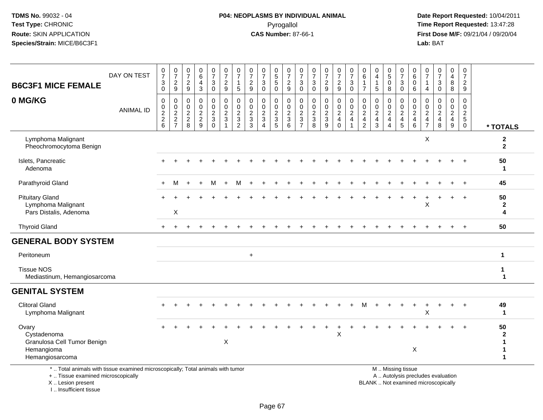I .. Insufficient tissue

# **P04: NEOPLASMS BY INDIVIDUAL ANIMAL**Pyrogallol **Time Report Requested:** 13:47:28

 **Date Report Requested:** 10/04/2011 **First Dose M/F:** 09/21/04 / 09/20/04<br>Lab: BAT **Lab:** BAT

| <b>B6C3F1 MICE FEMALE</b>                                                                                                                  | DAY ON TEST      | 0<br>$\overline{7}$<br>$\sqrt{3}$<br>$\mathbf 0$ | 0<br>$\boldsymbol{7}$<br>$\overline{2}$<br>9 | $\begin{smallmatrix}0\\7\end{smallmatrix}$<br>$\overline{2}$<br>9 | $\begin{array}{c} 0 \\ 6 \end{array}$<br>4<br>$\mathbf{3}$ | $\boldsymbol{0}$<br>$\overline{7}$<br>3<br>$\mathbf 0$   | $\frac{0}{7}$<br>$\overline{c}$<br>9                                         | 0<br>$\overline{7}$<br>1<br>5                             | $\frac{0}{7}$<br>$\overline{a}$<br>9                              | $\frac{0}{7}$<br>$\sqrt{3}$<br>$\Omega$                              | $\boldsymbol{0}$<br>$\frac{5}{5}$<br>$\Omega$ | $\frac{0}{7}$<br>$\frac{2}{9}$                   | 0<br>$\overline{7}$<br>3<br>$\Omega$                                         | $\frac{0}{7}$<br>3<br>$\Omega$                            | 0<br>$\overline{7}$<br>$\overline{2}$<br>$\overline{9}$ | $\begin{smallmatrix}0\\7\end{smallmatrix}$<br>$\frac{2}{9}$ | $\frac{0}{7}$<br>$\sqrt{3}$<br>$\mathsf 0$ | 0<br>$\,6\,$<br>$\overline{1}$<br>$\overline{7}$ | 0<br>$\overline{4}$<br>$\mathbf{1}$<br>$5\phantom{1}$ | 0<br>5<br>$\mathbf 0$<br>8   | 0<br>$\overline{7}$<br>$\sqrt{3}$<br>$\mathbf 0$ | 0<br>6<br>$\mathbf 0$<br>6                                                  | 0<br>$\overline{7}$<br>$\mathbf{1}$<br>$\overline{4}$                  | $\begin{array}{c} 0 \\ 7 \end{array}$<br>3<br>$\Omega$ | 0<br>$\overline{4}$<br>8<br>8                                                         | 0<br>$\overline{7}$<br>$\overline{2}$<br>$\overline{9}$ |                                  |
|--------------------------------------------------------------------------------------------------------------------------------------------|------------------|--------------------------------------------------|----------------------------------------------|-------------------------------------------------------------------|------------------------------------------------------------|----------------------------------------------------------|------------------------------------------------------------------------------|-----------------------------------------------------------|-------------------------------------------------------------------|----------------------------------------------------------------------|-----------------------------------------------|--------------------------------------------------|------------------------------------------------------------------------------|-----------------------------------------------------------|---------------------------------------------------------|-------------------------------------------------------------|--------------------------------------------|--------------------------------------------------|-------------------------------------------------------|------------------------------|--------------------------------------------------|-----------------------------------------------------------------------------|------------------------------------------------------------------------|--------------------------------------------------------|---------------------------------------------------------------------------------------|---------------------------------------------------------|----------------------------------|
| 0 MG/KG                                                                                                                                    | <b>ANIMAL ID</b> | 0<br>0<br>$\frac{2}{2}$<br>6                     | 0<br>$\pmb{0}$<br>$\frac{2}{7}$              | 0<br>$\boldsymbol{0}$<br>$\frac{2}{8}$                            | $\pmb{0}$<br>$\pmb{0}$<br>$\frac{2}{9}$                    | $\pmb{0}$<br>$\mathbf 0$<br>$\frac{2}{3}$<br>$\mathbf 0$ | $\mathbf 0$<br>$\mathbf 0$<br>$\overline{2}$<br>$\mathbf{3}$<br>$\mathbf{1}$ | 0<br>$\mathbf 0$<br>$\overline{c}$<br>3<br>$\overline{2}$ | $\mathbf 0$<br>$\mathbf 0$<br>$\overline{c}$<br>$\mathbf{3}$<br>3 | 0<br>0<br>$\overline{c}$<br>$\mathfrak{Z}$<br>$\boldsymbol{\Lambda}$ | 0<br>0<br>$\overline{c}$<br>3<br>5            | $\mathbf 0$<br>$\mathbf 0$<br>$\frac{2}{3}$<br>6 | $\mathbf 0$<br>$\mathbf 0$<br>$\overline{c}$<br>$\sqrt{3}$<br>$\overline{7}$ | $\mathbf 0$<br>0<br>$\overline{c}$<br>$\mathfrak{S}$<br>8 | 0<br>$\mathbf 0$<br>$\frac{2}{3}$<br>$\overline{9}$     | 0<br>$\mathbf 0$<br>$\frac{2}{4}$<br>$\mathbf 0$            | $\mathbf 0$<br>$\pmb{0}$<br>$\frac{2}{4}$  | 0<br>0<br>$\frac{2}{4}$<br>$\overline{2}$        | $\mathbf 0$<br>0<br>$\frac{2}{4}$<br>3                | 0<br>0<br>$\frac{2}{4}$<br>4 | 0<br>$\mathbf 0$<br>$\frac{2}{4}$                | 0<br>$\boldsymbol{0}$<br>$\overline{c}$<br>$\overline{\mathbf{4}}$<br>$\,6$ | 0<br>$\mathbf 0$<br>$\overline{c}$<br>$\overline{4}$<br>$\overline{7}$ | $\mathbf 0$<br>$\mathbf 0$<br>$\frac{2}{4}$<br>8       | $\mathbf 0$<br>$\mathbf 0$<br>$\overline{2}$<br>$\begin{array}{c} 4 \\ 9 \end{array}$ | 0<br>$\mathbf 0$<br>$rac{2}{5}$<br>$\mathbf 0$          | * TOTALS                         |
| Lymphoma Malignant<br>Pheochromocytoma Benign                                                                                              |                  |                                                  |                                              |                                                                   |                                                            |                                                          |                                                                              |                                                           |                                                                   |                                                                      |                                               |                                                  |                                                                              |                                                           |                                                         |                                                             |                                            |                                                  |                                                       |                              |                                                  |                                                                             | X                                                                      |                                                        |                                                                                       |                                                         | $\boldsymbol{2}$<br>$\mathbf{2}$ |
| Islets, Pancreatic<br>Adenoma                                                                                                              |                  |                                                  |                                              |                                                                   |                                                            |                                                          |                                                                              |                                                           |                                                                   |                                                                      |                                               |                                                  |                                                                              |                                                           |                                                         |                                                             |                                            |                                                  |                                                       |                              |                                                  |                                                                             |                                                                        |                                                        |                                                                                       |                                                         | 50<br>1                          |
| Parathyroid Gland                                                                                                                          |                  |                                                  | м                                            |                                                                   |                                                            | м                                                        |                                                                              | м                                                         |                                                                   |                                                                      |                                               |                                                  |                                                                              |                                                           |                                                         |                                                             |                                            |                                                  |                                                       |                              |                                                  |                                                                             |                                                                        |                                                        |                                                                                       |                                                         | 45                               |
| <b>Pituitary Gland</b><br>Lymphoma Malignant<br>Pars Distalis, Adenoma                                                                     |                  |                                                  | $\mathsf{X}$                                 |                                                                   |                                                            |                                                          |                                                                              |                                                           |                                                                   |                                                                      |                                               |                                                  |                                                                              |                                                           |                                                         |                                                             |                                            |                                                  |                                                       |                              |                                                  |                                                                             | X                                                                      |                                                        |                                                                                       |                                                         | 50<br>$\mathbf{2}$<br>4          |
| <b>Thyroid Gland</b>                                                                                                                       |                  |                                                  |                                              |                                                                   |                                                            |                                                          |                                                                              |                                                           |                                                                   |                                                                      |                                               |                                                  |                                                                              |                                                           |                                                         |                                                             |                                            |                                                  |                                                       |                              |                                                  |                                                                             |                                                                        |                                                        |                                                                                       |                                                         | 50                               |
| <b>GENERAL BODY SYSTEM</b>                                                                                                                 |                  |                                                  |                                              |                                                                   |                                                            |                                                          |                                                                              |                                                           |                                                                   |                                                                      |                                               |                                                  |                                                                              |                                                           |                                                         |                                                             |                                            |                                                  |                                                       |                              |                                                  |                                                                             |                                                                        |                                                        |                                                                                       |                                                         |                                  |
| Peritoneum                                                                                                                                 |                  |                                                  |                                              |                                                                   |                                                            |                                                          |                                                                              |                                                           | $+$                                                               |                                                                      |                                               |                                                  |                                                                              |                                                           |                                                         |                                                             |                                            |                                                  |                                                       |                              |                                                  |                                                                             |                                                                        |                                                        |                                                                                       |                                                         | $\mathbf{1}$                     |
| <b>Tissue NOS</b><br>Mediastinum, Hemangiosarcoma                                                                                          |                  |                                                  |                                              |                                                                   |                                                            |                                                          |                                                                              |                                                           |                                                                   |                                                                      |                                               |                                                  |                                                                              |                                                           |                                                         |                                                             |                                            |                                                  |                                                       |                              |                                                  |                                                                             |                                                                        |                                                        |                                                                                       |                                                         | $\mathbf{1}$<br>$\mathbf{1}$     |
| <b>GENITAL SYSTEM</b>                                                                                                                      |                  |                                                  |                                              |                                                                   |                                                            |                                                          |                                                                              |                                                           |                                                                   |                                                                      |                                               |                                                  |                                                                              |                                                           |                                                         |                                                             |                                            |                                                  |                                                       |                              |                                                  |                                                                             |                                                                        |                                                        |                                                                                       |                                                         |                                  |
| <b>Clitoral Gland</b><br>Lymphoma Malignant                                                                                                |                  |                                                  |                                              |                                                                   |                                                            |                                                          |                                                                              |                                                           |                                                                   |                                                                      |                                               |                                                  |                                                                              |                                                           |                                                         |                                                             |                                            |                                                  |                                                       |                              |                                                  |                                                                             | X                                                                      |                                                        |                                                                                       |                                                         | 49<br>$\mathbf{1}$               |
| Ovary<br>Cystadenoma<br>Granulosa Cell Tumor Benign<br>Hemangioma<br>Hemangiosarcoma                                                       |                  |                                                  |                                              |                                                                   |                                                            |                                                          | X                                                                            |                                                           |                                                                   |                                                                      |                                               |                                                  |                                                                              |                                                           |                                                         | X                                                           |                                            |                                                  |                                                       |                              |                                                  | X                                                                           |                                                                        |                                                        |                                                                                       |                                                         | 50<br>$\mathbf{2}$               |
| *  Total animals with tissue examined microscopically; Total animals with tumor<br>+  Tissue examined microscopically<br>X  Lesion present |                  |                                                  |                                              |                                                                   |                                                            |                                                          |                                                                              |                                                           |                                                                   |                                                                      |                                               |                                                  |                                                                              |                                                           |                                                         |                                                             |                                            |                                                  |                                                       |                              | M  Missing tissue                                | A  Autolysis precludes evaluation<br>BLANK  Not examined microscopically    |                                                                        |                                                        |                                                                                       |                                                         |                                  |

Page 67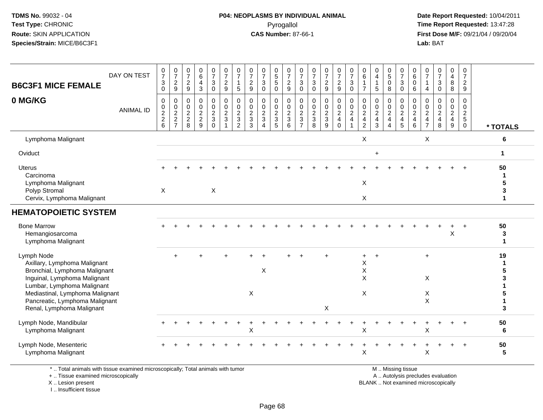#### **P04: NEOPLASMS BY INDIVIDUAL ANIMAL**Pyrogallol **Time Report Requested:** 13:47:28

 **Date Report Requested:** 10/04/2011 **First Dose M/F:** 09/21/04 / 09/20/04<br>Lab: BAT **Lab:** BAT

| <b>B6C3F1 MICE FEMALE</b>                                                                                                                                                                                                                   | DAY ON TEST      | $\frac{0}{7}$<br>3<br>$\mathbf 0$                           | $\frac{0}{7}$<br>$\overline{c}$<br>9          | $\frac{0}{7}$<br>$\overline{c}$<br>$9\,$                                   | $\begin{array}{c} 0 \\ 6 \end{array}$<br>$\overline{4}$<br>$\mathbf{3}$ | $\frac{0}{7}$<br>3<br>$\mathbf 0$              | $\frac{0}{7}$<br>$\boldsymbol{2}$<br>9                                     | 0<br>$\bar{7}$<br>5                                                | $\frac{0}{7}$<br>$\overline{c}$<br>9                   | $\frac{0}{7}$<br>3<br>$\Omega$               | $\begin{array}{c} 0 \\ 5 \\ 5 \end{array}$<br>$\mathbf 0$ | $\frac{0}{7}$<br>$\frac{2}{9}$                              | $\frac{0}{7}$<br>3<br>$\mathbf 0$                      | $\frac{0}{7}$<br>$\ensuremath{\mathsf{3}}$<br>$\Omega$ | $\frac{0}{7}$<br>$\overline{c}$<br>9                      | $\frac{0}{7}$<br>$\overline{c}$<br>$\boldsymbol{9}$    | $\frac{0}{7}$<br>$\ensuremath{\mathsf{3}}$<br>$\mathbf 0$      | 0<br>$\,6\,$<br>$\overline{7}$                                               | $\begin{smallmatrix}0\0\4\end{smallmatrix}$<br>$\mathbf{1}$<br>5 | $^{\rm 0}_{\rm 5}$<br>0<br>8                             | $\frac{0}{7}$<br>$\sqrt{3}$<br>$\mathbf 0$                                        | 0<br>6<br>0<br>6                          | $\frac{0}{7}$<br>$\mathbf{1}$<br>$\overline{4}$        | $\frac{0}{7}$<br>$\mathbf{3}$<br>$\mathbf 0$                             | 0<br>$\overline{4}$<br>8<br>8                                               | 0<br>$\overline{7}$<br>$\overline{c}$<br>9     |                                  |
|---------------------------------------------------------------------------------------------------------------------------------------------------------------------------------------------------------------------------------------------|------------------|-------------------------------------------------------------|-----------------------------------------------|----------------------------------------------------------------------------|-------------------------------------------------------------------------|------------------------------------------------|----------------------------------------------------------------------------|--------------------------------------------------------------------|--------------------------------------------------------|----------------------------------------------|-----------------------------------------------------------|-------------------------------------------------------------|--------------------------------------------------------|--------------------------------------------------------|-----------------------------------------------------------|--------------------------------------------------------|----------------------------------------------------------------|------------------------------------------------------------------------------|------------------------------------------------------------------|----------------------------------------------------------|-----------------------------------------------------------------------------------|-------------------------------------------|--------------------------------------------------------|--------------------------------------------------------------------------|-----------------------------------------------------------------------------|------------------------------------------------|----------------------------------|
| 0 MG/KG                                                                                                                                                                                                                                     | <b>ANIMAL ID</b> | $\mathbf 0$<br>$\pmb{0}$<br>$\overline{c}$<br>$\frac{2}{6}$ | 0<br>$\pmb{0}$<br>$\sqrt{2}$<br>$\frac{2}{7}$ | $\Omega$<br>0<br>$\boldsymbol{2}$<br>$\begin{array}{c} 2 \\ 8 \end{array}$ | $\mathbf 0$<br>$\pmb{0}$<br>$\sqrt{2}$<br>$\frac{2}{9}$                 | 0<br>0<br>$\boldsymbol{2}$<br>3<br>$\mathbf 0$ | $\mathbf 0$<br>$\mathbf 0$<br>$\sqrt{2}$<br>$\mathbf{3}$<br>$\overline{1}$ | $\mathbf 0$<br>$\Omega$<br>$\boldsymbol{2}$<br>3<br>$\overline{2}$ | $\Omega$<br>$\mathbf 0$<br>$\sqrt{2}$<br>$\frac{3}{3}$ | $\mathbf 0$<br>0<br>$\overline{c}$<br>3<br>4 | 0<br>0<br>$\boldsymbol{2}$<br>$\frac{3}{5}$               | $\mathbf 0$<br>$\mathbf 0$<br>$\sqrt{2}$<br>$\sqrt{3}$<br>6 | 0<br>0<br>$\sqrt{2}$<br>$\mathbf{3}$<br>$\overline{7}$ | $\mathbf 0$<br>0<br>$\sqrt{2}$<br>$_{8}^{3}$           | $\mathbf 0$<br>0<br>$\boldsymbol{2}$<br>$\mathbf{3}$<br>9 | $\mathbf 0$<br>$\pmb{0}$<br>$\sqrt{2}$<br>$^4_{\rm 0}$ | $\mathbf 0$<br>$\mathbf 0$<br>$\overline{c}$<br>$\overline{4}$ | $\Omega$<br>0<br>$\overline{c}$<br>$\overline{\mathbf{4}}$<br>$\overline{2}$ | $\mathbf 0$<br>0<br>$\sqrt{2}$<br>$\overline{4}$<br>3            | 0<br>0<br>$\sqrt{2}$<br>$\overline{4}$<br>$\overline{4}$ | $\mathbf 0$<br>$\mathbf 0$<br>$\sqrt{2}$<br>$\begin{array}{c} 4 \\ 5 \end{array}$ | 0<br>$\Omega$<br>$\overline{c}$<br>4<br>6 | $\Omega$<br>$\mathbf 0$<br>$\sqrt{2}$<br>$\frac{4}{7}$ | $\mathbf 0$<br>0<br>$\overline{2}$<br>$\overline{4}$<br>8                | $\mathbf 0$<br>0<br>$\overline{2}$<br>$\begin{array}{c} 4 \\ 9 \end{array}$ | $\mathbf 0$<br>0<br>$rac{2}{5}$<br>$\mathbf 0$ | * TOTALS                         |
| Lymphoma Malignant                                                                                                                                                                                                                          |                  |                                                             |                                               |                                                                            |                                                                         |                                                |                                                                            |                                                                    |                                                        |                                              |                                                           |                                                             |                                                        |                                                        |                                                           |                                                        |                                                                | X                                                                            |                                                                  |                                                          |                                                                                   |                                           | X                                                      |                                                                          |                                                                             |                                                | 6                                |
| Oviduct                                                                                                                                                                                                                                     |                  |                                                             |                                               |                                                                            |                                                                         |                                                |                                                                            |                                                                    |                                                        |                                              |                                                           |                                                             |                                                        |                                                        |                                                           |                                                        |                                                                |                                                                              | $\ddot{}$                                                        |                                                          |                                                                                   |                                           |                                                        |                                                                          |                                                                             |                                                | 1                                |
| <b>Uterus</b><br>Carcinoma<br>Lymphoma Malignant<br>Polyp Stromal<br>Cervix, Lymphoma Malignant                                                                                                                                             |                  | X                                                           |                                               |                                                                            |                                                                         | X                                              |                                                                            |                                                                    |                                                        |                                              |                                                           |                                                             |                                                        |                                                        |                                                           |                                                        |                                                                | $\pmb{\times}$<br>X                                                          |                                                                  |                                                          |                                                                                   |                                           |                                                        |                                                                          |                                                                             |                                                | 50<br>1<br>5<br>3<br>$\mathbf 1$ |
| <b>HEMATOPOIETIC SYSTEM</b>                                                                                                                                                                                                                 |                  |                                                             |                                               |                                                                            |                                                                         |                                                |                                                                            |                                                                    |                                                        |                                              |                                                           |                                                             |                                                        |                                                        |                                                           |                                                        |                                                                |                                                                              |                                                                  |                                                          |                                                                                   |                                           |                                                        |                                                                          |                                                                             |                                                |                                  |
| <b>Bone Marrow</b><br>Hemangiosarcoma<br>Lymphoma Malignant                                                                                                                                                                                 |                  |                                                             |                                               |                                                                            |                                                                         |                                                |                                                                            |                                                                    |                                                        |                                              |                                                           |                                                             |                                                        |                                                        |                                                           |                                                        |                                                                |                                                                              |                                                                  |                                                          |                                                                                   |                                           |                                                        |                                                                          | Χ                                                                           |                                                | 50<br>3<br>1                     |
| Lymph Node<br>Axillary, Lymphoma Malignant<br>Bronchial, Lymphoma Malignant<br>Inguinal, Lymphoma Malignant<br>Lumbar, Lymphoma Malignant<br>Mediastinal, Lymphoma Malignant<br>Pancreatic, Lymphoma Malignant<br>Renal, Lymphoma Malignant |                  |                                                             | $\ddot{}$                                     |                                                                            |                                                                         |                                                |                                                                            |                                                                    | X                                                      | X                                            |                                                           |                                                             |                                                        |                                                        | X                                                         |                                                        |                                                                | $+$<br>X<br>X<br>X<br>X                                                      | $\overline{+}$                                                   |                                                          |                                                                                   |                                           | $+$<br>X<br>X<br>$\mathsf{X}$                          |                                                                          |                                                                             |                                                | 19<br>5<br>3                     |
| Lymph Node, Mandibular<br>Lymphoma Malignant                                                                                                                                                                                                |                  |                                                             |                                               |                                                                            |                                                                         |                                                |                                                                            |                                                                    | X                                                      |                                              |                                                           |                                                             |                                                        |                                                        |                                                           |                                                        |                                                                | X                                                                            |                                                                  |                                                          |                                                                                   |                                           | X                                                      |                                                                          |                                                                             |                                                | 50<br>6                          |
| Lymph Node, Mesenteric<br>Lymphoma Malignant                                                                                                                                                                                                |                  |                                                             |                                               |                                                                            |                                                                         |                                                |                                                                            |                                                                    |                                                        |                                              |                                                           |                                                             |                                                        |                                                        |                                                           |                                                        |                                                                | $\sf X$                                                                      |                                                                  |                                                          |                                                                                   |                                           | X                                                      |                                                                          |                                                                             | $\overline{ }$                                 | 50<br>5                          |
| *  Total animals with tissue examined microscopically; Total animals with tumor<br>+  Tissue examined microscopically<br>X  Lesion present                                                                                                  |                  |                                                             |                                               |                                                                            |                                                                         |                                                |                                                                            |                                                                    |                                                        |                                              |                                                           |                                                             |                                                        |                                                        |                                                           |                                                        |                                                                |                                                                              |                                                                  |                                                          | M  Missing tissue                                                                 |                                           |                                                        | A  Autolysis precludes evaluation<br>BLANK  Not examined microscopically |                                                                             |                                                |                                  |

X .. Lesion present

I .. Insufficient tissue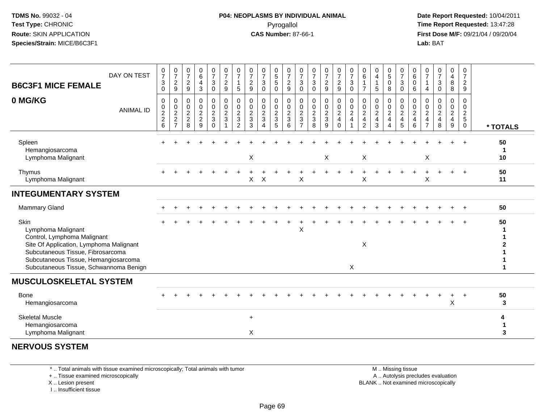#### **P04: NEOPLASMS BY INDIVIDUAL ANIMAL**Pyrogallol **Time Report Requested:** 13:47:28

 **Date Report Requested:** 10/04/2011 **First Dose M/F:** 09/21/04 / 09/20/04<br>**Lab:** BAT **Lab:** BAT

| DAY ON TEST<br><b>B6C3F1 MICE FEMALE</b>                                                                                                                                                                                    | $\frac{0}{7}$<br>$\sqrt{3}$<br>$\mathbf 0$                  | $\frac{0}{7}$<br>$\boldsymbol{2}$<br>9                                               | $\frac{0}{7}$<br>$\overline{c}$<br>9        | $_{6}^{\rm 0}$<br>$\overline{4}$<br>$\mathbf{3}$  | 0<br>$\boldsymbol{7}$<br>$\sqrt{3}$<br>$\mathbf 0$       | $\frac{0}{7}$<br>$\overline{\mathbf{c}}$<br>$\boldsymbol{9}$ | $\frac{0}{7}$<br>1<br>5                           | $\frac{0}{7}$<br>$\frac{2}{9}$                                   | $\frac{0}{7}$<br>3<br>$\mathbf 0$       | 0<br>$\,$ 5 $\,$<br>$\,$ 5 $\,$<br>0                                    | 0<br>$\boldsymbol{7}$<br>$\frac{2}{9}$                        | 0<br>$\overline{7}$<br>3<br>0                               | 0<br>$\overline{7}$<br>$\mathbf{3}$<br>$\mathbf 0$ | $\frac{0}{7}$<br>$\frac{2}{9}$            | $\frac{0}{7}$<br>$\frac{2}{9}$                                                   | $\frac{0}{7}$<br>$\ensuremath{\mathsf{3}}$<br>$\mathbf 0$ | 0<br>$\,6\,$<br>$\overline{7}$                                               | 0<br>$\overline{4}$<br>$\mathbf{1}$<br>$\sqrt{5}$         | 0<br>$\sqrt{5}$<br>$\mathbf 0$<br>8             | $\frac{0}{7}$<br>$\sqrt{3}$<br>0           | 0<br>$\,6$<br>$\pmb{0}$<br>6                            | 0<br>$\overline{7}$<br>4                                                 | $\frac{0}{7}$<br>$\sqrt{3}$<br>$\mathbf 0$                                   | 0<br>$\overline{\mathbf{4}}$<br>$\bf 8$<br>8                       | 0<br>$\overline{7}$<br>$\overline{\mathbf{c}}$<br>9 |          |
|-----------------------------------------------------------------------------------------------------------------------------------------------------------------------------------------------------------------------------|-------------------------------------------------------------|--------------------------------------------------------------------------------------|---------------------------------------------|---------------------------------------------------|----------------------------------------------------------|--------------------------------------------------------------|---------------------------------------------------|------------------------------------------------------------------|-----------------------------------------|-------------------------------------------------------------------------|---------------------------------------------------------------|-------------------------------------------------------------|----------------------------------------------------|-------------------------------------------|----------------------------------------------------------------------------------|-----------------------------------------------------------|------------------------------------------------------------------------------|-----------------------------------------------------------|-------------------------------------------------|--------------------------------------------|---------------------------------------------------------|--------------------------------------------------------------------------|------------------------------------------------------------------------------|--------------------------------------------------------------------|-----------------------------------------------------|----------|
| 0 MG/KG<br><b>ANIMAL ID</b>                                                                                                                                                                                                 | 0<br>$\begin{smallmatrix} 0\\2 \end{smallmatrix}$<br>$^2$ 6 | 0<br>$\begin{smallmatrix}0\0\2\end{smallmatrix}$<br>$\overline{c}$<br>$\overline{ }$ | 0<br>0<br>$\boldsymbol{2}$<br>$\frac{2}{8}$ | 0<br>$\pmb{0}$<br>$\overline{2}$<br>$\frac{2}{9}$ | 0<br>$\mathbf 0$<br>$\sqrt{2}$<br>$\sqrt{3}$<br>$\Omega$ | 0<br>$\pmb{0}$<br>$\overline{2}$<br>$\sqrt{3}$               | 0<br>0<br>$\boldsymbol{2}$<br>3<br>$\overline{2}$ | 0<br>$\pmb{0}$<br>$\overline{2}$<br>$\sqrt{3}$<br>$\overline{3}$ | 0<br>$\mathbf 0$<br>$\overline{2}$<br>3 | 0<br>0<br>$\overline{2}$<br>$\ensuremath{\mathsf{3}}$<br>$\overline{5}$ | $\mathbf 0$<br>$\pmb{0}$<br>$\overline{2}$<br>$\sqrt{3}$<br>6 | $\mathbf 0$<br>0<br>$\boldsymbol{2}$<br>3<br>$\overline{ }$ | 0<br>$\pmb{0}$<br>$\overline{2}$<br>3<br>8         | 0<br>$\frac{0}{2}$<br>3<br>$\overline{9}$ | $\begin{smallmatrix} 0\\0\\2 \end{smallmatrix}$<br>$\overline{4}$<br>$\mathbf 0$ | 0<br>$\frac{0}{2}$<br>$\overline{4}$                      | $\mathbf 0$<br>$\mathbf 0$<br>$\sqrt{2}$<br>$\overline{4}$<br>$\overline{2}$ | 0<br>$\mathbf 0$<br>$\overline{2}$<br>$\overline{a}$<br>3 | 0<br>0<br>$\overline{2}$<br>$\overline{4}$<br>Δ | 0<br>$_{2}^{\rm 0}$<br>$\overline{4}$<br>5 | 0<br>$\pmb{0}$<br>$\overline{2}$<br>$\overline{4}$<br>6 | $\mathbf 0$<br>0<br>$\boldsymbol{2}$<br>$\overline{4}$<br>$\overline{7}$ | $\mathbf 0$<br>$\mathbf 0$<br>$\overline{2}$<br>$\overline{\mathbf{4}}$<br>8 | 0<br>$\mathbf 0$<br>$\overline{2}$<br>$\overline{\mathbf{4}}$<br>9 | 0<br>0<br>$rac{2}{5}$<br>0                          | * TOTALS |
| Spleen<br>Hemangiosarcoma<br>Lymphoma Malignant                                                                                                                                                                             |                                                             |                                                                                      |                                             |                                                   |                                                          |                                                              |                                                   | $\mathsf X$                                                      |                                         |                                                                         |                                                               |                                                             |                                                    | X                                         |                                                                                  |                                                           | $\mathsf X$                                                                  |                                                           |                                                 |                                            |                                                         | $\mathsf X$                                                              |                                                                              |                                                                    |                                                     | 50<br>10 |
| Thymus<br>Lymphoma Malignant                                                                                                                                                                                                |                                                             |                                                                                      |                                             |                                                   |                                                          |                                                              |                                                   | X                                                                | X                                       |                                                                         |                                                               | X                                                           |                                                    |                                           |                                                                                  |                                                           | X                                                                            |                                                           |                                                 |                                            |                                                         | X                                                                        |                                                                              |                                                                    | $\ddot{}$                                           | 50<br>11 |
| <b>INTEGUMENTARY SYSTEM</b>                                                                                                                                                                                                 |                                                             |                                                                                      |                                             |                                                   |                                                          |                                                              |                                                   |                                                                  |                                         |                                                                         |                                                               |                                                             |                                                    |                                           |                                                                                  |                                                           |                                                                              |                                                           |                                                 |                                            |                                                         |                                                                          |                                                                              |                                                                    |                                                     |          |
| Mammary Gland                                                                                                                                                                                                               |                                                             |                                                                                      |                                             |                                                   |                                                          |                                                              |                                                   |                                                                  |                                         |                                                                         |                                                               |                                                             |                                                    |                                           |                                                                                  |                                                           |                                                                              |                                                           |                                                 |                                            |                                                         |                                                                          |                                                                              |                                                                    |                                                     | 50       |
| Skin<br>Lymphoma Malignant<br>Control, Lymphoma Malignant<br>Site Of Application, Lymphoma Malignant<br>Subcutaneous Tissue, Fibrosarcoma<br>Subcutaneous Tissue, Hemangiosarcoma<br>Subcutaneous Tissue, Schwannoma Benign |                                                             |                                                                                      |                                             |                                                   |                                                          |                                                              |                                                   |                                                                  |                                         |                                                                         |                                                               | Χ                                                           |                                                    |                                           |                                                                                  | X                                                         | $\pmb{\times}$                                                               |                                                           |                                                 |                                            |                                                         |                                                                          |                                                                              |                                                                    |                                                     | 50       |
| <b>MUSCULOSKELETAL SYSTEM</b>                                                                                                                                                                                               |                                                             |                                                                                      |                                             |                                                   |                                                          |                                                              |                                                   |                                                                  |                                         |                                                                         |                                                               |                                                             |                                                    |                                           |                                                                                  |                                                           |                                                                              |                                                           |                                                 |                                            |                                                         |                                                                          |                                                                              |                                                                    |                                                     |          |
| Bone<br>Hemangiosarcoma                                                                                                                                                                                                     |                                                             |                                                                                      |                                             |                                                   |                                                          |                                                              |                                                   |                                                                  |                                         |                                                                         |                                                               |                                                             |                                                    |                                           |                                                                                  |                                                           |                                                                              |                                                           |                                                 |                                            |                                                         |                                                                          |                                                                              | X                                                                  |                                                     | 50<br>3  |
| <b>Skeletal Muscle</b><br>Hemangiosarcoma<br>Lymphoma Malignant                                                                                                                                                             |                                                             |                                                                                      |                                             |                                                   |                                                          |                                                              |                                                   | $\ddot{}$<br>X                                                   |                                         |                                                                         |                                                               |                                                             |                                                    |                                           |                                                                                  |                                                           |                                                                              |                                                           |                                                 |                                            |                                                         |                                                                          |                                                                              |                                                                    |                                                     | 4<br>3   |
| <b>NERVOUS SYSTEM</b>                                                                                                                                                                                                       |                                                             |                                                                                      |                                             |                                                   |                                                          |                                                              |                                                   |                                                                  |                                         |                                                                         |                                                               |                                                             |                                                    |                                           |                                                                                  |                                                           |                                                                              |                                                           |                                                 |                                            |                                                         |                                                                          |                                                                              |                                                                    |                                                     |          |

\* .. Total animals with tissue examined microscopically; Total animals with tumor

+ .. Tissue examined microscopically

X .. Lesion present

I .. Insufficient tissue

 M .. Missing tissuey the contract of the contract of the contract of the contract of the contract of the contract of the contract of  $A$ . Autolysis precludes evaluation Lesion present BLANK .. Not examined microscopically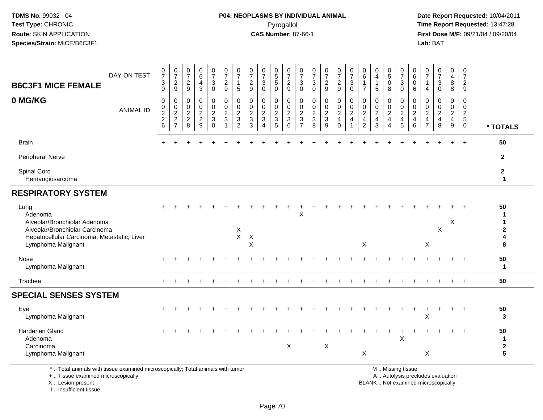### **P04: NEOPLASMS BY INDIVIDUAL ANIMAL**Pyrogallol **Time Report Requested:** 13:47:28

 **Date Report Requested:** 10/04/2011 **First Dose M/F:** 09/21/04 / 09/20/04<br>Lab: BAT **Lab:** BAT

| DAY ON TEST<br><b>B6C3F1 MICE FEMALE</b>                                                                                                               | $\frac{0}{7}$<br>$\sqrt{3}$<br>$\mathbf 0$       | $\frac{0}{7}$<br>$\overline{c}$<br>9                          | $\frac{0}{7}$<br>$\sqrt{2}$<br>$\boldsymbol{9}$  | $_6^0$<br>4<br>3                                | $\frac{0}{7}$<br>$\mathbf{3}$<br>$\mathbf 0$                                          | $\frac{0}{7}$<br>$\sqrt{2}$<br>9                                             | 0<br>$\overline{7}$<br>$\overline{1}$<br>$\sqrt{5}$                 | $\frac{0}{7}$<br>$\boldsymbol{2}$<br>9                          | $\frac{0}{7}$<br>3<br>$\mathbf 0$           | $\begin{array}{c} 0 \\ 5 \\ 5 \end{array}$<br>$\mathbf 0$ | $\frac{0}{7}$<br>$\sqrt{2}$<br>$\boldsymbol{9}$                      | $\frac{0}{7}$<br>3<br>$\mathbf 0$           | $\frac{0}{7}$<br>$\sqrt{3}$<br>$\mathbf 0$     | $\frac{0}{7}$<br>$\overline{c}$<br>$\boldsymbol{9}$                  | $\frac{0}{7}$<br>$\overline{2}$<br>9                                             | $\frac{0}{7}$<br>$\ensuremath{\mathsf{3}}$<br>$\mathbf 0$                           | 0<br>6<br>$\mathbf 1$<br>$\overline{7}$                                      | 0<br>$\overline{4}$<br>-1<br>5                                     | $\begin{smallmatrix}0\\5\end{smallmatrix}$<br>$\pmb{0}$<br>8 | 0<br>$\overline{7}$<br>$\ensuremath{\mathsf{3}}$<br>$\mathbf 0$ | 0<br>$\overline{6}$<br>0<br>6                            | 0<br>$\overline{7}$<br>4                                          | $\begin{smallmatrix}0\\7\end{smallmatrix}$<br>$\mathsf 3$<br>$\mathbf 0$                    | 0<br>$\overline{4}$<br>$\bf 8$<br>8                                               | 0<br>$\overline{7}$<br>$\boldsymbol{2}$<br>9                              |                                  |
|--------------------------------------------------------------------------------------------------------------------------------------------------------|--------------------------------------------------|---------------------------------------------------------------|--------------------------------------------------|-------------------------------------------------|---------------------------------------------------------------------------------------|------------------------------------------------------------------------------|---------------------------------------------------------------------|-----------------------------------------------------------------|---------------------------------------------|-----------------------------------------------------------|----------------------------------------------------------------------|---------------------------------------------|------------------------------------------------|----------------------------------------------------------------------|----------------------------------------------------------------------------------|-------------------------------------------------------------------------------------|------------------------------------------------------------------------------|--------------------------------------------------------------------|--------------------------------------------------------------|-----------------------------------------------------------------|----------------------------------------------------------|-------------------------------------------------------------------|---------------------------------------------------------------------------------------------|-----------------------------------------------------------------------------------|---------------------------------------------------------------------------|----------------------------------|
| 0 MG/KG<br><b>ANIMAL ID</b>                                                                                                                            | $\mathbf 0$<br>$\mathbf 0$<br>$\frac{2}{2}$<br>6 | $\mathbf 0$<br>$\mathbf 0$<br>$\frac{2}{2}$<br>$\overline{7}$ | $\mathbf 0$<br>$\mathbf 0$<br>$\frac{2}{2}$<br>8 | 0<br>0<br>$\overline{2}$<br>$\overline{c}$<br>9 | $\mathbf 0$<br>$\mathbf 0$<br>$\overline{2}$<br>$\ensuremath{\mathsf{3}}$<br>$\Omega$ | $\mathbf 0$<br>$\mathbf 0$<br>$\overline{2}$<br>$\sqrt{3}$<br>$\overline{1}$ | 0<br>0<br>$\sqrt{2}$<br>$\ensuremath{\mathsf{3}}$<br>$\overline{2}$ | $\mathbf 0$<br>$\mathbf 0$<br>$\overline{2}$<br>$\sqrt{3}$<br>3 | 0<br>$\pmb{0}$<br>$\frac{2}{3}$<br>$\Delta$ | 0<br>$\mathsf{O}\xspace$<br>$\frac{2}{3}$<br>5            | 0<br>$\mathbf 0$<br>$\overline{2}$<br>$\ensuremath{\mathsf{3}}$<br>6 | $\mathbf 0$<br>$\mathbf 0$<br>$\frac{2}{3}$ | $\pmb{0}$<br>$\mathbf 0$<br>$\frac{2}{3}$<br>8 | 0<br>$\mathbf 0$<br>$\overline{2}$<br>$\ensuremath{\mathsf{3}}$<br>9 | $\pmb{0}$<br>$\mathsf{O}\xspace$<br>$\overline{2}$<br>$\overline{4}$<br>$\Omega$ | $\mathbf 0$<br>$\begin{smallmatrix} 0\\2 \end{smallmatrix}$<br>$\overline{4}$<br>-1 | $\mathbf 0$<br>$\mathbf 0$<br>$\sqrt{2}$<br>$\overline{4}$<br>$\overline{2}$ | $\mathbf 0$<br>0<br>$\overline{2}$<br>$\overline{\mathbf{4}}$<br>3 | $\mathbf 0$<br>$\pmb{0}$<br>$\frac{2}{4}$<br>$\overline{4}$  | 0<br>$\mathbf 0$<br>$\frac{2}{4}$<br>5                          | 0<br>0<br>$\overline{a}$<br>$\overline{\mathbf{4}}$<br>6 | 0<br>0<br>$\sqrt{2}$<br>$\overline{\mathbf{4}}$<br>$\overline{7}$ | $\mathbf 0$<br>$\begin{smallmatrix} 0\\2 \end{smallmatrix}$<br>$\overline{\mathbf{4}}$<br>8 | 0<br>$\mathbf 0$<br>$\overline{2}$<br>$\overline{\mathbf{4}}$<br>$\boldsymbol{9}$ | $\mathbf 0$<br>$\mathbf 0$<br>$\overline{c}$<br>$\sqrt{5}$<br>$\mathbf 0$ | * TOTALS                         |
| <b>Brain</b>                                                                                                                                           |                                                  |                                                               |                                                  |                                                 |                                                                                       |                                                                              |                                                                     |                                                                 |                                             |                                                           |                                                                      |                                             |                                                |                                                                      |                                                                                  |                                                                                     |                                                                              |                                                                    |                                                              |                                                                 |                                                          |                                                                   |                                                                                             |                                                                                   |                                                                           | 50                               |
| Peripheral Nerve                                                                                                                                       |                                                  |                                                               |                                                  |                                                 |                                                                                       |                                                                              |                                                                     |                                                                 |                                             |                                                           |                                                                      |                                             |                                                |                                                                      |                                                                                  |                                                                                     |                                                                              |                                                                    |                                                              |                                                                 |                                                          |                                                                   |                                                                                             |                                                                                   |                                                                           | $\mathbf{2}$                     |
| Spinal Cord<br>Hemangiosarcoma                                                                                                                         |                                                  |                                                               |                                                  |                                                 |                                                                                       |                                                                              |                                                                     |                                                                 |                                             |                                                           |                                                                      |                                             |                                                |                                                                      |                                                                                  |                                                                                     |                                                                              |                                                                    |                                                              |                                                                 |                                                          |                                                                   |                                                                                             |                                                                                   |                                                                           | $\mathbf{2}$<br>$\mathbf{1}$     |
| <b>RESPIRATORY SYSTEM</b>                                                                                                                              |                                                  |                                                               |                                                  |                                                 |                                                                                       |                                                                              |                                                                     |                                                                 |                                             |                                                           |                                                                      |                                             |                                                |                                                                      |                                                                                  |                                                                                     |                                                                              |                                                                    |                                                              |                                                                 |                                                          |                                                                   |                                                                                             |                                                                                   |                                                                           |                                  |
| Lung<br>Adenoma<br>Alveolar/Bronchiolar Adenoma<br>Alveolar/Bronchiolar Carcinoma<br>Hepatocellular Carcinoma, Metastatic, Liver<br>Lymphoma Malignant |                                                  |                                                               |                                                  |                                                 |                                                                                       |                                                                              | X<br>$\boldsymbol{\mathsf{X}}$                                      | $\boldsymbol{\mathsf{X}}$<br>$\pmb{\times}$                     |                                             |                                                           |                                                                      | X                                           |                                                |                                                                      |                                                                                  |                                                                                     | X                                                                            |                                                                    |                                                              |                                                                 |                                                          | X                                                                 | $\mathsf X$                                                                                 | Х                                                                                 |                                                                           | 50<br>$\mathbf{2}$<br>4<br>8     |
| Nose<br>Lymphoma Malignant                                                                                                                             |                                                  |                                                               |                                                  |                                                 |                                                                                       |                                                                              |                                                                     |                                                                 |                                             |                                                           |                                                                      |                                             |                                                |                                                                      |                                                                                  |                                                                                     |                                                                              |                                                                    |                                                              |                                                                 |                                                          |                                                                   |                                                                                             |                                                                                   | $\div$                                                                    | 50<br>$\mathbf{1}$               |
| Trachea                                                                                                                                                | $\ddot{}$                                        |                                                               |                                                  |                                                 |                                                                                       |                                                                              |                                                                     |                                                                 |                                             |                                                           |                                                                      |                                             |                                                |                                                                      |                                                                                  |                                                                                     |                                                                              |                                                                    |                                                              |                                                                 |                                                          |                                                                   |                                                                                             |                                                                                   |                                                                           | 50                               |
| <b>SPECIAL SENSES SYSTEM</b>                                                                                                                           |                                                  |                                                               |                                                  |                                                 |                                                                                       |                                                                              |                                                                     |                                                                 |                                             |                                                           |                                                                      |                                             |                                                |                                                                      |                                                                                  |                                                                                     |                                                                              |                                                                    |                                                              |                                                                 |                                                          |                                                                   |                                                                                             |                                                                                   |                                                                           |                                  |
| Eye<br>Lymphoma Malignant                                                                                                                              |                                                  |                                                               |                                                  |                                                 |                                                                                       |                                                                              |                                                                     |                                                                 |                                             |                                                           |                                                                      |                                             |                                                |                                                                      |                                                                                  |                                                                                     |                                                                              |                                                                    |                                                              |                                                                 |                                                          | X                                                                 |                                                                                             | $\ddot{}$                                                                         | $^{+}$                                                                    | 50<br>3                          |
| <b>Harderian Gland</b><br>Adenoma<br>Carcinoma<br>Lymphoma Malignant                                                                                   |                                                  |                                                               |                                                  |                                                 |                                                                                       |                                                                              |                                                                     |                                                                 |                                             |                                                           | X                                                                    |                                             |                                                | X                                                                    |                                                                                  |                                                                                     | X                                                                            |                                                                    |                                                              | $\mathsf{X}$                                                    | ÷                                                        | X                                                                 |                                                                                             |                                                                                   |                                                                           | 50<br>1<br>$\boldsymbol{2}$<br>5 |
| *  Total animals with tissue examined microscopically; Total animals with tumor<br>+  Tissue examined microscopically                                  |                                                  |                                                               |                                                  |                                                 |                                                                                       |                                                                              |                                                                     |                                                                 |                                             |                                                           |                                                                      |                                             |                                                |                                                                      |                                                                                  |                                                                                     |                                                                              |                                                                    |                                                              | M  Missing tissue                                               |                                                          |                                                                   | A  Autolysis precludes evaluation                                                           |                                                                                   |                                                                           |                                  |

X .. Lesion present

I .. Insufficient tissue

Lesion present BLANK .. Not examined microscopically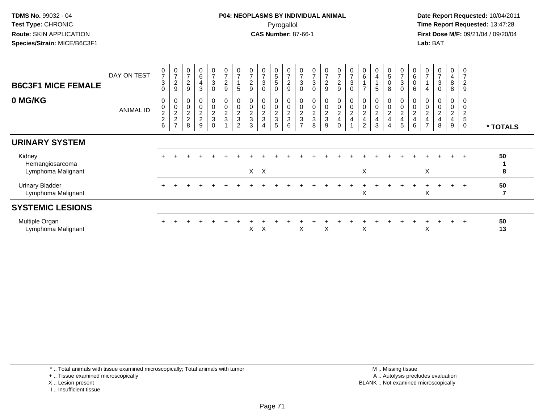**Date Report Requested:** 10/04/2011 **First Dose M/F:** 09/21/04 / 09/20/04<br>**Lab:** BAT **Lab:** BAT

| <b>B6C3F1 MICE FEMALE</b>                    | DAY ON TEST      | $\frac{0}{7}$<br>$\sqrt{3}$<br>$\mathbf 0$ | $\begin{array}{c} 0 \\ 7 \end{array}$<br>$\overline{c}$<br>$\boldsymbol{9}$ | 0<br>$\overline{ }$<br>$\boldsymbol{2}$<br>9 | 0<br>6<br>4<br>3                          | 0<br>$\overline{ }$<br>$\ensuremath{\mathsf{3}}$<br>$\mathbf 0$ | 0<br>$\overline{ }$<br>$\boldsymbol{2}$<br>9 | $\pmb{0}$<br>$\overline{z}$<br>$\overline{5}$       | $\pmb{0}$<br>$\overline{7}$<br>$\overline{c}$<br>9 | $\overline{7}$<br>3<br>$\Omega$ | 0<br>5<br>$5\phantom{.0}$<br>0 | $\frac{0}{7}$<br>$\boldsymbol{2}$<br>$\boldsymbol{9}$ | 0<br>$\overline{ }$<br>$\ensuremath{\mathsf{3}}$<br>0 | $\frac{0}{7}$<br>$\sqrt{3}$<br>$\mathbf 0$           | $\pmb{0}$<br>$\overline{7}$<br>$\boldsymbol{2}$<br>9 | 0<br>$\overline{7}$<br>$\overline{c}$<br>9            | $\frac{0}{7}$<br>$\ensuremath{\mathsf{3}}$<br>$\mathbf 0$ | $\begin{matrix} 0 \\ 6 \end{matrix}$<br>$\overline{ }$            | 4<br>5                                  | 0<br>$\mathbf 5$<br>$\pmb{0}$<br>8                               | $\frac{0}{7}$<br>3<br>0                              | $\boldsymbol{0}$<br>$\,6\,$<br>$\mathbf 0$<br>6    | 0<br>$\overline{ }$                                                | 0<br>$\overline{7}$<br>3             | 0<br>4<br>$\bf 8$<br>8                 | 0<br>$\overline{7}$<br>$\sqrt{2}$<br>9 |                      |
|----------------------------------------------|------------------|--------------------------------------------|-----------------------------------------------------------------------------|----------------------------------------------|-------------------------------------------|-----------------------------------------------------------------|----------------------------------------------|-----------------------------------------------------|----------------------------------------------------|---------------------------------|--------------------------------|-------------------------------------------------------|-------------------------------------------------------|------------------------------------------------------|------------------------------------------------------|-------------------------------------------------------|-----------------------------------------------------------|-------------------------------------------------------------------|-----------------------------------------|------------------------------------------------------------------|------------------------------------------------------|----------------------------------------------------|--------------------------------------------------------------------|--------------------------------------|----------------------------------------|----------------------------------------|----------------------|
| 0 MG/KG                                      | <b>ANIMAL ID</b> | 0<br>0, 2, 2, 6                            | $0002$<br>$27$                                                              | 0<br>$\mathbf 0$<br>$\frac{2}{2}$<br>8       | $\pmb{0}$<br>$\frac{2}{2}$<br>$\mathsf q$ | 0<br>$\pmb{0}$<br>$\frac{2}{3}$<br>$\Omega$                     | 0<br>$\pmb{0}$<br>$\frac{2}{3}$              | $\boldsymbol{0}$<br>$\frac{0}{2}$<br>$\overline{2}$ | 0<br>$\pmb{0}$<br>$\frac{2}{3}$<br>3               | $\frac{0}{2}$<br>3              | 0<br>0<br>$\frac{2}{3}$<br>5   | $\begin{matrix} 0 \\ 0 \\ 2 \\ 3 \end{matrix}$<br>6   | $\pmb{0}$<br>$\frac{2}{3}$<br>$\overline{ }$          | $\begin{array}{c} 0 \\ 0 \\ 2 \\ 3 \end{array}$<br>8 | $\mathbf 0$<br>$\frac{0}{2}$<br>9                    | 0<br>$\mathsf{O}\xspace$<br>$\frac{2}{4}$<br>$\Omega$ | $\begin{matrix} 0 \\ 0 \\ 2 \\ 4 \end{matrix}$            | $\begin{array}{c} 0 \\ 0 \\ 2 \\ 4 \end{array}$<br>$\overline{2}$ | $\pmb{0}$<br>$\boldsymbol{2}$<br>4<br>3 | 0<br>$\pmb{0}$<br>$\overline{c}$<br>$\overline{\mathbf{4}}$<br>4 | 0<br>$\begin{array}{c} 0 \\ 2 \\ 4 \end{array}$<br>5 | $\pmb{0}$<br>$\overline{c}$<br>$\overline{4}$<br>6 | $\mathbf 0$<br>$\overline{\mathbf{c}}$<br>$\overline{\phantom{0}}$ | $\mathbf 0$<br>$\boldsymbol{2}$<br>8 | 0<br>$\overline{\mathbf{c}}$<br>4<br>9 | 0<br>0<br>$\frac{2}{5}$<br>$\mathbf 0$ | * TOTALS             |
| <b>URINARY SYSTEM</b>                        |                  |                                            |                                                                             |                                              |                                           |                                                                 |                                              |                                                     |                                                    |                                 |                                |                                                       |                                                       |                                                      |                                                      |                                                       |                                                           |                                                                   |                                         |                                                                  |                                                      |                                                    |                                                                    |                                      |                                        |                                        |                      |
| Kidney<br>Hemangiosarcoma                    |                  |                                            |                                                                             |                                              |                                           |                                                                 |                                              |                                                     |                                                    |                                 |                                |                                                       |                                                       |                                                      |                                                      |                                                       |                                                           |                                                                   |                                         |                                                                  |                                                      |                                                    |                                                                    |                                      | $+$                                    | $+$                                    | 50                   |
| Lymphoma Malignant                           |                  |                                            |                                                                             |                                              |                                           |                                                                 |                                              |                                                     |                                                    | $X$ $X$                         |                                |                                                       |                                                       |                                                      |                                                      |                                                       |                                                           | X                                                                 |                                         |                                                                  |                                                      |                                                    | X                                                                  |                                      |                                        |                                        | 8                    |
| <b>Urinary Bladder</b><br>Lymphoma Malignant |                  |                                            |                                                                             |                                              |                                           |                                                                 |                                              |                                                     |                                                    |                                 |                                |                                                       |                                                       |                                                      |                                                      |                                                       |                                                           | X                                                                 |                                         |                                                                  |                                                      |                                                    | $\boldsymbol{\mathsf{X}}$                                          |                                      | $+$                                    | $\overline{+}$                         | 50<br>$\overline{7}$ |
| <b>SYSTEMIC LESIONS</b>                      |                  |                                            |                                                                             |                                              |                                           |                                                                 |                                              |                                                     |                                                    |                                 |                                |                                                       |                                                       |                                                      |                                                      |                                                       |                                                           |                                                                   |                                         |                                                                  |                                                      |                                                    |                                                                    |                                      |                                        |                                        |                      |
| Multiple Organ<br>Lymphoma Malignant         |                  |                                            |                                                                             |                                              |                                           |                                                                 |                                              |                                                     | X                                                  | X                               |                                |                                                       | X                                                     |                                                      | X                                                    |                                                       |                                                           | X                                                                 |                                         |                                                                  |                                                      |                                                    | X                                                                  |                                      | $+$                                    |                                        | 50<br>13             |

\* .. Total animals with tissue examined microscopically; Total animals with tumor

+ .. Tissue examined microscopically

X .. Lesion present

I .. Insufficient tissue

 M .. Missing tissuey the contract of the contract of the contract of the contract of the contract of the contract of the contract of  $A$ . Autolysis precludes evaluation Lesion present BLANK .. Not examined microscopically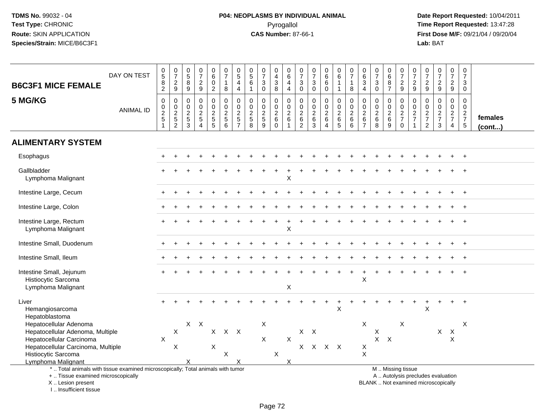# **P04: NEOPLASMS BY INDIVIDUAL ANIMAL**Pyrogallol **Time Report Requested:** 13:47:28

| <b>B6C3F1 MICE FEMALE</b>                                                              | DAY ON TEST                                                                                                                                                                                                            | $^{\rm 0}_{\rm 5}$<br>$\frac{8}{2}$                     | 0729                                  | $\begin{array}{c} 0 \\ 5 \end{array}$<br>$\bf 8$<br>$\overline{9}$ | $\begin{array}{c} 0 \\ 7 \end{array}$<br>$\frac{2}{9}$                     | 0<br>$6\phantom{a}$<br>$\pmb{0}$<br>$\overline{2}$ | $\begin{smallmatrix}0\\7\end{smallmatrix}$<br>$\overline{1}$<br>8           | $\begin{array}{c} 0 \\ 5 \end{array}$<br>$\overline{4}$<br>4 | $\begin{array}{c} 0 \\ 5 \end{array}$<br>$\,6\,$<br>$\mathbf{1}$ | $\begin{array}{c} 0 \\ 7 \end{array}$<br>3<br>0                                   | 0<br>$\overline{4}$<br>3<br>8                           | $\pmb{0}$<br>$6\phantom{a}$<br>$\overline{4}$<br>$\overline{4}$         | 0<br>$\overline{7}$<br>$\sqrt{3}$<br>$\mathsf{O}\xspace$              | $\frac{0}{7}$<br>$\sqrt{3}$<br>$\mathsf{O}\xspace$  | $_{6}^{\rm 0}$<br>$\,6\,$<br>$\pmb{0}$                    | $\begin{array}{c} 0 \\ 6 \end{array}$<br>$\overline{1}$<br>$\mathbf{1}$ | $\begin{array}{c} 0 \\ 7 \end{array}$<br>$\mathbf{1}$<br>8       | $\pmb{0}$<br>$6\phantom{a}$<br>$\mathbf{3}$<br>$\overline{4}$       | $\begin{array}{c} 0 \\ 7 \end{array}$<br>$\mathbf{3}$<br>$\mathbf 0$           | $\begin{matrix} 0 \ 6 \end{matrix}$<br>8<br>$\overline{7}$ | $\frac{0}{7}$<br>$\frac{2}{9}$                                   | $\frac{0}{7}$<br>$\frac{2}{9}$ | $\frac{0}{7}$<br>$\frac{2}{9}$                | $\begin{smallmatrix}0\\7\end{smallmatrix}$<br>$\frac{2}{9}$ | $\frac{0}{7}$<br>$\frac{2}{9}$                      | $\begin{smallmatrix}0\\7\end{smallmatrix}$<br>$\mathbf{3}$<br>$\mathbf 0$ |                   |
|----------------------------------------------------------------------------------------|------------------------------------------------------------------------------------------------------------------------------------------------------------------------------------------------------------------------|---------------------------------------------------------|---------------------------------------|--------------------------------------------------------------------|----------------------------------------------------------------------------|----------------------------------------------------|-----------------------------------------------------------------------------|--------------------------------------------------------------|------------------------------------------------------------------|-----------------------------------------------------------------------------------|---------------------------------------------------------|-------------------------------------------------------------------------|-----------------------------------------------------------------------|-----------------------------------------------------|-----------------------------------------------------------|-------------------------------------------------------------------------|------------------------------------------------------------------|---------------------------------------------------------------------|--------------------------------------------------------------------------------|------------------------------------------------------------|------------------------------------------------------------------|--------------------------------|-----------------------------------------------|-------------------------------------------------------------|-----------------------------------------------------|---------------------------------------------------------------------------|-------------------|
| 5 MG/KG                                                                                | <b>ANIMAL ID</b>                                                                                                                                                                                                       | $\pmb{0}$<br>$\begin{array}{c} 0 \\ 2 \\ 5 \end{array}$ | $\pmb{0}$<br>$0$<br>$2$<br>$5$<br>$2$ | 0<br>$\mathbf 0$<br>$\sqrt{2}$<br>$\sqrt{5}$<br>$\overline{3}$     | $\pmb{0}$<br>$\mathbf 0$<br>$\overline{2}$<br>$\sqrt{5}$<br>$\overline{4}$ | $\mathsf 0$<br>$\mathbf 0$<br>$rac{2}{5}$          | 0<br>$\mathbf 0$<br>$\overline{2}$<br>$\begin{array}{c} 5 \\ 6 \end{array}$ | $\pmb{0}$<br>$\pmb{0}$<br>$\overline{2}$<br>$\frac{5}{7}$    | $\mathbf 0$<br>$\mathbf 0$<br>$\frac{2}{5}$<br>8                 | $\boldsymbol{0}$<br>$\mathbf 0$<br>$\overline{2}$<br>$\sqrt{5}$<br>$\overline{9}$ | 0<br>0<br>$\overline{2}$<br>$6\phantom{1}6$<br>$\Omega$ | $\pmb{0}$<br>$\mathbf 0$<br>$\overline{2}$<br>$\,6\,$<br>$\overline{1}$ | $\mathsf{O}\xspace$<br>0<br>$\overline{2}$<br>$\,6$<br>$\overline{2}$ | 0<br>0<br>$\overline{2}$<br>$\,6$<br>$\overline{3}$ | $\pmb{0}$<br>$\pmb{0}$<br>$\frac{2}{6}$<br>$\overline{4}$ | $\mathbf 0$<br>$\mathbf 0$<br>$rac{2}{6}$                               | $\pmb{0}$<br>$\mathbf 0$<br>$\overline{2}$<br>$\,6\,$<br>$\,6\,$ | $\pmb{0}$<br>$\mathbf 0$<br>$\sqrt{2}$<br>$\,6\,$<br>$\overline{7}$ | $\boldsymbol{0}$<br>$\mathbf 0$<br>$\overline{2}$<br>$\,6\,$<br>$\overline{8}$ | 0<br>$\mathbf 0$<br>$rac{2}{9}$                            | 0<br>$\mathsf{O}\xspace$<br>$\frac{2}{7}$<br>$\ddot{\mathbf{0}}$ | $\mathbf 0$<br>$\frac{0}{2}$   | $\mathbf 0$<br>$\frac{0}{2}$<br>$\frac{7}{2}$ | $\pmb{0}$<br>$\mathbf 0$<br>$\frac{2}{7}$<br>$\mathbf{3}$   | 0<br>$\mathbf 0$<br>$\frac{2}{7}$<br>$\overline{4}$ | $\mathsf 0$<br>$\mathbf 0$<br>$rac{2}{7}$                                 | females<br>(cont) |
| <b>ALIMENTARY SYSTEM</b>                                                               |                                                                                                                                                                                                                        |                                                         |                                       |                                                                    |                                                                            |                                                    |                                                                             |                                                              |                                                                  |                                                                                   |                                                         |                                                                         |                                                                       |                                                     |                                                           |                                                                         |                                                                  |                                                                     |                                                                                |                                                            |                                                                  |                                |                                               |                                                             |                                                     |                                                                           |                   |
| Esophagus                                                                              |                                                                                                                                                                                                                        |                                                         |                                       |                                                                    |                                                                            |                                                    |                                                                             |                                                              |                                                                  |                                                                                   |                                                         |                                                                         |                                                                       |                                                     |                                                           |                                                                         |                                                                  |                                                                     |                                                                                |                                                            |                                                                  |                                |                                               |                                                             |                                                     |                                                                           |                   |
| Gallbladder<br>Lymphoma Malignant                                                      |                                                                                                                                                                                                                        |                                                         |                                       |                                                                    |                                                                            |                                                    |                                                                             |                                                              |                                                                  |                                                                                   |                                                         | $\boldsymbol{\mathsf{X}}$                                               |                                                                       |                                                     |                                                           |                                                                         |                                                                  |                                                                     |                                                                                |                                                            |                                                                  |                                |                                               |                                                             |                                                     |                                                                           |                   |
| Intestine Large, Cecum                                                                 |                                                                                                                                                                                                                        |                                                         |                                       |                                                                    |                                                                            |                                                    |                                                                             |                                                              |                                                                  |                                                                                   |                                                         |                                                                         |                                                                       |                                                     |                                                           |                                                                         |                                                                  |                                                                     |                                                                                |                                                            |                                                                  |                                |                                               |                                                             |                                                     |                                                                           |                   |
| Intestine Large, Colon                                                                 |                                                                                                                                                                                                                        |                                                         |                                       |                                                                    |                                                                            |                                                    |                                                                             |                                                              |                                                                  |                                                                                   |                                                         |                                                                         |                                                                       |                                                     |                                                           |                                                                         |                                                                  |                                                                     |                                                                                |                                                            |                                                                  |                                |                                               |                                                             |                                                     | $\overline{+}$                                                            |                   |
| Intestine Large, Rectum<br>Lymphoma Malignant                                          |                                                                                                                                                                                                                        |                                                         |                                       |                                                                    |                                                                            |                                                    |                                                                             |                                                              |                                                                  |                                                                                   |                                                         | X                                                                       |                                                                       |                                                     |                                                           |                                                                         |                                                                  |                                                                     |                                                                                |                                                            |                                                                  |                                |                                               |                                                             |                                                     |                                                                           |                   |
| Intestine Small, Duodenum                                                              |                                                                                                                                                                                                                        |                                                         |                                       |                                                                    |                                                                            |                                                    |                                                                             |                                                              |                                                                  |                                                                                   |                                                         |                                                                         |                                                                       |                                                     |                                                           |                                                                         |                                                                  |                                                                     |                                                                                |                                                            |                                                                  |                                |                                               |                                                             |                                                     |                                                                           |                   |
| Intestine Small, Ileum                                                                 |                                                                                                                                                                                                                        |                                                         |                                       |                                                                    |                                                                            |                                                    |                                                                             |                                                              |                                                                  |                                                                                   |                                                         |                                                                         |                                                                       |                                                     |                                                           |                                                                         |                                                                  |                                                                     |                                                                                |                                                            |                                                                  |                                |                                               |                                                             |                                                     |                                                                           |                   |
| Intestine Small, Jejunum<br>Histiocytic Sarcoma<br>Lymphoma Malignant                  |                                                                                                                                                                                                                        |                                                         |                                       |                                                                    |                                                                            |                                                    |                                                                             |                                                              |                                                                  |                                                                                   |                                                         | $\boldsymbol{\mathsf{X}}$                                               |                                                                       |                                                     |                                                           |                                                                         |                                                                  | X                                                                   |                                                                                |                                                            |                                                                  |                                |                                               |                                                             |                                                     |                                                                           |                   |
| Liver<br>Hemangiosarcoma<br>Hepatoblastoma                                             |                                                                                                                                                                                                                        |                                                         |                                       |                                                                    |                                                                            |                                                    |                                                                             |                                                              |                                                                  |                                                                                   |                                                         |                                                                         |                                                                       |                                                     |                                                           | $\mathsf X$                                                             |                                                                  |                                                                     |                                                                                |                                                            |                                                                  |                                | $\boldsymbol{\mathsf{X}}$                     |                                                             | $\ddot{}$                                           | $\overline{1}$                                                            |                   |
| Hepatocellular Adenoma<br>Hepatocellular Adenoma, Multiple<br>Hepatocellular Carcinoma |                                                                                                                                                                                                                        | X                                                       | X                                     |                                                                    | $X$ $X$                                                                    | X                                                  | X X                                                                         |                                                              |                                                                  | X<br>$\pmb{\times}$                                                               |                                                         | $\sf X$                                                                 |                                                                       | $X$ $X$                                             |                                                           |                                                                         |                                                                  | $\boldsymbol{\mathsf{X}}$                                           | X<br>X                                                                         | $\mathsf{X}$                                               | $\boldsymbol{\mathsf{X}}$                                        |                                |                                               | $\mathsf X$                                                 | $\boldsymbol{\mathsf{X}}$<br>X                      | $\boldsymbol{X}$                                                          |                   |
| Hepatocellular Carcinoma, Multiple<br>Histiocytic Sarcoma<br>Lymphoma Malignant        |                                                                                                                                                                                                                        |                                                         | X                                     | X                                                                  |                                                                            | X                                                  | $\boldsymbol{\mathsf{X}}$                                                   | X                                                            |                                                                  |                                                                                   | $\boldsymbol{\mathsf{X}}$                               | X                                                                       |                                                                       | X X X X                                             |                                                           |                                                                         |                                                                  | $\mathsf X$<br>$\boldsymbol{\mathsf{X}}$                            |                                                                                |                                                            |                                                                  |                                |                                               |                                                             |                                                     |                                                                           |                   |
| X  Lesion present<br>I Insufficient tissue                                             | *  Total animals with tissue examined microscopically; Total animals with tumor<br>M  Missing tissue<br>A  Autolysis precludes evaluation<br>+  Tissue examined microscopically<br>BLANK  Not examined microscopically |                                                         |                                       |                                                                    |                                                                            |                                                    |                                                                             |                                                              |                                                                  |                                                                                   |                                                         |                                                                         |                                                                       |                                                     |                                                           |                                                                         |                                                                  |                                                                     |                                                                                |                                                            |                                                                  |                                |                                               |                                                             |                                                     |                                                                           |                   |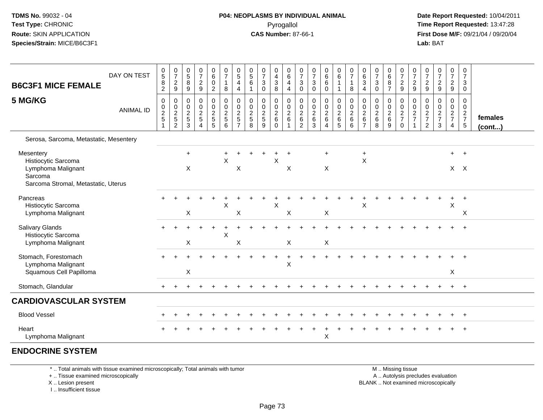#### **P04: NEOPLASMS BY INDIVIDUAL ANIMAL**Pyrogallol **Time Report Requested:** 13:47:28

 **Date Report Requested:** 10/04/2011 **First Dose M/F:** 09/21/04 / 09/20/04<br>**Lab:** BAT **Lab:** BAT

| <b>B6C3F1 MICE FEMALE</b>                                                                                | DAY ON TEST      | 0<br>$\,$ 5 $\,$<br>8<br>$\overline{2}$                     | $\frac{0}{7}$<br>$\frac{2}{9}$                                | $\begin{array}{c} 0 \\ 5 \end{array}$<br>$\bf8$<br>$\boldsymbol{9}$ | $\begin{array}{c} 0 \\ 7 \end{array}$<br>$\frac{2}{9}$    | $\pmb{0}$<br>$\,6\,$<br>$\mathbf 0$<br>$\overline{c}$ | $\frac{0}{7}$<br>$\mathbf{1}$<br>$\bf 8$             | $^{\rm 0}_{\rm 5}$<br>$\overline{4}$<br>$\overline{4}$ | $\begin{smallmatrix}0\0\5\end{smallmatrix}$<br>$\,6\,$<br>1 | $\pmb{0}$<br>$\overline{7}$<br>$\sqrt{3}$<br>0 | 0<br>$\overline{4}$<br>$\mathbf{3}$<br>8  | $\pmb{0}$<br>$\,6\,$<br>$\overline{4}$<br>$\overline{4}$ | $\mathbf 0$<br>$\overline{7}$<br>3<br>$\mathbf 0$                                 | $\pmb{0}$<br>$\boldsymbol{7}$<br>$\mathbf{3}$<br>$\mathbf 0$              | $0$<br>6<br>6<br>0                                       | $\begin{array}{c} 0 \\ 6 \end{array}$<br>$\overline{1}$<br>$\mathbf{1}$ | $\pmb{0}$<br>$\boldsymbol{7}$<br>$\mathbf{1}$<br>$\bf 8$ | $\mathbf 0$<br>$\,6\,$<br>$\mathbf 3$<br>4                 | $\frac{0}{7}$<br>$\mathbf{3}$<br>$\mathbf 0$   | 0<br>$\,6$<br>8<br>$\overline{7}$      | $\frac{0}{7}$<br>$\frac{2}{9}$                 | $\pmb{0}$<br>$\boldsymbol{7}$<br>$\overline{2}$<br>$\overline{9}$ | 0<br>$\overline{7}$<br>$\frac{2}{9}$                | $\frac{0}{7}$<br>$\frac{2}{9}$       | $\pmb{0}$<br>$\boldsymbol{7}$<br>$\frac{2}{9}$ | 0<br>$\boldsymbol{7}$<br>3<br>0        |                   |
|----------------------------------------------------------------------------------------------------------|------------------|-------------------------------------------------------------|---------------------------------------------------------------|---------------------------------------------------------------------|-----------------------------------------------------------|-------------------------------------------------------|------------------------------------------------------|--------------------------------------------------------|-------------------------------------------------------------|------------------------------------------------|-------------------------------------------|----------------------------------------------------------|-----------------------------------------------------------------------------------|---------------------------------------------------------------------------|----------------------------------------------------------|-------------------------------------------------------------------------|----------------------------------------------------------|------------------------------------------------------------|------------------------------------------------|----------------------------------------|------------------------------------------------|-------------------------------------------------------------------|-----------------------------------------------------|--------------------------------------|------------------------------------------------|----------------------------------------|-------------------|
| 5 MG/KG                                                                                                  | <b>ANIMAL ID</b> | $\mathbf 0$<br>$\mathbf 0$<br>$\frac{2}{5}$<br>$\mathbf{1}$ | $\mathbf 0$<br>$\mathbf 0$<br>$\frac{2}{5}$<br>$\overline{c}$ | 0<br>$\boldsymbol{0}$<br>$\frac{2}{5}$<br>3                         | $\pmb{0}$<br>$\pmb{0}$<br>$\frac{2}{5}$<br>$\overline{4}$ | $\mathbf 0$<br>$\mathbf 0$<br>$rac{2}{5}$             | $\pmb{0}$<br>$\mathbf 0$<br>$\frac{2}{5}$<br>$\,6\,$ | 0<br>$\mathbf 0$<br>$\frac{2}{5}$<br>$\overline{7}$    | 0<br>$\mathsf{O}\xspace$<br>$\frac{2}{5}$<br>8              | 0<br>$\pmb{0}$<br>$\frac{2}{5}$<br>9           | 0<br>0<br>$^2\phantom{1}6$<br>$\mathbf 0$ | 0<br>$\pmb{0}$<br>$\frac{2}{6}$<br>$\mathbf 1$           | $\mathbf 0$<br>$\mathbf 0$<br>$\begin{array}{c} 2 \\ 6 \end{array}$<br>$\sqrt{2}$ | 0<br>$\mathbf 0$<br>$\begin{array}{c} 2 \\ 6 \end{array}$<br>$\mathbf{3}$ | $\mathbf 0$<br>$\mathsf{O}\xspace$<br>$\frac{2}{6}$<br>4 | 0<br>$\mathbf 0$<br>$\frac{2}{6}$                                       | $\pmb{0}$<br>$\mathbf 0$<br>$\frac{2}{6}$<br>$\,6\,$     | 0<br>$\boldsymbol{0}$<br>$\sqrt{2}$<br>6<br>$\overline{7}$ | $\mathbf 0$<br>$\pmb{0}$<br>$\frac{2}{6}$<br>8 | 0<br>$\mathbf 0$<br>$\frac{2}{6}$<br>9 | 0<br>$\pmb{0}$<br>$\frac{2}{7}$<br>$\mathbf 0$ | 0<br>$\pmb{0}$<br>$\frac{2}{7}$<br>$\mathbf{1}$                   | 0<br>$\mathbf 0$<br>$\frac{2}{7}$<br>$\overline{2}$ | 0<br>$\pmb{0}$<br>$\frac{2}{7}$<br>3 | 0<br>$\mathbf 0$<br>$\frac{2}{7}$<br>4         | 0<br>$\mathbf 0$<br>$\frac{2}{7}$<br>5 | females<br>(cont) |
| Serosa, Sarcoma, Metastatic, Mesentery                                                                   |                  |                                                             |                                                               |                                                                     |                                                           |                                                       |                                                      |                                                        |                                                             |                                                |                                           |                                                          |                                                                                   |                                                                           |                                                          |                                                                         |                                                          |                                                            |                                                |                                        |                                                |                                                                   |                                                     |                                      |                                                |                                        |                   |
| Mesentery<br>Histiocytic Sarcoma<br>Lymphoma Malignant<br>Sarcoma<br>Sarcoma Stromal, Metastatic, Uterus |                  |                                                             |                                                               | $+$<br>X                                                            |                                                           |                                                       | $\ddot{}$<br>$\boldsymbol{\mathsf{X}}$               | X                                                      |                                                             |                                                | $\sf X$                                   | X                                                        |                                                                                   |                                                                           | $\ddot{}$<br>X                                           |                                                                         |                                                          | $+$<br>$\mathsf X$                                         |                                                |                                        |                                                |                                                                   |                                                     |                                      |                                                | $+$ $+$<br>$X$ $X$                     |                   |
| Pancreas<br>Histiocytic Sarcoma<br>Lymphoma Malignant                                                    |                  |                                                             |                                                               | X                                                                   |                                                           |                                                       | $\boldsymbol{\mathsf{X}}$                            | Χ                                                      |                                                             |                                                | $\mathsf X$                               | X                                                        |                                                                                   |                                                                           | Χ                                                        |                                                                         |                                                          | X                                                          |                                                |                                        |                                                |                                                                   |                                                     |                                      | X                                              | X                                      |                   |
| <b>Salivary Glands</b><br>Histiocytic Sarcoma<br>Lymphoma Malignant                                      |                  |                                                             |                                                               | $\mathsf X$                                                         |                                                           |                                                       | $\times$                                             | X                                                      |                                                             |                                                |                                           | X                                                        |                                                                                   |                                                                           | X                                                        |                                                                         |                                                          |                                                            |                                                |                                        |                                                |                                                                   |                                                     |                                      |                                                |                                        |                   |
| Stomach, Forestomach<br>Lymphoma Malignant<br>Squamous Cell Papilloma                                    |                  |                                                             |                                                               | X                                                                   |                                                           |                                                       |                                                      |                                                        |                                                             |                                                |                                           | X                                                        |                                                                                   |                                                                           |                                                          |                                                                         |                                                          |                                                            |                                                |                                        |                                                |                                                                   |                                                     |                                      | X                                              |                                        |                   |
| Stomach, Glandular                                                                                       |                  |                                                             |                                                               |                                                                     |                                                           |                                                       |                                                      |                                                        |                                                             |                                                |                                           |                                                          |                                                                                   |                                                                           |                                                          |                                                                         |                                                          |                                                            |                                                |                                        |                                                |                                                                   |                                                     |                                      | $+$                                            | $+$                                    |                   |
| <b>CARDIOVASCULAR SYSTEM</b>                                                                             |                  |                                                             |                                                               |                                                                     |                                                           |                                                       |                                                      |                                                        |                                                             |                                                |                                           |                                                          |                                                                                   |                                                                           |                                                          |                                                                         |                                                          |                                                            |                                                |                                        |                                                |                                                                   |                                                     |                                      |                                                |                                        |                   |
| <b>Blood Vessel</b>                                                                                      |                  |                                                             |                                                               |                                                                     |                                                           |                                                       |                                                      |                                                        |                                                             |                                                |                                           |                                                          |                                                                                   |                                                                           |                                                          |                                                                         |                                                          |                                                            |                                                |                                        |                                                |                                                                   |                                                     |                                      |                                                |                                        |                   |
| Heart<br>Lymphoma Malignant                                                                              |                  |                                                             |                                                               |                                                                     |                                                           |                                                       |                                                      |                                                        |                                                             |                                                |                                           |                                                          |                                                                                   |                                                                           | $\sf X$                                                  |                                                                         |                                                          |                                                            |                                                |                                        |                                                |                                                                   |                                                     |                                      |                                                |                                        |                   |
| <b>ENDOCRINE SYSTEM</b>                                                                                  |                  |                                                             |                                                               |                                                                     |                                                           |                                                       |                                                      |                                                        |                                                             |                                                |                                           |                                                          |                                                                                   |                                                                           |                                                          |                                                                         |                                                          |                                                            |                                                |                                        |                                                |                                                                   |                                                     |                                      |                                                |                                        |                   |

\* .. Total animals with tissue examined microscopically; Total animals with tumor

+ .. Tissue examined microscopically

X .. Lesion present

I .. Insufficient tissue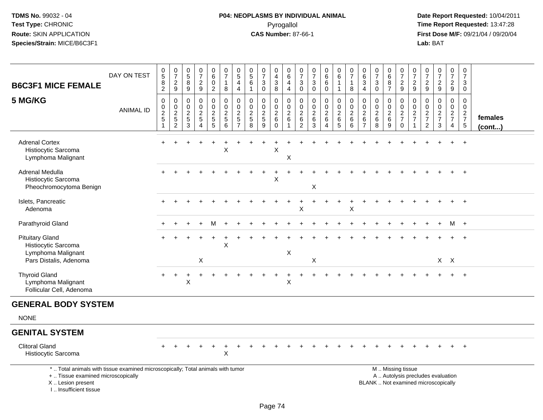# **P04: NEOPLASMS BY INDIVIDUAL ANIMAL**Pyrogallol **Time Report Requested:** 13:47:28

 **Date Report Requested:** 10/04/2011 **First Dose M/F:** 09/21/04 / 09/20/04<br>Lab: BAT **Lab:** BAT

| <b>B6C3F1 MICE FEMALE</b>                                                                                                                  | DAY ON TEST      | $\begin{array}{c} 0 \\ 5 \end{array}$<br>$\bf 8$<br>$\overline{2}$ | $\begin{smallmatrix}0\\7\end{smallmatrix}$<br>$\frac{2}{9}$ | 0<br>$\,$ 5 $\,$<br>8<br>9                                          | $\begin{smallmatrix}0\\7\end{smallmatrix}$<br>$\frac{2}{9}$          | $\pmb{0}$<br>$\,6\,$<br>0<br>$\overline{2}$     | $\pmb{0}$<br>$\overline{7}$<br>$\mathbf{1}$<br>8       | $\begin{array}{c} 0 \\ 5 \end{array}$<br>4<br>$\overline{4}$           | 0<br>$\sqrt{5}$<br>6<br>$\overline{1}$                        | $\frac{0}{7}$<br>3<br>$\mathbf 0$                                   | 0<br>$\overline{4}$<br>$\ensuremath{\mathsf{3}}$<br>8                     | 0<br>$\,6\,$<br>4<br>$\overline{4}$               | $\mathbf 0$<br>$\overline{7}$<br>3<br>$\mathbf 0$                           | $\pmb{0}$<br>$\boldsymbol{7}$<br>$\ensuremath{\mathsf{3}}$<br>$\mathbf 0$ | $_6^0$<br>6<br>0                   | 0<br>$\,6\,$<br>$\mathbf{1}$<br>$\mathbf{1}$              | $\frac{0}{7}$<br>$\mathbf{1}$<br>8                 | 0<br>$\,6\,$<br>$\mathbf{3}$<br>$\overline{4}$                   | 0<br>$\overline{7}$<br>3<br>$\mathbf 0$                           | 0<br>$\overline{6}$<br>8<br>$\overline{7}$ | $\frac{0}{7}$<br>$\frac{2}{9}$                   | $\frac{0}{7}$<br>$\mathbf{2}$<br>$9\,$ | 0<br>$\overline{7}$<br>$\frac{2}{9}$                          | $\frac{0}{7}$<br>$\frac{2}{9}$                                           | $\begin{smallmatrix}0\\7\end{smallmatrix}$<br>$\frac{2}{9}$ | 0<br>$\overline{7}$<br>3<br>$\mathbf 0$         |                         |
|--------------------------------------------------------------------------------------------------------------------------------------------|------------------|--------------------------------------------------------------------|-------------------------------------------------------------|---------------------------------------------------------------------|----------------------------------------------------------------------|-------------------------------------------------|--------------------------------------------------------|------------------------------------------------------------------------|---------------------------------------------------------------|---------------------------------------------------------------------|---------------------------------------------------------------------------|---------------------------------------------------|-----------------------------------------------------------------------------|---------------------------------------------------------------------------|------------------------------------|-----------------------------------------------------------|----------------------------------------------------|------------------------------------------------------------------|-------------------------------------------------------------------|--------------------------------------------|--------------------------------------------------|----------------------------------------|---------------------------------------------------------------|--------------------------------------------------------------------------|-------------------------------------------------------------|-------------------------------------------------|-------------------------|
| 5 MG/KG                                                                                                                                    | <b>ANIMAL ID</b> | $\pmb{0}$<br>$\pmb{0}$<br>$\frac{2}{5}$<br>1                       | 0<br>$\mathbf 0$<br>$\frac{2}{5}$<br>$\overline{2}$         | $\mathbf 0$<br>$\mathbf 0$<br>$\overline{2}$<br>$\overline{5}$<br>3 | $\pmb{0}$<br>$\mathbf 0$<br>$\sqrt{2}$<br>$\overline{5}$<br>$\Delta$ | 0<br>$\mathbf 0$<br>$\frac{2}{5}$<br>$\sqrt{5}$ | $\mathbf 0$<br>$\mathbf 0$<br>$\frac{2}{5}$<br>$\,6\,$ | 0<br>$\mathbf 0$<br>$\overline{c}$<br>$\overline{5}$<br>$\overline{7}$ | $\Omega$<br>$\Omega$<br>$\overline{c}$<br>$\overline{5}$<br>8 | $\mathbf 0$<br>$\mathbf 0$<br>$\overline{2}$<br>$\overline{5}$<br>9 | $\mathbf 0$<br>$\mathbf 0$<br>$\sqrt{2}$<br>$\overline{6}$<br>$\mathbf 0$ | 0<br>$\mathbf 0$<br>$\overline{2}$<br>$\,6$<br>-1 | 0<br>$\overline{0}$<br>$\overline{\mathbf{c}}$<br>$\,6\,$<br>$\overline{c}$ | $\mathbf 0$<br>$\mathbf 0$<br>$\boldsymbol{2}$<br>$\,6\,$<br>3            | 0<br>0<br>$\overline{a}$<br>6<br>4 | 0<br>$\mathbf 0$<br>$\overline{2}$<br>$\overline{6}$<br>5 | 0<br>$\mathbf 0$<br>$\overline{2}$<br>$\,6\,$<br>6 | $\mathbf 0$<br>$\Omega$<br>$\overline{2}$<br>6<br>$\overline{7}$ | $\Omega$<br>$\mathbf 0$<br>$\overline{2}$<br>$6\phantom{1}6$<br>8 | 0<br>$\mathbf 0$<br>$\frac{2}{6}$<br>9     | 0<br>$\mathbf 0$<br>$\frac{2}{7}$<br>$\mathbf 0$ | 0<br>$\mathbf 0$<br>$\frac{2}{7}$<br>1 | $\mathbf 0$<br>$\mathbf 0$<br>$\frac{2}{7}$<br>$\overline{2}$ | $\mathbf 0$<br>$\mathbf 0$<br>$\frac{2}{7}$<br>$\mathbf{3}$              | 0<br>$\mathbf 0$<br>$\frac{2}{7}$<br>$\overline{4}$         | 0<br>$\mathbf 0$<br>$\frac{2}{7}$<br>$\sqrt{5}$ | females<br>$($ cont $)$ |
| <b>Adrenal Cortex</b><br>Histiocytic Sarcoma<br>Lymphoma Malignant                                                                         |                  |                                                                    |                                                             |                                                                     |                                                                      |                                                 | $\mathsf{X}$                                           |                                                                        |                                                               |                                                                     | X                                                                         | X                                                 |                                                                             |                                                                           |                                    |                                                           |                                                    |                                                                  |                                                                   |                                            |                                                  |                                        |                                                               |                                                                          | $+$                                                         | $+$                                             |                         |
| Adrenal Medulla<br>Histiocytic Sarcoma<br>Pheochromocytoma Benign                                                                          |                  |                                                                    |                                                             |                                                                     |                                                                      |                                                 |                                                        |                                                                        |                                                               |                                                                     | X                                                                         |                                                   |                                                                             | $\mathsf X$                                                               |                                    |                                                           |                                                    |                                                                  |                                                                   |                                            |                                                  |                                        |                                                               |                                                                          |                                                             |                                                 |                         |
| Islets, Pancreatic<br>Adenoma                                                                                                              |                  |                                                                    |                                                             |                                                                     |                                                                      |                                                 |                                                        |                                                                        |                                                               |                                                                     |                                                                           |                                                   | X                                                                           |                                                                           |                                    |                                                           | X                                                  |                                                                  |                                                                   |                                            |                                                  |                                        |                                                               |                                                                          |                                                             |                                                 |                         |
| Parathyroid Gland                                                                                                                          |                  |                                                                    |                                                             |                                                                     |                                                                      | м                                               |                                                        |                                                                        |                                                               |                                                                     |                                                                           |                                                   |                                                                             |                                                                           |                                    |                                                           |                                                    |                                                                  |                                                                   |                                            |                                                  |                                        |                                                               |                                                                          |                                                             | M +                                             |                         |
| <b>Pituitary Gland</b><br>Histiocytic Sarcoma<br>Lymphoma Malignant<br>Pars Distalis, Adenoma                                              |                  |                                                                    |                                                             |                                                                     | X                                                                    |                                                 | X                                                      |                                                                        |                                                               |                                                                     |                                                                           | $\boldsymbol{\mathsf{X}}$                         |                                                                             | X                                                                         |                                    |                                                           |                                                    |                                                                  |                                                                   |                                            |                                                  |                                        |                                                               |                                                                          | $X$ $X$                                                     |                                                 |                         |
| <b>Thyroid Gland</b><br>Lymphoma Malignant<br>Follicular Cell, Adenoma                                                                     |                  |                                                                    | $\ddot{}$                                                   | X                                                                   |                                                                      |                                                 |                                                        |                                                                        |                                                               |                                                                     |                                                                           | $\times$                                          |                                                                             |                                                                           |                                    |                                                           |                                                    |                                                                  |                                                                   |                                            |                                                  |                                        |                                                               |                                                                          |                                                             | $^{+}$                                          |                         |
| <b>GENERAL BODY SYSTEM</b>                                                                                                                 |                  |                                                                    |                                                             |                                                                     |                                                                      |                                                 |                                                        |                                                                        |                                                               |                                                                     |                                                                           |                                                   |                                                                             |                                                                           |                                    |                                                           |                                                    |                                                                  |                                                                   |                                            |                                                  |                                        |                                                               |                                                                          |                                                             |                                                 |                         |
| <b>NONE</b>                                                                                                                                |                  |                                                                    |                                                             |                                                                     |                                                                      |                                                 |                                                        |                                                                        |                                                               |                                                                     |                                                                           |                                                   |                                                                             |                                                                           |                                    |                                                           |                                                    |                                                                  |                                                                   |                                            |                                                  |                                        |                                                               |                                                                          |                                                             |                                                 |                         |
| <b>GENITAL SYSTEM</b>                                                                                                                      |                  |                                                                    |                                                             |                                                                     |                                                                      |                                                 |                                                        |                                                                        |                                                               |                                                                     |                                                                           |                                                   |                                                                             |                                                                           |                                    |                                                           |                                                    |                                                                  |                                                                   |                                            |                                                  |                                        |                                                               |                                                                          |                                                             |                                                 |                         |
| <b>Clitoral Gland</b><br>Histiocytic Sarcoma                                                                                               |                  |                                                                    |                                                             |                                                                     |                                                                      | $\ddot{}$                                       | X                                                      |                                                                        |                                                               |                                                                     |                                                                           |                                                   |                                                                             |                                                                           |                                    |                                                           |                                                    |                                                                  |                                                                   |                                            |                                                  |                                        |                                                               |                                                                          |                                                             |                                                 |                         |
| *  Total animals with tissue examined microscopically; Total animals with tumor<br>+  Tissue examined microscopically<br>X  Lesion present |                  |                                                                    |                                                             |                                                                     |                                                                      |                                                 |                                                        |                                                                        |                                                               |                                                                     |                                                                           |                                                   |                                                                             |                                                                           |                                    |                                                           |                                                    |                                                                  |                                                                   |                                            | M  Missing tissue                                |                                        |                                                               | A  Autolysis precludes evaluation<br>BLANK  Not examined microscopically |                                                             |                                                 |                         |

I .. Insufficient tissue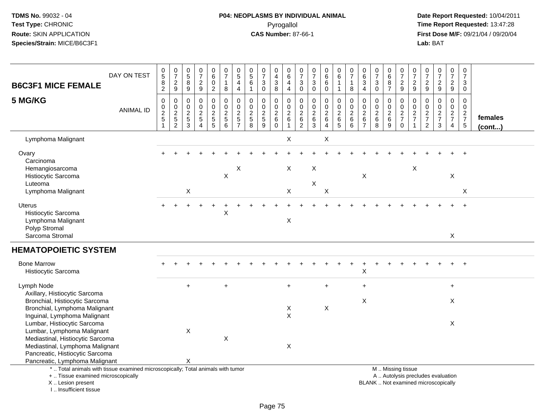I .. Insufficient tissue

# **P04: NEOPLASMS BY INDIVIDUAL ANIMAL**Pyrogallol **Time Report Requested:** 13:47:28

| <b>B6C3F1 MICE FEMALE</b>                                                                                                                  | DAY ON TEST      | $^{\rm 0}_{\rm 5}$<br>$\frac{8}{2}$     | $\frac{0}{7}$<br>$\sqrt{2}$<br>9                            | $\begin{array}{c} 0 \\ 5 \end{array}$<br>$\bf 8$<br>$\boldsymbol{9}$ | $\frac{0}{7}$<br>$\frac{2}{9}$                                           | $_{6}^{\rm 0}$<br>$\pmb{0}$<br>$\overline{2}$                    | $\begin{array}{c} 0 \\ 7 \end{array}$<br>$\mathbf{1}$<br>8 | $\begin{array}{c} 0 \\ 5 \end{array}$<br>$\overline{\mathbf{4}}$<br>$\overline{4}$ | 0<br>$\overline{5}$<br>6<br>$\overline{1}$               | $\frac{0}{7}$<br>$\sqrt{3}$<br>$\mathbf 0$               | 0<br>$\tilde{4}$<br>3<br>8                                  | $_{6}^{\rm 0}$<br>$\overline{\mathbf{4}}$<br>$\overline{4}$ | $\frac{0}{7}$<br>$\ensuremath{\mathsf{3}}$<br>$\mathsf{O}\xspace$ | 0<br>$\overline{7}$<br>$\ensuremath{\mathsf{3}}$<br>$\pmb{0}$ | $\begin{array}{c} 0 \\ 6 \end{array}$<br>$\,6\,$<br>$\mathbf 0$ | $\begin{array}{c} 0 \\ 6 \end{array}$<br>$\overline{1}$<br>$\mathbf{1}$ | $\begin{array}{c} 0 \\ 7 \end{array}$<br>$\mathbf{1}$<br>$\bf8$ | 0<br>$\overline{6}$<br>3<br>$\overline{4}$                  | $\frac{0}{7}$<br>$\ensuremath{\mathsf{3}}$<br>$\mathsf{O}\xspace$ | $_{6}^{\rm 0}$<br>8<br>$\overline{7}$             | $\frac{0}{7}$<br>$\frac{2}{9}$                                                                | $\frac{0}{7}$<br>$\frac{2}{9}$                    | 0<br>$\overline{7}$<br>$\boldsymbol{2}$<br>$\boldsymbol{9}$ | $\begin{array}{c} 0 \\ 7 \end{array}$<br>$\sqrt{2}$<br>9            | $\frac{0}{7}$<br>$\frac{2}{9}$         | $\frac{0}{7}$<br>$\mathbf{3}$<br>$\pmb{0}$ |                         |
|--------------------------------------------------------------------------------------------------------------------------------------------|------------------|-----------------------------------------|-------------------------------------------------------------|----------------------------------------------------------------------|--------------------------------------------------------------------------|------------------------------------------------------------------|------------------------------------------------------------|------------------------------------------------------------------------------------|----------------------------------------------------------|----------------------------------------------------------|-------------------------------------------------------------|-------------------------------------------------------------|-------------------------------------------------------------------|---------------------------------------------------------------|-----------------------------------------------------------------|-------------------------------------------------------------------------|-----------------------------------------------------------------|-------------------------------------------------------------|-------------------------------------------------------------------|---------------------------------------------------|-----------------------------------------------------------------------------------------------|---------------------------------------------------|-------------------------------------------------------------|---------------------------------------------------------------------|----------------------------------------|--------------------------------------------|-------------------------|
| 5 MG/KG                                                                                                                                    | <b>ANIMAL ID</b> | 0<br>$\pmb{0}$<br>$\boldsymbol{2}$<br>5 | $\mathbf 0$<br>$\pmb{0}$<br>$\overline{2}$<br>$\frac{5}{2}$ | 0<br>0<br>$\boldsymbol{2}$<br>5<br>$\mathbf{3}$                      | 0<br>$\pmb{0}$<br>$\overline{c}$<br>$\sqrt{5}$<br>$\boldsymbol{\Lambda}$ | $\boldsymbol{0}$<br>$\pmb{0}$<br>$\overline{2}$<br>$\frac{5}{5}$ | 0<br>$\mathbf 0$<br>$\frac{2}{6}$                          | $\pmb{0}$<br>$\overline{0}$<br>$rac{2}{5}$                                         | 0<br>$\mathbf{0}$<br>$\boldsymbol{2}$<br>$\sqrt{5}$<br>8 | $\mathbf 0$<br>$\mathbf 0$<br>$\boldsymbol{2}$<br>5<br>9 | 0<br>$\mathbf 0$<br>$\boldsymbol{2}$<br>$\,6\,$<br>$\Omega$ | 0<br>$\mathbf 0$<br>$\overline{2}$<br>6<br>$\overline{1}$   | 0<br>$\mathbf 0$<br>$\boldsymbol{2}$<br>$\,6\,$<br>$\overline{2}$ | 0<br>0<br>$\sqrt{2}$<br>$^6_3$                                | $\pmb{0}$<br>$\ddot{\mathbf{0}}$<br>$\frac{2}{6}$<br>4          | 0<br>$\mathbf 0$<br>$\sqrt{2}$<br>$\,6\,$<br>$\overline{5}$             | $\mathbf 0$<br>$\pmb{0}$<br>$\boldsymbol{2}$<br>6<br>6          | 0<br>$\mathbf 0$<br>$\boldsymbol{2}$<br>6<br>$\overline{7}$ | $\mathbf 0$<br>$\pmb{0}$<br>$\frac{2}{6}$                         | 0<br>$\pmb{0}$<br>$\frac{2}{6}$<br>$\overline{9}$ | 0<br>$\pmb{0}$<br>$\frac{2}{7}$<br>0                                                          | 0<br>$\mathbf 0$<br>$\frac{2}{7}$<br>$\mathbf{1}$ | 0<br>$\mathbf 0$<br>$\frac{2}{7}$<br>$\sqrt{2}$             | $\mathbf 0$<br>$\ddot{\mathbf{0}}$<br>$\frac{2}{7}$<br>$\mathbf{3}$ | 0<br>$\mathbf 0$<br>$\frac{2}{7}$<br>4 | 0<br>$\mathsf{O}\xspace$<br>$\frac{2}{7}$  | females<br>$($ cont $)$ |
| Lymphoma Malignant                                                                                                                         |                  |                                         |                                                             |                                                                      |                                                                          |                                                                  |                                                            |                                                                                    |                                                          |                                                          |                                                             | X                                                           |                                                                   |                                                               | X                                                               |                                                                         |                                                                 |                                                             |                                                                   |                                                   |                                                                                               |                                                   |                                                             |                                                                     |                                        |                                            |                         |
| Ovary<br>Carcinoma                                                                                                                         |                  |                                         |                                                             |                                                                      |                                                                          |                                                                  |                                                            |                                                                                    |                                                          |                                                          |                                                             |                                                             |                                                                   |                                                               |                                                                 |                                                                         |                                                                 |                                                             |                                                                   |                                                   |                                                                                               |                                                   |                                                             |                                                                     |                                        |                                            |                         |
| Hemangiosarcoma<br>Histiocytic Sarcoma<br>Luteoma                                                                                          |                  |                                         |                                                             |                                                                      |                                                                          |                                                                  | $\pmb{\times}$                                             | X                                                                                  |                                                          |                                                          |                                                             | X                                                           |                                                                   | $\mathsf X$<br>$\pmb{\times}$                                 |                                                                 |                                                                         |                                                                 | X                                                           |                                                                   |                                                   |                                                                                               | $\boldsymbol{\mathsf{X}}$                         |                                                             |                                                                     | X                                      |                                            |                         |
| Lymphoma Malignant                                                                                                                         |                  |                                         |                                                             | X                                                                    |                                                                          |                                                                  |                                                            |                                                                                    |                                                          |                                                          |                                                             | X                                                           |                                                                   |                                                               | X                                                               |                                                                         |                                                                 |                                                             |                                                                   |                                                   |                                                                                               |                                                   |                                                             |                                                                     |                                        | X                                          |                         |
| Uterus<br>Histiocytic Sarcoma<br>Lymphoma Malignant<br>Polyp Stromal                                                                       |                  |                                         |                                                             |                                                                      |                                                                          |                                                                  | Χ                                                          |                                                                                    |                                                          |                                                          |                                                             | X                                                           |                                                                   |                                                               |                                                                 |                                                                         |                                                                 |                                                             |                                                                   |                                                   |                                                                                               |                                                   |                                                             |                                                                     |                                        |                                            |                         |
| Sarcoma Stromal                                                                                                                            |                  |                                         |                                                             |                                                                      |                                                                          |                                                                  |                                                            |                                                                                    |                                                          |                                                          |                                                             |                                                             |                                                                   |                                                               |                                                                 |                                                                         |                                                                 |                                                             |                                                                   |                                                   |                                                                                               |                                                   |                                                             |                                                                     | X                                      |                                            |                         |
| <b>HEMATOPOIETIC SYSTEM</b>                                                                                                                |                  |                                         |                                                             |                                                                      |                                                                          |                                                                  |                                                            |                                                                                    |                                                          |                                                          |                                                             |                                                             |                                                                   |                                                               |                                                                 |                                                                         |                                                                 |                                                             |                                                                   |                                                   |                                                                                               |                                                   |                                                             |                                                                     |                                        |                                            |                         |
| <b>Bone Marrow</b><br>Histiocytic Sarcoma                                                                                                  |                  |                                         |                                                             |                                                                      |                                                                          |                                                                  |                                                            |                                                                                    |                                                          |                                                          |                                                             |                                                             |                                                                   |                                                               |                                                                 |                                                                         |                                                                 | X                                                           |                                                                   |                                                   |                                                                                               |                                                   |                                                             |                                                                     |                                        |                                            |                         |
| Lymph Node                                                                                                                                 |                  |                                         |                                                             | $+$                                                                  |                                                                          |                                                                  | $+$                                                        |                                                                                    |                                                          |                                                          |                                                             | $+$                                                         |                                                                   |                                                               | $+$                                                             |                                                                         |                                                                 | $\ddot{}$                                                   |                                                                   |                                                   |                                                                                               |                                                   |                                                             |                                                                     | $+$                                    |                                            |                         |
| Axillary, Histiocytic Sarcoma<br>Bronchial, Histiocytic Sarcoma<br>Bronchial, Lymphoma Malignant                                           |                  |                                         |                                                             |                                                                      |                                                                          |                                                                  |                                                            |                                                                                    |                                                          |                                                          |                                                             | $\boldsymbol{\mathsf{X}}$<br>$\boldsymbol{\mathsf{X}}$      |                                                                   |                                                               | $\pmb{\times}$                                                  |                                                                         |                                                                 | $\mathsf X$                                                 |                                                                   |                                                   |                                                                                               |                                                   |                                                             |                                                                     | X                                      |                                            |                         |
| Inguinal, Lymphoma Malignant<br>Lumbar, Histiocytic Sarcoma<br>Lumbar, Lymphoma Malignant                                                  |                  |                                         |                                                             | $\boldsymbol{\mathsf{X}}$                                            |                                                                          |                                                                  |                                                            |                                                                                    |                                                          |                                                          |                                                             |                                                             |                                                                   |                                                               |                                                                 |                                                                         |                                                                 |                                                             |                                                                   |                                                   |                                                                                               |                                                   |                                                             |                                                                     | X                                      |                                            |                         |
| Mediastinal, Histiocytic Sarcoma<br>Mediastinal, Lymphoma Malignant<br>Pancreatic, Histiocytic Sarcoma                                     |                  |                                         |                                                             |                                                                      |                                                                          |                                                                  | X                                                          |                                                                                    |                                                          |                                                          |                                                             | $\mathsf X$                                                 |                                                                   |                                                               |                                                                 |                                                                         |                                                                 |                                                             |                                                                   |                                                   |                                                                                               |                                                   |                                                             |                                                                     |                                        |                                            |                         |
| Pancreatic, Lymphoma Malignant                                                                                                             |                  |                                         |                                                             | X                                                                    |                                                                          |                                                                  |                                                            |                                                                                    |                                                          |                                                          |                                                             |                                                             |                                                                   |                                                               |                                                                 |                                                                         |                                                                 |                                                             |                                                                   |                                                   |                                                                                               |                                                   |                                                             |                                                                     |                                        |                                            |                         |
| *  Total animals with tissue examined microscopically; Total animals with tumor<br>+  Tissue examined microscopically<br>X  Lesion present |                  |                                         |                                                             |                                                                      |                                                                          |                                                                  |                                                            |                                                                                    |                                                          |                                                          |                                                             |                                                             |                                                                   |                                                               |                                                                 |                                                                         |                                                                 |                                                             |                                                                   |                                                   | M  Missing tissue<br>A  Autolysis precludes evaluation<br>BLANK  Not examined microscopically |                                                   |                                                             |                                                                     |                                        |                                            |                         |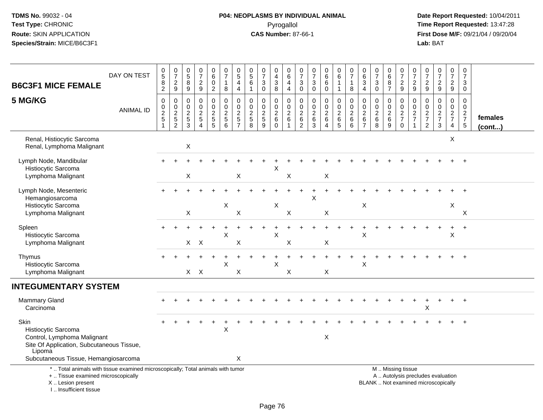# **P04: NEOPLASMS BY INDIVIDUAL ANIMAL**Pyrogallol **Time Report Requested:** 13:47:28

| <b>B6C3F1 MICE FEMALE</b>                                                                                                                                           | DAY ON TEST      | $\begin{array}{c} 0 \\ 5 \end{array}$<br>8<br>$\mathbf{2}$ | $\begin{array}{c} 0 \\ 7 \end{array}$<br>$\overline{c}$<br>9 | 0<br>$\overline{5}$<br>8<br>9                                    | $\begin{smallmatrix}0\\7\end{smallmatrix}$<br>$\frac{2}{9}$ | 0<br>6<br>0<br>$\overline{2}$                                     | $\begin{array}{c} 0 \\ 7 \end{array}$<br>$\overline{1}$<br>8     | 0<br>$\overline{5}$<br>4<br>4                         | $\begin{array}{c} 0 \\ 5 \end{array}$<br>$\,6$<br>$\mathbf{1}$ | $\frac{0}{7}$<br>3<br>0                           | 0<br>$\overline{4}$<br>$\ensuremath{\mathsf{3}}$<br>8              | 0<br>$6\overline{6}$<br>$\overline{4}$<br>$\overline{4}$ | 0<br>$\overline{7}$<br>$\ensuremath{\mathsf{3}}$<br>0 | $\frac{0}{7}$<br>$\sqrt{3}$<br>$\mathbf 0$                   | 0<br>$\overline{6}$<br>$\,6$<br>$\mathbf 0$                             | $\begin{array}{c} 0 \\ 6 \end{array}$<br>$\mathbf{1}$<br>$\mathbf{1}$ | $\frac{0}{7}$<br>$\mathbf{1}$<br>8                                  | 0<br>$\,6\,$<br>$\mathbf{3}$<br>4           | $\begin{array}{c} 0 \\ 7 \end{array}$<br>$\ensuremath{\mathsf{3}}$<br>$\mathbf 0$ | 0<br>$\overline{6}$<br>$\begin{array}{c} 8 \\ 7 \end{array}$ | $\frac{0}{7}$<br>$\frac{2}{9}$                                                                | 0<br>$\overline{7}$<br>$\overline{\mathbf{c}}$<br>9 | $\frac{0}{7}$<br>$\overline{c}$<br>9 | $\frac{0}{7}$<br>$\overline{c}$<br>9   | $\frac{0}{7}$<br>$\overline{a}$<br>9                | $\begin{smallmatrix}0\\7\end{smallmatrix}$<br>3<br>0          |                   |
|---------------------------------------------------------------------------------------------------------------------------------------------------------------------|------------------|------------------------------------------------------------|--------------------------------------------------------------|------------------------------------------------------------------|-------------------------------------------------------------|-------------------------------------------------------------------|------------------------------------------------------------------|-------------------------------------------------------|----------------------------------------------------------------|---------------------------------------------------|--------------------------------------------------------------------|----------------------------------------------------------|-------------------------------------------------------|--------------------------------------------------------------|-------------------------------------------------------------------------|-----------------------------------------------------------------------|---------------------------------------------------------------------|---------------------------------------------|-----------------------------------------------------------------------------------|--------------------------------------------------------------|-----------------------------------------------------------------------------------------------|-----------------------------------------------------|--------------------------------------|----------------------------------------|-----------------------------------------------------|---------------------------------------------------------------|-------------------|
| 5 MG/KG                                                                                                                                                             | <b>ANIMAL ID</b> | $\pmb{0}$<br>$\frac{0}{2}$<br>$\overline{1}$               | 0<br>$_{2}^{\rm 0}$<br>$\frac{1}{2}$                         | $\mathbf 0$<br>$\pmb{0}$<br>$\boldsymbol{2}$<br>$\mathbf 5$<br>3 | $\pmb{0}$<br>$\mathbf 0$<br>$\frac{2}{5}$<br>$\overline{4}$ | 0<br>$\mathsf{O}\xspace$<br>$\overline{c}$<br>$\overline{5}$<br>5 | $\mathbf 0$<br>$\mathbf 0$<br>$\overline{2}$<br>$\,$ 5 $\,$<br>6 | 0<br>$\mathbf 0$<br>$\boldsymbol{2}$<br>$\frac{5}{7}$ | $\mathbf 0$<br>$\mathbf 0$<br>$\frac{2}{5}$<br>8               | 0<br>$\pmb{0}$<br>$\overline{c}$<br>$\frac{1}{9}$ | 0<br>$\mathsf{O}\xspace$<br>$\overline{2}$<br>$\,6$<br>$\mathbf 0$ | 0<br>$\mathsf{O}\xspace$<br>$\overline{2}$<br>$\,6\,$    | 0<br>$\mathbf 0$<br>$\overline{c}$<br>$\,6\,$<br>2    | $\mathbf 0$<br>$\mathbf 0$<br>$\overline{2}$<br>$\,6\,$<br>3 | 0<br>$\mathbf 0$<br>$\overline{c}$<br>$\,6\,$<br>$\boldsymbol{\Lambda}$ | $\pmb{0}$<br>$\frac{0}{2}$<br>$\overline{6}$<br>5                     | $\mathbf 0$<br>$\mathsf 0$<br>$\overline{2}$<br>6<br>$\overline{6}$ | 0<br>$\pmb{0}$<br>$\overline{c}$<br>$\,6\,$ | 0<br>$\mathbf 0$<br>$\sqrt{2}$<br>$^6_8$                                          | 0<br>$\mathbf 0$<br>$\boldsymbol{2}$<br>$\,6\,$<br>9         | 0<br>$\mathbf 0$<br>$\frac{2}{7}$<br>$\mathbf 0$                                              | 0<br>$\mathbf 0$<br>$\frac{2}{7}$                   | 0<br>$\mathbf 0$<br>$\frac{2}{7}$    | 0<br>$\mathbf 0$<br>$\frac{2}{7}$<br>3 | 0<br>$\mathbf 0$<br>$\frac{2}{7}$<br>$\overline{4}$ | $\mathbf 0$<br>$\mathbf 0$<br>$\frac{2}{7}$<br>$\overline{5}$ | females<br>(cont) |
| Renal, Histiocytic Sarcoma<br>Renal, Lymphoma Malignant                                                                                                             |                  |                                                            |                                                              | $\mathsf X$                                                      |                                                             |                                                                   |                                                                  |                                                       |                                                                |                                                   |                                                                    |                                                          |                                                       |                                                              |                                                                         |                                                                       |                                                                     |                                             |                                                                                   |                                                              |                                                                                               |                                                     |                                      |                                        | X                                                   |                                                               |                   |
| Lymph Node, Mandibular<br>Histiocytic Sarcoma<br>Lymphoma Malignant                                                                                                 |                  |                                                            |                                                              | X                                                                |                                                             |                                                                   |                                                                  | X                                                     |                                                                |                                                   | X                                                                  | Χ                                                        |                                                       |                                                              | X                                                                       |                                                                       |                                                                     |                                             |                                                                                   |                                                              |                                                                                               |                                                     |                                      |                                        |                                                     |                                                               |                   |
| Lymph Node, Mesenteric<br>Hemangiosarcoma<br>Histiocytic Sarcoma<br>Lymphoma Malignant                                                                              |                  |                                                            |                                                              | X                                                                |                                                             |                                                                   | X                                                                | $\boldsymbol{\mathsf{X}}$                             |                                                                |                                                   | Х                                                                  | $\boldsymbol{\mathsf{X}}$                                |                                                       | X                                                            | X                                                                       |                                                                       |                                                                     | X                                           |                                                                                   |                                                              |                                                                                               |                                                     |                                      |                                        | X                                                   | X                                                             |                   |
| Spleen<br>Histiocytic Sarcoma<br>Lymphoma Malignant                                                                                                                 |                  |                                                            |                                                              |                                                                  | $X$ $X$                                                     |                                                                   | X                                                                | X                                                     |                                                                |                                                   | X                                                                  | $\mathsf X$                                              |                                                       |                                                              | X                                                                       |                                                                       |                                                                     | X                                           |                                                                                   |                                                              |                                                                                               |                                                     |                                      |                                        | $\ddot{}$<br>X                                      | $\overline{+}$                                                |                   |
| Thymus<br>Histiocytic Sarcoma<br>Lymphoma Malignant                                                                                                                 |                  |                                                            |                                                              |                                                                  | $X$ $X$                                                     |                                                                   | X                                                                | $\boldsymbol{\mathsf{X}}$                             |                                                                |                                                   | X                                                                  | X                                                        |                                                       |                                                              | X                                                                       |                                                                       |                                                                     | X                                           |                                                                                   |                                                              |                                                                                               |                                                     |                                      |                                        |                                                     |                                                               |                   |
| <b>INTEGUMENTARY SYSTEM</b>                                                                                                                                         |                  |                                                            |                                                              |                                                                  |                                                             |                                                                   |                                                                  |                                                       |                                                                |                                                   |                                                                    |                                                          |                                                       |                                                              |                                                                         |                                                                       |                                                                     |                                             |                                                                                   |                                                              |                                                                                               |                                                     |                                      |                                        |                                                     |                                                               |                   |
| <b>Mammary Gland</b><br>Carcinoma                                                                                                                                   |                  |                                                            |                                                              |                                                                  |                                                             |                                                                   |                                                                  |                                                       |                                                                |                                                   |                                                                    |                                                          |                                                       |                                                              |                                                                         |                                                                       |                                                                     |                                             |                                                                                   |                                                              |                                                                                               |                                                     | Х                                    |                                        |                                                     | $\overline{1}$                                                |                   |
| Skin<br>Histiocytic Sarcoma<br>Control, Lymphoma Malignant<br>Site Of Application, Subcutaneous Tissue,<br>Lipoma<br>Subcutaneous Tissue, Hemangiosarcoma           |                  |                                                            |                                                              |                                                                  |                                                             |                                                                   | X                                                                | X                                                     |                                                                |                                                   |                                                                    |                                                          |                                                       |                                                              | X                                                                       |                                                                       |                                                                     |                                             |                                                                                   |                                                              |                                                                                               |                                                     |                                      |                                        |                                                     |                                                               |                   |
| *  Total animals with tissue examined microscopically; Total animals with tumor<br>+  Tissue examined microscopically<br>X  Lesion present<br>I Insufficient tissue |                  |                                                            |                                                              |                                                                  |                                                             |                                                                   |                                                                  |                                                       |                                                                |                                                   |                                                                    |                                                          |                                                       |                                                              |                                                                         |                                                                       |                                                                     |                                             |                                                                                   |                                                              | M  Missing tissue<br>A  Autolysis precludes evaluation<br>BLANK  Not examined microscopically |                                                     |                                      |                                        |                                                     |                                                               |                   |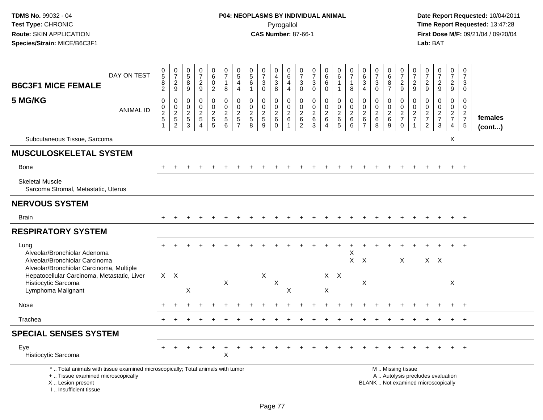| <b>B6C3F1 MICE FEMALE</b>                                                                                                                                           | DAY ON TEST      | $\begin{matrix} 0 \\ 5 \end{matrix}$<br>$\frac{8}{2}$                   | $\begin{array}{c} 0 \\ 7 \end{array}$<br>$\frac{2}{9}$ | $\begin{array}{c} 0 \\ 5 \end{array}$<br>$\frac{8}{9}$                | $\begin{array}{c} 0 \\ 7 \end{array}$<br>$\frac{2}{9}$ | $\begin{array}{c} 0 \\ 6 \end{array}$<br>$\mathbf 0$<br>$\overline{2}$ | 0<br>$\overline{7}$<br>$\mathbf{1}$<br>8                       | $\begin{array}{c} 0 \\ 5 \end{array}$<br>$\overline{4}$<br>$\overline{4}$ | $\begin{array}{c} 0 \\ 5 \end{array}$<br>6<br>$\mathbf{1}$ | $\frac{0}{7}$<br>3<br>$\mathbf 0$ | 0<br>$\overline{4}$<br>$_8^3$             | 0<br>$6\phantom{a}$<br>$\overline{4}$<br>$\overline{4}$         | 0<br>$\overline{7}$<br>$\sqrt{3}$<br>$\mathsf{O}\xspace$      | $\frac{0}{7}$<br>$\ensuremath{\mathsf{3}}$<br>$\mathsf{O}\xspace$               | $\pmb{0}$<br>6<br>$\,6\,$<br>$\mathbf 0$            | 0<br>$\,6$<br>1<br>$\mathbf{1}$                      | $\frac{0}{7}$<br>1<br>8                            | 0<br>$6\phantom{a}$<br>$\ensuremath{\mathsf{3}}$<br>$\overline{4}$                | $\frac{0}{7}$<br>$\sqrt{3}$<br>$\overline{0}$ | 0<br>6<br>8<br>$\overline{7}$                  | $\frac{0}{7}$<br>$\frac{2}{9}$              | 0<br>$\overline{7}$<br>$\frac{2}{9}$          | 0<br>$\overline{7}$<br>$\frac{2}{9}$                          | $\frac{0}{7}$<br>$\frac{2}{9}$                                           | 0<br>$\overline{7}$<br>$\frac{2}{9}$                                  | $\pmb{0}$<br>$\overline{7}$<br>3<br>$\mathbf 0$                |                   |
|---------------------------------------------------------------------------------------------------------------------------------------------------------------------|------------------|-------------------------------------------------------------------------|--------------------------------------------------------|-----------------------------------------------------------------------|--------------------------------------------------------|------------------------------------------------------------------------|----------------------------------------------------------------|---------------------------------------------------------------------------|------------------------------------------------------------|-----------------------------------|-------------------------------------------|-----------------------------------------------------------------|---------------------------------------------------------------|---------------------------------------------------------------------------------|-----------------------------------------------------|------------------------------------------------------|----------------------------------------------------|-----------------------------------------------------------------------------------|-----------------------------------------------|------------------------------------------------|---------------------------------------------|-----------------------------------------------|---------------------------------------------------------------|--------------------------------------------------------------------------|-----------------------------------------------------------------------|----------------------------------------------------------------|-------------------|
| 5 MG/KG                                                                                                                                                             | <b>ANIMAL ID</b> | $\pmb{0}$<br>$\begin{array}{c} 0 \\ 2 \\ 5 \end{array}$<br>$\mathbf{1}$ | $\mathbf 0$<br>$\mathbf 0$<br>$\frac{2}{2}$            | $\mathsf{O}\xspace$<br>$\mathbf 0$<br>$\overline{2}$<br>$\frac{5}{3}$ | $\pmb{0}$<br>$\mathbf 0$<br>$\frac{2}{5}$<br>4         | $\mathbf 0$<br>$\mathbf 0$<br>$rac{2}{5}$                              | $\pmb{0}$<br>$\mathbf 0$<br>$\overline{c}$<br>$\,$ 5 $\,$<br>6 | $\pmb{0}$<br>$\Omega$<br>$\overline{c}$<br>$\sqrt{5}$<br>$\overline{7}$   | $\pmb{0}$<br>$\mathbf 0$<br>$\sqrt{2}$<br>$\,$ 5 $\,$<br>8 | 0<br>$\mathbf 0$<br>$rac{2}{9}$   | 0<br>0<br>$\overline{2}$<br>6<br>$\Omega$ | $\mathbf 0$<br>$\mathsf{O}\xspace$<br>$\overline{2}$<br>$\,6\,$ | $\mathbf 0$<br>$\mathbf 0$<br>$\frac{2}{6}$<br>$\overline{c}$ | $\mathbf 0$<br>$\mathsf{O}\xspace$<br>$\overline{2}$<br>$\,6\,$<br>$\mathbf{3}$ | 0<br>$\mathbf 0$<br>$\frac{2}{6}$<br>$\overline{4}$ | $\pmb{0}$<br>$\mathbf 0$<br>$\overline{2}$<br>6<br>5 | $\mathbf 0$<br>0<br>$\boldsymbol{2}$<br>$\,6$<br>6 | $\mathsf{O}\xspace$<br>$\mathbf 0$<br>$\overline{c}$<br>$\,6\,$<br>$\overline{7}$ | 0<br>0<br>$\frac{2}{6}$<br>$\overline{8}$     | 0<br>$\mathbf 0$<br>$\sqrt{2}$<br>$\,6\,$<br>9 | $\mathbf 0$<br>$\frac{0}{2}$<br>$\mathbf 0$ | 0<br>$\Omega$<br>$\sqrt{2}$<br>$\overline{7}$ | $\mathbf 0$<br>$\mathbf 0$<br>$\frac{2}{7}$<br>$\overline{2}$ | 0<br>$\mathbf 0$<br>$\frac{2}{7}$<br>3                                   | $\mathbf 0$<br>$\mathsf{O}\xspace$<br>$\frac{2}{7}$<br>$\overline{4}$ | $\mathbf 0$<br>$\mathbf 0$<br>$\frac{2}{7}$<br>$5\phantom{.0}$ | females<br>(cont) |
| Subcutaneous Tissue, Sarcoma                                                                                                                                        |                  |                                                                         |                                                        |                                                                       |                                                        |                                                                        |                                                                |                                                                           |                                                            |                                   |                                           |                                                                 |                                                               |                                                                                 |                                                     |                                                      |                                                    |                                                                                   |                                               |                                                |                                             |                                               |                                                               |                                                                          | X                                                                     |                                                                |                   |
| <b>MUSCULOSKELETAL SYSTEM</b>                                                                                                                                       |                  |                                                                         |                                                        |                                                                       |                                                        |                                                                        |                                                                |                                                                           |                                                            |                                   |                                           |                                                                 |                                                               |                                                                                 |                                                     |                                                      |                                                    |                                                                                   |                                               |                                                |                                             |                                               |                                                               |                                                                          |                                                                       |                                                                |                   |
| <b>Bone</b>                                                                                                                                                         |                  |                                                                         |                                                        |                                                                       |                                                        |                                                                        |                                                                |                                                                           |                                                            |                                   |                                           |                                                                 |                                                               |                                                                                 |                                                     |                                                      |                                                    |                                                                                   |                                               |                                                |                                             |                                               |                                                               |                                                                          |                                                                       | $+$                                                            |                   |
| <b>Skeletal Muscle</b><br>Sarcoma Stromal, Metastatic, Uterus                                                                                                       |                  |                                                                         |                                                        |                                                                       |                                                        |                                                                        |                                                                |                                                                           |                                                            |                                   |                                           |                                                                 |                                                               |                                                                                 |                                                     |                                                      |                                                    |                                                                                   |                                               |                                                |                                             |                                               |                                                               |                                                                          |                                                                       |                                                                |                   |
| <b>NERVOUS SYSTEM</b>                                                                                                                                               |                  |                                                                         |                                                        |                                                                       |                                                        |                                                                        |                                                                |                                                                           |                                                            |                                   |                                           |                                                                 |                                                               |                                                                                 |                                                     |                                                      |                                                    |                                                                                   |                                               |                                                |                                             |                                               |                                                               |                                                                          |                                                                       |                                                                |                   |
| <b>Brain</b>                                                                                                                                                        |                  |                                                                         |                                                        |                                                                       |                                                        |                                                                        |                                                                |                                                                           |                                                            |                                   |                                           |                                                                 |                                                               |                                                                                 |                                                     |                                                      |                                                    |                                                                                   |                                               |                                                |                                             |                                               |                                                               |                                                                          |                                                                       | $+$                                                            |                   |
| <b>RESPIRATORY SYSTEM</b>                                                                                                                                           |                  |                                                                         |                                                        |                                                                       |                                                        |                                                                        |                                                                |                                                                           |                                                            |                                   |                                           |                                                                 |                                                               |                                                                                 |                                                     |                                                      |                                                    |                                                                                   |                                               |                                                |                                             |                                               |                                                               |                                                                          |                                                                       |                                                                |                   |
| Lung<br>Alveolar/Bronchiolar Adenoma<br>Alveolar/Bronchiolar Carcinoma<br>Alveolar/Bronchiolar Carcinoma, Multiple                                                  |                  |                                                                         |                                                        |                                                                       |                                                        |                                                                        |                                                                |                                                                           |                                                            |                                   |                                           |                                                                 |                                                               |                                                                                 |                                                     |                                                      | Χ<br>X                                             | $\sf X$                                                                           |                                               |                                                | $\times$                                    |                                               |                                                               | $X \times$                                                               |                                                                       |                                                                |                   |
| Hepatocellular Carcinoma, Metastatic, Liver<br>Histiocytic Sarcoma<br>Lymphoma Malignant                                                                            |                  | $X \times$                                                              |                                                        | X                                                                     |                                                        |                                                                        | X                                                              |                                                                           |                                                            | Χ                                 | $\pmb{\times}$                            | X                                                               |                                                               |                                                                                 | X                                                   | $X$ $X$                                              |                                                    | X                                                                                 |                                               |                                                |                                             |                                               |                                                               |                                                                          | X                                                                     |                                                                |                   |
| Nose                                                                                                                                                                |                  |                                                                         |                                                        |                                                                       |                                                        |                                                                        |                                                                |                                                                           |                                                            |                                   |                                           |                                                                 |                                                               |                                                                                 |                                                     |                                                      |                                                    |                                                                                   |                                               |                                                |                                             |                                               |                                                               |                                                                          |                                                                       |                                                                |                   |
| Trachea                                                                                                                                                             |                  |                                                                         |                                                        |                                                                       |                                                        |                                                                        |                                                                |                                                                           |                                                            |                                   |                                           |                                                                 |                                                               |                                                                                 |                                                     |                                                      |                                                    |                                                                                   |                                               |                                                |                                             |                                               |                                                               |                                                                          |                                                                       | $\overline{+}$                                                 |                   |
| <b>SPECIAL SENSES SYSTEM</b>                                                                                                                                        |                  |                                                                         |                                                        |                                                                       |                                                        |                                                                        |                                                                |                                                                           |                                                            |                                   |                                           |                                                                 |                                                               |                                                                                 |                                                     |                                                      |                                                    |                                                                                   |                                               |                                                |                                             |                                               |                                                               |                                                                          |                                                                       |                                                                |                   |
| Eye<br>Histiocytic Sarcoma                                                                                                                                          |                  |                                                                         |                                                        |                                                                       |                                                        |                                                                        | $\ddot{}$<br>$\times$                                          |                                                                           |                                                            |                                   |                                           |                                                                 |                                                               |                                                                                 |                                                     |                                                      |                                                    |                                                                                   |                                               |                                                |                                             |                                               |                                                               |                                                                          | $+$                                                                   | $+$                                                            |                   |
| *  Total animals with tissue examined microscopically; Total animals with tumor<br>+  Tissue examined microscopically<br>X  Lesion present<br>I Insufficient tissue |                  |                                                                         |                                                        |                                                                       |                                                        |                                                                        |                                                                |                                                                           |                                                            |                                   |                                           |                                                                 |                                                               |                                                                                 |                                                     |                                                      |                                                    |                                                                                   |                                               |                                                | M  Missing tissue                           |                                               |                                                               | A  Autolysis precludes evaluation<br>BLANK  Not examined microscopically |                                                                       |                                                                |                   |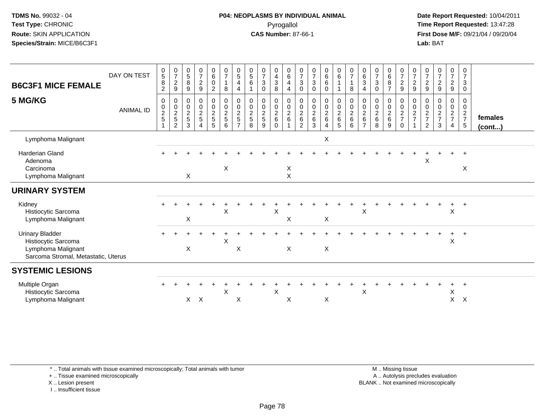#### **P04: NEOPLASMS BY INDIVIDUAL ANIMAL**Pyrogallol **Time Report Requested:** 13:47:28

 **Date Report Requested:** 10/04/2011 **First Dose M/F:** 09/21/04 / 09/20/04<br>**Lab:** BAT **Lab:** BAT

| <b>B6C3F1 MICE FEMALE</b><br>5 MG/KG                                                                       | DAY ON TEST<br><b>ANIMAL ID</b> | $\begin{array}{c} 0 \\ 5 \end{array}$<br>$\overline{8}$<br>$\overline{c}$<br>$\,0\,$<br>$\begin{array}{c} 0 \\ 2 \\ 5 \end{array}$ | $\frac{0}{7}$<br>$\boldsymbol{2}$<br>$\boldsymbol{9}$<br>$\pmb{0}$<br>$\begin{array}{c} 0 \\ 2 \\ 5 \end{array}$<br>$\overline{2}$ | $\begin{array}{c} 0 \\ 5 \end{array}$<br>8<br>9<br>0<br>$\frac{0}{2}$<br>3 | $\frac{0}{7}$<br>$\overline{2}$<br>9<br>$\pmb{0}$<br>$\frac{0}{2}$<br>$\sqrt{5}$<br>$\Delta$ | $\begin{array}{c} 0 \\ 6 \end{array}$<br>0<br>$\overline{2}$<br>0<br>$\boldsymbol{0}$<br>$\frac{2}{5}$<br>5 | $\frac{0}{7}$<br>$\mathbf{1}$<br>8<br>0<br>$\ddot{\mathbf{0}}$<br>$\frac{2}{5}$<br>6 | $\begin{array}{c} 0 \\ 5 \end{array}$<br>$\overline{4}$<br>4<br>$\mathbf 0$<br>$\mathsf{O}\xspace$<br>$\overline{2}$<br>5<br>$\overline{ }$ | $\begin{smallmatrix}0\0\5\end{smallmatrix}$<br>6<br>0<br>0<br>$\overline{c}$<br>$\sqrt{5}$<br>8 | $\begin{array}{c} 0 \\ 7 \end{array}$<br>$\sqrt{3}$<br>$\mathbf 0$<br>$\mathbf 0$<br>$\ddot{\mathbf{0}}$<br>$\sqrt{2}$<br>$\,$ 5 $\,$<br>9 | 0<br>$\overline{4}$<br>$\mathbf{3}$<br>8<br>0<br>$\ddot{\mathbf{0}}$<br>$^2\phantom{1}6$<br>$\mathbf 0$ | 0<br>$\,6\,$<br>4<br>$\overline{4}$<br>0<br>$\mathsf{O}\xspace$<br>$\boldsymbol{2}$<br>6 | 0<br>$\overline{7}$<br>3<br>$\mathbf 0$<br>0<br>$\mathbf 0$<br>$\boldsymbol{2}$<br>$\,6\,$<br>2 | $\begin{smallmatrix}0\\7\end{smallmatrix}$<br>$\ensuremath{\mathsf{3}}$<br>$\mathbf 0$<br>0<br>$\pmb{0}$<br>$\frac{2}{6}$<br>3 | $\begin{matrix} 0\ 6\ 6 \end{matrix}$<br>0<br>0<br>$\boldsymbol{0}$<br>$\overline{a}$<br>6 | $\begin{array}{c} 0 \\ 6 \end{array}$<br>1<br>0<br>$\frac{0}{2}$<br>5 | $\frac{0}{7}$<br>$\mathbf{1}$<br>8<br>$\pmb{0}$<br>$\overline{0}$<br>$\sqrt{2}$<br>$\,6\,$<br>6 | $\begin{array}{c} 0 \\ 6 \end{array}$<br>$\mathbf{3}$<br>4<br>0<br>$\mathbf 0$<br>$\overline{2}$<br>$\,6\,$<br>$\overline{ }$ | $\frac{0}{7}$<br>$\mathbf{3}$<br>$\mathbf 0$<br>0<br>$\begin{smallmatrix} 0\\2 \end{smallmatrix}$<br>$\,6\,$<br>8 | 0<br>6<br>8<br>$\overline{7}$<br>0<br>$\mathbf 0$<br>$\overline{c}$<br>$\,6$<br>9 | $\frac{0}{7}$<br>$\overline{c}$<br>$\boldsymbol{9}$<br>0<br>$\ddot{\mathbf{0}}$<br>$\frac{2}{7}$<br>$\mathbf 0$ | $\frac{0}{7}$<br>$\overline{2}$<br>9<br>0<br>0<br>$\overline{a}$<br>$\overline{7}$ | 0<br>$\overline{7}$<br>$\overline{c}$<br>9<br>0<br>0<br>$\frac{2}{7}$<br>$\overline{2}$ | $\frac{0}{7}$<br>$\boldsymbol{2}$<br>$\boldsymbol{9}$<br>$\mathbf 0$<br>$\ddot{\mathbf{0}}$<br>$\frac{2}{7}$<br>3 | $\pmb{0}$<br>$\overline{7}$<br>$\overline{a}$<br>9<br>0<br>$\overline{0}$<br>$\frac{2}{7}$<br>$\overline{4}$ | 0<br>$\overline{7}$<br>$\mathbf{3}$<br>$\mathbf 0$<br>0<br>$\mathbf 0$<br>$\frac{2}{7}$<br>$5\phantom{.0}$ | females<br>$($ cont $)$ |
|------------------------------------------------------------------------------------------------------------|---------------------------------|------------------------------------------------------------------------------------------------------------------------------------|------------------------------------------------------------------------------------------------------------------------------------|----------------------------------------------------------------------------|----------------------------------------------------------------------------------------------|-------------------------------------------------------------------------------------------------------------|--------------------------------------------------------------------------------------|---------------------------------------------------------------------------------------------------------------------------------------------|-------------------------------------------------------------------------------------------------|--------------------------------------------------------------------------------------------------------------------------------------------|---------------------------------------------------------------------------------------------------------|------------------------------------------------------------------------------------------|-------------------------------------------------------------------------------------------------|--------------------------------------------------------------------------------------------------------------------------------|--------------------------------------------------------------------------------------------|-----------------------------------------------------------------------|-------------------------------------------------------------------------------------------------|-------------------------------------------------------------------------------------------------------------------------------|-------------------------------------------------------------------------------------------------------------------|-----------------------------------------------------------------------------------|-----------------------------------------------------------------------------------------------------------------|------------------------------------------------------------------------------------|-----------------------------------------------------------------------------------------|-------------------------------------------------------------------------------------------------------------------|--------------------------------------------------------------------------------------------------------------|------------------------------------------------------------------------------------------------------------|-------------------------|
| Lymphoma Malignant                                                                                         |                                 |                                                                                                                                    |                                                                                                                                    |                                                                            |                                                                                              |                                                                                                             |                                                                                      |                                                                                                                                             |                                                                                                 |                                                                                                                                            |                                                                                                         |                                                                                          |                                                                                                 |                                                                                                                                | X                                                                                          |                                                                       |                                                                                                 |                                                                                                                               |                                                                                                                   |                                                                                   |                                                                                                                 |                                                                                    |                                                                                         |                                                                                                                   |                                                                                                              |                                                                                                            |                         |
| <b>Harderian Gland</b><br>Adenoma<br>Carcinoma<br>Lymphoma Malignant                                       |                                 |                                                                                                                                    |                                                                                                                                    | X                                                                          |                                                                                              |                                                                                                             | X                                                                                    |                                                                                                                                             |                                                                                                 |                                                                                                                                            |                                                                                                         | X<br>$\mathsf{X}$                                                                        |                                                                                                 |                                                                                                                                |                                                                                            |                                                                       |                                                                                                 |                                                                                                                               |                                                                                                                   |                                                                                   |                                                                                                                 |                                                                                    | X                                                                                       |                                                                                                                   |                                                                                                              | X                                                                                                          |                         |
| <b>URINARY SYSTEM</b>                                                                                      |                                 |                                                                                                                                    |                                                                                                                                    |                                                                            |                                                                                              |                                                                                                             |                                                                                      |                                                                                                                                             |                                                                                                 |                                                                                                                                            |                                                                                                         |                                                                                          |                                                                                                 |                                                                                                                                |                                                                                            |                                                                       |                                                                                                 |                                                                                                                               |                                                                                                                   |                                                                                   |                                                                                                                 |                                                                                    |                                                                                         |                                                                                                                   |                                                                                                              |                                                                                                            |                         |
| Kidney<br>Histiocytic Sarcoma<br>Lymphoma Malignant                                                        |                                 |                                                                                                                                    |                                                                                                                                    | X                                                                          |                                                                                              |                                                                                                             | $\mathsf{X}$                                                                         |                                                                                                                                             |                                                                                                 |                                                                                                                                            | $\pmb{\times}$                                                                                          | $\boldsymbol{\mathsf{X}}$                                                                |                                                                                                 |                                                                                                                                | X                                                                                          |                                                                       |                                                                                                 | $\boldsymbol{\mathsf{X}}$                                                                                                     |                                                                                                                   |                                                                                   |                                                                                                                 |                                                                                    |                                                                                         |                                                                                                                   | $\sf X$                                                                                                      | $\overline{+}$                                                                                             |                         |
| <b>Urinary Bladder</b><br>Histiocytic Sarcoma<br>Lymphoma Malignant<br>Sarcoma Stromal, Metastatic, Uterus |                                 |                                                                                                                                    |                                                                                                                                    | X                                                                          |                                                                                              |                                                                                                             | $\boldsymbol{\mathsf{X}}$                                                            | X                                                                                                                                           |                                                                                                 |                                                                                                                                            |                                                                                                         | $\boldsymbol{\mathsf{X}}$                                                                |                                                                                                 |                                                                                                                                | $\mathsf X$                                                                                |                                                                       |                                                                                                 |                                                                                                                               |                                                                                                                   |                                                                                   |                                                                                                                 |                                                                                    |                                                                                         |                                                                                                                   | ÷.<br>$\boldsymbol{\mathsf{X}}$                                                                              | $+$                                                                                                        |                         |
| <b>SYSTEMIC LESIONS</b>                                                                                    |                                 |                                                                                                                                    |                                                                                                                                    |                                                                            |                                                                                              |                                                                                                             |                                                                                      |                                                                                                                                             |                                                                                                 |                                                                                                                                            |                                                                                                         |                                                                                          |                                                                                                 |                                                                                                                                |                                                                                            |                                                                       |                                                                                                 |                                                                                                                               |                                                                                                                   |                                                                                   |                                                                                                                 |                                                                                    |                                                                                         |                                                                                                                   |                                                                                                              |                                                                                                            |                         |
| Multiple Organ<br>Histiocytic Sarcoma<br>Lymphoma Malignant                                                |                                 |                                                                                                                                    |                                                                                                                                    | $\mathsf{X}$                                                               | $\boldsymbol{\mathsf{X}}$                                                                    |                                                                                                             | $\mathsf X$                                                                          | X                                                                                                                                           |                                                                                                 |                                                                                                                                            | X                                                                                                       | X                                                                                        |                                                                                                 |                                                                                                                                | X                                                                                          |                                                                       |                                                                                                 | $\pmb{\times}$                                                                                                                |                                                                                                                   |                                                                                   |                                                                                                                 |                                                                                    |                                                                                         |                                                                                                                   | Χ<br>$\pmb{\times}$                                                                                          | $\times$                                                                                                   |                         |

\* .. Total animals with tissue examined microscopically; Total animals with tumor

+ .. Tissue examined microscopically

X .. Lesion present

I .. Insufficient tissue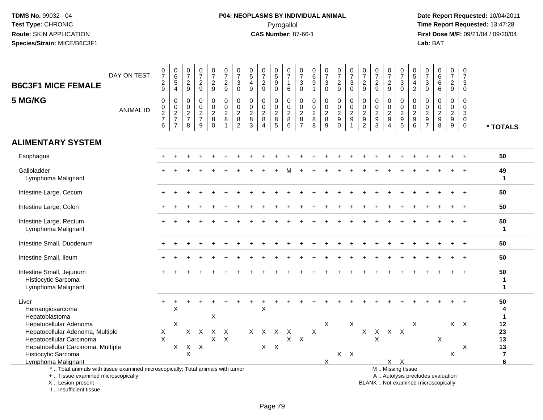# **P04: NEOPLASMS BY INDIVIDUAL ANIMAL**Pyrogallol **Time Report Requested:** 13:47:28

 **Date Report Requested:** 10/04/2011 **First Dose M/F:** 09/21/04 / 09/20/04<br>Lab: BAT **Lab:** BAT

| <b>B6C3F1 MICE FEMALE</b>                                                                                                                 | DAY ON TEST      | $\frac{0}{7}$<br>$\frac{2}{9}$  | $_{6}^{\rm 0}$<br>$\,$ 5 $\,$<br>$\overline{4}$ | $\frac{0}{7}$<br>$\frac{2}{9}$                   | $\frac{0}{7}$<br>$\frac{2}{9}$  | $\begin{smallmatrix}0\\7\end{smallmatrix}$<br>$\frac{2}{9}$ | $\frac{0}{7}$<br>$\frac{2}{9}$  | 0<br>$\overline{7}$<br>$\mathbf{3}$<br>$\mathbf 0$            | $\frac{0}{5}$<br>$\overline{4}$<br>9                  | 0<br>$\overline{7}$<br>$\overline{\mathbf{c}}$<br>9 | $\begin{array}{c} 0 \\ 5 \\ 9 \end{array}$<br>$\mathbf 0$ | 0<br>$\overline{7}$<br>$\mathbf{1}$<br>6                   | $\frac{0}{7}$<br>$_0^3$                                                | $_{6}^{\rm 0}$<br>$\boldsymbol{9}$           | $\frac{0}{7}$<br>$_{0}^{3}$                          | $\frac{0}{7}$<br>$\frac{2}{9}$              | $\frac{0}{7}$<br>$\mathbf{3}$<br>$\mathbf 0$                | $\frac{0}{7}$<br>$\frac{2}{9}$                                     | $\frac{0}{7}$<br>$\frac{2}{9}$                              | $\frac{0}{7}$<br>$\frac{2}{9}$                                | $\frac{0}{7}$<br>$\sqrt{3}$<br>$\mathbf 0$                                                   | $\frac{0}{5}$<br>$\frac{4}{2}$           | $\frac{0}{7}$<br>$\ensuremath{\mathsf{3}}$<br>$\mathbf 0$ |                                      | $\frac{0}{7}$<br>$\frac{2}{9}$                                | 0<br>$\overline{7}$<br>3<br>$\mathbf 0$                    |                                    |
|-------------------------------------------------------------------------------------------------------------------------------------------|------------------|---------------------------------|-------------------------------------------------|--------------------------------------------------|---------------------------------|-------------------------------------------------------------|---------------------------------|---------------------------------------------------------------|-------------------------------------------------------|-----------------------------------------------------|-----------------------------------------------------------|------------------------------------------------------------|------------------------------------------------------------------------|----------------------------------------------|------------------------------------------------------|---------------------------------------------|-------------------------------------------------------------|--------------------------------------------------------------------|-------------------------------------------------------------|---------------------------------------------------------------|----------------------------------------------------------------------------------------------|------------------------------------------|-----------------------------------------------------------|--------------------------------------|---------------------------------------------------------------|------------------------------------------------------------|------------------------------------|
| 5 MG/KG                                                                                                                                   | <b>ANIMAL ID</b> | $\pmb{0}$<br>$\frac{0}{2}$<br>6 | $\pmb{0}$<br>$\frac{0}{2}$<br>$\overline{7}$    | $\mathbf 0$<br>$\mathbf 0$<br>$\frac{2}{7}$<br>8 | $\pmb{0}$<br>$\frac{0}{2}$<br>9 | $\mathbf 0$<br>$\frac{0}{2}$<br>$\mathbf 0$                 | $\pmb{0}$<br>$\frac{0}{2}$<br>1 | $\mathbf 0$<br>$\mathbf 0$<br>$\frac{2}{8}$<br>$\overline{2}$ | $\mathbf 0$<br>$\boldsymbol{0}$<br>$\frac{2}{8}$<br>3 | 0<br>$\mathbf 0$<br>$\frac{2}{8}$<br>$\overline{4}$ | 0<br>$\frac{0}{2}$<br>$\overline{5}$                      | $\mathbf 0$<br>$\mathbf 0$<br>$_{8}^{2}$<br>$\overline{6}$ | $\mathbf 0$<br>$\pmb{0}$<br>$\begin{array}{c} 2 \\ 8 \\ 7 \end{array}$ | $\pmb{0}$<br>$\frac{0}{2}$<br>$\overline{8}$ | 0<br>$\begin{array}{c} 0 \\ 2 \\ 8 \\ 9 \end{array}$ | $\mathbf 0$<br>$\frac{0}{2}$<br>$\mathbf 0$ | $\mathbf 0$<br>$\mathbf 0$<br>$\frac{2}{9}$<br>$\mathbf{1}$ | $\mathbf 0$<br>$\boldsymbol{0}$<br>$\frac{2}{9}$<br>$\overline{2}$ | 0<br>$\mathsf{O}\xspace$<br>$\frac{2}{9}$<br>$\overline{3}$ | $\mathbf 0$<br>$\mathbf 0$<br>$\frac{2}{9}$<br>$\overline{4}$ | $\mathbf 0$<br>$\mathbf 0$<br>$\frac{2}{9}$                                                  | $\Omega$<br>$\mathbf 0$<br>$\frac{2}{9}$ | $\mathbf 0$<br>$\frac{0}{2}$<br>$\frac{9}{7}$             | 0<br>$\frac{0}{2}$<br>$\overline{8}$ | $\mathbf 0$<br>$\mathbf 0$<br>$\frac{2}{9}$<br>$\overline{9}$ | $\Omega$<br>$\mathbf 0$<br>3<br>$\mathbf 0$<br>$\mathbf 0$ | * TOTALS                           |
| <b>ALIMENTARY SYSTEM</b>                                                                                                                  |                  |                                 |                                                 |                                                  |                                 |                                                             |                                 |                                                               |                                                       |                                                     |                                                           |                                                            |                                                                        |                                              |                                                      |                                             |                                                             |                                                                    |                                                             |                                                               |                                                                                              |                                          |                                                           |                                      |                                                               |                                                            |                                    |
| Esophagus                                                                                                                                 |                  |                                 |                                                 |                                                  |                                 |                                                             |                                 |                                                               |                                                       |                                                     |                                                           |                                                            |                                                                        |                                              |                                                      |                                             |                                                             |                                                                    |                                                             |                                                               |                                                                                              |                                          |                                                           |                                      |                                                               |                                                            | 50                                 |
| Gallbladder<br>Lymphoma Malignant                                                                                                         |                  |                                 |                                                 |                                                  |                                 |                                                             |                                 |                                                               |                                                       |                                                     |                                                           |                                                            |                                                                        |                                              |                                                      |                                             |                                                             |                                                                    |                                                             |                                                               |                                                                                              |                                          |                                                           |                                      |                                                               |                                                            | 49<br>$\mathbf 1$                  |
| Intestine Large, Cecum                                                                                                                    |                  |                                 |                                                 |                                                  |                                 |                                                             |                                 |                                                               |                                                       |                                                     |                                                           |                                                            |                                                                        |                                              |                                                      |                                             |                                                             |                                                                    |                                                             |                                                               |                                                                                              |                                          |                                                           |                                      |                                                               |                                                            | 50                                 |
| Intestine Large, Colon                                                                                                                    |                  |                                 |                                                 |                                                  |                                 |                                                             |                                 |                                                               |                                                       |                                                     |                                                           |                                                            |                                                                        |                                              |                                                      |                                             |                                                             |                                                                    |                                                             |                                                               |                                                                                              |                                          |                                                           |                                      |                                                               |                                                            | 50                                 |
| Intestine Large, Rectum<br>Lymphoma Malignant                                                                                             |                  |                                 |                                                 |                                                  |                                 |                                                             |                                 |                                                               |                                                       |                                                     |                                                           |                                                            |                                                                        |                                              |                                                      |                                             |                                                             |                                                                    |                                                             |                                                               |                                                                                              |                                          |                                                           |                                      |                                                               |                                                            | 50<br>$\mathbf 1$                  |
| Intestine Small, Duodenum                                                                                                                 |                  |                                 |                                                 |                                                  |                                 |                                                             |                                 |                                                               |                                                       |                                                     |                                                           |                                                            |                                                                        |                                              |                                                      |                                             |                                                             |                                                                    |                                                             |                                                               |                                                                                              |                                          |                                                           |                                      |                                                               |                                                            | 50                                 |
| Intestine Small, Ileum                                                                                                                    |                  |                                 |                                                 |                                                  |                                 |                                                             |                                 |                                                               |                                                       |                                                     |                                                           |                                                            |                                                                        |                                              |                                                      |                                             |                                                             |                                                                    |                                                             |                                                               |                                                                                              |                                          |                                                           |                                      |                                                               |                                                            | 50                                 |
| Intestine Small, Jejunum<br>Histiocytic Sarcoma<br>Lymphoma Malignant                                                                     |                  |                                 |                                                 |                                                  |                                 |                                                             |                                 |                                                               |                                                       |                                                     |                                                           |                                                            |                                                                        |                                              |                                                      |                                             |                                                             |                                                                    |                                                             |                                                               |                                                                                              |                                          |                                                           |                                      |                                                               |                                                            | 50<br>1<br>$\blacktriangleleft$    |
| Liver<br>Hemangiosarcoma<br>Hepatoblastoma                                                                                                |                  |                                 | X                                               |                                                  |                                 | X                                                           |                                 |                                                               |                                                       | X                                                   |                                                           |                                                            |                                                                        |                                              |                                                      |                                             |                                                             |                                                                    |                                                             |                                                               |                                                                                              |                                          |                                                           |                                      |                                                               |                                                            | 50<br>4<br>$\mathbf 1$             |
| Hepatocellular Adenoma<br>Hepatocellular Adenoma, Multiple<br>Hepatocellular Carcinoma                                                    |                  | X<br>$\mathsf{X}$               | X                                               |                                                  | $X$ $X$                         |                                                             | $X$ $X$<br>$X$ $X$              |                                                               |                                                       | X X X                                               |                                                           | $\mathsf{X}$                                               | $X$ $X$                                                                | X                                            | X                                                    |                                             | $\mathsf X$                                                 |                                                                    | $X$ $X$<br>X                                                | X X                                                           |                                                                                              | X                                        |                                                           | X                                    |                                                               | $X$ $X$                                                    | 12<br>23<br>13                     |
| Hepatocellular Carcinoma, Multiple<br>Histiocytic Sarcoma<br>Lymphoma Malignant                                                           |                  |                                 | X                                               | X<br>$\mathsf X$                                 | X                               |                                                             |                                 |                                                               |                                                       |                                                     | $X$ $X$                                                   |                                                            |                                                                        |                                              | X                                                    | $X$ $X$                                     |                                                             |                                                                    |                                                             |                                                               | X X                                                                                          |                                          |                                                           |                                      | X                                                             | X                                                          | 13<br>$\overline{\mathbf{r}}$<br>6 |
| *  Total animals with tissue examined microscopically; Total animals with tumor<br>+  Tissue examined microscopically<br>X Lesion present |                  |                                 |                                                 |                                                  |                                 |                                                             |                                 |                                                               |                                                       |                                                     |                                                           |                                                            |                                                                        |                                              |                                                      |                                             |                                                             |                                                                    |                                                             |                                                               | M  Missing tissue<br>A  Autolysis precludes evaluation<br>BLANK Not examined microscopically |                                          |                                                           |                                      |                                                               |                                                            |                                    |

I .. Insufficient tissue

ot examined microscopically

Page 79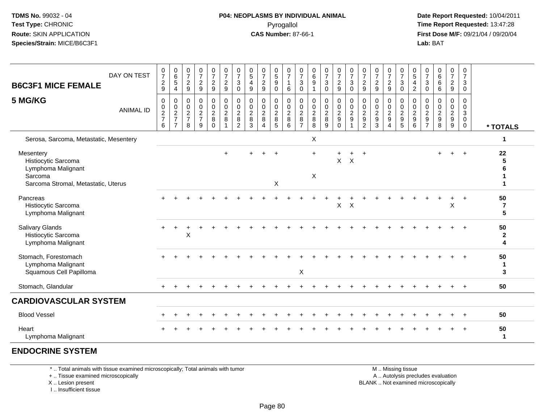#### **P04: NEOPLASMS BY INDIVIDUAL ANIMAL**Pyrogallol **Time Report Requested:** 13:47:28

 **Date Report Requested:** 10/04/2011 **First Dose M/F:** 09/21/04 / 09/20/04<br>**Lab:** BAT **Lab:** BAT

| <b>B6C3F1 MICE FEMALE</b>                                                                                | DAY ON TEST      | 0<br>$\overline{7}$<br>$\overline{c}$<br>9                        | $\begin{matrix} 0 \\ 6 \\ 5 \end{matrix}$<br>$\overline{4}$ | $\frac{0}{7}$<br>$\boldsymbol{2}$<br>9                         | $\frac{0}{7}$<br>$\sqrt{2}$<br>9                 | $\frac{0}{7}$<br>$\overline{a}$<br>$\boldsymbol{9}$       | $\frac{0}{7}$<br>$\frac{2}{9}$                    | $\begin{array}{c} 0 \\ 7 \end{array}$<br>$\ensuremath{\mathsf{3}}$<br>$\mathbf 0$ | 0<br>$\sqrt{5}$<br>4<br>$\boldsymbol{9}$     | $\frac{0}{7}$<br>$\overline{c}$<br>9                                    | 0<br>$\overline{5}$<br>9<br>0                  | 0<br>$\overline{7}$<br>$\overline{1}$<br>6                            | 0<br>$\overline{7}$<br>$\mathbf{3}$<br>$\mathbf 0$              | 0<br>$6\phantom{a}$<br>9<br>$\mathbf{1}$               | $\frac{0}{7}$<br>$\sqrt{3}$<br>$\mathbf 0$                 | $\begin{array}{c} 0 \\ 7 \end{array}$<br>$\frac{2}{9}$ | $\frac{0}{7}$<br>$\sqrt{3}$<br>$\mathbf 0$                                       | $\frac{0}{7}$<br>$\overline{c}$<br>9                        | $\frac{0}{7}$<br>$\overline{c}$<br>9              | $\frac{0}{7}$<br>$\overline{c}$<br>9                               | 0<br>$\overline{7}$<br>$\mathbf{3}$<br>$\mathbf 0$ | 0<br>$\overline{5}$<br>$\frac{4}{2}$ | 0<br>$\overline{7}$<br>$\mathbf{3}$<br>$\mathbf 0$                    | 0<br>$\,6\,$<br>6<br>6                                  | $\frac{0}{7}$<br>$\overline{c}$<br>$\boldsymbol{9}$ | 0<br>$\overline{7}$<br>$\mathbf{3}$<br>$\mathbf 0$                                     |                                        |
|----------------------------------------------------------------------------------------------------------|------------------|-------------------------------------------------------------------|-------------------------------------------------------------|----------------------------------------------------------------|--------------------------------------------------|-----------------------------------------------------------|---------------------------------------------------|-----------------------------------------------------------------------------------|----------------------------------------------|-------------------------------------------------------------------------|------------------------------------------------|-----------------------------------------------------------------------|-----------------------------------------------------------------|--------------------------------------------------------|------------------------------------------------------------|--------------------------------------------------------|----------------------------------------------------------------------------------|-------------------------------------------------------------|---------------------------------------------------|--------------------------------------------------------------------|----------------------------------------------------|--------------------------------------|-----------------------------------------------------------------------|---------------------------------------------------------|-----------------------------------------------------|----------------------------------------------------------------------------------------|----------------------------------------|
| 5 MG/KG                                                                                                  | <b>ANIMAL ID</b> | 0<br>$\begin{array}{c} 0 \\ 2 \\ 7 \end{array}$<br>$6\phantom{a}$ | 0<br>$\frac{0}{2}$<br>$\overline{7}$                        | $\mathbf 0$<br>$\begin{array}{c} 0 \\ 2 \\ 7 \end{array}$<br>8 | $\mathbf 0$<br>$\mathbf 0$<br>$\frac{2}{7}$<br>9 | 0<br>$\mathbf 0$<br>$\overline{c}$<br>$\bf 8$<br>$\Omega$ | $\pmb{0}$<br>$\mathsf{O}\xspace$<br>$\frac{2}{8}$ | $\mathbf 0$<br>$\mathbf 0$<br>$\overline{2}$<br>$\bf 8$<br>$\overline{2}$         | $\mathbf 0$<br>0<br>$\overline{c}$<br>8<br>3 | $\mathbf 0$<br>$\mathbf 0$<br>$\sqrt{2}$<br>8<br>$\boldsymbol{\Lambda}$ | 0<br>$\mathbf 0$<br>$\sqrt{2}$<br>$\,8\,$<br>5 | $\mathbf 0$<br>$\mathbf 0$<br>$\overline{2}$<br>$\boldsymbol{8}$<br>6 | $\mathbf 0$<br>0<br>$\overline{c}$<br>$\bf 8$<br>$\overline{7}$ | $\mathbf 0$<br>$\mathbf 0$<br>$\overline{2}$<br>8<br>8 | $\mathbf 0$<br>$\pmb{0}$<br>$\overline{2}$<br>$\bf 8$<br>9 | 0<br>$\frac{0}{2}$<br>$\Omega$                         | $\mathbf 0$<br>$\begin{smallmatrix} 0\\2 \end{smallmatrix}$<br>9<br>$\mathbf{1}$ | 0<br>$\mathbf 0$<br>$\overline{c}$<br>$\boldsymbol{9}$<br>2 | 0<br>$\pmb{0}$<br>$\overline{2}$<br>$\frac{9}{3}$ | 0<br>$\mathbf 0$<br>$\overline{2}$<br>$\boldsymbol{9}$<br>$\Delta$ | 0<br>$\mathbf 0$<br>$\frac{2}{9}$                  | $\mathbf 0$<br>$\frac{0}{2}$<br>6    | $\Omega$<br>0<br>$\overline{c}$<br>$\boldsymbol{9}$<br>$\overline{7}$ | $\Omega$<br>$\mathbf 0$<br>$\overline{2}$<br>$9\,$<br>8 | 0<br>0<br>$\frac{2}{9}$                             | $\mathbf 0$<br>$\mathbf 0$<br>$\ensuremath{\mathsf{3}}$<br>$\mathbf 0$<br>$\mathbf{0}$ | * TOTALS                               |
| Serosa, Sarcoma, Metastatic, Mesentery                                                                   |                  |                                                                   |                                                             |                                                                |                                                  |                                                           |                                                   |                                                                                   |                                              |                                                                         |                                                |                                                                       |                                                                 | X                                                      |                                                            |                                                        |                                                                                  |                                                             |                                                   |                                                                    |                                                    |                                      |                                                                       |                                                         |                                                     |                                                                                        | 1                                      |
| Mesentery<br>Histiocytic Sarcoma<br>Lymphoma Malignant<br>Sarcoma<br>Sarcoma Stromal, Metastatic, Uterus |                  |                                                                   |                                                             |                                                                |                                                  |                                                           |                                                   |                                                                                   |                                              |                                                                         | X                                              |                                                                       |                                                                 | $+$<br>X                                               |                                                            |                                                        | $X$ $X$                                                                          |                                                             |                                                   |                                                                    |                                                    |                                      |                                                                       |                                                         |                                                     |                                                                                        | 22<br>5<br>6                           |
| Pancreas<br>Histiocytic Sarcoma<br>Lymphoma Malignant                                                    |                  |                                                                   |                                                             |                                                                |                                                  |                                                           |                                                   |                                                                                   |                                              |                                                                         |                                                |                                                                       |                                                                 |                                                        |                                                            | $\pmb{\times}$                                         | $\times$                                                                         |                                                             |                                                   |                                                                    |                                                    |                                      |                                                                       |                                                         | X                                                   |                                                                                        | 50<br>$\overline{7}$<br>$5\phantom{a}$ |
| Salivary Glands<br>Histiocytic Sarcoma<br>Lymphoma Malignant                                             |                  |                                                                   |                                                             | X                                                              |                                                  |                                                           |                                                   |                                                                                   |                                              |                                                                         |                                                |                                                                       |                                                                 |                                                        |                                                            |                                                        |                                                                                  |                                                             |                                                   |                                                                    |                                                    |                                      |                                                                       |                                                         |                                                     |                                                                                        | 50<br>$\mathbf{2}$<br>4                |
| Stomach, Forestomach<br>Lymphoma Malignant<br>Squamous Cell Papilloma                                    |                  |                                                                   |                                                             |                                                                |                                                  |                                                           |                                                   |                                                                                   |                                              |                                                                         |                                                |                                                                       | X                                                               |                                                        |                                                            |                                                        |                                                                                  |                                                             |                                                   |                                                                    |                                                    |                                      |                                                                       |                                                         |                                                     |                                                                                        | 50<br>$\mathbf 1$<br>3                 |
| Stomach, Glandular                                                                                       |                  | $+$                                                               |                                                             |                                                                |                                                  |                                                           |                                                   |                                                                                   |                                              |                                                                         |                                                |                                                                       |                                                                 |                                                        |                                                            |                                                        |                                                                                  |                                                             |                                                   |                                                                    |                                                    |                                      |                                                                       |                                                         |                                                     | $+$                                                                                    | 50                                     |
| <b>CARDIOVASCULAR SYSTEM</b>                                                                             |                  |                                                                   |                                                             |                                                                |                                                  |                                                           |                                                   |                                                                                   |                                              |                                                                         |                                                |                                                                       |                                                                 |                                                        |                                                            |                                                        |                                                                                  |                                                             |                                                   |                                                                    |                                                    |                                      |                                                                       |                                                         |                                                     |                                                                                        |                                        |
| <b>Blood Vessel</b>                                                                                      |                  |                                                                   |                                                             |                                                                |                                                  |                                                           |                                                   |                                                                                   |                                              |                                                                         |                                                |                                                                       |                                                                 |                                                        |                                                            |                                                        |                                                                                  |                                                             |                                                   |                                                                    |                                                    |                                      |                                                                       |                                                         |                                                     |                                                                                        | 50                                     |
| Heart<br>Lymphoma Malignant                                                                              |                  |                                                                   |                                                             |                                                                |                                                  |                                                           |                                                   |                                                                                   |                                              |                                                                         |                                                |                                                                       |                                                                 |                                                        |                                                            |                                                        |                                                                                  |                                                             |                                                   |                                                                    |                                                    |                                      |                                                                       |                                                         |                                                     |                                                                                        | 50<br>1                                |

#### **ENDOCRINE SYSTEM**

\* .. Total animals with tissue examined microscopically; Total animals with tumor

+ .. Tissue examined microscopically

X .. Lesion present

I .. Insufficient tissue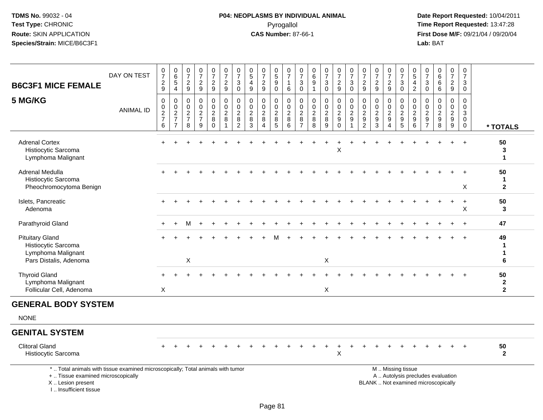# **P04: NEOPLASMS BY INDIVIDUAL ANIMAL**Pyrogallol **Time Report Requested:** 13:47:28

| <b>B6C3F1 MICE FEMALE</b>                                                                                                                                             | DAY ON TEST      | $\frac{0}{7}$<br>$\frac{2}{9}$                       | $\begin{array}{c} 0 \\ 6 \end{array}$<br>$\sqrt{5}$<br>$\overline{4}$ | $\begin{smallmatrix}0\\7\end{smallmatrix}$<br>$\boldsymbol{2}$<br>$\boldsymbol{9}$ | $\frac{0}{7}$<br>$\frac{2}{9}$                   | $\frac{0}{7}$<br>$\overline{2}$<br>$9\,$                             | $\begin{array}{c} 0 \\ 7 \end{array}$<br>$\overline{2}$<br>9      | $\frac{0}{7}$<br>$\ensuremath{\mathsf{3}}$<br>$\mathbf 0$                 | $\begin{array}{c} 0 \\ 5 \end{array}$<br>$\overline{4}$<br>9 | $\frac{0}{7}$<br>$\overline{c}$<br>9                                        | $\begin{array}{c} 0 \\ 5 \end{array}$<br>9<br>$\mathbf 0$ | $\frac{0}{7}$<br>$\mathbf{1}$<br>6 | $\frac{0}{7}$<br>$\ensuremath{\mathsf{3}}$<br>$\mathbf 0$ | 0<br>$\,6\,$<br>$\boldsymbol{9}$<br>$\mathbf{1}$           | $\frac{0}{7}$<br>$\sqrt{3}$<br>$\mathbf 0$                           | $\frac{0}{7}$<br>$\sqrt{2}$<br>9                                      | $\frac{0}{7}$<br>$\ensuremath{\mathsf{3}}$<br>$\mathbf 0$          | $\frac{0}{7}$<br>$\overline{c}$<br>9                                               | $\frac{0}{7}$<br>$\sqrt{2}$<br>9                                              | $\begin{array}{c} 0 \\ 7 \end{array}$<br>$\overline{c}$<br>9                                         | $\frac{0}{7}$<br>$\mathbf{3}$<br>$\mathbf 0$                | $\begin{array}{c} 0 \\ 5 \end{array}$<br>$\overline{4}$<br>$\overline{2}$                   | 0<br>$\overline{7}$<br>$\ensuremath{\mathsf{3}}$<br>$\mathbf 0$                 | $\mathbf 0$<br>$\,6\,$<br>6<br>6                                         | $\frac{0}{7}$<br>$\overline{c}$<br>9                        | 0<br>$\frac{5}{7}$<br>$\ensuremath{\mathsf{3}}$<br>$\mathbf 0$ |                                          |
|-----------------------------------------------------------------------------------------------------------------------------------------------------------------------|------------------|------------------------------------------------------|-----------------------------------------------------------------------|------------------------------------------------------------------------------------|--------------------------------------------------|----------------------------------------------------------------------|-------------------------------------------------------------------|---------------------------------------------------------------------------|--------------------------------------------------------------|-----------------------------------------------------------------------------|-----------------------------------------------------------|------------------------------------|-----------------------------------------------------------|------------------------------------------------------------|----------------------------------------------------------------------|-----------------------------------------------------------------------|--------------------------------------------------------------------|------------------------------------------------------------------------------------|-------------------------------------------------------------------------------|------------------------------------------------------------------------------------------------------|-------------------------------------------------------------|---------------------------------------------------------------------------------------------|---------------------------------------------------------------------------------|--------------------------------------------------------------------------|-------------------------------------------------------------|----------------------------------------------------------------|------------------------------------------|
| 5 MG/KG                                                                                                                                                               | <b>ANIMAL ID</b> | 0<br>$\begin{array}{c} 0 \\ 2 \\ 7 \end{array}$<br>6 | $\mathbf 0$<br>$\frac{0}{2}$<br>$\overline{7}$                        | 0<br>$\mathbf 0$<br>$\overline{c}$<br>$\overline{7}$<br>8                          | 0<br>$^{\rm 0}_{\rm 2}$<br>$\boldsymbol{7}$<br>9 | $\mathsf{O}$<br>$\mathbf 0$<br>$\overline{2}$<br>$\bf 8$<br>$\Omega$ | 0<br>$\mathsf{O}\xspace$<br>$\overline{2}$<br>8<br>$\overline{1}$ | $\mathbf 0$<br>$\mathbf 0$<br>$\overline{2}$<br>$\bf 8$<br>$\overline{2}$ | $\mathbf 0$<br>$\mathbf 0$<br>$\overline{2}$<br>8<br>3       | $\mathbf 0$<br>$\mathsf 0$<br>$\overline{2}$<br>8<br>$\boldsymbol{\Lambda}$ | 0<br>$\mathbf 0$<br>$\overline{c}$<br>$\bf 8$<br>5        | 0<br>$\frac{0}{2}$<br>8<br>6       | 0<br>$\mathsf 0$<br>$\overline{2}$<br>8<br>$\overline{7}$ | $\mathbf 0$<br>$\pmb{0}$<br>$\overline{2}$<br>$\bf 8$<br>8 | $\mathbf 0$<br>$\mathsf{O}\xspace$<br>$\overline{2}$<br>$\bf 8$<br>9 | 0<br>$\overline{0}$<br>$\overline{2}$<br>$\boldsymbol{9}$<br>$\Omega$ | $\mathbf 0$<br>$\frac{0}{2}$<br>$\boldsymbol{9}$<br>$\overline{1}$ | $\mathbf 0$<br>$\mathbf 0$<br>$\overline{2}$<br>$\boldsymbol{9}$<br>$\overline{2}$ | $\mathbf 0$<br>$\mathsf{O}\xspace$<br>$\overline{2}$<br>$\boldsymbol{9}$<br>3 | $\mathbf 0$<br>$\mathsf{O}\xspace$<br>$\boldsymbol{2}$<br>$\boldsymbol{9}$<br>$\boldsymbol{\Lambda}$ | 0<br>$\mathbf 0$<br>$\overline{2}$<br>$\boldsymbol{9}$<br>5 | $\mathbf 0$<br>$\mathsf{O}\xspace$<br>$\overline{2}$<br>$\boldsymbol{9}$<br>$6\phantom{1}6$ | $\Omega$<br>$\mathbf 0$<br>$\overline{2}$<br>$\boldsymbol{9}$<br>$\overline{7}$ | $\Omega$<br>$\mathbf 0$<br>$\overline{c}$<br>$\boldsymbol{9}$<br>8       | 0<br>$\mathbf 0$<br>$\overline{c}$<br>$\boldsymbol{9}$<br>9 | $\Omega$<br>$\mathbf 0$<br>3<br>$\mathbf 0$<br>$\mathbf 0$     | * TOTALS                                 |
| <b>Adrenal Cortex</b><br>Histiocytic Sarcoma<br>Lymphoma Malignant                                                                                                    |                  |                                                      |                                                                       |                                                                                    |                                                  |                                                                      |                                                                   |                                                                           |                                                              |                                                                             |                                                           |                                    |                                                           |                                                            |                                                                      | X                                                                     |                                                                    |                                                                                    |                                                                               |                                                                                                      |                                                             |                                                                                             |                                                                                 |                                                                          |                                                             | $\ddot{}$                                                      | 50<br>3<br>$\mathbf 1$                   |
| Adrenal Medulla<br>Histiocytic Sarcoma<br>Pheochromocytoma Benign                                                                                                     |                  |                                                      |                                                                       |                                                                                    |                                                  |                                                                      |                                                                   |                                                                           |                                                              |                                                                             |                                                           |                                    |                                                           |                                                            |                                                                      |                                                                       |                                                                    |                                                                                    |                                                                               |                                                                                                      |                                                             |                                                                                             |                                                                                 |                                                                          |                                                             | X                                                              | 50<br>ำ<br>$\mathbf{2}$                  |
| Islets, Pancreatic<br>Adenoma                                                                                                                                         |                  |                                                      |                                                                       |                                                                                    |                                                  |                                                                      |                                                                   |                                                                           |                                                              |                                                                             |                                                           |                                    |                                                           |                                                            |                                                                      |                                                                       |                                                                    |                                                                                    |                                                                               |                                                                                                      |                                                             |                                                                                             |                                                                                 |                                                                          |                                                             | $\ddot{}$<br>X                                                 | 50<br>3                                  |
| Parathyroid Gland                                                                                                                                                     |                  |                                                      | $+$                                                                   | м                                                                                  |                                                  |                                                                      |                                                                   |                                                                           |                                                              |                                                                             |                                                           |                                    |                                                           |                                                            |                                                                      |                                                                       |                                                                    |                                                                                    |                                                                               |                                                                                                      |                                                             |                                                                                             |                                                                                 |                                                                          |                                                             | $\ddot{}$                                                      | 47                                       |
| <b>Pituitary Gland</b><br>Histiocytic Sarcoma<br>Lymphoma Malignant<br>Pars Distalis, Adenoma                                                                         |                  |                                                      |                                                                       | X                                                                                  |                                                  |                                                                      |                                                                   |                                                                           |                                                              |                                                                             |                                                           |                                    |                                                           |                                                            | $\boldsymbol{\mathsf{X}}$                                            |                                                                       |                                                                    |                                                                                    |                                                                               |                                                                                                      |                                                             |                                                                                             |                                                                                 |                                                                          |                                                             |                                                                | 49<br>1<br>6                             |
| <b>Thyroid Gland</b><br>Lymphoma Malignant<br>Follicular Cell, Adenoma                                                                                                |                  | $\mathsf{X}$                                         |                                                                       |                                                                                    |                                                  |                                                                      |                                                                   |                                                                           |                                                              |                                                                             |                                                           |                                    |                                                           |                                                            | $\times$                                                             |                                                                       |                                                                    |                                                                                    |                                                                               |                                                                                                      |                                                             |                                                                                             |                                                                                 |                                                                          |                                                             |                                                                | 50<br>$\boldsymbol{2}$<br>$\overline{2}$ |
| <b>GENERAL BODY SYSTEM</b>                                                                                                                                            |                  |                                                      |                                                                       |                                                                                    |                                                  |                                                                      |                                                                   |                                                                           |                                                              |                                                                             |                                                           |                                    |                                                           |                                                            |                                                                      |                                                                       |                                                                    |                                                                                    |                                                                               |                                                                                                      |                                                             |                                                                                             |                                                                                 |                                                                          |                                                             |                                                                |                                          |
| <b>NONE</b>                                                                                                                                                           |                  |                                                      |                                                                       |                                                                                    |                                                  |                                                                      |                                                                   |                                                                           |                                                              |                                                                             |                                                           |                                    |                                                           |                                                            |                                                                      |                                                                       |                                                                    |                                                                                    |                                                                               |                                                                                                      |                                                             |                                                                                             |                                                                                 |                                                                          |                                                             |                                                                |                                          |
| <b>GENITAL SYSTEM</b>                                                                                                                                                 |                  |                                                      |                                                                       |                                                                                    |                                                  |                                                                      |                                                                   |                                                                           |                                                              |                                                                             |                                                           |                                    |                                                           |                                                            |                                                                      |                                                                       |                                                                    |                                                                                    |                                                                               |                                                                                                      |                                                             |                                                                                             |                                                                                 |                                                                          |                                                             |                                                                |                                          |
| <b>Clitoral Gland</b><br>Histiocytic Sarcoma                                                                                                                          |                  |                                                      |                                                                       |                                                                                    |                                                  |                                                                      |                                                                   |                                                                           |                                                              |                                                                             |                                                           |                                    |                                                           |                                                            |                                                                      | $\sf X$                                                               |                                                                    |                                                                                    |                                                                               |                                                                                                      |                                                             |                                                                                             |                                                                                 |                                                                          |                                                             |                                                                | 50<br>$\mathbf{2}$                       |
| *  Total animals with tissue examined microscopically; Total animals with tumor<br>+  Tissue examined microscopically<br>X  Lesion present<br>I., Insufficient tissue |                  |                                                      |                                                                       |                                                                                    |                                                  |                                                                      |                                                                   |                                                                           |                                                              |                                                                             |                                                           |                                    |                                                           |                                                            |                                                                      |                                                                       |                                                                    |                                                                                    |                                                                               | M  Missing tissue                                                                                    |                                                             |                                                                                             |                                                                                 | A  Autolysis precludes evaluation<br>BLANK  Not examined microscopically |                                                             |                                                                |                                          |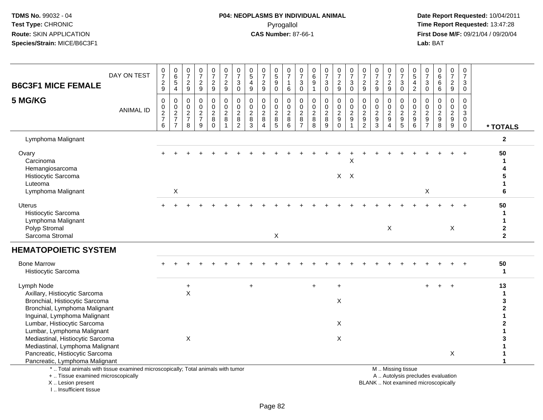# **P04: NEOPLASMS BY INDIVIDUAL ANIMAL**Pyrogallol **Time Report Requested:** 13:47:28

 **Date Report Requested:** 10/04/2011 **First Dose M/F:** 09/21/04 / 09/20/04<br>Lab: BAT **Lab:** BAT

| <b>B6C3F1 MICE FEMALE</b>                                                                                                                                                                                   | DAY ON TEST      | $\frac{0}{7}$<br>$\frac{2}{9}$       | $_{6}^{\rm 0}$<br>5<br>$\overline{4}$ | $\begin{array}{c} 0 \\ 7 \end{array}$<br>$\overline{2}$<br>$\overline{9}$ | $\frac{0}{7}$<br>$\frac{2}{9}$                               | $\frac{0}{7}$<br>$\frac{2}{9}$                                         | $\frac{0}{7}$<br>$\frac{2}{9}$                           | 0<br>$\overline{7}$<br>3<br>$\mathbf{0}$                                  | 0<br>$\overline{5}$<br>$\overline{4}$<br>9             | 0<br>$\overline{7}$<br>$\overline{c}$<br>9                  | $\begin{matrix} 0 \\ 5 \end{matrix}$<br>$\boldsymbol{9}$<br>$\Omega$ | 0<br>$\overline{7}$<br>$\mathbf{1}$<br>6     | $\frac{0}{7}$<br>$\mathbf{3}$<br>$\ddot{\mathbf{0}}$ | $\begin{array}{c} 0 \\ 6 \end{array}$<br>$\boldsymbol{9}$ | $\frac{0}{7}$<br>$_{0}^{3}$ | $\frac{0}{7}$<br>$\boldsymbol{2}$<br>9                              | 0<br>$\overline{7}$<br>3<br>$\Omega$                            | $\frac{0}{7}$<br>$\frac{2}{9}$                                                       | $\frac{0}{7}$<br>$\frac{2}{9}$                    | $\frac{0}{7}$<br>$\frac{2}{9}$                      | $\frac{0}{7}$<br>$\mathbf{3}$<br>$\Omega$                                                     | 0<br>$\overline{5}$<br>4<br>$\sqrt{2}$       | $\begin{smallmatrix}0\\7\end{smallmatrix}$<br>$\mathbf{3}$<br>$\mathbf 0$ | $_{6}^{\rm 0}$<br>$\,6\,$<br>6                    | $\frac{0}{7}$<br>$\frac{2}{9}$                        | 0<br>$\overline{7}$<br>3<br>$\Omega$   |                                                                 |
|-------------------------------------------------------------------------------------------------------------------------------------------------------------------------------------------------------------|------------------|--------------------------------------|---------------------------------------|---------------------------------------------------------------------------|--------------------------------------------------------------|------------------------------------------------------------------------|----------------------------------------------------------|---------------------------------------------------------------------------|--------------------------------------------------------|-------------------------------------------------------------|----------------------------------------------------------------------|----------------------------------------------|------------------------------------------------------|-----------------------------------------------------------|-----------------------------|---------------------------------------------------------------------|-----------------------------------------------------------------|--------------------------------------------------------------------------------------|---------------------------------------------------|-----------------------------------------------------|-----------------------------------------------------------------------------------------------|----------------------------------------------|---------------------------------------------------------------------------|---------------------------------------------------|-------------------------------------------------------|----------------------------------------|-----------------------------------------------------------------|
| 5 MG/KG                                                                                                                                                                                                     | <b>ANIMAL ID</b> | $\pmb{0}$<br>0<br>$\frac{2}{7}$<br>6 | 0<br>$\frac{0}{2}$<br>$\overline{7}$  | $\mathbf 0$<br>$\mathbf 0$<br>$\frac{2}{7}$<br>8                          | $\pmb{0}$<br>$\begin{array}{c} 0 \\ 2 \\ 7 \end{array}$<br>9 | $\mathbf 0$<br>$\mathbf 0$<br>$\overline{c}$<br>$\bf 8$<br>$\mathbf 0$ | $\pmb{0}$<br>$\pmb{0}$<br>$\overline{2}$<br>$\,8\,$<br>1 | $\mathbf 0$<br>$\mathbf 0$<br>$\overline{2}$<br>$\,8\,$<br>$\overline{c}$ | $\mathbf 0$<br>$\mathbf 0$<br>$\overline{2}$<br>8<br>3 | 0<br>$\mathbf 0$<br>$\boldsymbol{2}$<br>8<br>$\overline{4}$ | 0<br>$\pmb{0}$<br>$\frac{2}{8}$<br>$5\phantom{.0}$                   | $\mathbf 0$<br>0<br>$\overline{2}$<br>8<br>6 | $\mathbf 0$<br>0<br>$\frac{2}{8}$<br>$\overline{7}$  | 0<br>$\pmb{0}$<br>$\frac{2}{8}$<br>8                      | 0<br>$\frac{0}{2}$<br>9     | $\mathbf 0$<br>0<br>$\overline{2}$<br>$\overline{9}$<br>$\mathbf 0$ | $\mathbf 0$<br>$\mathbf 0$<br>$\sqrt{2}$<br>$\overline{9}$<br>1 | $\mathbf 0$<br>$\mathbf 0$<br>$\boldsymbol{2}$<br>$\boldsymbol{9}$<br>$\overline{2}$ | 0<br>0<br>$\overline{c}$<br>$\boldsymbol{9}$<br>3 | 0<br>$\mathbf 0$<br>$\frac{2}{9}$<br>$\overline{4}$ | 0<br>$\mathsf{O}\xspace$<br>$\overline{2}$<br>$\mathsf g$<br>$\overline{5}$                   | 0<br>$\mathbf 0$<br>$\frac{2}{9}$<br>$\,6\,$ | $\mathbf 0$<br>$\mathbf 0$<br>$\frac{2}{9}$<br>$\overline{7}$             | 0<br>0<br>$\overline{2}$<br>$\boldsymbol{9}$<br>8 | $\mathbf 0$<br>$\boldsymbol{0}$<br>$\frac{2}{9}$<br>9 | 0<br>$\mathbf 0$<br>3<br>$\Omega$<br>0 | * TOTALS                                                        |
| Lymphoma Malignant                                                                                                                                                                                          |                  |                                      |                                       |                                                                           |                                                              |                                                                        |                                                          |                                                                           |                                                        |                                                             |                                                                      |                                              |                                                      |                                                           |                             |                                                                     |                                                                 |                                                                                      |                                                   |                                                     |                                                                                               |                                              |                                                                           |                                                   |                                                       |                                        | $\mathbf{2}$                                                    |
| Ovary<br>Carcinoma<br>Hemangiosarcoma<br>Histiocytic Sarcoma<br>Luteoma<br>Lymphoma Malignant                                                                                                               |                  |                                      | Χ                                     |                                                                           |                                                              |                                                                        |                                                          |                                                                           |                                                        |                                                             |                                                                      |                                              |                                                      |                                                           |                             |                                                                     | X<br>$X$ $X$                                                    |                                                                                      |                                                   |                                                     |                                                                                               |                                              | X                                                                         |                                                   |                                                       |                                        | 50<br>1<br>1<br>6                                               |
| Uterus<br>Histiocytic Sarcoma<br>Lymphoma Malignant<br>Polyp Stromal<br>Sarcoma Stromal                                                                                                                     |                  |                                      |                                       |                                                                           |                                                              |                                                                        |                                                          |                                                                           |                                                        |                                                             | X                                                                    |                                              |                                                      |                                                           |                             |                                                                     |                                                                 |                                                                                      |                                                   | X                                                   |                                                                                               |                                              |                                                                           |                                                   | $\boldsymbol{\mathsf{X}}$                             |                                        | 50<br>$\mathbf 1$<br>1<br>$\mathbf{2}$<br>$\overline{2}$        |
| <b>HEMATOPOIETIC SYSTEM</b>                                                                                                                                                                                 |                  |                                      |                                       |                                                                           |                                                              |                                                                        |                                                          |                                                                           |                                                        |                                                             |                                                                      |                                              |                                                      |                                                           |                             |                                                                     |                                                                 |                                                                                      |                                                   |                                                     |                                                                                               |                                              |                                                                           |                                                   |                                                       |                                        |                                                                 |
| <b>Bone Marrow</b><br>Histiocytic Sarcoma                                                                                                                                                                   |                  |                                      |                                       |                                                                           |                                                              |                                                                        |                                                          |                                                                           |                                                        |                                                             |                                                                      |                                              |                                                      |                                                           |                             |                                                                     |                                                                 |                                                                                      |                                                   |                                                     |                                                                                               |                                              |                                                                           |                                                   |                                                       |                                        | 50<br>1                                                         |
| Lymph Node<br>Axillary, Histiocytic Sarcoma<br>Bronchial, Histiocytic Sarcoma<br>Bronchial, Lymphoma Malignant<br>Inguinal, Lymphoma Malignant<br>Lumbar, Histiocytic Sarcoma<br>Lumbar, Lymphoma Malignant |                  |                                      |                                       | $\ddot{}$<br>X                                                            |                                                              |                                                                        |                                                          |                                                                           | $\ddot{}$                                              |                                                             |                                                                      |                                              |                                                      | $\ddot{}$                                                 |                             | $\ddot{}$<br>X<br>X                                                 |                                                                 |                                                                                      |                                                   |                                                     |                                                                                               |                                              |                                                                           | $+$                                               | $+$                                                   |                                        | 13<br>$\mathbf 1$<br>3<br>$\boldsymbol{2}$<br>1<br>$\mathbf{2}$ |
| Mediastinal, Histiocytic Sarcoma<br>Mediastinal, Lymphoma Malignant<br>Pancreatic, Histiocytic Sarcoma<br>Pancreatic, Lymphoma Malignant                                                                    |                  |                                      |                                       | X                                                                         |                                                              |                                                                        |                                                          |                                                                           |                                                        |                                                             |                                                                      |                                              |                                                      |                                                           |                             | X                                                                   |                                                                 |                                                                                      |                                                   |                                                     |                                                                                               |                                              |                                                                           |                                                   | $\mathsf X$                                           |                                        | $\mathbf{1}$                                                    |
| *  Total animals with tissue examined microscopically; Total animals with tumor<br>+  Tissue examined microscopically<br>X  Lesion present                                                                  |                  |                                      |                                       |                                                                           |                                                              |                                                                        |                                                          |                                                                           |                                                        |                                                             |                                                                      |                                              |                                                      |                                                           |                             |                                                                     |                                                                 |                                                                                      |                                                   |                                                     | M  Missing tissue<br>A  Autolysis precludes evaluation<br>BLANK  Not examined microscopically |                                              |                                                                           |                                                   |                                                       |                                        |                                                                 |

I .. Insufficient tissue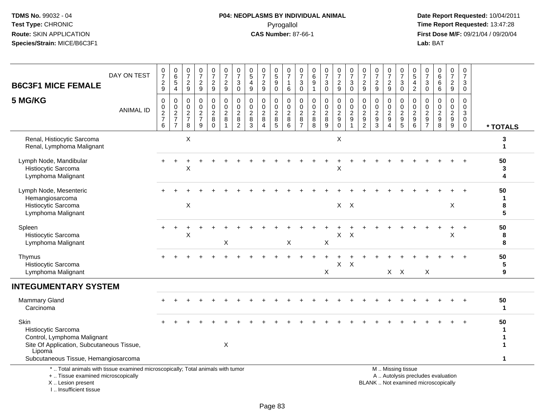# **P04: NEOPLASMS BY INDIVIDUAL ANIMAL**Pyrogallol **Time Report Requested:** 13:47:28

 **Date Report Requested:** 10/04/2011 **First Dose M/F:** 09/21/04 / 09/20/04<br>Lab: BAT **Lab:** BAT

| <b>B6C3F1 MICE FEMALE</b>                                                                                                                                 | DAY ON TEST      | 0<br>$\overline{7}$<br>$\frac{2}{9}$ | $\begin{array}{c} 0 \\ 6 \end{array}$<br>$\overline{5}$<br>$\overline{4}$ | 0<br>$\overline{7}$<br>$\frac{2}{9}$                      | $\frac{0}{7}$<br>$\frac{2}{9}$                                      | $\begin{array}{c} 0 \\ 7 \end{array}$<br>$\frac{2}{9}$ | $\frac{0}{7}$<br>$\frac{2}{9}$                                    | $\frac{0}{7}$<br>3<br>$\mathbf 0$                         | $\begin{array}{c} 0 \\ 5 \end{array}$<br>4<br>$\boldsymbol{9}$ | $\begin{array}{c} 0 \\ 7 \end{array}$<br>$\frac{2}{9}$              | $\begin{array}{c} 0 \\ 5 \end{array}$<br>9<br>0   | $\frac{0}{7}$<br>$\mathbf{1}$<br>$6\phantom{1}6$         | $\frac{0}{7}$<br>3<br>0                            | $\begin{array}{c} 0 \\ 6 \end{array}$<br>9<br>$\mathbf{1}$   | $\frac{0}{7}$<br>$\mathbf{3}$<br>$\mathbf 0$ | $\frac{0}{7}$<br>$\frac{2}{9}$                 | $\frac{0}{7}$<br>$\sqrt{3}$<br>$\mathbf 0$                               | $\frac{0}{7}$<br>$\frac{2}{9}$                                          | $\frac{0}{7}$<br>$\overline{c}$<br>9                   | $\frac{0}{7}$<br>$\overline{c}$<br>9         | $\frac{0}{7}$<br>$\ensuremath{\mathsf{3}}$<br>$\overline{0}$ | $\begin{array}{c} 0 \\ 5 \end{array}$<br>4<br>$\overline{c}$ | 0<br>$\overline{7}$<br>$\sqrt{3}$<br>$\mathbf 0$                                  | $\begin{array}{c} 0 \\ 6 \end{array}$<br>$\,6$<br>$\,6\,$                | $\pmb{0}$<br>$\overline{7}$<br>$\frac{2}{9}$                     | $\mathbf 0$<br>$\overline{7}$<br>3<br>$\mathbf 0$             |                   |
|-----------------------------------------------------------------------------------------------------------------------------------------------------------|------------------|--------------------------------------|---------------------------------------------------------------------------|-----------------------------------------------------------|---------------------------------------------------------------------|--------------------------------------------------------|-------------------------------------------------------------------|-----------------------------------------------------------|----------------------------------------------------------------|---------------------------------------------------------------------|---------------------------------------------------|----------------------------------------------------------|----------------------------------------------------|--------------------------------------------------------------|----------------------------------------------|------------------------------------------------|--------------------------------------------------------------------------|-------------------------------------------------------------------------|--------------------------------------------------------|----------------------------------------------|--------------------------------------------------------------|--------------------------------------------------------------|-----------------------------------------------------------------------------------|--------------------------------------------------------------------------|------------------------------------------------------------------|---------------------------------------------------------------|-------------------|
| 5 MG/KG                                                                                                                                                   | <b>ANIMAL ID</b> | 0<br>0<br>$\frac{2}{7}$<br>$\,6\,$   | 0<br>$\mathbf 0$<br>$\frac{2}{7}$<br>$\overline{7}$                       | 0<br>$\mathbf 0$<br>$\overline{2}$<br>$\overline{7}$<br>8 | $\mathbf 0$<br>$\mathbf 0$<br>$\overline{2}$<br>$\overline{7}$<br>9 | 0<br>$\mathbf 0$<br>$\overline{c}$<br>8<br>$\Omega$    | 0<br>$\mathbf 0$<br>$\boldsymbol{2}$<br>$\bf 8$<br>$\overline{1}$ | 0<br>$\mathbf 0$<br>$\overline{c}$<br>8<br>$\overline{2}$ | 0<br>$\mathbf 0$<br>$\overline{2}$<br>8<br>3                   | 0<br>$\mathbf 0$<br>$\sqrt{2}$<br>$\bf 8$<br>$\boldsymbol{\Lambda}$ | 0<br>$\mathbf 0$<br>$\overline{2}$<br>$\, 8$<br>5 | $\mathbf 0$<br>$\mathsf 0$<br>$\sqrt{2}$<br>$\,8\,$<br>6 | 0<br>$\mathbf 0$<br>2<br>$\,8\,$<br>$\overline{7}$ | $\mathbf 0$<br>$\mathbf 0$<br>$\overline{c}$<br>$\,8\,$<br>8 | 0<br>$\mathsf 0$<br>$\overline{2}$<br>8<br>9 | 0<br>$\mathbf 0$<br>$\frac{2}{9}$<br>$\pmb{0}$ | 0<br>$\pmb{0}$<br>$\boldsymbol{2}$<br>$\boldsymbol{9}$<br>$\overline{1}$ | $\mathbf 0$<br>$\mathbf 0$<br>$\overline{c}$<br>$9\,$<br>$\overline{2}$ | $\mathbf 0$<br>$\mathbf 0$<br>$\overline{2}$<br>9<br>3 | 0<br>$\mathbf 0$<br>$\overline{c}$<br>9<br>4 | 0<br>$\mathbf 0$<br>$\frac{2}{9}$<br>$\overline{5}$          | 0<br>0<br>$\overline{c}$<br>9<br>6                           | 0<br>$\mathbf 0$<br>$\overline{\mathbf{c}}$<br>$\boldsymbol{9}$<br>$\overline{7}$ | 0<br>$\mathbf 0$<br>$\sqrt{2}$<br>$\boldsymbol{9}$<br>8                  | 0<br>0<br>$\overline{c}$<br>$\boldsymbol{9}$<br>$\boldsymbol{9}$ | $\mathbf 0$<br>$\mathbf 0$<br>3<br>$\mathbf 0$<br>$\mathbf 0$ | * TOTALS          |
| Renal, Histiocytic Sarcoma<br>Renal, Lymphoma Malignant                                                                                                   |                  |                                      |                                                                           | $\boldsymbol{\mathsf{X}}$                                 |                                                                     |                                                        |                                                                   |                                                           |                                                                |                                                                     |                                                   |                                                          |                                                    |                                                              |                                              | X                                              |                                                                          |                                                                         |                                                        |                                              |                                                              |                                                              |                                                                                   |                                                                          |                                                                  |                                                               | 3                 |
| Lymph Node, Mandibular<br>Histiocytic Sarcoma<br>Lymphoma Malignant                                                                                       |                  |                                      |                                                                           | Χ                                                         |                                                                     |                                                        |                                                                   |                                                           |                                                                |                                                                     |                                                   |                                                          |                                                    |                                                              |                                              | X                                              |                                                                          |                                                                         |                                                        |                                              |                                                              |                                                              |                                                                                   |                                                                          |                                                                  |                                                               | 50<br>3<br>4      |
| Lymph Node, Mesenteric<br>Hemangiosarcoma<br>Histiocytic Sarcoma<br>Lymphoma Malignant                                                                    |                  |                                      |                                                                           | $\boldsymbol{\mathsf{X}}$                                 |                                                                     |                                                        |                                                                   |                                                           |                                                                |                                                                     |                                                   |                                                          |                                                    |                                                              |                                              |                                                | $X$ $X$                                                                  |                                                                         |                                                        |                                              |                                                              |                                                              |                                                                                   |                                                                          | X                                                                |                                                               | 50<br>1<br>8<br>5 |
| Spleen<br>Histiocytic Sarcoma<br>Lymphoma Malignant                                                                                                       |                  |                                      |                                                                           | X                                                         |                                                                     |                                                        | X                                                                 |                                                           |                                                                |                                                                     |                                                   | X                                                        |                                                    |                                                              | $\sf X$                                      | X                                              | $\mathsf{X}$                                                             |                                                                         |                                                        |                                              |                                                              |                                                              |                                                                                   |                                                                          | $\sf X$                                                          |                                                               | 50<br>8<br>8      |
| Thymus<br>Histiocytic Sarcoma<br>Lymphoma Malignant                                                                                                       |                  |                                      |                                                                           |                                                           |                                                                     |                                                        |                                                                   |                                                           |                                                                |                                                                     |                                                   |                                                          |                                                    |                                                              | X                                            | X                                              | $\times$                                                                 |                                                                         |                                                        |                                              | $X$ $X$                                                      |                                                              | X                                                                                 |                                                                          |                                                                  |                                                               | 50<br>5<br>9      |
| <b>INTEGUMENTARY SYSTEM</b>                                                                                                                               |                  |                                      |                                                                           |                                                           |                                                                     |                                                        |                                                                   |                                                           |                                                                |                                                                     |                                                   |                                                          |                                                    |                                                              |                                              |                                                |                                                                          |                                                                         |                                                        |                                              |                                                              |                                                              |                                                                                   |                                                                          |                                                                  |                                                               |                   |
| <b>Mammary Gland</b><br>Carcinoma                                                                                                                         |                  |                                      |                                                                           |                                                           |                                                                     |                                                        |                                                                   |                                                           |                                                                |                                                                     |                                                   |                                                          |                                                    |                                                              |                                              |                                                |                                                                          |                                                                         |                                                        |                                              |                                                              |                                                              |                                                                                   |                                                                          |                                                                  |                                                               | 50<br>1           |
| Skin<br>Histiocytic Sarcoma<br>Control, Lymphoma Malignant<br>Site Of Application, Subcutaneous Tissue,<br>Lipoma<br>Subcutaneous Tissue, Hemangiosarcoma |                  |                                      |                                                                           |                                                           |                                                                     |                                                        | X                                                                 |                                                           |                                                                |                                                                     |                                                   |                                                          |                                                    |                                                              |                                              |                                                |                                                                          |                                                                         |                                                        |                                              |                                                              |                                                              |                                                                                   |                                                                          |                                                                  |                                                               | 50<br>1           |
| *  Total animals with tissue examined microscopically; Total animals with tumor<br>+  Tissue examined microscopically<br>X Lesion present                 |                  |                                      |                                                                           |                                                           |                                                                     |                                                        |                                                                   |                                                           |                                                                |                                                                     |                                                   |                                                          |                                                    |                                                              |                                              |                                                |                                                                          |                                                                         |                                                        |                                              | M  Missing tissue                                            |                                                              |                                                                                   | A  Autolysis precludes evaluation<br>BLANK  Not examined microscopically |                                                                  |                                                               |                   |

I .. Insufficient tissue

Lesion present BLANK .. Not examined microscopically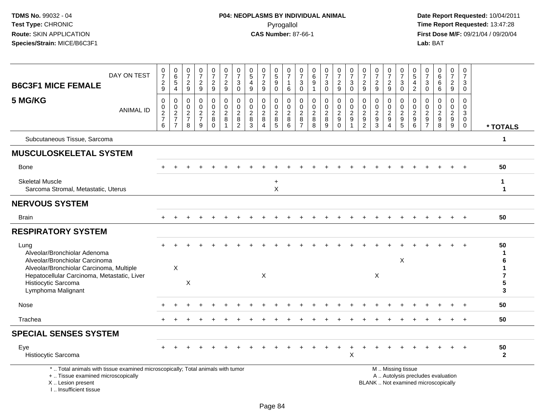I .. Insufficient tissue

| <b>B6C3F1 MICE FEMALE</b>                                                                                                                  | DAY ON TEST      | $\mathbf 0$<br>$\overline{7}$<br>$\frac{2}{9}$ | $\boldsymbol{0}$<br>$\,6\,$<br>$\sqrt{5}$<br>$\overline{4}$   | 0<br>$\overline{7}$<br>$\overline{2}$<br>9                         | $\frac{0}{7}$<br>$\overline{c}$<br>$\boldsymbol{9}$                   | 0<br>$\overline{7}$<br>$\overline{a}$<br>$\overline{9}$ | $\begin{smallmatrix}0\\7\end{smallmatrix}$<br>$\frac{2}{9}$       | $\frac{0}{7}$<br>$\ensuremath{\mathsf{3}}$<br>$\mathbf 0$   | $\begin{matrix} 0 \\ 5 \end{matrix}$<br>$\overline{4}$<br>$9\,$ | $\frac{0}{7}$<br>$\overline{c}$<br>9                                        | 0<br>$\mathbf 5$<br>$\overline{9}$<br>$\mathbf 0$ | $\frac{0}{7}$<br>$\mathbf{1}$<br>6                     | 0<br>$\overline{7}$<br>3<br>$\mathbf 0$                   | 0<br>6<br>$\boldsymbol{9}$<br>$\mathbf{1}$ | $\frac{0}{7}$<br>$\sqrt{3}$<br>$\mathbf 0$                  | $\frac{0}{7}$<br>$\overline{c}$<br>$\boldsymbol{9}$                | $\frac{0}{7}$<br>$\sqrt{3}$<br>$\mathbf 0$                            | 0<br>$\overline{7}$<br>$\boldsymbol{2}$<br>9          | $\frac{0}{7}$<br>$\frac{2}{9}$                  | $\begin{array}{c} 0 \\ 7 \end{array}$<br>$\overline{c}$<br>9 | $\frac{0}{7}$<br>$\sqrt{3}$<br>$\mathbf 0$                    | $\begin{array}{c} 0 \\ 5 \end{array}$<br>$\overline{a}$<br>$\overline{2}$ | 0<br>$\overline{7}$<br>3<br>$\mathbf 0$                                         | 0<br>$\,6\,$<br>6<br>6                                                   | 0<br>$\overline{7}$<br>$\overline{c}$<br>9             | 0<br>$\overline{7}$<br>$\mathbf{3}$<br>$\mathbf 0$       |                    |
|--------------------------------------------------------------------------------------------------------------------------------------------|------------------|------------------------------------------------|---------------------------------------------------------------|--------------------------------------------------------------------|-----------------------------------------------------------------------|---------------------------------------------------------|-------------------------------------------------------------------|-------------------------------------------------------------|-----------------------------------------------------------------|-----------------------------------------------------------------------------|---------------------------------------------------|--------------------------------------------------------|-----------------------------------------------------------|--------------------------------------------|-------------------------------------------------------------|--------------------------------------------------------------------|-----------------------------------------------------------------------|-------------------------------------------------------|-------------------------------------------------|--------------------------------------------------------------|---------------------------------------------------------------|---------------------------------------------------------------------------|---------------------------------------------------------------------------------|--------------------------------------------------------------------------|--------------------------------------------------------|----------------------------------------------------------|--------------------|
| 5 MG/KG                                                                                                                                    | <b>ANIMAL ID</b> | 0<br>$\mathbf 0$<br>$\frac{2}{7}$<br>6         | $\mathbf 0$<br>$\mathbf 0$<br>$\frac{2}{7}$<br>$\overline{7}$ | $\mathbf 0$<br>$\overline{0}$<br>$\sqrt{2}$<br>$\overline{7}$<br>8 | $\mathbf 0$<br>$\mathbf 0$<br>$\boldsymbol{2}$<br>$\overline{7}$<br>9 | 0<br>$\mathbf 0$<br>$\overline{a}$<br>$_{0}^{8}$        | $\mathbf 0$<br>$\mathbf 0$<br>$\overline{2}$<br>8<br>$\mathbf{1}$ | $\mathbf 0$<br>$\pmb{0}$<br>$\frac{2}{8}$<br>$\overline{2}$ | $\mathbf 0$<br>$\mathbf 0$<br>$\sqrt{2}$<br>$\bf8$<br>3         | $\mathbf 0$<br>$\mathbf 0$<br>$\overline{2}$<br>8<br>$\boldsymbol{\Lambda}$ | $\mathbf 0$<br>0<br>$\sqrt{2}$<br>8<br>5          | $\mathbf 0$<br>$\mathbf 0$<br>$\overline{2}$<br>8<br>6 | 0<br>$\mathbf 0$<br>$\overline{a}$<br>8<br>$\overline{7}$ | 0<br>0<br>$\sqrt{2}$<br>$\bf 8$<br>8       | $\mathbf 0$<br>$\mathbf 0$<br>$\overline{2}$<br>$\, 8$<br>9 | 0<br>$\mathbf 0$<br>$\overline{2}$<br>$\boldsymbol{9}$<br>$\Omega$ | $\mathbf 0$<br>$\mathbf 0$<br>$\overline{2}$<br>$9\,$<br>$\mathbf{1}$ | 0<br>$\mathbf 0$<br>$\sqrt{2}$<br>9<br>$\overline{2}$ | 0<br>$\mathbf 0$<br>$\sqrt{2}$<br>$\frac{9}{3}$ | $\mathbf 0$<br>0<br>$\overline{2}$<br>9<br>$\overline{4}$    | 0<br>0<br>$\sqrt{2}$<br>$\begin{array}{c} 9 \\ 5 \end{array}$ | $\mathbf 0$<br>$\mathbf 0$<br>$\overline{2}$<br>$\boldsymbol{9}$<br>6     | $\mathbf 0$<br>$\Omega$<br>$\overline{2}$<br>$\boldsymbol{9}$<br>$\overline{7}$ | $\Omega$<br>$\Omega$<br>$\boldsymbol{2}$<br>$\boldsymbol{9}$<br>8        | $\mathbf 0$<br>$\mathbf 0$<br>$\overline{2}$<br>9<br>9 | $\Omega$<br>$\Omega$<br>$\mathbf{3}$<br>0<br>$\mathbf 0$ | * TOTALS           |
| Subcutaneous Tissue, Sarcoma                                                                                                               |                  |                                                |                                                               |                                                                    |                                                                       |                                                         |                                                                   |                                                             |                                                                 |                                                                             |                                                   |                                                        |                                                           |                                            |                                                             |                                                                    |                                                                       |                                                       |                                                 |                                                              |                                                               |                                                                           |                                                                                 |                                                                          |                                                        |                                                          | $\mathbf 1$        |
| <b>MUSCULOSKELETAL SYSTEM</b>                                                                                                              |                  |                                                |                                                               |                                                                    |                                                                       |                                                         |                                                                   |                                                             |                                                                 |                                                                             |                                                   |                                                        |                                                           |                                            |                                                             |                                                                    |                                                                       |                                                       |                                                 |                                                              |                                                               |                                                                           |                                                                                 |                                                                          |                                                        |                                                          |                    |
| Bone                                                                                                                                       |                  |                                                |                                                               |                                                                    |                                                                       |                                                         |                                                                   |                                                             |                                                                 |                                                                             |                                                   |                                                        |                                                           |                                            |                                                             |                                                                    |                                                                       |                                                       |                                                 |                                                              |                                                               |                                                                           |                                                                                 |                                                                          |                                                        |                                                          | 50                 |
| <b>Skeletal Muscle</b><br>Sarcoma Stromal, Metastatic, Uterus                                                                              |                  |                                                |                                                               |                                                                    |                                                                       |                                                         |                                                                   |                                                             |                                                                 |                                                                             | $\ddot{}$<br>X                                    |                                                        |                                                           |                                            |                                                             |                                                                    |                                                                       |                                                       |                                                 |                                                              |                                                               |                                                                           |                                                                                 |                                                                          |                                                        |                                                          | -1<br>-1           |
| <b>NERVOUS SYSTEM</b>                                                                                                                      |                  |                                                |                                                               |                                                                    |                                                                       |                                                         |                                                                   |                                                             |                                                                 |                                                                             |                                                   |                                                        |                                                           |                                            |                                                             |                                                                    |                                                                       |                                                       |                                                 |                                                              |                                                               |                                                                           |                                                                                 |                                                                          |                                                        |                                                          |                    |
| <b>Brain</b>                                                                                                                               |                  |                                                |                                                               |                                                                    |                                                                       |                                                         |                                                                   |                                                             |                                                                 |                                                                             |                                                   |                                                        |                                                           |                                            |                                                             |                                                                    |                                                                       |                                                       |                                                 |                                                              |                                                               |                                                                           |                                                                                 |                                                                          |                                                        |                                                          | 50                 |
| <b>RESPIRATORY SYSTEM</b>                                                                                                                  |                  |                                                |                                                               |                                                                    |                                                                       |                                                         |                                                                   |                                                             |                                                                 |                                                                             |                                                   |                                                        |                                                           |                                            |                                                             |                                                                    |                                                                       |                                                       |                                                 |                                                              |                                                               |                                                                           |                                                                                 |                                                                          |                                                        |                                                          |                    |
| Lung<br>Alveolar/Bronchiolar Adenoma<br>Alveolar/Bronchiolar Carcinoma<br>Alveolar/Bronchiolar Carcinoma, Multiple                         |                  |                                                | $\mathsf{X}$                                                  |                                                                    |                                                                       |                                                         |                                                                   |                                                             |                                                                 |                                                                             |                                                   |                                                        |                                                           |                                            |                                                             |                                                                    |                                                                       |                                                       |                                                 |                                                              | X                                                             |                                                                           |                                                                                 |                                                                          |                                                        |                                                          | 50                 |
| Hepatocellular Carcinoma, Metastatic, Liver<br>Histiocytic Sarcoma<br>Lymphoma Malignant                                                   |                  |                                                |                                                               | X                                                                  |                                                                       |                                                         |                                                                   |                                                             |                                                                 | $\pmb{\times}$                                                              |                                                   |                                                        |                                                           |                                            |                                                             |                                                                    |                                                                       |                                                       | X                                               |                                                              |                                                               |                                                                           |                                                                                 |                                                                          |                                                        |                                                          | 5<br>3             |
| Nose                                                                                                                                       |                  |                                                |                                                               |                                                                    |                                                                       |                                                         |                                                                   |                                                             |                                                                 |                                                                             |                                                   |                                                        |                                                           |                                            |                                                             |                                                                    |                                                                       |                                                       |                                                 |                                                              |                                                               |                                                                           |                                                                                 |                                                                          |                                                        |                                                          | 50                 |
| Trachea                                                                                                                                    |                  |                                                |                                                               |                                                                    |                                                                       |                                                         |                                                                   |                                                             |                                                                 |                                                                             |                                                   |                                                        |                                                           |                                            |                                                             |                                                                    |                                                                       |                                                       |                                                 |                                                              |                                                               |                                                                           |                                                                                 |                                                                          |                                                        |                                                          | 50                 |
| <b>SPECIAL SENSES SYSTEM</b>                                                                                                               |                  |                                                |                                                               |                                                                    |                                                                       |                                                         |                                                                   |                                                             |                                                                 |                                                                             |                                                   |                                                        |                                                           |                                            |                                                             |                                                                    |                                                                       |                                                       |                                                 |                                                              |                                                               |                                                                           |                                                                                 |                                                                          |                                                        |                                                          |                    |
| Eye<br>Histiocytic Sarcoma                                                                                                                 |                  |                                                |                                                               |                                                                    |                                                                       |                                                         |                                                                   |                                                             |                                                                 |                                                                             |                                                   |                                                        |                                                           |                                            |                                                             |                                                                    | $\mathsf X$                                                           |                                                       |                                                 |                                                              |                                                               |                                                                           |                                                                                 |                                                                          |                                                        |                                                          | 50<br>$\mathbf{2}$ |
| *  Total animals with tissue examined microscopically; Total animals with tumor<br>+  Tissue examined microscopically<br>X  Lesion present |                  |                                                |                                                               |                                                                    |                                                                       |                                                         |                                                                   |                                                             |                                                                 |                                                                             |                                                   |                                                        |                                                           |                                            |                                                             |                                                                    |                                                                       |                                                       |                                                 |                                                              | M  Missing tissue                                             |                                                                           |                                                                                 | A  Autolysis precludes evaluation<br>BLANK  Not examined microscopically |                                                        |                                                          |                    |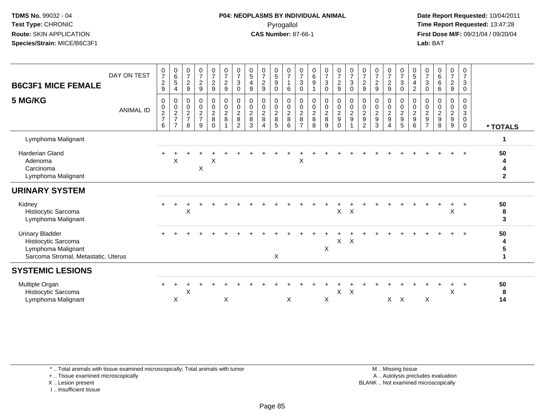**Date Report Requested:** 10/04/2011 **First Dose M/F:** 09/21/04 / 09/20/04<br>**Lab:** BAT **Lab:** BAT

| <b>B6C3F1 MICE FEMALE</b>                                                                                  | DAY ON TEST      | $\frac{0}{7}$<br>$\frac{2}{9}$                       | $\begin{array}{c} 0 \\ 6 \end{array}$<br>$\sqrt{5}$<br>$\overline{4}$ | $\frac{0}{7}$<br>$\sqrt{2}$<br>9                             | $\frac{0}{7}$<br>9                | $\frac{0}{7}$<br>$\frac{2}{9}$                              | 0729               | $\frac{0}{7}$<br>$\sqrt{3}$<br>$\mathbf 0$                        | $\begin{array}{c} 0 \\ 5 \end{array}$<br>$\overline{4}$<br>9 | $\frac{0}{7}$<br>$\sqrt{2}$<br>9                         | $\begin{array}{c} 0 \\ 5 \\ 9 \end{array}$<br>$\mathbf 0$ | $\frac{0}{7}$<br>$\overline{1}$<br>6 | $\begin{array}{c} 0 \\ 7 \\ 3 \end{array}$<br>$\mathbf 0$ | $\begin{array}{c} 0 \\ 6 \\ 9 \end{array}$<br>$\overline{1}$ | $\begin{matrix}0\\7\\3\end{matrix}$<br>$\mathbf 0$ | $\begin{array}{c} 0 \\ 7 \\ 2 \end{array}$<br>$\boldsymbol{9}$ | $\begin{array}{c} 0 \\ 7 \\ 3 \end{array}$<br>$\mathbf 0$ | $\begin{array}{c} 0 \\ 7 \\ 2 \end{array}$<br>9 | $\frac{0}{7}$<br>$\frac{2}{9}$                                             | $\frac{0}{7}$<br>$\frac{2}{9}$                 | $\frac{0}{7}$<br>3<br>$\mathbf 0$ | $\begin{array}{c} 0 \\ 5 \end{array}$<br>$\overline{4}$<br>$\overline{2}$ | $\frac{0}{7}$<br>$\mathfrak{S}$<br>$\mathbf 0$                 | $\begin{array}{c} 0 \\ 6 \\ 6 \end{array}$<br>6   | $\frac{0}{7}$<br>$\overline{c}$<br>$\boldsymbol{9}$ | 0<br>$\overline{7}$<br>$\mathsf 3$<br>$\mathbf 0$                           |                      |
|------------------------------------------------------------------------------------------------------------|------------------|------------------------------------------------------|-----------------------------------------------------------------------|--------------------------------------------------------------|-----------------------------------|-------------------------------------------------------------|--------------------|-------------------------------------------------------------------|--------------------------------------------------------------|----------------------------------------------------------|-----------------------------------------------------------|--------------------------------------|-----------------------------------------------------------|--------------------------------------------------------------|----------------------------------------------------|----------------------------------------------------------------|-----------------------------------------------------------|-------------------------------------------------|----------------------------------------------------------------------------|------------------------------------------------|-----------------------------------|---------------------------------------------------------------------------|----------------------------------------------------------------|---------------------------------------------------|-----------------------------------------------------|-----------------------------------------------------------------------------|----------------------|
| 5 MG/KG                                                                                                    | <b>ANIMAL ID</b> | 0<br>$\begin{array}{c} 0 \\ 2 \\ 7 \end{array}$<br>6 | 0<br>$\frac{0}{2}$<br>$\overline{7}$                                  | 0<br>$\mathop{2}\limits^{\mathbb{O}}$<br>$\overline{7}$<br>8 | $\mathbf 0$<br>$\frac{0}{2}$<br>9 | $\begin{array}{c} 0 \\ 0 \\ 2 \\ 8 \end{array}$<br>$\Omega$ | 0<br>$\frac{0}{2}$ | $\begin{array}{c} 0 \\ 0 \\ 2 \\ 8 \end{array}$<br>$\overline{2}$ | 0<br>$\mathop{2}\limits^{\mathbb{O}}$<br>8<br>3              | $\boldsymbol{0}$<br>$\frac{0}{2}$<br>8<br>$\overline{4}$ | 0<br>$\pmb{0}$<br>$\overline{2}$<br>8<br>5                | 0<br>$_{2}^{\rm 0}$<br>$\,8\,$<br>6  | 0<br>$\frac{0}{2}$<br>$\,8\,$<br>$\overline{ }$           | $\mathbf 0$<br>$\frac{0}{2}$<br>8                            | $\pmb{0}$<br>$\frac{0}{2}$<br>8<br>9               | 0<br>$\frac{0}{2}$<br>$\boldsymbol{9}$<br>$\mathbf 0$          | 0<br>$\frac{0}{2}$<br>$\mathbf{1}$                        | 0<br>$\frac{0}{2}$<br>$\overline{2}$            | 0<br>$\begin{smallmatrix} 0\\2 \end{smallmatrix}$<br>$\boldsymbol{9}$<br>3 | $\mathbf 0$<br>$\frac{0}{2}$<br>$\overline{4}$ | 0<br>$\frac{0}{2}$<br>5           | $\mathbf 0$<br>$\frac{0}{2}$<br>$9\,$<br>6                                | 0<br>0<br>$\overline{2}$<br>$\boldsymbol{9}$<br>$\overline{7}$ | 0<br>0<br>$\overline{2}$<br>$\boldsymbol{9}$<br>8 | 0<br>$^{\rm 0}_{\rm 2}$<br>$\boldsymbol{9}$<br>9    | 0<br>$\mathbf 0$<br>$\ensuremath{\mathsf{3}}$<br>$\mathbf 0$<br>$\mathbf 0$ | * TOTALS             |
| Lymphoma Malignant                                                                                         |                  |                                                      |                                                                       |                                                              |                                   |                                                             |                    |                                                                   |                                                              |                                                          |                                                           |                                      |                                                           |                                                              |                                                    |                                                                |                                                           |                                                 |                                                                            |                                                |                                   |                                                                           |                                                                |                                                   |                                                     |                                                                             | $\blacktriangleleft$ |
| <b>Harderian Gland</b><br>Adenoma<br>Carcinoma<br>Lymphoma Malignant                                       |                  |                                                      | X                                                                     |                                                              | X                                 | Χ                                                           |                    |                                                                   |                                                              |                                                          |                                                           |                                      | X                                                         |                                                              |                                                    |                                                                |                                                           |                                                 |                                                                            |                                                |                                   |                                                                           |                                                                |                                                   |                                                     | $\ddot{}$                                                                   | 50<br>$\mathbf{2}$   |
| <b>URINARY SYSTEM</b>                                                                                      |                  |                                                      |                                                                       |                                                              |                                   |                                                             |                    |                                                                   |                                                              |                                                          |                                                           |                                      |                                                           |                                                              |                                                    |                                                                |                                                           |                                                 |                                                                            |                                                |                                   |                                                                           |                                                                |                                                   |                                                     |                                                                             |                      |
| Kidney<br>Histiocytic Sarcoma<br>Lymphoma Malignant                                                        |                  |                                                      |                                                                       | Χ                                                            |                                   |                                                             |                    |                                                                   |                                                              |                                                          |                                                           |                                      |                                                           |                                                              |                                                    | X                                                              | $\times$                                                  |                                                 |                                                                            |                                                |                                   |                                                                           |                                                                |                                                   | X                                                   |                                                                             | 50<br>8<br>3         |
| <b>Urinary Bladder</b><br>Histiocytic Sarcoma<br>Lymphoma Malignant<br>Sarcoma Stromal, Metastatic, Uterus |                  |                                                      |                                                                       |                                                              |                                   |                                                             |                    |                                                                   |                                                              |                                                          | X                                                         |                                      |                                                           |                                                              | $\mathsf X$                                        | X                                                              | $\mathsf{X}$                                              |                                                 |                                                                            |                                                |                                   |                                                                           |                                                                |                                                   |                                                     |                                                                             | 50<br>4<br>5<br>1    |
| <b>SYSTEMIC LESIONS</b>                                                                                    |                  |                                                      |                                                                       |                                                              |                                   |                                                             |                    |                                                                   |                                                              |                                                          |                                                           |                                      |                                                           |                                                              |                                                    |                                                                |                                                           |                                                 |                                                                            |                                                |                                   |                                                                           |                                                                |                                                   |                                                     |                                                                             |                      |
| Multiple Organ<br>Histiocytic Sarcoma<br>Lymphoma Malignant                                                |                  |                                                      | X                                                                     | X                                                            |                                   |                                                             | X                  |                                                                   |                                                              |                                                          |                                                           | X                                    |                                                           |                                                              | $\boldsymbol{\mathsf{X}}$                          | X.                                                             | $\mathsf{X}$                                              |                                                 |                                                                            | $\mathsf{X}$                                   | $\mathsf{X}$                      |                                                                           | X                                                              |                                                   | $\sf X$                                             |                                                                             | 50<br>8<br>14        |

\* .. Total animals with tissue examined microscopically; Total animals with tumor

+ .. Tissue examined microscopically

X .. Lesion present

I .. Insufficient tissue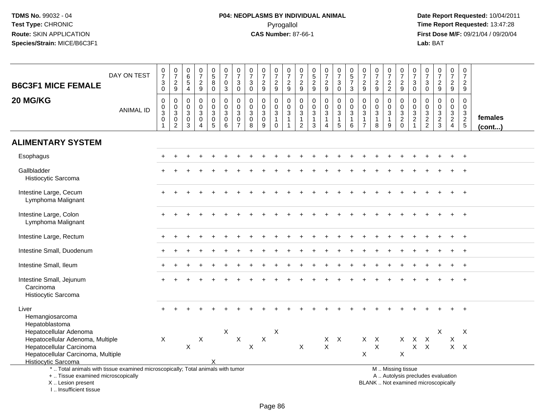# **P04: NEOPLASMS BY INDIVIDUAL ANIMAL**Pyrogallol **Time Report Requested:** 13:47:28

 **Date Report Requested:** 10/04/2011 **First Dose M/F:** 09/21/04 / 09/20/04<br>Lab: BAT **Lab:** BAT

| <b>B6C3F1 MICE FEMALE</b><br>20 MG/KG                                                                         | DAY ON TEST      | $\begin{smallmatrix}0\\7\end{smallmatrix}$<br>$\ensuremath{\mathsf{3}}$<br>$\mathbf 0$<br>$\pmb{0}$ | $\frac{0}{7}$<br>$\frac{2}{9}$<br>$\pmb{0}$  | $\pmb{0}$<br>$6\phantom{1}6$<br>$\sqrt{5}$<br>$\overline{4}$<br>$\mathbf 0$ | $\begin{array}{c} 0 \\ 7 \end{array}$<br>$\boldsymbol{2}$<br>9<br>0 | $\begin{array}{c} 0 \\ 5 \end{array}$<br>8<br>$\mathbf 0$<br>0 | $\begin{array}{c} 0 \\ 7 \end{array}$<br>$\pmb{0}$<br>$\mathbf{3}$<br>$\pmb{0}$ | $\frac{0}{7}$<br>$\ensuremath{\mathsf{3}}$<br>$\mathbf 0$<br>$\pmb{0}$  | $\begin{array}{c} 0 \\ 7 \end{array}$<br>$\sqrt{3}$<br>$\mathbf 0$<br>$\pmb{0}$ | $\frac{0}{7}$<br>$\boldsymbol{2}$<br>9<br>$\mathbf 0$ | $\frac{0}{7}$<br>$\overline{c}$<br>9<br>0    | $\frac{0}{7}$<br>$\frac{2}{9}$<br>0             | $\frac{0}{7}$<br>$\overline{c}$<br>9<br>$\,0\,$                          | $\begin{array}{c} 0 \\ 5 \end{array}$<br>$\frac{2}{9}$<br>$\mathbf 0$ | $\frac{0}{7}$<br>$\sqrt{2}$<br>9<br>$\pmb{0}$               | $\begin{array}{c} 0 \\ 7 \end{array}$<br>$\ensuremath{\mathsf{3}}$<br>$\mathbf 0$<br>0 | $\begin{array}{c} 0 \\ 5 \\ 7 \end{array}$<br>$\mathfrak{S}$<br>$\pmb{0}$ | $\frac{0}{7}$<br>$\overline{\mathbf{c}}$<br>9<br>0 | $\begin{array}{c} 0 \\ 7 \end{array}$<br>$\boldsymbol{2}$<br>9<br>0 | $\begin{array}{c} 0 \\ 7 \end{array}$<br>$\frac{2}{2}$<br>$\mathbf 0$ | $\frac{0}{7}$<br>$\frac{2}{9}$<br>0                               | $\frac{0}{7}$<br>$\sqrt{3}$<br>$\mathbf 0$<br>$\pmb{0}$ | 0<br>$\overline{7}$<br>$\mathbf{3}$<br>$\mathbf 0$<br>0   | $\begin{array}{c} 0 \\ 7 \end{array}$<br>$\boldsymbol{2}$<br>9<br>$\mathbf 0$ | $\begin{array}{c} 0 \\ 7 \end{array}$<br>$\frac{2}{9}$<br>$\pmb{0}$ | $\mathbf 0$<br>$\overline{7}$<br>$\frac{2}{9}$<br>$\mathbf 0$ |                   |
|---------------------------------------------------------------------------------------------------------------|------------------|-----------------------------------------------------------------------------------------------------|----------------------------------------------|-----------------------------------------------------------------------------|---------------------------------------------------------------------|----------------------------------------------------------------|---------------------------------------------------------------------------------|-------------------------------------------------------------------------|---------------------------------------------------------------------------------|-------------------------------------------------------|----------------------------------------------|-------------------------------------------------|--------------------------------------------------------------------------|-----------------------------------------------------------------------|-------------------------------------------------------------|----------------------------------------------------------------------------------------|---------------------------------------------------------------------------|----------------------------------------------------|---------------------------------------------------------------------|-----------------------------------------------------------------------|-------------------------------------------------------------------|---------------------------------------------------------|-----------------------------------------------------------|-------------------------------------------------------------------------------|---------------------------------------------------------------------|---------------------------------------------------------------|-------------------|
|                                                                                                               | <b>ANIMAL ID</b> | $\pmb{0}$<br>$\ensuremath{\mathsf{3}}$<br>$\mathsf 0$                                               | $\frac{0}{3}$<br>$\pmb{0}$<br>$\overline{2}$ | $\mathbf 0$<br>$\sqrt{3}$<br>$\mathbf 0$<br>$\mathbf{3}$                    | $\mathbf 0$<br>$\mathbf{3}$<br>$\mathbf 0$<br>4                     | $\mathbf 0$<br>3<br>$\mathbf 0$<br>$\overline{5}$              | $\pmb{0}$<br>$\ensuremath{\mathsf{3}}$<br>$\mathbf 0$<br>6                      | $\mathbf 0$<br>$\ensuremath{\mathsf{3}}$<br>$\pmb{0}$<br>$\overline{7}$ | $\mathbf 0$<br>$\sqrt{3}$<br>$\boldsymbol{0}$<br>8                              | $\pmb{0}$<br>$\sqrt{3}$<br>$\mathbf 0$<br>9           | $\mathbf 0$<br>3<br>$\mathbf{1}$<br>$\Omega$ | $\frac{0}{3}$<br>$\mathbf{1}$<br>$\overline{1}$ | $\pmb{0}$<br>$\ensuremath{\mathsf{3}}$<br>$\mathbf{1}$<br>$\overline{2}$ | $\mathbf 0$<br>$\mathbf{3}$<br>$\mathbf{1}$<br>$\mathfrak{Z}$         | $\mathbf 0$<br>$\sqrt{3}$<br>$\mathbf{1}$<br>$\overline{4}$ | $\pmb{0}$<br>$\sqrt{3}$<br>$\mathbf{1}$<br>5                                           | $\pmb{0}$<br>$\ensuremath{\mathsf{3}}$<br>$\mathbf{1}$<br>6               | $\mathbf 0$<br>3<br>$\mathbf{1}$<br>$\overline{7}$ | 0<br>$\sqrt{3}$<br>$\mathbf{1}$<br>8                                | $\pmb{0}$<br>$\ensuremath{\mathsf{3}}$<br>$\mathbf{1}$<br>9           | $\mathsf{O}\xspace$<br>$\begin{array}{c} 3 \\ 2 \\ 0 \end{array}$ | $\begin{array}{c} 0 \\ 3 \\ 2 \\ 1 \end{array}$         | $\mathbf 0$<br>$\ensuremath{\mathsf{3}}$<br>$\frac{2}{2}$ | $\mathbf 0$<br>$\frac{3}{2}$                                                  | $\boldsymbol{0}$<br>$\frac{3}{2}$                                   | $\boldsymbol{0}$<br>$\frac{3}{2}$                             | females<br>(cont) |
| <b>ALIMENTARY SYSTEM</b>                                                                                      |                  |                                                                                                     |                                              |                                                                             |                                                                     |                                                                |                                                                                 |                                                                         |                                                                                 |                                                       |                                              |                                                 |                                                                          |                                                                       |                                                             |                                                                                        |                                                                           |                                                    |                                                                     |                                                                       |                                                                   |                                                         |                                                           |                                                                               |                                                                     |                                                               |                   |
| Esophagus                                                                                                     |                  |                                                                                                     |                                              |                                                                             |                                                                     |                                                                |                                                                                 |                                                                         |                                                                                 |                                                       |                                              |                                                 |                                                                          |                                                                       |                                                             |                                                                                        |                                                                           |                                                    |                                                                     |                                                                       |                                                                   |                                                         |                                                           |                                                                               |                                                                     | $+$                                                           |                   |
| Gallbladder<br>Histiocytic Sarcoma                                                                            |                  |                                                                                                     |                                              |                                                                             |                                                                     |                                                                |                                                                                 |                                                                         |                                                                                 |                                                       |                                              |                                                 |                                                                          |                                                                       |                                                             |                                                                                        |                                                                           |                                                    |                                                                     |                                                                       |                                                                   |                                                         |                                                           |                                                                               |                                                                     |                                                               |                   |
| Intestine Large, Cecum<br>Lymphoma Malignant                                                                  |                  |                                                                                                     |                                              |                                                                             |                                                                     |                                                                |                                                                                 |                                                                         |                                                                                 |                                                       |                                              |                                                 |                                                                          |                                                                       |                                                             |                                                                                        |                                                                           |                                                    |                                                                     |                                                                       |                                                                   |                                                         |                                                           |                                                                               |                                                                     |                                                               |                   |
| Intestine Large, Colon<br>Lymphoma Malignant                                                                  |                  |                                                                                                     |                                              |                                                                             |                                                                     |                                                                |                                                                                 |                                                                         |                                                                                 |                                                       |                                              |                                                 |                                                                          |                                                                       |                                                             |                                                                                        |                                                                           |                                                    |                                                                     |                                                                       |                                                                   |                                                         |                                                           |                                                                               |                                                                     |                                                               |                   |
| Intestine Large, Rectum                                                                                       |                  |                                                                                                     |                                              |                                                                             |                                                                     |                                                                |                                                                                 |                                                                         |                                                                                 |                                                       |                                              |                                                 |                                                                          |                                                                       |                                                             |                                                                                        |                                                                           |                                                    |                                                                     |                                                                       |                                                                   |                                                         |                                                           |                                                                               |                                                                     | $\ddot{}$                                                     |                   |
| Intestine Small, Duodenum                                                                                     |                  |                                                                                                     |                                              |                                                                             |                                                                     |                                                                |                                                                                 |                                                                         |                                                                                 |                                                       |                                              |                                                 |                                                                          |                                                                       |                                                             |                                                                                        |                                                                           |                                                    |                                                                     |                                                                       |                                                                   |                                                         |                                                           |                                                                               |                                                                     |                                                               |                   |
| Intestine Small, Ileum                                                                                        |                  |                                                                                                     |                                              |                                                                             |                                                                     |                                                                |                                                                                 |                                                                         |                                                                                 |                                                       |                                              |                                                 |                                                                          |                                                                       |                                                             |                                                                                        |                                                                           |                                                    |                                                                     |                                                                       |                                                                   |                                                         |                                                           |                                                                               |                                                                     |                                                               |                   |
| Intestine Small, Jejunum<br>Carcinoma<br>Histiocytic Sarcoma                                                  |                  |                                                                                                     |                                              |                                                                             |                                                                     |                                                                |                                                                                 |                                                                         |                                                                                 |                                                       |                                              |                                                 |                                                                          |                                                                       |                                                             |                                                                                        |                                                                           |                                                    |                                                                     |                                                                       |                                                                   |                                                         |                                                           |                                                                               |                                                                     |                                                               |                   |
| Liver<br>Hemangiosarcoma<br>Hepatoblastoma                                                                    |                  |                                                                                                     |                                              |                                                                             |                                                                     |                                                                |                                                                                 |                                                                         |                                                                                 |                                                       |                                              |                                                 |                                                                          |                                                                       |                                                             |                                                                                        |                                                                           |                                                    |                                                                     |                                                                       |                                                                   |                                                         |                                                           |                                                                               |                                                                     |                                                               |                   |
| Hepatocellular Adenoma                                                                                        |                  |                                                                                                     |                                              |                                                                             |                                                                     |                                                                | $\boldsymbol{X}$                                                                |                                                                         |                                                                                 |                                                       | X                                            |                                                 |                                                                          |                                                                       |                                                             |                                                                                        |                                                                           |                                                    |                                                                     |                                                                       |                                                                   |                                                         |                                                           | X                                                                             |                                                                     | X                                                             |                   |
| Hepatocellular Adenoma, Multiple                                                                              |                  | X                                                                                                   |                                              |                                                                             | X                                                                   |                                                                |                                                                                 | $\boldsymbol{\mathsf{X}}$                                               |                                                                                 | X                                                     |                                              |                                                 |                                                                          |                                                                       | X                                                           | $\boldsymbol{\mathsf{X}}$                                                              |                                                                           |                                                    | $X$ $X$                                                             |                                                                       | $X -$                                                             | $\mathsf{X}$                                            | $\boldsymbol{\mathsf{X}}$                                 |                                                                               | X                                                                   |                                                               |                   |
| Hepatocellular Carcinoma                                                                                      |                  |                                                                                                     |                                              | $\boldsymbol{\mathsf{X}}$                                                   |                                                                     |                                                                |                                                                                 |                                                                         | $\pmb{\times}$                                                                  |                                                       |                                              |                                                 | X                                                                        |                                                                       | $\times$                                                    |                                                                                        |                                                                           |                                                    | $\pmb{\times}$                                                      |                                                                       |                                                                   | X                                                       | $\mathsf{X}$                                              |                                                                               |                                                                     | $X$ $X$                                                       |                   |
| Hepatocellular Carcinoma, Multiple                                                                            |                  |                                                                                                     |                                              |                                                                             |                                                                     |                                                                |                                                                                 |                                                                         |                                                                                 |                                                       |                                              |                                                 |                                                                          |                                                                       |                                                             |                                                                                        |                                                                           | X                                                  |                                                                     |                                                                       | $\pmb{\times}$                                                    |                                                         |                                                           |                                                                               |                                                                     |                                                               |                   |
| <b>Histiocytic Sarcoma</b><br>*  Total animals with tissue examined microscopically; Total animals with tumor |                  |                                                                                                     |                                              |                                                                             |                                                                     |                                                                |                                                                                 |                                                                         |                                                                                 |                                                       |                                              |                                                 |                                                                          |                                                                       |                                                             |                                                                                        |                                                                           |                                                    |                                                                     |                                                                       | M  Missing tissue                                                 |                                                         |                                                           |                                                                               |                                                                     |                                                               |                   |
| +  Tissue examined microscopically                                                                            |                  |                                                                                                     |                                              |                                                                             |                                                                     |                                                                |                                                                                 |                                                                         |                                                                                 |                                                       |                                              |                                                 |                                                                          |                                                                       |                                                             |                                                                                        |                                                                           |                                                    |                                                                     |                                                                       |                                                                   |                                                         |                                                           | A  Autolysis precludes evaluation                                             |                                                                     |                                                               |                   |
| X  Lesion present                                                                                             |                  |                                                                                                     |                                              |                                                                             |                                                                     |                                                                |                                                                                 |                                                                         |                                                                                 |                                                       |                                              |                                                 |                                                                          |                                                                       |                                                             |                                                                                        |                                                                           |                                                    | BLANK  Not examined microscopically                                 |                                                                       |                                                                   |                                                         |                                                           |                                                                               |                                                                     |                                                               |                   |

I .. Insufficient tissue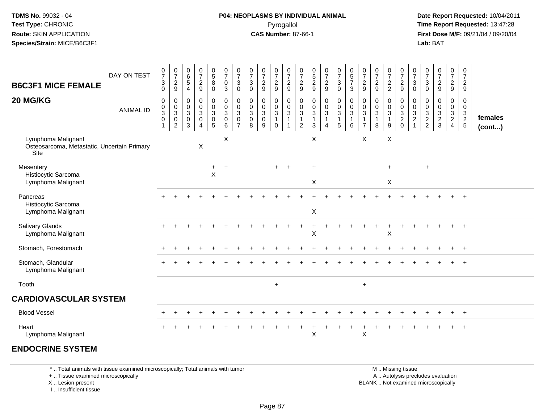**Date Report Requested:** 10/04/2011 **First Dose M/F:** 09/21/04 / 09/20/04<br>**Lab:** BAT **Lab:** BAT

| DAY ON TEST<br><b>B6C3F1 MICE FEMALE</b>                                  | $\frac{0}{7}$<br>$\mathbf{3}$<br>$\mathbf 0$ | $\frac{0}{7}$<br>$\overline{c}$<br>9                                               | $\begin{array}{c} 0 \\ 6 \end{array}$<br>$\sqrt{5}$<br>$\overline{4}$ | $\begin{array}{c} 0 \\ 7 \end{array}$<br>$\overline{2}$<br>$9\,$                       | $\begin{array}{c} 0 \\ 5 \end{array}$<br>8<br>$\mathbf 0$                                    | $\frac{0}{7}$<br>$\mathbf 0$<br>$\mathbf{3}$               | $\frac{0}{7}$<br>3<br>$\mathsf{O}\xspace$               | $\frac{0}{7}$<br>$\mathbf{3}$<br>$\mathsf{O}\xspace$  | $\frac{0}{7}$<br>$\boldsymbol{2}$<br>$\boldsymbol{9}$ | 0<br>$\overline{7}$<br>$\overline{c}$<br>$\boldsymbol{9}$  | $\frac{0}{7}$<br>$\overline{2}$<br>$\boldsymbol{9}$    | 0<br>$\overline{7}$<br>$\overline{c}$<br>9 | $\begin{array}{c} 0 \\ 5 \\ 2 \end{array}$<br>$\boldsymbol{9}$               | $\frac{0}{7}$<br>$\boldsymbol{2}$<br>$\boldsymbol{9}$                           | $\frac{0}{7}$<br>$\sqrt{3}$<br>$\pmb{0}$                 | $\begin{array}{c} 0 \\ 5 \\ 7 \end{array}$<br>$\mathbf{3}$ | 0<br>$\overline{7}$<br>$\overline{a}$<br>9   | $\frac{0}{7}$<br>$\frac{2}{9}$                      | $\frac{0}{7}$<br>$\frac{2}{2}$                                   | $\frac{0}{7}$<br>$\frac{2}{9}$                     | $\pmb{0}$<br>$\overline{7}$<br>3<br>$\mathsf{O}\xspace$ | 0<br>$\overline{7}$<br>$\mathbf{3}$<br>$\boldsymbol{0}$     | $\frac{0}{7}$<br>$\overline{c}$<br>$9\,$                             | $\frac{0}{7}$<br>$\overline{a}$<br>$9\,$        | $\frac{0}{7}$<br>$\overline{2}$<br>9 |                   |
|---------------------------------------------------------------------------|----------------------------------------------|------------------------------------------------------------------------------------|-----------------------------------------------------------------------|----------------------------------------------------------------------------------------|----------------------------------------------------------------------------------------------|------------------------------------------------------------|---------------------------------------------------------|-------------------------------------------------------|-------------------------------------------------------|------------------------------------------------------------|--------------------------------------------------------|--------------------------------------------|------------------------------------------------------------------------------|---------------------------------------------------------------------------------|----------------------------------------------------------|------------------------------------------------------------|----------------------------------------------|-----------------------------------------------------|------------------------------------------------------------------|----------------------------------------------------|---------------------------------------------------------|-------------------------------------------------------------|----------------------------------------------------------------------|-------------------------------------------------|--------------------------------------|-------------------|
| 20 MG/KG<br><b>ANIMAL ID</b>                                              | $\mathbf 0$<br>$_{3}^{\rm 0}$<br>$\mathbf 0$ | $\pmb{0}$<br>$\pmb{0}$<br>$\ensuremath{\mathsf{3}}$<br>$\pmb{0}$<br>$\overline{2}$ | $\mathbf 0$<br>0<br>$\ensuremath{\mathsf{3}}$<br>$\mathbf 0$<br>3     | $\pmb{0}$<br>$\mathbf 0$<br>$\ensuremath{\mathsf{3}}$<br>$\mathbf 0$<br>$\overline{4}$ | $\overline{0}$<br>$\mathbf 0$<br>$\ensuremath{\mathsf{3}}$<br>$\mathbf 0$<br>$5\phantom{.0}$ | $\pmb{0}$<br>$\mathsf 0$<br>$\mathbf{3}$<br>$\pmb{0}$<br>6 | 0<br>0<br>$\mathbf{3}$<br>$\mathbf 0$<br>$\overline{7}$ | 0<br>0<br>$\ensuremath{\mathsf{3}}$<br>$\pmb{0}$<br>8 | $\pmb{0}$<br>$_{3}^{\rm 0}$<br>$\pmb{0}$<br>9         | 0<br>$\pmb{0}$<br>$\sqrt{3}$<br>$\overline{1}$<br>$\Omega$ | 0<br>$\frac{0}{3}$<br>$\overline{1}$<br>$\overline{1}$ | 0<br>0<br>$\sqrt{3}$<br>$\mathbf{1}$<br>2  | $\mathbf 0$<br>$\mathbf 0$<br>$\ensuremath{\mathsf{3}}$<br>$\mathbf{1}$<br>3 | $\mathbf 0$<br>$\pmb{0}$<br>$\ensuremath{\mathsf{3}}$<br>$\boldsymbol{\Lambda}$ | $\pmb{0}$<br>$\frac{0}{3}$<br>$\mathbf{1}$<br>$\sqrt{5}$ | $\mathbf 0$<br>$\frac{0}{3}$<br>$\mathbf{1}$<br>$\,6\,$    | 0<br>$\mathbf 0$<br>3<br>1<br>$\overline{7}$ | 0<br>$\pmb{0}$<br>$\mathbf{3}$<br>$\mathbf{1}$<br>8 | 0<br>$\pmb{0}$<br>$\ensuremath{\mathsf{3}}$<br>$\mathbf{1}$<br>9 | 0<br>0<br>$\sqrt{3}$<br>$\overline{c}$<br>$\Omega$ | $\mathbf 0$<br>$\mathbf 0$<br>$\frac{3}{2}$             | $\mathbf 0$<br>$\mathbf 0$<br>$\mathbf{3}$<br>$\frac{2}{2}$ | 0<br>$\mathbf 0$<br>$\mathbf{3}$<br>$\boldsymbol{2}$<br>$\mathbf{3}$ | 0<br>0<br>3<br>$\overline{2}$<br>$\overline{4}$ | 0<br>$\mathbf 0$<br>$\frac{3}{2}$    | females<br>(cont) |
| Lymphoma Malignant<br>Osteosarcoma, Metastatic, Uncertain Primary<br>Site |                                              |                                                                                    |                                                                       | X                                                                                      |                                                                                              | X                                                          |                                                         |                                                       |                                                       |                                                            |                                                        |                                            | X                                                                            |                                                                                 |                                                          |                                                            | $\pmb{\times}$                               |                                                     | $\mathsf X$                                                      |                                                    |                                                         |                                                             |                                                                      |                                                 |                                      |                   |
| Mesentery<br>Histiocytic Sarcoma<br>Lymphoma Malignant                    |                                              |                                                                                    |                                                                       |                                                                                        | $\ddot{}$<br>$\pmb{\times}$                                                                  | $\overline{1}$                                             |                                                         |                                                       |                                                       | $+$                                                        | $\ddot{}$                                              |                                            | $\ddot{}$<br>$\mathsf X$                                                     |                                                                                 |                                                          |                                                            |                                              |                                                     | $+$<br>$\pmb{\times}$                                            |                                                    |                                                         | $\ddot{}$                                                   |                                                                      |                                                 |                                      |                   |
| Pancreas<br>Histiocytic Sarcoma<br>Lymphoma Malignant                     |                                              |                                                                                    |                                                                       |                                                                                        |                                                                                              |                                                            |                                                         |                                                       |                                                       |                                                            |                                                        |                                            | X                                                                            |                                                                                 |                                                          |                                                            |                                              |                                                     |                                                                  |                                                    |                                                         |                                                             |                                                                      |                                                 |                                      |                   |
| <b>Salivary Glands</b><br>Lymphoma Malignant                              |                                              |                                                                                    |                                                                       |                                                                                        |                                                                                              |                                                            |                                                         |                                                       |                                                       |                                                            |                                                        |                                            | X                                                                            |                                                                                 |                                                          |                                                            |                                              |                                                     | X                                                                |                                                    |                                                         |                                                             |                                                                      |                                                 | $\ddot{+}$                           |                   |
| Stomach, Forestomach                                                      |                                              |                                                                                    |                                                                       |                                                                                        |                                                                                              |                                                            |                                                         |                                                       |                                                       |                                                            |                                                        |                                            |                                                                              |                                                                                 |                                                          |                                                            |                                              |                                                     |                                                                  |                                                    |                                                         |                                                             |                                                                      |                                                 | $\ddot{}$                            |                   |
| Stomach, Glandular<br>Lymphoma Malignant                                  |                                              |                                                                                    |                                                                       |                                                                                        |                                                                                              |                                                            |                                                         |                                                       |                                                       |                                                            |                                                        |                                            |                                                                              |                                                                                 |                                                          |                                                            |                                              |                                                     |                                                                  |                                                    |                                                         |                                                             |                                                                      |                                                 | $\ddot{}$                            |                   |
| Tooth                                                                     |                                              |                                                                                    |                                                                       |                                                                                        |                                                                                              |                                                            |                                                         |                                                       |                                                       | $+$                                                        |                                                        |                                            |                                                                              |                                                                                 |                                                          |                                                            | $\ddot{}$                                    |                                                     |                                                                  |                                                    |                                                         |                                                             |                                                                      |                                                 |                                      |                   |
| <b>CARDIOVASCULAR SYSTEM</b>                                              |                                              |                                                                                    |                                                                       |                                                                                        |                                                                                              |                                                            |                                                         |                                                       |                                                       |                                                            |                                                        |                                            |                                                                              |                                                                                 |                                                          |                                                            |                                              |                                                     |                                                                  |                                                    |                                                         |                                                             |                                                                      |                                                 |                                      |                   |
| <b>Blood Vessel</b>                                                       |                                              |                                                                                    |                                                                       |                                                                                        |                                                                                              |                                                            |                                                         |                                                       |                                                       |                                                            |                                                        |                                            |                                                                              |                                                                                 |                                                          |                                                            |                                              |                                                     |                                                                  |                                                    |                                                         |                                                             |                                                                      |                                                 | $\ddot{}$                            |                   |
| Heart<br>Lymphoma Malignant                                               |                                              |                                                                                    |                                                                       |                                                                                        |                                                                                              |                                                            |                                                         |                                                       |                                                       |                                                            |                                                        |                                            | X                                                                            |                                                                                 |                                                          |                                                            | X                                            |                                                     |                                                                  |                                                    |                                                         |                                                             |                                                                      |                                                 |                                      |                   |
| <b>ENDOCRINE SYSTEM</b>                                                   |                                              |                                                                                    |                                                                       |                                                                                        |                                                                                              |                                                            |                                                         |                                                       |                                                       |                                                            |                                                        |                                            |                                                                              |                                                                                 |                                                          |                                                            |                                              |                                                     |                                                                  |                                                    |                                                         |                                                             |                                                                      |                                                 |                                      |                   |

\* .. Total animals with tissue examined microscopically; Total animals with tumor

+ .. Tissue examined microscopically

X .. Lesion present

I .. Insufficient tissue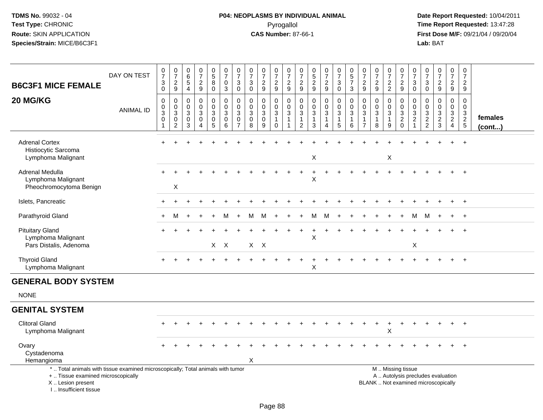# **P04: NEOPLASMS BY INDIVIDUAL ANIMAL**Pyrogallol **Time Report Requested:** 13:47:28

|                                                                                                                                                                       | DAY ON TEST      | $\begin{smallmatrix}0\\7\end{smallmatrix}$                      | $\frac{0}{7}$                                               | 0<br>$\,6\,$                                                 | $\frac{0}{7}$                                                   | $\begin{array}{c} 0 \\ 5 \\ 8 \end{array}$                   | $\frac{0}{7}$                                                        | $\frac{0}{7}$                                | $\frac{0}{7}$                                       | $\frac{0}{7}$                         | 0<br>$\overline{7}$                                                | $\frac{0}{7}$                                       | 0<br>$\overline{7}$                                              | 0<br>$\overline{5}$                                                      | $\frac{0}{7}$                                         | $\begin{smallmatrix}0\\7\end{smallmatrix}$                                       | $\begin{array}{c} 0 \\ 5 \\ 7 \end{array}$           | $\frac{0}{7}$                                                                | $\frac{0}{7}$                                                 | $\frac{0}{7}$                                     | 0<br>$\overline{7}$                                                       | 0<br>$\overline{7}$                                     | 0<br>$\overline{7}$                                  | $\frac{0}{7}$                                                            | $\pmb{0}$<br>$\overline{7}$                                          | $\pmb{0}$<br>$\overline{7}$                 |                   |
|-----------------------------------------------------------------------------------------------------------------------------------------------------------------------|------------------|-----------------------------------------------------------------|-------------------------------------------------------------|--------------------------------------------------------------|-----------------------------------------------------------------|--------------------------------------------------------------|----------------------------------------------------------------------|----------------------------------------------|-----------------------------------------------------|---------------------------------------|--------------------------------------------------------------------|-----------------------------------------------------|------------------------------------------------------------------|--------------------------------------------------------------------------|-------------------------------------------------------|----------------------------------------------------------------------------------|------------------------------------------------------|------------------------------------------------------------------------------|---------------------------------------------------------------|---------------------------------------------------|---------------------------------------------------------------------------|---------------------------------------------------------|------------------------------------------------------|--------------------------------------------------------------------------|----------------------------------------------------------------------|---------------------------------------------|-------------------|
| <b>B6C3F1 MICE FEMALE</b>                                                                                                                                             |                  | $\ensuremath{\mathsf{3}}$<br>$\mathbf 0$                        | $\overline{c}$<br>9                                         | $\overline{5}$<br>$\overline{4}$                             | $\boldsymbol{2}$<br>$\boldsymbol{9}$                            | $\pmb{0}$                                                    | $\mathsf 0$<br>$\mathbf{3}$                                          | 3<br>$\mathbf 0$                             | $\ensuremath{\mathsf{3}}$<br>$\pmb{0}$              | $\overline{c}$<br>9                   | $\overline{c}$<br>9                                                | $\frac{2}{9}$                                       | $\overline{c}$<br>9                                              | $\overline{c}$<br>9                                                      | $\overline{c}$<br>9                                   | $\mathbf 3$<br>$\mathbf 0$                                                       | $\mathbf{3}$                                         | $\boldsymbol{2}$<br>9                                                        | $\sqrt{2}$<br>9                                               | $\overline{c}$<br>$\overline{2}$                  | $\boldsymbol{2}$<br>$\mathsf g$                                           | 3<br>0                                                  | $\ensuremath{\mathsf{3}}$<br>$\mathbf 0$             | $\frac{2}{9}$                                                            | $\overline{a}$<br>$9\,$                                              | $\overline{c}$<br>9                         |                   |
| 20 MG/KG                                                                                                                                                              | <b>ANIMAL ID</b> | $\mathbf 0$<br>$\pmb{0}$<br>$\ensuremath{\mathsf{3}}$<br>0<br>1 | 0<br>$\pmb{0}$<br>$\sqrt{3}$<br>$\pmb{0}$<br>$\overline{2}$ | $\mathbf 0$<br>$\mathbf 0$<br>$\sqrt{3}$<br>$\mathbf 0$<br>3 | 0<br>$\mathbf 0$<br>$\sqrt{3}$<br>$\mathbf 0$<br>$\overline{4}$ | 0<br>$\overline{0}$<br>$\sqrt{3}$<br>$\pmb{0}$<br>$\sqrt{5}$ | $\mathbf 0$<br>$\ddot{\mathbf{0}}$<br>$\sqrt{3}$<br>$\mathbf 0$<br>6 | 0<br>$\mathbf 0$<br>3<br>0<br>$\overline{7}$ | 0<br>$\mathbf 0$<br>$\mathbf 3$<br>$\mathbf 0$<br>8 | 0<br>$\pmb{0}$<br>3<br>$\pmb{0}$<br>9 | 0<br>$\pmb{0}$<br>$\sqrt{3}$<br>$\mathbf 1$<br>$\mathsf{O}\xspace$ | 0<br>$\frac{0}{3}$<br>$\overline{1}$<br>$\mathbf 1$ | 0<br>$\mathbf 0$<br>$\sqrt{3}$<br>$\mathbf{1}$<br>$\overline{c}$ | $\mathbf 0$<br>$\mathbf 0$<br>$\sqrt{3}$<br>$\mathbf{1}$<br>$\mathbf{3}$ | 0<br>$\mathbf 0$<br>$\mathbf{3}$<br>$\mathbf{1}$<br>4 | $\pmb{0}$<br>$\overline{0}$<br>$\mathfrak{S}$<br>$\mathbf{1}$<br>$5\phantom{.0}$ | $\mathbf 0$<br>$\pmb{0}$<br>$\sqrt{3}$<br>1<br>$\,6$ | $\mathbf 0$<br>$\mathbf 0$<br>$\sqrt{3}$<br>$\overline{1}$<br>$\overline{7}$ | $\mathbf 0$<br>$\mathbf 0$<br>$\sqrt{3}$<br>$\mathbf{1}$<br>8 | 0<br>$\pmb{0}$<br>$\sqrt{3}$<br>$\mathbf{1}$<br>9 | $\mathbf 0$<br>$\mathbf 0$<br>$\sqrt{3}$<br>$\overline{2}$<br>$\mathbf 0$ | 0<br>$\mathbf 0$<br>3<br>$\overline{a}$<br>$\mathbf{1}$ | 0<br>0<br>$\ensuremath{\mathsf{3}}$<br>$\frac{2}{2}$ | 0<br>$\ddot{\mathbf{0}}$<br>$\frac{3}{2}$                                | 0<br>$\mathbf 0$<br>$\mathbf{3}$<br>$\overline{2}$<br>$\overline{4}$ | $\mathbf 0$<br>$\mathbf 0$<br>$\frac{3}{2}$ | females<br>(cont) |
| <b>Adrenal Cortex</b><br>Histiocytic Sarcoma<br>Lymphoma Malignant                                                                                                    |                  |                                                                 |                                                             |                                                              |                                                                 |                                                              |                                                                      |                                              |                                                     |                                       |                                                                    |                                                     |                                                                  | X                                                                        |                                                       |                                                                                  |                                                      |                                                                              |                                                               | X                                                 |                                                                           |                                                         |                                                      |                                                                          |                                                                      |                                             |                   |
| Adrenal Medulla<br>Lymphoma Malignant<br>Pheochromocytoma Benign                                                                                                      |                  |                                                                 | X                                                           |                                                              |                                                                 |                                                              |                                                                      |                                              |                                                     |                                       |                                                                    |                                                     |                                                                  | X                                                                        |                                                       |                                                                                  |                                                      |                                                                              |                                                               |                                                   |                                                                           |                                                         |                                                      |                                                                          |                                                                      | $\ddot{}$                                   |                   |
| Islets, Pancreatic                                                                                                                                                    |                  |                                                                 |                                                             |                                                              |                                                                 |                                                              |                                                                      |                                              |                                                     |                                       |                                                                    |                                                     |                                                                  |                                                                          |                                                       |                                                                                  |                                                      |                                                                              |                                                               |                                                   |                                                                           |                                                         |                                                      |                                                                          |                                                                      | $\overline{+}$                              |                   |
| Parathyroid Gland                                                                                                                                                     |                  |                                                                 | м                                                           |                                                              |                                                                 | $+$                                                          | м                                                                    | $\ddot{+}$                                   | м                                                   | M                                     | $\pm$                                                              |                                                     | $+$                                                              | М                                                                        | м                                                     |                                                                                  |                                                      |                                                                              |                                                               |                                                   |                                                                           | м                                                       | M                                                    |                                                                          | $+$                                                                  | $+$                                         |                   |
| <b>Pituitary Gland</b><br>Lymphoma Malignant<br>Pars Distalis, Adenoma                                                                                                |                  |                                                                 |                                                             |                                                              |                                                                 |                                                              | X X                                                                  |                                              |                                                     | $X$ $X$                               |                                                                    |                                                     |                                                                  | X                                                                        |                                                       |                                                                                  |                                                      |                                                                              |                                                               |                                                   |                                                                           | X                                                       |                                                      |                                                                          |                                                                      |                                             |                   |
| <b>Thyroid Gland</b><br>Lymphoma Malignant                                                                                                                            |                  |                                                                 |                                                             |                                                              |                                                                 |                                                              |                                                                      |                                              |                                                     |                                       |                                                                    |                                                     |                                                                  | Χ                                                                        |                                                       |                                                                                  |                                                      |                                                                              |                                                               |                                                   |                                                                           |                                                         |                                                      |                                                                          |                                                                      | $\overline{+}$                              |                   |
| <b>GENERAL BODY SYSTEM</b>                                                                                                                                            |                  |                                                                 |                                                             |                                                              |                                                                 |                                                              |                                                                      |                                              |                                                     |                                       |                                                                    |                                                     |                                                                  |                                                                          |                                                       |                                                                                  |                                                      |                                                                              |                                                               |                                                   |                                                                           |                                                         |                                                      |                                                                          |                                                                      |                                             |                   |
| <b>NONE</b>                                                                                                                                                           |                  |                                                                 |                                                             |                                                              |                                                                 |                                                              |                                                                      |                                              |                                                     |                                       |                                                                    |                                                     |                                                                  |                                                                          |                                                       |                                                                                  |                                                      |                                                                              |                                                               |                                                   |                                                                           |                                                         |                                                      |                                                                          |                                                                      |                                             |                   |
| <b>GENITAL SYSTEM</b>                                                                                                                                                 |                  |                                                                 |                                                             |                                                              |                                                                 |                                                              |                                                                      |                                              |                                                     |                                       |                                                                    |                                                     |                                                                  |                                                                          |                                                       |                                                                                  |                                                      |                                                                              |                                                               |                                                   |                                                                           |                                                         |                                                      |                                                                          |                                                                      |                                             |                   |
| <b>Clitoral Gland</b><br>Lymphoma Malignant                                                                                                                           |                  |                                                                 |                                                             |                                                              |                                                                 |                                                              |                                                                      |                                              |                                                     |                                       |                                                                    |                                                     |                                                                  |                                                                          |                                                       |                                                                                  |                                                      |                                                                              |                                                               | $\mathbf +$<br>X                                  |                                                                           | $\ddot{}$                                               |                                                      |                                                                          |                                                                      | $+$                                         |                   |
| Ovary<br>Cystadenoma<br>Hemangioma                                                                                                                                    |                  |                                                                 |                                                             |                                                              |                                                                 |                                                              |                                                                      |                                              | X                                                   |                                       |                                                                    |                                                     |                                                                  |                                                                          |                                                       |                                                                                  |                                                      |                                                                              |                                                               |                                                   |                                                                           |                                                         |                                                      |                                                                          |                                                                      |                                             |                   |
| *  Total animals with tissue examined microscopically; Total animals with tumor<br>+  Tissue examined microscopically<br>X  Lesion present<br>I., Insufficient tissue |                  |                                                                 |                                                             |                                                              |                                                                 |                                                              |                                                                      |                                              |                                                     |                                       |                                                                    |                                                     |                                                                  |                                                                          |                                                       |                                                                                  |                                                      |                                                                              |                                                               |                                                   | M  Missing tissue                                                         |                                                         |                                                      | A  Autolysis precludes evaluation<br>BLANK  Not examined microscopically |                                                                      |                                             |                   |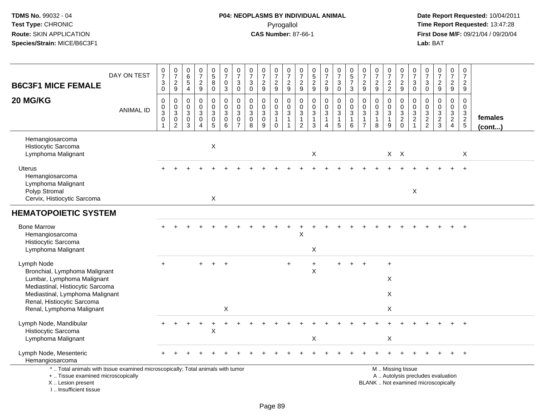| <b>B6C3F1 MICE FEMALE</b>                                                                                                                                                                                   | DAY ON TEST      | $\frac{0}{7}$<br>$\mathbf{3}$<br>$\mathbf 0$      | $\frac{0}{7}$<br>$\sqrt{2}$<br>9                             | $\mathbf 0$<br>$6\phantom{1}6$<br>$\sqrt{5}$<br>$\overline{a}$    | $\begin{array}{c} 0 \\ 7 \end{array}$<br>$\boldsymbol{2}$<br>9              | $\begin{array}{c} 0 \\ 5 \end{array}$<br>8<br>0   | $\begin{array}{c} 0 \\ 7 \end{array}$<br>$\mathbf 0$<br>3      | $\frac{0}{7}$<br>$\mathbf{3}$<br>0                          | $\begin{array}{c} 0 \\ 7 \end{array}$<br>$\sqrt{3}$<br>$\mathbf 0$ | $\frac{0}{7}$<br>$\sqrt{2}$<br>9                           | $\frac{0}{7}$<br>$\overline{c}$<br>$9\,$                                  | $\frac{0}{7}$<br>$\overline{\mathbf{c}}$<br>9         | $\frac{0}{7}$<br>$\boldsymbol{2}$<br>9                                       | $\begin{array}{c} 0 \\ 5 \\ 2 \end{array}$<br>9           | $\frac{0}{7}$<br>$\frac{2}{9}$                                                             | $\begin{array}{c} 0 \\ 7 \end{array}$<br>$\ensuremath{\mathsf{3}}$<br>$\mathbf 0$                  | $\begin{array}{c} 0 \\ 5 \\ 7 \end{array}$<br>3                             | $\frac{0}{7}$<br>$\sqrt{2}$<br>9             | $\begin{array}{c} 0 \\ 7 \end{array}$<br>$\frac{2}{9}$                              | $\frac{0}{7}$<br>$\frac{2}{2}$                        | $\frac{0}{7}$<br>$\overline{c}$<br>$9\,$                                                      | $\frac{0}{7}$<br>$\sqrt{3}$<br>0                     | $\begin{smallmatrix}0\\7\end{smallmatrix}$<br>$\ensuremath{\mathsf{3}}$<br>$\mathbf 0$ | $\begin{array}{c} 0 \\ 7 \end{array}$<br>$\sqrt{2}$<br>9                 | $\frac{0}{7}$<br>$\overline{a}$<br>$\boldsymbol{9}$ | $\frac{0}{7}$<br>$\overline{c}$<br>9   |                         |
|-------------------------------------------------------------------------------------------------------------------------------------------------------------------------------------------------------------|------------------|---------------------------------------------------|--------------------------------------------------------------|-------------------------------------------------------------------|-----------------------------------------------------------------------------|---------------------------------------------------|----------------------------------------------------------------|-------------------------------------------------------------|--------------------------------------------------------------------|------------------------------------------------------------|---------------------------------------------------------------------------|-------------------------------------------------------|------------------------------------------------------------------------------|-----------------------------------------------------------|--------------------------------------------------------------------------------------------|----------------------------------------------------------------------------------------------------|-----------------------------------------------------------------------------|----------------------------------------------|-------------------------------------------------------------------------------------|-------------------------------------------------------|-----------------------------------------------------------------------------------------------|------------------------------------------------------|----------------------------------------------------------------------------------------|--------------------------------------------------------------------------|-----------------------------------------------------|----------------------------------------|-------------------------|
| 20 MG/KG                                                                                                                                                                                                    | <b>ANIMAL ID</b> | 0<br>$\mathbf 0$<br>$\overline{3}$<br>$\mathbf 0$ | $\mathbf 0$<br>$_{3}^{\rm 0}$<br>$\pmb{0}$<br>$\overline{2}$ | $\mathbf 0$<br>$\mathbf 0$<br>$\sqrt{3}$<br>$\boldsymbol{0}$<br>3 | $\mathbf 0$<br>$\mathbf 0$<br>$\mathbf{3}$<br>$\mathbf 0$<br>$\overline{4}$ | 0<br>$\mathbf 0$<br>$\mathbf{3}$<br>$\frac{0}{5}$ | $\mathbf 0$<br>$\mathbf 0$<br>$\mathsf 3$<br>$\mathsf{O}$<br>6 | $\mathbf 0$<br>$\pmb{0}$<br>$\overline{3}$<br>$\frac{0}{7}$ | $\mathbf 0$<br>$\mathbf 0$<br>$\sqrt{3}$<br>$\mathbf 0$<br>8       | $\mathbf 0$<br>$\mathbf 0$<br>$\sqrt{3}$<br>$\pmb{0}$<br>9 | 0<br>$\mathbf 0$<br>$\ensuremath{\mathsf{3}}$<br>$\mathbf{1}$<br>$\Omega$ | 0<br>$\mathbf 0$<br>$\mathbf{3}$<br>$\mathbf{1}$<br>1 | $\mathbf 0$<br>$\pmb{0}$<br>$\overline{3}$<br>$\mathbf{1}$<br>$\overline{2}$ | $\pmb{0}$<br>$\mathbf 0$<br>$\mathbf{3}$<br>$\frac{1}{3}$ | $\mathbf 0$<br>$\mathsf{O}\xspace$<br>$\sqrt{3}$<br>$\mathbf{1}$<br>$\boldsymbol{\Lambda}$ | $\boldsymbol{0}$<br>$\mathsf{O}\xspace$<br>$\overline{3}$<br>$\begin{array}{c} 1 \\ 5 \end{array}$ | $\mathbf 0$<br>$\mathbf 0$<br>$\sqrt{3}$<br>$\mathbf{1}$<br>$6\phantom{1}6$ | 0<br>$\mathbf 0$<br>3<br>1<br>$\overline{7}$ | $\pmb{0}$<br>$\mathbf 0$<br>$\overline{3}$<br>$\begin{array}{c} 1 \\ 8 \end{array}$ | 0<br>$\mathbf 0$<br>$\mathbf{3}$<br>$\mathbf{1}$<br>9 | 0<br>$\pmb{0}$<br>$\overline{3}$<br>$\frac{2}{0}$                                             | $\mathbf 0$<br>$\pmb{0}$<br>$\sqrt{3}$<br>$\sqrt{2}$ | 0<br>$\boldsymbol{0}$<br>$\frac{3}{2}$                                                 | $\mathbf 0$<br>$\mathbf 0$<br>$\ensuremath{\mathsf{3}}$<br>$\frac{2}{3}$ | 0<br>$\mathbf 0$<br>$\mathbf{3}$<br>$\frac{2}{4}$   | 0<br>$\mathbf 0$<br>$\frac{3}{2}$<br>5 | females<br>$($ cont $)$ |
| Hemangiosarcoma<br>Histiocytic Sarcoma<br>Lymphoma Malignant                                                                                                                                                |                  |                                                   |                                                              |                                                                   |                                                                             | $\boldsymbol{\mathsf{X}}$                         |                                                                |                                                             |                                                                    |                                                            |                                                                           |                                                       |                                                                              | X                                                         |                                                                                            |                                                                                                    |                                                                             |                                              |                                                                                     |                                                       | $X$ $X$                                                                                       |                                                      |                                                                                        |                                                                          |                                                     | X                                      |                         |
| Uterus<br>Hemangiosarcoma<br>Lymphoma Malignant<br>Polyp Stromal<br>Cervix, Histiocytic Sarcoma                                                                                                             |                  |                                                   |                                                              |                                                                   |                                                                             | X                                                 |                                                                |                                                             |                                                                    |                                                            |                                                                           |                                                       |                                                                              |                                                           |                                                                                            |                                                                                                    |                                                                             |                                              |                                                                                     |                                                       |                                                                                               | $\times$                                             |                                                                                        |                                                                          |                                                     |                                        |                         |
| <b>HEMATOPOIETIC SYSTEM</b>                                                                                                                                                                                 |                  |                                                   |                                                              |                                                                   |                                                                             |                                                   |                                                                |                                                             |                                                                    |                                                            |                                                                           |                                                       |                                                                              |                                                           |                                                                                            |                                                                                                    |                                                                             |                                              |                                                                                     |                                                       |                                                                                               |                                                      |                                                                                        |                                                                          |                                                     |                                        |                         |
| <b>Bone Marrow</b><br>Hemangiosarcoma<br>Histiocytic Sarcoma<br>Lymphoma Malignant                                                                                                                          |                  |                                                   |                                                              |                                                                   |                                                                             |                                                   |                                                                |                                                             |                                                                    |                                                            |                                                                           |                                                       | X                                                                            | X                                                         |                                                                                            |                                                                                                    |                                                                             |                                              |                                                                                     |                                                       |                                                                                               |                                                      |                                                                                        |                                                                          |                                                     |                                        |                         |
| Lymph Node<br>Bronchial, Lymphoma Malignant<br>Lumbar, Lymphoma Malignant<br>Mediastinal, Histiocytic Sarcoma<br>Mediastinal, Lymphoma Malignant<br>Renal, Histiocytic Sarcoma<br>Renal, Lymphoma Malignant |                  | $\ddot{}$                                         |                                                              |                                                                   | $\ddot{}$                                                                   | $+$                                               | $\overline{+}$<br>X                                            |                                                             |                                                                    |                                                            |                                                                           | $\ddot{}$                                             |                                                                              | $\ddot{}$<br>$\pmb{\times}$                               |                                                                                            | $+$                                                                                                | $\ddot{}$                                                                   | $\ddot{}$                                    |                                                                                     | $\ddot{}$<br>X<br>X<br>Χ                              |                                                                                               |                                                      |                                                                                        |                                                                          |                                                     |                                        |                         |
| Lymph Node, Mandibular<br>Histiocytic Sarcoma<br>Lymphoma Malignant                                                                                                                                         |                  |                                                   |                                                              |                                                                   |                                                                             | X                                                 | +                                                              |                                                             |                                                                    |                                                            |                                                                           |                                                       |                                                                              | X                                                         |                                                                                            |                                                                                                    |                                                                             |                                              |                                                                                     | X                                                     |                                                                                               |                                                      |                                                                                        |                                                                          |                                                     |                                        |                         |
| Lymph Node, Mesenteric<br>Hemangiosarcoma                                                                                                                                                                   |                  |                                                   |                                                              |                                                                   |                                                                             |                                                   |                                                                |                                                             |                                                                    |                                                            |                                                                           |                                                       |                                                                              |                                                           |                                                                                            |                                                                                                    |                                                                             |                                              |                                                                                     |                                                       |                                                                                               |                                                      |                                                                                        |                                                                          |                                                     |                                        |                         |
| *  Total animals with tissue examined microscopically; Total animals with tumor<br>+  Tissue examined microscopically<br>X  Lesion present<br>I Insufficient tissue                                         |                  |                                                   |                                                              |                                                                   |                                                                             |                                                   |                                                                |                                                             |                                                                    |                                                            |                                                                           |                                                       |                                                                              |                                                           |                                                                                            |                                                                                                    |                                                                             |                                              |                                                                                     |                                                       | M  Missing tissue<br>A  Autolysis precludes evaluation<br>BLANK  Not examined microscopically |                                                      |                                                                                        |                                                                          |                                                     |                                        |                         |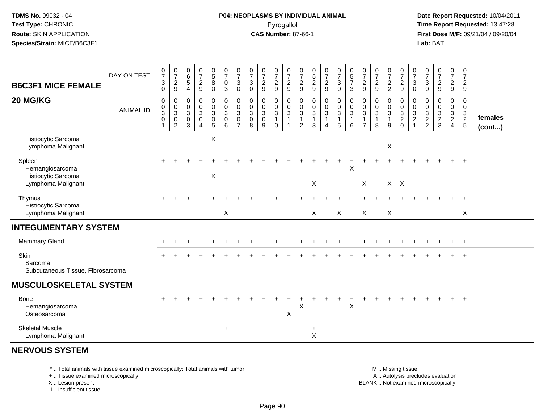**Date Report Requested:** 10/04/2011 **First Dose M/F:** 09/21/04 / 09/20/04<br>**Lab:** BAT **Lab:** BAT

| <b>B6C3F1 MICE FEMALE</b>                                              | DAY ON TEST      | $\frac{0}{7}$<br>$\ensuremath{\mathsf{3}}$<br>0                           | $\frac{0}{7}$<br>$\frac{2}{9}$                                | 0<br>$\,6$<br>$\,$ 5 $\,$<br>$\overline{4}$               | $\frac{0}{7}$<br>$\frac{2}{9}$                                          | $\begin{array}{c} 0 \\ 5 \end{array}$<br>$\bf 8$<br>$\mathbf 0$ | $\frac{0}{7}$<br>$\mathbf 0$<br>$\mathbf{3}$                      | $\frac{0}{7}$<br>3<br>0    | $\frac{0}{7}$<br>$\sqrt{3}$<br>$\pmb{0}$   | $\frac{0}{7}$<br>$\overline{c}$<br>$\boldsymbol{9}$ | $\frac{0}{7}$<br>$\frac{2}{9}$                       | $\frac{0}{7}$<br>$\frac{2}{9}$                          | $\frac{0}{7}$<br>$\boldsymbol{2}$<br>$\boldsymbol{9}$           | $\begin{matrix} 0 \\ 5 \end{matrix}$<br>$\overline{c}$<br>$\boldsymbol{9}$ | $\frac{0}{7}$<br>$\frac{2}{9}$       | $\frac{0}{7}$<br>$\mathbf 3$<br>$\overline{0}$                                      | $\begin{array}{c} 0 \\ 5 \end{array}$<br>$\overline{7}$<br>$\sqrt{3}$ | $\frac{0}{7}$<br>$\overline{2}$<br>$\boldsymbol{9}$ | $\frac{0}{7}$<br>$\boldsymbol{2}$<br>$9\,$          | $\frac{0}{7}$<br>$\frac{2}{2}$ | $\frac{0}{7}$<br>$\frac{2}{9}$      | $\frac{0}{7}$<br>$\mathbf{3}$<br>$\mathbf 0$                     | 0<br>$\overline{7}$<br>3<br>0 | $\frac{0}{7}$<br>$\frac{2}{9}$                               | $\frac{0}{7}$<br>$\overline{c}$<br>$\mathsf g$                       | 0<br>$\boldsymbol{7}$<br>$\overline{2}$<br>$\boldsymbol{9}$ |                         |
|------------------------------------------------------------------------|------------------|---------------------------------------------------------------------------|---------------------------------------------------------------|-----------------------------------------------------------|-------------------------------------------------------------------------|-----------------------------------------------------------------|-------------------------------------------------------------------|----------------------------|--------------------------------------------|-----------------------------------------------------|------------------------------------------------------|---------------------------------------------------------|-----------------------------------------------------------------|----------------------------------------------------------------------------|--------------------------------------|-------------------------------------------------------------------------------------|-----------------------------------------------------------------------|-----------------------------------------------------|-----------------------------------------------------|--------------------------------|-------------------------------------|------------------------------------------------------------------|-------------------------------|--------------------------------------------------------------|----------------------------------------------------------------------|-------------------------------------------------------------|-------------------------|
| 20 MG/KG                                                               | <b>ANIMAL ID</b> | $\mathbf 0$<br>$\pmb{0}$<br>$\ensuremath{\mathsf{3}}$<br>$\mathbf 0$<br>1 | 0<br>$\pmb{0}$<br>$\mathbf{3}$<br>$\pmb{0}$<br>$\overline{2}$ | 0<br>$\,0\,$<br>$\mathbf{3}$<br>$\pmb{0}$<br>$\mathbf{3}$ | $_{\rm 0}^{\rm 0}$<br>$\sqrt{3}$<br>$\pmb{0}$<br>$\boldsymbol{\Lambda}$ | $_{\rm 0}^{\rm 0}$<br>$\mathbf 3$<br>$\pmb{0}$<br>$\,$ 5 $\,$   | $\begin{smallmatrix}0\\0\\3\end{smallmatrix}$<br>$\mathbf 0$<br>6 | 0<br>$\mathbf 0$<br>3<br>0 | 0<br>$\mathbf 0$<br>$\mathbf{3}$<br>0<br>8 | 0<br>$\pmb{0}$<br>$\sqrt{3}$<br>$\pmb{0}$<br>9      | 0<br>0<br>$\mathbf{3}$<br>$\overline{1}$<br>$\Omega$ | 0<br>$\overline{0}$<br>$\overline{3}$<br>$\overline{1}$ | $\mathbf 0$<br>$\mathbf 0$<br>$\mathbf{3}$<br>$\mathbf{1}$<br>2 | 0<br>$\mathbf 0$<br>$\sqrt{3}$<br>1<br>3                                   | 0<br>$\boldsymbol{0}$<br>3<br>1<br>4 | $\begin{smallmatrix} 0\\0 \end{smallmatrix}$<br>$\mathsf 3$<br>1<br>$5\phantom{.0}$ | $_{\rm 0}^{\rm 0}$<br>$\sqrt{3}$<br>$\overline{1}$<br>6               | 0<br>0<br>$\mathbf{3}$                              | 0<br>$\pmb{0}$<br>$\mathbf{3}$<br>$\mathbf{1}$<br>8 | 0<br>0<br>3<br>1<br>9          | 0<br>$\frac{0}{3}$<br>$\frac{2}{0}$ | 0<br>$\pmb{0}$<br>$\sqrt{3}$<br>$\overline{2}$<br>$\overline{1}$ | 0<br>0<br>3<br>$\frac{2}{2}$  | 0<br>$\pmb{0}$<br>$\ensuremath{\mathsf{3}}$<br>$\frac{2}{3}$ | 0<br>$\mathbf 0$<br>$\mathbf{3}$<br>$\overline{2}$<br>$\overline{4}$ | 0<br>0<br>$\mathbf{3}$<br>$\frac{2}{5}$                     | females<br>$($ cont $)$ |
| Histiocytic Sarcoma<br>Lymphoma Malignant                              |                  |                                                                           |                                                               |                                                           |                                                                         | $\boldsymbol{\mathsf{X}}$                                       |                                                                   |                            |                                            |                                                     |                                                      |                                                         |                                                                 |                                                                            |                                      |                                                                                     |                                                                       |                                                     |                                                     | X                              |                                     |                                                                  |                               |                                                              |                                                                      |                                                             |                         |
| Spleen<br>Hemangiosarcoma<br>Histiocytic Sarcoma<br>Lymphoma Malignant |                  |                                                                           |                                                               |                                                           |                                                                         | X                                                               |                                                                   |                            |                                            |                                                     |                                                      |                                                         |                                                                 | $\mathsf X$                                                                |                                      |                                                                                     | X                                                                     | $\mathsf{X}$                                        |                                                     |                                | $X$ $X$                             |                                                                  |                               |                                                              |                                                                      |                                                             |                         |
| Thymus<br>Histiocytic Sarcoma<br>Lymphoma Malignant                    |                  |                                                                           |                                                               |                                                           |                                                                         |                                                                 | X                                                                 |                            |                                            |                                                     |                                                      |                                                         |                                                                 | $\sf X$                                                                    |                                      | X                                                                                   |                                                                       | $\sf X$                                             |                                                     | X                              |                                     |                                                                  |                               |                                                              |                                                                      | X                                                           |                         |
| <b>INTEGUMENTARY SYSTEM</b>                                            |                  |                                                                           |                                                               |                                                           |                                                                         |                                                                 |                                                                   |                            |                                            |                                                     |                                                      |                                                         |                                                                 |                                                                            |                                      |                                                                                     |                                                                       |                                                     |                                                     |                                |                                     |                                                                  |                               |                                                              |                                                                      |                                                             |                         |
| Mammary Gland                                                          |                  |                                                                           |                                                               |                                                           |                                                                         |                                                                 |                                                                   |                            |                                            |                                                     |                                                      |                                                         |                                                                 |                                                                            |                                      |                                                                                     |                                                                       |                                                     |                                                     |                                |                                     |                                                                  |                               |                                                              |                                                                      | $^{+}$                                                      |                         |
| Skin<br>Sarcoma<br>Subcutaneous Tissue, Fibrosarcoma                   |                  |                                                                           |                                                               |                                                           |                                                                         |                                                                 |                                                                   |                            |                                            |                                                     |                                                      |                                                         |                                                                 |                                                                            |                                      |                                                                                     |                                                                       |                                                     |                                                     |                                |                                     |                                                                  |                               |                                                              |                                                                      | $\div$                                                      |                         |
| <b>MUSCULOSKELETAL SYSTEM</b>                                          |                  |                                                                           |                                                               |                                                           |                                                                         |                                                                 |                                                                   |                            |                                            |                                                     |                                                      |                                                         |                                                                 |                                                                            |                                      |                                                                                     |                                                                       |                                                     |                                                     |                                |                                     |                                                                  |                               |                                                              |                                                                      |                                                             |                         |
| <b>Bone</b><br>Hemangiosarcoma<br>Osteosarcoma                         |                  |                                                                           |                                                               |                                                           |                                                                         |                                                                 |                                                                   |                            |                                            |                                                     |                                                      | $\boldsymbol{\mathsf{X}}$                               | X                                                               |                                                                            |                                      |                                                                                     | $\sf X$                                                               |                                                     |                                                     |                                |                                     |                                                                  |                               |                                                              |                                                                      | $\ddot{}$                                                   |                         |
| <b>Skeletal Muscle</b><br>Lymphoma Malignant                           |                  |                                                                           |                                                               |                                                           |                                                                         |                                                                 | $\ddot{}$                                                         |                            |                                            |                                                     |                                                      |                                                         |                                                                 | $\ddot{}$<br>X                                                             |                                      |                                                                                     |                                                                       |                                                     |                                                     |                                |                                     |                                                                  |                               |                                                              |                                                                      |                                                             |                         |
| <b>NERVOUS SYSTEM</b>                                                  |                  |                                                                           |                                                               |                                                           |                                                                         |                                                                 |                                                                   |                            |                                            |                                                     |                                                      |                                                         |                                                                 |                                                                            |                                      |                                                                                     |                                                                       |                                                     |                                                     |                                |                                     |                                                                  |                               |                                                              |                                                                      |                                                             |                         |

\* .. Total animals with tissue examined microscopically; Total animals with tumor

+ .. Tissue examined microscopically

X .. Lesion present

I .. Insufficient tissue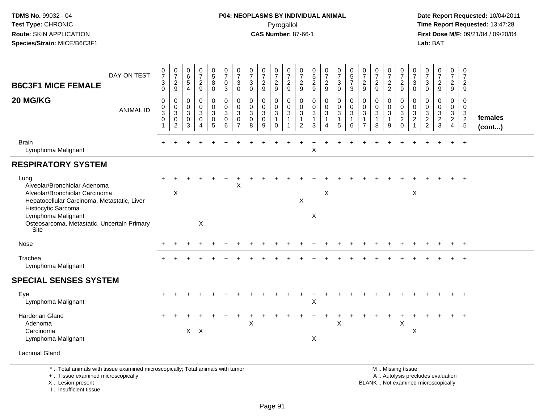# **P04: NEOPLASMS BY INDIVIDUAL ANIMAL**Pyrogallol **Time Report Requested:** 13:47:28

| DAY ON TEST<br><b>B6C3F1 MICE FEMALE</b>                                                                                                                              | $\frac{0}{7}$<br>$\ensuremath{\mathsf{3}}$<br>$\mathbf 0$ | $\frac{0}{7}$<br>$\frac{2}{9}$                                                    | $\begin{array}{c} 0 \\ 6 \end{array}$<br>$\overline{5}$<br>$\overline{4}$ | $\frac{0}{7}$<br>$\frac{2}{9}$                                 | $\begin{array}{c} 0 \\ 5 \end{array}$<br>8<br>$\mathbf 0$ | $\frac{0}{7}$<br>$\pmb{0}$<br>$\mathbf{3}$        | $\frac{0}{7}$<br>$\ensuremath{\mathsf{3}}$<br>$\mathbf 0$        | $\begin{array}{c} 0 \\ 7 \end{array}$<br>$\ensuremath{\mathsf{3}}$<br>$\mathbf 0$ | $\frac{0}{7}$<br>$\frac{2}{9}$                   | $\frac{0}{7}$<br>$\sqrt{2}$<br>9                            | $\frac{0}{7}$<br>$\boldsymbol{2}$<br>9     | $\frac{0}{7}$<br>$\frac{2}{9}$                            | $0$<br>$5$<br>$2$<br>$9$                                               | $\frac{0}{7}$<br>$\sqrt{2}$<br>9                      | $\frac{0}{7}$<br>3<br>$\mathbf 0$                                                         | $\begin{array}{c} 0 \\ 5 \\ 7 \end{array}$<br>3               | $\frac{0}{7}$<br>$\overline{2}$<br>9                              | $\frac{0}{7}$<br>$\frac{2}{9}$                      | $\frac{0}{7}$<br>$\frac{2}{2}$                              | $\frac{0}{7}$<br>$\overline{c}$<br>9                           | $\frac{0}{7}$<br>3<br>$\mathbf 0$         | $\frac{0}{7}$<br>$\ensuremath{\mathsf{3}}$<br>$\mathbf 0$ | $\frac{0}{7}$<br>$\frac{2}{9}$                                           | $\begin{array}{c} 0 \\ 7 \end{array}$<br>$\overline{a}$<br>9 | $\overline{0}$<br>$\overline{7}$<br>$\overline{2}$<br>9 |                         |
|-----------------------------------------------------------------------------------------------------------------------------------------------------------------------|-----------------------------------------------------------|-----------------------------------------------------------------------------------|---------------------------------------------------------------------------|----------------------------------------------------------------|-----------------------------------------------------------|---------------------------------------------------|------------------------------------------------------------------|-----------------------------------------------------------------------------------|--------------------------------------------------|-------------------------------------------------------------|--------------------------------------------|-----------------------------------------------------------|------------------------------------------------------------------------|-------------------------------------------------------|-------------------------------------------------------------------------------------------|---------------------------------------------------------------|-------------------------------------------------------------------|-----------------------------------------------------|-------------------------------------------------------------|----------------------------------------------------------------|-------------------------------------------|-----------------------------------------------------------|--------------------------------------------------------------------------|--------------------------------------------------------------|---------------------------------------------------------|-------------------------|
| 20 MG/KG<br><b>ANIMAL ID</b>                                                                                                                                          | $\mathsf 0$<br>$\mathbf 0$<br>3<br>$\mathsf 0$            | $\mathbf 0$<br>$\mathbf 0$<br>$\sqrt{3}$<br>$\mathsf{O}\xspace$<br>$\overline{2}$ | $\mathbf 0$<br>$\mathbf 0$<br>$\mathbf{3}$<br>$\mathbf 0$<br>3            | $\pmb{0}$<br>$\mathbf 0$<br>3<br>$\mathbf 0$<br>$\overline{4}$ | 0<br>$\mathbf 0$<br>$\sqrt{3}$<br>$\pmb{0}$<br>$\sqrt{5}$ | $\mathbf 0$<br>$\mathbf 0$<br>3<br>$\pmb{0}$<br>6 | $\mathbf 0$<br>$\mathbf 0$<br>3<br>$\mathbf 0$<br>$\overline{7}$ | $\mathbf 0$<br>$\Omega$<br>3<br>$\mathbf 0$<br>8                                  | 0<br>$\mathbf 0$<br>$\sqrt{3}$<br>$\pmb{0}$<br>9 | $\pmb{0}$<br>$\mathbf 0$<br>$\sqrt{3}$<br>$\mathbf{1}$<br>0 | 0<br>$\mathbf 0$<br>3<br>$\mathbf{1}$<br>1 | 0<br>$\mathbf 0$<br>3<br>$\mathbf{1}$<br>$\boldsymbol{2}$ | $\pmb{0}$<br>$\mathbf 0$<br>$\sqrt{3}$<br>$\mathbf{1}$<br>$\mathbf{3}$ | 0<br>$\mathbf 0$<br>$\mathbf{3}$<br>$\mathbf{1}$<br>4 | $\mathbf 0$<br>$\mathbf 0$<br>$\ensuremath{\mathsf{3}}$<br>$\mathbf{1}$<br>$\overline{5}$ | $\mathbf 0$<br>$\mathbf 0$<br>$\sqrt{3}$<br>$\mathbf{1}$<br>6 | $\mathbf 0$<br>$\mathbf 0$<br>3<br>$\mathbf{1}$<br>$\overline{7}$ | 0<br>$\mathbf 0$<br>$\sqrt{3}$<br>$\mathbf{1}$<br>8 | 0<br>$\boldsymbol{0}$<br>$\mathbf 3$<br>$\overline{1}$<br>9 | 0<br>$\mathbf 0$<br>$\ensuremath{\mathsf{3}}$<br>$\frac{2}{0}$ | 0<br>$\mathbf 0$<br>3<br>$\boldsymbol{2}$ | 0<br>$\mathbf 0$<br>$\sqrt{3}$<br>$\frac{2}{2}$           | 0<br>$\mathbf 0$<br>$\ensuremath{\mathsf{3}}$<br>$\frac{2}{3}$           | 0<br>$\overline{0}$<br>$\frac{3}{2}$<br>4                    | $\mathbf 0$<br>$\mathbf 0$<br>$\frac{3}{2}$             | females<br>$($ cont $)$ |
| <b>Brain</b><br>Lymphoma Malignant                                                                                                                                    |                                                           |                                                                                   |                                                                           |                                                                |                                                           |                                                   |                                                                  |                                                                                   |                                                  |                                                             |                                            |                                                           | X                                                                      |                                                       |                                                                                           |                                                               |                                                                   |                                                     |                                                             |                                                                |                                           |                                                           |                                                                          |                                                              | $\ddot{}$                                               |                         |
| <b>RESPIRATORY SYSTEM</b>                                                                                                                                             |                                                           |                                                                                   |                                                                           |                                                                |                                                           |                                                   |                                                                  |                                                                                   |                                                  |                                                             |                                            |                                                           |                                                                        |                                                       |                                                                                           |                                                               |                                                                   |                                                     |                                                             |                                                                |                                           |                                                           |                                                                          |                                                              |                                                         |                         |
| Lung<br>Alveolar/Bronchiolar Adenoma<br>Alveolar/Bronchiolar Carcinoma<br>Hepatocellular Carcinoma, Metastatic, Liver<br>Histiocytic Sarcoma<br>Lymphoma Malignant    |                                                           | $\mathsf X$                                                                       |                                                                           |                                                                |                                                           |                                                   | X                                                                |                                                                                   |                                                  |                                                             |                                            | $\pmb{\times}$                                            | X                                                                      | X                                                     |                                                                                           |                                                               |                                                                   |                                                     |                                                             |                                                                | X                                         |                                                           |                                                                          |                                                              |                                                         |                         |
| Osteosarcoma, Metastatic, Uncertain Primary<br>Site                                                                                                                   |                                                           |                                                                                   |                                                                           | X                                                              |                                                           |                                                   |                                                                  |                                                                                   |                                                  |                                                             |                                            |                                                           |                                                                        |                                                       |                                                                                           |                                                               |                                                                   |                                                     |                                                             |                                                                |                                           |                                                           |                                                                          |                                                              |                                                         |                         |
| Nose                                                                                                                                                                  |                                                           |                                                                                   |                                                                           |                                                                |                                                           |                                                   |                                                                  |                                                                                   |                                                  |                                                             |                                            |                                                           |                                                                        |                                                       |                                                                                           |                                                               |                                                                   |                                                     |                                                             |                                                                |                                           |                                                           |                                                                          |                                                              |                                                         |                         |
| Trachea<br>Lymphoma Malignant                                                                                                                                         |                                                           |                                                                                   |                                                                           |                                                                |                                                           |                                                   |                                                                  |                                                                                   |                                                  |                                                             |                                            |                                                           |                                                                        |                                                       |                                                                                           |                                                               |                                                                   |                                                     |                                                             |                                                                |                                           |                                                           |                                                                          |                                                              |                                                         |                         |
| <b>SPECIAL SENSES SYSTEM</b>                                                                                                                                          |                                                           |                                                                                   |                                                                           |                                                                |                                                           |                                                   |                                                                  |                                                                                   |                                                  |                                                             |                                            |                                                           |                                                                        |                                                       |                                                                                           |                                                               |                                                                   |                                                     |                                                             |                                                                |                                           |                                                           |                                                                          |                                                              |                                                         |                         |
| Eye<br>Lymphoma Malignant                                                                                                                                             |                                                           |                                                                                   |                                                                           |                                                                |                                                           |                                                   |                                                                  |                                                                                   |                                                  |                                                             |                                            |                                                           | X                                                                      |                                                       |                                                                                           |                                                               |                                                                   |                                                     |                                                             |                                                                |                                           |                                                           |                                                                          |                                                              | $+$                                                     |                         |
| Harderian Gland                                                                                                                                                       |                                                           |                                                                                   |                                                                           |                                                                |                                                           |                                                   |                                                                  | X                                                                                 |                                                  |                                                             |                                            |                                                           |                                                                        | $\ddot{}$                                             | $\times$                                                                                  |                                                               |                                                                   |                                                     |                                                             | $\times$                                                       |                                           |                                                           |                                                                          |                                                              |                                                         |                         |
| Adenoma<br>Carcinoma<br>Lymphoma Malignant                                                                                                                            |                                                           |                                                                                   |                                                                           | $X$ $X$                                                        |                                                           |                                                   |                                                                  |                                                                                   |                                                  |                                                             |                                            |                                                           | X                                                                      |                                                       |                                                                                           |                                                               |                                                                   |                                                     |                                                             |                                                                | X                                         |                                                           |                                                                          |                                                              |                                                         |                         |
| <b>Lacrimal Gland</b>                                                                                                                                                 |                                                           |                                                                                   |                                                                           |                                                                |                                                           |                                                   |                                                                  |                                                                                   |                                                  |                                                             |                                            |                                                           |                                                                        |                                                       |                                                                                           |                                                               |                                                                   |                                                     |                                                             |                                                                |                                           |                                                           |                                                                          |                                                              |                                                         |                         |
| *  Total animals with tissue examined microscopically; Total animals with tumor<br>+  Tissue examined microscopically<br>X  Lesion present<br>I., Insufficient tissue |                                                           |                                                                                   |                                                                           |                                                                |                                                           |                                                   |                                                                  |                                                                                   |                                                  |                                                             |                                            |                                                           |                                                                        |                                                       |                                                                                           |                                                               |                                                                   |                                                     |                                                             | M  Missing tissue                                              |                                           |                                                           | A  Autolysis precludes evaluation<br>BLANK  Not examined microscopically |                                                              |                                                         |                         |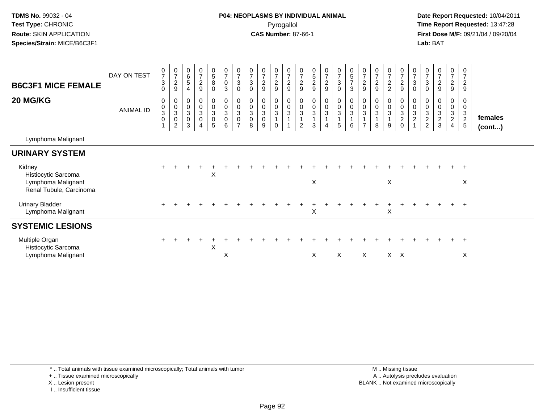**Date Report Requested:** 10/04/2011 **First Dose M/F:** 09/21/04 / 09/20/04<br>**Lab:** BAT **Lab:** BAT

| <b>B6C3F1 MICE FEMALE</b><br>20 MG/KG                                          | DAY ON TEST<br>ANIMAL ID | $\frac{0}{7}$<br>3<br>0<br>0<br>0<br>3<br>0 | $\frac{0}{7}$<br>$\overline{c}$<br>$\boldsymbol{9}$<br>$\mathbf 0$<br>$\frac{0}{3}$<br>$\pmb{0}$<br>$\overline{2}$ | 0<br>$\,6$<br>5<br>4<br>$\mathbf 0$<br>$\boldsymbol{0}$<br>3<br>0<br>3 | $\pmb{0}$<br>$\overline{7}$<br>$\boldsymbol{2}$<br>9<br>0<br>$\mathbf 0$<br>$\overline{3}$<br>$\pmb{0}$ | $\mathbf 0$<br>$\frac{5}{8}$<br>$\mathbf 0$<br>0<br>$\frac{0}{3}$<br>$\mathsf{O}\xspace$<br>5 | $\frac{0}{7}$<br>$\mathsf{O}$<br>3<br>0<br>$\frac{0}{3}$<br>0<br>6 | $\pmb{0}$<br>$\overline{7}$<br>$\sqrt{3}$<br>$\pmb{0}$<br>$\begin{smallmatrix}0\\0\\3\end{smallmatrix}$<br>$\pmb{0}$<br>$\overline{z}$ | 0<br>$\overline{7}$<br>$\sqrt{3}$<br>$\mathbf 0$<br>0<br>$\pmb{0}$<br>$\sqrt{3}$<br>0<br>8 | 0<br>$\overline{7}$<br>$\overline{2}$<br>9<br>0<br>$\pmb{0}$<br>$\mathbf{3}$<br>$\mathbf 0$<br>9 | 0<br>$\overline{7}$<br>$\overline{c}$<br>9<br>0<br>$\mathbf 0$<br>3<br>$\Omega$ | $\frac{0}{7}$<br>$\overline{c}$<br>$\boldsymbol{9}$<br>$\pmb{0}$<br>$\overline{0}$<br>3 | 0<br>$\overline{7}$<br>$\overline{c}$<br>$9\,$<br>$\begin{smallmatrix} 0\\0\\3 \end{smallmatrix}$<br>$\mathbf{1}$<br>2 | 0<br>$\,$ 5 $\,$<br>$\overline{c}$<br>9<br>0<br>0<br>3<br>3 | $\begin{smallmatrix}0\\7\end{smallmatrix}$<br>$\sqrt{2}$<br>$\boldsymbol{9}$<br>$\begin{smallmatrix}0\\0\\3\end{smallmatrix}$<br>4 | $\frac{0}{7}$<br>3<br>0<br>0<br>$\frac{0}{3}$<br>5 | $\begin{array}{c} 0 \\ 5 \\ 7 \end{array}$<br>$\sqrt{3}$<br>$\begin{smallmatrix}0\\0\\3\end{smallmatrix}$<br>$\overline{1}$<br>6 | 0<br>$\overline{7}$<br>$\boldsymbol{2}$<br>9<br>0<br>$\mathbf 0$<br>3<br>$\overline{ }$ | $\frac{0}{7}$<br>$\overline{c}$<br>9<br>$\pmb{0}$<br>$\pmb{0}$<br>$\overline{3}$<br>8 | $\frac{0}{7}$<br>$\overline{c}$<br>$\overline{2}$<br>0<br>$\pmb{0}$<br>3<br>9 | $\frac{0}{7}$<br>$\overline{a}$<br>9<br>$\begin{smallmatrix} 0\\0\\3 \end{smallmatrix}$<br>$\overline{c}$<br>$\Omega$ | 0<br>$\overline{7}$<br>$\sqrt{3}$<br>$\mathbf 0$<br>0<br>$\mathbf 0$<br>$\overline{3}$<br>$\boldsymbol{2}$ | 0<br>$\overline{7}$<br>$\mathbf{3}$<br>0<br>0<br>$_{3}^{\rm 0}$<br>$\frac{2}{2}$ | $\frac{0}{7}$<br>$\overline{2}$<br>9<br>0<br>$\pmb{0}$<br>$\sqrt{3}$<br>$\boldsymbol{2}$<br>3 | 0<br>$\overline{7}$<br>$\overline{2}$<br>9<br>0<br>$\pmb{0}$<br>$\sqrt{3}$<br>$\overline{c}$<br>$\overline{4}$ | 0<br>$\overline{7}$<br>$\overline{2}$<br>$\boldsymbol{9}$<br>0<br>$\mathbf 0$<br>$\frac{3}{2}$<br>$\overline{5}$ | females<br>(cont) |
|--------------------------------------------------------------------------------|--------------------------|---------------------------------------------|--------------------------------------------------------------------------------------------------------------------|------------------------------------------------------------------------|---------------------------------------------------------------------------------------------------------|-----------------------------------------------------------------------------------------------|--------------------------------------------------------------------|----------------------------------------------------------------------------------------------------------------------------------------|--------------------------------------------------------------------------------------------|--------------------------------------------------------------------------------------------------|---------------------------------------------------------------------------------|-----------------------------------------------------------------------------------------|------------------------------------------------------------------------------------------------------------------------|-------------------------------------------------------------|------------------------------------------------------------------------------------------------------------------------------------|----------------------------------------------------|----------------------------------------------------------------------------------------------------------------------------------|-----------------------------------------------------------------------------------------|---------------------------------------------------------------------------------------|-------------------------------------------------------------------------------|-----------------------------------------------------------------------------------------------------------------------|------------------------------------------------------------------------------------------------------------|----------------------------------------------------------------------------------|-----------------------------------------------------------------------------------------------|----------------------------------------------------------------------------------------------------------------|------------------------------------------------------------------------------------------------------------------|-------------------|
| Lymphoma Malignant                                                             |                          |                                             |                                                                                                                    |                                                                        |                                                                                                         |                                                                                               |                                                                    |                                                                                                                                        |                                                                                            |                                                                                                  |                                                                                 |                                                                                         |                                                                                                                        |                                                             |                                                                                                                                    |                                                    |                                                                                                                                  |                                                                                         |                                                                                       |                                                                               |                                                                                                                       |                                                                                                            |                                                                                  |                                                                                               |                                                                                                                |                                                                                                                  |                   |
| <b>URINARY SYSTEM</b>                                                          |                          |                                             |                                                                                                                    |                                                                        |                                                                                                         |                                                                                               |                                                                    |                                                                                                                                        |                                                                                            |                                                                                                  |                                                                                 |                                                                                         |                                                                                                                        |                                                             |                                                                                                                                    |                                                    |                                                                                                                                  |                                                                                         |                                                                                       |                                                                               |                                                                                                                       |                                                                                                            |                                                                                  |                                                                                               |                                                                                                                |                                                                                                                  |                   |
| Kidney<br>Histiocytic Sarcoma<br>Lymphoma Malignant<br>Renal Tubule, Carcinoma |                          | +                                           |                                                                                                                    |                                                                        |                                                                                                         | X                                                                                             |                                                                    |                                                                                                                                        |                                                                                            |                                                                                                  |                                                                                 |                                                                                         |                                                                                                                        | X                                                           |                                                                                                                                    |                                                    |                                                                                                                                  |                                                                                         |                                                                                       | X                                                                             |                                                                                                                       |                                                                                                            |                                                                                  |                                                                                               | ÷                                                                                                              | $\ddot{}$<br>X                                                                                                   |                   |
| <b>Urinary Bladder</b><br>Lymphoma Malignant                                   |                          |                                             |                                                                                                                    |                                                                        |                                                                                                         |                                                                                               |                                                                    |                                                                                                                                        |                                                                                            |                                                                                                  |                                                                                 |                                                                                         |                                                                                                                        | X                                                           |                                                                                                                                    |                                                    |                                                                                                                                  |                                                                                         |                                                                                       | X                                                                             |                                                                                                                       |                                                                                                            |                                                                                  |                                                                                               | $\ddot{}$                                                                                                      | $+$                                                                                                              |                   |
| <b>SYSTEMIC LESIONS</b>                                                        |                          |                                             |                                                                                                                    |                                                                        |                                                                                                         |                                                                                               |                                                                    |                                                                                                                                        |                                                                                            |                                                                                                  |                                                                                 |                                                                                         |                                                                                                                        |                                                             |                                                                                                                                    |                                                    |                                                                                                                                  |                                                                                         |                                                                                       |                                                                               |                                                                                                                       |                                                                                                            |                                                                                  |                                                                                               |                                                                                                                |                                                                                                                  |                   |
| Multiple Organ<br>Histiocytic Sarcoma<br>Lymphoma Malignant                    |                          |                                             |                                                                                                                    |                                                                        |                                                                                                         | X                                                                                             | X                                                                  |                                                                                                                                        |                                                                                            |                                                                                                  |                                                                                 |                                                                                         |                                                                                                                        | X                                                           |                                                                                                                                    | X                                                  |                                                                                                                                  | X                                                                                       |                                                                                       |                                                                               | $X$ $X$                                                                                                               |                                                                                                            |                                                                                  |                                                                                               |                                                                                                                | $\ddot{}$<br>X                                                                                                   |                   |

\* .. Total animals with tissue examined microscopically; Total animals with tumor

+ .. Tissue examined microscopically

X .. Lesion present

I .. Insufficient tissue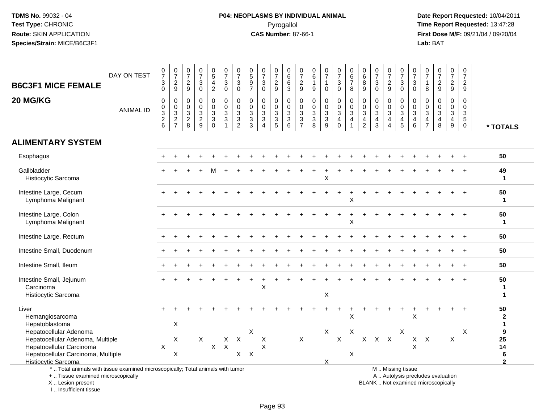# **P04: NEOPLASMS BY INDIVIDUAL ANIMAL**Pyrogallol **Time Report Requested:** 13:47:28

 **Date Report Requested:** 10/04/2011 **First Dose M/F:** 09/21/04 / 09/20/04<br>Lab: BAT **Lab:** BAT

| <b>B6C3F1 MICE FEMALE</b>                                                                                                                  | DAY ON TEST      | $\begin{array}{c} 0 \\ 7 \end{array}$<br>3<br>$\mathsf 0$ | $\begin{array}{c} 0 \\ 7 \end{array}$<br>$\frac{2}{9}$ | $\frac{0}{7}$<br>$\overline{\mathbf{c}}$<br>$9\,$   | $\begin{array}{c} 0 \\ 7 \end{array}$<br>$\sqrt{3}$<br>$\mathbf 0$ | $\begin{array}{c} 0 \\ 5 \end{array}$<br>$\overline{4}$<br>$\overline{c}$ | $\begin{smallmatrix}0\\7\end{smallmatrix}$<br>$\ensuremath{\mathsf{3}}$<br>$\mathbf 0$ | $\begin{array}{c} 0 \\ 7 \end{array}$<br>$\ensuremath{\mathsf{3}}$<br>$\mathbf 0$ | $\pmb{0}$<br>$\overline{5}$<br>$\boldsymbol{9}$<br>$\overline{7}$ | $\frac{0}{7}$<br>$\ensuremath{\mathsf{3}}$<br>$\mathbf 0$ | $\frac{0}{7}$<br>$\frac{2}{9}$    | $_{6}^{\rm 0}$<br>$\frac{6}{3}$              | $\frac{0}{7}$<br>$\frac{2}{9}$    | $\mathbf 0$<br>6<br>$\mathbf{1}$<br>9     | $\begin{array}{c} 0 \\ 7 \end{array}$<br>$\mathbf{1}$<br>$\mathbf 0$ | $\frac{0}{7}$<br>3<br>0                                        | $_{6}^{\rm 0}$<br>$\boldsymbol{7}$<br>8                              | $\begin{array}{c} 0 \\ 6 \end{array}$<br>8<br>9                                         | $\frac{0}{7}$<br>$\sqrt{3}$<br>0                                               | $\begin{array}{c} 0 \\ 7 \end{array}$<br>$\frac{2}{9}$                                | $\frac{0}{7}$<br>3<br>$\mathbf 0$ | $\frac{0}{7}$<br>$\ensuremath{\mathsf{3}}$<br>$\mathbf 0$                    | 0<br>$\overline{7}$<br>1<br>8                                  | $\begin{array}{c} 0 \\ 7 \end{array}$<br>$\boldsymbol{2}$<br>$9\,$       | $\begin{array}{c} 0 \\ 7 \end{array}$<br>$\overline{c}$<br>$\boldsymbol{9}$ | $\mathbf 0$<br>$\overline{7}$<br>$\frac{2}{9}$                     |                                           |
|--------------------------------------------------------------------------------------------------------------------------------------------|------------------|-----------------------------------------------------------|--------------------------------------------------------|-----------------------------------------------------|--------------------------------------------------------------------|---------------------------------------------------------------------------|----------------------------------------------------------------------------------------|-----------------------------------------------------------------------------------|-------------------------------------------------------------------|-----------------------------------------------------------|-----------------------------------|----------------------------------------------|-----------------------------------|-------------------------------------------|----------------------------------------------------------------------|----------------------------------------------------------------|----------------------------------------------------------------------|-----------------------------------------------------------------------------------------|--------------------------------------------------------------------------------|---------------------------------------------------------------------------------------|-----------------------------------|------------------------------------------------------------------------------|----------------------------------------------------------------|--------------------------------------------------------------------------|-----------------------------------------------------------------------------|--------------------------------------------------------------------|-------------------------------------------|
| 20 MG/KG                                                                                                                                   | <b>ANIMAL ID</b> | 0<br>$\pmb{0}$<br>$\frac{3}{2}$ 6                         | $\pmb{0}$<br>$\frac{0}{2}$<br>$\frac{3}{7}$            | 0<br>0<br>$\ensuremath{\mathsf{3}}$<br>$^2_{\bf 8}$ | $\mathbf 0$<br>$\pmb{0}$<br>$\sqrt{3}$<br>$\frac{2}{9}$            | $\pmb{0}$<br>$\pmb{0}$<br>$\frac{3}{3}$<br>$\Omega$                       | 0<br>$\mathsf{O}\xspace$<br>$\mathbf{3}$<br>$\overline{3}$                             | $\boldsymbol{0}$<br>$\pmb{0}$<br>$\frac{3}{2}$                                    | $\mathbf 0$<br>$\mathbf 0$<br>3<br>$\sqrt{3}$<br>$\overline{3}$   | $\mathbf 0$<br>$\pmb{0}$<br>$\mathbf{3}$<br>$\frac{3}{4}$ | 0<br>$\mathbf 0$<br>$\frac{3}{3}$ | $\pmb{0}$<br>$\pmb{0}$<br>$\frac{3}{3}$<br>6 | 0<br>$\mathbf 0$<br>$\frac{3}{3}$ | $\mathbf 0$<br>$\pmb{0}$<br>$\frac{3}{8}$ | $\mathbf 0$<br>$\mathbf 0$<br>$\frac{3}{9}$                          | 0<br>$\mathsf{O}\xspace$<br>3<br>$\overline{4}$<br>$\mathbf 0$ | $\pmb{0}$<br>$\overline{0}$<br>3<br>$\overline{4}$<br>$\overline{1}$ | $\pmb{0}$<br>$\pmb{0}$<br>$\ensuremath{\mathsf{3}}$<br>$\overline{4}$<br>$\overline{2}$ | 0<br>0<br>$\ensuremath{\mathsf{3}}$<br>$\overline{\mathbf{4}}$<br>$\mathbf{3}$ | $\mathbf 0$<br>$\mathbf 0$<br>$\mathbf 3$<br>$\overline{4}$<br>$\boldsymbol{\Lambda}$ | 0<br>$\mathbf 0$<br>3<br>4<br>5   | $\mathbf 0$<br>$\mathbf 0$<br>$\sqrt{3}$<br>$\overline{4}$<br>$6\phantom{a}$ | $\Omega$<br>$\mathbf 0$<br>$\mathbf{3}$<br>4<br>$\overline{7}$ | $\mathbf 0$<br>$\Omega$<br>$\sqrt{3}$<br>4<br>8                          | $\mathbf 0$<br>$\mathbf 0$<br>3<br>$\overline{4}$<br>$\boldsymbol{9}$       | $\mathbf 0$<br>$\mathbf 0$<br>$\frac{3}{5}$<br>$\ddot{\mathbf{0}}$ | * TOTALS                                  |
| <b>ALIMENTARY SYSTEM</b>                                                                                                                   |                  |                                                           |                                                        |                                                     |                                                                    |                                                                           |                                                                                        |                                                                                   |                                                                   |                                                           |                                   |                                              |                                   |                                           |                                                                      |                                                                |                                                                      |                                                                                         |                                                                                |                                                                                       |                                   |                                                                              |                                                                |                                                                          |                                                                             |                                                                    |                                           |
| Esophagus                                                                                                                                  |                  |                                                           |                                                        |                                                     |                                                                    |                                                                           |                                                                                        |                                                                                   |                                                                   |                                                           |                                   |                                              |                                   |                                           |                                                                      |                                                                |                                                                      |                                                                                         |                                                                                |                                                                                       |                                   |                                                                              |                                                                |                                                                          |                                                                             |                                                                    | 50                                        |
| Gallbladder<br>Histiocytic Sarcoma                                                                                                         |                  |                                                           |                                                        |                                                     |                                                                    |                                                                           |                                                                                        |                                                                                   |                                                                   |                                                           |                                   |                                              |                                   |                                           | Χ                                                                    |                                                                |                                                                      |                                                                                         |                                                                                |                                                                                       |                                   |                                                                              |                                                                |                                                                          |                                                                             |                                                                    | 49<br>$\mathbf 1$                         |
| Intestine Large, Cecum<br>Lymphoma Malignant                                                                                               |                  |                                                           |                                                        |                                                     |                                                                    |                                                                           |                                                                                        |                                                                                   |                                                                   |                                                           |                                   |                                              |                                   |                                           |                                                                      |                                                                | Χ                                                                    |                                                                                         |                                                                                |                                                                                       |                                   |                                                                              |                                                                |                                                                          |                                                                             |                                                                    | 50<br>$\blacktriangleleft$                |
| Intestine Large, Colon<br>Lymphoma Malignant                                                                                               |                  |                                                           |                                                        |                                                     |                                                                    |                                                                           |                                                                                        |                                                                                   |                                                                   |                                                           |                                   |                                              |                                   |                                           |                                                                      |                                                                | X                                                                    |                                                                                         |                                                                                |                                                                                       |                                   |                                                                              |                                                                |                                                                          |                                                                             |                                                                    | 50<br>$\mathbf{1}$                        |
| Intestine Large, Rectum                                                                                                                    |                  |                                                           |                                                        |                                                     |                                                                    |                                                                           |                                                                                        |                                                                                   |                                                                   |                                                           |                                   |                                              |                                   |                                           |                                                                      |                                                                |                                                                      |                                                                                         |                                                                                |                                                                                       |                                   |                                                                              |                                                                |                                                                          |                                                                             |                                                                    | 50                                        |
| Intestine Small, Duodenum                                                                                                                  |                  |                                                           |                                                        |                                                     |                                                                    |                                                                           |                                                                                        |                                                                                   |                                                                   |                                                           |                                   |                                              |                                   |                                           |                                                                      |                                                                |                                                                      |                                                                                         |                                                                                |                                                                                       |                                   |                                                                              |                                                                |                                                                          |                                                                             |                                                                    | 50                                        |
| Intestine Small, Ileum                                                                                                                     |                  |                                                           |                                                        |                                                     |                                                                    |                                                                           |                                                                                        |                                                                                   |                                                                   |                                                           |                                   |                                              |                                   |                                           |                                                                      |                                                                |                                                                      |                                                                                         |                                                                                |                                                                                       |                                   |                                                                              |                                                                |                                                                          |                                                                             |                                                                    | 50                                        |
| Intestine Small, Jejunum<br>Carcinoma<br>Histiocytic Sarcoma                                                                               |                  |                                                           |                                                        |                                                     |                                                                    |                                                                           |                                                                                        |                                                                                   |                                                                   | $\pmb{\times}$                                            |                                   |                                              |                                   |                                           | X                                                                    |                                                                |                                                                      |                                                                                         |                                                                                |                                                                                       |                                   |                                                                              |                                                                |                                                                          |                                                                             |                                                                    | 50<br>$\mathbf 1$<br>$\blacktriangleleft$ |
| Liver<br>Hemangiosarcoma<br>Hepatoblastoma                                                                                                 |                  |                                                           | X                                                      |                                                     |                                                                    |                                                                           |                                                                                        |                                                                                   |                                                                   |                                                           |                                   |                                              |                                   |                                           |                                                                      |                                                                | X                                                                    |                                                                                         |                                                                                |                                                                                       |                                   | X                                                                            |                                                                |                                                                          |                                                                             |                                                                    | 50<br>$\boldsymbol{2}$<br>1               |
| Hepatocellular Adenoma<br>Hepatocellular Adenoma, Multiple<br>Hepatocellular Carcinoma                                                     |                  | $\mathsf X$                                               | X                                                      |                                                     | $\times$                                                           | X                                                                         | $\mathsf{X}$<br>$\boldsymbol{\mathsf{X}}$                                              | $\times$                                                                          | $\times$                                                          | X<br>X                                                    |                                   |                                              | $\times$                          |                                           | X                                                                    | $\times$                                                       | X                                                                    | X                                                                                       |                                                                                | $X$ $X$                                                                               | X                                 | X<br>$\sf X$                                                                 | $\mathsf{X}$                                                   |                                                                          | X                                                                           | X                                                                  | 9<br>25<br>14                             |
| Hepatocellular Carcinoma, Multiple<br><b>Histiocytic Sarcoma</b>                                                                           |                  |                                                           | X                                                      |                                                     |                                                                    |                                                                           |                                                                                        | X                                                                                 | $\times$                                                          |                                                           |                                   |                                              |                                   |                                           | X                                                                    |                                                                | X                                                                    |                                                                                         |                                                                                |                                                                                       |                                   |                                                                              |                                                                |                                                                          |                                                                             |                                                                    | 6<br>$\mathbf{c}$                         |
| *  Total animals with tissue examined microscopically; Total animals with tumor<br>+  Tissue examined microscopically<br>X  Lesion present |                  |                                                           |                                                        |                                                     |                                                                    |                                                                           |                                                                                        |                                                                                   |                                                                   |                                                           |                                   |                                              |                                   |                                           |                                                                      |                                                                |                                                                      |                                                                                         |                                                                                |                                                                                       | M  Missing tissue                 |                                                                              |                                                                | A  Autolysis precludes evaluation<br>BLANK  Not examined microscopically |                                                                             |                                                                    |                                           |

I .. Insufficient tissue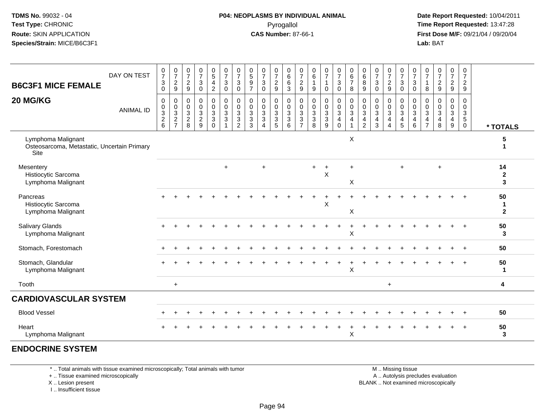**Date Report Requested:** 10/04/2011 **First Dose M/F:** 09/21/04 / 09/20/04<br>**Lab:** BAT **Lab:** BAT

| <b>B6C3F1 MICE FEMALE</b>                                                 | DAY ON TEST      | 0<br>$\overline{7}$<br>3<br>$\mathbf 0$ | $\frac{0}{7}$<br>$\frac{2}{9}$ | $\frac{0}{7}$<br>$\frac{2}{9}$                                 | $\frac{0}{7}$<br>$\mathbf{3}$<br>$\mathbf 0$               | $\begin{array}{c} 0 \\ 5 \end{array}$<br>$\overline{4}$<br>$\overline{c}$ | $\frac{0}{7}$<br>$\mathsf 3$<br>$\mathsf{O}\xspace$      | $\frac{0}{7}$<br>3<br>$\mathbf 0$                               | 0<br>$\sqrt{5}$<br>9<br>$\overline{7}$  | $\frac{0}{7}$<br>$\ensuremath{\mathsf{3}}$<br>$\mathbf 0$                              | $\frac{0}{7}$<br>$\frac{2}{9}$                                                  | 0<br>$\,6\,$<br>$6\phantom{1}6$<br>$\mathbf{3}$                     | 0<br>$\overline{7}$<br>$\overline{c}$<br>$\boldsymbol{9}$                    | 0<br>$\,6\,$<br>1<br>9                                                       | $\frac{0}{7}$<br>1<br>$\mathbf 0$                         | 0<br>$\overline{7}$<br>$\mathsf 3$<br>$\mathbf 0$ | 0<br>$\,6$<br>$\boldsymbol{7}$<br>8                                              | $\pmb{0}$<br>$\,6\,$<br>8<br>$\boldsymbol{9}$                                | $\frac{0}{7}$<br>$\ensuremath{\mathsf{3}}$<br>$\mathbf 0$ | $\frac{0}{7}$<br>$\overline{c}$<br>9                                           | 0<br>$\overline{7}$<br>$\ensuremath{\mathsf{3}}$<br>$\pmb{0}$ | $\frac{0}{7}$<br>$\ensuremath{\mathsf{3}}$<br>$\mathbf 0$           | $\frac{0}{7}$<br>8                                                 | $\frac{0}{7}$<br>$\sqrt{2}$<br>$\boldsymbol{9}$               | $\frac{0}{7}$<br>$\frac{2}{9}$                                           | 0<br>$\overline{7}$<br>$\frac{2}{9}$             |                                   |
|---------------------------------------------------------------------------|------------------|-----------------------------------------|--------------------------------|----------------------------------------------------------------|------------------------------------------------------------|---------------------------------------------------------------------------|----------------------------------------------------------|-----------------------------------------------------------------|-----------------------------------------|----------------------------------------------------------------------------------------|---------------------------------------------------------------------------------|---------------------------------------------------------------------|------------------------------------------------------------------------------|------------------------------------------------------------------------------|-----------------------------------------------------------|---------------------------------------------------|----------------------------------------------------------------------------------|------------------------------------------------------------------------------|-----------------------------------------------------------|--------------------------------------------------------------------------------|---------------------------------------------------------------|---------------------------------------------------------------------|--------------------------------------------------------------------|---------------------------------------------------------------|--------------------------------------------------------------------------|--------------------------------------------------|-----------------------------------|
| 20 MG/KG                                                                  | <b>ANIMAL ID</b> | $\mathbf 0$<br>0<br>$\frac{3}{2}$ 6     | $\,0\,$<br>$\frac{0}{2}$       | $\mathbf 0$<br>$\begin{array}{c} 0 \\ 3 \\ 2 \\ 8 \end{array}$ | $\pmb{0}$<br>$\mathbf 0$<br>$\mathbf 3$<br>$\sqrt{2}$<br>9 | 0<br>$\mathsf{O}\xspace$<br>$\overline{3}$<br>$\mathbf{3}$<br>$\Omega$    | $\pmb{0}$<br>$\frac{0}{3}$<br>$\sqrt{3}$<br>$\mathbf{1}$ | $\mathbf 0$<br>$\mathbf 0$<br>3<br>$\sqrt{3}$<br>$\overline{2}$ | 0<br>0<br>$\sqrt{3}$<br>$\sqrt{3}$<br>3 | $\mathbf 0$<br>$\pmb{0}$<br>$\overline{3}$<br>$\overline{3}$<br>$\boldsymbol{\Lambda}$ | 0<br>$\mathsf 0$<br>$\ensuremath{\mathsf{3}}$<br>$\ensuremath{\mathsf{3}}$<br>5 | $\mathbf 0$<br>$\mathbf 0$<br>$\overline{3}$<br>$\overline{3}$<br>6 | 0<br>$\mathsf{O}\xspace$<br>3<br>$\ensuremath{\mathsf{3}}$<br>$\overline{7}$ | $\mathbf 0$<br>$\pmb{0}$<br>$\overline{3}$<br>$\ensuremath{\mathsf{3}}$<br>8 | $\pmb{0}$<br>$\begin{array}{c}\n0 \\ 3 \\ 9\n\end{array}$ | 0<br>$_3^0$<br>$\overline{4}$<br>$\Omega$         | $\mathbf 0$<br>$\mathbf 0$<br>$\overline{3}$<br>$\overline{4}$<br>$\overline{ }$ | $\mathbf 0$<br>$\mathbf 0$<br>$\sqrt{3}$<br>$\overline{4}$<br>$\overline{2}$ | $\mathbf 0$<br>$_{3}^{\rm 0}$<br>$\overline{4}$<br>3      | 0<br>$\mathbf 0$<br>$\overline{3}$<br>$\overline{4}$<br>$\boldsymbol{\Lambda}$ | 0<br>$\frac{0}{4}$                                            | $\mathbf 0$<br>$\mathsf 0$<br>$\overline{3}$<br>$\overline{4}$<br>6 | $\mathbf 0$<br>0<br>$\sqrt{3}$<br>$\overline{4}$<br>$\overline{7}$ | $\mathbf 0$<br>$\mathbf 0$<br>$\overline{3}$<br>$\frac{4}{8}$ | $\mathbf 0$<br>$\mathbf 0$<br>$\sqrt{3}$<br>$\overline{\mathbf{4}}$<br>9 | 0<br>$\mathbf 0$<br>$\frac{3}{5}$<br>$\mathbf 0$ | * TOTALS                          |
| Lymphoma Malignant<br>Osteosarcoma, Metastatic, Uncertain Primary<br>Site |                  |                                         |                                |                                                                |                                                            |                                                                           |                                                          |                                                                 |                                         |                                                                                        |                                                                                 |                                                                     |                                                                              |                                                                              |                                                           |                                                   | $\boldsymbol{\mathsf{X}}$                                                        |                                                                              |                                                           |                                                                                |                                                               |                                                                     |                                                                    |                                                               |                                                                          |                                                  | 5                                 |
| Mesentery<br>Histiocytic Sarcoma<br>Lymphoma Malignant                    |                  |                                         |                                |                                                                |                                                            |                                                                           | $+$                                                      |                                                                 |                                         | $\overline{ }$                                                                         |                                                                                 |                                                                     |                                                                              | $+$                                                                          | $\ddot{}$<br>X                                            |                                                   | $\ddot{}$<br>$\boldsymbol{\mathsf{X}}$                                           |                                                                              |                                                           |                                                                                | $+$                                                           |                                                                     |                                                                    | $\ddot{}$                                                     |                                                                          |                                                  | 14<br>$\boldsymbol{2}$<br>3       |
| Pancreas<br>Histiocytic Sarcoma<br>Lymphoma Malignant                     |                  |                                         |                                |                                                                |                                                            |                                                                           |                                                          |                                                                 |                                         |                                                                                        |                                                                                 |                                                                     |                                                                              |                                                                              | X                                                         |                                                   | $\boldsymbol{\mathsf{X}}$                                                        |                                                                              |                                                           |                                                                                |                                                               |                                                                     |                                                                    |                                                               |                                                                          |                                                  | 50<br>$\mathbf 1$<br>$\mathbf{2}$ |
| <b>Salivary Glands</b><br>Lymphoma Malignant                              |                  |                                         |                                |                                                                |                                                            |                                                                           |                                                          |                                                                 |                                         |                                                                                        |                                                                                 |                                                                     |                                                                              |                                                                              |                                                           |                                                   | X                                                                                |                                                                              |                                                           |                                                                                |                                                               |                                                                     |                                                                    |                                                               |                                                                          |                                                  | 50<br>$\mathbf{3}$                |
| Stomach, Forestomach                                                      |                  |                                         |                                |                                                                |                                                            |                                                                           |                                                          |                                                                 |                                         |                                                                                        |                                                                                 |                                                                     |                                                                              |                                                                              |                                                           |                                                   |                                                                                  |                                                                              |                                                           |                                                                                |                                                               |                                                                     |                                                                    |                                                               |                                                                          |                                                  | 50                                |
| Stomach, Glandular<br>Lymphoma Malignant                                  |                  |                                         |                                |                                                                |                                                            |                                                                           |                                                          |                                                                 |                                         |                                                                                        |                                                                                 |                                                                     |                                                                              |                                                                              |                                                           |                                                   | X                                                                                |                                                                              |                                                           |                                                                                |                                                               |                                                                     |                                                                    |                                                               |                                                                          |                                                  | 50<br>$\mathbf 1$                 |
| Tooth                                                                     |                  |                                         | $+$                            |                                                                |                                                            |                                                                           |                                                          |                                                                 |                                         |                                                                                        |                                                                                 |                                                                     |                                                                              |                                                                              |                                                           |                                                   |                                                                                  |                                                                              |                                                           | $\ddot{}$                                                                      |                                                               |                                                                     |                                                                    |                                                               |                                                                          |                                                  | 4                                 |
| <b>CARDIOVASCULAR SYSTEM</b>                                              |                  |                                         |                                |                                                                |                                                            |                                                                           |                                                          |                                                                 |                                         |                                                                                        |                                                                                 |                                                                     |                                                                              |                                                                              |                                                           |                                                   |                                                                                  |                                                                              |                                                           |                                                                                |                                                               |                                                                     |                                                                    |                                                               |                                                                          |                                                  |                                   |
| <b>Blood Vessel</b>                                                       |                  |                                         |                                |                                                                |                                                            |                                                                           |                                                          |                                                                 |                                         |                                                                                        |                                                                                 |                                                                     |                                                                              |                                                                              |                                                           |                                                   |                                                                                  |                                                                              |                                                           |                                                                                |                                                               |                                                                     |                                                                    |                                                               |                                                                          |                                                  | 50                                |
| Heart<br>Lymphoma Malignant                                               |                  |                                         |                                |                                                                |                                                            |                                                                           |                                                          |                                                                 |                                         |                                                                                        |                                                                                 |                                                                     |                                                                              |                                                                              |                                                           |                                                   | X                                                                                |                                                                              |                                                           |                                                                                |                                                               |                                                                     |                                                                    |                                                               |                                                                          |                                                  | 50<br>3                           |

#### **ENDOCRINE SYSTEM**

\* .. Total animals with tissue examined microscopically; Total animals with tumor

+ .. Tissue examined microscopically

 Lesion present BLANK .. Not examined microscopicallyX .. Lesion present

I .. Insufficient tissue

 M .. Missing tissuey the contract of the contract of the contract of the contract of the contract of the contract of the contract of  $A$ . Autolysis precludes evaluation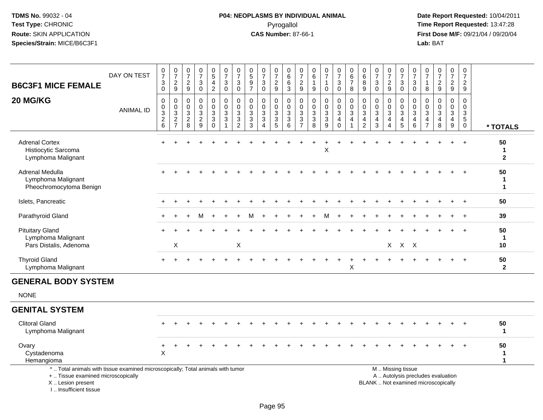# **P04: NEOPLASMS BY INDIVIDUAL ANIMAL**Pyrogallol **Time Report Requested:** 13:47:28

 **Date Report Requested:** 10/04/2011 **First Dose M/F:** 09/21/04 / 09/20/04<br>Lab: BAT **Lab:** BAT

| <b>B6C3F1 MICE FEMALE</b>                                                                                             | DAY ON TEST      | $\frac{0}{7}$<br>3<br>$\mathbf 0$                                   | $\frac{0}{7}$<br>$\frac{2}{9}$ | $\frac{0}{7}$<br>$\frac{2}{9}$    | $\frac{0}{7}$<br>$\sqrt{3}$<br>$\mathbf 0$                   | $\begin{smallmatrix} 0\\5 \end{smallmatrix}$<br>$\overline{\mathbf{4}}$<br>$\boldsymbol{2}$ | $\frac{0}{7}$<br>$\ensuremath{\mathsf{3}}$<br>$\mathbf 0$                       | $\frac{0}{7}$<br>3<br>$\mathbf 0$                               | $\pmb{0}$<br>$\sqrt{5}$<br>9<br>$\overline{7}$              | $\frac{0}{7}$<br>$\ensuremath{\mathsf{3}}$<br>$\mathbf 0$                       | $\frac{0}{7}$<br>$\sqrt{2}$<br>$9\,$                             | 0<br>$\,6\,$<br>6<br>3                                          | 0<br>$\overline{7}$<br>$\frac{2}{9}$                                                      | 0<br>$\,6\,$<br>1<br>$\boldsymbol{9}$                       | $\frac{0}{7}$<br>1<br>$\mathbf 0$                                          | $\begin{smallmatrix}0\\7\end{smallmatrix}$<br>$\mathbf{3}$<br>$\mathbf 0$ | 0<br>6<br>$\overline{7}$<br>8                                              | $\pmb{0}$<br>$\,6\,$<br>8<br>9                                               | $\frac{0}{7}$<br>$\mathbf{3}$<br>$\mathbf 0$                                   | $\frac{0}{7}$<br>$\overline{\mathbf{c}}$<br>9                  | $\frac{0}{7}$<br>$\ensuremath{\mathsf{3}}$<br>$\mathsf{O}\xspace$ | $\frac{0}{7}$<br>$\sqrt{3}$<br>$\mathbf 0$         | $\frac{0}{7}$<br>$\mathbf{1}$<br>8                               | $\begin{smallmatrix}0\\7\end{smallmatrix}$<br>$\frac{2}{9}$ | $\frac{0}{7}$<br>$\overline{a}$<br>9                              | $\pmb{0}$<br>$\overline{7}$<br>$\overline{a}$<br>$\boldsymbol{9}$           |                          |
|-----------------------------------------------------------------------------------------------------------------------|------------------|---------------------------------------------------------------------|--------------------------------|-----------------------------------|--------------------------------------------------------------|---------------------------------------------------------------------------------------------|---------------------------------------------------------------------------------|-----------------------------------------------------------------|-------------------------------------------------------------|---------------------------------------------------------------------------------|------------------------------------------------------------------|-----------------------------------------------------------------|-------------------------------------------------------------------------------------------|-------------------------------------------------------------|----------------------------------------------------------------------------|---------------------------------------------------------------------------|----------------------------------------------------------------------------|------------------------------------------------------------------------------|--------------------------------------------------------------------------------|----------------------------------------------------------------|-------------------------------------------------------------------|----------------------------------------------------|------------------------------------------------------------------|-------------------------------------------------------------|-------------------------------------------------------------------|-----------------------------------------------------------------------------|--------------------------|
| 20 MG/KG                                                                                                              | <b>ANIMAL ID</b> | $\mathbf 0$<br>$\mathbf 0$<br>$\overline{3}$<br>$\overline{c}$<br>6 | 0<br>$\pmb{0}$<br>$rac{3}{2}$  | $\mathbf 0$<br>0<br>$\frac{3}{2}$ | $\mathbf 0$<br>$\mathbf 0$<br>$\mathbf 3$<br>$\sqrt{2}$<br>9 | $\mathbf 0$<br>$\mathbf 0$<br>3<br>$\ensuremath{\mathsf{3}}$<br>$\Omega$                    | 0<br>$\mathbf 0$<br>$\overline{3}$<br>$\ensuremath{\mathsf{3}}$<br>$\mathbf{1}$ | $\mathbf 0$<br>$\mathbf 0$<br>$\sqrt{3}$<br>3<br>$\overline{2}$ | $\mathbf 0$<br>$\mathbf 0$<br>$\sqrt{3}$<br>$\sqrt{3}$<br>3 | $\pmb{0}$<br>$\mathbf 0$<br>$\ensuremath{\mathsf{3}}$<br>$\sqrt{3}$<br>$\Delta$ | 0<br>$\mathbf 0$<br>$\sqrt{3}$<br>$\ensuremath{\mathsf{3}}$<br>5 | $\mathbf 0$<br>$\mathbf 0$<br>$\overline{3}$<br>$\sqrt{3}$<br>6 | $\mathbf 0$<br>$\mathbf 0$<br>$\ensuremath{\mathsf{3}}$<br>$\mathbf{3}$<br>$\overline{7}$ | $\mathbf 0$<br>$\mathbf 0$<br>$\sqrt{3}$<br>$\sqrt{3}$<br>8 | $\pmb{0}$<br>$\pmb{0}$<br>$\overline{3}$<br>$\ensuremath{\mathsf{3}}$<br>9 | $\mathbf 0$<br>0<br>$\mathsf 3$<br>$\overline{a}$<br>$\Omega$             | $\mathbf 0$<br>$\mathbf 0$<br>$\sqrt{3}$<br>$\overline{4}$<br>$\mathbf{1}$ | $\mathbf 0$<br>$\mathbf 0$<br>$\sqrt{3}$<br>$\overline{4}$<br>$\overline{2}$ | $\mathbf 0$<br>$\mathbf 0$<br>$\ensuremath{\mathsf{3}}$<br>$\overline{4}$<br>3 | 0<br>$\mathbf 0$<br>$\mathbf{3}$<br>$\overline{4}$<br>$\Delta$ | 0<br>$\pmb{0}$<br>$\overline{3}$<br>$\overline{\mathbf{4}}$<br>5  | $\mathbf 0$<br>$\mathbf 0$<br>$\sqrt{3}$<br>4<br>6 | 0<br>$\Omega$<br>$\mathbf 3$<br>$\overline{4}$<br>$\overline{7}$ | $\Omega$<br>$\Omega$<br>$\sqrt{3}$<br>$\overline{4}$<br>8   | $\mathbf 0$<br>$\mathbf 0$<br>$\mathbf{3}$<br>$\overline{4}$<br>9 | $\mathbf 0$<br>$\mathbf 0$<br>$\mathbf{3}$<br>$\overline{5}$<br>$\mathbf 0$ | * TOTALS                 |
| <b>Adrenal Cortex</b><br>Histiocytic Sarcoma<br>Lymphoma Malignant                                                    |                  |                                                                     |                                |                                   |                                                              |                                                                                             |                                                                                 |                                                                 |                                                             |                                                                                 |                                                                  |                                                                 |                                                                                           |                                                             | Χ                                                                          |                                                                           |                                                                            |                                                                              |                                                                                |                                                                |                                                                   |                                                    |                                                                  |                                                             |                                                                   |                                                                             | 50<br>-1<br>$\mathbf{2}$ |
| Adrenal Medulla<br>Lymphoma Malignant<br>Pheochromocytoma Benign                                                      |                  |                                                                     |                                |                                   |                                                              |                                                                                             |                                                                                 |                                                                 |                                                             |                                                                                 |                                                                  |                                                                 |                                                                                           |                                                             |                                                                            |                                                                           |                                                                            |                                                                              |                                                                                |                                                                |                                                                   |                                                    |                                                                  |                                                             |                                                                   |                                                                             | 50<br>$\mathbf{1}$       |
| Islets, Pancreatic                                                                                                    |                  |                                                                     |                                |                                   |                                                              |                                                                                             |                                                                                 |                                                                 |                                                             |                                                                                 |                                                                  |                                                                 |                                                                                           |                                                             |                                                                            |                                                                           |                                                                            |                                                                              |                                                                                |                                                                |                                                                   |                                                    |                                                                  |                                                             |                                                                   | $\ddot{}$                                                                   | 50                       |
| Parathyroid Gland                                                                                                     |                  |                                                                     |                                |                                   |                                                              |                                                                                             |                                                                                 |                                                                 |                                                             |                                                                                 |                                                                  |                                                                 |                                                                                           |                                                             |                                                                            |                                                                           |                                                                            |                                                                              |                                                                                |                                                                |                                                                   |                                                    |                                                                  |                                                             |                                                                   |                                                                             | 39                       |
| <b>Pituitary Gland</b><br>Lymphoma Malignant<br>Pars Distalis, Adenoma                                                |                  |                                                                     | X                              |                                   |                                                              |                                                                                             |                                                                                 | X                                                               |                                                             |                                                                                 |                                                                  |                                                                 |                                                                                           |                                                             |                                                                            |                                                                           |                                                                            |                                                                              |                                                                                |                                                                | $X$ $X$ $X$                                                       |                                                    |                                                                  |                                                             |                                                                   |                                                                             | 50<br>-1<br>10           |
| <b>Thyroid Gland</b><br>Lymphoma Malignant                                                                            |                  | $\pm$                                                               |                                |                                   |                                                              |                                                                                             |                                                                                 |                                                                 |                                                             |                                                                                 |                                                                  |                                                                 |                                                                                           |                                                             |                                                                            |                                                                           | $\boldsymbol{\mathsf{X}}$                                                  |                                                                              |                                                                                |                                                                |                                                                   |                                                    |                                                                  |                                                             |                                                                   | $\ddot{}$                                                                   | 50<br>$\overline{2}$     |
| <b>GENERAL BODY SYSTEM</b>                                                                                            |                  |                                                                     |                                |                                   |                                                              |                                                                                             |                                                                                 |                                                                 |                                                             |                                                                                 |                                                                  |                                                                 |                                                                                           |                                                             |                                                                            |                                                                           |                                                                            |                                                                              |                                                                                |                                                                |                                                                   |                                                    |                                                                  |                                                             |                                                                   |                                                                             |                          |
| <b>NONE</b>                                                                                                           |                  |                                                                     |                                |                                   |                                                              |                                                                                             |                                                                                 |                                                                 |                                                             |                                                                                 |                                                                  |                                                                 |                                                                                           |                                                             |                                                                            |                                                                           |                                                                            |                                                                              |                                                                                |                                                                |                                                                   |                                                    |                                                                  |                                                             |                                                                   |                                                                             |                          |
| <b>GENITAL SYSTEM</b>                                                                                                 |                  |                                                                     |                                |                                   |                                                              |                                                                                             |                                                                                 |                                                                 |                                                             |                                                                                 |                                                                  |                                                                 |                                                                                           |                                                             |                                                                            |                                                                           |                                                                            |                                                                              |                                                                                |                                                                |                                                                   |                                                    |                                                                  |                                                             |                                                                   |                                                                             |                          |
| <b>Clitoral Gland</b><br>Lymphoma Malignant                                                                           |                  |                                                                     |                                |                                   |                                                              |                                                                                             |                                                                                 |                                                                 |                                                             |                                                                                 |                                                                  |                                                                 |                                                                                           |                                                             |                                                                            |                                                                           |                                                                            |                                                                              |                                                                                |                                                                |                                                                   |                                                    |                                                                  |                                                             |                                                                   |                                                                             | 50<br>$\mathbf{1}$       |
| Ovary<br>Cystadenoma<br>Hemangioma                                                                                    |                  | $\ddot{}$<br>X                                                      |                                |                                   |                                                              |                                                                                             |                                                                                 |                                                                 |                                                             |                                                                                 |                                                                  |                                                                 |                                                                                           |                                                             |                                                                            |                                                                           |                                                                            |                                                                              |                                                                                |                                                                |                                                                   |                                                    |                                                                  |                                                             |                                                                   |                                                                             | 50<br>1<br>1             |
| *  Total animals with tissue examined microscopically; Total animals with tumor<br>+  Tissue examined microscopically |                  |                                                                     |                                |                                   |                                                              |                                                                                             |                                                                                 |                                                                 |                                                             |                                                                                 |                                                                  |                                                                 |                                                                                           |                                                             |                                                                            |                                                                           |                                                                            |                                                                              |                                                                                |                                                                | M  Missing tissue                                                 |                                                    |                                                                  | A  Autolysis precludes evaluation                           |                                                                   |                                                                             |                          |

X .. Lesion present I .. Insufficient tissue

Lesion present BLANK .. Not examined microscopically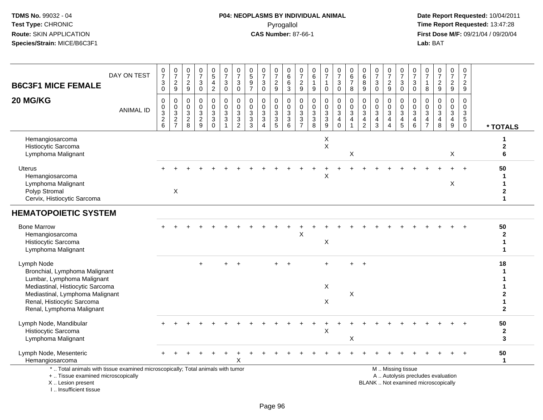I .. Insufficient tissue

### **P04: NEOPLASMS BY INDIVIDUAL ANIMAL**Pyrogallol **Time Report Requested:** 13:47:28

| <b>B6C3F1 MICE FEMALE</b>                                                                                                                                                                                   | DAY ON TEST      | $\frac{0}{7}$<br>$\sqrt{3}$<br>$\mathbf 0$ | $\frac{0}{7}$<br>$\sqrt{2}$<br>9       | 0<br>$\overline{7}$<br>$\overline{\mathbf{c}}$<br>9 | $\frac{0}{7}$<br>$\ensuremath{\mathsf{3}}$<br>$\mathbf 0$ | $\begin{array}{c} 0 \\ 5 \end{array}$<br>$\overline{4}$<br>$\overline{2}$ | $\frac{0}{7}$<br>$\ensuremath{\mathsf{3}}$<br>$\mathbf 0$ | $\frac{0}{7}$<br>$\ensuremath{\mathsf{3}}$<br>$\mathbf 0$ | $\begin{array}{c} 0 \\ 5 \end{array}$<br>$\boldsymbol{9}$<br>$\overline{7}$ | 0<br>$\overline{7}$<br>$\sqrt{3}$<br>$\mathbf 0$                        | $\frac{0}{7}$<br>$\boldsymbol{2}$<br>9      | 0<br>6<br>6<br>3                | 0<br>$\overline{7}$<br>$\boldsymbol{2}$<br>9 | 0<br>$\,6$<br>$\mathbf{1}$<br>9                      | $\begin{array}{c} 0 \\ 7 \end{array}$<br>1<br>$\mathbf 0$ | $\frac{0}{7}$<br>$\sqrt{3}$<br>$\mathbf 0$                                   | 0<br>6<br>$\overline{7}$<br>8                                      | 0<br>$\,6$<br>8<br>9                                                        | $\frac{0}{7}$<br>$\sqrt{3}$<br>$\mathbf 0$                                                  | $\frac{0}{7}$<br>$\overline{c}$<br>9                                     | 0<br>$\overline{7}$<br>$\mathbf{3}$<br>$\mathbf 0$             | 0<br>$\overline{7}$<br>$\sqrt{3}$<br>$\mathbf 0$                   | 0<br>$\overline{7}$<br>$\mathbf{1}$<br>8                                    | $\frac{0}{7}$<br>$\sqrt{2}$<br>9                               | $\pmb{0}$<br>$\overline{7}$<br>$\frac{2}{9}$                           | 0<br>$\overline{7}$<br>$\overline{a}$<br>9       |                                  |
|-------------------------------------------------------------------------------------------------------------------------------------------------------------------------------------------------------------|------------------|--------------------------------------------|----------------------------------------|-----------------------------------------------------|-----------------------------------------------------------|---------------------------------------------------------------------------|-----------------------------------------------------------|-----------------------------------------------------------|-----------------------------------------------------------------------------|-------------------------------------------------------------------------|---------------------------------------------|---------------------------------|----------------------------------------------|------------------------------------------------------|-----------------------------------------------------------|------------------------------------------------------------------------------|--------------------------------------------------------------------|-----------------------------------------------------------------------------|---------------------------------------------------------------------------------------------|--------------------------------------------------------------------------|----------------------------------------------------------------|--------------------------------------------------------------------|-----------------------------------------------------------------------------|----------------------------------------------------------------|------------------------------------------------------------------------|--------------------------------------------------|----------------------------------|
| 20 MG/KG                                                                                                                                                                                                    | <b>ANIMAL ID</b> | 0<br>$\pmb{0}$<br>$\frac{3}{2}$ 6          | 0<br>$\boldsymbol{0}$<br>$\frac{3}{2}$ | 0<br>$\mathbf 0$<br>3<br>$\overline{2}$<br>8        | $\Omega$<br>$\mathbf 0$<br>$\frac{3}{2}$                  | $\mathbf 0$<br>$\mathbf 0$<br>$\mathbf{3}$<br>3<br>$\Omega$               | $\mathbf 0$<br>0<br>$\sqrt{3}$<br>$\sqrt{3}$              | $\mathbf 0$<br>$\mathbf 0$<br>$\sqrt{3}$<br>$\frac{3}{2}$ | $\Omega$<br>$\mathbf 0$<br>$\mathbf{3}$<br>$\mathbf{3}$<br>$\overline{3}$   | $\mathbf{0}$<br>$\mathbf 0$<br>$\mathbf{3}$<br>$\mathbf{3}$<br>$\Delta$ | 0<br>0<br>3<br>$\sqrt{3}$<br>$\overline{5}$ | 0<br>$\mathbf 0$<br>$_3^3$<br>6 | 0<br>$\mathbf 0$<br>3<br>3<br>$\overline{7}$ | 0<br>0<br>$\begin{array}{c} 3 \\ 3 \\ 8 \end{array}$ | 0<br>$\pmb{0}$<br>$_3^3$<br>$\overline{9}$                | 0<br>$\pmb{0}$<br>$\ensuremath{\mathsf{3}}$<br>$\overline{4}$<br>$\mathbf 0$ | 0<br>$\mathbf 0$<br>$\mathbf{3}$<br>$\overline{4}$<br>$\mathbf{1}$ | $\Omega$<br>$\mathbf 0$<br>$\mathbf{3}$<br>$\overline{4}$<br>$\overline{2}$ | $\mathbf 0$<br>$\mathbf 0$<br>$\ensuremath{\mathsf{3}}$<br>$\overline{4}$<br>$\overline{3}$ | $\Omega$<br>$\mathbf 0$<br>3<br>$\overline{4}$<br>$\boldsymbol{\Lambda}$ | $\mathbf 0$<br>0<br>$\sqrt{3}$<br>$\overline{\mathbf{4}}$<br>5 | 0<br>$\mathbf 0$<br>$\sqrt{3}$<br>$\overline{a}$<br>$6\phantom{1}$ | $\Omega$<br>$\mathbf 0$<br>$\mathbf{3}$<br>$\overline{4}$<br>$\overline{7}$ | $\Omega$<br>$\mathbf 0$<br>$\mathbf{3}$<br>$\overline{4}$<br>8 | 0<br>$\mathbf 0$<br>$\mathbf{3}$<br>$\overline{4}$<br>$\boldsymbol{9}$ | $\Omega$<br>$\mathbf 0$<br>3<br>5<br>$\mathbf 0$ | * TOTALS                         |
| Hemangiosarcoma<br>Histiocytic Sarcoma<br>Lymphoma Malignant                                                                                                                                                |                  |                                            |                                        |                                                     |                                                           |                                                                           |                                                           |                                                           |                                                                             |                                                                         |                                             |                                 |                                              |                                                      | X<br>X                                                    |                                                                              | X                                                                  |                                                                             |                                                                                             |                                                                          |                                                                |                                                                    |                                                                             |                                                                | X                                                                      |                                                  | 1<br>$\mathbf{2}$<br>6           |
| Uterus<br>Hemangiosarcoma<br>Lymphoma Malignant<br>Polyp Stromal<br>Cervix, Histiocytic Sarcoma                                                                                                             |                  |                                            | $\boldsymbol{\mathsf{X}}$              |                                                     |                                                           |                                                                           |                                                           |                                                           |                                                                             |                                                                         |                                             |                                 |                                              |                                                      | X                                                         |                                                                              |                                                                    |                                                                             |                                                                                             |                                                                          |                                                                |                                                                    |                                                                             |                                                                | Χ                                                                      |                                                  | 50<br>1<br>$\boldsymbol{2}$<br>1 |
| <b>HEMATOPOIETIC SYSTEM</b>                                                                                                                                                                                 |                  |                                            |                                        |                                                     |                                                           |                                                                           |                                                           |                                                           |                                                                             |                                                                         |                                             |                                 |                                              |                                                      |                                                           |                                                                              |                                                                    |                                                                             |                                                                                             |                                                                          |                                                                |                                                                    |                                                                             |                                                                |                                                                        |                                                  |                                  |
| <b>Bone Marrow</b><br>Hemangiosarcoma<br>Histiocytic Sarcoma<br>Lymphoma Malignant                                                                                                                          |                  |                                            |                                        |                                                     |                                                           |                                                                           |                                                           |                                                           |                                                                             |                                                                         |                                             |                                 | X                                            |                                                      | X                                                         |                                                                              |                                                                    |                                                                             |                                                                                             |                                                                          |                                                                |                                                                    |                                                                             |                                                                |                                                                        |                                                  | 50<br>$\mathbf{2}$<br>1<br>1     |
| Lymph Node<br>Bronchial, Lymphoma Malignant<br>Lumbar, Lymphoma Malignant<br>Mediastinal, Histiocytic Sarcoma<br>Mediastinal, Lymphoma Malignant<br>Renal, Histiocytic Sarcoma<br>Renal, Lymphoma Malignant |                  |                                            |                                        |                                                     | $+$                                                       |                                                                           |                                                           | $\overline{+}$                                            |                                                                             |                                                                         | $+$                                         | $\ddot{}$                       |                                              |                                                      | $+$<br>X<br>X                                             |                                                                              | $+$<br>X                                                           | $+$                                                                         |                                                                                             |                                                                          |                                                                |                                                                    |                                                                             |                                                                |                                                                        |                                                  | 18<br>$\mathbf{2}$               |
| Lymph Node, Mandibular<br>Histiocytic Sarcoma<br>Lymphoma Malignant                                                                                                                                         |                  |                                            |                                        |                                                     |                                                           |                                                                           |                                                           |                                                           |                                                                             |                                                                         |                                             |                                 |                                              |                                                      | X                                                         |                                                                              | X                                                                  |                                                                             |                                                                                             |                                                                          |                                                                |                                                                    |                                                                             |                                                                |                                                                        |                                                  | 50<br>$\mathbf{2}$<br>3          |
| Lymph Node, Mesenteric<br>Hemangiosarcoma                                                                                                                                                                   |                  |                                            |                                        |                                                     |                                                           |                                                                           |                                                           |                                                           |                                                                             |                                                                         |                                             |                                 |                                              |                                                      |                                                           |                                                                              |                                                                    |                                                                             |                                                                                             |                                                                          |                                                                |                                                                    |                                                                             |                                                                |                                                                        |                                                  | 50<br>$\mathbf 1$                |
| *  Total animals with tissue examined microscopically; Total animals with tumor<br>+  Tissue examined microscopically<br>X  Lesion present                                                                  |                  |                                            |                                        |                                                     |                                                           |                                                                           |                                                           |                                                           |                                                                             |                                                                         |                                             |                                 |                                              |                                                      |                                                           |                                                                              |                                                                    |                                                                             | BLANK  Not examined microscopically                                                         |                                                                          | M  Missing tissue                                              |                                                                    |                                                                             | A  Autolysis precludes evaluation                              |                                                                        |                                                  |                                  |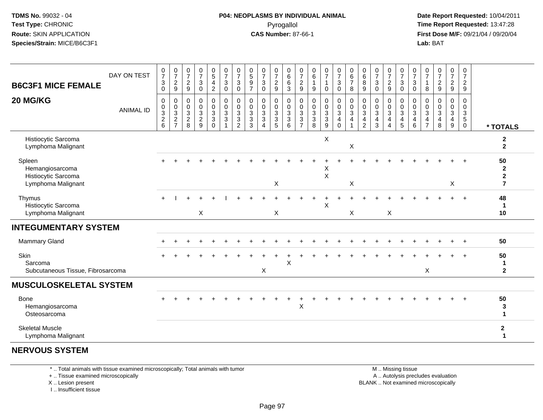#### **P04: NEOPLASMS BY INDIVIDUAL ANIMAL**Pyrogallol **Time Report Requested:** 13:47:28

 **Date Report Requested:** 10/04/2011 **First Dose M/F:** 09/21/04 / 09/20/04<br>**Lab:** BAT **Lab:** BAT

| <b>B6C3F1 MICE FEMALE</b>                                              | DAY ON TEST      | $\frac{0}{7}$<br>3<br>0                             | $\frac{0}{7}$<br>$\overline{c}$<br>9                         | $\boldsymbol{0}$<br>$\overline{7}$<br>$\sqrt{2}$<br>$\mathsf g$ | $\frac{0}{7}$<br>$\sqrt{3}$<br>$\mathbf 0$                         | $\begin{array}{c} 0 \\ 5 \end{array}$<br>$\overline{\mathbf{4}}$<br>$\boldsymbol{2}$ | $\frac{0}{7}$<br>$\mathbf{3}$<br>$\pmb{0}$                     | $\frac{0}{7}$<br>3<br>$\pmb{0}$            | $\begin{array}{c} 0 \\ 5 \end{array}$<br>$\boldsymbol{9}$<br>$\overline{7}$ | $\frac{0}{7}$<br>$\sqrt{3}$<br>$\pmb{0}$                             | $\frac{0}{7}$<br>$\sqrt{2}$<br>$\boldsymbol{9}$        | 0<br>$\,6\,$<br>$\,6\,$<br>$\mathbf{3}$             | 0<br>$\overline{7}$<br>$\sqrt{2}$<br>$\boldsymbol{9}$               | 0<br>6<br>$\mathbf{1}$<br>9                            | $\frac{0}{7}$<br>1<br>$\mathbf 0$                                      | $\frac{0}{7}$<br>$\mathbf{3}$<br>$\mathsf{O}\xspace$          | $\begin{array}{c} 0 \\ 6 \end{array}$<br>$\overline{7}$<br>$\,8\,$ | $\begin{matrix}0\\6\end{matrix}$<br>8<br>9    | $\frac{0}{7}$<br>$\sqrt{3}$<br>$\pmb{0}$                      | $\frac{0}{7}$<br>$\overline{c}$<br>9                    | $\frac{0}{7}$<br>$\mathbf{3}$<br>$\mathbf 0$                 | $\frac{0}{7}$<br>$\sqrt{3}$<br>$\mathbf 0$            | 0<br>$\overline{7}$<br>-1<br>8     | $\begin{array}{c} 0 \\ 7 \end{array}$<br>$\boldsymbol{2}$<br>$\overline{9}$ | 0<br>$\overline{7}$<br>$\overline{a}$<br>9 | $\begin{smallmatrix}0\\7\end{smallmatrix}$<br>$\overline{c}$<br>$\mathsf g$ |                                                            |
|------------------------------------------------------------------------|------------------|-----------------------------------------------------|--------------------------------------------------------------|-----------------------------------------------------------------|--------------------------------------------------------------------|--------------------------------------------------------------------------------------|----------------------------------------------------------------|--------------------------------------------|-----------------------------------------------------------------------------|----------------------------------------------------------------------|--------------------------------------------------------|-----------------------------------------------------|---------------------------------------------------------------------|--------------------------------------------------------|------------------------------------------------------------------------|---------------------------------------------------------------|--------------------------------------------------------------------|-----------------------------------------------|---------------------------------------------------------------|---------------------------------------------------------|--------------------------------------------------------------|-------------------------------------------------------|------------------------------------|-----------------------------------------------------------------------------|--------------------------------------------|-----------------------------------------------------------------------------|------------------------------------------------------------|
| 20 MG/KG                                                               | <b>ANIMAL ID</b> | $\pmb{0}$<br>$_3^0$<br>$\overline{\mathbf{c}}$<br>6 | $\boldsymbol{0}$<br>$\,0\,$<br>$\mathbf{3}$<br>$\frac{2}{7}$ | 0<br>0<br>$\sqrt{3}$<br>$\overline{c}$<br>8                     | $\pmb{0}$<br>$\overline{0}$<br>$\mathbf{3}$<br>$\overline{c}$<br>9 | 0<br>$\pmb{0}$<br>$\sqrt{3}$<br>3<br>$\Omega$                                        | 0<br>$\pmb{0}$<br>$\sqrt{3}$<br>$\ensuremath{\mathsf{3}}$<br>1 | 0<br>$\pmb{0}$<br>3<br>3<br>$\overline{2}$ | 0<br>0<br>$\sqrt{3}$<br>$\mathbf{3}$<br>3                                   | $\pmb{0}$<br>$\pmb{0}$<br>$\sqrt{3}$<br>$\sqrt{3}$<br>$\overline{4}$ | 0<br>0<br>$\sqrt{3}$<br>$\ensuremath{\mathsf{3}}$<br>5 | 0<br>$\mathbf 0$<br>$\mathbf{3}$<br>$\sqrt{3}$<br>6 | 0<br>0<br>$\sqrt{3}$<br>$\ensuremath{\mathsf{3}}$<br>$\overline{7}$ | 0<br>0<br>$\sqrt{3}$<br>$\ensuremath{\mathsf{3}}$<br>8 | $\pmb{0}$<br>$\pmb{0}$<br>$\sqrt{3}$<br>$\ensuremath{\mathsf{3}}$<br>9 | 0<br>$\mathbf 0$<br>$\mathsf 3$<br>$\overline{4}$<br>$\Omega$ | $\pmb{0}$<br>$\pmb{0}$<br>$\sqrt{3}$<br>4<br>$\overline{1}$        | 0<br>0<br>$\mathbf{3}$<br>4<br>$\overline{2}$ | $\pmb{0}$<br>$\pmb{0}$<br>$\mathbf{3}$<br>$\overline{4}$<br>3 | 0<br>0<br>3<br>$\overline{4}$<br>$\boldsymbol{\Lambda}$ | 0<br>$\pmb{0}$<br>$\ensuremath{\mathsf{3}}$<br>$\frac{4}{5}$ | 0<br>$\pmb{0}$<br>$\mathbf{3}$<br>$\overline{4}$<br>6 | 0<br>0<br>3<br>4<br>$\overline{7}$ | $\mathbf 0$<br>$\mathbf 0$<br>$\mathbf{3}$<br>4<br>8                        | 0<br>0<br>$\mathbf{3}$<br>4<br>9           | $\mathbf 0$<br>0<br>$\mathsf 3$<br>$\overline{5}$<br>$\mathbf{0}$           | * TOTALS                                                   |
| Histiocytic Sarcoma<br>Lymphoma Malignant                              |                  |                                                     |                                                              |                                                                 |                                                                    |                                                                                      |                                                                |                                            |                                                                             |                                                                      |                                                        |                                                     |                                                                     |                                                        | X                                                                      |                                                               | X                                                                  |                                               |                                                               |                                                         |                                                              |                                                       |                                    |                                                                             |                                            |                                                                             | $\mathbf 2$<br>$\mathbf{2}$                                |
| Spleen<br>Hemangiosarcoma<br>Histiocytic Sarcoma<br>Lymphoma Malignant |                  |                                                     |                                                              |                                                                 |                                                                    |                                                                                      |                                                                |                                            |                                                                             |                                                                      | X                                                      |                                                     |                                                                     |                                                        | Х<br>$\sf X$                                                           |                                                               | $\boldsymbol{\mathsf{X}}$                                          |                                               |                                                               |                                                         |                                                              |                                                       |                                    |                                                                             | X                                          |                                                                             | 50<br>$\overline{2}$<br>$\boldsymbol{2}$<br>$\overline{7}$ |
| Thymus<br>Histiocytic Sarcoma<br>Lymphoma Malignant                    |                  |                                                     |                                                              |                                                                 | $\pmb{\times}$                                                     |                                                                                      |                                                                |                                            |                                                                             |                                                                      | X                                                      |                                                     |                                                                     |                                                        | $\sf X$                                                                |                                                               | X                                                                  |                                               |                                                               | $\mathsf X$                                             |                                                              |                                                       |                                    |                                                                             |                                            |                                                                             | 48<br>-1<br>10                                             |
| <b>INTEGUMENTARY SYSTEM</b>                                            |                  |                                                     |                                                              |                                                                 |                                                                    |                                                                                      |                                                                |                                            |                                                                             |                                                                      |                                                        |                                                     |                                                                     |                                                        |                                                                        |                                                               |                                                                    |                                               |                                                               |                                                         |                                                              |                                                       |                                    |                                                                             |                                            |                                                                             |                                                            |
| Mammary Gland                                                          |                  |                                                     |                                                              |                                                                 |                                                                    |                                                                                      |                                                                |                                            |                                                                             |                                                                      |                                                        |                                                     |                                                                     |                                                        |                                                                        |                                                               |                                                                    |                                               |                                                               |                                                         |                                                              |                                                       |                                    |                                                                             | $\ddot{}$                                  | $_{+}$                                                                      | 50                                                         |
| Skin<br>Sarcoma<br>Subcutaneous Tissue, Fibrosarcoma                   |                  |                                                     |                                                              |                                                                 |                                                                    |                                                                                      |                                                                |                                            |                                                                             | X                                                                    |                                                        | X                                                   |                                                                     |                                                        |                                                                        |                                                               |                                                                    |                                               |                                                               |                                                         |                                                              |                                                       | $\times$                           |                                                                             |                                            |                                                                             | 50<br>$\mathbf 1$<br>$\mathbf{2}$                          |
| <b>MUSCULOSKELETAL SYSTEM</b>                                          |                  |                                                     |                                                              |                                                                 |                                                                    |                                                                                      |                                                                |                                            |                                                                             |                                                                      |                                                        |                                                     |                                                                     |                                                        |                                                                        |                                                               |                                                                    |                                               |                                                               |                                                         |                                                              |                                                       |                                    |                                                                             |                                            |                                                                             |                                                            |
| Bone<br>Hemangiosarcoma<br>Osteosarcoma                                |                  |                                                     |                                                              |                                                                 |                                                                    |                                                                                      |                                                                |                                            |                                                                             |                                                                      |                                                        |                                                     | X                                                                   |                                                        |                                                                        |                                                               |                                                                    |                                               |                                                               |                                                         |                                                              |                                                       |                                    |                                                                             |                                            |                                                                             | 50<br>3<br>1                                               |
| <b>Skeletal Muscle</b><br>Lymphoma Malignant                           |                  |                                                     |                                                              |                                                                 |                                                                    |                                                                                      |                                                                |                                            |                                                                             |                                                                      |                                                        |                                                     |                                                                     |                                                        |                                                                        |                                                               |                                                                    |                                               |                                                               |                                                         |                                                              |                                                       |                                    |                                                                             |                                            |                                                                             | $\mathbf 2$<br>1                                           |
| <b>NERVOUS SYSTEM</b>                                                  |                  |                                                     |                                                              |                                                                 |                                                                    |                                                                                      |                                                                |                                            |                                                                             |                                                                      |                                                        |                                                     |                                                                     |                                                        |                                                                        |                                                               |                                                                    |                                               |                                                               |                                                         |                                                              |                                                       |                                    |                                                                             |                                            |                                                                             |                                                            |

\* .. Total animals with tissue examined microscopically; Total animals with tumor

+ .. Tissue examined microscopically

X .. Lesion present

I .. Insufficient tissue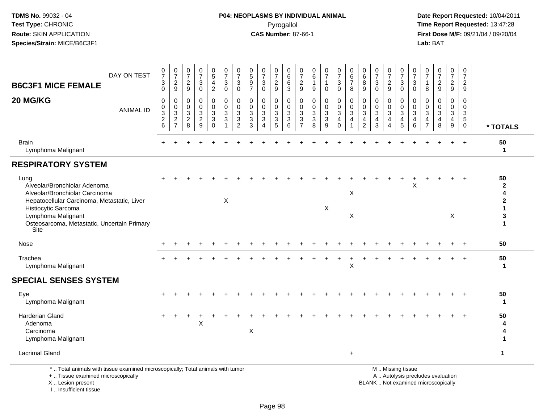I .. Insufficient tissue

| DAY ON TEST<br><b>B6C3F1 MICE FEMALE</b>                                                                                                   | $\frac{0}{7}$<br>$\ensuremath{\mathsf{3}}$<br>$\mathbf 0$   | $\frac{0}{7}$<br>$\boldsymbol{2}$<br>9                                            | $\frac{0}{7}$<br>$\overline{c}$<br>9         | $\begin{array}{c} 0 \\ 7 \end{array}$<br>$\sqrt{3}$<br>$\mathbf 0$ | $\begin{array}{c} 0 \\ 5 \end{array}$<br>$\overline{\mathbf{4}}$<br>$\overline{2}$ | $\frac{0}{7}$<br>$\sqrt{3}$<br>$\mathbf 0$        | 0<br>$\overline{7}$<br>$\ensuremath{\mathsf{3}}$<br>$\mathbf 0$ | 0<br>$\overline{5}$<br>$\boldsymbol{9}$<br>$\overline{7}$               | $\frac{0}{7}$<br>$\ensuremath{\mathsf{3}}$<br>$\mathbf 0$    | $\pmb{0}$<br>$\overline{7}$<br>$\frac{2}{9}$               | 0<br>$\,6\,$<br>6<br>3                   | 0<br>$\overline{7}$<br>$\overline{c}$<br>9          | 0<br>6<br>$\mathbf{1}$<br>$\boldsymbol{9}$                                    | $\frac{0}{7}$<br>$\mathbf{1}$<br>$\mathbf 0$      | $\begin{array}{c} 0 \\ 7 \end{array}$<br>$\mathsf 3$<br>$\mathbf 0$         | 0<br>6<br>$\overline{7}$<br>8                                 | 0<br>6<br>$\bf8$<br>9                                  | $\frac{0}{7}$<br>$\sqrt{3}$<br>$\mathbf 0$                                | $\frac{0}{7}$<br>$\overline{\mathbf{c}}$<br>9         | 0<br>$\overline{7}$<br>$\mathsf 3$<br>$\mathbf 0$                                             | 0<br>$\overline{7}$<br>$\sqrt{3}$<br>$\mathbf 0$                             | 0<br>$\overline{7}$<br>$\overline{1}$<br>8             | $\frac{0}{7}$<br>$\overline{2}$<br>9                         | $\frac{0}{7}$<br>$\overline{c}$<br>9      | 0<br>$\overline{7}$<br>$\overline{a}$<br>9                       |                                         |
|--------------------------------------------------------------------------------------------------------------------------------------------|-------------------------------------------------------------|-----------------------------------------------------------------------------------|----------------------------------------------|--------------------------------------------------------------------|------------------------------------------------------------------------------------|---------------------------------------------------|-----------------------------------------------------------------|-------------------------------------------------------------------------|--------------------------------------------------------------|------------------------------------------------------------|------------------------------------------|-----------------------------------------------------|-------------------------------------------------------------------------------|---------------------------------------------------|-----------------------------------------------------------------------------|---------------------------------------------------------------|--------------------------------------------------------|---------------------------------------------------------------------------|-------------------------------------------------------|-----------------------------------------------------------------------------------------------|------------------------------------------------------------------------------|--------------------------------------------------------|--------------------------------------------------------------|-------------------------------------------|------------------------------------------------------------------|-----------------------------------------|
| 20 MG/KG<br><b>ANIMAL ID</b>                                                                                                               | $\mathbf 0$<br>$\pmb{0}$<br>$\frac{3}{2}$<br>$6\phantom{a}$ | 0<br>$\mathbf 0$<br>$\ensuremath{\mathsf{3}}$<br>$\overline{2}$<br>$\overline{7}$ | 0<br>$\mathbf 0$<br>3<br>$\overline{2}$<br>8 | 0<br>$\pmb{0}$<br>$\sqrt{3}$<br>$\overline{2}$<br>9                | 0<br>$\pmb{0}$<br>$_3^3$<br>$\overline{0}$                                         | 0<br>$\mathbf 0$<br>$\sqrt{3}$<br>$\sqrt{3}$<br>1 | $\mathbf{0}$<br>$\mathbf 0$<br>3<br>3<br>$\overline{2}$         | $\Omega$<br>$\mathbf 0$<br>$\mathbf{3}$<br>$\sqrt{3}$<br>$\overline{3}$ | $\mathbf 0$<br>0<br>$\sqrt{3}$<br>$\overline{3}$<br>$\Delta$ | $\mathbf 0$<br>$\mathbf 0$<br>$\mathsf 3$<br>$\frac{3}{5}$ | 0<br>$\mathbf 0$<br>3<br>$\sqrt{3}$<br>6 | $\Omega$<br>$\mathbf 0$<br>3<br>3<br>$\overline{7}$ | 0<br>$\mathbf 0$<br>$\sqrt{3}$<br>$\ensuremath{\mathsf{3}}$<br>$\overline{8}$ | 0<br>$\pmb{0}$<br>$\frac{3}{3}$<br>$\overline{9}$ | $\mathbf 0$<br>$\mathbf 0$<br>$\mathbf{3}$<br>$\overline{a}$<br>$\mathbf 0$ | $\mathbf 0$<br>$\mathbf 0$<br>$\sqrt{3}$<br>4<br>$\mathbf{1}$ | $\mathbf 0$<br>$\mathbf 0$<br>3<br>4<br>$\overline{2}$ | $\Omega$<br>$\mathbf 0$<br>$\sqrt{3}$<br>$\overline{4}$<br>$\overline{3}$ | 0<br>0<br>$\mathbf{3}$<br>4<br>$\boldsymbol{\Lambda}$ | 0<br>$\mathbf 0$<br>3<br>$\overline{4}$<br>5                                                  | 0<br>$\mathbf 0$<br>$\mathbf 3$<br>$\overline{\mathbf{4}}$<br>$6\phantom{1}$ | $\Omega$<br>0<br>3<br>$\overline{4}$<br>$\overline{7}$ | $\Omega$<br>$\mathbf 0$<br>3<br>$\overline{\mathbf{4}}$<br>8 | $\mathbf 0$<br>$\mathbf 0$<br>3<br>4<br>9 | $\Omega$<br>$\mathbf 0$<br>3<br>$\overline{5}$<br>$\overline{0}$ | * TOTALS                                |
| <b>Brain</b><br>Lymphoma Malignant                                                                                                         |                                                             |                                                                                   |                                              |                                                                    |                                                                                    |                                                   |                                                                 |                                                                         |                                                              |                                                            |                                          |                                                     |                                                                               |                                                   |                                                                             |                                                               |                                                        |                                                                           |                                                       |                                                                                               |                                                                              |                                                        |                                                              |                                           | $+$                                                              | 50<br>$\mathbf{1}$                      |
| <b>RESPIRATORY SYSTEM</b>                                                                                                                  |                                                             |                                                                                   |                                              |                                                                    |                                                                                    |                                                   |                                                                 |                                                                         |                                                              |                                                            |                                          |                                                     |                                                                               |                                                   |                                                                             |                                                               |                                                        |                                                                           |                                                       |                                                                                               |                                                                              |                                                        |                                                              |                                           |                                                                  |                                         |
| Lung<br>Alveolar/Bronchiolar Adenoma<br>Alveolar/Bronchiolar Carcinoma<br>Hepatocellular Carcinoma, Metastatic, Liver                      |                                                             |                                                                                   |                                              |                                                                    |                                                                                    | X                                                 |                                                                 |                                                                         |                                                              |                                                            |                                          |                                                     |                                                                               |                                                   |                                                                             | X                                                             |                                                        |                                                                           |                                                       |                                                                                               | X                                                                            |                                                        |                                                              |                                           | $\div$                                                           | 50<br>$\mathbf{2}$<br>4<br>$\mathbf{2}$ |
| Histiocytic Sarcoma<br>Lymphoma Malignant<br>Osteosarcoma, Metastatic, Uncertain Primary<br>Site                                           |                                                             |                                                                                   |                                              |                                                                    |                                                                                    |                                                   |                                                                 |                                                                         |                                                              |                                                            |                                          |                                                     |                                                                               | X                                                 |                                                                             | X                                                             |                                                        |                                                                           |                                                       |                                                                                               |                                                                              |                                                        |                                                              | X                                         |                                                                  | 3<br>$\mathbf 1$                        |
| Nose                                                                                                                                       |                                                             |                                                                                   |                                              |                                                                    |                                                                                    |                                                   |                                                                 |                                                                         |                                                              |                                                            |                                          |                                                     |                                                                               |                                                   |                                                                             |                                                               |                                                        |                                                                           |                                                       |                                                                                               |                                                                              |                                                        |                                                              |                                           |                                                                  | 50                                      |
| Trachea<br>Lymphoma Malignant                                                                                                              |                                                             |                                                                                   |                                              |                                                                    |                                                                                    |                                                   |                                                                 |                                                                         |                                                              |                                                            |                                          |                                                     |                                                                               |                                                   |                                                                             | $\boldsymbol{\mathsf{X}}$                                     |                                                        |                                                                           |                                                       |                                                                                               |                                                                              |                                                        |                                                              |                                           |                                                                  | 50<br>1                                 |
| <b>SPECIAL SENSES SYSTEM</b>                                                                                                               |                                                             |                                                                                   |                                              |                                                                    |                                                                                    |                                                   |                                                                 |                                                                         |                                                              |                                                            |                                          |                                                     |                                                                               |                                                   |                                                                             |                                                               |                                                        |                                                                           |                                                       |                                                                                               |                                                                              |                                                        |                                                              |                                           |                                                                  |                                         |
| Eye<br>Lymphoma Malignant                                                                                                                  |                                                             |                                                                                   |                                              |                                                                    |                                                                                    |                                                   |                                                                 |                                                                         |                                                              |                                                            |                                          |                                                     |                                                                               |                                                   |                                                                             |                                                               |                                                        |                                                                           |                                                       |                                                                                               |                                                                              |                                                        |                                                              |                                           |                                                                  | 50<br>$\mathbf 1$                       |
| <b>Harderian Gland</b><br>Adenoma<br>Carcinoma<br>Lymphoma Malignant                                                                       |                                                             |                                                                                   |                                              | X                                                                  |                                                                                    |                                                   |                                                                 | $\boldsymbol{\mathsf{X}}$                                               |                                                              |                                                            |                                          |                                                     |                                                                               |                                                   |                                                                             |                                                               |                                                        |                                                                           |                                                       |                                                                                               |                                                                              |                                                        |                                                              |                                           |                                                                  | 50<br>4<br>1                            |
| <b>Lacrimal Gland</b>                                                                                                                      |                                                             |                                                                                   |                                              |                                                                    |                                                                                    |                                                   |                                                                 |                                                                         |                                                              |                                                            |                                          |                                                     |                                                                               |                                                   |                                                                             | $\ddot{}$                                                     |                                                        |                                                                           |                                                       |                                                                                               |                                                                              |                                                        |                                                              |                                           |                                                                  | $\mathbf{1}$                            |
| *  Total animals with tissue examined microscopically; Total animals with tumor<br>+  Tissue examined microscopically<br>X  Lesion present |                                                             |                                                                                   |                                              |                                                                    |                                                                                    |                                                   |                                                                 |                                                                         |                                                              |                                                            |                                          |                                                     |                                                                               |                                                   |                                                                             |                                                               |                                                        |                                                                           |                                                       | M  Missing tissue<br>A  Autolysis precludes evaluation<br>BLANK  Not examined microscopically |                                                                              |                                                        |                                                              |                                           |                                                                  |                                         |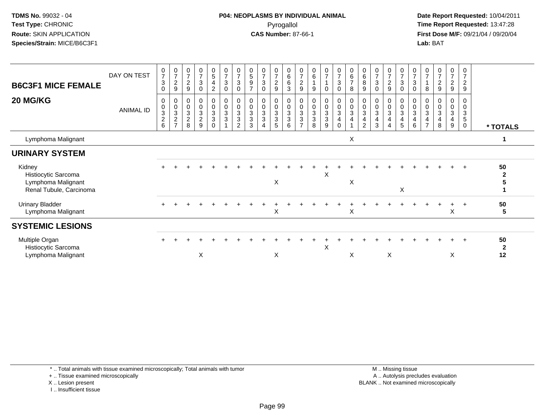#### **P04: NEOPLASMS BY INDIVIDUAL ANIMAL**Pyrogallol **Time Report Requested:** 13:47:28

 **Date Report Requested:** 10/04/2011 **First Dose M/F:** 09/21/04 / 09/20/04<br>**Lab:** BAT **Lab:** BAT

| <b>B6C3F1 MICE FEMALE</b>                                                      | DAY ON TEST      | $\frac{0}{7}$<br>$\sqrt{3}$<br>$\Omega$                      | $\frac{0}{7}$<br>$\sqrt{2}$<br>$\boldsymbol{9}$                 | $\frac{0}{7}$<br>$\overline{c}$<br>9              | $\frac{0}{7}$<br>$\sqrt{3}$<br>$\mathbf 0$ | $\begin{array}{c} 0 \\ 5 \end{array}$<br>$\overline{\mathbf{4}}$<br>$\overline{c}$ | $\frac{0}{7}$<br>$\sqrt{3}$<br>$\mathbf 0$ | $\frac{0}{7}$<br>$\ensuremath{\mathsf{3}}$<br>$\Omega$      | $\begin{array}{c} 0 \\ 5 \end{array}$<br>$\boldsymbol{9}$<br>$\overline{ }$ | $\frac{0}{7}$<br>$\sqrt{3}$<br>0             | $\frac{0}{7}$<br>$\overline{c}$<br>9 | $\begin{array}{c} 0 \\ 6 \\ 6 \end{array}$<br>$\mathbf{3}$ | $\frac{0}{7}$<br>$\sqrt{2}$<br>9                               | 0<br>$\,6$<br>9                            | $\frac{0}{7}$<br>0                                     | $\frac{0}{7}$<br>$\ensuremath{\mathsf{3}}$<br>$\Omega$       | $\begin{array}{c} 0 \\ 6 \end{array}$<br>$\overline{7}$<br>8 | 0<br>$\,6\,$<br>$\bf 8$<br>9 | $\frac{0}{7}$<br>$\sqrt{3}$<br>$\Omega$ | $\frac{0}{7}$<br>$\overline{c}$<br>9       | $\frac{0}{7}$<br>$\sqrt{3}$<br>$\mathbf 0$ | $\frac{0}{7}$<br>3<br>$\Omega$ | $\frac{0}{7}$<br>8       | $\frac{0}{7}$<br>$\overline{a}$<br>$\boldsymbol{9}$   | $\frac{0}{7}$<br>$\overline{c}$<br>9 | 0<br>$\overline{7}$<br>$\overline{c}$<br>$\boldsymbol{9}$      |                          |
|--------------------------------------------------------------------------------|------------------|--------------------------------------------------------------|-----------------------------------------------------------------|---------------------------------------------------|--------------------------------------------|------------------------------------------------------------------------------------|--------------------------------------------|-------------------------------------------------------------|-----------------------------------------------------------------------------|----------------------------------------------|--------------------------------------|------------------------------------------------------------|----------------------------------------------------------------|--------------------------------------------|--------------------------------------------------------|--------------------------------------------------------------|--------------------------------------------------------------|------------------------------|-----------------------------------------|--------------------------------------------|--------------------------------------------|--------------------------------|--------------------------|-------------------------------------------------------|--------------------------------------|----------------------------------------------------------------|--------------------------|
| 20 MG/KG                                                                       | <b>ANIMAL ID</b> | $\boldsymbol{0}$<br>$\pmb{0}$<br>$\sqrt{3}$<br>$\frac{2}{6}$ | $\pmb{0}$<br>$_{3}^{\rm 0}$<br>$\overline{2}$<br>$\overline{z}$ | 0<br>$\ensuremath{\mathsf{3}}$<br>$\sqrt{2}$<br>8 | $\pmb{0}$<br>$\frac{0}{3}$<br>9            | 0<br>$\mathsf{O}\xspace$<br>$\overline{3}$<br>$\mathbf{3}$<br>$\Omega$             | 0<br>$\pmb{0}$<br>$\sqrt{3}$<br>$\sqrt{3}$ | $\mathbf 0$<br>$\sqrt{3}$<br>$\mathbf{3}$<br>$\overline{2}$ | $\pmb{0}$<br>$\sqrt{3}$<br>$\sqrt{3}$<br>3                                  | $\pmb{0}$<br>$\sqrt{3}$<br>$\mathbf{3}$<br>4 | 0<br>$\boldsymbol{0}$<br>3<br>3<br>5 | $\boldsymbol{0}$<br>$_{3}^{\rm 0}$<br>$\overline{3}$<br>6  | 0<br>$\pmb{0}$<br>$\sqrt{3}$<br>$\mathbf{3}$<br>$\overline{ }$ | $\pmb{0}$<br>$\sqrt{3}$<br>$\sqrt{3}$<br>8 | 0<br>$\mathsf{O}$<br>$\mathbf{3}$<br>$\mathbf{3}$<br>9 | 0<br>$\pmb{0}$<br>$\mathbf{3}$<br>$\overline{4}$<br>$\Omega$ | 0<br>$\pmb{0}$<br>$\sqrt{3}$<br>4                            | 0<br>$\sqrt{3}$<br>4<br>2    | 0<br>$\pmb{0}$<br>$\sqrt{3}$<br>4<br>3  | 0<br>$\pmb{0}$<br>3<br>4<br>$\overline{4}$ | $\pmb{0}$<br>$\sqrt{3}$<br>4<br>5          | $\mathbf 0$<br>3<br>4<br>6     | 0<br>3<br>$\overline{7}$ | 0<br>$\pmb{0}$<br>$\ensuremath{\mathsf{3}}$<br>4<br>8 | 0<br>0<br>$\mathbf{3}$<br>4<br>9     | 0<br>$\mathbf 0$<br>$\mathbf{3}$<br>$\,$ 5 $\,$<br>$\mathbf 0$ | * TOTALS                 |
| Lymphoma Malignant                                                             |                  |                                                              |                                                                 |                                                   |                                            |                                                                                    |                                            |                                                             |                                                                             |                                              |                                      |                                                            |                                                                |                                            |                                                        |                                                              | X                                                            |                              |                                         |                                            |                                            |                                |                          |                                                       |                                      |                                                                |                          |
| <b>URINARY SYSTEM</b>                                                          |                  |                                                              |                                                                 |                                                   |                                            |                                                                                    |                                            |                                                             |                                                                             |                                              |                                      |                                                            |                                                                |                                            |                                                        |                                                              |                                                              |                              |                                         |                                            |                                            |                                |                          |                                                       |                                      |                                                                |                          |
| Kidney<br>Histiocytic Sarcoma<br>Lymphoma Malignant<br>Renal Tubule, Carcinoma |                  |                                                              |                                                                 |                                                   |                                            |                                                                                    |                                            |                                                             |                                                                             |                                              | Χ                                    |                                                            |                                                                |                                            | X                                                      |                                                              | X                                                            |                              |                                         |                                            | X                                          |                                |                          |                                                       |                                      |                                                                | 50                       |
| <b>Urinary Bladder</b><br>Lymphoma Malignant                                   |                  |                                                              |                                                                 |                                                   |                                            |                                                                                    |                                            |                                                             |                                                                             |                                              | Χ                                    |                                                            |                                                                |                                            |                                                        |                                                              | X                                                            |                              |                                         |                                            |                                            |                                |                          |                                                       | $\pm$<br>X                           | $+$                                                            | 50<br>5                  |
| <b>SYSTEMIC LESIONS</b>                                                        |                  |                                                              |                                                                 |                                                   |                                            |                                                                                    |                                            |                                                             |                                                                             |                                              |                                      |                                                            |                                                                |                                            |                                                        |                                                              |                                                              |                              |                                         |                                            |                                            |                                |                          |                                                       |                                      |                                                                |                          |
| Multiple Organ<br>Histiocytic Sarcoma<br>Lymphoma Malignant                    |                  |                                                              |                                                                 |                                                   | X                                          |                                                                                    |                                            |                                                             |                                                                             |                                              | X                                    |                                                            |                                                                |                                            | X                                                      |                                                              | X                                                            |                              |                                         | Χ                                          |                                            |                                |                          |                                                       | X                                    | $+$                                                            | 50<br>$\mathbf{2}$<br>12 |

\* .. Total animals with tissue examined microscopically; Total animals with tumor

+ .. Tissue examined microscopically

X .. Lesion present

I .. Insufficient tissue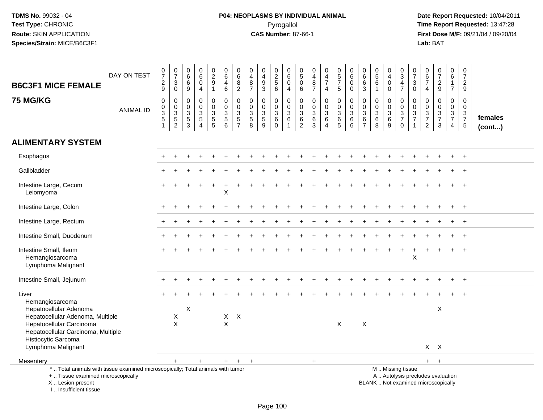# **P04: NEOPLASMS BY INDIVIDUAL ANIMAL**Pyrogallol **Time Report Requested:** 13:47:28

| <b>B6C3F1 MICE FEMALE</b>                                                                                                                                           | DAY ON TEST      | $\frac{0}{7}$<br>$\frac{2}{9}$                                | $\frac{0}{7}$<br>$\ensuremath{\mathsf{3}}$<br>$\mathbf 0$ | $\begin{matrix}0\0\0\0\end{matrix}$<br>$\boldsymbol{9}$               | $0\over 6$<br>$\bar{0}$<br>$\overline{4}$           | $\begin{smallmatrix} 0\\2\\9 \end{smallmatrix}$<br>$\mathbf{1}$ | $\begin{array}{c} 0 \\ 6 \end{array}$<br>$\overline{4}$<br>$\,6\,$ | $\begin{array}{c} 0 \\ 6 \end{array}$<br>$\frac{8}{2}$      | $\begin{smallmatrix}0\0\4\end{smallmatrix}$<br>$\frac{8}{7}$      | $_4^{\rm 0}$<br>$\boldsymbol{9}$<br>3                                | $0$<br>$2$<br>$5$<br>$6$                            | 0<br>$\overline{6}$<br>$\mathbf 0$<br>$\overline{4}$ | $\begin{smallmatrix}0\5\0\end{smallmatrix}$<br>$6\phantom{1}$              | $\begin{smallmatrix}0\\4\end{smallmatrix}$<br>$\bf 8$<br>$\overline{7}$ | $\begin{array}{c} 0 \\ 4 \\ 7 \end{array}$<br>$\overline{4}$ | $\begin{array}{c} 0 \\ 5 \\ 7 \end{array}$<br>$\sqrt{5}$     | $\begin{array}{c} 0 \\ 6 \end{array}$<br>$\mathbf 0$<br>$\mathbf 0$ | $\begin{array}{c} 0 \\ 6 \end{array}$<br>$\,6$<br>$\mathbf{3}$        | $\begin{array}{c} 0 \\ 5 \\ 6 \end{array}$<br>$\mathbf{1}$ | $\begin{smallmatrix}0\0\4\end{smallmatrix}$<br>$\mathbf 0$<br>$\mathbf 0$ | $_{3}^{\rm 0}$<br>$\frac{4}{7}$                                                               | 0<br>$\overline{7}$<br>$\ensuremath{\mathsf{3}}$<br>$\mathbf 0$ | $\begin{array}{c} 0 \\ 6 \end{array}$<br>$\overline{7}$<br>$\overline{4}$ | $\begin{array}{c} 0 \\ 7 \end{array}$<br>$\sqrt{2}$<br>$\boldsymbol{9}$ | $\mathbf 0$<br>$\,6\,$<br>$\mathbf{1}$<br>$\overline{7}$      | $\frac{0}{7}$<br>$\overline{c}$<br>9                         |                         |
|---------------------------------------------------------------------------------------------------------------------------------------------------------------------|------------------|---------------------------------------------------------------|-----------------------------------------------------------|-----------------------------------------------------------------------|-----------------------------------------------------|-----------------------------------------------------------------|--------------------------------------------------------------------|-------------------------------------------------------------|-------------------------------------------------------------------|----------------------------------------------------------------------|-----------------------------------------------------|------------------------------------------------------|----------------------------------------------------------------------------|-------------------------------------------------------------------------|--------------------------------------------------------------|--------------------------------------------------------------|---------------------------------------------------------------------|-----------------------------------------------------------------------|------------------------------------------------------------|---------------------------------------------------------------------------|-----------------------------------------------------------------------------------------------|-----------------------------------------------------------------|---------------------------------------------------------------------------|-------------------------------------------------------------------------|---------------------------------------------------------------|--------------------------------------------------------------|-------------------------|
| <b>75 MG/KG</b>                                                                                                                                                     | <b>ANIMAL ID</b> | $\pmb{0}$<br>$_{3}^{\rm 0}$<br>$\overline{5}$<br>$\mathbf{1}$ | 0<br>$_{3}^{\rm 0}$<br>$\overline{5}$<br>$\overline{c}$   | $\mathbf 0$<br>$\mathsf{O}\xspace$<br>$\overline{3}$<br>$\frac{5}{3}$ | 0<br>$\mathbf 0$<br>3<br>$\overline{5}$<br>$\Delta$ | 0<br>$\begin{array}{c} 0 \\ 3 \\ 5 \\ 5 \end{array}$            | $\pmb{0}$<br>$\mathbf 0$<br>$\frac{3}{5}$                          | $\mathbf 0$<br>$\mathbf 0$<br>$\mathbf{3}$<br>$\frac{5}{7}$ | $\mathbf 0$<br>$\mathbf 0$<br>$\mathbf{3}$<br>$\overline{5}$<br>8 | 0<br>$\mathbf 0$<br>$\ensuremath{\mathsf{3}}$<br>$\overline{5}$<br>9 | 0<br>$\frac{0}{3}$<br>$6\phantom{a}$<br>$\mathbf 0$ | 0<br>$\mathbf 0$<br>3<br>6<br>$\mathbf{1}$           | $\pmb{0}$<br>$\mathbf 0$<br>$\sqrt{3}$<br>$6\phantom{a}$<br>$\overline{c}$ | $\pmb{0}$<br>$\pmb{0}$<br>$\sqrt{3}$<br>$6\phantom{a}$<br>$\mathbf{3}$  | 0<br>$\mathsf{O}\xspace$<br>$\frac{3}{6}$<br>$\overline{4}$  | 0<br>$\mathbf 0$<br>$\sqrt{3}$<br>$\,6\,$<br>$5\phantom{.0}$ | $\mathbf 0$<br>$\mathbf 0$<br>3<br>6<br>6                           | $\mathbf 0$<br>$\mathbf 0$<br>$\sqrt{3}$<br>$\,6\,$<br>$\overline{7}$ | 0<br>$\mathbf 0$<br>3<br>$6\phantom{a}$<br>8               | 0<br>$\mathbf 0$<br>$\overline{3}$<br>$6\phantom{a}$<br>9                 | $\mathbf 0$<br>$\frac{0}{3}$<br>$\mathbf 0$                                                   | 0<br>$\mathbf 0$<br>$\sqrt{3}$<br>$\overline{7}$                | $\mathbf 0$<br>$\mathbf 0$<br>$\frac{3}{7}$<br>$\overline{2}$             | 0<br>$\overline{0}$<br>$\mathbf{3}$<br>$\overline{7}$<br>3              | $\mathbf 0$<br>$\mathbf 0$<br>$\frac{3}{7}$<br>$\overline{4}$ | $\Omega$<br>$\mathbf 0$<br>$\sqrt{3}$<br>$\overline{7}$<br>5 | females<br>$($ cont $)$ |
| <b>ALIMENTARY SYSTEM</b>                                                                                                                                            |                  |                                                               |                                                           |                                                                       |                                                     |                                                                 |                                                                    |                                                             |                                                                   |                                                                      |                                                     |                                                      |                                                                            |                                                                         |                                                              |                                                              |                                                                     |                                                                       |                                                            |                                                                           |                                                                                               |                                                                 |                                                                           |                                                                         |                                                               |                                                              |                         |
| Esophagus                                                                                                                                                           |                  |                                                               |                                                           |                                                                       |                                                     |                                                                 |                                                                    |                                                             |                                                                   |                                                                      |                                                     |                                                      |                                                                            |                                                                         |                                                              |                                                              |                                                                     |                                                                       |                                                            |                                                                           |                                                                                               |                                                                 |                                                                           |                                                                         |                                                               | $\ddot{}$                                                    |                         |
| Gallbladder                                                                                                                                                         |                  |                                                               |                                                           |                                                                       |                                                     |                                                                 |                                                                    |                                                             |                                                                   |                                                                      |                                                     |                                                      |                                                                            |                                                                         |                                                              |                                                              |                                                                     |                                                                       |                                                            |                                                                           |                                                                                               |                                                                 |                                                                           |                                                                         |                                                               |                                                              |                         |
| Intestine Large, Cecum<br>Leiomyoma                                                                                                                                 |                  |                                                               |                                                           |                                                                       |                                                     |                                                                 | X                                                                  |                                                             |                                                                   |                                                                      |                                                     |                                                      |                                                                            |                                                                         |                                                              |                                                              |                                                                     |                                                                       |                                                            |                                                                           |                                                                                               |                                                                 |                                                                           |                                                                         |                                                               |                                                              |                         |
| Intestine Large, Colon                                                                                                                                              |                  |                                                               |                                                           |                                                                       |                                                     |                                                                 |                                                                    |                                                             |                                                                   |                                                                      |                                                     |                                                      |                                                                            |                                                                         |                                                              |                                                              |                                                                     |                                                                       |                                                            |                                                                           |                                                                                               |                                                                 |                                                                           |                                                                         |                                                               | $\overline{+}$                                               |                         |
| Intestine Large, Rectum                                                                                                                                             |                  |                                                               |                                                           |                                                                       |                                                     |                                                                 |                                                                    |                                                             |                                                                   |                                                                      |                                                     |                                                      |                                                                            |                                                                         |                                                              |                                                              |                                                                     |                                                                       |                                                            |                                                                           |                                                                                               |                                                                 |                                                                           |                                                                         |                                                               |                                                              |                         |
| Intestine Small, Duodenum                                                                                                                                           |                  |                                                               |                                                           |                                                                       |                                                     |                                                                 |                                                                    |                                                             |                                                                   |                                                                      |                                                     |                                                      |                                                                            |                                                                         |                                                              |                                                              |                                                                     |                                                                       |                                                            |                                                                           |                                                                                               |                                                                 |                                                                           |                                                                         |                                                               |                                                              |                         |
| Intestine Small, Ileum<br>Hemangiosarcoma<br>Lymphoma Malignant                                                                                                     |                  |                                                               |                                                           |                                                                       |                                                     |                                                                 |                                                                    |                                                             |                                                                   |                                                                      |                                                     |                                                      |                                                                            |                                                                         |                                                              |                                                              |                                                                     |                                                                       |                                                            |                                                                           |                                                                                               | X                                                               |                                                                           |                                                                         |                                                               | $\overline{+}$                                               |                         |
| Intestine Small, Jejunum                                                                                                                                            |                  |                                                               |                                                           |                                                                       |                                                     |                                                                 |                                                                    |                                                             |                                                                   |                                                                      |                                                     |                                                      |                                                                            |                                                                         |                                                              |                                                              |                                                                     |                                                                       |                                                            |                                                                           |                                                                                               |                                                                 |                                                                           |                                                                         |                                                               |                                                              |                         |
| Liver<br>Hemangiosarcoma<br>Hepatocellular Adenoma<br>Hepatocellular Adenoma, Multiple                                                                              |                  |                                                               | X                                                         | X                                                                     |                                                     |                                                                 |                                                                    | $X$ $X$                                                     |                                                                   |                                                                      |                                                     |                                                      |                                                                            |                                                                         |                                                              |                                                              |                                                                     |                                                                       |                                                            |                                                                           |                                                                                               |                                                                 |                                                                           | $\mathsf X$                                                             |                                                               |                                                              |                         |
| Hepatocellular Carcinoma<br>Hepatocellular Carcinoma, Multiple<br>Histiocytic Sarcoma<br>Lymphoma Malignant                                                         |                  |                                                               | $\mathsf{X}$                                              |                                                                       |                                                     |                                                                 | X                                                                  |                                                             |                                                                   |                                                                      |                                                     |                                                      |                                                                            |                                                                         |                                                              | $\boldsymbol{\mathsf{X}}$                                    |                                                                     | $\sf X$                                                               |                                                            |                                                                           |                                                                                               |                                                                 | $X$ $X$                                                                   |                                                                         |                                                               |                                                              |                         |
| Mesentery                                                                                                                                                           |                  |                                                               | +                                                         |                                                                       | $\ddot{}$                                           |                                                                 | $\ddot{}$                                                          | $+$                                                         | $+$                                                               |                                                                      |                                                     |                                                      |                                                                            | $+$                                                                     |                                                              |                                                              |                                                                     |                                                                       |                                                            |                                                                           |                                                                                               |                                                                 |                                                                           | $+$ $+$                                                                 |                                                               |                                                              |                         |
| *  Total animals with tissue examined microscopically; Total animals with tumor<br>+  Tissue examined microscopically<br>X  Lesion present<br>I Insufficient tissue |                  |                                                               |                                                           |                                                                       |                                                     |                                                                 |                                                                    |                                                             |                                                                   |                                                                      |                                                     |                                                      |                                                                            |                                                                         |                                                              |                                                              |                                                                     |                                                                       |                                                            |                                                                           | M  Missing tissue<br>A  Autolysis precludes evaluation<br>BLANK  Not examined microscopically |                                                                 |                                                                           |                                                                         |                                                               |                                                              |                         |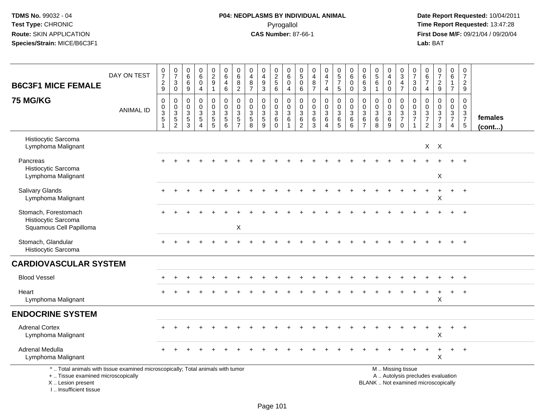**Date Report Requested:** 10/04/2011 **First Dose M/F:** 09/21/04 / 09/20/04<br>Lab: BAT **Lab:** BAT

| <b>B6C3F1 MICE FEMALE</b>                                                                                                                 | DAY ON TEST      | $\frac{0}{7}$<br>$\frac{2}{9}$           | $\frac{0}{7}$<br>$\ensuremath{\mathsf{3}}$<br>$\mathbf 0$ | $\boldsymbol{0}$<br>$6\phantom{a}$<br>$\,6\,$<br>9         | 0<br>6<br>$\mathbf 0$<br>$\overline{4}$                                 | $\pmb{0}$<br>$\overline{2}$<br>$\boldsymbol{9}$<br>$\mathbf{1}$ | $\pmb{0}$<br>$6\overline{6}$<br>$\overline{4}$<br>6  | 0<br>$6\phantom{a}$<br>8<br>$\overline{2}$                           | $\mathbf 0$<br>$\overline{4}$<br>8<br>$\overline{7}$ | $\pmb{0}$<br>$\overline{4}$<br>$\boldsymbol{9}$<br>$\mathfrak{Z}$          | $0$<br>$2$<br>$5$<br>$6$                                             | 0<br>$\,6\,$<br>$\mathbf 0$<br>$\overline{4}$                                  | $\mathbf 0$<br>$\sqrt{5}$<br>$\mathbf 0$<br>6          | $\mathbf 0$<br>$\overline{\mathbf{4}}$<br>8<br>$\overline{7}$    | 0<br>$\overline{4}$<br>$\overline{7}$<br>$\overline{4}$          | $\begin{array}{c} 0 \\ 5 \end{array}$<br>$\overline{7}$<br>5 | $\pmb{0}$<br>$6\phantom{a}$<br>$\mathbf 0$<br>$\mathbf 0$ | $\mathbf 0$<br>$\,6\,$<br>6<br>3                     | $\begin{array}{c} 0 \\ 5 \end{array}$<br>$6\phantom{1}6$<br>$\overline{1}$ | 0<br>$\overline{4}$<br>$\mathbf 0$<br>$\mathbf 0$ | $\pmb{0}$<br>$\overline{3}$<br>$\frac{4}{7}$                                                  | 0<br>$\overline{7}$<br>$\mathbf{3}$<br>$\mathbf 0$ | 0<br>$6\phantom{a}$<br>$\overline{7}$<br>$\overline{4}$                        | $\frac{0}{7}$<br>$\overline{c}$<br>9                         | 0<br>$6\overline{6}$<br>1<br>$\overline{7}$ | $\begin{array}{c} 0 \\ 7 \end{array}$<br>$\overline{c}$<br>9 |                         |
|-------------------------------------------------------------------------------------------------------------------------------------------|------------------|------------------------------------------|-----------------------------------------------------------|------------------------------------------------------------|-------------------------------------------------------------------------|-----------------------------------------------------------------|------------------------------------------------------|----------------------------------------------------------------------|------------------------------------------------------|----------------------------------------------------------------------------|----------------------------------------------------------------------|--------------------------------------------------------------------------------|--------------------------------------------------------|------------------------------------------------------------------|------------------------------------------------------------------|--------------------------------------------------------------|-----------------------------------------------------------|------------------------------------------------------|----------------------------------------------------------------------------|---------------------------------------------------|-----------------------------------------------------------------------------------------------|----------------------------------------------------|--------------------------------------------------------------------------------|--------------------------------------------------------------|---------------------------------------------|--------------------------------------------------------------|-------------------------|
| <b>75 MG/KG</b>                                                                                                                           | <b>ANIMAL ID</b> | $\,0\,$<br>$\frac{0}{3}$<br>$\mathbf{1}$ | 0<br>$\pmb{0}$<br>$\frac{3}{5}$                           | $\mathbf 0$<br>$\mathbf 0$<br>$\mathsf 3$<br>$\frac{5}{3}$ | $\mathbf 0$<br>$\Omega$<br>$\mathbf{3}$<br>$\sqrt{5}$<br>$\overline{4}$ | 0<br>$\pmb{0}$<br>$\frac{3}{5}$                                 | 0<br>$\pmb{0}$<br>$\sqrt{3}$<br>$5\phantom{.0}$<br>6 | $\mathbf 0$<br>$\mathbf 0$<br>3<br>$5\phantom{.0}$<br>$\overline{7}$ | 0<br>$\Omega$<br>3<br>$\sqrt{5}$<br>$\overline{8}$   | $\mathbf 0$<br>$\mathbf 0$<br>$\ensuremath{\mathsf{3}}$<br>$\sqrt{5}$<br>9 | 0<br>$\mathbf 0$<br>$\ensuremath{\mathsf{3}}$<br>$\,6\,$<br>$\Omega$ | $\mathbf 0$<br>$\mathbf 0$<br>$\mathbf 3$<br>$6\phantom{1}6$<br>$\overline{1}$ | $\mathbf 0$<br>$\mathbf 0$<br>3<br>6<br>$\overline{2}$ | $\mathbf 0$<br>$\mathbf 0$<br>$\sqrt{3}$<br>$6\phantom{1}6$<br>3 | 0<br>$\mathbf 0$<br>$\mathbf{3}$<br>6<br>$\overline{\mathbf{4}}$ | 0<br>$\mathbf 0$<br>$\sqrt{3}$<br>$\,6\,$<br>$5\phantom{.0}$ | 0<br>$\pmb{0}$<br>$\sqrt{3}$<br>$\,6\,$<br>$6\phantom{a}$ | $\Omega$<br>$\Omega$<br>3<br>$\,6$<br>$\overline{7}$ | $\mathbf 0$<br>$\mathbf 0$<br>$\mathbf{3}$<br>6<br>8                       | 0<br>$\mathbf 0$<br>3<br>$\,6\,$<br>9             | 0<br>$\mathbf 0$<br>$\frac{3}{7}$<br>$\mathbf 0$                                              | 0<br>$\Omega$<br>3<br>$\overline{7}$               | 0<br>$\Omega$<br>$\ensuremath{\mathsf{3}}$<br>$\overline{7}$<br>$\overline{2}$ | $\mathbf 0$<br>$\mathsf{O}$<br>$\frac{3}{7}$<br>$\mathbf{3}$ | 0<br>$\mathbf 0$<br>$\frac{3}{7}$<br>4      | $\mathbf 0$<br>$\mathbf 0$<br>$\frac{3}{7}$<br>$\sqrt{5}$    | females<br>$($ cont $)$ |
| Histiocytic Sarcoma<br>Lymphoma Malignant                                                                                                 |                  |                                          |                                                           |                                                            |                                                                         |                                                                 |                                                      |                                                                      |                                                      |                                                                            |                                                                      |                                                                                |                                                        |                                                                  |                                                                  |                                                              |                                                           |                                                      |                                                                            |                                                   |                                                                                               |                                                    |                                                                                | $X$ $X$                                                      |                                             |                                                              |                         |
| Pancreas<br>Histiocytic Sarcoma<br>Lymphoma Malignant                                                                                     |                  |                                          |                                                           |                                                            |                                                                         |                                                                 |                                                      |                                                                      |                                                      |                                                                            |                                                                      |                                                                                |                                                        |                                                                  |                                                                  |                                                              |                                                           |                                                      |                                                                            |                                                   |                                                                                               |                                                    |                                                                                | X                                                            |                                             | $\overline{+}$                                               |                         |
| Salivary Glands<br>Lymphoma Malignant                                                                                                     |                  |                                          |                                                           |                                                            |                                                                         |                                                                 |                                                      |                                                                      |                                                      |                                                                            |                                                                      |                                                                                |                                                        |                                                                  |                                                                  |                                                              |                                                           |                                                      |                                                                            |                                                   |                                                                                               |                                                    |                                                                                | $\ddot{}$<br>X                                               | $+$                                         | $+$                                                          |                         |
| Stomach, Forestomach<br>Histiocytic Sarcoma<br>Squamous Cell Papilloma                                                                    |                  |                                          |                                                           |                                                            |                                                                         |                                                                 |                                                      | $\mathsf X$                                                          |                                                      |                                                                            |                                                                      |                                                                                |                                                        |                                                                  |                                                                  |                                                              |                                                           |                                                      |                                                                            |                                                   |                                                                                               |                                                    |                                                                                |                                                              |                                             | $\overline{+}$                                               |                         |
| Stomach, Glandular<br>Histiocytic Sarcoma                                                                                                 |                  |                                          |                                                           |                                                            |                                                                         |                                                                 |                                                      |                                                                      |                                                      |                                                                            |                                                                      |                                                                                |                                                        |                                                                  |                                                                  |                                                              |                                                           |                                                      |                                                                            |                                                   |                                                                                               |                                                    |                                                                                |                                                              |                                             | $+$                                                          |                         |
| <b>CARDIOVASCULAR SYSTEM</b>                                                                                                              |                  |                                          |                                                           |                                                            |                                                                         |                                                                 |                                                      |                                                                      |                                                      |                                                                            |                                                                      |                                                                                |                                                        |                                                                  |                                                                  |                                                              |                                                           |                                                      |                                                                            |                                                   |                                                                                               |                                                    |                                                                                |                                                              |                                             |                                                              |                         |
| <b>Blood Vessel</b>                                                                                                                       |                  |                                          |                                                           |                                                            |                                                                         |                                                                 |                                                      |                                                                      |                                                      |                                                                            |                                                                      |                                                                                |                                                        |                                                                  |                                                                  |                                                              |                                                           |                                                      |                                                                            |                                                   |                                                                                               |                                                    |                                                                                |                                                              |                                             | $+$                                                          |                         |
| Heart<br>Lymphoma Malignant                                                                                                               |                  |                                          |                                                           |                                                            |                                                                         |                                                                 |                                                      |                                                                      |                                                      |                                                                            |                                                                      |                                                                                |                                                        |                                                                  |                                                                  |                                                              |                                                           |                                                      |                                                                            |                                                   |                                                                                               |                                                    |                                                                                | X                                                            | $\ddot{}$                                   | $\overline{+}$                                               |                         |
| <b>ENDOCRINE SYSTEM</b>                                                                                                                   |                  |                                          |                                                           |                                                            |                                                                         |                                                                 |                                                      |                                                                      |                                                      |                                                                            |                                                                      |                                                                                |                                                        |                                                                  |                                                                  |                                                              |                                                           |                                                      |                                                                            |                                                   |                                                                                               |                                                    |                                                                                |                                                              |                                             |                                                              |                         |
| <b>Adrenal Cortex</b><br>Lymphoma Malignant                                                                                               |                  |                                          |                                                           |                                                            |                                                                         |                                                                 |                                                      |                                                                      |                                                      |                                                                            |                                                                      |                                                                                |                                                        |                                                                  |                                                                  |                                                              |                                                           |                                                      |                                                                            |                                                   |                                                                                               |                                                    |                                                                                | $\overline{1}$<br>X                                          | $\ddot{}$                                   | $+$                                                          |                         |
| Adrenal Medulla<br>Lymphoma Malignant                                                                                                     |                  |                                          |                                                           |                                                            |                                                                         |                                                                 |                                                      |                                                                      |                                                      |                                                                            |                                                                      |                                                                                |                                                        |                                                                  |                                                                  |                                                              |                                                           |                                                      |                                                                            |                                                   |                                                                                               |                                                    |                                                                                | X                                                            |                                             |                                                              |                         |
| *  Total animals with tissue examined microscopically; Total animals with tumor<br>+  Tissue examined microscopically<br>X Lesion present |                  |                                          |                                                           |                                                            |                                                                         |                                                                 |                                                      |                                                                      |                                                      |                                                                            |                                                                      |                                                                                |                                                        |                                                                  |                                                                  |                                                              |                                                           |                                                      |                                                                            |                                                   | M  Missing tissue<br>A  Autolysis precludes evaluation<br>BLANK  Not examined microscopically |                                                    |                                                                                |                                                              |                                             |                                                              |                         |

I .. Insufficient tissue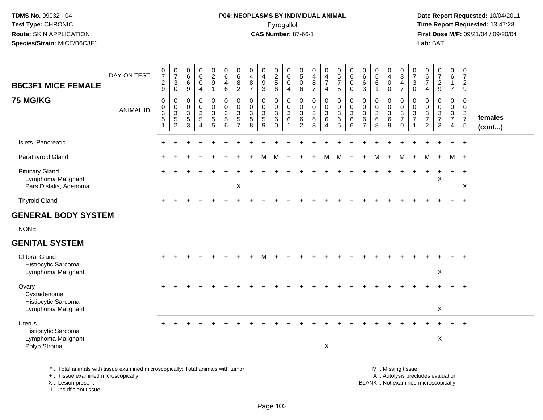#### **P04: NEOPLASMS BY INDIVIDUAL ANIMAL**Pyrogallol **Time Report Requested:** 13:47:28

 **Date Report Requested:** 10/04/2011 **First Dose M/F:** 09/21/04 / 09/20/04<br>**Lab:** BAT **Lab:** BAT

| <b>B6C3F1 MICE FEMALE</b>                                                   | DAY ON TEST      | $\frac{0}{7}$<br>$\boldsymbol{2}$<br>$\boldsymbol{9}$    | $\frac{0}{7}$<br>$\mathbf{3}$<br>$\mathsf 0$ | 0<br>$\,6$<br>$\,6\,$<br>9 | $\begin{matrix} 0 \\ 6 \end{matrix}$<br>$\mathbf 0$<br>$\overline{4}$              | $\begin{smallmatrix} 0\\2\\9 \end{smallmatrix}$<br>$\mathbf{1}$        | $_{6}^{\rm 0}$<br>$\overline{\mathbf{4}}$<br>6 | $_{6}^{\rm 0}$<br>$\bf 8$<br>$\overline{2}$                                     | $\pmb{0}$<br>$\overline{4}$<br>$\bf 8$<br>$\overline{7}$ | $\begin{smallmatrix}0\\4\end{smallmatrix}$<br>$9\,$<br>$\mathbf{3}$ | $\begin{array}{c} 0 \\ 2 \\ 5 \end{array}$<br>$6\phantom{1}$ | 0<br>$\,6\,$<br>$\mathbf 0$<br>4                               | $\frac{0}{5}$<br>$\mathsf{O}\xspace$<br>6                       | $\frac{0}{4}$<br>$\bf 8$<br>$\overline{7}$                   | $\begin{array}{c} 0 \\ 4 \\ 7 \end{array}$<br>$\overline{4}$ | $\begin{matrix} 0 \\ 5 \end{matrix}$<br>$\overline{7}$<br>5 | $\begin{array}{c} 0 \\ 6 \end{array}$<br>$\mathbf 0$<br>$\mathbf 0$ | 0<br>$\,6$<br>6<br>$\mathbf{3}$                                   | $\begin{array}{c} 0 \\ 5 \end{array}$<br>$\,6\,$<br>$\overline{1}$ | $\begin{smallmatrix}0\0\4\end{smallmatrix}$<br>$\mathbf 0$<br>$\mathbf 0$ | $\begin{array}{c} 0 \\ 3 \\ 4 \end{array}$<br>$\overline{7}$                 | $\frac{0}{7}$<br>$\mathsf 3$<br>$\mathbf 0$                 | 0<br>6<br>$\overline{7}$<br>$\overline{4}$                  | $\frac{0}{7}$<br>$\frac{2}{9}$                            | $\begin{matrix} 0 \\ 6 \end{matrix}$<br>$\mathbf{1}$<br>$\overline{7}$ | $\mathbf 0$<br>$\overline{7}$<br>$\sqrt{2}$<br>9               |                   |
|-----------------------------------------------------------------------------|------------------|----------------------------------------------------------|----------------------------------------------|----------------------------|------------------------------------------------------------------------------------|------------------------------------------------------------------------|------------------------------------------------|---------------------------------------------------------------------------------|----------------------------------------------------------|---------------------------------------------------------------------|--------------------------------------------------------------|----------------------------------------------------------------|-----------------------------------------------------------------|--------------------------------------------------------------|--------------------------------------------------------------|-------------------------------------------------------------|---------------------------------------------------------------------|-------------------------------------------------------------------|--------------------------------------------------------------------|---------------------------------------------------------------------------|------------------------------------------------------------------------------|-------------------------------------------------------------|-------------------------------------------------------------|-----------------------------------------------------------|------------------------------------------------------------------------|----------------------------------------------------------------|-------------------|
| <b>75 MG/KG</b>                                                             | <b>ANIMAL ID</b> | 0<br>0<br>$\overline{3}$<br>$\sqrt{5}$<br>$\overline{1}$ | $\pmb{0}$<br>$\frac{0}{3}$<br>$\overline{2}$ | 0<br>0<br>3<br>5<br>3      | $\pmb{0}$<br>$\mathsf{O}\xspace$<br>$\overline{3}$<br>$\sqrt{5}$<br>$\overline{4}$ | $\mathsf{O}$<br>$\overline{0}$<br>$\mathbf{3}$<br>$5\phantom{.0}$<br>5 | $\pmb{0}$<br>$\frac{0}{3}$<br>$\,6\,$          | $\begin{smallmatrix} 0\\0 \end{smallmatrix}$<br>$\frac{3}{5}$<br>$\overline{7}$ | $\pmb{0}$<br>$\ddot{\mathbf{0}}$<br>$\frac{3}{5}$<br>8   | $\mathbf 0$<br>$\overline{0}$<br>$\mathbf{3}$<br>$\sqrt{5}$<br>9    | 0<br>$\mathbf 0$<br>$\overline{3}$<br>$\,6\,$<br>$\mathbf 0$ | $\pmb{0}$<br>$\overline{0}$<br>$\sqrt{3}$<br>6<br>$\mathbf{1}$ | $\pmb{0}$<br>$\mathbf 0$<br>$\mathbf{3}$<br>6<br>$\overline{2}$ | $\pmb{0}$<br>$\mathsf{O}\xspace$<br>$\overline{3}$<br>6<br>3 | $\pmb{0}$<br>$\frac{0}{3}$<br>6<br>$\overline{4}$            | 0<br>$\overline{0}$<br>3<br>6<br>5                          | $\begin{matrix} 0 \\ 0 \\ 3 \end{matrix}$<br>6<br>$\,6\,$           | $\mathbf 0$<br>$\mathbf 0$<br>$\mathbf{3}$<br>6<br>$\overline{7}$ | $\mathbf 0$<br>$\overline{0}$<br>$\overline{3}$<br>6<br>8          | 0<br>$\mathbf 0$<br>$\ensuremath{\mathsf{3}}$<br>6<br>9                   | $\begin{smallmatrix} 0\\0 \end{smallmatrix}$<br>$\frac{3}{7}$<br>$\mathbf 0$ | $\mathbf 0$<br>$\mathbf 0$<br>$\frac{3}{7}$<br>$\mathbf{1}$ | $\pmb{0}$<br>$\mathbf 0$<br>$\frac{3}{7}$<br>$\overline{2}$ | 0<br>$\mathsf{O}\xspace$<br>$\frac{3}{7}$<br>$\mathbf{3}$ | $\mathbf 0$<br>$\mathbf 0$<br>$\frac{3}{7}$<br>$\overline{4}$          | $\mathbf 0$<br>$\mathbf 0$<br>$\frac{3}{7}$<br>$5\phantom{.0}$ | females<br>(cont) |
| Islets, Pancreatic                                                          |                  |                                                          |                                              |                            |                                                                                    |                                                                        |                                                |                                                                                 |                                                          |                                                                     |                                                              |                                                                |                                                                 |                                                              |                                                              |                                                             |                                                                     |                                                                   |                                                                    |                                                                           |                                                                              |                                                             |                                                             |                                                           | $\ddot{}$                                                              | $+$                                                            |                   |
| Parathyroid Gland                                                           |                  |                                                          |                                              |                            |                                                                                    |                                                                        |                                                |                                                                                 |                                                          | M                                                                   | M                                                            | $\ddot{}$                                                      |                                                                 | $+$                                                          | M                                                            | M                                                           | $+$                                                                 | $+$                                                               | M                                                                  | $\ddot{}$                                                                 | M                                                                            | $+$                                                         | M                                                           | $+$                                                       |                                                                        | M +                                                            |                   |
| <b>Pituitary Gland</b><br>Lymphoma Malignant<br>Pars Distalis, Adenoma      |                  |                                                          |                                              |                            |                                                                                    |                                                                        |                                                | X                                                                               |                                                          |                                                                     |                                                              |                                                                |                                                                 |                                                              |                                                              |                                                             |                                                                     |                                                                   |                                                                    |                                                                           |                                                                              |                                                             |                                                             | $\ddot{}$<br>X                                            | $\ddot{}$                                                              | $+$<br>$\boldsymbol{\mathsf{X}}$                               |                   |
| <b>Thyroid Gland</b>                                                        |                  | $\ddot{}$                                                | $\ddot{}$                                    | ÷                          |                                                                                    | $\div$                                                                 | $\ddot{}$                                      |                                                                                 |                                                          |                                                                     |                                                              |                                                                |                                                                 |                                                              |                                                              |                                                             |                                                                     |                                                                   |                                                                    |                                                                           |                                                                              |                                                             | $+$                                                         | $\ddot{}$                                                 | $+$                                                                    | $+$                                                            |                   |
| <b>GENERAL BODY SYSTEM</b>                                                  |                  |                                                          |                                              |                            |                                                                                    |                                                                        |                                                |                                                                                 |                                                          |                                                                     |                                                              |                                                                |                                                                 |                                                              |                                                              |                                                             |                                                                     |                                                                   |                                                                    |                                                                           |                                                                              |                                                             |                                                             |                                                           |                                                                        |                                                                |                   |
| <b>NONE</b>                                                                 |                  |                                                          |                                              |                            |                                                                                    |                                                                        |                                                |                                                                                 |                                                          |                                                                     |                                                              |                                                                |                                                                 |                                                              |                                                              |                                                             |                                                                     |                                                                   |                                                                    |                                                                           |                                                                              |                                                             |                                                             |                                                           |                                                                        |                                                                |                   |
| <b>GENITAL SYSTEM</b>                                                       |                  |                                                          |                                              |                            |                                                                                    |                                                                        |                                                |                                                                                 |                                                          |                                                                     |                                                              |                                                                |                                                                 |                                                              |                                                              |                                                             |                                                                     |                                                                   |                                                                    |                                                                           |                                                                              |                                                             |                                                             |                                                           |                                                                        |                                                                |                   |
| <b>Clitoral Gland</b><br>Histiocytic Sarcoma<br>Lymphoma Malignant          |                  |                                                          |                                              |                            |                                                                                    |                                                                        |                                                |                                                                                 |                                                          |                                                                     |                                                              |                                                                |                                                                 |                                                              |                                                              |                                                             |                                                                     |                                                                   |                                                                    |                                                                           |                                                                              |                                                             |                                                             | X                                                         |                                                                        |                                                                |                   |
| Ovary<br>Cystadenoma<br>Histiocytic Sarcoma<br>Lymphoma Malignant           |                  |                                                          |                                              |                            |                                                                                    |                                                                        |                                                |                                                                                 |                                                          |                                                                     |                                                              |                                                                |                                                                 |                                                              |                                                              |                                                             |                                                                     |                                                                   |                                                                    |                                                                           |                                                                              |                                                             |                                                             | X                                                         |                                                                        |                                                                |                   |
| <b>Uterus</b><br>Histiocytic Sarcoma<br>Lymphoma Malignant<br>Polyp Stromal |                  |                                                          |                                              |                            |                                                                                    |                                                                        |                                                |                                                                                 |                                                          |                                                                     |                                                              |                                                                |                                                                 |                                                              | X                                                            |                                                             |                                                                     |                                                                   |                                                                    |                                                                           |                                                                              |                                                             |                                                             | X                                                         |                                                                        |                                                                |                   |

\* .. Total animals with tissue examined microscopically; Total animals with tumor

+ .. Tissue examined microscopically

 Lesion present BLANK .. Not examined microscopicallyX .. Lesion present

I .. Insufficient tissue

 M .. Missing tissuey the contract of the contract of the contract of the contract of the contract of the contract of the contract of  $A$ . Autolysis precludes evaluation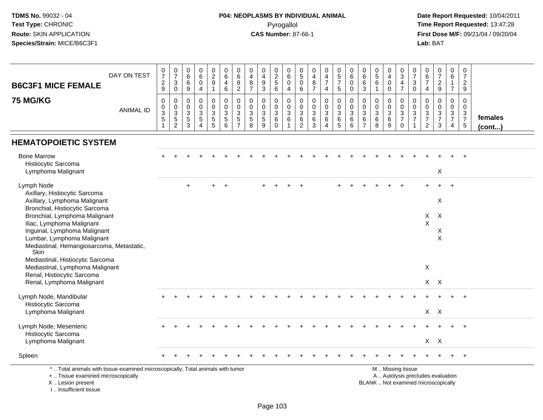# **P04: NEOPLASMS BY INDIVIDUAL ANIMAL**Pyrogallol **Time Report Requested:** 13:47:28

| <b>B6C3F1 MICE FEMALE</b>                                                                                                                                                                                                                                                                      | DAY ON TEST      | $\frac{0}{7}$<br>$\frac{2}{9}$                                             | $\frac{0}{7}$<br>$\ensuremath{\mathsf{3}}$<br>$\pmb{0}$                              | 0<br>$\,6\,$<br>$\,6\,$<br>9                                               | $_{6}^{\rm 0}$<br>$\pmb{0}$<br>$\overline{4}$                                  | 0<br>$\frac{2}{9}$<br>$\mathbf{1}$                                  | $\boldsymbol{0}$<br>$\,6\,$<br>4<br>$\,6\,$                 | 0<br>$\,6\,$<br>8<br>$\sqrt{2}$                                         | 0<br>$\overline{4}$<br>$\, 8$<br>$\overline{7}$   | 0<br>$\overline{4}$<br>$\boldsymbol{9}$<br>3            | 0<br>$\frac{2}{5}$                                                   | 0<br>6<br>$\mathbf 0$<br>$\overline{4}$ | $\pmb{0}$<br>$\,$ 5 $\,$<br>$\pmb{0}$<br>$6\overline{6}$ | $\begin{smallmatrix}0\0\4\end{smallmatrix}$<br>$\frac{8}{7}$                  | $\begin{smallmatrix}0\0\4\end{smallmatrix}$<br>$\boldsymbol{7}$<br>4           | $\begin{array}{c} 0 \\ 5 \end{array}$<br>$\overline{7}$<br>$\overline{5}$ | 0<br>$\,6\,$<br>$\mathbf 0$<br>$\mathbf 0$              | 0<br>$\,6\,$<br>$\,6\,$<br>$\mathbf{3}$                         | $\begin{array}{c} 0 \\ 5 \end{array}$<br>6<br>$\mathbf{1}$ | 0<br>$\overline{4}$<br>$\pmb{0}$<br>$\mathbf 0$    | $\boldsymbol{0}$<br>$\ensuremath{\mathsf{3}}$<br>$\frac{4}{7}$                                | 0<br>$\overline{7}$<br>$\mathsf 3$<br>$\mathbf 0$                                           | $\pmb{0}$<br>$\,6\,$<br>$\overline{7}$<br>$\overline{4}$              | $\frac{0}{7}$<br>$\frac{2}{9}$                              | $\mathbf 0$<br>6<br>$\mathbf{1}$<br>$\overline{7}$            | $\pmb{0}$<br>$\overline{7}$<br>$\overline{2}$<br>$\boldsymbol{9}$ |                   |
|------------------------------------------------------------------------------------------------------------------------------------------------------------------------------------------------------------------------------------------------------------------------------------------------|------------------|----------------------------------------------------------------------------|--------------------------------------------------------------------------------------|----------------------------------------------------------------------------|--------------------------------------------------------------------------------|---------------------------------------------------------------------|-------------------------------------------------------------|-------------------------------------------------------------------------|---------------------------------------------------|---------------------------------------------------------|----------------------------------------------------------------------|-----------------------------------------|----------------------------------------------------------|-------------------------------------------------------------------------------|--------------------------------------------------------------------------------|---------------------------------------------------------------------------|---------------------------------------------------------|-----------------------------------------------------------------|------------------------------------------------------------|----------------------------------------------------|-----------------------------------------------------------------------------------------------|---------------------------------------------------------------------------------------------|-----------------------------------------------------------------------|-------------------------------------------------------------|---------------------------------------------------------------|-------------------------------------------------------------------|-------------------|
| <b>75 MG/KG</b>                                                                                                                                                                                                                                                                                | <b>ANIMAL ID</b> | $\mathbf 0$<br>$\pmb{0}$<br>$\ensuremath{\mathsf{3}}$<br>5<br>$\mathbf{1}$ | $\pmb{0}$<br>$\pmb{0}$<br>$\ensuremath{\mathsf{3}}$<br>$\,$ 5 $\,$<br>$\overline{2}$ | $\mathbf 0$<br>$\mathbf 0$<br>$\mathbf{3}$<br>$\sqrt{5}$<br>$\overline{3}$ | $\mathbf 0$<br>$\mathsf 0$<br>$\mathbf{3}$<br>$\overline{5}$<br>$\overline{4}$ | $\pmb{0}$<br>0<br>$\mathbf{3}$<br>$5\phantom{.0}$<br>$\overline{5}$ | $\pmb{0}$<br>$\pmb{0}$<br>$\overline{3}$<br>$\sqrt{5}$<br>6 | $\mathbf 0$<br>$\Omega$<br>$\mathbf{3}$<br>$\sqrt{5}$<br>$\overline{7}$ | $\Omega$<br>$\mathbf 0$<br>$\mathbf{3}$<br>5<br>8 | 0<br>$\mathbf 0$<br>$\ensuremath{\mathsf{3}}$<br>5<br>9 | $\pmb{0}$<br>$\mathsf{O}\xspace$<br>$\mathbf{3}$<br>6<br>$\mathbf 0$ | 0<br>$\Omega$<br>3<br>6<br>1.           | $\mathbf 0$<br>0<br>$\mathbf{3}$<br>6<br>$\overline{2}$  | $\mathsf 0$<br>$\mathsf{O}\xspace$<br>$\sqrt{3}$<br>$\,6\,$<br>$\overline{3}$ | $\mathbf 0$<br>$\mathbf 0$<br>$\ensuremath{\mathsf{3}}$<br>6<br>$\overline{4}$ | $\mathbf 0$<br>$\mathbf 0$<br>$\sqrt{3}$<br>6<br>$\sqrt{5}$               | $\mathbf 0$<br>$\overline{0}$<br>$\mathbf{3}$<br>6<br>6 | $\mathbf 0$<br>$\mathbf 0$<br>$\sqrt{3}$<br>6<br>$\overline{7}$ | 0<br>0<br>3<br>6<br>8                                      | $\mathbf 0$<br>$\pmb{0}$<br>$\mathbf{3}$<br>6<br>9 | $\pmb{0}$<br>$\pmb{0}$<br>$\frac{3}{7}$<br>$\mathbf 0$                                        | $\mathbf 0$<br>$\mathbf 0$<br>$\ensuremath{\mathsf{3}}$<br>$\overline{7}$<br>$\overline{1}$ | $\mathbf 0$<br>$\mathsf{O}\xspace$<br>$\frac{3}{7}$<br>$\overline{2}$ | $\mathbf 0$<br>$\mathbf 0$<br>$\frac{3}{7}$<br>$\mathbf{3}$ | $\mathbf 0$<br>$\mathbf 0$<br>$\frac{3}{7}$<br>$\overline{4}$ | $\mathbf 0$<br>$\Omega$<br>$\frac{3}{7}$<br>$\sqrt{5}$            | females<br>(cont) |
| <b>HEMATOPOIETIC SYSTEM</b>                                                                                                                                                                                                                                                                    |                  |                                                                            |                                                                                      |                                                                            |                                                                                |                                                                     |                                                             |                                                                         |                                                   |                                                         |                                                                      |                                         |                                                          |                                                                               |                                                                                |                                                                           |                                                         |                                                                 |                                                            |                                                    |                                                                                               |                                                                                             |                                                                       |                                                             |                                                               |                                                                   |                   |
| <b>Bone Marrow</b><br>Histiocytic Sarcoma<br>Lymphoma Malignant                                                                                                                                                                                                                                |                  |                                                                            |                                                                                      |                                                                            |                                                                                |                                                                     |                                                             |                                                                         |                                                   |                                                         |                                                                      |                                         |                                                          |                                                                               |                                                                                |                                                                           |                                                         |                                                                 |                                                            |                                                    |                                                                                               |                                                                                             |                                                                       | X                                                           |                                                               |                                                                   |                   |
| Lymph Node<br>Axillary, Histiocytic Sarcoma<br>Axillary, Lymphoma Malignant<br>Bronchial, Histiocytic Sarcoma<br>Bronchial, Lymphoma Malignant<br>Iliac, Lymphoma Malignant<br>Inguinal, Lymphoma Malignant<br>Lumbar, Lymphoma Malignant<br>Mediastinal, Hemangiosarcoma, Metastatic,<br>Skin |                  |                                                                            |                                                                                      | $\div$                                                                     |                                                                                |                                                                     |                                                             |                                                                         |                                                   |                                                         |                                                                      |                                         |                                                          |                                                                               |                                                                                |                                                                           |                                                         |                                                                 |                                                            |                                                    |                                                                                               |                                                                                             | $\mathsf{X}$<br>X                                                     | X<br>$\boldsymbol{\mathsf{X}}$<br>X<br>$\times$             |                                                               |                                                                   |                   |
| Mediastinal, Histiocytic Sarcoma<br>Mediastinal, Lymphoma Malignant<br>Renal, Histiocytic Sarcoma<br>Renal, Lymphoma Malignant                                                                                                                                                                 |                  |                                                                            |                                                                                      |                                                                            |                                                                                |                                                                     |                                                             |                                                                         |                                                   |                                                         |                                                                      |                                         |                                                          |                                                                               |                                                                                |                                                                           |                                                         |                                                                 |                                                            |                                                    |                                                                                               |                                                                                             | $\boldsymbol{\mathsf{X}}$                                             | $X$ $X$                                                     |                                                               |                                                                   |                   |
| Lymph Node, Mandibular<br>Histiocytic Sarcoma<br>Lymphoma Malignant                                                                                                                                                                                                                            |                  |                                                                            |                                                                                      |                                                                            |                                                                                |                                                                     |                                                             |                                                                         |                                                   |                                                         |                                                                      |                                         |                                                          |                                                                               |                                                                                |                                                                           |                                                         |                                                                 |                                                            |                                                    |                                                                                               |                                                                                             |                                                                       | $X$ $X$                                                     |                                                               |                                                                   |                   |
| Lymph Node, Mesenteric<br>Histiocytic Sarcoma<br>Lymphoma Malignant                                                                                                                                                                                                                            |                  |                                                                            |                                                                                      |                                                                            |                                                                                |                                                                     |                                                             |                                                                         |                                                   |                                                         |                                                                      |                                         |                                                          |                                                                               |                                                                                |                                                                           |                                                         |                                                                 |                                                            |                                                    |                                                                                               |                                                                                             |                                                                       | $X$ $X$                                                     |                                                               |                                                                   |                   |
| Spleen                                                                                                                                                                                                                                                                                         |                  |                                                                            |                                                                                      |                                                                            |                                                                                |                                                                     |                                                             |                                                                         |                                                   |                                                         |                                                                      |                                         |                                                          |                                                                               |                                                                                |                                                                           |                                                         |                                                                 |                                                            |                                                    |                                                                                               |                                                                                             |                                                                       |                                                             |                                                               |                                                                   |                   |
| *  Total animals with tissue examined microscopically; Total animals with tumor<br>+  Tissue examined microscopically<br>X  Lesion present<br>I., Insufficient tissue                                                                                                                          |                  |                                                                            |                                                                                      |                                                                            |                                                                                |                                                                     |                                                             |                                                                         |                                                   |                                                         |                                                                      |                                         |                                                          |                                                                               |                                                                                |                                                                           |                                                         |                                                                 |                                                            |                                                    | M  Missing tissue<br>A  Autolysis precludes evaluation<br>BLANK  Not examined microscopically |                                                                                             |                                                                       |                                                             |                                                               |                                                                   |                   |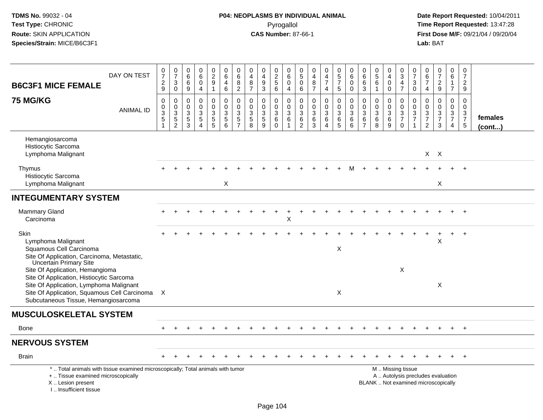# **P04: NEOPLASMS BY INDIVIDUAL ANIMAL**Pyrogallol **Time Report Requested:** 13:47:28

| DAY ON TEST<br><b>B6C3F1 MICE FEMALE</b>                                                                                                                                                                                                        | $\frac{0}{7}$<br>$\frac{2}{9}$                          | $\begin{smallmatrix}0\\7\end{smallmatrix}$<br>$\sqrt{3}$<br>$\mathbf 0$ | 0<br>$\,6\,$<br>6<br>$\boldsymbol{9}$                                     | 0<br>6<br>$\mathbf 0$<br>4                                                     | $\begin{array}{c} 0 \\ 2 \\ 9 \end{array}$<br>$\mathbf{1}$ | $\begin{array}{c} 0 \\ 6 \end{array}$<br>$\overline{4}$<br>6                          | $\pmb{0}$<br>6<br>8<br>$\overline{2}$                     | $\mathbf 0$<br>$\overline{4}$<br>$\bf8$<br>$\overline{7}$              | $\mathbf 0$<br>$\overline{\mathbf{4}}$<br>$9\,$<br>$\mathbf{3}$        | 0<br>$\overline{2}$<br>$\sqrt{5}$<br>$6\phantom{a}$   | $\mathbf 0$<br>6<br>$\mathbf 0$<br>4                                    | 0<br>$\overline{5}$<br>$\mathbf 0$<br>$\,6$               | 0<br>$\overline{4}$<br>$\,8\,$<br>$\overline{7}$                | $\pmb{0}$<br>$\overline{4}$<br>$\overline{7}$<br>4     | $\begin{array}{c} 0 \\ 5 \\ 7 \end{array}$<br>$\overline{5}$ | $\begin{array}{c} 0 \\ 6 \end{array}$<br>$\mathbf 0$<br>0               | $\mathbf 0$<br>$\overline{6}$<br>$\,6\,$<br>$\mathfrak{Z}$                         | $\begin{array}{c} 0 \\ 5 \end{array}$<br>$\,6\,$<br>$\overline{1}$               | 0<br>$\overline{4}$<br>$\pmb{0}$<br>$\pmb{0}$                           | 0<br>$\overline{3}$<br>$\overline{4}$<br>$\overline{7}$                        | 0<br>$\overline{7}$<br>3<br>$\overline{0}$                 | $\pmb{0}$<br>$\,6\,$<br>$\overline{7}$<br>$\overline{4}$         | $\begin{array}{c} 0 \\ 7 \end{array}$<br>$\frac{2}{9}$                   | $\mathbf 0$<br>$6\phantom{1}$<br>$\overline{1}$<br>$\overline{7}$                           | $\pmb{0}$<br>$\overline{7}$<br>$\overline{2}$<br>9            |                         |
|-------------------------------------------------------------------------------------------------------------------------------------------------------------------------------------------------------------------------------------------------|---------------------------------------------------------|-------------------------------------------------------------------------|---------------------------------------------------------------------------|--------------------------------------------------------------------------------|------------------------------------------------------------|---------------------------------------------------------------------------------------|-----------------------------------------------------------|------------------------------------------------------------------------|------------------------------------------------------------------------|-------------------------------------------------------|-------------------------------------------------------------------------|-----------------------------------------------------------|-----------------------------------------------------------------|--------------------------------------------------------|--------------------------------------------------------------|-------------------------------------------------------------------------|------------------------------------------------------------------------------------|----------------------------------------------------------------------------------|-------------------------------------------------------------------------|--------------------------------------------------------------------------------|------------------------------------------------------------|------------------------------------------------------------------|--------------------------------------------------------------------------|---------------------------------------------------------------------------------------------|---------------------------------------------------------------|-------------------------|
| <b>75 MG/KG</b><br><b>ANIMAL ID</b>                                                                                                                                                                                                             | $\pmb{0}$<br>$\pmb{0}$<br>$\overline{3}$<br>$\mathbf 5$ | $\mathsf 0$<br>$\mathbf 0$<br>$\overline{3}$<br>$\frac{5}{2}$           | $\mathbf 0$<br>$\mathbf 0$<br>$\sqrt{3}$<br>$\,$ 5 $\,$<br>$\overline{3}$ | $\pmb{0}$<br>$\mathbf 0$<br>$\sqrt{3}$<br>$\sqrt{5}$<br>$\boldsymbol{\Lambda}$ | 0<br>$\mathbf 0$<br>$\mathbf{3}$<br>$\frac{5}{5}$          | $\mathsf 0$<br>$\mathbf 0$<br>$\overline{3}$<br>$\begin{array}{c} 5 \\ 6 \end{array}$ | $\pmb{0}$<br>$\pmb{0}$<br>$\overline{3}$<br>$\frac{5}{7}$ | $\pmb{0}$<br>$\mathbf 0$<br>$\sqrt{3}$<br>$\sqrt{5}$<br>$\overline{8}$ | $\pmb{0}$<br>$\mathbf 0$<br>$\sqrt{3}$<br>$\sqrt{5}$<br>$\overline{9}$ | 0<br>$\mathbf 0$<br>$\sqrt{3}$<br>$\,6\,$<br>$\Omega$ | $\pmb{0}$<br>$\mathbf 0$<br>$\overline{3}$<br>$\,6\,$<br>$\overline{1}$ | 0<br>$\mathbf 0$<br>$\mathfrak{Z}$<br>6<br>$\overline{2}$ | 0<br>$\mathbf 0$<br>$\overline{3}$<br>$\,6\,$<br>$\overline{3}$ | $\mathsf 0$<br>$\mathsf 0$<br>$\overline{3}$<br>6<br>4 | 0<br>$\mathsf{O}\xspace$<br>$\overline{3}$<br>$^6$ 5         | $\mathbf 0$<br>$\pmb{0}$<br>$\overline{3}$<br>$\,6\,$<br>$\overline{6}$ | $\pmb{0}$<br>$\mathbf 0$<br>$\ensuremath{\mathsf{3}}$<br>$\,6\,$<br>$\overline{7}$ | $\pmb{0}$<br>$\mathbf 0$<br>$\ensuremath{\mathsf{3}}$<br>$\,6\,$<br>$\mathbf{8}$ | 0<br>$\mathsf{O}\xspace$<br>$\overline{3}$<br>$\,6\,$<br>$\overline{9}$ | $\mathbf 0$<br>0<br>$\ensuremath{\mathsf{3}}$<br>$\overline{7}$<br>$\mathbf 0$ | $\pmb{0}$<br>$\mathbf 0$<br>$\mathbf{3}$<br>$\overline{7}$ | $\mathbf 0$<br>$\mathbf 0$<br>$\mathbf 3$<br>$\overline{7}$<br>2 | $\pmb{0}$<br>$\mathbf 0$<br>$\frac{3}{7}$<br>3                           | $\mathbf 0$<br>$\mathbf 0$<br>$\ensuremath{\mathsf{3}}$<br>$\overline{7}$<br>$\overline{4}$ | $\mathbf 0$<br>$\mathbf 0$<br>$\frac{3}{7}$<br>$\overline{5}$ | females<br>$($ cont $)$ |
| Hemangiosarcoma<br>Histiocytic Sarcoma<br>Lymphoma Malignant                                                                                                                                                                                    |                                                         |                                                                         |                                                                           |                                                                                |                                                            |                                                                                       |                                                           |                                                                        |                                                                        |                                                       |                                                                         |                                                           |                                                                 |                                                        |                                                              |                                                                         |                                                                                    |                                                                                  |                                                                         |                                                                                |                                                            |                                                                  | $X$ $X$                                                                  |                                                                                             |                                                               |                         |
| Thymus<br>Histiocytic Sarcoma<br>Lymphoma Malignant                                                                                                                                                                                             |                                                         |                                                                         |                                                                           |                                                                                |                                                            | X                                                                                     |                                                           |                                                                        |                                                                        |                                                       |                                                                         |                                                           |                                                                 |                                                        |                                                              |                                                                         |                                                                                    |                                                                                  |                                                                         |                                                                                |                                                            |                                                                  | X                                                                        |                                                                                             |                                                               |                         |
| <b>INTEGUMENTARY SYSTEM</b>                                                                                                                                                                                                                     |                                                         |                                                                         |                                                                           |                                                                                |                                                            |                                                                                       |                                                           |                                                                        |                                                                        |                                                       |                                                                         |                                                           |                                                                 |                                                        |                                                              |                                                                         |                                                                                    |                                                                                  |                                                                         |                                                                                |                                                            |                                                                  |                                                                          |                                                                                             |                                                               |                         |
| <b>Mammary Gland</b><br>Carcinoma                                                                                                                                                                                                               |                                                         |                                                                         |                                                                           |                                                                                |                                                            |                                                                                       |                                                           |                                                                        |                                                                        |                                                       | Χ                                                                       |                                                           |                                                                 |                                                        |                                                              |                                                                         |                                                                                    |                                                                                  |                                                                         |                                                                                |                                                            |                                                                  |                                                                          |                                                                                             |                                                               |                         |
| Skin<br>Lymphoma Malignant<br>Squamous Cell Carcinoma<br>Site Of Application, Carcinoma, Metastatic,                                                                                                                                            |                                                         |                                                                         |                                                                           |                                                                                |                                                            |                                                                                       |                                                           |                                                                        |                                                                        |                                                       |                                                                         |                                                           |                                                                 |                                                        | X                                                            |                                                                         |                                                                                    |                                                                                  |                                                                         |                                                                                |                                                            |                                                                  | X                                                                        |                                                                                             | $\div$                                                        |                         |
| <b>Uncertain Primary Site</b><br>Site Of Application, Hemangioma<br>Site Of Application, Histiocytic Sarcoma<br>Site Of Application, Lymphoma Malignant<br>Site Of Application, Squamous Cell Carcinoma<br>Subcutaneous Tissue, Hemangiosarcoma | $\boldsymbol{\mathsf{X}}$                               |                                                                         |                                                                           |                                                                                |                                                            |                                                                                       |                                                           |                                                                        |                                                                        |                                                       |                                                                         |                                                           |                                                                 |                                                        | X                                                            |                                                                         |                                                                                    |                                                                                  |                                                                         | X                                                                              |                                                            |                                                                  | X                                                                        |                                                                                             |                                                               |                         |
| <b>MUSCULOSKELETAL SYSTEM</b>                                                                                                                                                                                                                   |                                                         |                                                                         |                                                                           |                                                                                |                                                            |                                                                                       |                                                           |                                                                        |                                                                        |                                                       |                                                                         |                                                           |                                                                 |                                                        |                                                              |                                                                         |                                                                                    |                                                                                  |                                                                         |                                                                                |                                                            |                                                                  |                                                                          |                                                                                             |                                                               |                         |
| <b>Bone</b>                                                                                                                                                                                                                                     |                                                         |                                                                         |                                                                           |                                                                                |                                                            |                                                                                       |                                                           |                                                                        |                                                                        |                                                       |                                                                         |                                                           |                                                                 |                                                        |                                                              |                                                                         |                                                                                    |                                                                                  |                                                                         |                                                                                |                                                            |                                                                  |                                                                          |                                                                                             | $\div$                                                        |                         |
| <b>NERVOUS SYSTEM</b>                                                                                                                                                                                                                           |                                                         |                                                                         |                                                                           |                                                                                |                                                            |                                                                                       |                                                           |                                                                        |                                                                        |                                                       |                                                                         |                                                           |                                                                 |                                                        |                                                              |                                                                         |                                                                                    |                                                                                  |                                                                         |                                                                                |                                                            |                                                                  |                                                                          |                                                                                             |                                                               |                         |
| <b>Brain</b>                                                                                                                                                                                                                                    |                                                         |                                                                         |                                                                           |                                                                                |                                                            |                                                                                       |                                                           |                                                                        |                                                                        |                                                       |                                                                         |                                                           |                                                                 |                                                        |                                                              |                                                                         |                                                                                    |                                                                                  |                                                                         |                                                                                |                                                            |                                                                  |                                                                          |                                                                                             | $+$                                                           |                         |
| *  Total animals with tissue examined microscopically; Total animals with tumor<br>+  Tissue examined microscopically<br>X  Lesion present<br>L., Insufficient tissue                                                                           |                                                         |                                                                         |                                                                           |                                                                                |                                                            |                                                                                       |                                                           |                                                                        |                                                                        |                                                       |                                                                         |                                                           |                                                                 |                                                        |                                                              |                                                                         |                                                                                    |                                                                                  |                                                                         | M  Missing tissue                                                              |                                                            |                                                                  | A  Autolysis precludes evaluation<br>BLANK  Not examined microscopically |                                                                                             |                                                               |                         |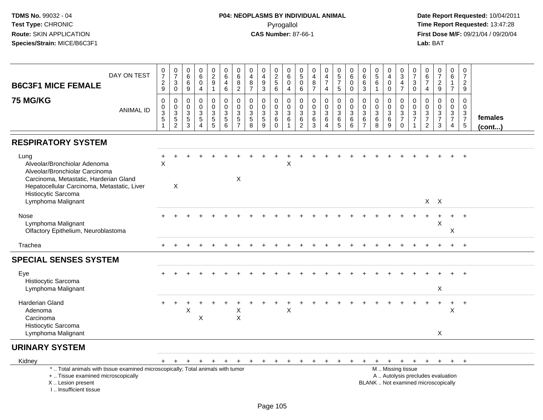# **P04: NEOPLASMS BY INDIVIDUAL ANIMAL**Pyrogallol **Time Report Requested:** 13:47:28

| DAY ON TEST<br><b>B6C3F1 MICE FEMALE</b>                                                                                                                                                                     | $\frac{0}{7}$<br>$\frac{2}{9}$                                    | $\frac{0}{7}$<br>$\ensuremath{\mathsf{3}}$<br>$\mathsf{O}\xspace$ | $\pmb{0}$<br>$\,6\,$<br>6<br>9                                 | $\begin{array}{c} 0 \\ 6 \end{array}$<br>$\mathbf 0$<br>$\overline{4}$  | $\begin{smallmatrix} 0\\2\\9 \end{smallmatrix}$<br>$\mathbf{1}$ | 0<br>$\,6\,$<br>4<br>$\,6\,$                                | 0<br>$\,6$<br>$\bf8$<br>$\overline{2}$       | 0<br>$\overline{4}$<br>$\bf8$<br>$\overline{7}$    | 0<br>$\overline{4}$<br>$\boldsymbol{9}$<br>$\mathbf{3}$       | 0<br>$\frac{2}{5}$<br>6                           | $\mathbf 0$<br>$\,6\,$<br>$\mathbf 0$<br>$\overline{4}$                 | 0<br>$\sqrt{5}$<br>$\pmb{0}$<br>6         | 0<br>$\overline{4}$<br>$\bf 8$<br>$\overline{7}$ | $\begin{smallmatrix}0\0\4\end{smallmatrix}$<br>$\overline{7}$<br>$\overline{4}$ | $\begin{array}{c} 0 \\ 5 \\ 7 \end{array}$<br>5 | $\begin{array}{c} 0 \\ 6 \end{array}$<br>$\mathbf 0$<br>$\mathbf 0$ | 0<br>6<br>6<br>3                             | $\begin{array}{c} 0 \\ 5 \\ 6 \end{array}$<br>$\overline{1}$ | 0<br>$\overline{\mathbf{4}}$<br>$\mathbf 0$<br>$\mathbf 0$ | $_{3}^{\rm 0}$<br>$\frac{4}{7}$                                   | $\frac{0}{7}$<br>3<br>0                 | 0<br>$\,6\,$<br>$\overline{7}$<br>$\overline{4}$                               | $\frac{0}{7}$<br>$\frac{2}{9}$                                           | 0<br>6<br>$\mathbf{1}$<br>$\overline{7}$            | $\pmb{0}$<br>$\overline{7}$<br>$\sqrt{2}$<br>9                 |                   |
|--------------------------------------------------------------------------------------------------------------------------------------------------------------------------------------------------------------|-------------------------------------------------------------------|-------------------------------------------------------------------|----------------------------------------------------------------|-------------------------------------------------------------------------|-----------------------------------------------------------------|-------------------------------------------------------------|----------------------------------------------|----------------------------------------------------|---------------------------------------------------------------|---------------------------------------------------|-------------------------------------------------------------------------|-------------------------------------------|--------------------------------------------------|---------------------------------------------------------------------------------|-------------------------------------------------|---------------------------------------------------------------------|----------------------------------------------|--------------------------------------------------------------|------------------------------------------------------------|-------------------------------------------------------------------|-----------------------------------------|--------------------------------------------------------------------------------|--------------------------------------------------------------------------|-----------------------------------------------------|----------------------------------------------------------------|-------------------|
| <b>75 MG/KG</b><br><b>ANIMAL ID</b>                                                                                                                                                                          | $\pmb{0}$<br>$\boldsymbol{0}$<br>$\overline{3}$<br>$\overline{5}$ | 0<br>$_{3}^{\rm 0}$<br>$\overline{5}$<br>$\overline{2}$           | $\mathbf 0$<br>$\mathbf 0$<br>$\mathbf{3}$<br>$\,$ 5 $\,$<br>3 | $\mathbf 0$<br>$\mathbf 0$<br>3<br>$\sqrt{5}$<br>$\boldsymbol{\Lambda}$ | 0<br>$\mathbf 0$<br>3<br>$\,$ 5 $\,$<br>5                       | $\mathbf 0$<br>$\mathbf 0$<br>$\sqrt{3}$<br>$\sqrt{5}$<br>6 | 0<br>0<br>3<br>$\mathbf 5$<br>$\overline{7}$ | $\mathbf 0$<br>$\mathbf 0$<br>3<br>$\sqrt{5}$<br>8 | $\mathbf 0$<br>$\pmb{0}$<br>$\sqrt{3}$<br>$\overline{5}$<br>9 | $\mathbf{0}$<br>$\mathbf 0$<br>3<br>6<br>$\Omega$ | $\mathbf 0$<br>$\mathbf 0$<br>$\mathbf{3}$<br>$\,6\,$<br>$\overline{1}$ | $\mathbf 0$<br>$\mathbf 0$<br>3<br>6<br>2 | $\mathbf 0$<br>$\mathbf 0$<br>3<br>6<br>3        | 0<br>$\mathbf 0$<br>3<br>6<br>$\overline{4}$                                    | 0<br>$\mathbf 0$<br>$\sqrt{3}$<br>$\,6\,$<br>5  | 0<br>$\mathbf 0$<br>$\mathbf{3}$<br>$\,6\,$<br>6                    | $\mathbf 0$<br>0<br>3<br>6<br>$\overline{7}$ | $\mathbf 0$<br>$\mathbf 0$<br>$\mathbf{3}$<br>$\,6\,$<br>8   | 0<br>$\mathbf 0$<br>3<br>$\,6\,$<br>9                      | 0<br>$\mathbf 0$<br>$\mathbf{3}$<br>$\overline{7}$<br>$\mathbf 0$ | 0<br>$\mathbf 0$<br>3<br>$\overline{7}$ | $\mathbf 0$<br>$\mathbf 0$<br>$\sqrt{3}$<br>$\boldsymbol{7}$<br>$\overline{2}$ | $\mathbf 0$<br>$\mathbf 0$<br>$\frac{3}{7}$<br>3                         | 0<br>$\mathbf 0$<br>$\frac{3}{7}$<br>$\overline{4}$ | $\mathbf 0$<br>$\boldsymbol{0}$<br>$\frac{3}{7}$<br>$\sqrt{5}$ | females<br>(cont) |
| <b>RESPIRATORY SYSTEM</b>                                                                                                                                                                                    |                                                                   |                                                                   |                                                                |                                                                         |                                                                 |                                                             |                                              |                                                    |                                                               |                                                   |                                                                         |                                           |                                                  |                                                                                 |                                                 |                                                                     |                                              |                                                              |                                                            |                                                                   |                                         |                                                                                |                                                                          |                                                     |                                                                |                   |
| Lung<br>Alveolar/Bronchiolar Adenoma<br>Alveolar/Bronchiolar Carcinoma<br>Carcinoma, Metastatic, Harderian Gland<br>Hepatocellular Carcinoma, Metastatic, Liver<br>Histiocytic Sarcoma<br>Lymphoma Malignant | +<br>$\sf X$                                                      | X                                                                 |                                                                |                                                                         |                                                                 |                                                             | X                                            |                                                    |                                                               |                                                   | $\sf X$                                                                 |                                           |                                                  |                                                                                 |                                                 |                                                                     |                                              |                                                              |                                                            |                                                                   |                                         |                                                                                | $X$ $X$                                                                  |                                                     |                                                                |                   |
| Nose<br>Lymphoma Malignant<br>Olfactory Epithelium, Neuroblastoma                                                                                                                                            |                                                                   |                                                                   |                                                                |                                                                         |                                                                 |                                                             |                                              |                                                    |                                                               |                                                   |                                                                         |                                           |                                                  |                                                                                 |                                                 |                                                                     |                                              |                                                              |                                                            |                                                                   |                                         |                                                                                | X                                                                        | Χ                                                   | $\overline{+}$                                                 |                   |
| Trachea                                                                                                                                                                                                      | $+$                                                               |                                                                   |                                                                |                                                                         |                                                                 |                                                             |                                              |                                                    |                                                               |                                                   |                                                                         |                                           |                                                  |                                                                                 |                                                 |                                                                     |                                              |                                                              |                                                            |                                                                   |                                         |                                                                                |                                                                          | $+$                                                 | $+$                                                            |                   |
| <b>SPECIAL SENSES SYSTEM</b>                                                                                                                                                                                 |                                                                   |                                                                   |                                                                |                                                                         |                                                                 |                                                             |                                              |                                                    |                                                               |                                                   |                                                                         |                                           |                                                  |                                                                                 |                                                 |                                                                     |                                              |                                                              |                                                            |                                                                   |                                         |                                                                                |                                                                          |                                                     |                                                                |                   |
| Eye<br>Histiocytic Sarcoma<br>Lymphoma Malignant                                                                                                                                                             |                                                                   |                                                                   |                                                                |                                                                         |                                                                 |                                                             |                                              |                                                    |                                                               |                                                   |                                                                         |                                           |                                                  |                                                                                 |                                                 |                                                                     |                                              |                                                              |                                                            |                                                                   |                                         |                                                                                | X                                                                        |                                                     |                                                                |                   |
| Harderian Gland<br>Adenoma<br>Carcinoma<br>Histiocytic Sarcoma<br>Lymphoma Malignant                                                                                                                         |                                                                   |                                                                   | Χ                                                              | $\pmb{\times}$                                                          |                                                                 |                                                             | X<br>$\mathsf X$                             |                                                    |                                                               |                                                   | X                                                                       |                                           |                                                  |                                                                                 |                                                 |                                                                     |                                              |                                                              |                                                            |                                                                   |                                         |                                                                                | X                                                                        | $\ddot{}$<br>$\boldsymbol{\mathsf{X}}$              | $+$                                                            |                   |
| <b>URINARY SYSTEM</b>                                                                                                                                                                                        |                                                                   |                                                                   |                                                                |                                                                         |                                                                 |                                                             |                                              |                                                    |                                                               |                                                   |                                                                         |                                           |                                                  |                                                                                 |                                                 |                                                                     |                                              |                                                              |                                                            |                                                                   |                                         |                                                                                |                                                                          |                                                     |                                                                |                   |
| Kidney                                                                                                                                                                                                       | $+$                                                               | $+$                                                               | $+$                                                            | $+$                                                                     | $+$                                                             | $+$                                                         | $+$                                          | $+$                                                | $+$                                                           | $+$                                               | $+$                                                                     | +                                         |                                                  | $\ddot{}$                                                                       |                                                 |                                                                     | $\ddot{}$                                    | $+$                                                          | $+$                                                        | $+$                                                               | $+$                                     | $+$                                                                            | $+$                                                                      | $+$                                                 | $+$                                                            |                   |
| *  Total animals with tissue examined microscopically; Total animals with tumor<br>+  Tissue examined microscopically<br>X  Lesion present<br>I Insufficient tissue                                          |                                                                   |                                                                   |                                                                |                                                                         |                                                                 |                                                             |                                              |                                                    |                                                               |                                                   |                                                                         |                                           |                                                  |                                                                                 |                                                 |                                                                     |                                              |                                                              |                                                            | M  Missing tissue                                                 |                                         |                                                                                | A  Autolysis precludes evaluation<br>BLANK  Not examined microscopically |                                                     |                                                                |                   |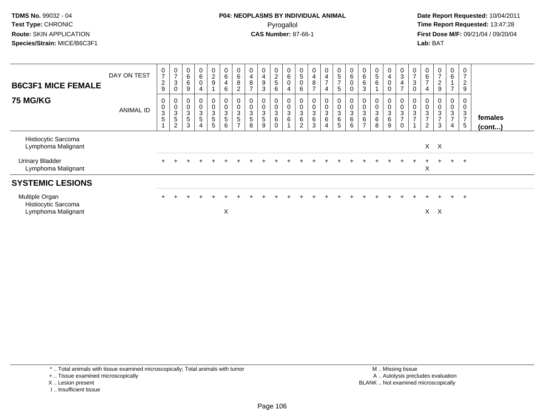**Date Report Requested:** 10/04/2011 **First Dose M/F:** 09/21/04 / 09/20/04<br>**Lab:** BAT **Lab:** BAT

| <b>B6C3F1 MICE FEMALE</b>                                   | DAY ON TEST      | $\mathbf 0$<br>$\overline{7}$<br>$\frac{2}{9}$                | $\frac{0}{7}$<br>$\sqrt{3}$<br>0            | $\begin{array}{c} 0 \\ 6 \end{array}$<br>$\,6\,$<br>$\boldsymbol{9}$ | $\mathbf 0$<br>$\,6\,$<br>0<br>4       | $\begin{smallmatrix} 0\\2\\9 \end{smallmatrix}$              | $\pmb{0}$<br>$\,6\,$<br>$\overline{\mathbf{4}}$<br>$\,6\,$ | $\begin{array}{c} 0 \\ 6 \end{array}$<br>$\bf 8$<br>$\overline{c}$ | 0<br>$\overline{\mathbf{4}}$<br>8<br>$\overline{ }$ | 0<br>$\overline{\mathbf{4}}$<br>9<br>3 | $\begin{array}{c} 0 \\ 2 \\ 5 \end{array}$<br>6 | $\begin{array}{c} 0 \\ 6 \end{array}$<br>$\pmb{0}$<br>$\overline{4}$ | 0<br>$\sqrt{5}$<br>$\pmb{0}$<br>$\,6\,$                            | $\boldsymbol{0}$<br>$\overline{\mathbf{4}}$<br>$\bf 8$<br>$\overline{ }$ | 0<br>$\overline{\mathbf{4}}$<br>$\overline{z}$<br>4 | $\pmb{0}$<br>5<br>$\overline{7}$<br>5                | 6                        | $\,6$<br>$6\phantom{1}6$<br>3                    | $\begin{matrix} 0 \\ 5 \end{matrix}$<br>$\,6$       | 0<br>$\overline{4}$<br>$\pmb{0}$<br>0 | $_3^{\rm 0}$<br>$\overline{4}$<br>$\overline{ }$                           | $\frac{0}{7}$<br>$\mathbf{3}$<br>0             | $\mathbf 0$<br>$\,6\,$<br>$\overline{7}$<br>$\overline{4}$ | 0<br>$\overline{ }$<br>$\overline{c}$<br>9           | 0<br>$\,6\,$<br>$\overline{z}$                      | 0<br>$\overline{ }$<br>$\overline{2}$<br>9 |                         |
|-------------------------------------------------------------|------------------|---------------------------------------------------------------|---------------------------------------------|----------------------------------------------------------------------|----------------------------------------|--------------------------------------------------------------|------------------------------------------------------------|--------------------------------------------------------------------|-----------------------------------------------------|----------------------------------------|-------------------------------------------------|----------------------------------------------------------------------|--------------------------------------------------------------------|--------------------------------------------------------------------------|-----------------------------------------------------|------------------------------------------------------|--------------------------|--------------------------------------------------|-----------------------------------------------------|---------------------------------------|----------------------------------------------------------------------------|------------------------------------------------|------------------------------------------------------------|------------------------------------------------------|-----------------------------------------------------|--------------------------------------------|-------------------------|
| <b>75 MG/KG</b>                                             | <b>ANIMAL ID</b> | $\mathbf 0$<br>$\pmb{0}$<br>$\sqrt{3}$<br>5<br>$\overline{A}$ | 0<br>$_3^0$<br>$\sqrt{5}$<br>$\overline{c}$ | $\pmb{0}$<br>$\frac{0}{3}$<br>$\mathbf 5$<br>3                       | 0<br>$_{3}^{\rm 0}$<br>$\sqrt{5}$<br>4 | $\mathbf 0$<br>$\frac{0}{3}$<br>$\sqrt{5}$<br>$\overline{5}$ | 0<br>$_{3}^{\rm 0}$<br>$\mathbf 5$<br>6                    | 0<br>$\pmb{0}$<br>3<br>$\sqrt{5}$<br>$\overline{ }$                | $\pmb{0}$<br>$\sqrt{3}$<br>5<br>8                   | 0<br>0<br>3<br>5<br>9                  | 0<br>0<br>$\sqrt{3}$<br>6<br>$\Omega$           | 0<br>$\pmb{0}$<br>$\ensuremath{\mathsf{3}}$<br>$\,6$                 | 0<br>$\pmb{0}$<br>$\ensuremath{\mathsf{3}}$<br>6<br>$\overline{2}$ | 0<br>$\frac{0}{3}$<br>$\mathbf{3}$                                       | 0<br>$_{3}^{\rm 0}$<br>6<br>$\overline{4}$          | $\pmb{0}$<br>$\ensuremath{\mathsf{3}}$<br>$\,6$<br>5 | $\pmb{0}$<br>3<br>6<br>6 | $\boldsymbol{0}$<br>3<br>$\,6$<br>$\overline{ }$ | 0<br>0<br>$\ensuremath{\mathsf{3}}$<br>$\,6\,$<br>8 | 0<br>0<br>3<br>6<br>9                 | $\begin{matrix} 0 \\ 0 \\ 3 \end{matrix}$<br>$\overline{ }$<br>$\mathbf 0$ | 0<br>$\pmb{0}$<br>$\sqrt{3}$<br>$\overline{ }$ | 0<br>$\pmb{0}$<br>3<br>$\overline{7}$<br>$\overline{c}$    | 0<br>$\mathsf{O}\xspace$<br>3<br>$\overline{ }$<br>3 | 0<br>$\pmb{0}$<br>$\sqrt{3}$<br>$\overline{7}$<br>4 | 0<br>0<br>3<br>$\overline{7}$<br>5         | females<br>$($ cont $)$ |
| Histiocytic Sarcoma<br>Lymphoma Malignant                   |                  |                                                               |                                             |                                                                      |                                        |                                                              |                                                            |                                                                    |                                                     |                                        |                                                 |                                                                      |                                                                    |                                                                          |                                                     |                                                      |                          |                                                  |                                                     |                                       |                                                                            |                                                |                                                            | $X$ $X$                                              |                                                     |                                            |                         |
| <b>Urinary Bladder</b><br>Lymphoma Malignant                |                  |                                                               |                                             |                                                                      |                                        |                                                              |                                                            |                                                                    |                                                     |                                        |                                                 |                                                                      |                                                                    |                                                                          |                                                     |                                                      |                          |                                                  |                                                     |                                       |                                                                            |                                                | X                                                          |                                                      | $+$                                                 | $^+$                                       |                         |
| <b>SYSTEMIC LESIONS</b>                                     |                  |                                                               |                                             |                                                                      |                                        |                                                              |                                                            |                                                                    |                                                     |                                        |                                                 |                                                                      |                                                                    |                                                                          |                                                     |                                                      |                          |                                                  |                                                     |                                       |                                                                            |                                                |                                                            |                                                      |                                                     |                                            |                         |
| Multiple Organ<br>Histiocytic Sarcoma<br>Lymphoma Malignant |                  |                                                               |                                             |                                                                      |                                        |                                                              | X                                                          |                                                                    |                                                     |                                        |                                                 |                                                                      |                                                                    |                                                                          |                                                     |                                                      |                          |                                                  |                                                     |                                       |                                                                            |                                                | X.                                                         | $\times$                                             | $+$                                                 | $^{+}$                                     |                         |

\* .. Total animals with tissue examined microscopically; Total animals with tumor

+ .. Tissue examined microscopically

X .. Lesion present

I .. Insufficient tissue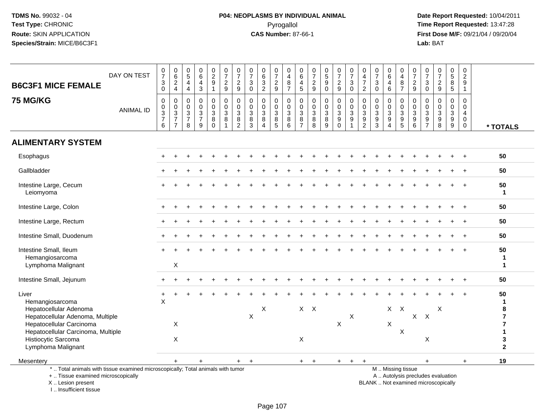# **P04: NEOPLASMS BY INDIVIDUAL ANIMAL**Pyrogallol **Time Report Requested:** 13:47:28

 **Date Report Requested:** 10/04/2011 **First Dose M/F:** 09/21/04 / 09/20/04<br>Lab: BAT **Lab:** BAT

| <b>B6C3F1 MICE FEMALE</b>                                                                                                                  | DAY ON TEST      | $\frac{0}{7}$<br>$\mathbf{3}$<br>$\Omega$                            | $\mathbf 0$<br>$6\overline{6}$<br>$\overline{2}$<br>$\overline{4}$                          | $\begin{array}{c} 0 \\ 5 \end{array}$<br>4<br>$\overline{4}$ | $\begin{matrix} 0 \\ 6 \end{matrix}$<br>4<br>3 | $\frac{0}{2}$<br>$\boldsymbol{9}$<br>$\mathbf{1}$ | $\frac{0}{7}$<br>$\overline{c}$<br>9                 | $\frac{0}{7}$<br>$\overline{c}$<br>9           | $\frac{0}{7}$<br>$\ensuremath{\mathsf{3}}$<br>$\overline{0}$ | $\begin{array}{c} 0 \\ 6 \\ 3 \\ 2 \end{array}$                           | $\frac{0}{7}$<br>$\frac{2}{9}$                           | 0<br>$\overline{4}$<br>8<br>$\overline{7}$       | 0<br>$\,6\,$<br>$\overline{a}$<br>5                                     | $\frac{0}{7}$<br>$\overline{a}$<br>$\overline{9}$ | $\begin{array}{c} 0 \\ 5 \\ 9 \end{array}$<br>$\overline{0}$ | $\frac{0}{7}$<br>$\overline{c}$<br>9    | $\frac{0}{7}$<br>3<br>$\Omega$                                         | 0<br>$\frac{4}{7}$<br>$\overline{2}$                                             | $\frac{0}{7}$<br>$\mathbf{3}$<br>$\Omega$            | $\begin{array}{c} 0 \\ 6 \end{array}$<br>$\overline{4}$<br>$6\phantom{1}$ | 0<br>$\overline{4}$<br>$\begin{array}{c} 8 \\ 7 \end{array}$ | $\frac{0}{7}$<br>$\frac{2}{9}$                                    | $\frac{0}{7}$<br>$\mathbf{3}$<br>$\mathbf 0$                             | $\frac{0}{7}$<br>$\overline{2}$<br>9                    | $\begin{matrix} 0 \\ 5 \end{matrix}$<br>8<br>5 | 0<br>$\overline{c}$<br>9<br>$\overline{1}$    |                                                                      |
|--------------------------------------------------------------------------------------------------------------------------------------------|------------------|----------------------------------------------------------------------|---------------------------------------------------------------------------------------------|--------------------------------------------------------------|------------------------------------------------|---------------------------------------------------|------------------------------------------------------|------------------------------------------------|--------------------------------------------------------------|---------------------------------------------------------------------------|----------------------------------------------------------|--------------------------------------------------|-------------------------------------------------------------------------|---------------------------------------------------|--------------------------------------------------------------|-----------------------------------------|------------------------------------------------------------------------|----------------------------------------------------------------------------------|------------------------------------------------------|---------------------------------------------------------------------------|--------------------------------------------------------------|-------------------------------------------------------------------|--------------------------------------------------------------------------|---------------------------------------------------------|------------------------------------------------|-----------------------------------------------|----------------------------------------------------------------------|
| <b>75 MG/KG</b>                                                                                                                            | <b>ANIMAL ID</b> | $\mathbf 0$<br>0<br>$\ensuremath{\mathsf{3}}$<br>$\overline{7}$<br>6 | $\mathbf 0$<br>$\mathbf 0$<br>$\ensuremath{\mathsf{3}}$<br>$\overline{7}$<br>$\overline{7}$ | $\mathbf 0$<br>0<br>$\sqrt{3}$<br>$\overline{7}$<br>8        | 0<br>0<br>$\mathbf{3}$<br>$\overline{7}$<br>9  | 0<br>$\mathbf 0$<br>$\sqrt{3}$<br>8<br>$\Omega$   | $\mathbf 0$<br>$\mathbf 0$<br>$\mathbf{3}$<br>8<br>1 | $\mathbf 0$<br>0<br>$\sqrt{3}$<br>$\bf 8$<br>2 | $\mathbf 0$<br>$\mathbf 0$<br>$\overline{3}$<br>$\bf 8$<br>3 | $\mathbf 0$<br>$\mathbf 0$<br>$\overline{3}$<br>$\bf 8$<br>$\overline{4}$ | $\mathbf 0$<br>$\mathbf 0$<br>$\sqrt{3}$<br>$\bf 8$<br>5 | $\mathbf 0$<br>$\mathbf{0}$<br>3<br>$\bf 8$<br>6 | $\mathbf 0$<br>$\mathbf 0$<br>$\mathbf{3}$<br>$\bf 8$<br>$\overline{7}$ | $\mathbf 0$<br>0<br>3<br>$\bf 8$<br>8             | $\pmb{0}$<br>$\mathbf 0$<br>$\overline{3}$<br>8<br>9         | 0<br>0<br>$\mathbf{3}$<br>9<br>$\Omega$ | $\mathbf 0$<br>0<br>$\mathbf{3}$<br>$\boldsymbol{9}$<br>$\overline{1}$ | $\mathbf 0$<br>$\pmb{0}$<br>$\overline{3}$<br>$\boldsymbol{9}$<br>$\overline{2}$ | $\mathbf 0$<br>$\mathbf 0$<br>$\mathbf{3}$<br>9<br>3 | $\pmb{0}$<br>$\mathbf 0$<br>$\overline{3}$<br>9<br>$\overline{4}$         | $\mathbf 0$<br>$\mathbf 0$<br>$\frac{3}{9}$                  | $\mathbf 0$<br>$\mathbf 0$<br>$\sqrt{3}$<br>$\boldsymbol{9}$<br>6 | $\mathbf 0$<br>$\boldsymbol{0}$<br>$\overline{3}$<br>$\frac{9}{7}$       | 0<br>$\mathbf 0$<br>$\sqrt{3}$<br>$\boldsymbol{9}$<br>8 | $\mathbf 0$<br>0<br>3<br>$\boldsymbol{9}$<br>9 | $\Omega$<br>$\Omega$<br>4<br>$\mathbf 0$<br>0 | * TOTALS                                                             |
| <b>ALIMENTARY SYSTEM</b>                                                                                                                   |                  |                                                                      |                                                                                             |                                                              |                                                |                                                   |                                                      |                                                |                                                              |                                                                           |                                                          |                                                  |                                                                         |                                                   |                                                              |                                         |                                                                        |                                                                                  |                                                      |                                                                           |                                                              |                                                                   |                                                                          |                                                         |                                                |                                               |                                                                      |
| Esophagus                                                                                                                                  |                  |                                                                      |                                                                                             |                                                              |                                                |                                                   |                                                      |                                                |                                                              |                                                                           |                                                          |                                                  |                                                                         |                                                   |                                                              |                                         |                                                                        |                                                                                  |                                                      |                                                                           |                                                              |                                                                   |                                                                          |                                                         |                                                |                                               | 50                                                                   |
| Gallbladder                                                                                                                                |                  |                                                                      |                                                                                             |                                                              |                                                |                                                   |                                                      |                                                |                                                              |                                                                           |                                                          |                                                  |                                                                         |                                                   |                                                              |                                         |                                                                        |                                                                                  |                                                      |                                                                           |                                                              |                                                                   |                                                                          |                                                         |                                                |                                               | 50                                                                   |
| Intestine Large, Cecum<br>Leiomyoma                                                                                                        |                  |                                                                      |                                                                                             |                                                              |                                                |                                                   |                                                      |                                                |                                                              |                                                                           |                                                          |                                                  |                                                                         |                                                   |                                                              |                                         |                                                                        |                                                                                  |                                                      |                                                                           |                                                              |                                                                   |                                                                          |                                                         |                                                |                                               | 50<br>$\mathbf{1}$                                                   |
| Intestine Large, Colon                                                                                                                     |                  |                                                                      |                                                                                             |                                                              |                                                |                                                   |                                                      |                                                |                                                              |                                                                           |                                                          |                                                  |                                                                         |                                                   |                                                              |                                         |                                                                        |                                                                                  |                                                      |                                                                           |                                                              |                                                                   |                                                                          |                                                         |                                                |                                               | 50                                                                   |
| Intestine Large, Rectum                                                                                                                    |                  |                                                                      |                                                                                             |                                                              |                                                |                                                   |                                                      |                                                |                                                              |                                                                           |                                                          |                                                  |                                                                         |                                                   |                                                              |                                         |                                                                        |                                                                                  |                                                      |                                                                           |                                                              |                                                                   |                                                                          |                                                         |                                                |                                               | 50                                                                   |
| Intestine Small, Duodenum                                                                                                                  |                  |                                                                      |                                                                                             |                                                              |                                                |                                                   |                                                      |                                                |                                                              |                                                                           |                                                          |                                                  |                                                                         |                                                   |                                                              |                                         |                                                                        |                                                                                  |                                                      |                                                                           |                                                              |                                                                   |                                                                          |                                                         |                                                |                                               | 50                                                                   |
| Intestine Small, Ileum<br>Hemangiosarcoma<br>Lymphoma Malignant                                                                            |                  |                                                                      | X                                                                                           |                                                              |                                                |                                                   |                                                      |                                                |                                                              |                                                                           |                                                          |                                                  |                                                                         |                                                   |                                                              |                                         |                                                                        |                                                                                  |                                                      |                                                                           |                                                              |                                                                   |                                                                          |                                                         |                                                |                                               | 50<br>$\mathbf{1}$<br>1                                              |
| Intestine Small, Jejunum                                                                                                                   |                  |                                                                      |                                                                                             |                                                              |                                                |                                                   |                                                      |                                                |                                                              |                                                                           |                                                          |                                                  |                                                                         |                                                   |                                                              |                                         |                                                                        |                                                                                  |                                                      |                                                                           |                                                              |                                                                   |                                                                          |                                                         |                                                |                                               | 50                                                                   |
| Liver<br>Hemangiosarcoma<br>Hepatocellular Adenoma<br>Hepatocellular Adenoma, Multiple<br>Hepatocellular Carcinoma                         |                  | $\ddot{}$<br>$\overline{\mathsf{X}}$                                 | $\boldsymbol{\mathsf{X}}$                                                                   |                                                              |                                                |                                                   |                                                      |                                                | $\pmb{\times}$                                               | $\mathsf X$                                                               |                                                          |                                                  |                                                                         | $X$ $X$                                           |                                                              | $\mathsf{X}$                            | X                                                                      |                                                                                  |                                                      | X<br>X                                                                    | $\mathsf{X}$                                                 | $\mathsf{X}$                                                      | $\boldsymbol{\mathsf{X}}$                                                | X                                                       |                                                |                                               | 50<br>$\mathbf{1}$<br>8<br>$\overline{\mathbf{r}}$<br>$\overline{7}$ |
| Hepatocellular Carcinoma, Multiple<br>Histiocytic Sarcoma<br>Lymphoma Malignant                                                            |                  |                                                                      | $\boldsymbol{\mathsf{X}}$                                                                   |                                                              |                                                |                                                   |                                                      |                                                |                                                              |                                                                           |                                                          |                                                  | $\boldsymbol{\mathsf{X}}$                                               |                                                   |                                                              |                                         |                                                                        |                                                                                  |                                                      |                                                                           | X                                                            |                                                                   | X                                                                        |                                                         |                                                |                                               | $\mathbf 1$<br>$\mathbf 3$<br>$\overline{2}$                         |
| Mesentery                                                                                                                                  |                  |                                                                      | $+$                                                                                         |                                                              |                                                |                                                   |                                                      | $\pm$                                          | $+$                                                          |                                                                           |                                                          |                                                  | $+$                                                                     | $+$                                               |                                                              |                                         | $+$ $+$ $+$                                                            |                                                                                  |                                                      |                                                                           |                                                              |                                                                   | $+$                                                                      |                                                         |                                                | $+$                                           | 19                                                                   |
| *  Total animals with tissue examined microscopically; Total animals with tumor<br>+  Tissue examined microscopically<br>X  Lesion present |                  |                                                                      |                                                                                             |                                                              |                                                |                                                   |                                                      |                                                |                                                              |                                                                           |                                                          |                                                  |                                                                         |                                                   |                                                              |                                         |                                                                        |                                                                                  |                                                      | M  Missing tissue                                                         |                                                              |                                                                   | A  Autolysis precludes evaluation<br>BLANK  Not examined microscopically |                                                         |                                                |                                               |                                                                      |

I .. Insufficient tissue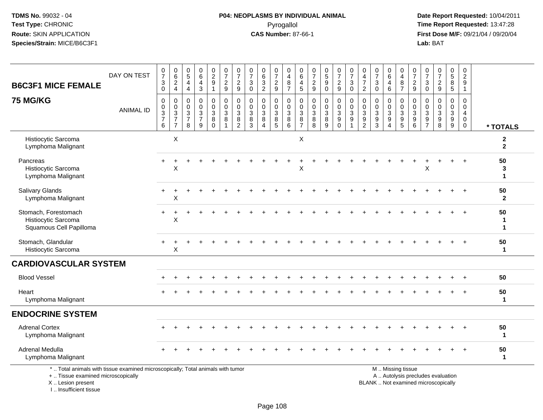#### **P04: NEOPLASMS BY INDIVIDUAL ANIMAL**Pyrogallol **Time Report Requested:** 13:47:28

 **Date Report Requested:** 10/04/2011 **First Dose M/F:** 09/21/04 / 09/20/04<br>Lab: BAT **Lab:** BAT

| <b>B6C3F1 MICE FEMALE</b>                                                                                             | DAY ON TEST      | $\frac{0}{7}$<br>$\frac{3}{0}$                                       | $\begin{array}{c} 0 \\ 6 \end{array}$<br>$\frac{2}{4}$                                    | $\begin{array}{c} 0 \\ 5 \end{array}$<br>$\overline{a}$<br>$\overline{4}$ | $\begin{array}{c} 0 \\ 6 \end{array}$<br>$\overline{\mathbf{4}}$<br>$\mathbf{3}$ | $\begin{smallmatrix} 0\\2\\9 \end{smallmatrix}$<br>$\mathbf{1}$ | $\frac{0}{7}$<br>$\frac{2}{9}$                                                 | $\begin{array}{c} 0 \\ 7 \end{array}$<br>$\overline{c}$<br>$\mathsf g$ | $\frac{0}{7}$<br>$\sqrt{3}$<br>$\mathbf 0$ | $\begin{array}{c} 0 \\ 6 \end{array}$<br>$\frac{3}{2}$ | $\frac{0}{7}$<br>$\frac{2}{9}$                                 | $\pmb{0}$<br>$\overline{4}$<br>$\,8\,$<br>$\overline{7}$   | 0<br>$\,6\,$<br>4<br>5                                 | $\frac{0}{7}$<br>$\frac{2}{9}$                           | $\begin{array}{c} 0 \\ 5 \\ 9 \end{array}$<br>$\ddot{\mathbf{0}}$  | $\begin{smallmatrix}0\\7\end{smallmatrix}$<br>$\frac{2}{9}$ | $\frac{0}{7}$<br>$\sqrt{3}$<br>$\mathbf 0$                            | 0<br>$\overline{4}$<br>$\overline{7}$<br>$\overline{2}$           | $\frac{0}{7}$<br>$\ensuremath{\mathsf{3}}$<br>$\mathbf 0$           | $0\over 6$<br>4<br>$6\phantom{1}$                           | $\boldsymbol{0}$<br>$\overline{4}$<br>$\bf 8$<br>$\overline{7}$ | $\begin{array}{c} 0 \\ 7 \end{array}$<br>$\frac{2}{9}$                 | $\begin{array}{c} 0 \\ 7 \end{array}$<br>$_0^3$                      | $\frac{0}{7}$<br>$\boldsymbol{2}$<br>9               | $\begin{array}{c} 0 \\ 5 \end{array}$<br>$\overline{8}$<br>$\overline{5}$ | $\begin{smallmatrix} 0\\2 \end{smallmatrix}$<br>$\overline{9}$<br>$\mathbf{1}$ |                                |
|-----------------------------------------------------------------------------------------------------------------------|------------------|----------------------------------------------------------------------|-------------------------------------------------------------------------------------------|---------------------------------------------------------------------------|----------------------------------------------------------------------------------|-----------------------------------------------------------------|--------------------------------------------------------------------------------|------------------------------------------------------------------------|--------------------------------------------|--------------------------------------------------------|----------------------------------------------------------------|------------------------------------------------------------|--------------------------------------------------------|----------------------------------------------------------|--------------------------------------------------------------------|-------------------------------------------------------------|-----------------------------------------------------------------------|-------------------------------------------------------------------|---------------------------------------------------------------------|-------------------------------------------------------------|-----------------------------------------------------------------|------------------------------------------------------------------------|----------------------------------------------------------------------|------------------------------------------------------|---------------------------------------------------------------------------|--------------------------------------------------------------------------------|--------------------------------|
| <b>75 MG/KG</b>                                                                                                       | <b>ANIMAL ID</b> | 0<br>$\pmb{0}$<br>$\ensuremath{\mathsf{3}}$<br>$\boldsymbol{7}$<br>6 | $\pmb{0}$<br>$\mathbf 0$<br>$\ensuremath{\mathsf{3}}$<br>$\overline{7}$<br>$\overline{7}$ | $\mathbf 0$<br>$\mathbf 0$<br>$\mathsf 3$<br>$\overline{7}$<br>8          | $\mathbf 0$<br>$\mathbf 0$<br>$\sqrt{3}$<br>$\overline{7}$<br>$\overline{9}$     | $\mathbf 0$<br>$\mathbf 0$<br>3<br>8<br>$\mathbf 0$             | $\pmb{0}$<br>$\pmb{0}$<br>$\ensuremath{\mathsf{3}}$<br>$\bf 8$<br>$\mathbf{1}$ | $\mathbf 0$<br>$\mathbf 0$<br>3<br>8<br>$\overline{2}$                 | $\mathbf 0$<br>$\mathbf 0$<br>3<br>8<br>3  | $\mathbf 0$<br>$\mathbf 0$<br>$_8^3$<br>$\overline{4}$ | 0<br>$\mathsf 0$<br>3<br>$\begin{array}{c} 8 \\ 5 \end{array}$ | $\mathbf 0$<br>$\mathbf 0$<br>$\mathbf{3}$<br>8<br>$\,6\,$ | $\mathbf 0$<br>$\mathbf 0$<br>3<br>8<br>$\overline{7}$ | $\mathbf 0$<br>$\mathbf 0$<br>$\sqrt{3}$<br>$\bf 8$<br>8 | 0<br>$\pmb{0}$<br>$\ensuremath{\mathsf{3}}$<br>8<br>$\overline{9}$ | 0<br>$\mathbf 0$<br>3<br>9<br>$\mathbf 0$                   | $\mathbf 0$<br>$\mathbf 0$<br>$\mathbf{3}$<br>$9\,$<br>$\overline{1}$ | $\mathbf 0$<br>$\mathbf 0$<br>$\mathbf{3}$<br>9<br>$\overline{c}$ | $\mathbf 0$<br>$\mathbf 0$<br>$\mathbf{3}$<br>$\boldsymbol{9}$<br>3 | 0<br>$\mathbf 0$<br>3<br>$\boldsymbol{9}$<br>$\overline{4}$ | 0<br>$\mathbf 0$<br>$\mathbf{3}$<br>9<br>$\overline{5}$         | 0<br>$\mathsf 0$<br>$\mathbf{3}$<br>$\boldsymbol{9}$<br>$6\phantom{a}$ | $\mathbf 0$<br>$\mathbf 0$<br>$\mathsf 3$<br>$9\,$<br>$\overline{7}$ | $\mathbf 0$<br>$\mathbf 0$<br>$\mathbf{3}$<br>9<br>8 | $\mathbf 0$<br>$\pmb{0}$<br>$\mathbf{3}$<br>$\frac{9}{9}$                 | 0<br>$\mathbf 0$<br>$\overline{4}$<br>$\mathbf 0$<br>$\mathbf 0$               | * TOTALS                       |
| Histiocytic Sarcoma<br>Lymphoma Malignant                                                                             |                  |                                                                      | X                                                                                         |                                                                           |                                                                                  |                                                                 |                                                                                |                                                                        |                                            |                                                        |                                                                |                                                            | $\times$                                               |                                                          |                                                                    |                                                             |                                                                       |                                                                   |                                                                     |                                                             |                                                                 |                                                                        |                                                                      |                                                      |                                                                           |                                                                                | $\mathbf{2}$<br>$\overline{2}$ |
| Pancreas<br><b>Histiocytic Sarcoma</b><br>Lymphoma Malignant                                                          |                  | $\ddot{}$                                                            | $\mathsf{X}$                                                                              |                                                                           |                                                                                  |                                                                 |                                                                                |                                                                        |                                            |                                                        |                                                                |                                                            | X                                                      |                                                          |                                                                    |                                                             |                                                                       |                                                                   |                                                                     |                                                             |                                                                 |                                                                        | X                                                                    |                                                      |                                                                           |                                                                                | 50<br>3<br>$\mathbf 1$         |
| Salivary Glands<br>Lymphoma Malignant                                                                                 |                  |                                                                      | $\sf X$                                                                                   |                                                                           |                                                                                  |                                                                 |                                                                                |                                                                        |                                            |                                                        |                                                                |                                                            |                                                        |                                                          |                                                                    |                                                             |                                                                       |                                                                   |                                                                     |                                                             |                                                                 |                                                                        |                                                                      |                                                      |                                                                           |                                                                                | 50<br>$\mathbf{2}$             |
| Stomach, Forestomach<br>Histiocytic Sarcoma<br>Squamous Cell Papilloma                                                |                  | $+$                                                                  | $\ddot{}$<br>X                                                                            |                                                                           |                                                                                  |                                                                 |                                                                                |                                                                        |                                            |                                                        |                                                                |                                                            |                                                        |                                                          |                                                                    |                                                             |                                                                       |                                                                   |                                                                     |                                                             |                                                                 |                                                                        |                                                                      |                                                      |                                                                           |                                                                                | 50<br>-1<br>$\mathbf 1$        |
| Stomach, Glandular<br>Histiocytic Sarcoma                                                                             |                  |                                                                      | $\mathsf{X}$                                                                              |                                                                           |                                                                                  |                                                                 |                                                                                |                                                                        |                                            |                                                        |                                                                |                                                            |                                                        |                                                          |                                                                    |                                                             |                                                                       |                                                                   |                                                                     |                                                             |                                                                 |                                                                        |                                                                      |                                                      |                                                                           |                                                                                | 50<br>$\mathbf{1}$             |
| <b>CARDIOVASCULAR SYSTEM</b>                                                                                          |                  |                                                                      |                                                                                           |                                                                           |                                                                                  |                                                                 |                                                                                |                                                                        |                                            |                                                        |                                                                |                                                            |                                                        |                                                          |                                                                    |                                                             |                                                                       |                                                                   |                                                                     |                                                             |                                                                 |                                                                        |                                                                      |                                                      |                                                                           |                                                                                |                                |
| <b>Blood Vessel</b>                                                                                                   |                  |                                                                      |                                                                                           |                                                                           |                                                                                  |                                                                 |                                                                                |                                                                        |                                            |                                                        |                                                                |                                                            |                                                        |                                                          |                                                                    |                                                             |                                                                       |                                                                   |                                                                     |                                                             |                                                                 |                                                                        |                                                                      |                                                      |                                                                           | $+$                                                                            | 50                             |
| Heart<br>Lymphoma Malignant                                                                                           |                  |                                                                      |                                                                                           |                                                                           |                                                                                  |                                                                 |                                                                                |                                                                        |                                            |                                                        |                                                                |                                                            |                                                        |                                                          |                                                                    |                                                             |                                                                       |                                                                   |                                                                     |                                                             |                                                                 |                                                                        |                                                                      |                                                      |                                                                           |                                                                                | 50<br>$\mathbf{1}$             |
| <b>ENDOCRINE SYSTEM</b>                                                                                               |                  |                                                                      |                                                                                           |                                                                           |                                                                                  |                                                                 |                                                                                |                                                                        |                                            |                                                        |                                                                |                                                            |                                                        |                                                          |                                                                    |                                                             |                                                                       |                                                                   |                                                                     |                                                             |                                                                 |                                                                        |                                                                      |                                                      |                                                                           |                                                                                |                                |
| <b>Adrenal Cortex</b><br>Lymphoma Malignant                                                                           |                  |                                                                      |                                                                                           |                                                                           |                                                                                  |                                                                 |                                                                                |                                                                        |                                            |                                                        |                                                                |                                                            |                                                        |                                                          |                                                                    |                                                             |                                                                       |                                                                   |                                                                     |                                                             |                                                                 |                                                                        |                                                                      |                                                      |                                                                           |                                                                                | 50<br>-1                       |
| Adrenal Medulla<br>Lymphoma Malignant                                                                                 |                  |                                                                      |                                                                                           |                                                                           |                                                                                  |                                                                 |                                                                                |                                                                        |                                            |                                                        |                                                                |                                                            |                                                        |                                                          |                                                                    |                                                             |                                                                       |                                                                   |                                                                     |                                                             |                                                                 |                                                                        |                                                                      |                                                      |                                                                           |                                                                                | 50<br>-1                       |
| *  Total animals with tissue examined microscopically; Total animals with tumor<br>+  Tissue examined microscopically |                  |                                                                      |                                                                                           |                                                                           |                                                                                  |                                                                 |                                                                                |                                                                        |                                            |                                                        |                                                                |                                                            |                                                        |                                                          |                                                                    |                                                             |                                                                       |                                                                   |                                                                     |                                                             | M  Missing tissue                                               |                                                                        |                                                                      | A  Autolysis precludes evaluation                    |                                                                           |                                                                                |                                |

X .. Lesion present

I .. Insufficient tissue

Lesion present BLANK .. Not examined microscopically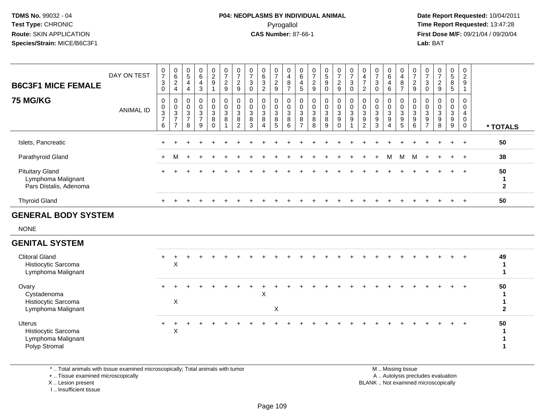## **P04: NEOPLASMS BY INDIVIDUAL ANIMAL**Pyrogallol **Time Report Requested:** 13:47:28

 **Date Report Requested:** 10/04/2011 **First Dose M/F:** 09/21/04 / 09/20/04<br>**Lab:** BAT **Lab:** BAT

 $\blacktriangleleft$ 

| <b>B6C3F1 MICE FEMALE</b>                                              | DAY ON TEST      | $\frac{0}{7}$<br>$\sqrt{3}$<br>0     | $\begin{matrix} 0 \\ 6 \\ 2 \end{matrix}$<br>$\overline{4}$       | $\begin{array}{c} 0 \\ 5 \end{array}$<br>4<br>$\overline{4}$ | $\begin{array}{c} 0 \\ 6 \end{array}$<br>4<br>3 | $\begin{smallmatrix} 0\\2\\9 \end{smallmatrix}$<br>$\mathbf{1}$ | $\frac{0}{7}$<br>$\overline{c}$<br>9                | $\frac{0}{7}$<br>$\overline{c}$<br>$\boldsymbol{9}$     | $\frac{0}{7}$<br>3<br>$\mathbf 0$ | $\begin{array}{c} 0 \\ 6 \end{array}$<br>$\mathbf{3}$<br>$\overline{2}$ | $\frac{0}{7}$<br>$\boldsymbol{2}$<br>9                          | 0<br>$\overline{4}$<br>$\boldsymbol{8}$<br>$\overline{7}$ | $\pmb{0}$<br>$\,6\,$<br>$\overline{4}$<br>$\sqrt{5}$  | $\frac{0}{7}$<br>$\overline{c}$<br>$\boldsymbol{9}$ | $\begin{array}{c} 0 \\ 5 \end{array}$<br>9<br>$\mathbf 0$ | $\frac{0}{7}$<br>$\overline{c}$<br>$\boldsymbol{9}$ | $\frac{0}{7}$<br>$\mathfrak{Z}$<br>$\mathbf 0$   | $\boldsymbol{0}$<br>$\overline{4}$<br>$\overline{7}$<br>$\overline{2}$ | $\frac{0}{7}$<br>$\sqrt{3}$<br>$\Omega$      | $\begin{matrix} 0 \\ 6 \end{matrix}$<br>4<br>$\,6\,$ | $_4^{\rm 0}$<br>8<br>$\overline{7}$                 | $\frac{0}{7}$<br>$\overline{c}$<br>9 | $\frac{0}{7}$<br>3<br>$\mathbf 0$                          | $\frac{0}{7}$<br>$\overline{c}$<br>$\boldsymbol{9}$ | $\begin{array}{c} 0 \\ 5 \\ 8 \end{array}$<br>$\overline{5}$ | $^{\rm 0}_{\rm 2}$<br>9<br>$\mathbf{1}$                 |                         |
|------------------------------------------------------------------------|------------------|--------------------------------------|-------------------------------------------------------------------|--------------------------------------------------------------|-------------------------------------------------|-----------------------------------------------------------------|-----------------------------------------------------|---------------------------------------------------------|-----------------------------------|-------------------------------------------------------------------------|-----------------------------------------------------------------|-----------------------------------------------------------|-------------------------------------------------------|-----------------------------------------------------|-----------------------------------------------------------|-----------------------------------------------------|--------------------------------------------------|------------------------------------------------------------------------|----------------------------------------------|------------------------------------------------------|-----------------------------------------------------|--------------------------------------|------------------------------------------------------------|-----------------------------------------------------|--------------------------------------------------------------|---------------------------------------------------------|-------------------------|
| <b>75 MG/KG</b>                                                        | <b>ANIMAL ID</b> | 0<br>$\pmb{0}$<br>$\frac{3}{7}$<br>6 | 0<br>$\begin{array}{c} 0 \\ 3 \\ 7 \end{array}$<br>$\overline{z}$ | 0<br>$\mathbf 0$<br>$\mathsf 3$<br>$\overline{7}$<br>8       | 0<br>$\frac{0}{3}$<br>$\overline{7}$<br>9       | $\overline{0}$<br>$_{3}^{\rm 0}$<br>$\bf 8$<br>$\Omega$         | 0<br>$\pmb{0}$<br>$\sqrt{3}$<br>8<br>$\overline{1}$ | 0<br>$\pmb{0}$<br>3<br>$\overline{8}$<br>$\overline{2}$ | 0<br>$\pmb{0}$<br>3<br>8<br>3     | 0<br>$\pmb{0}$<br>$\sqrt{3}$<br>8<br>4                                  | 0<br>$\mathsf{O}\xspace$<br>$\mathbf{3}$<br>$\overline{8}$<br>5 | 0<br>$\mathbf 0$<br>$\overline{3}$<br>8<br>6              | 0<br>$\pmb{0}$<br>$\mathbf{3}$<br>8<br>$\overline{7}$ | $\mathbf 0$<br>$\pmb{0}$<br>$\sqrt{3}$<br>8<br>8    | $\mathbf 0$<br>$\frac{0}{3}$<br>8<br>9                    | 0<br>$\frac{0}{3}$<br>$\overline{9}$<br>$\mathbf 0$ | 0<br>$\pmb{0}$<br>$\sqrt{3}$<br>$\boldsymbol{9}$ | 0<br>$\pmb{0}$<br>$\ensuremath{\mathsf{3}}$<br>$\overline{9}$<br>2     | 0<br>$_{3}^{\rm 0}$<br>$\boldsymbol{9}$<br>3 | 0<br>0<br>3<br>$\boldsymbol{9}$<br>4                 | 0<br>$\pmb{0}$<br>$\sqrt{3}$<br>$\overline{9}$<br>5 | 0<br>0<br>3<br>9<br>6                | 0<br>0<br>$\sqrt{3}$<br>$\boldsymbol{9}$<br>$\overline{7}$ | 0<br>$_{3}^{\rm 0}$<br>$\overline{9}$<br>8          | 0<br>$\pmb{0}$<br>$_9^3$<br>9                                | 0<br>0<br>$\overline{4}$<br>$\mathbf 0$<br>$\mathbf{0}$ | * TOTALS                |
| Islets, Pancreatic                                                     |                  |                                      |                                                                   |                                                              |                                                 |                                                                 |                                                     |                                                         |                                   |                                                                         |                                                                 |                                                           |                                                       |                                                     |                                                           |                                                     |                                                  |                                                                        |                                              |                                                      |                                                     |                                      |                                                            |                                                     |                                                              | $+$                                                     | 50                      |
| Parathyroid Gland                                                      |                  | $+$                                  | м                                                                 |                                                              |                                                 |                                                                 |                                                     |                                                         |                                   |                                                                         |                                                                 |                                                           |                                                       |                                                     |                                                           |                                                     |                                                  |                                                                        |                                              | М                                                    | M                                                   | M                                    |                                                            |                                                     | $+$                                                          | $+$                                                     | 38                      |
| <b>Pituitary Gland</b><br>Lymphoma Malignant<br>Pars Distalis, Adenoma |                  |                                      |                                                                   |                                                              |                                                 |                                                                 |                                                     |                                                         |                                   |                                                                         |                                                                 |                                                           |                                                       |                                                     |                                                           |                                                     |                                                  |                                                                        |                                              |                                                      |                                                     |                                      |                                                            |                                                     |                                                              | $+$                                                     | 50<br>1<br>$\mathbf{2}$ |
| <b>Thyroid Gland</b>                                                   |                  |                                      |                                                                   |                                                              |                                                 |                                                                 |                                                     |                                                         |                                   |                                                                         |                                                                 |                                                           |                                                       |                                                     |                                                           |                                                     |                                                  |                                                                        |                                              |                                                      |                                                     |                                      |                                                            |                                                     |                                                              | $+$                                                     | 50                      |
| <b>GENERAL BODY SYSTEM</b>                                             |                  |                                      |                                                                   |                                                              |                                                 |                                                                 |                                                     |                                                         |                                   |                                                                         |                                                                 |                                                           |                                                       |                                                     |                                                           |                                                     |                                                  |                                                                        |                                              |                                                      |                                                     |                                      |                                                            |                                                     |                                                              |                                                         |                         |
| <b>NONE</b>                                                            |                  |                                      |                                                                   |                                                              |                                                 |                                                                 |                                                     |                                                         |                                   |                                                                         |                                                                 |                                                           |                                                       |                                                     |                                                           |                                                     |                                                  |                                                                        |                                              |                                                      |                                                     |                                      |                                                            |                                                     |                                                              |                                                         |                         |
| <b>GENITAL SYSTEM</b>                                                  |                  |                                      |                                                                   |                                                              |                                                 |                                                                 |                                                     |                                                         |                                   |                                                                         |                                                                 |                                                           |                                                       |                                                     |                                                           |                                                     |                                                  |                                                                        |                                              |                                                      |                                                     |                                      |                                                            |                                                     |                                                              |                                                         |                         |
| <b>Clitoral Gland</b><br>Histiocytic Sarcoma<br>Lymphoma Malignant     |                  |                                      | $\pmb{\times}$                                                    |                                                              |                                                 |                                                                 |                                                     |                                                         |                                   |                                                                         |                                                                 |                                                           |                                                       |                                                     |                                                           |                                                     |                                                  |                                                                        |                                              |                                                      |                                                     |                                      |                                                            |                                                     |                                                              |                                                         | 49                      |
| Ovary<br>Cystadenoma<br>Histiocytic Sarcoma                            |                  |                                      | X                                                                 |                                                              |                                                 |                                                                 |                                                     |                                                         |                                   | X                                                                       |                                                                 |                                                           |                                                       |                                                     |                                                           |                                                     |                                                  |                                                                        |                                              |                                                      |                                                     |                                      |                                                            |                                                     |                                                              |                                                         | 50                      |

\* .. Total animals with tissue examined microscopically; Total animals with tumor

+ .. Tissue examined microscopically

<sup>+</sup>

X .. Lesion present

Lymphoma Malignant

Histiocytic Sarcoma

Uterus

I .. Insufficient tissue

 M .. Missing tissuey the contract of the contract of the contract of the contract of the contract of the contract of the contract of  $A$ . Autolysis precludes evaluation Lesion present BLANK .. Not examined microscopically

Lymphoma Malignant **1**

Polyp Stromal **1**

a 2008 - X<br>1

a 2008 - X<br>2008 - X

X **2**

<sup>+</sup> <sup>+</sup> <sup>+</sup> <sup>+</sup> <sup>+</sup> <sup>+</sup> <sup>+</sup> <sup>+</sup> <sup>+</sup> <sup>+</sup> <sup>+</sup> <sup>+</sup> <sup>+</sup> <sup>+</sup> <sup>+</sup> <sup>+</sup> <sup>+</sup> <sup>+</sup> <sup>+</sup> <sup>+</sup> <sup>+</sup> <sup>+</sup> <sup>+</sup> <sup>+</sup> **<sup>50</sup>**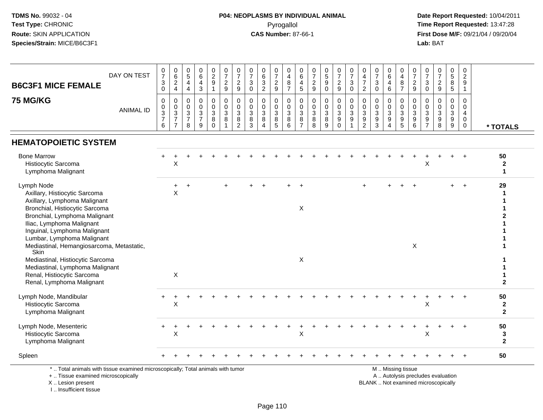## **P04: NEOPLASMS BY INDIVIDUAL ANIMAL**Pyrogallol **Time Report Requested:** 13:47:28

 **Date Report Requested:** 10/04/2011 **First Dose M/F:** 09/21/04 / 09/20/04<br>Lab: BAT **Lab:** BAT

| <b>B6C3F1 MICE FEMALE</b>                                                                                                                                                                                                                                                                                                          | DAY ON TEST      | 0<br>$\overline{7}$<br>$_{\rm 0}^3$         | 0<br>$\,6\,$<br>$\frac{2}{4}$                                                     | $\begin{array}{c} 0 \\ 5 \end{array}$<br>4<br>$\overline{a}$         | $_{6}^{\rm 0}$<br>$\frac{4}{3}$                                        | $\begin{smallmatrix} 0\\2\\9 \end{smallmatrix}$<br>$\mathbf{1}$ | 0<br>$\overline{7}$<br>$\frac{2}{9}$ | $\frac{0}{7}$<br>$\frac{2}{9}$                              | 0<br>$\overline{7}$<br>3<br>$\mathbf 0$ | 0<br>$\,6\,$<br>3<br>$\overline{2}$                                          | $\frac{0}{7}$<br>$\frac{2}{9}$                | 0<br>4<br>8<br>$\overline{7}$                 | $\pmb{0}$<br>$\,6\,$<br>$\begin{array}{c} 4 \\ 5 \end{array}$ | $\boldsymbol{0}$<br>$\overline{7}$<br>$\frac{2}{9}$      | $\begin{array}{c} 0 \\ 5 \end{array}$<br>$\boldsymbol{9}$<br>$\mathbf 0$ | $\frac{0}{7}$<br>$\frac{2}{9}$                           | $\frac{0}{7}$<br>$\sqrt{3}$<br>$\overline{0}$                        | 0<br>$\overline{\mathbf{4}}$<br>$\overline{7}$<br>$\overline{2}$     | 0<br>$\overline{7}$<br>3<br>$\mathbf 0$        | $\begin{array}{c} 0 \\ 6 \end{array}$<br>$\overline{4}$<br>$6\phantom{1}$                             | 0<br>$\overline{\mathbf{4}}$<br>8<br>$\overline{7}$     | $\pmb{0}$<br>$\overline{7}$<br>$\frac{2}{9}$                      | 0<br>$\overline{7}$<br>3<br>$\mathbf 0$   | 0<br>$\overline{7}$<br>$\overline{c}$<br>$\boldsymbol{9}$                | $\begin{array}{c} 0 \\ 5 \end{array}$<br>$\bf 8$<br>$\overline{5}$ | $\mathbf 0$<br>$\frac{2}{9}$<br>$\mathbf{1}$        |                                                |
|------------------------------------------------------------------------------------------------------------------------------------------------------------------------------------------------------------------------------------------------------------------------------------------------------------------------------------|------------------|---------------------------------------------|-----------------------------------------------------------------------------------|----------------------------------------------------------------------|------------------------------------------------------------------------|-----------------------------------------------------------------|--------------------------------------|-------------------------------------------------------------|-----------------------------------------|------------------------------------------------------------------------------|-----------------------------------------------|-----------------------------------------------|---------------------------------------------------------------|----------------------------------------------------------|--------------------------------------------------------------------------|----------------------------------------------------------|----------------------------------------------------------------------|----------------------------------------------------------------------|------------------------------------------------|-------------------------------------------------------------------------------------------------------|---------------------------------------------------------|-------------------------------------------------------------------|-------------------------------------------|--------------------------------------------------------------------------|--------------------------------------------------------------------|-----------------------------------------------------|------------------------------------------------|
| <b>75 MG/KG</b>                                                                                                                                                                                                                                                                                                                    | <b>ANIMAL ID</b> | 0<br>$\boldsymbol{0}$<br>$\frac{3}{7}$<br>6 | 0<br>$\mathbf 0$<br>$\ensuremath{\mathsf{3}}$<br>$\overline{7}$<br>$\overline{7}$ | 0<br>$\mathbf 0$<br>$\ensuremath{\mathsf{3}}$<br>$\overline{7}$<br>8 | 0<br>$\mathbf 0$<br>$\ensuremath{\mathsf{3}}$<br>$\boldsymbol{7}$<br>9 | 0<br>$\mathsf{O}$<br>$\mathbf{3}$<br>8<br>$\Omega$              | 0<br>0<br>3<br>8                     | $\mathbf 0$<br>$\pmb{0}$<br>$\overline{3}$<br>$\frac{8}{2}$ | 0<br>$\mathbf 0$<br>3<br>$\bf 8$<br>3   | $\mathbf 0$<br>$\mathbf 0$<br>$\sqrt{3}$<br>$\, 8$<br>$\boldsymbol{\Lambda}$ | 0<br>0<br>$\ensuremath{\mathsf{3}}$<br>8<br>5 | 0<br>0<br>$\ensuremath{\mathsf{3}}$<br>8<br>6 | 0<br>$\mathsf 0$<br>$\sqrt{3}$<br>$\,8\,$<br>$\overline{7}$   | $\mathbf 0$<br>$\mathbf 0$<br>$\sqrt{3}$<br>$\bf 8$<br>8 | $\mathbf 0$<br>$\mathbf 0$<br>$\sqrt{3}$<br>8<br>9                       | 0<br>$\mathbf 0$<br>3<br>$\boldsymbol{9}$<br>$\mathbf 0$ | 0<br>$\pmb{0}$<br>$\overline{3}$<br>$\boldsymbol{9}$<br>$\mathbf{1}$ | 0<br>$\mathbf 0$<br>$\ensuremath{\mathsf{3}}$<br>9<br>$\overline{2}$ | 0<br>$\mathbf 0$<br>3<br>$\boldsymbol{9}$<br>3 | $\mathbf 0$<br>$\mathbf 0$<br>$\ensuremath{\mathsf{3}}$<br>$\boldsymbol{9}$<br>$\boldsymbol{\Lambda}$ | 0<br>$\mathbf 0$<br>$\sqrt{3}$<br>$\boldsymbol{9}$<br>5 | 0<br>$\mathsf{O}\xspace$<br>$\mathbf{3}$<br>$\boldsymbol{9}$<br>6 | 0<br>$\Omega$<br>3<br>9<br>$\overline{7}$ | 0<br>$\mathbf 0$<br>$\ensuremath{\mathsf{3}}$<br>$\boldsymbol{9}$<br>8   | $\mathbf 0$<br>$\pmb{0}$<br>$\sqrt{3}$<br>$\boldsymbol{9}$<br>9    | 0<br>$\mathbf 0$<br>4<br>$\mathbf 0$<br>$\mathbf 0$ | * TOTALS                                       |
| <b>HEMATOPOIETIC SYSTEM</b>                                                                                                                                                                                                                                                                                                        |                  |                                             |                                                                                   |                                                                      |                                                                        |                                                                 |                                      |                                                             |                                         |                                                                              |                                               |                                               |                                                               |                                                          |                                                                          |                                                          |                                                                      |                                                                      |                                                |                                                                                                       |                                                         |                                                                   |                                           |                                                                          |                                                                    |                                                     |                                                |
| <b>Bone Marrow</b><br>Histiocytic Sarcoma<br>Lymphoma Malignant                                                                                                                                                                                                                                                                    |                  |                                             | X                                                                                 |                                                                      |                                                                        |                                                                 |                                      |                                                             |                                         |                                                                              |                                               |                                               |                                                               |                                                          |                                                                          |                                                          |                                                                      |                                                                      |                                                |                                                                                                       |                                                         |                                                                   | X                                         |                                                                          |                                                                    |                                                     | 50<br>$\boldsymbol{2}$<br>$\blacktriangleleft$ |
| Lymph Node<br>Axillary, Histiocytic Sarcoma<br>Axillary, Lymphoma Malignant<br>Bronchial, Histiocytic Sarcoma<br>Bronchial, Lymphoma Malignant<br>Iliac, Lymphoma Malignant<br>Inguinal, Lymphoma Malignant<br>Lumbar, Lymphoma Malignant<br>Mediastinal, Hemangiosarcoma, Metastatic,<br>Skin<br>Mediastinal, Histiocytic Sarcoma |                  |                                             | ÷<br>$\sf X$                                                                      | $\overline{ }$                                                       |                                                                        |                                                                 |                                      |                                                             |                                         |                                                                              |                                               |                                               | $\overline{+}$<br>X<br>X                                      |                                                          |                                                                          |                                                          |                                                                      | $\ddot{}$                                                            |                                                |                                                                                                       |                                                         | $\boldsymbol{\mathsf{X}}$                                         |                                           |                                                                          | $+$                                                                | $\overline{+}$                                      | 29<br>$\mathbf 1$<br>1<br>1<br>2               |
| Mediastinal, Lymphoma Malignant<br>Renal, Histiocytic Sarcoma<br>Renal, Lymphoma Malignant                                                                                                                                                                                                                                         |                  |                                             | X                                                                                 |                                                                      |                                                                        |                                                                 |                                      |                                                             |                                         |                                                                              |                                               |                                               |                                                               |                                                          |                                                                          |                                                          |                                                                      |                                                                      |                                                |                                                                                                       |                                                         |                                                                   |                                           |                                                                          |                                                                    |                                                     | $\mathbf{2}$                                   |
| Lymph Node, Mandibular<br>Histiocytic Sarcoma<br>Lymphoma Malignant                                                                                                                                                                                                                                                                |                  |                                             | X                                                                                 |                                                                      |                                                                        |                                                                 |                                      |                                                             |                                         |                                                                              |                                               |                                               |                                                               |                                                          |                                                                          |                                                          |                                                                      |                                                                      |                                                |                                                                                                       |                                                         |                                                                   | X                                         |                                                                          |                                                                    |                                                     | 50<br>$\boldsymbol{2}$<br>$\mathbf{2}$         |
| Lymph Node, Mesenteric<br>Histiocytic Sarcoma<br>Lymphoma Malignant                                                                                                                                                                                                                                                                |                  |                                             | X                                                                                 |                                                                      |                                                                        |                                                                 |                                      |                                                             |                                         |                                                                              |                                               |                                               | X                                                             |                                                          |                                                                          |                                                          |                                                                      |                                                                      |                                                |                                                                                                       |                                                         |                                                                   | X                                         |                                                                          |                                                                    | $\ddot{}$                                           | 50<br>3<br>$\mathbf{2}$                        |
| Spleen                                                                                                                                                                                                                                                                                                                             |                  |                                             |                                                                                   |                                                                      |                                                                        |                                                                 |                                      |                                                             |                                         |                                                                              |                                               |                                               |                                                               |                                                          |                                                                          |                                                          |                                                                      |                                                                      |                                                |                                                                                                       |                                                         |                                                                   |                                           |                                                                          |                                                                    | $\ddot{}$                                           | 50                                             |
| *  Total animals with tissue examined microscopically; Total animals with tumor<br>+  Tissue examined microscopically<br>X  Lesion present                                                                                                                                                                                         |                  |                                             |                                                                                   |                                                                      |                                                                        |                                                                 |                                      |                                                             |                                         |                                                                              |                                               |                                               |                                                               |                                                          |                                                                          |                                                          |                                                                      |                                                                      |                                                |                                                                                                       | M  Missing tissue                                       |                                                                   |                                           | A  Autolysis precludes evaluation<br>BLANK  Not examined microscopically |                                                                    |                                                     |                                                |

I .. Insufficient tissue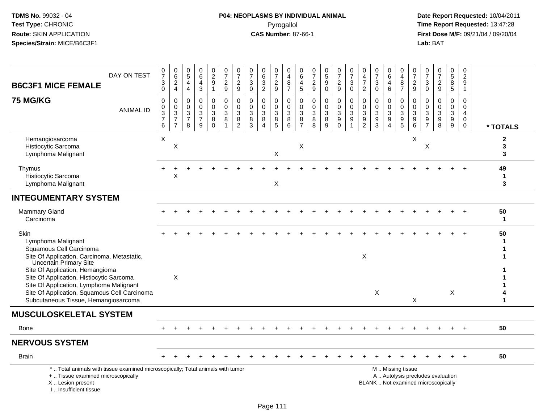**Date Report Requested:** 10/04/2011 **First Dose M/F:** 09/21/04 / 09/20/04<br>Lab: BAT **Lab:** BAT

| DAY ON TEST<br><b>B6C3F1 MICE FEMALE</b>                                                                                                                                                                                                        | $\frac{0}{7}$<br>$\ensuremath{\mathsf{3}}$<br>$\overline{0}$ | $\begin{array}{c} 0 \\ 6 \end{array}$<br>$_4^2$             | $\begin{array}{c} 0 \\ 5 \end{array}$<br>$\overline{a}$<br>$\overline{4}$      | 0<br>$6\phantom{1}6$<br>$\overline{\mathbf{4}}$<br>$\mathbf{3}$ | 0<br>$\overline{2}$<br>9<br>$\mathbf{1}$         | 0<br>$\overline{7}$<br>$\boldsymbol{2}$<br>$\boldsymbol{9}$ | $\frac{0}{7}$<br>$\boldsymbol{2}$<br>9                            | 0<br>$\overline{7}$<br>3<br>$\mathbf 0$                           | $\begin{array}{c} 0 \\ 6 \end{array}$<br>$\sqrt{3}$<br>$\overline{2}$                        | 0<br>$\overline{7}$<br>$\frac{2}{9}$         | 0<br>$\overline{4}$<br>$\, 8$<br>$\overline{7}$    | 0<br>6<br>4<br>5                             | 0<br>$\overline{7}$<br>$\frac{2}{9}$                          | $\begin{array}{c} 0 \\ 5 \\ 9 \end{array}$<br>$\ddot{\mathbf{0}}$ | $\frac{0}{7}$<br>$\frac{2}{9}$         | $\frac{0}{7}$<br>$\sqrt{3}$<br>$\mathbf 0$                      | 0<br>$\overline{4}$<br>$\overline{7}$<br>$\overline{2}$                         | 0<br>$\overline{7}$<br>3<br>$\Omega$                      | 0<br>6<br>4<br>$6\phantom{a}$   | 0<br>$\overline{4}$<br>8<br>$\overline{7}$                              | $\begin{array}{c} 0 \\ 7 \end{array}$<br>$\boldsymbol{2}$<br>9  | 0<br>$\overline{7}$<br>3<br>$\mathbf 0$             | $\frac{0}{7}$<br>$\sqrt{2}$<br>$9\,$                                           | 0<br>$\sqrt{5}$<br>8<br>$\overline{5}$     | 0<br>$\overline{c}$<br>9<br>$\mathbf{1}$                      |                        |
|-------------------------------------------------------------------------------------------------------------------------------------------------------------------------------------------------------------------------------------------------|--------------------------------------------------------------|-------------------------------------------------------------|--------------------------------------------------------------------------------|-----------------------------------------------------------------|--------------------------------------------------|-------------------------------------------------------------|-------------------------------------------------------------------|-------------------------------------------------------------------|----------------------------------------------------------------------------------------------|----------------------------------------------|----------------------------------------------------|----------------------------------------------|---------------------------------------------------------------|-------------------------------------------------------------------|----------------------------------------|-----------------------------------------------------------------|---------------------------------------------------------------------------------|-----------------------------------------------------------|---------------------------------|-------------------------------------------------------------------------|-----------------------------------------------------------------|-----------------------------------------------------|--------------------------------------------------------------------------------|--------------------------------------------|---------------------------------------------------------------|------------------------|
| <b>75 MG/KG</b><br><b>ANIMAL ID</b>                                                                                                                                                                                                             | $\pmb{0}$<br>$\pmb{0}$<br>$\frac{3}{7}$<br>6                 | $\pmb{0}$<br>$\mathbf 0$<br>$\frac{3}{7}$<br>$\overline{7}$ | $\mathbf 0$<br>$\mathbf 0$<br>$\ensuremath{\mathsf{3}}$<br>$\overline{7}$<br>8 | $\mathbf 0$<br>$\mathbf 0$<br>$\sqrt{3}$<br>$\overline{7}$<br>9 | $\mathbf 0$<br>$\mathbf 0$<br>3<br>8<br>$\Omega$ | $\pmb{0}$<br>$\pmb{0}$<br>$\sqrt{3}$<br>8<br>$\overline{1}$ | $\mathbf 0$<br>$\mathbf 0$<br>$\mathbf{3}$<br>8<br>$\overline{2}$ | $\mathbf 0$<br>$\mathbf 0$<br>$\mathbf{3}$<br>8<br>$\overline{3}$ | $\mathbf 0$<br>$\mathbf 0$<br>$\ensuremath{\mathsf{3}}$<br>$\bf 8$<br>$\boldsymbol{\Lambda}$ | 0<br>$\mathbf 0$<br>3<br>8<br>$\overline{5}$ | $\pmb{0}$<br>$\mathbf 0$<br>$\mathbf{3}$<br>8<br>6 | 0<br>$\mathbf 0$<br>3<br>8<br>$\overline{7}$ | $\pmb{0}$<br>$\mathbf 0$<br>$\sqrt{3}$<br>8<br>$\overline{8}$ | $\pmb{0}$<br>$\pmb{0}$<br>$\mathbf{3}$<br>8<br>$\overline{9}$     | 0<br>$\mathbf 0$<br>3<br>9<br>$\Omega$ | $\pmb{0}$<br>$\pmb{0}$<br>$\overline{3}$<br>9<br>$\overline{1}$ | $\mathbf 0$<br>$\mathbf{0}$<br>$\ensuremath{\mathsf{3}}$<br>9<br>$\overline{2}$ | $\Omega$<br>$\Omega$<br>$\sqrt{3}$<br>9<br>$\overline{3}$ | 0<br>$\mathbf 0$<br>3<br>9<br>4 | 0<br>$\mathbf 0$<br>$\sqrt{3}$<br>$\begin{array}{c} 9 \\ 5 \end{array}$ | $\pmb{0}$<br>$\mathbf 0$<br>$\ensuremath{\mathsf{3}}$<br>9<br>6 | $\mathbf 0$<br>$\Omega$<br>3<br>9<br>$\overline{7}$ | $\mathbf 0$<br>$\mathbf 0$<br>$\sqrt{3}$<br>$\boldsymbol{9}$<br>$\overline{8}$ | 0<br>$\mathbf 0$<br>$\mathbf{3}$<br>9<br>9 | $\mathbf 0$<br>$\mathbf 0$<br>4<br>$\mathbf 0$<br>$\mathbf 0$ | * TOTALS               |
| Hemangiosarcoma<br>Histiocytic Sarcoma<br>Lymphoma Malignant                                                                                                                                                                                    | X                                                            | X                                                           |                                                                                |                                                                 |                                                  |                                                             |                                                                   |                                                                   |                                                                                              | $\mathsf X$                                  |                                                    | $\boldsymbol{\mathsf{X}}$                    |                                                               |                                                                   |                                        |                                                                 |                                                                                 |                                                           |                                 |                                                                         | X                                                               | X                                                   |                                                                                |                                            |                                                               | $\mathbf{2}$<br>3<br>3 |
| Thymus<br>Histiocytic Sarcoma<br>Lymphoma Malignant                                                                                                                                                                                             |                                                              | X                                                           |                                                                                |                                                                 |                                                  |                                                             |                                                                   |                                                                   |                                                                                              | X                                            |                                                    |                                              |                                                               |                                                                   |                                        |                                                                 |                                                                                 |                                                           |                                 |                                                                         |                                                                 |                                                     |                                                                                |                                            |                                                               | 49<br>$\mathbf 1$<br>3 |
| <b>INTEGUMENTARY SYSTEM</b>                                                                                                                                                                                                                     |                                                              |                                                             |                                                                                |                                                                 |                                                  |                                                             |                                                                   |                                                                   |                                                                                              |                                              |                                                    |                                              |                                                               |                                                                   |                                        |                                                                 |                                                                                 |                                                           |                                 |                                                                         |                                                                 |                                                     |                                                                                |                                            |                                                               |                        |
| Mammary Gland<br>Carcinoma                                                                                                                                                                                                                      |                                                              |                                                             |                                                                                |                                                                 |                                                  |                                                             |                                                                   |                                                                   |                                                                                              |                                              |                                                    |                                              |                                                               |                                                                   |                                        |                                                                 |                                                                                 |                                                           |                                 |                                                                         |                                                                 |                                                     |                                                                                |                                            |                                                               | 50<br>$\mathbf 1$      |
| Skin<br>Lymphoma Malignant<br>Squamous Cell Carcinoma<br>Site Of Application, Carcinoma, Metastatic,                                                                                                                                            |                                                              |                                                             |                                                                                |                                                                 |                                                  |                                                             |                                                                   |                                                                   |                                                                                              |                                              |                                                    |                                              |                                                               |                                                                   |                                        |                                                                 | X                                                                               |                                                           |                                 |                                                                         |                                                                 |                                                     |                                                                                |                                            |                                                               | 50                     |
| <b>Uncertain Primary Site</b><br>Site Of Application, Hemangioma<br>Site Of Application, Histiocytic Sarcoma<br>Site Of Application, Lymphoma Malignant<br>Site Of Application, Squamous Cell Carcinoma<br>Subcutaneous Tissue, Hemangiosarcoma |                                                              | $\times$                                                    |                                                                                |                                                                 |                                                  |                                                             |                                                                   |                                                                   |                                                                                              |                                              |                                                    |                                              |                                                               |                                                                   |                                        |                                                                 |                                                                                 | X                                                         |                                 |                                                                         | $\times$                                                        |                                                     |                                                                                | X                                          |                                                               |                        |
| <b>MUSCULOSKELETAL SYSTEM</b>                                                                                                                                                                                                                   |                                                              |                                                             |                                                                                |                                                                 |                                                  |                                                             |                                                                   |                                                                   |                                                                                              |                                              |                                                    |                                              |                                                               |                                                                   |                                        |                                                                 |                                                                                 |                                                           |                                 |                                                                         |                                                                 |                                                     |                                                                                |                                            |                                                               |                        |
| <b>Bone</b>                                                                                                                                                                                                                                     |                                                              |                                                             |                                                                                |                                                                 |                                                  |                                                             |                                                                   |                                                                   |                                                                                              |                                              |                                                    |                                              |                                                               |                                                                   |                                        |                                                                 |                                                                                 |                                                           |                                 |                                                                         |                                                                 |                                                     |                                                                                |                                            |                                                               | 50                     |
| <b>NERVOUS SYSTEM</b>                                                                                                                                                                                                                           |                                                              |                                                             |                                                                                |                                                                 |                                                  |                                                             |                                                                   |                                                                   |                                                                                              |                                              |                                                    |                                              |                                                               |                                                                   |                                        |                                                                 |                                                                                 |                                                           |                                 |                                                                         |                                                                 |                                                     |                                                                                |                                            |                                                               |                        |
| <b>Brain</b>                                                                                                                                                                                                                                    |                                                              |                                                             |                                                                                |                                                                 |                                                  |                                                             |                                                                   |                                                                   |                                                                                              |                                              |                                                    |                                              |                                                               |                                                                   |                                        |                                                                 |                                                                                 |                                                           |                                 |                                                                         |                                                                 |                                                     |                                                                                |                                            | $+$                                                           | 50                     |
| *  Total animals with tissue examined microscopically; Total animals with tumor<br>+  Tissue examined microscopically<br>X  Lesion present<br>I., Insufficient tissue                                                                           |                                                              |                                                             |                                                                                |                                                                 |                                                  |                                                             |                                                                   |                                                                   |                                                                                              |                                              |                                                    |                                              |                                                               |                                                                   |                                        |                                                                 |                                                                                 |                                                           |                                 | M  Missing tissue                                                       |                                                                 |                                                     | A  Autolysis precludes evaluation<br>BLANK  Not examined microscopically       |                                            |                                                               |                        |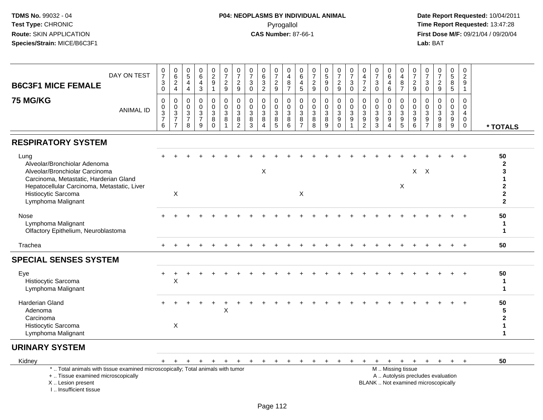**Date Report Requested:** 10/04/2011 **First Dose M/F:** 09/21/04 / 09/20/04<br>Lab: BAT **Lab:** BAT

| DAY ON TEST<br><b>B6C3F1 MICE FEMALE</b>                                                                                                                                                                     | $\frac{0}{7}$<br>$\ensuremath{\mathsf{3}}$<br>$\mathbf 0$                        | $\begin{array}{c} 0 \\ 6 \end{array}$<br>$_4^2$                              | $\begin{matrix}0\\5\end{matrix}$<br>$\overline{4}$<br>$\overline{4}$ | 0<br>6<br>4<br>$\mathbf{3}$                                      | 0<br>$\frac{2}{9}$<br>$\mathbf{1}$                                | $\frac{0}{7}$<br>$\boldsymbol{2}$<br>$\overline{9}$ | 0<br>$\overline{7}$<br>$\overline{c}$<br>9                                     | $\frac{0}{7}$<br>$\mathbf{3}$<br>$\mathbf{0}$         | $\begin{matrix} 0 \\ 6 \\ 3 \end{matrix}$<br>$\overline{2}$ | $\frac{0}{7}$<br>$\frac{2}{9}$                               | 0<br>$\overline{4}$<br>8<br>$\overline{7}$                              | 0<br>$6\overline{6}$<br>$\overline{4}$<br>5                            | $\frac{0}{7}$<br>$\boldsymbol{2}$<br>9             | $\begin{array}{c} 0 \\ 5 \\ 9 \end{array}$<br>$\mathsf 0$          | $\frac{0}{7}$<br>$\frac{2}{9}$                                                             | $\frac{0}{7}$<br>3<br>$\mathbf 0$                                           | 0<br>$\overline{4}$<br>$\overline{7}$<br>$\overline{2}$ | $\frac{0}{7}$<br>$\mathbf{3}$<br>$\Omega$            | 0<br>$\,6\,$<br>$\overline{4}$<br>6                            | 0<br>$\overline{4}$<br>$\, 8$<br>$\overline{7}$                                               | 0<br>$\overline{7}$<br>$\overline{2}$<br>9             | $\frac{0}{7}$<br>3<br>$\Omega$                           | $\frac{0}{7}$<br>$\overline{2}$<br>9                  | $\begin{matrix} 0 \\ 5 \end{matrix}$<br>8<br>$\overline{5}$   | 0<br>$\overline{2}$<br>9<br>$\mathbf 1$          |                                                                               |
|--------------------------------------------------------------------------------------------------------------------------------------------------------------------------------------------------------------|----------------------------------------------------------------------------------|------------------------------------------------------------------------------|----------------------------------------------------------------------|------------------------------------------------------------------|-------------------------------------------------------------------|-----------------------------------------------------|--------------------------------------------------------------------------------|-------------------------------------------------------|-------------------------------------------------------------|--------------------------------------------------------------|-------------------------------------------------------------------------|------------------------------------------------------------------------|----------------------------------------------------|--------------------------------------------------------------------|--------------------------------------------------------------------------------------------|-----------------------------------------------------------------------------|---------------------------------------------------------|------------------------------------------------------|----------------------------------------------------------------|-----------------------------------------------------------------------------------------------|--------------------------------------------------------|----------------------------------------------------------|-------------------------------------------------------|---------------------------------------------------------------|--------------------------------------------------|-------------------------------------------------------------------------------|
| <b>75 MG/KG</b><br><b>ANIMAL ID</b>                                                                                                                                                                          | $\mathbf 0$<br>$\pmb{0}$<br>$\overline{3}$<br>$\boldsymbol{7}$<br>$6\phantom{a}$ | $\pmb{0}$<br>$\pmb{0}$<br>$\overline{3}$<br>$\overline{7}$<br>$\overline{7}$ | $\mathbf 0$<br>0<br>$\mathsf 3$<br>$\overline{7}$<br>8               | $\mathbf 0$<br>$\mathbf 0$<br>$\mathbf 3$<br>$\overline{7}$<br>9 | $\mathbf 0$<br>$\mathbf 0$<br>$\mathbf{3}$<br>$\bf 8$<br>$\Omega$ | $\mathbf 0$<br>$\mathbf 0$<br>$\sqrt{3}$<br>8       | $\mathbf 0$<br>$\mathbf 0$<br>$\ensuremath{\mathsf{3}}$<br>8<br>$\overline{2}$ | $\Omega$<br>$\mathbf 0$<br>$\sqrt{3}$<br>$\bf 8$<br>3 | $\Omega$<br>0<br>$\mathbf{3}$<br>8<br>4                     | $\mathbf 0$<br>$\mathsf{O}$<br>$\mathbf{3}$<br>$\frac{8}{5}$ | $\mathbf 0$<br>$\mathbf 0$<br>$\ensuremath{\mathsf{3}}$<br>$\,8\,$<br>6 | $\mathbf 0$<br>$\mathbf 0$<br>$\mathsf 3$<br>$\bf 8$<br>$\overline{7}$ | $\mathbf 0$<br>0<br>$\mathfrak{Z}$<br>$\bf 8$<br>8 | $\mathbf 0$<br>$\boldsymbol{0}$<br>$\overline{3}$<br>$\frac{8}{9}$ | $\mathbf 0$<br>$\mathbf 0$<br>$\ensuremath{\mathsf{3}}$<br>$\boldsymbol{9}$<br>$\mathbf 0$ | $\mathbf 0$<br>$\mathbf 0$<br>$\ensuremath{\mathsf{3}}$<br>$\boldsymbol{9}$ | $\Omega$<br>0<br>$\mathbf{3}$<br>$\frac{9}{2}$          | $\Omega$<br>0<br>$\sqrt{3}$<br>$\boldsymbol{9}$<br>3 | $\Omega$<br>$\mathbf 0$<br>$\mathbf{3}$<br>9<br>$\overline{4}$ | $\mathbf 0$<br>$\mathbf 0$<br>$\frac{3}{9}$                                                   | $\mathbf{0}$<br>$\Omega$<br>3<br>$\boldsymbol{9}$<br>6 | $\Omega$<br>$\mathbf 0$<br>$\mathbf{3}$<br>$\frac{9}{7}$ | $\Omega$<br>$\mathbf 0$<br>3<br>$\boldsymbol{9}$<br>8 | $\mathbf 0$<br>$\mathbf 0$<br>$\overline{3}$<br>$\frac{9}{9}$ | $\Omega$<br>0<br>$\overline{4}$<br>$\Omega$<br>0 | * TOTALS                                                                      |
| <b>RESPIRATORY SYSTEM</b>                                                                                                                                                                                    |                                                                                  |                                                                              |                                                                      |                                                                  |                                                                   |                                                     |                                                                                |                                                       |                                                             |                                                              |                                                                         |                                                                        |                                                    |                                                                    |                                                                                            |                                                                             |                                                         |                                                      |                                                                |                                                                                               |                                                        |                                                          |                                                       |                                                               |                                                  |                                                                               |
| Lung<br>Alveolar/Bronchiolar Adenoma<br>Alveolar/Bronchiolar Carcinoma<br>Carcinoma, Metastatic, Harderian Gland<br>Hepatocellular Carcinoma, Metastatic, Liver<br>Histiocytic Sarcoma<br>Lymphoma Malignant |                                                                                  | X                                                                            |                                                                      |                                                                  |                                                                   |                                                     |                                                                                |                                                       | X                                                           |                                                              |                                                                         | X                                                                      |                                                    |                                                                    |                                                                                            |                                                                             |                                                         |                                                      |                                                                | X                                                                                             |                                                        | $X$ $X$                                                  |                                                       |                                                               |                                                  | 50<br>$\overline{2}$<br>3<br>$\overline{2}$<br>$\mathbf{2}$<br>$\overline{2}$ |
| Nose<br>Lymphoma Malignant<br>Olfactory Epithelium, Neuroblastoma                                                                                                                                            |                                                                                  |                                                                              |                                                                      |                                                                  |                                                                   |                                                     |                                                                                |                                                       |                                                             |                                                              |                                                                         |                                                                        |                                                    |                                                                    |                                                                                            |                                                                             |                                                         |                                                      |                                                                |                                                                                               |                                                        |                                                          |                                                       |                                                               |                                                  | 50<br>$\mathbf 1$<br>$\mathbf{1}$                                             |
| Trachea                                                                                                                                                                                                      | $+$                                                                              |                                                                              |                                                                      |                                                                  |                                                                   |                                                     |                                                                                |                                                       |                                                             |                                                              |                                                                         |                                                                        |                                                    |                                                                    |                                                                                            |                                                                             |                                                         |                                                      |                                                                |                                                                                               |                                                        |                                                          |                                                       |                                                               | $\div$                                           | 50                                                                            |
| <b>SPECIAL SENSES SYSTEM</b>                                                                                                                                                                                 |                                                                                  |                                                                              |                                                                      |                                                                  |                                                                   |                                                     |                                                                                |                                                       |                                                             |                                                              |                                                                         |                                                                        |                                                    |                                                                    |                                                                                            |                                                                             |                                                         |                                                      |                                                                |                                                                                               |                                                        |                                                          |                                                       |                                                               |                                                  |                                                                               |
| Eye<br>Histiocytic Sarcoma<br>Lymphoma Malignant                                                                                                                                                             |                                                                                  | X                                                                            |                                                                      |                                                                  |                                                                   |                                                     |                                                                                |                                                       |                                                             |                                                              |                                                                         |                                                                        |                                                    |                                                                    |                                                                                            |                                                                             |                                                         |                                                      |                                                                |                                                                                               |                                                        |                                                          |                                                       |                                                               |                                                  | 50<br>$\mathbf 1$                                                             |
| <b>Harderian Gland</b><br>Adenoma<br>Carcinoma                                                                                                                                                               |                                                                                  |                                                                              |                                                                      |                                                                  |                                                                   | $\times$                                            |                                                                                |                                                       |                                                             |                                                              |                                                                         |                                                                        |                                                    |                                                                    |                                                                                            |                                                                             |                                                         |                                                      |                                                                |                                                                                               |                                                        |                                                          |                                                       |                                                               |                                                  | 50<br>5<br>$\mathbf{2}$                                                       |
| Histiocytic Sarcoma<br>Lymphoma Malignant                                                                                                                                                                    |                                                                                  | X                                                                            |                                                                      |                                                                  |                                                                   |                                                     |                                                                                |                                                       |                                                             |                                                              |                                                                         |                                                                        |                                                    |                                                                    |                                                                                            |                                                                             |                                                         |                                                      |                                                                |                                                                                               |                                                        |                                                          |                                                       |                                                               |                                                  | -1<br>1                                                                       |
| <b>URINARY SYSTEM</b>                                                                                                                                                                                        |                                                                                  |                                                                              |                                                                      |                                                                  |                                                                   |                                                     |                                                                                |                                                       |                                                             |                                                              |                                                                         |                                                                        |                                                    |                                                                    |                                                                                            |                                                                             |                                                         |                                                      |                                                                |                                                                                               |                                                        |                                                          |                                                       |                                                               |                                                  |                                                                               |
| Kidney                                                                                                                                                                                                       | $+$                                                                              | $+$                                                                          | $\ddot{}$                                                            |                                                                  | $\mathbf +$                                                       |                                                     |                                                                                | $+$                                                   | $+$                                                         | $+$                                                          | $+$                                                                     | $+$                                                                    | $\pm$                                              |                                                                    |                                                                                            |                                                                             |                                                         | $\ddot{}$                                            |                                                                | $+$ $+$                                                                                       | $+$                                                    | $+$                                                      | $+$                                                   | $+$                                                           | $+$                                              | 50                                                                            |
| *  Total animals with tissue examined microscopically; Total animals with tumor<br>+  Tissue examined microscopically<br>X  Lesion present                                                                   |                                                                                  |                                                                              |                                                                      |                                                                  |                                                                   |                                                     |                                                                                |                                                       |                                                             |                                                              |                                                                         |                                                                        |                                                    |                                                                    |                                                                                            |                                                                             |                                                         |                                                      |                                                                | M  Missing tissue<br>A  Autolysis precludes evaluation<br>BLANK  Not examined microscopically |                                                        |                                                          |                                                       |                                                               |                                                  |                                                                               |

I .. Insufficient tissue